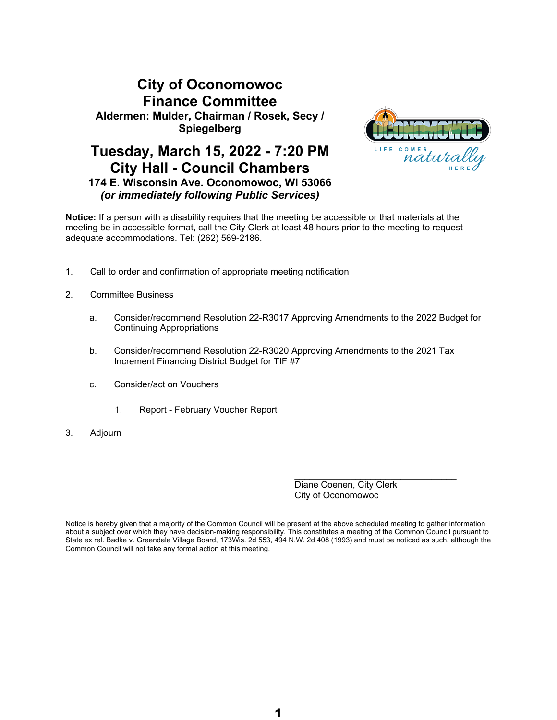# **City of Oconomowoc Finance Committee Aldermen: Mulder, Chairman / Rosek, Secy / Spiegelberg**

## **Tuesday, March 15, 2022 - 7:20 PM City Hall - Council Chambers 174 E. Wisconsin Ave. Oconomowoc, WI 53066** *(or immediately following Public Services)*



**Notice:** If a person with a disability requires that the meeting be accessible or that materials at the meeting be in accessible format, call the City Clerk at least 48 hours prior to the meeting to request adequate accommodations. Tel: (262) 569-2186.

- 1. Call to order and confirmation of appropriate meeting notification
- 2. Committee Business
	- a. Consider/recommend Resolution 22-R3017 Approving Amendments to the 2022 Budget for Continuing Appropriations
	- b. Consider/recommend Resolution 22-R3020 Approving Amendments to the 2021 Tax Increment Financing District Budget for TIF #7
	- c. Consider/act on Vouchers
		- 1. Report February Voucher Report
- 3. Adjourn

Diane Coenen, City Clerk City of Oconomowoc

\_\_\_\_\_\_\_\_\_\_\_\_\_\_\_\_\_\_\_\_\_\_\_\_\_\_\_\_\_\_\_\_

Notice is hereby given that a majority of the Common Council will be present at the above scheduled meeting to gather information about a subject over which they have decision-making responsibility. This constitutes a meeting of the Common Council pursuant to State ex rel. Badke v. Greendale Village Board, 173Wis. 2d 553, 494 N.W. 2d 408 (1993) and must be noticed as such, although the Common Council will not take any formal action at this meeting.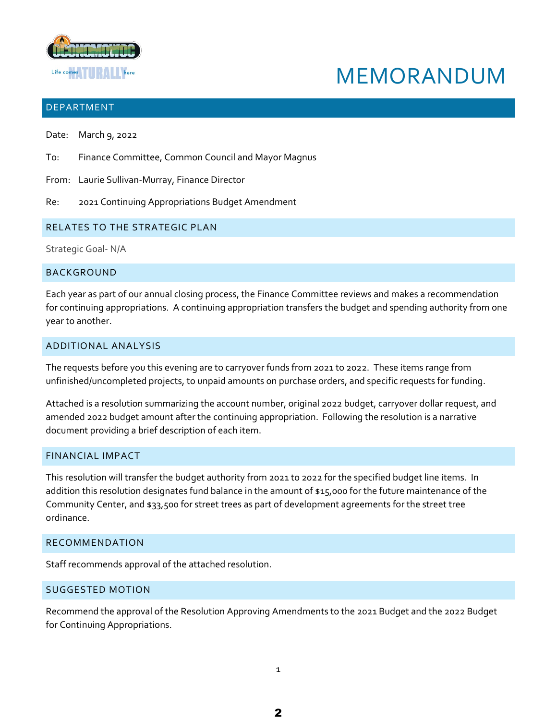

# MEMORANDUM

### **DEPARTMENT**

- Date: March 9, 2022
- To: Finance Committee, Common Council and Mayor Magnus
- From: Laurie Sullivan-Murray, Finance Director
- Re: 2021 Continuing Appropriations Budget Amendment

### RELATES TO THE STRATEGIC PLAN

Strategic Goal- N/A

### **BACKGROUND**

Each year as part of our annual closing process, the Finance Committee reviews and makes a recommendation for continuing appropriations. A continuing appropriation transfers the budget and spending authority from one year to another.

### ADDITIONAL ANALYSIS

The requests before you this evening are to carryover funds from 2021 to 2022. These items range from unfinished/uncompleted projects, to unpaid amounts on purchase orders, and specific requests for funding.

Attached is a resolution summarizing the account number, original 2022 budget, carryover dollar request, and amended 2022 budget amount after the continuing appropriation. Following the resolution is a narrative document providing a brief description of each item.

### FINANCIAL IMPACT

This resolution will transfer the budget authority from 2021 to 2022 for the specified budget line items. In addition this resolution designates fund balance in the amount of \$15,000 for the future maintenance of the Community Center, and \$33,500 for street trees as part of development agreements for the street tree ordinance.

### RECOMMENDATION

Staff recommends approval of the attached resolution.

### SUGGESTED MOTION

Recommend the approval of the Resolution Approving Amendments to the 2021 Budget and the 2022 Budget for Continuing Appropriations.

1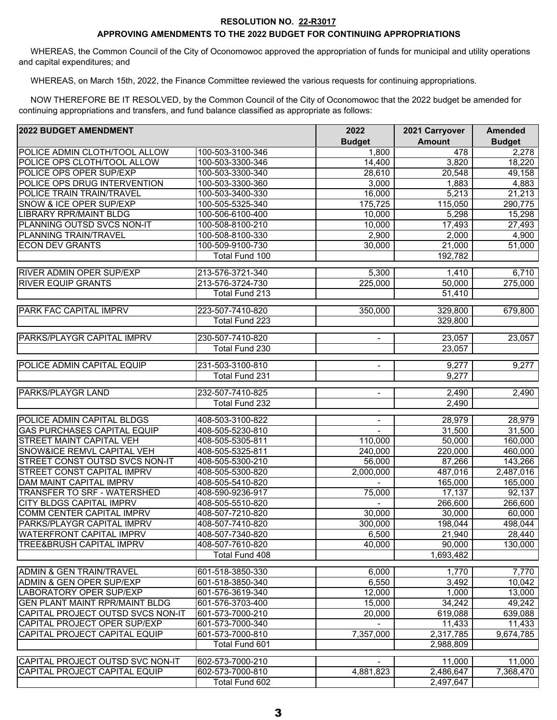#### **RESOLUTION NO. 22-R3017**

### **APPROVING AMENDMENTS TO THE 2022 BUDGET FOR CONTINUING APPROPRIATIONS**

 WHEREAS, the Common Council of the City of Oconomowoc approved the appropriation of funds for municipal and utility operations and capital expenditures; and

WHEREAS, on March 15th, 2022, the Finance Committee reviewed the various requests for continuing appropriations.

 NOW THEREFORE BE IT RESOLVED, by the Common Council of the City of Oconomowoc that the 2022 budget be amended for continuing appropriations and transfers, and fund balance classified as appropriate as follows:

| <b>2022 BUDGET AMENDMENT</b>          |                       | 2022                     | 2021 Carryover | <b>Amended</b> |
|---------------------------------------|-----------------------|--------------------------|----------------|----------------|
|                                       |                       | <b>Budget</b>            | <b>Amount</b>  | <b>Budget</b>  |
| POLICE ADMIN CLOTH/TOOL ALLOW         | 100-503-3100-346      | 1,800                    | 478            | 2,278          |
| POLICE OPS CLOTH/TOOL ALLOW           | 100-503-3300-346      | 14,400                   | 3,820          | 18,220         |
| POLICE OPS OPER SUP/EXP               | 100-503-3300-340      | 28,610                   | 20,548         | 49,158         |
| POLICE OPS DRUG INTERVENTION          | 100-503-3300-360      | 3,000                    | 1,883          | 4,883          |
| POLICE TRAIN TRAIN/TRAVEL             | 100-503-3400-330      | 16,000                   | 5,213          | 21,213         |
| SNOW & ICE OPER SUP/EXP               | 100-505-5325-340      | 175,725                  | 115,050        | 290,775        |
| <b>LIBRARY RPR/MAINT BLDG</b>         | 100-506-6100-400      | 10,000                   | 5,298          | 15,298         |
| PLANNING OUTSD SVCS NON-IT            | 100-508-8100-210      | 10,000                   | 17,493         | 27,493         |
| PLANNING TRAIN/TRAVEL                 | 100-508-8100-330      | 2,900                    | 2,000          | 4,900          |
| <b>ECON DEV GRANTS</b>                | 100-509-9100-730      | 30,000                   | 21,000         | 51,000         |
|                                       | Total Fund 100        |                          | 192,782        |                |
| <b>RIVER ADMIN OPER SUP/EXP</b>       | 213-576-3721-340      | 5,300                    | 1,410          | 6,710          |
| <b>RIVER EQUIP GRANTS</b>             | 213-576-3724-730      | 225,000                  | 50,000         | 275,000        |
|                                       | Total Fund 213        |                          | 51,410         |                |
| PARK FAC CAPITAL IMPRV                | 223-507-7410-820      | 350,000                  | 329,800        | 679,800        |
|                                       | <b>Total Fund 223</b> |                          | 329,800        |                |
| PARKS/PLAYGR CAPITAL IMPRV            | 230-507-7410-820      | $\overline{\phantom{a}}$ | 23,057         | 23,057         |
|                                       | <b>Total Fund 230</b> |                          | 23,057         |                |
|                                       |                       |                          |                |                |
| POLICE ADMIN CAPITAL EQUIP            | 231-503-3100-810      | $\blacksquare$           | 9,277          | 9,277          |
|                                       | <b>Total Fund 231</b> |                          | 9,277          |                |
| <b>PARKS/PLAYGR LAND</b>              | 232-507-7410-825      | $\blacksquare$           | 2,490          | 2,490          |
|                                       | Total Fund 232        |                          | 2,490          |                |
| POLICE ADMIN CAPITAL BLDGS            | 408-503-3100-822      | $\overline{\phantom{a}}$ | 28,979         | 28,979         |
| <b>GAS PURCHASES CAPITAL EQUIP</b>    | 408-505-5230-810      | $\blacksquare$           | 31,500         | 31,500         |
| STREET MAINT CAPITAL VEH              | 408-505-5305-811      | 110,000                  | 50,000         | 160,000        |
| SNOW&ICE REMVL CAPITAL VEH            | 408-505-5325-811      | 240,000                  | 220,000        | 460,000        |
| STREET CONST OUTSD SVCS NON-IT        | 408-505-5300-210      | 56,000                   | 87,266         | 143,266        |
| <b>STREET CONST CAPITAL IMPRV</b>     | 408-505-5300-820      | 2,000,000                | 487,016        | 2,487,016      |
| <b>DAM MAINT CAPITAL IMPRV</b>        | 408-505-5410-820      |                          | 165,000        | 165,000        |
| TRANSFER TO SRF - WATERSHED           | 408-590-9236-917      | 75,000                   | 17,137         | 92,137         |
| <b>CITY BLDGS CAPITAL IMPRV</b>       | 408-505-5510-820      |                          | 266,600        | 266,600        |
| <b>COMM CENTER CAPITAL IMPRV</b>      | 408-507-7210-820      | 30,000                   | 30,000         | 60,000         |
| PARKS/PLAYGR CAPITAL IMPRV            | 408-507-7410-820      | 300,000                  | 198,044        | 498,044        |
| <b>WATERFRONT CAPITAL IMPRV</b>       | 408-507-7340-820      | 6,500                    | 21,940         | 28,440         |
| <b>TREE&amp;BRUSH CAPITAL IMPRV</b>   | 408-507-7610-820      | 40,000                   | 90,000         | 130,000        |
|                                       | Total Fund 408        |                          | 1,693,482      |                |
| ADMIN & GEN TRAIN/TRAVEL              | 601-518-3850-330      | 6,000                    | 1,770          | 7,770          |
| <b>ADMIN &amp; GEN OPER SUP/EXP</b>   | 601-518-3850-340      | 6,550                    | 3,492          | 10,042         |
| <b>LABORATORY OPER SUP/EXP</b>        | 601-576-3619-340      | 12,000                   | 1,000          | 13,000         |
| <b>GEN PLANT MAINT RPR/MAINT BLDG</b> | 601-576-3703-400      | 15,000                   | 34,242         | 49,242         |
| CAPITAL PROJECT OUTSD SVCS NON-IT     | 601-573-7000-210      | 20,000                   | 619,088        | 639,088        |
| CAPITAL PROJECT OPER SUP/EXP          | 601-573-7000-340      |                          | 11,433         | 11,433         |
| CAPITAL PROJECT CAPITAL EQUIP         | 601-573-7000-810      | 7,357,000                | 2,317,785      | 9,674,785      |
|                                       | Total Fund 601        |                          | 2,988,809      |                |
| CAPITAL PROJECT OUTSD SVC NON-IT      | 602-573-7000-210      |                          | 11,000         | 11,000         |
| CAPITAL PROJECT CAPITAL EQUIP         | 602-573-7000-810      | 4,881,823                | 2,486,647      | 7,368,470      |
|                                       | Total Fund 602        |                          | 2,497,647      |                |
|                                       |                       |                          |                |                |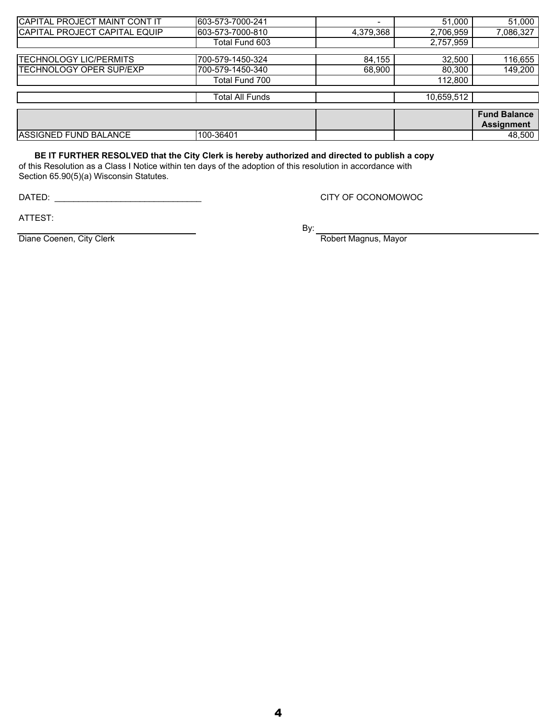| CAPITAL PROJECT MAINT CONT IT  | 603-573-7000-241 |           | 51,000     | 51,000              |
|--------------------------------|------------------|-----------|------------|---------------------|
| CAPITAL PROJECT CAPITAL EQUIP  | 603-573-7000-810 | 4,379,368 | 2,706,959  | 7,086,327           |
|                                | Total Fund 603   |           | 2,757,959  |                     |
|                                |                  |           |            |                     |
| <b>TECHNOLOGY LIC/PERMITS</b>  | 700-579-1450-324 | 84,155    | 32,500     | 116,655             |
| <b>TECHNOLOGY OPER SUP/EXP</b> | 700-579-1450-340 | 68,900    | 80,300     | 149,200             |
|                                | Total Fund 700   |           | 112,800    |                     |
|                                |                  |           |            |                     |
|                                | Total All Funds  |           | 10,659,512 |                     |
|                                |                  |           |            |                     |
|                                |                  |           |            | <b>Fund Balance</b> |
|                                |                  |           |            | <b>Assignment</b>   |
| ASSIGNED FUND BALANCE          | 100-36401        |           |            | 48,500              |

### **BE IT FURTHER RESOLVED that the City Clerk is hereby authorized and directed to publish a copy**

of this Resolution as a Class I Notice within ten days of the adoption of this resolution in accordance with Section 65.90(5)(a) Wisconsin Statutes.

DATED: \_\_\_\_\_\_\_\_\_\_\_\_\_\_\_\_\_\_\_\_\_\_\_\_\_\_\_\_\_\_\_

CITY OF OCONOMOWOC

ATTEST:

By:

Robert Magnus, Mayor

Diane Coenen, City Clerk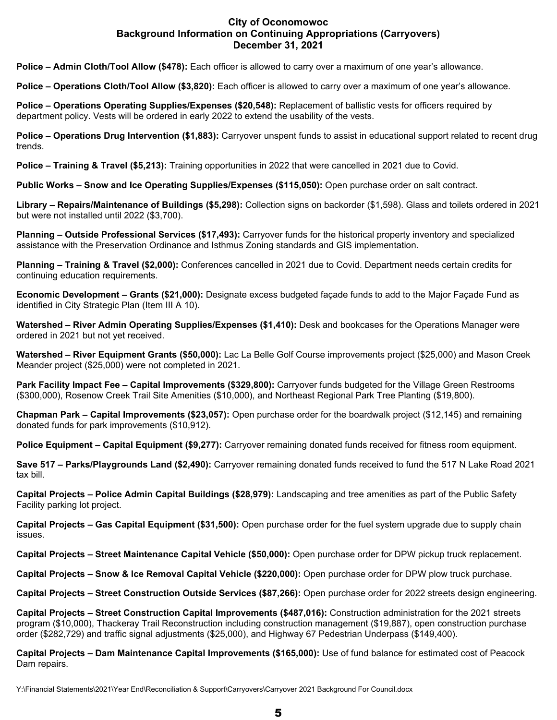### **City of Oconomowoc Background Information on Continuing Appropriations (Carryovers) December 31, 2021**

**Police – Admin Cloth/Tool Allow (\$478):** Each officer is allowed to carry over a maximum of one year's allowance.

**Police – Operations Cloth/Tool Allow (\$3,820):** Each officer is allowed to carry over a maximum of one year's allowance.

**Police – Operations Operating Supplies/Expenses (\$20,548):** Replacement of ballistic vests for officers required by department policy. Vests will be ordered in early 2022 to extend the usability of the vests.

**Police – Operations Drug Intervention (\$1,883):** Carryover unspent funds to assist in educational support related to recent drug trends.

**Police – Training & Travel (\$5,213):** Training opportunities in 2022 that were cancelled in 2021 due to Covid.

**Public Works – Snow and Ice Operating Supplies/Expenses (\$115,050):** Open purchase order on salt contract.

**Library – Repairs/Maintenance of Buildings (\$5,298):** Collection signs on backorder (\$1,598). Glass and toilets ordered in 2021 but were not installed until 2022 (\$3,700).

**Planning – Outside Professional Services (\$17,493):** Carryover funds for the historical property inventory and specialized assistance with the Preservation Ordinance and Isthmus Zoning standards and GIS implementation.

**Planning – Training & Travel (\$2,000):** Conferences cancelled in 2021 due to Covid. Department needs certain credits for continuing education requirements.

**Economic Development – Grants (\$21,000):** Designate excess budgeted façade funds to add to the Major Façade Fund as identified in City Strategic Plan (Item III A 10).

**Watershed – River Admin Operating Supplies/Expenses (\$1,410):** Desk and bookcases for the Operations Manager were ordered in 2021 but not yet received.

**Watershed – River Equipment Grants (\$50,000):** Lac La Belle Golf Course improvements project (\$25,000) and Mason Creek Meander project (\$25,000) were not completed in 2021.

**Park Facility Impact Fee – Capital Improvements (\$329,800):** Carryover funds budgeted for the Village Green Restrooms (\$300,000), Rosenow Creek Trail Site Amenities (\$10,000), and Northeast Regional Park Tree Planting (\$19,800).

**Chapman Park – Capital Improvements (\$23,057):** Open purchase order for the boardwalk project (\$12,145) and remaining donated funds for park improvements (\$10,912).

**Police Equipment – Capital Equipment (\$9,277):** Carryover remaining donated funds received for fitness room equipment.

**Save 517 – Parks/Playgrounds Land (\$2,490):** Carryover remaining donated funds received to fund the 517 N Lake Road 2021 tax bill.

**Capital Projects – Police Admin Capital Buildings (\$28,979):** Landscaping and tree amenities as part of the Public Safety Facility parking lot project.

**Capital Projects – Gas Capital Equipment (\$31,500):** Open purchase order for the fuel system upgrade due to supply chain issues.

**Capital Projects – Street Maintenance Capital Vehicle (\$50,000):** Open purchase order for DPW pickup truck replacement.

**Capital Projects – Snow & Ice Removal Capital Vehicle (\$220,000):** Open purchase order for DPW plow truck purchase.

**Capital Projects – Street Construction Outside Services (\$87,266):** Open purchase order for 2022 streets design engineering.

**Capital Projects – Street Construction Capital Improvements (\$487,016):** Construction administration for the 2021 streets program (\$10,000), Thackeray Trail Reconstruction including construction management (\$19,887), open construction purchase order (\$282,729) and traffic signal adjustments (\$25,000), and Highway 67 Pedestrian Underpass (\$149,400).

**Capital Projects – Dam Maintenance Capital Improvements (\$165,000):** Use of fund balance for estimated cost of Peacock Dam repairs.

Y:\Financial Statements\2021\Year End\Reconciliation & Support\Carryovers\Carryover 2021 Background For Council.docx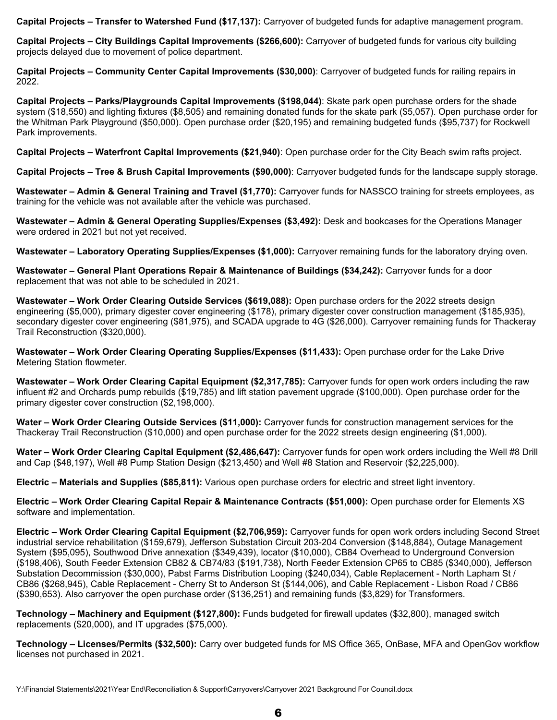**Capital Projects – Transfer to Watershed Fund (\$17,137):** Carryover of budgeted funds for adaptive management program.

**Capital Projects – City Buildings Capital Improvements (\$266,600):** Carryover of budgeted funds for various city building projects delayed due to movement of police department.

**Capital Projects – Community Center Capital Improvements (\$30,000)**: Carryover of budgeted funds for railing repairs in 2022.

**Capital Projects – Parks/Playgrounds Capital Improvements (\$198,044)**: Skate park open purchase orders for the shade system (\$18,550) and lighting fixtures (\$8,505) and remaining donated funds for the skate park (\$5,057). Open purchase order for the Whitman Park Playground (\$50,000). Open purchase order (\$20,195) and remaining budgeted funds (\$95,737) for Rockwell Park improvements.

**Capital Projects – Waterfront Capital Improvements (\$21,940)**: Open purchase order for the City Beach swim rafts project.

**Capital Projects – Tree & Brush Capital Improvements (\$90,000)**: Carryover budgeted funds for the landscape supply storage.

**Wastewater – Admin & General Training and Travel (\$1,770):** Carryover funds for NASSCO training for streets employees, as training for the vehicle was not available after the vehicle was purchased.

**Wastewater – Admin & General Operating Supplies/Expenses (\$3,492):** Desk and bookcases for the Operations Manager were ordered in 2021 but not yet received.

**Wastewater – Laboratory Operating Supplies/Expenses (\$1,000):** Carryover remaining funds for the laboratory drying oven.

**Wastewater – General Plant Operations Repair & Maintenance of Buildings (\$34,242):** Carryover funds for a door replacement that was not able to be scheduled in 2021.

**Wastewater – Work Order Clearing Outside Services (\$619,088):** Open purchase orders for the 2022 streets design engineering (\$5,000), primary digester cover engineering (\$178), primary digester cover construction management (\$185,935), secondary digester cover engineering (\$81,975), and SCADA upgrade to 4G (\$26,000). Carryover remaining funds for Thackeray Trail Reconstruction (\$320,000).

**Wastewater – Work Order Clearing Operating Supplies/Expenses (\$11,433):** Open purchase order for the Lake Drive Metering Station flowmeter.

**Wastewater – Work Order Clearing Capital Equipment (\$2,317,785):** Carryover funds for open work orders including the raw influent #2 and Orchards pump rebuilds (\$19,785) and lift station pavement upgrade (\$100,000). Open purchase order for the primary digester cover construction (\$2,198,000).

**Water – Work Order Clearing Outside Services (\$11,000):** Carryover funds for construction management services for the Thackeray Trail Reconstruction (\$10,000) and open purchase order for the 2022 streets design engineering (\$1,000).

**Water – Work Order Clearing Capital Equipment (\$2,486,647):** Carryover funds for open work orders including the Well #8 Drill and Cap (\$48,197), Well #8 Pump Station Design (\$213,450) and Well #8 Station and Reservoir (\$2,225,000).

**Electric – Materials and Supplies (\$85,811):** Various open purchase orders for electric and street light inventory.

**Electric – Work Order Clearing Capital Repair & Maintenance Contracts (\$51,000):** Open purchase order for Elements XS software and implementation.

**Electric – Work Order Clearing Capital Equipment (\$2,706,959):** Carryover funds for open work orders including Second Street industrial service rehabilitation (\$159,679), Jefferson Substation Circuit 203-204 Conversion (\$148,884), Outage Management System (\$95,095), Southwood Drive annexation (\$349,439), locator (\$10,000), CB84 Overhead to Underground Conversion (\$198,406), South Feeder Extension CB82 & CB74/83 (\$191,738), North Feeder Extension CP65 to CB85 (\$340,000), Jefferson Substation Decommission (\$30,000), Pabst Farms Distribution Looping (\$240,034), Cable Replacement - North Lapham St / CB86 (\$268,945), Cable Replacement - Cherry St to Anderson St (\$144,006), and Cable Replacement - Lisbon Road / CB86 (\$390,653). Also carryover the open purchase order (\$136,251) and remaining funds (\$3,829) for Transformers.

**Technology – Machinery and Equipment (\$127,800):** Funds budgeted for firewall updates (\$32,800), managed switch replacements (\$20,000), and IT upgrades (\$75,000).

**Technology – Licenses/Permits (\$32,500):** Carry over budgeted funds for MS Office 365, OnBase, MFA and OpenGov workflow licenses not purchased in 2021.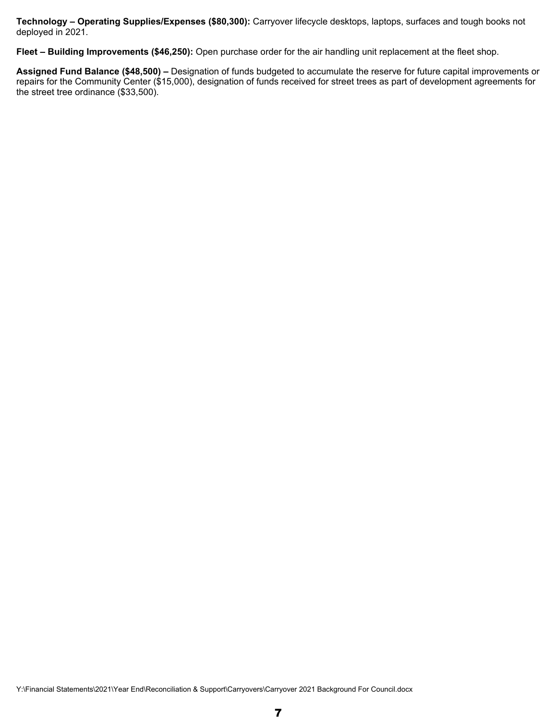**Technology – Operating Supplies/Expenses (\$80,300):** Carryover lifecycle desktops, laptops, surfaces and tough books not deployed in 2021.

**Fleet – Building Improvements (\$46,250):** Open purchase order for the air handling unit replacement at the fleet shop.

**Assigned Fund Balance (\$48,500) –** Designation of funds budgeted to accumulate the reserve for future capital improvements or repairs for the Community Center (\$15,000), designation of funds received for street trees as part of development agreements for the street tree ordinance (\$33,500).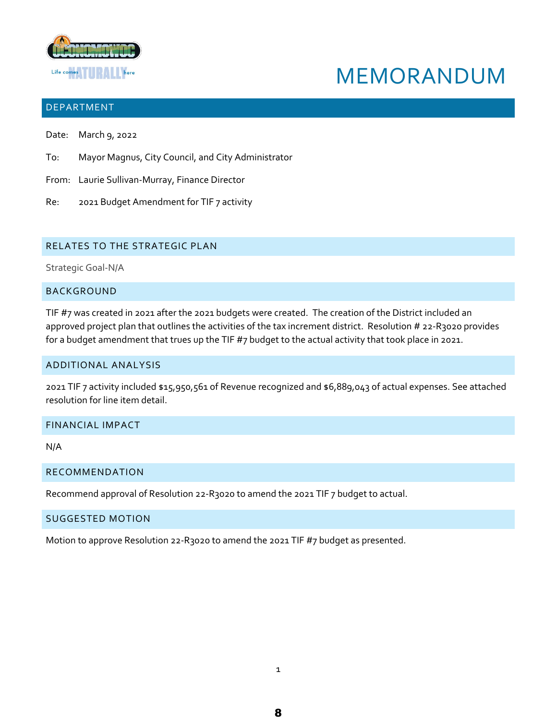

# MEMORANDUM

### DEPARTMENT

- Date: March 9, 2022
- To: Mayor Magnus, City Council, and City Administrator
- From: Laurie Sullivan-Murray, Finance Director
- Re: 2021 Budget Amendment for TIF 7 activity

### RELATES TO THE STRATEGIC PLAN

Strategic Goal-N/A

### BACKGROUND

TIF #7 was created in 2021 after the 2021 budgets were created. The creation of the District included an approved project plan that outlines the activities of the tax increment district. Resolution # 22-R3020 provides for a budget amendment that trues up the TIF #7 budget to the actual activity that took place in 2021.

### ADDITIONAL ANALYSIS

2021 TIF 7 activity included \$15,950,561 of Revenue recognized and \$6,889,043 of actual expenses. See attached resolution for line item detail.

### FINANCIAL IMPACT

N/A

### RECOMMENDATION

Recommend approval of Resolution 22-R3020 to amend the 2021 TIF 7 budget to actual.

### SUGGESTED MOTION

Motion to approve Resolution 22-R3020 to amend the 2021 TIF #7 budget as presented.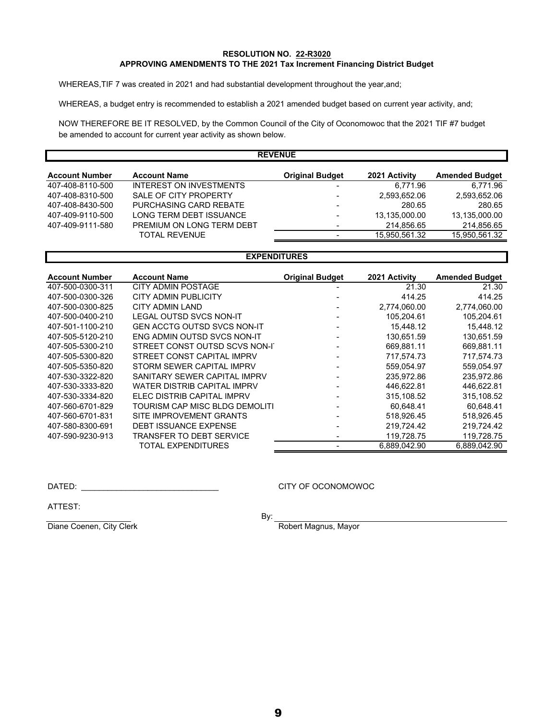### **RESOLUTION NO. 22-R3020 APPROVING AMENDMENTS TO THE 2021 Tax Increment Financing District Budget**

WHEREAS,TIF 7 was created in 2021 and had substantial development throughout the year,and;

WHEREAS, a budget entry is recommended to establish a 2021 amended budget based on current year activity, and;

 be amended to account for current year activity as shown below. NOW THEREFORE BE IT RESOLVED, by the Common Council of the City of Oconomowoc that the 2021 TIF #7 budget

|                       |                           | <b>REVENUE</b>         |               |                       |
|-----------------------|---------------------------|------------------------|---------------|-----------------------|
| <b>Account Number</b> | <b>Account Name</b>       | <b>Original Budget</b> | 2021 Activity | <b>Amended Budget</b> |
| 407-408-8110-500      | INTEREST ON INVESTMENTS   |                        | 6.771.96      | 6.771.96              |
| 407-408-8310-500      | SALE OF CITY PROPERTY     | ۰                      | 2,593,652.06  | 2.593.652.06          |
| 407-408-8430-500      | PURCHASING CARD REBATE    | ۰                      | 280.65        | 280.65                |
| 407-409-9110-500      | LONG TERM DEBT ISSUANCE   | ۰                      | 13,135,000.00 | 13.135.000.00         |
| 407-409-9111-580      | PREMIUM ON LONG TERM DEBT | ۰                      | 214,856.65    | 214,856.65            |
|                       | <b>TOTAL REVENUE</b>      |                        | 15.950.561.32 | 15.950.561.32         |

### **EXPENDITURES**

| <b>Account Number</b> | <b>Account Name</b>                | <b>Original Budget</b> | 2021 Activity | <b>Amended Budget</b> |
|-----------------------|------------------------------------|------------------------|---------------|-----------------------|
| 407-500-0300-311      | CITY ADMIN POSTAGE                 |                        | 21.30         | 21.30                 |
| 407-500-0300-326      | <b>CITY ADMIN PUBLICITY</b>        |                        | 414.25        | 414.25                |
| 407-500-0300-825      | CITY ADMIN LAND                    |                        | 2,774,060.00  | 2,774,060.00          |
| 407-500-0400-210      | <b>LEGAL OUTSD SVCS NON-IT</b>     |                        | 105.204.61    | 105.204.61            |
| 407-501-1100-210      | <b>GEN ACCTG OUTSD SVCS NON-IT</b> |                        | 15,448.12     | 15.448.12             |
| 407-505-5120-210      | ENG ADMIN OUTSD SVCS NON-IT        |                        | 130,651.59    | 130.651.59            |
| 407-505-5300-210      | STREET CONST OUTSD SCVS NON-I      |                        | 669.881.11    | 669.881.11            |
| 407-505-5300-820      | STREET CONST CAPITAL IMPRV         |                        | 717,574.73    | 717.574.73            |
| 407-505-5350-820      | STORM SEWER CAPITAL IMPRV          |                        | 559.054.97    | 559.054.97            |
| 407-530-3322-820      | SANITARY SEWER CAPITAL IMPRV       |                        | 235.972.86    | 235,972.86            |
| 407-530-3333-820      | WATER DISTRIB CAPITAL IMPRV        |                        | 446,622.81    | 446,622.81            |
| 407-530-3334-820      | ELEC DISTRIB CAPITAL IMPRV         |                        | 315.108.52    | 315.108.52            |
| 407-560-6701-829      | TOURISM CAP MISC BLDG DEMOLITI     | $\blacksquare$         | 60.648.41     | 60.648.41             |
| 407-560-6701-831      | SITE IMPROVEMENT GRANTS            |                        | 518.926.45    | 518.926.45            |
| 407-580-8300-691      | <b>DEBT ISSUANCE EXPENSE</b>       |                        | 219,724.42    | 219,724.42            |
| 407-590-9230-913      | TRANSFER TO DEBT SERVICE           |                        | 119,728.75    | 119,728.75            |
|                       | TOTAL EXPENDITURES                 |                        | 6.889.042.90  | 6.889.042.90          |

DATED: \_\_\_\_\_\_\_\_\_\_\_\_\_\_\_\_\_\_\_\_\_\_\_\_\_\_\_\_\_\_\_

CITY OF OCONOMOWOC

ATTEST:

By:

Diane Coenen, City Clerk Robert Magnus, Mayor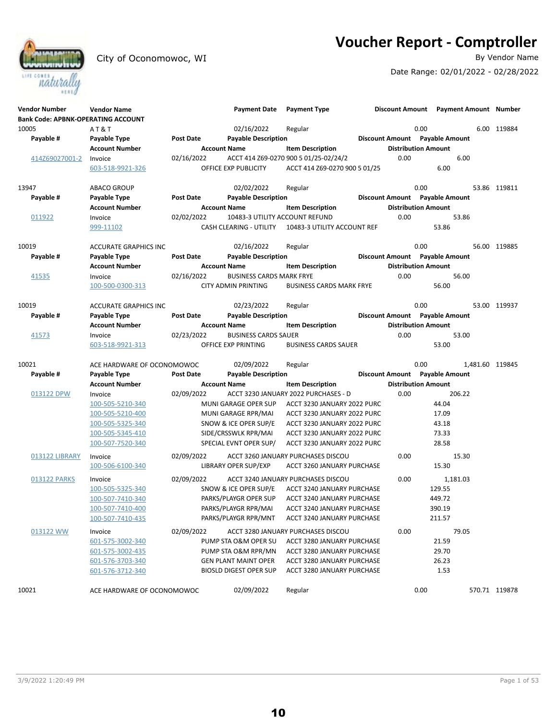**Voucher Report - Comptroller**<br>By Vendor Name



City of Oconomowoc, WI

Date Range: 02/01/2022 - 02/28/2022

| <b>Vendor Number</b><br><b>Bank Code: APBNK-OPERATING ACCOUNT</b> | <b>Vendor Name</b>           |                  | <b>Payment Date</b>             | <b>Payment Type</b>                   |      | Discount Amount Payment Amount Number |                 |
|-------------------------------------------------------------------|------------------------------|------------------|---------------------------------|---------------------------------------|------|---------------------------------------|-----------------|
| 10005                                                             | AT&T                         |                  | 02/16/2022                      | Regular                               |      | 0.00                                  | 6.00 119884     |
| Payable #                                                         | Payable Type                 | <b>Post Date</b> | <b>Payable Description</b>      |                                       |      | Discount Amount Payable Amount        |                 |
|                                                                   | <b>Account Number</b>        |                  | <b>Account Name</b>             | <b>Item Description</b>               |      | <b>Distribution Amount</b>            |                 |
| 414Z69027001-2                                                    | Invoice                      | 02/16/2022       |                                 | ACCT 414 Z69-0270 900 5 01/25-02/24/2 | 0.00 | 6.00                                  |                 |
|                                                                   | 603-518-9921-326             |                  | OFFICE EXP PUBLICITY            | ACCT 414 Z69-0270 900 5 01/25         |      | 6.00                                  |                 |
|                                                                   |                              |                  |                                 |                                       |      |                                       |                 |
| 13947                                                             | <b>ABACO GROUP</b>           |                  | 02/02/2022                      | Regular                               |      | 0.00                                  | 53.86 119811    |
| Payable #                                                         | Payable Type                 | <b>Post Date</b> | <b>Payable Description</b>      |                                       |      | Discount Amount Payable Amount        |                 |
|                                                                   | Account Number               |                  | <b>Account Name</b>             | <b>Item Description</b>               |      | <b>Distribution Amount</b>            |                 |
| 011922                                                            | Invoice                      | 02/02/2022       | 10483-3 UTILITY ACCOUNT REFUND  |                                       | 0.00 | 53.86                                 |                 |
|                                                                   | 999-11102                    |                  | CASH CLEARING - UTILITY         | 10483-3 UTILITY ACCOUNT REF           |      | 53.86                                 |                 |
|                                                                   |                              |                  |                                 |                                       |      |                                       |                 |
| 10019                                                             | <b>ACCURATE GRAPHICS INC</b> |                  | 02/16/2022                      | Regular                               |      | 0.00                                  | 56.00 119885    |
| Payable #                                                         | Payable Type                 | Post Date        | <b>Payable Description</b>      |                                       |      | Discount Amount Payable Amount        |                 |
|                                                                   | <b>Account Number</b>        |                  | <b>Account Name</b>             | <b>Item Description</b>               |      | <b>Distribution Amount</b>            |                 |
| 41535                                                             | Invoice                      | 02/16/2022       | <b>BUSINESS CARDS MARK FRYE</b> |                                       | 0.00 | 56.00                                 |                 |
|                                                                   | 100-500-0300-313             |                  | <b>CITY ADMIN PRINTING</b>      | <b>BUSINESS CARDS MARK FRYE</b>       |      | 56.00                                 |                 |
|                                                                   |                              |                  |                                 |                                       |      |                                       |                 |
| 10019                                                             | <b>ACCURATE GRAPHICS INC</b> |                  | 02/23/2022                      | Regular                               |      | 0.00                                  | 53.00 119937    |
| Payable #                                                         | Payable Type                 | <b>Post Date</b> | <b>Payable Description</b>      |                                       |      | Discount Amount Payable Amount        |                 |
|                                                                   | <b>Account Number</b>        |                  | <b>Account Name</b>             | <b>Item Description</b>               |      | <b>Distribution Amount</b>            |                 |
| 41573                                                             | Invoice                      | 02/23/2022       | <b>BUSINESS CARDS SAUER</b>     |                                       | 0.00 | 53.00                                 |                 |
|                                                                   | 603-518-9921-313             |                  | OFFICE EXP PRINTING             | <b>BUSINESS CARDS SAUER</b>           |      | 53.00                                 |                 |
| 10021                                                             | ACE HARDWARE OF OCONOMOWOC   |                  | 02/09/2022                      | Regular                               |      | 0.00                                  | 1,481.60 119845 |
| Payable #                                                         | Payable Type                 | <b>Post Date</b> | <b>Payable Description</b>      |                                       |      | Discount Amount Payable Amount        |                 |
|                                                                   | <b>Account Number</b>        |                  | <b>Account Name</b>             | <b>Item Description</b>               |      | <b>Distribution Amount</b>            |                 |
| 013122 DPW                                                        | Invoice                      | 02/09/2022       |                                 | ACCT 3230 JANUARY 2022 PURCHASES - D  | 0.00 | 206.22                                |                 |
|                                                                   | 100-505-5210-340             |                  | MUNI GARAGE OPER SUP            | ACCT 3230 JANUARY 2022 PURC           |      | 44.04                                 |                 |
|                                                                   | 100-505-5210-400             |                  | MUNI GARAGE RPR/MAI             | ACCT 3230 JANUARY 2022 PURC           |      | 17.09                                 |                 |
|                                                                   | 100-505-5325-340             |                  | SNOW & ICE OPER SUP/E           | ACCT 3230 JANUARY 2022 PURC           |      | 43.18                                 |                 |
|                                                                   | 100-505-5345-410             |                  | SIDE/CRSSWLK RPR/MAI            | ACCT 3230 JANUARY 2022 PURC           |      | 73.33                                 |                 |
|                                                                   | 100-507-7520-340             |                  | SPECIAL EVNT OPER SUP/          | ACCT 3230 JANUARY 2022 PURC           |      | 28.58                                 |                 |
|                                                                   |                              |                  |                                 |                                       |      |                                       |                 |
| 013122 LIBRARY                                                    | Invoice                      | 02/09/2022       |                                 | ACCT 3260 JANUARY PURCHASES DISCOU    | 0.00 | 15.30                                 |                 |
|                                                                   | 100-506-6100-340             |                  | LIBRARY OPER SUP/EXP            | ACCT 3260 JANUARY PURCHASE            |      | 15.30                                 |                 |
| 013122 PARKS                                                      | Invoice                      | 02/09/2022       |                                 | ACCT 3240 JANUARY PURCHASES DISCOU    | 0.00 | 1,181.03                              |                 |
|                                                                   | 100-505-5325-340             |                  | SNOW & ICE OPER SUP/E           | ACCT 3240 JANUARY PURCHASE            |      | 129.55                                |                 |
|                                                                   | 100-507-7410-340             |                  | PARKS/PLAYGR OPER SUP           | ACCT 3240 JANUARY PURCHASE            |      | 449.72                                |                 |
|                                                                   | 100-507-7410-400             |                  | PARKS/PLAYGR RPR/MAI            | ACCT 3240 JANUARY PURCHASE            |      | 390.19                                |                 |
|                                                                   | 100-507-7410-435             |                  | PARKS/PLAYGR RPR/MNT            | ACCT 3240 JANUARY PURCHASE            |      | 211.57                                |                 |
| 013122 WW                                                         | Invoice                      | 02/09/2022       |                                 | ACCT 3280 JANUARY PURCHASES DISCOU    | 0.00 | 79.05                                 |                 |
|                                                                   | 601-575-3002-340             |                  | PUMP STA O&M OPER SU            | ACCT 3280 JANUARY PURCHASE            |      | 21.59                                 |                 |
|                                                                   | 601-575-3002-435             |                  | PUMP STA O&M RPR/MN             | ACCT 3280 JANUARY PURCHASE            |      | 29.70                                 |                 |
|                                                                   | 601-576-3703-340             |                  | <b>GEN PLANT MAINT OPER</b>     | ACCT 3280 JANUARY PURCHASE            |      | 26.23                                 |                 |
|                                                                   | 601-576-3712-340             |                  | <b>BIOSLD DIGEST OPER SUP</b>   | ACCT 3280 JANUARY PURCHASE            |      | 1.53                                  |                 |
|                                                                   |                              |                  |                                 |                                       |      |                                       |                 |
| 10021                                                             | ACE HARDWARE OF OCONOMOWOC   |                  | 02/09/2022                      | Regular                               |      | 0.00                                  | 570.71 119878   |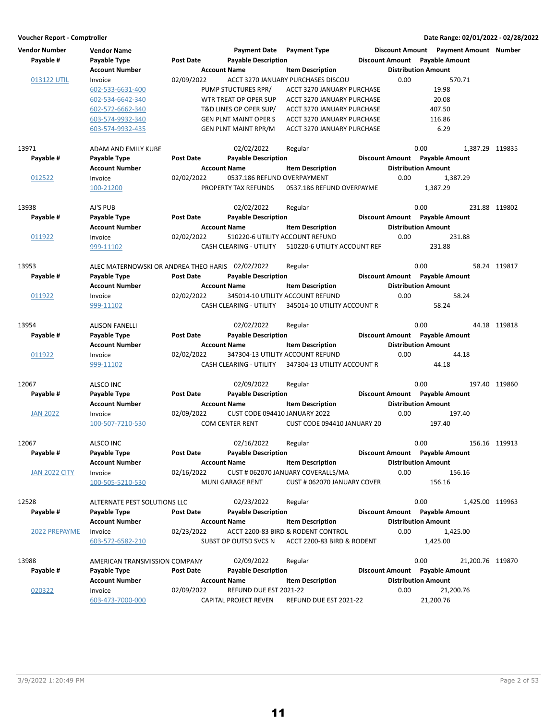| <b>Vendor Number</b> | <b>Vendor Name</b>                               |                  | <b>Payment Date</b> Payment Type |                                    |                                |                            | Discount Amount Payment Amount Number |               |
|----------------------|--------------------------------------------------|------------------|----------------------------------|------------------------------------|--------------------------------|----------------------------|---------------------------------------|---------------|
| Payable #            | Payable Type                                     | <b>Post Date</b> | <b>Payable Description</b>       |                                    | Discount Amount Payable Amount |                            |                                       |               |
|                      | <b>Account Number</b>                            |                  | <b>Account Name</b>              | <b>Item Description</b>            |                                | <b>Distribution Amount</b> |                                       |               |
| 013122 UTIL          | Invoice                                          | 02/09/2022       |                                  | ACCT 3270 JANUARY PURCHASES DISCOU | 0.00                           |                            | 570.71                                |               |
|                      | 602-533-6631-400                                 |                  | PUMP STUCTURES RPR/              | ACCT 3270 JANUARY PURCHASE         |                                | 19.98                      |                                       |               |
|                      | 602-534-6642-340                                 |                  | WTR TREAT OP OPER SUP            | ACCT 3270 JANUARY PURCHASE         |                                | 20.08                      |                                       |               |
|                      | 602-572-6662-340                                 |                  | T&D LINES OP OPER SUP/           | ACCT 3270 JANUARY PURCHASE         |                                | 407.50                     |                                       |               |
|                      | 603-574-9932-340                                 |                  | <b>GEN PLNT MAINT OPER S</b>     | ACCT 3270 JANUARY PURCHASE         |                                | 116.86                     |                                       |               |
|                      | 603-574-9932-435                                 |                  | <b>GEN PLNT MAINT RPR/M</b>      | ACCT 3270 JANUARY PURCHASE         |                                |                            | 6.29                                  |               |
| 13971                | <b>ADAM AND EMILY KUBE</b>                       |                  | 02/02/2022                       | Regular                            |                                | 0.00                       | 1,387.29 119835                       |               |
| Payable #            | Payable Type                                     | <b>Post Date</b> | <b>Payable Description</b>       |                                    | Discount Amount Payable Amount |                            |                                       |               |
|                      | <b>Account Number</b>                            |                  | <b>Account Name</b>              | <b>Item Description</b>            |                                | <b>Distribution Amount</b> |                                       |               |
| 012522               | Invoice                                          | 02/02/2022       | 0537.186 REFUND OVERPAYMENT      |                                    | 0.00                           |                            | 1,387.29                              |               |
|                      | 100-21200                                        |                  | PROPERTY TAX REFUNDS             | 0537.186 REFUND OVERPAYME          |                                | 1,387.29                   |                                       |               |
| 13938                | AJ'S PUB                                         |                  | 02/02/2022                       | Regular                            |                                | 0.00                       |                                       | 231.88 119802 |
| Payable #            | Payable Type                                     | <b>Post Date</b> | <b>Payable Description</b>       |                                    | Discount Amount Payable Amount |                            |                                       |               |
|                      | <b>Account Number</b>                            |                  | <b>Account Name</b>              | <b>Item Description</b>            |                                | <b>Distribution Amount</b> |                                       |               |
| 011922               | Invoice                                          | 02/02/2022       | 510220-6 UTILITY ACCOUNT REFUND  |                                    | 0.00                           |                            | 231.88                                |               |
|                      | 999-11102                                        |                  | CASH CLEARING - UTILITY          | 510220-6 UTILITY ACCOUNT REF       |                                | 231.88                     |                                       |               |
| 13953                | ALEC MATERNOWSKI OR ANDREA THEO HARIS 02/02/2022 |                  |                                  | Regular                            |                                | 0.00                       |                                       | 58.24 119817  |
| Payable #            | Payable Type                                     | <b>Post Date</b> | <b>Payable Description</b>       |                                    | Discount Amount Payable Amount |                            |                                       |               |
|                      | <b>Account Number</b>                            |                  | <b>Account Name</b>              | <b>Item Description</b>            |                                | <b>Distribution Amount</b> |                                       |               |
| 011922               | Invoice                                          | 02/02/2022       |                                  | 345014-10 UTILITY ACCOUNT REFUND   | 0.00                           |                            | 58.24                                 |               |
|                      | 999-11102                                        |                  | CASH CLEARING - UTILITY          | 345014-10 UTILITY ACCOUNT R        |                                | 58.24                      |                                       |               |
| 13954                | <b>ALISON FANELLI</b>                            |                  | 02/02/2022                       | Regular                            |                                | 0.00                       |                                       | 44.18 119818  |
| Payable #            | Payable Type                                     | <b>Post Date</b> | <b>Payable Description</b>       |                                    | Discount Amount Payable Amount |                            |                                       |               |
|                      | <b>Account Number</b>                            |                  | <b>Account Name</b>              | <b>Item Description</b>            |                                | <b>Distribution Amount</b> |                                       |               |
| 011922               | Invoice                                          | 02/02/2022       |                                  | 347304-13 UTILITY ACCOUNT REFUND   | 0.00                           |                            | 44.18                                 |               |
|                      | 999-11102                                        |                  | CASH CLEARING - UTILITY          | 347304-13 UTILITY ACCOUNT R        |                                | 44.18                      |                                       |               |
| 12067                | ALSCO INC                                        |                  | 02/09/2022                       | Regular                            |                                | 0.00                       |                                       | 197.40 119860 |
| Payable #            | Payable Type                                     | <b>Post Date</b> | <b>Payable Description</b>       |                                    | Discount Amount Payable Amount |                            |                                       |               |
|                      | <b>Account Number</b>                            |                  | <b>Account Name</b>              | <b>Item Description</b>            |                                | <b>Distribution Amount</b> |                                       |               |
| <b>JAN 2022</b>      | Invoice                                          | 02/09/2022       | CUST CODE 094410 JANUARY 2022    |                                    | 0.00                           |                            | 197.40                                |               |
|                      | 100-507-7210-530                                 |                  | <b>COM CENTER RENT</b>           | CUST CODE 094410 JANUARY 20        |                                | 197.40                     |                                       |               |
| 12067                | ALSCO INC                                        |                  | 02/16/2022                       | Regular                            |                                | 0.00                       |                                       | 156.16 119913 |
| Payable #            | Payable Type                                     | <b>Post Date</b> | <b>Payable Description</b>       |                                    | Discount Amount Payable Amount |                            |                                       |               |
|                      | <b>Account Number</b>                            |                  | <b>Account Name</b>              | <b>Item Description</b>            |                                | <b>Distribution Amount</b> |                                       |               |
| JAN 2022 CITY        | Invoice                                          | 02/16/2022       |                                  | CUST # 062070 JANUARY COVERALLS/MA | 0.00                           |                            | 156.16                                |               |
|                      | 100-505-5210-530                                 |                  | <b>MUNI GARAGE RENT</b>          | CUST # 062070 JANUARY COVER        |                                | 156.16                     |                                       |               |
| 12528                | ALTERNATE PEST SOLUTIONS LLC                     |                  | 02/23/2022                       | Regular                            |                                | 0.00                       | 1,425.00 119963                       |               |
| Payable #            | Payable Type                                     | Post Date        | <b>Payable Description</b>       |                                    | Discount Amount Payable Amount |                            |                                       |               |
|                      | <b>Account Number</b>                            |                  | <b>Account Name</b>              | <b>Item Description</b>            |                                | <b>Distribution Amount</b> |                                       |               |
| 2022 PREPAYME        | Invoice                                          | 02/23/2022       |                                  | ACCT 2200-83 BIRD & RODENT CONTROL | 0.00                           |                            | 1,425.00                              |               |
|                      | 603-572-6582-210                                 |                  | SUBST OP OUTSD SVCS N            | ACCT 2200-83 BIRD & RODENT         |                                | 1,425.00                   |                                       |               |
| 13988                | AMERICAN TRANSMISSION COMPANY                    |                  | 02/09/2022                       | Regular                            |                                | 0.00                       | 21,200.76 119870                      |               |
| Payable #            | Payable Type                                     | <b>Post Date</b> | <b>Payable Description</b>       |                                    | Discount Amount Payable Amount |                            |                                       |               |
|                      | <b>Account Number</b>                            |                  | <b>Account Name</b>              | <b>Item Description</b>            |                                | <b>Distribution Amount</b> |                                       |               |
| 020322               | Invoice                                          | 02/09/2022       | REFUND DUE EST 2021-22           |                                    | 0.00                           |                            | 21,200.76                             |               |
|                      | 603-473-7000-000                                 |                  | CAPITAL PROJECT REVEN            | REFUND DUE EST 2021-22             |                                | 21,200.76                  |                                       |               |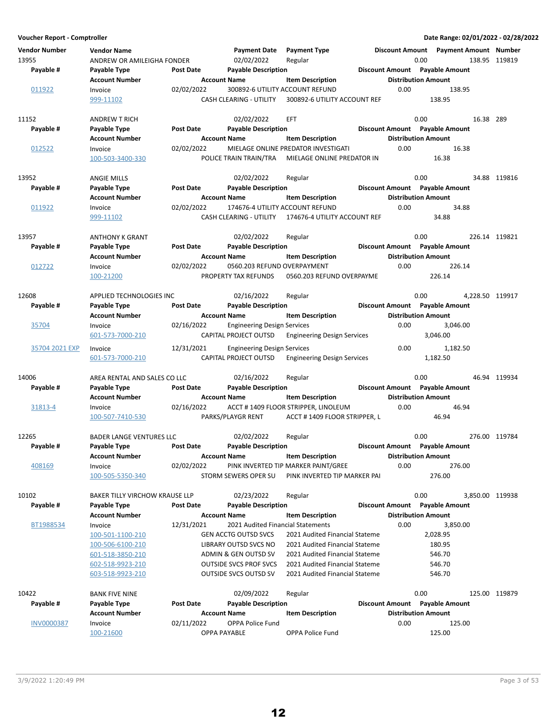| <b>Vendor Number</b> | <b>Vendor Name</b>                    |                  | <b>Payment Date</b>                | <b>Payment Type</b>                                            |      | Discount Amount  Payment Amount  Number |           |                 |
|----------------------|---------------------------------------|------------------|------------------------------------|----------------------------------------------------------------|------|-----------------------------------------|-----------|-----------------|
| 13955                | ANDREW OR AMILEIGHA FONDER            |                  | 02/02/2022                         | Regular                                                        |      | 0.00                                    |           | 138.95 119819   |
| Payable #            | Payable Type                          | <b>Post Date</b> | <b>Payable Description</b>         |                                                                |      | Discount Amount Payable Amount          |           |                 |
|                      | <b>Account Number</b>                 |                  | <b>Account Name</b>                | <b>Item Description</b>                                        |      | <b>Distribution Amount</b>              |           |                 |
| 011922               | Invoice                               | 02/02/2022       |                                    | 300892-6 UTILITY ACCOUNT REFUND                                | 0.00 | 138.95                                  |           |                 |
|                      | 999-11102                             |                  | CASH CLEARING - UTILITY            | 300892-6 UTILITY ACCOUNT REF                                   |      | 138.95                                  |           |                 |
| 11152                | <b>ANDREW T RICH</b>                  |                  | 02/02/2022                         | EFT                                                            |      | 0.00                                    | 16.38 289 |                 |
| Payable #            | Payable Type                          | <b>Post Date</b> | <b>Payable Description</b>         |                                                                |      | Discount Amount Payable Amount          |           |                 |
|                      | <b>Account Number</b>                 |                  | <b>Account Name</b>                | <b>Item Description</b>                                        |      | <b>Distribution Amount</b>              |           |                 |
| 012522               | Invoice                               | 02/02/2022       |                                    | MIELAGE ONLINE PREDATOR INVESTIGATI                            | 0.00 | 16.38                                   |           |                 |
|                      | 100-503-3400-330                      |                  | POLICE TRAIN TRAIN/TRA             | MIELAGE ONLINE PREDATOR IN                                     |      | 16.38                                   |           |                 |
| 13952                | <b>ANGIE MILLS</b>                    |                  | 02/02/2022                         | Regular                                                        |      | 0.00                                    |           | 34.88 119816    |
| Payable #            | Payable Type                          | <b>Post Date</b> | <b>Payable Description</b>         |                                                                |      | Discount Amount Payable Amount          |           |                 |
|                      | <b>Account Number</b>                 |                  | <b>Account Name</b>                | <b>Item Description</b>                                        |      | <b>Distribution Amount</b>              |           |                 |
| 011922               | Invoice                               | 02/02/2022       | 174676-4 UTILITY ACCOUNT REFUND    |                                                                | 0.00 | 34.88                                   |           |                 |
|                      | 999-11102                             |                  | CASH CLEARING - UTILITY            | 174676-4 UTILITY ACCOUNT REF                                   |      | 34.88                                   |           |                 |
|                      |                                       |                  |                                    |                                                                |      |                                         |           |                 |
| 13957                | <b>ANTHONY K GRANT</b>                |                  | 02/02/2022                         | Regular                                                        |      | 0.00                                    |           | 226.14 119821   |
| Payable #            | Payable Type                          | <b>Post Date</b> | <b>Payable Description</b>         |                                                                |      | Discount Amount Payable Amount          |           |                 |
|                      | <b>Account Number</b>                 |                  | <b>Account Name</b>                | <b>Item Description</b>                                        |      | <b>Distribution Amount</b>              |           |                 |
| 012722               | Invoice                               | 02/02/2022       | 0560.203 REFUND OVERPAYMENT        |                                                                | 0.00 | 226.14                                  |           |                 |
|                      | 100-21200                             |                  | PROPERTY TAX REFUNDS               | 0560.203 REFUND OVERPAYME                                      |      | 226.14                                  |           |                 |
| 12608                | <b>APPLIED TECHNOLOGIES INC</b>       |                  | 02/16/2022                         | Regular                                                        |      | 0.00                                    |           | 4,228.50 119917 |
| Payable #            | Payable Type                          | <b>Post Date</b> | <b>Payable Description</b>         |                                                                |      | Discount Amount Payable Amount          |           |                 |
|                      | <b>Account Number</b>                 |                  | <b>Account Name</b>                | <b>Item Description</b>                                        |      | <b>Distribution Amount</b>              |           |                 |
| 35704                | Invoice                               | 02/16/2022       | <b>Engineering Design Services</b> |                                                                | 0.00 | 3,046.00                                |           |                 |
|                      | 601-573-7000-210                      |                  | CAPITAL PROJECT OUTSD              | <b>Engineering Design Services</b>                             |      | 3,046.00                                |           |                 |
| 35704 2021 EXP       | Invoice                               | 12/31/2021       | <b>Engineering Design Services</b> |                                                                | 0.00 | 1,182.50                                |           |                 |
|                      | 601-573-7000-210                      |                  | CAPITAL PROJECT OUTSD              | <b>Engineering Design Services</b>                             |      | 1,182.50                                |           |                 |
| 14006                | AREA RENTAL AND SALES CO LLC          |                  | 02/16/2022                         | Regular                                                        |      | 0.00                                    |           | 46.94 119934    |
| Payable #            | Payable Type                          | <b>Post Date</b> | <b>Payable Description</b>         |                                                                |      | Discount Amount Payable Amount          |           |                 |
|                      | <b>Account Number</b>                 |                  | <b>Account Name</b>                | <b>Item Description</b>                                        |      | <b>Distribution Amount</b>              |           |                 |
| 31813-4              | Invoice                               | 02/16/2022       |                                    | ACCT #1409 FLOOR STRIPPER, LINOLEUM                            | 0.00 | 46.94                                   |           |                 |
|                      | 100-507-7410-530                      |                  | PARKS/PLAYGR RENT                  | ACCT #1409 FLOOR STRIPPER, L                                   |      | 46.94                                   |           |                 |
|                      |                                       |                  |                                    |                                                                |      |                                         |           |                 |
| 12265                | <b>BADER LANGE VENTURES LLC</b>       | <b>Post Date</b> | 02/02/2022                         | Regular                                                        |      | 0.00<br>Discount Amount Payable Amount  |           | 276.00 119784   |
| Payable #            | Payable Type<br><b>Account Number</b> |                  | <b>Payable Description</b>         |                                                                |      |                                         |           |                 |
| 408169               | Invoice                               | 02/02/2022       | <b>Account Name</b>                | <b>Item Description</b><br>PINK INVERTED TIP MARKER PAINT/GREE | 0.00 | <b>Distribution Amount</b><br>276.00    |           |                 |
|                      | 100-505-5350-340                      |                  | STORM SEWERS OPER SU               | PINK INVERTED TIP MARKER PAI                                   |      | 276.00                                  |           |                 |
|                      |                                       |                  |                                    |                                                                |      |                                         |           |                 |
| 10102                | <b>BAKER TILLY VIRCHOW KRAUSE LLP</b> |                  | 02/23/2022                         | Regular                                                        |      | 0.00                                    |           | 3,850.00 119938 |
| Payable #            | Payable Type                          | Post Date        | <b>Payable Description</b>         |                                                                |      | Discount Amount Payable Amount          |           |                 |
|                      | <b>Account Number</b>                 |                  | <b>Account Name</b>                | <b>Item Description</b>                                        |      | <b>Distribution Amount</b>              |           |                 |
| BT1988534            | Invoice                               | 12/31/2021       | 2021 Audited Financial Statements  |                                                                | 0.00 | 3,850.00                                |           |                 |
|                      | 100-501-1100-210                      |                  | <b>GEN ACCTG OUTSD SVCS</b>        | 2021 Audited Financial Stateme                                 |      | 2,028.95                                |           |                 |
|                      | 100-506-6100-210                      |                  | LIBRARY OUTSD SVCS NO              | 2021 Audited Financial Stateme                                 |      | 180.95                                  |           |                 |
|                      | 601-518-3850-210                      |                  | ADMIN & GEN OUTSD SV               | 2021 Audited Financial Stateme                                 |      | 546.70                                  |           |                 |
|                      | 602-518-9923-210                      |                  | <b>OUTSIDE SVCS PROF SVCS</b>      | 2021 Audited Financial Stateme                                 |      | 546.70                                  |           |                 |
|                      | 603-518-9923-210                      |                  | <b>OUTSIDE SVCS OUTSD SV</b>       | 2021 Audited Financial Stateme                                 |      | 546.70                                  |           |                 |
| 10422                | <b>BANK FIVE NINE</b>                 |                  | 02/09/2022                         | Regular                                                        |      | 0.00                                    |           | 125.00 119879   |
| Payable #            | Payable Type                          | <b>Post Date</b> | <b>Payable Description</b>         |                                                                |      | Discount Amount Payable Amount          |           |                 |
|                      | <b>Account Number</b>                 |                  | <b>Account Name</b>                | <b>Item Description</b>                                        |      | <b>Distribution Amount</b>              |           |                 |
| <b>INV0000387</b>    | Invoice                               | 02/11/2022       | OPPA Police Fund                   |                                                                | 0.00 | 125.00                                  |           |                 |
|                      | 100-21600                             |                  | OPPA PAYABLE                       | OPPA Police Fund                                               |      | 125.00                                  |           |                 |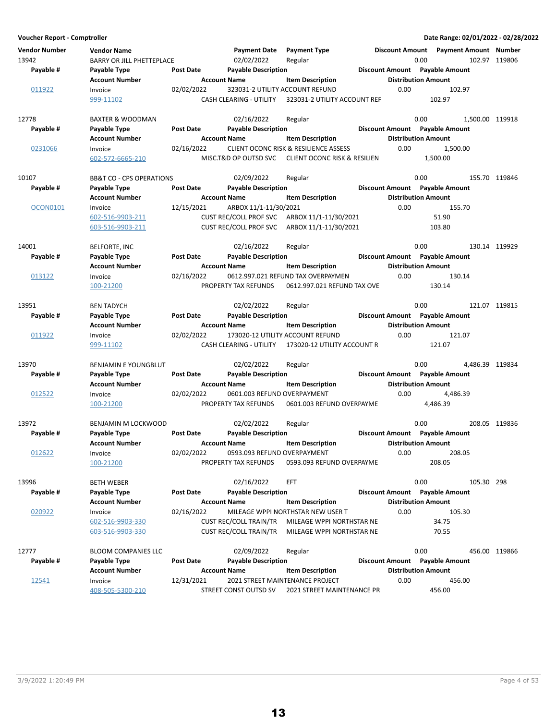**Voucher Report - Comptroller Date Range: 02/01/2022 - 02/28/2022 Vendor Number Vendor Name Payment Date Discount Amount Payment Type Payment Amount Number** 13942 BARRY OR JILL PHETTEPLACE 02/02/2022 Regular 0.00 0.00 102.97 119806 **Account Number 19 Account Name 19 Account Distribution Amount** Payable # Payable Type **Post Date Payable Description Payable Amount** Payable Amount  $\frac{011922}{99999911102}$  Invoice  $\frac{02}{02}$  02/02/2022 323031-2 UTILITY ACCOUNT REFUND 0.00 102.97 999-11102 CASH CLEARING - UTILITY 102.97 323031-2 UTILITY ACCOUNT REF 12778 BAXTER & WOODMAN 02/16/2022 Regular 0.00 0.00 1,500.00 119918 **Account Number 1.0 Account Name 1.0 Account Distribution Amount** 1.0 Account Name 1.0 Account Name Payable # Payable Type **Post Date Payable Description Payable Biscount Amount** Payable Amount 0231066 Invoice 02/16/2022 CLIENT OCONC RISK & RESILIENCE ASSESS 0.00 1,500.00 602-572-6665-210 MISC.T&D OP OUTSD SVC 1,500.00 CLIENT OCONC RISK & RESILIEN 10107 BB&T CO - CPS OPERATIONS 02/09/2022 Regular 0.00 0.00 155.70 119846 **Account Number Account Name Item Description Distribution Amount Payable # Post Date Payable Description Payable Amount Payable Type Discount Amount** OCON0101 Invoice 12/15/2021 ARBOX 11/1-11/30/2021 155.70 602-516-9903-211 CUST REC/COLL PROF SVC ARBOX 11/1-11/30/2021 51.90 603-516-9903-211 CUST REC/COLL PROF SVC ARBOX 11/1-11/30/2021 103.80 14001 BELFORTE, INC 02/16/2022 119929 Regular 0.00 130.14 **Account Number 19 Account Name 12 Account Distribution Amount** Payable # Payable Type Post Date Payable Description **Payable Discount Amount** Payable Amount 013122 Invoice 02/16/2022 0612.997.021 REFUND TAX OVERPAYMEN 0.00 130.14 100-21200 PROPERTY TAX REFUNDS 130.14 0612.997.021 REFUND TAX OVE 13951 BEN TADYCH 02/02/2022 119815 Regular 0.00 121.07 **Account Number 6 Account Name 19 Account Distribution Amount** Payable # Payable Type **Post Date** Payable Description **Payable Discount Amount** Payable Amount 011922 Invoice 02/02/2022 173020-12 UTILITY ACCOUNT REFUND 0.00 121.07 999-11102 CASH CLEARING - UTILITY 121.07 173020-12 UTILITY ACCOUNT R 13970 BENJAMIN E YOUNGBLUT 02/02/2022 Regular 0.00 0.00 4,486.39 119834 **Account Number 6 Account Name 19 Account Name** Item Description 19 Distribution Amount Payable # Payable Type **Post Date** Payable Description **Payable Besist Amount** Payable Amount 012522 Invoice 02/02/2022 0601.003 REFUND OVERPAYMENT 0.00 4,486.39 100-21200 PROPERTY TAX REFUNDS 0601.003 REFUND OVERPAYME 4,486.39 13972 BENJAMIN M LOCKWOOD 02/02/2022 Regular 0.00 0.00 208.05 119836 **Account Number**  Account Name **Item Description** Distribution Amount Payable # Payable Type Post Date Payable Description **Payable Discount Amount** Payable Amount 012622 Invoice 02/02/2022 0593.093 REFUND OVERPAYMENT 0.00 208.05 100-21200 PROPERTY TAX REFUNDS 208.05 0593.093 REFUND OVERPAYME 13996 BETH WEBER 02/16/2022 298 EFT 0.00 105.30 **Account Number 19 Account Name 19 Account Name Item Description 19 Account Name Item Distribution Amount** Payable # Payable Type **Past Date Payable Description Payable Amount** Payable Amount 020922 Invoice 02/16/2022 MILEAGE WPPI NORTHSTAR NEW USER T 0.00 105.30 602-516-9903-330 CUST REC/COLL TRAIN/TR 34.75 MILEAGE WPPI NORTHSTAR NE 603-516-9903-330 CUST REC/COLL TRAIN/TR MILEAGE WPPI NORTHSTAR NE 70.55 12777 BLOOM COMPANIES LLC 02/09/2022 Regular 0.00 0.00 456.00 119866 **Account Number 6 Account Name 12 Account Distribution Amount** Payable # Payable Type **Post Date Payable Description Payable Discount Amount** Payable Amount  $\frac{12541}{408-505-5300-210}$  12/31/2021 2021 STREET MAINTENANCE PROJECT 0.00 456.00<br>408-505-5300-210 5TREET CONST OUTSD SV 2021 STREET MAINTENANCE PR 456.00 STREET CONST OUTSD SV 2021 STREET MAINTENANCE PR 456.00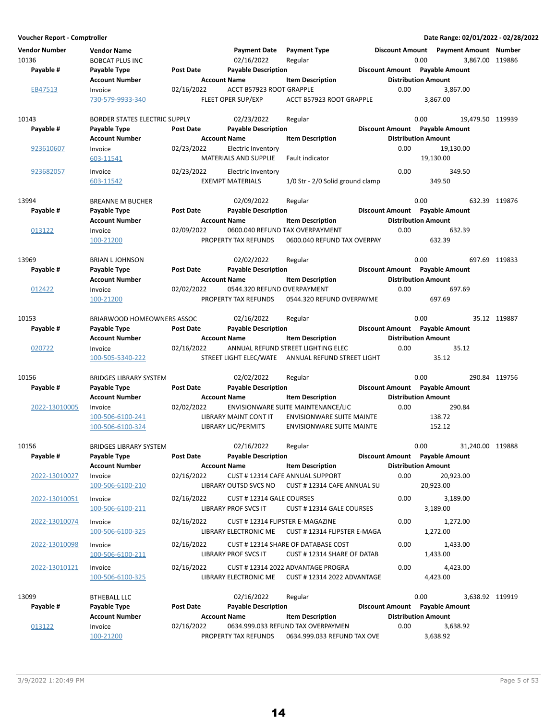| <b>Vendor Number</b> | <b>Vendor Name</b>                    |                     | <b>Payment Date</b>             | <b>Payment Type</b>                               |      |                                | Discount Amount Payment Amount Number |               |
|----------------------|---------------------------------------|---------------------|---------------------------------|---------------------------------------------------|------|--------------------------------|---------------------------------------|---------------|
| 10136                | <b>BOBCAT PLUS INC</b>                |                     | 02/16/2022                      | Regular                                           |      | 0.00                           | 3,867.00 119886                       |               |
| Payable #            | Payable Type                          | Post Date           | <b>Payable Description</b>      |                                                   |      | Discount Amount Payable Amount |                                       |               |
|                      | <b>Account Number</b>                 | <b>Account Name</b> | ACCT B57923 ROOT GRAPPLE        | <b>Item Description</b>                           | 0.00 | <b>Distribution Amount</b>     |                                       |               |
| EB47513              | Invoice<br>730-579-9933-340           | 02/16/2022          | FLEET OPER SUP/EXP              | ACCT B57923 ROOT GRAPPLE                          |      | 3,867.00                       | 3,867.00                              |               |
|                      |                                       |                     |                                 |                                                   |      |                                |                                       |               |
| 10143                | <b>BORDER STATES ELECTRIC SUPPLY</b>  |                     | 02/23/2022                      | Regular                                           |      | 0.00                           | 19,479.50 119939                      |               |
| Payable #            | Payable Type                          | Post Date           | <b>Payable Description</b>      |                                                   |      | Discount Amount Payable Amount |                                       |               |
|                      | <b>Account Number</b>                 | <b>Account Name</b> |                                 | <b>Item Description</b>                           |      | <b>Distribution Amount</b>     |                                       |               |
| 923610607            | Invoice                               | 02/23/2022          | Electric Inventory              |                                                   | 0.00 |                                | 19,130.00                             |               |
|                      | 603-11541                             |                     | MATERIALS AND SUPPLIE           | Fault indicator                                   |      | 19,130.00                      |                                       |               |
|                      |                                       |                     |                                 |                                                   |      |                                |                                       |               |
| 923682057            | Invoice                               | 02/23/2022          | Electric Inventory              |                                                   | 0.00 |                                | 349.50                                |               |
|                      | 603-11542                             |                     | <b>EXEMPT MATERIALS</b>         | 1/0 Str - 2/0 Solid ground clamp                  |      | 349.50                         |                                       |               |
| 13994                |                                       |                     | 02/09/2022                      |                                                   |      | 0.00                           |                                       | 632.39 119876 |
|                      | <b>BREANNE M BUCHER</b>               | Post Date           |                                 | Regular                                           |      | Discount Amount Payable Amount |                                       |               |
| Payable #            | Payable Type<br><b>Account Number</b> |                     | <b>Payable Description</b>      |                                                   |      | <b>Distribution Amount</b>     |                                       |               |
|                      |                                       | <b>Account Name</b> |                                 | <b>Item Description</b>                           |      |                                |                                       |               |
| 013122               | Invoice                               | 02/09/2022          |                                 | 0600.040 REFUND TAX OVERPAYMENT                   | 0.00 |                                | 632.39                                |               |
|                      | 100-21200                             |                     | PROPERTY TAX REFUNDS            | 0600.040 REFUND TAX OVERPAY                       |      | 632.39                         |                                       |               |
|                      |                                       |                     |                                 |                                                   |      |                                |                                       |               |
| 13969                | <b>BRIAN L JOHNSON</b>                |                     | 02/02/2022                      | Regular                                           |      | 0.00                           |                                       | 697.69 119833 |
| Payable #            | Payable Type                          | <b>Post Date</b>    | <b>Payable Description</b>      |                                                   |      | Discount Amount Payable Amount |                                       |               |
|                      | <b>Account Number</b>                 | <b>Account Name</b> |                                 | <b>Item Description</b>                           |      | <b>Distribution Amount</b>     |                                       |               |
| 012422               | Invoice                               | 02/02/2022          | 0544.320 REFUND OVERPAYMENT     |                                                   | 0.00 |                                | 697.69                                |               |
|                      | 100-21200                             |                     | PROPERTY TAX REFUNDS            | 0544.320 REFUND OVERPAYME                         |      | 697.69                         |                                       |               |
| 10153                |                                       |                     |                                 |                                                   |      | 0.00                           |                                       | 35.12 119887  |
|                      | BRIARWOOD HOMEOWNERS ASSOC            |                     | 02/16/2022                      | Regular                                           |      | Discount Amount Payable Amount |                                       |               |
| Payable #            | Payable Type                          | <b>Post Date</b>    | <b>Payable Description</b>      |                                                   |      |                                |                                       |               |
|                      | <b>Account Number</b>                 | <b>Account Name</b> |                                 | <b>Item Description</b>                           |      | <b>Distribution Amount</b>     |                                       |               |
| 020722               | Invoice                               | 02/16/2022          |                                 | ANNUAL REFUND STREET LIGHTING ELEC                | 0.00 |                                | 35.12                                 |               |
|                      | 100-505-5340-222                      |                     |                                 | STREET LIGHT ELEC/WATE ANNUAL REFUND STREET LIGHT |      | 35.12                          |                                       |               |
| 10156                | <b>BRIDGES LIBRARY SYSTEM</b>         |                     | 02/02/2022                      | Regular                                           |      | 0.00                           |                                       | 290.84 119756 |
| Payable #            | Payable Type                          | Post Date           | <b>Payable Description</b>      |                                                   |      | Discount Amount Payable Amount |                                       |               |
|                      | <b>Account Number</b>                 | <b>Account Name</b> |                                 | <b>Item Description</b>                           |      | <b>Distribution Amount</b>     |                                       |               |
| 2022-13010005        | Invoice                               | 02/02/2022          |                                 | ENVISIONWARE SUITE MAINTENANCE/LIC                | 0.00 |                                | 290.84                                |               |
|                      | 100-506-6100-241                      |                     | <b>LIBRARY MAINT CONT IT</b>    | <b>ENVISIONWARE SUITE MAINTE</b>                  |      | 138.72                         |                                       |               |
|                      | 100-506-6100-324                      |                     | LIBRARY LIC/PERMITS             | <b>ENVISIONWARE SUITE MAINTE</b>                  |      | 152.12                         |                                       |               |
|                      |                                       |                     |                                 |                                                   |      |                                |                                       |               |
| 10156                | <b>BRIDGES LIBRARY SYSTEM</b>         |                     | 02/16/2022                      | Regular                                           |      | 0.00                           | 31,240.00 119888                      |               |
| Payable #            | Payable Type                          | Post Date           | <b>Payable Description</b>      |                                                   |      | Discount Amount Payable Amount |                                       |               |
|                      | <b>Account Number</b>                 | <b>Account Name</b> |                                 | <b>Item Description</b>                           |      | <b>Distribution Amount</b>     |                                       |               |
| 2022-13010027        | Invoice                               | 02/16/2022          |                                 | CUST #12314 CAFE ANNUAL SUPPORT                   | 0.00 |                                | 20,923.00                             |               |
|                      | 100-506-6100-210                      |                     | LIBRARY OUTSD SVCS NO           | CUST #12314 CAFE ANNUAL SU                        |      | 20,923.00                      |                                       |               |
|                      |                                       |                     |                                 |                                                   |      |                                |                                       |               |
| 2022-13010051        | Invoice                               | 02/16/2022          | CUST #12314 GALE COURSES        |                                                   | 0.00 |                                | 3,189.00                              |               |
|                      | 100-506-6100-211                      |                     | LIBRARY PROF SVCS IT            | CUST #12314 GALE COURSES                          |      | 3,189.00                       |                                       |               |
| 2022-13010074        | Invoice                               | 02/16/2022          | CUST #12314 FLIPSTER E-MAGAZINE |                                                   | 0.00 |                                | 1,272.00                              |               |
|                      | 100-506-6100-325                      |                     | LIBRARY ELECTRONIC ME           | CUST #12314 FLIPSTER E-MAGA                       |      | 1,272.00                       |                                       |               |
|                      |                                       |                     |                                 |                                                   |      |                                |                                       |               |
| 2022-13010098        | Invoice                               | 02/16/2022          |                                 | CUST #12314 SHARE OF DATABASE COST                | 0.00 |                                | 1,433.00                              |               |
|                      | 100-506-6100-211                      |                     | <b>LIBRARY PROF SVCS IT</b>     | CUST #12314 SHARE OF DATAB                        |      | 1,433.00                       |                                       |               |
| 2022-13010121        | Invoice                               | 02/16/2022          |                                 | CUST # 12314 2022 ADVANTAGE PROGRA                | 0.00 |                                | 4,423.00                              |               |
|                      | 100-506-6100-325                      |                     | LIBRARY ELECTRONIC ME           | <b>CUST # 12314 2022 ADVANTAGE</b>                |      | 4,423.00                       |                                       |               |
|                      |                                       |                     |                                 |                                                   |      |                                |                                       |               |
| 13099                | <b>BTHEBALL LLC</b>                   |                     | 02/16/2022                      | Regular                                           |      | 0.00                           | 3,638.92 119919                       |               |
| Payable #            | Payable Type                          | Post Date           | <b>Payable Description</b>      |                                                   |      | Discount Amount Payable Amount |                                       |               |
|                      | Account Number                        | <b>Account Name</b> |                                 | <b>Item Description</b>                           |      | <b>Distribution Amount</b>     |                                       |               |
| 013122               | Invoice                               | 02/16/2022          |                                 | 0634.999.033 REFUND TAX OVERPAYMEN                | 0.00 |                                | 3,638.92                              |               |
|                      | 100-21200                             |                     | PROPERTY TAX REFUNDS            | 0634.999.033 REFUND TAX OVE                       |      | 3,638.92                       |                                       |               |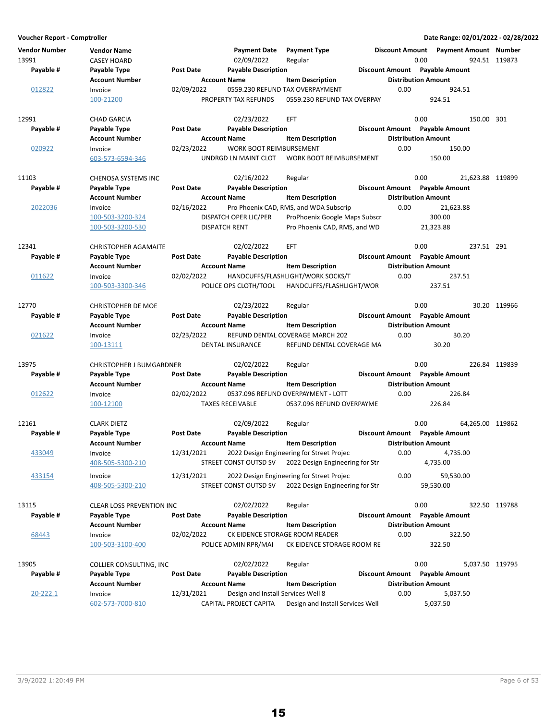| <b>Vendor Number</b><br>13991 | <b>Vendor Name</b><br><b>CASEY HOARD</b> |                  | <b>Payment Date</b><br>02/09/2022  | <b>Payment Type</b><br>Regular                                 | <b>Discount Amount</b> | Payment Amount Number<br>0.00  | 924.51 119873    |
|-------------------------------|------------------------------------------|------------------|------------------------------------|----------------------------------------------------------------|------------------------|--------------------------------|------------------|
| Payable #                     | Payable Type                             | Post Date        | <b>Payable Description</b>         |                                                                |                        | Discount Amount Payable Amount |                  |
|                               | <b>Account Number</b>                    |                  | <b>Account Name</b>                | <b>Item Description</b>                                        |                        | <b>Distribution Amount</b>     |                  |
| 012822                        | Invoice<br>100-21200                     | 02/09/2022       | PROPERTY TAX REFUNDS               | 0559.230 REFUND TAX OVERPAYMENT<br>0559.230 REFUND TAX OVERPAY | 0.00                   | 924.51<br>924.51               |                  |
|                               |                                          |                  |                                    |                                                                |                        |                                |                  |
| 12991                         | <b>CHAD GARCIA</b>                       |                  | 02/23/2022                         | EFT.                                                           |                        | 0.00                           | 150.00 301       |
| Payable #                     | Payable Type                             | <b>Post Date</b> | <b>Payable Description</b>         |                                                                |                        | Discount Amount Payable Amount |                  |
|                               | <b>Account Number</b>                    |                  | <b>Account Name</b>                | <b>Item Description</b>                                        |                        | <b>Distribution Amount</b>     |                  |
| 020922                        | Invoice                                  | 02/23/2022       | WORK BOOT REIMBURSEMENT            |                                                                | 0.00                   | 150.00                         |                  |
|                               | 603-573-6594-346                         |                  | UNDRGD LN MAINT CLOT               | <b>WORK BOOT REIMBURSEMENT</b>                                 |                        | 150.00                         |                  |
| 11103                         | CHENOSA SYSTEMS INC                      |                  | 02/16/2022                         | Regular                                                        |                        | 0.00                           | 21,623.88 119899 |
| Payable #                     | Payable Type                             | Post Date        | <b>Payable Description</b>         |                                                                |                        | Discount Amount Payable Amount |                  |
|                               | <b>Account Number</b>                    |                  | <b>Account Name</b>                | <b>Item Description</b>                                        |                        | <b>Distribution Amount</b>     |                  |
| 2022036                       | Invoice                                  | 02/16/2022       |                                    | Pro Phoenix CAD, RMS, and WDA Subscrip                         | 0.00                   | 21,623.88                      |                  |
|                               | 100-503-3200-324                         |                  | DISPATCH OPER LIC/PER              | ProPhoenix Google Maps Subscr                                  |                        | 300.00                         |                  |
|                               | 100-503-3200-530                         |                  | <b>DISPATCH RENT</b>               | Pro Phoenix CAD, RMS, and WD                                   |                        | 21,323.88                      |                  |
|                               |                                          |                  |                                    |                                                                |                        |                                |                  |
| 12341                         | <b>CHRISTOPHER AGAMAITE</b>              |                  | 02/02/2022                         | <b>EFT</b>                                                     |                        | 0.00                           | 237.51 291       |
| Payable #                     | Payable Type                             | Post Date        | <b>Payable Description</b>         |                                                                |                        | Discount Amount Payable Amount |                  |
|                               | <b>Account Number</b>                    |                  | <b>Account Name</b>                | <b>Item Description</b>                                        |                        | <b>Distribution Amount</b>     |                  |
| 011622                        | Invoice                                  | 02/02/2022       |                                    | HANDCUFFS/FLASHLIGHT/WORK SOCKS/T                              | 0.00                   | 237.51                         |                  |
|                               | 100-503-3300-346                         |                  | POLICE OPS CLOTH/TOOL              | HANDCUFFS/FLASHLIGHT/WOR                                       |                        | 237.51                         |                  |
|                               |                                          |                  |                                    |                                                                |                        |                                |                  |
| 12770                         | <b>CHRISTOPHER DE MOE</b>                |                  | 02/23/2022                         | Regular                                                        |                        | 0.00                           | 30.20 119966     |
| Payable #                     | Payable Type                             | <b>Post Date</b> | <b>Payable Description</b>         |                                                                |                        | Discount Amount Payable Amount |                  |
|                               | <b>Account Number</b>                    |                  | <b>Account Name</b>                | <b>Item Description</b>                                        |                        | <b>Distribution Amount</b>     |                  |
| 021622                        | Invoice                                  | 02/23/2022       |                                    | REFUND DENTAL COVERAGE MARCH 202                               | 0.00                   | 30.20                          |                  |
|                               | 100-13111                                |                  | DENTAL INSURANCE                   | REFUND DENTAL COVERAGE MA                                      |                        | 30.20                          |                  |
| 13975                         | <b>CHRISTOPHER J BUMGARDNER</b>          |                  | 02/02/2022                         | Regular                                                        |                        | 0.00                           | 226.84 119839    |
| Payable #                     | Payable Type                             | <b>Post Date</b> | <b>Payable Description</b>         |                                                                |                        | Discount Amount Payable Amount |                  |
|                               | <b>Account Number</b>                    |                  | <b>Account Name</b>                | <b>Item Description</b>                                        |                        | <b>Distribution Amount</b>     |                  |
| 012622                        | Invoice                                  | 02/02/2022       |                                    | 0537.096 REFUND OVERPAYMENT - LOTT                             | 0.00                   | 226.84                         |                  |
|                               | 100-12100                                |                  | <b>TAXES RECEIVABLE</b>            | 0537.096 REFUND OVERPAYME                                      |                        | 226.84                         |                  |
|                               |                                          |                  |                                    |                                                                |                        |                                |                  |
| 12161                         | <b>CLARK DIETZ</b>                       |                  | 02/09/2022                         | Regular                                                        |                        | 0.00                           | 64,265.00 119862 |
| Payable #                     | Payable Type                             | <b>Post Date</b> | <b>Payable Description</b>         |                                                                |                        | Discount Amount Payable Amount |                  |
|                               | <b>Account Number</b>                    |                  | <b>Account Name</b>                | <b>Item Description</b>                                        |                        | <b>Distribution Amount</b>     |                  |
| <u>433049</u>                 | Invoice                                  | 12/31/2021       |                                    | 2022 Design Engineering for Street Projec                      | 0.00                   | 4,735.00                       |                  |
|                               | 408-505-5300-210                         |                  | STREET CONST OUTSD SV              | 2022 Design Engineering for Str                                |                        | 4,735.00                       |                  |
| 433154                        | Invoice                                  | 12/31/2021       |                                    | 2022 Design Engineering for Street Projec                      | 0.00                   | 59,530.00                      |                  |
|                               | 408-505-5300-210                         |                  | STREET CONST OUTSD SV              | 2022 Design Engineering for Str                                |                        | 59,530.00                      |                  |
| 13115                         | <b>CLEAR LOSS PREVENTION INC</b>         |                  | 02/02/2022                         |                                                                |                        | 0.00                           | 322.50 119788    |
| Payable #                     |                                          | <b>Post Date</b> |                                    | Regular                                                        |                        | Discount Amount Payable Amount |                  |
|                               | Payable Type<br><b>Account Number</b>    |                  | <b>Payable Description</b>         | <b>Item Description</b>                                        |                        |                                |                  |
|                               |                                          |                  | <b>Account Name</b>                |                                                                |                        | <b>Distribution Amount</b>     |                  |
| 68443                         | Invoice<br>100-503-3100-400              | 02/02/2022       | POLICE ADMIN RPR/MAI               | CK EIDENCE STORAGE ROOM READER<br>CK EIDENCE STORAGE ROOM RE   | 0.00                   | 322.50<br>322.50               |                  |
|                               |                                          |                  |                                    |                                                                |                        |                                |                  |
| 13905                         | COLLIER CONSULTING, INC                  |                  | 02/02/2022                         | Regular                                                        |                        | 0.00                           | 5,037.50 119795  |
| Payable #                     | Payable Type                             | <b>Post Date</b> | <b>Payable Description</b>         |                                                                |                        | Discount Amount Payable Amount |                  |
|                               | <b>Account Number</b>                    |                  | <b>Account Name</b>                | <b>Item Description</b>                                        |                        | <b>Distribution Amount</b>     |                  |
| 20-222.1                      | Invoice                                  | 12/31/2021       | Design and Install Services Well 8 |                                                                | 0.00                   | 5,037.50                       |                  |
|                               | 602-573-7000-810                         |                  | CAPITAL PROJECT CAPITA             | Design and Install Services Well                               |                        | 5,037.50                       |                  |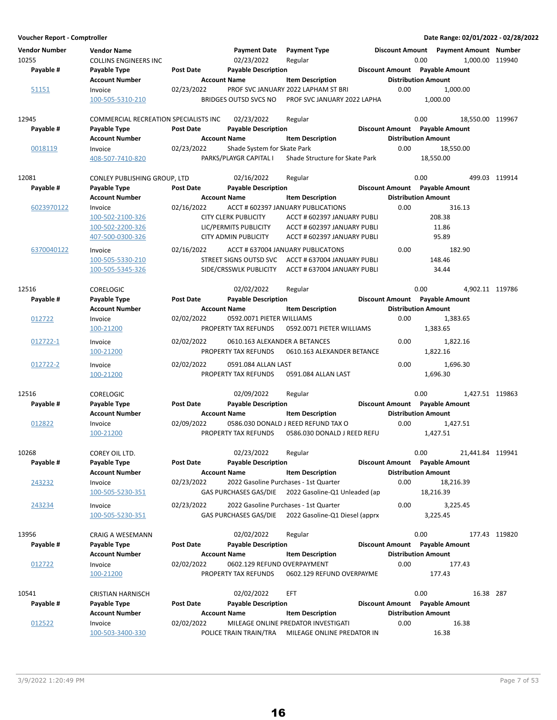| Voucher Report - Comptroller  |                                                    |                     |                               |                                                                         |                            | Date Range: 02/01/2022 - 02/28/2022     |                  |
|-------------------------------|----------------------------------------------------|---------------------|-------------------------------|-------------------------------------------------------------------------|----------------------------|-----------------------------------------|------------------|
| <b>Vendor Number</b><br>10255 | <b>Vendor Name</b><br><b>COLLINS ENGINEERS INC</b> |                     | Payment Date<br>02/23/2022    | <b>Payment Type</b><br>Regular                                          | 0.00                       | Discount Amount  Payment Amount  Number | 1,000.00 119940  |
| Payable #                     | Payable Type                                       | <b>Post Date</b>    | <b>Payable Description</b>    |                                                                         |                            | Discount Amount Payable Amount          |                  |
|                               | <b>Account Number</b>                              | <b>Account Name</b> |                               | <b>Item Description</b>                                                 | <b>Distribution Amount</b> |                                         |                  |
| 51151                         | Invoice                                            | 02/23/2022          |                               | PROF SVC JANUARY 2022 LAPHAM ST BRI                                     | 0.00                       | 1,000.00                                |                  |
|                               | 100-505-5310-210                                   |                     | BRIDGES OUTSD SVCS NO         | PROF SVC JANUARY 2022 LAPHA                                             |                            | 1.000.00                                |                  |
| 12945                         | COMMERCIAL RECREATION SPECIALISTS INC              |                     | 02/23/2022                    | Regular                                                                 | 0.00                       |                                         | 18,550.00 119967 |
| Payable #                     | Payable Type                                       | <b>Post Date</b>    | <b>Payable Description</b>    |                                                                         |                            | Discount Amount Payable Amount          |                  |
|                               | <b>Account Number</b>                              | <b>Account Name</b> |                               | <b>Item Description</b>                                                 | <b>Distribution Amount</b> |                                         |                  |
| 0018119                       | Invoice                                            | 02/23/2022          | Shade System for Skate Park   |                                                                         | 0.00                       | 18,550.00                               |                  |
|                               | 408-507-7410-820                                   |                     | PARKS/PLAYGR CAPITAL I        | Shade Structure for Skate Park                                          |                            | 18,550.00                               |                  |
| 12081                         | CONLEY PUBLISHING GROUP, LTD                       |                     | 02/16/2022                    | Regular                                                                 | 0.00                       |                                         | 499.03 119914    |
| Payable #                     | Payable Type                                       | <b>Post Date</b>    | <b>Payable Description</b>    |                                                                         |                            | Discount Amount Payable Amount          |                  |
|                               | <b>Account Number</b>                              | <b>Account Name</b> |                               | <b>Item Description</b>                                                 | <b>Distribution Amount</b> |                                         |                  |
| 6023970122                    | Invoice                                            | 02/16/2022          |                               | ACCT # 602397 JANUARY PUBLICATIONS                                      | 0.00                       | 316.13                                  |                  |
|                               | 100-502-2100-326                                   |                     | <b>CITY CLERK PUBLICITY</b>   | ACCT # 602397 JANUARY PUBLI                                             |                            | 208.38                                  |                  |
|                               | 100-502-2200-326                                   |                     | LIC/PERMITS PUBLICITY         | ACCT # 602397 JANUARY PUBLI                                             |                            | 11.86                                   |                  |
|                               | 407-500-0300-326                                   |                     | <b>CITY ADMIN PUBLICITY</b>   | ACCT # 602397 JANUARY PUBLI                                             |                            | 95.89                                   |                  |
| 6370040122                    | Invoice                                            | 02/16/2022          |                               | ACCT # 637004 JANUARY PUBLICATONS                                       | 0.00                       | 182.90                                  |                  |
|                               | 100-505-5330-210                                   |                     | STREET SIGNS OUTSD SVC        | ACCT# 637004 JANUARY PUBLI                                              |                            | 148.46                                  |                  |
|                               | 100-505-5345-326                                   |                     | SIDE/CRSSWLK PUBLICITY        | ACCT# 637004 JANUARY PUBLI                                              |                            | 34.44                                   |                  |
| 12516                         | <b>CORELOGIC</b>                                   |                     | 02/02/2022                    | Regular                                                                 | 0.00                       |                                         | 4,902.11 119786  |
| Payable #                     | Payable Type                                       | <b>Post Date</b>    | <b>Payable Description</b>    |                                                                         |                            | Discount Amount Payable Amount          |                  |
|                               | <b>Account Number</b>                              | <b>Account Name</b> |                               | <b>Item Description</b>                                                 | <b>Distribution Amount</b> |                                         |                  |
| 012722                        |                                                    | 02/02/2022          | 0592.0071 PIETER WILLIAMS     |                                                                         | 0.00                       | 1,383.65                                |                  |
|                               | Invoice                                            |                     |                               |                                                                         |                            |                                         |                  |
|                               | 100-21200                                          |                     | PROPERTY TAX REFUNDS          | 0592.0071 PIETER WILLIAMS                                               |                            | 1,383.65                                |                  |
| 012722-1                      | Invoice                                            | 02/02/2022          | 0610.163 ALEXANDER A BETANCES |                                                                         | 0.00                       | 1,822.16                                |                  |
|                               | 100-21200                                          |                     | PROPERTY TAX REFUNDS          | 0610.163 ALEXANDER BETANCE                                              |                            | 1,822.16                                |                  |
| 012722-2                      | Invoice                                            | 02/02/2022          | 0591.084 ALLAN LAST           |                                                                         | 0.00                       | 1,696.30                                |                  |
|                               | 100-21200                                          |                     | PROPERTY TAX REFUNDS          | 0591.084 ALLAN LAST                                                     |                            | 1,696.30                                |                  |
| 12516                         | <b>CORELOGIC</b>                                   |                     | 02/09/2022                    | Regular                                                                 | 0.00                       |                                         | 1,427.51 119863  |
| Payable #                     | Payable Type                                       | <b>Post Date</b>    | <b>Payable Description</b>    |                                                                         |                            | Discount Amount Payable Amount          |                  |
|                               | <b>Account Number</b>                              | <b>Account Name</b> |                               | <b>Item Description</b>                                                 | <b>Distribution Amount</b> |                                         |                  |
| 012822                        | Invoice                                            | 02/09/2022          |                               | 0586.030 DONALD J REED REFUND TAX O                                     | 0.00                       | 1,427.51                                |                  |
|                               | 100-21200                                          |                     | PROPERTY TAX REFUNDS          | 0586.030 DONALD J REED REFU                                             |                            | 1,427.51                                |                  |
| 10268                         | COREY OIL LTD.                                     |                     | 02/23/2022                    | Regular                                                                 | 0.00                       |                                         | 21,441.84 119941 |
| Payable #                     | Payable Type                                       | <b>Post Date</b>    | <b>Payable Description</b>    |                                                                         |                            | Discount Amount Payable Amount          |                  |
|                               | <b>Account Number</b>                              | <b>Account Name</b> |                               | <b>Item Description</b>                                                 | <b>Distribution Amount</b> |                                         |                  |
| 243232                        | Invoice                                            | 02/23/2022          |                               | 2022 Gasoline Purchases - 1st Quarter                                   | 0.00                       | 18,216.39                               |                  |
|                               | 100-505-5230-351                                   |                     | <b>GAS PURCHASES GAS/DIE</b>  | 2022 Gasoline-Q1 Unleaded (ap                                           |                            | 18,216.39                               |                  |
|                               |                                                    |                     |                               |                                                                         |                            |                                         |                  |
| 243234                        | Invoice<br>100-505-5230-351                        | 02/23/2022          | <b>GAS PURCHASES GAS/DIE</b>  | 2022 Gasoline Purchases - 1st Quarter<br>2022 Gasoline-Q1 Diesel (apprx | 0.00                       | 3,225.45<br>3,225.45                    |                  |
|                               |                                                    |                     |                               |                                                                         |                            |                                         |                  |
| 13956                         | <b>CRAIG A WESEMANN</b>                            |                     | 02/02/2022                    | Regular                                                                 | 0.00                       |                                         | 177.43 119820    |
| Payable #                     | Payable Type                                       | <b>Post Date</b>    | <b>Payable Description</b>    |                                                                         |                            | Discount Amount Payable Amount          |                  |
|                               | <b>Account Number</b>                              | <b>Account Name</b> |                               | <b>Item Description</b>                                                 | <b>Distribution Amount</b> |                                         |                  |
| 012722                        | Invoice                                            | 02/02/2022          | 0602.129 REFUND OVERPAYMENT   |                                                                         | 0.00                       | 177.43                                  |                  |
|                               | 100-21200                                          |                     | PROPERTY TAX REFUNDS          | 0602.129 REFUND OVERPAYME                                               |                            | 177.43                                  |                  |
| 10541                         | <b>CRISTIAN HARNISCH</b>                           |                     | 02/02/2022                    | EFT                                                                     | 0.00                       |                                         | 16.38 287        |
| Payable #                     | Payable Type                                       | <b>Post Date</b>    | <b>Payable Description</b>    |                                                                         |                            | Discount Amount Payable Amount          |                  |
|                               | <b>Account Number</b>                              | <b>Account Name</b> |                               | <b>Item Description</b>                                                 | <b>Distribution Amount</b> |                                         |                  |
| 012522                        | Invoice                                            | 02/02/2022          |                               | MILEAGE ONLINE PREDATOR INVESTIGATI                                     | 0.00                       | 16.38                                   |                  |
|                               | 100-503-3400-330                                   |                     | POLICE TRAIN TRAIN/TRA        | MILEAGE ONLINE PREDATOR IN                                              |                            | 16.38                                   |                  |
|                               |                                                    |                     |                               |                                                                         |                            |                                         |                  |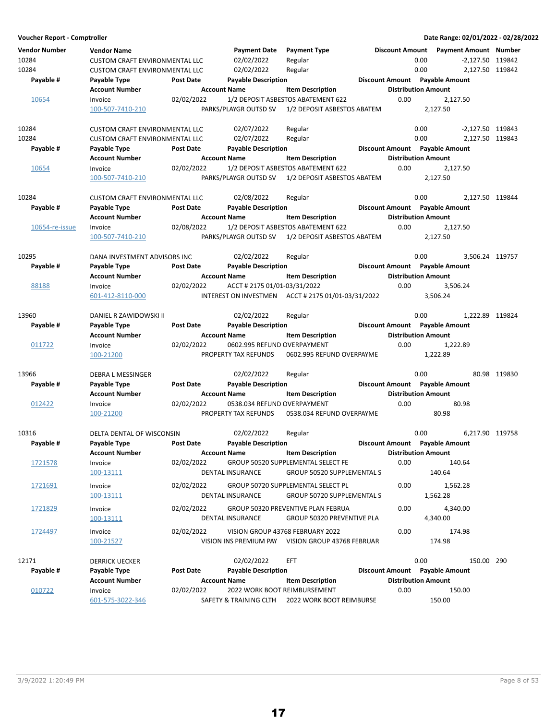| Voucher Report - Comptroller |                                       |                  |                              |                                                                  |                            |      | Date Range: 02/01/2022 - 02/28/2022 |              |
|------------------------------|---------------------------------------|------------------|------------------------------|------------------------------------------------------------------|----------------------------|------|-------------------------------------|--------------|
| <b>Vendor Number</b>         | <b>Vendor Name</b>                    |                  | <b>Payment Date</b>          | <b>Payment Type</b>                                              | <b>Discount Amount</b>     |      | <b>Payment Amount Number</b>        |              |
| 10284                        | <b>CUSTOM CRAFT ENVIRONMENTAL LLC</b> |                  | 02/02/2022                   | Regular                                                          |                            | 0.00 | -2,127.50 119842                    |              |
| 10284                        | <b>CUSTOM CRAFT ENVIRONMENTAL LLC</b> |                  | 02/02/2022                   | Regular                                                          |                            | 0.00 | 2,127.50 119842                     |              |
| Payable #                    | Payable Type                          | Post Date        | <b>Payable Description</b>   |                                                                  |                            |      | Discount Amount Payable Amount      |              |
|                              | <b>Account Number</b>                 |                  | <b>Account Name</b>          | <b>Item Description</b>                                          | <b>Distribution Amount</b> |      |                                     |              |
| 10654                        | Invoice                               | 02/02/2022       |                              | 1/2 DEPOSIT ASBESTOS ABATEMENT 622                               | 0.00                       |      | 2,127.50                            |              |
|                              | 100-507-7410-210                      |                  | PARKS/PLAYGR OUTSD SV        | 1/2 DEPOSIT ASBESTOS ABATEM                                      |                            |      | 2,127.50                            |              |
|                              |                                       |                  |                              |                                                                  |                            |      |                                     |              |
| 10284                        | <b>CUSTOM CRAFT ENVIRONMENTAL LLC</b> |                  | 02/07/2022                   | Regular                                                          |                            | 0.00 | -2,127.50 119843                    |              |
| 10284                        | <b>CUSTOM CRAFT ENVIRONMENTAL LLC</b> |                  | 02/07/2022                   | Regular                                                          |                            | 0.00 | 2.127.50 119843                     |              |
| Payable #                    | Payable Type                          | Post Date        | <b>Payable Description</b>   |                                                                  |                            |      | Discount Amount Payable Amount      |              |
|                              | <b>Account Number</b>                 |                  | <b>Account Name</b>          | <b>Item Description</b>                                          | <b>Distribution Amount</b> |      |                                     |              |
| 10654                        | Invoice                               | 02/02/2022       |                              | 1/2 DEPOSIT ASBESTOS ABATEMENT 622                               | 0.00                       |      | 2,127.50                            |              |
|                              | 100-507-7410-210                      |                  | PARKS/PLAYGR OUTSD SV        | 1/2 DEPOSIT ASBESTOS ABATEM                                      |                            |      | 2,127.50                            |              |
| 10284                        | <b>CUSTOM CRAFT ENVIRONMENTAL LLC</b> |                  | 02/08/2022                   | Regular                                                          |                            | 0.00 | 2,127.50 119844                     |              |
| Payable #                    | Payable Type                          | Post Date        | <b>Payable Description</b>   |                                                                  |                            |      | Discount Amount Payable Amount      |              |
|                              | <b>Account Number</b>                 |                  | <b>Account Name</b>          | <b>Item Description</b>                                          | <b>Distribution Amount</b> |      |                                     |              |
| 10654-re-issue               | Invoice                               | 02/08/2022       |                              | 1/2 DEPOSIT ASBESTOS ABATEMENT 622                               | 0.00                       |      | 2.127.50                            |              |
|                              | 100-507-7410-210                      |                  | PARKS/PLAYGR OUTSD SV        | 1/2 DEPOSIT ASBESTOS ABATEM                                      |                            |      | 2,127.50                            |              |
|                              |                                       |                  |                              |                                                                  |                            |      |                                     |              |
| 10295                        | DANA INVESTMENT ADVISORS INC          |                  | 02/02/2022                   | Regular                                                          |                            | 0.00 | 3,506.24 119757                     |              |
| Payable #                    | Payable Type                          | Post Date        | <b>Payable Description</b>   |                                                                  |                            |      | Discount Amount Payable Amount      |              |
|                              | <b>Account Number</b>                 |                  | <b>Account Name</b>          | <b>Item Description</b>                                          | <b>Distribution Amount</b> |      |                                     |              |
| 88188                        | Invoice                               | 02/02/2022       | ACCT # 2175 01/01-03/31/2022 |                                                                  | 0.00                       |      | 3,506.24                            |              |
|                              | 601-412-8110-000                      |                  |                              | INTEREST ON INVESTMEN ACCT # 2175 01/01-03/31/2022               |                            |      | 3.506.24                            |              |
| 13960                        | DANIEL R ZAWIDOWSKI II                |                  | 02/02/2022                   | Regular                                                          |                            | 0.00 | 1,222.89 119824                     |              |
| Payable #                    | Payable Type                          | Post Date        | <b>Payable Description</b>   |                                                                  |                            |      | Discount Amount Payable Amount      |              |
|                              | <b>Account Number</b>                 |                  | <b>Account Name</b>          | <b>Item Description</b>                                          | <b>Distribution Amount</b> |      |                                     |              |
| 011722                       | Invoice                               | 02/02/2022       | 0602.995 REFUND OVERPAYMENT  |                                                                  | 0.00                       |      | 1,222.89                            |              |
|                              | 100-21200                             |                  | PROPERTY TAX REFUNDS         | 0602.995 REFUND OVERPAYME                                        |                            |      | 1,222.89                            |              |
| 13966                        | DEBRA L MESSINGER                     |                  | 02/02/2022                   | Regular                                                          |                            | 0.00 |                                     | 80.98 119830 |
| Payable #                    | Payable Type                          | <b>Post Date</b> | <b>Payable Description</b>   |                                                                  |                            |      | Discount Amount Payable Amount      |              |
|                              | <b>Account Number</b>                 |                  | <b>Account Name</b>          | <b>Item Description</b>                                          | <b>Distribution Amount</b> |      |                                     |              |
| 012422                       | Invoice                               | 02/02/2022       | 0538.034 REFUND OVERPAYMENT  |                                                                  | 0.00                       |      | 80.98                               |              |
|                              | 100-21200                             |                  | PROPERTY TAX REFUNDS         | 0538.034 REFUND OVERPAYME                                        |                            |      | 80.98                               |              |
| 10316                        | <b>DELTA DENTAL OF WISCONSIN</b>      |                  | 02/02/2022                   | Regular                                                          |                            | 0.00 | 6.217.90 119758                     |              |
| Payable #                    | Payable Type                          | <b>Post Date</b> | <b>Payable Description</b>   |                                                                  |                            |      | Discount Amount Payable Amount      |              |
|                              | <b>Account Number</b>                 |                  | <b>Account Name</b>          | <b>Item Description</b>                                          | <b>Distribution Amount</b> |      |                                     |              |
| 1721578                      | Invoice                               | 02/02/2022       |                              | GROUP 50520 SUPPLEMENTAL SELECT FE                               | 0.00                       |      | 140.64                              |              |
|                              | 100-13111                             |                  | <b>DENTAL INSURANCE</b>      | GROUP 50520 SUPPLEMENTAL S                                       |                            |      | 140.64                              |              |
| 1721691                      | Invoice                               | 02/02/2022       |                              | GROUP 50720 SUPPLEMENTAL SELECT PL                               | 0.00                       |      | 1,562.28                            |              |
|                              | 100-13111                             |                  | DENTAL INSURANCE             | GROUP 50720 SUPPLEMENTAL S                                       |                            |      | 1,562.28                            |              |
|                              |                                       | 02/02/2022       |                              |                                                                  | 0.00                       |      |                                     |              |
| 1721829                      | Invoice<br>100-13111                  |                  | DENTAL INSURANCE             | GROUP 50320 PREVENTIVE PLAN FEBRUA<br>GROUP 50320 PREVENTIVE PLA |                            |      | 4,340.00<br>4,340.00                |              |
|                              |                                       |                  |                              |                                                                  |                            |      |                                     |              |
| 1724497                      | Invoice                               | 02/02/2022       |                              | VISION GROUP 43768 FEBRUARY 2022                                 | 0.00                       |      | 174.98                              |              |
|                              | 100-21527                             |                  |                              | VISION INS PREMIUM PAY VISION GROUP 43768 FEBRUAR                |                            |      | 174.98                              |              |
| 12171                        | <b>DERRICK UECKER</b>                 |                  | 02/02/2022                   | <b>EFT</b>                                                       |                            | 0.00 | 150.00 290                          |              |
| Payable #                    | Payable Type                          | Post Date        | <b>Payable Description</b>   |                                                                  |                            |      | Discount Amount Payable Amount      |              |
|                              | <b>Account Number</b>                 |                  | <b>Account Name</b>          | <b>Item Description</b>                                          | <b>Distribution Amount</b> |      |                                     |              |
| 010722                       | Invoice                               | 02/02/2022       |                              | 2022 WORK BOOT REIMBURSEMENT                                     | 0.00                       |      | 150.00                              |              |
|                              | 601-575-3022-346                      |                  |                              | SAFETY & TRAINING CLTH 2022 WORK BOOT REIMBURSE                  |                            |      | 150.00                              |              |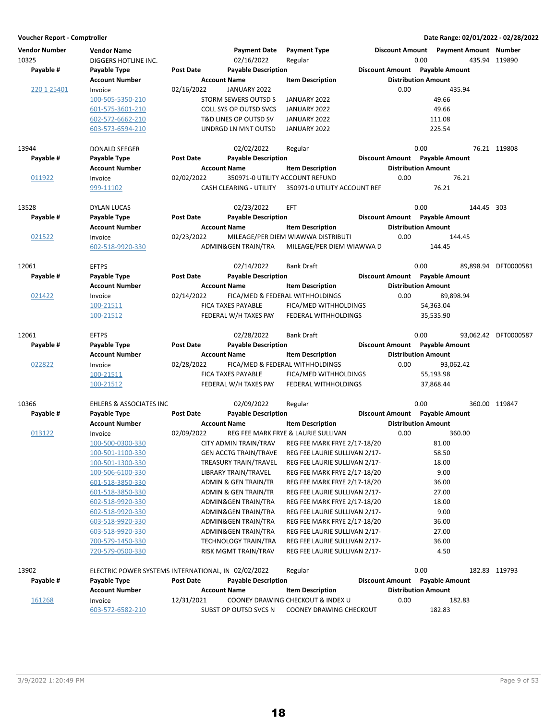| <b>Vendor Number</b><br>10325<br>Payable # | <b>Vendor Name</b><br>DIGGERS HOTLINE INC.<br>Payable Type | <b>Post Date</b> | <b>Payment Date</b><br>02/16/2022<br><b>Payable Description</b> | <b>Payment Type</b><br>Regular                               | <b>Discount Amount</b> | Discount Amount  Payment Amount  Number<br>0.00<br><b>Payable Amount</b> | 435.94 119890        |
|--------------------------------------------|------------------------------------------------------------|------------------|-----------------------------------------------------------------|--------------------------------------------------------------|------------------------|--------------------------------------------------------------------------|----------------------|
|                                            | <b>Account Number</b>                                      |                  | <b>Account Name</b>                                             | <b>Item Description</b>                                      |                        | <b>Distribution Amount</b>                                               |                      |
| 220 1 25401                                | Invoice                                                    | 02/16/2022       | JANUARY 2022                                                    |                                                              | 0.00                   | 435.94                                                                   |                      |
|                                            | 100-505-5350-210                                           |                  | STORM SEWERS OUTSD S                                            | JANUARY 2022                                                 |                        | 49.66                                                                    |                      |
|                                            | 601-575-3601-210                                           |                  | COLL SYS OP OUTSD SVCS                                          | JANUARY 2022                                                 |                        | 49.66                                                                    |                      |
|                                            | 602-572-6662-210                                           |                  | T&D LINES OP OUTSD SV                                           | JANUARY 2022                                                 |                        | 111.08                                                                   |                      |
|                                            | 603-573-6594-210                                           |                  | UNDRGD LN MNT OUTSD                                             | JANUARY 2022                                                 |                        | 225.54                                                                   |                      |
|                                            |                                                            |                  |                                                                 |                                                              |                        |                                                                          |                      |
| 13944                                      | <b>DONALD SEEGER</b>                                       |                  | 02/02/2022                                                      | Regular                                                      |                        | 0.00                                                                     | 76.21 119808         |
| Payable #                                  | Payable Type                                               | Post Date        | <b>Payable Description</b>                                      |                                                              |                        | Discount Amount Payable Amount                                           |                      |
|                                            | <b>Account Number</b>                                      |                  | <b>Account Name</b>                                             | <b>Item Description</b>                                      |                        | <b>Distribution Amount</b>                                               |                      |
| 011922                                     | Invoice                                                    | 02/02/2022       | 350971-0 UTILITY ACCOUNT REFUND                                 |                                                              | 0.00                   | 76.21                                                                    |                      |
|                                            | 999-11102                                                  |                  | CASH CLEARING - UTILITY                                         | 350971-0 UTILITY ACCOUNT REF                                 |                        | 76.21                                                                    |                      |
|                                            |                                                            |                  |                                                                 |                                                              |                        |                                                                          |                      |
| 13528                                      | <b>DYLAN LUCAS</b>                                         |                  | 02/23/2022                                                      | <b>EFT</b>                                                   |                        | 0.00<br>144.45 303                                                       |                      |
| Payable #                                  | Payable Type                                               | Post Date        | <b>Payable Description</b>                                      |                                                              |                        | Discount Amount Payable Amount                                           |                      |
|                                            | <b>Account Number</b>                                      |                  | <b>Account Name</b>                                             | <b>Item Description</b>                                      |                        | <b>Distribution Amount</b>                                               |                      |
| 021522                                     | Invoice                                                    | 02/23/2022       |                                                                 | MILEAGE/PER DIEM WIAWWA DISTRIBUTI                           | 0.00                   | 144.45                                                                   |                      |
|                                            | 602-518-9920-330                                           |                  | ADMIN&GEN TRAIN/TRA                                             | MILEAGE/PER DIEM WIAWWA D                                    |                        | 144.45                                                                   |                      |
|                                            |                                                            |                  |                                                                 |                                                              |                        |                                                                          |                      |
| 12061                                      | <b>EFTPS</b>                                               |                  | 02/14/2022                                                      | <b>Bank Draft</b>                                            |                        | 0.00                                                                     | 89,898.94 DFT0000581 |
| Payable #                                  | Payable Type                                               | Post Date        | <b>Payable Description</b>                                      |                                                              |                        | <b>Discount Amount</b> Payable Amount                                    |                      |
|                                            | <b>Account Number</b>                                      |                  | <b>Account Name</b>                                             | <b>Item Description</b>                                      |                        | <b>Distribution Amount</b>                                               |                      |
| 021422                                     | Invoice                                                    | 02/14/2022       |                                                                 | FICA/MED & FEDERAL WITHHOLDINGS                              | 0.00                   | 89,898.94                                                                |                      |
|                                            | 100-21511                                                  |                  | FICA TAXES PAYABLE                                              | FICA/MED WITHHOLDINGS                                        |                        | 54,363.04                                                                |                      |
|                                            | 100-21512                                                  |                  | FEDERAL W/H TAXES PAY                                           | FEDERAL WITHHOLDINGS                                         |                        | 35,535.90                                                                |                      |
|                                            |                                                            |                  |                                                                 |                                                              |                        |                                                                          |                      |
| 12061                                      | <b>EFTPS</b>                                               |                  | 02/28/2022                                                      | <b>Bank Draft</b>                                            |                        | 0.00                                                                     | 93,062.42 DFT0000587 |
| Payable #                                  | Payable Type                                               | <b>Post Date</b> | <b>Payable Description</b>                                      |                                                              | <b>Discount Amount</b> | <b>Payable Amount</b>                                                    |                      |
|                                            | <b>Account Number</b>                                      |                  | <b>Account Name</b>                                             | <b>Item Description</b>                                      |                        | <b>Distribution Amount</b>                                               |                      |
| 022822                                     | Invoice                                                    | 02/28/2022       |                                                                 | FICA/MED & FEDERAL WITHHOLDINGS                              | 0.00                   | 93,062.42                                                                |                      |
|                                            | 100-21511                                                  |                  | <b>FICA TAXES PAYABLE</b>                                       | FICA/MED WITHHOLDINGS                                        |                        | 55,193.98                                                                |                      |
|                                            | 100-21512                                                  |                  | FEDERAL W/H TAXES PAY                                           | FEDERAL WITHHOLDINGS                                         |                        | 37,868.44                                                                |                      |
|                                            |                                                            |                  |                                                                 |                                                              |                        |                                                                          |                      |
| 10366                                      | EHLERS & ASSOCIATES INC                                    |                  | 02/09/2022                                                      | Regular                                                      |                        | 0.00                                                                     | 360.00 119847        |
| Payable #                                  | Payable Type                                               | <b>Post Date</b> | <b>Payable Description</b>                                      |                                                              |                        | Discount Amount Payable Amount                                           |                      |
|                                            | <b>Account Number</b>                                      |                  | <b>Account Name</b>                                             | <b>Item Description</b>                                      |                        | <b>Distribution Amount</b>                                               |                      |
| 013122                                     | Invoice                                                    | 02/09/2022       |                                                                 | REG FEE MARK FRYE & LAURIE SULLIVAN                          | 0.00                   | 360.00                                                                   |                      |
|                                            | 100-500-0300-330                                           |                  | CITY ADMIN TRAIN/TRAV                                           | REG FEE MARK FRYE 2/17-18/20                                 |                        | 81.00                                                                    |                      |
|                                            | 100-501-1100-330                                           |                  | <b>GEN ACCTG TRAIN/TRAVE</b>                                    | REG FEE LAURIE SULLIVAN 2/17-                                |                        | 58.50                                                                    |                      |
|                                            | 100-501-1300-330                                           |                  | TREASURY TRAIN/TRAVEL                                           | REG FEE LAURIE SULLIVAN 2/17-                                |                        | 18.00                                                                    |                      |
|                                            | 100-506-6100-330                                           |                  | LIBRARY TRAIN/TRAVEL                                            | REG FEE MARK FRYE 2/17-18/20                                 |                        | 9.00                                                                     |                      |
|                                            | 601-518-3850-330                                           |                  | ADMIN & GEN TRAIN/TR                                            | <b>REG FEE MARK FRYE 2/17-18/20</b>                          |                        | 36.00                                                                    |                      |
|                                            |                                                            |                  | ADMIN & GEN TRAIN/TR                                            | REG FEE LAURIE SULLIVAN 2/17-                                |                        | 27.00                                                                    |                      |
|                                            | 601-518-3850-330                                           |                  |                                                                 |                                                              |                        |                                                                          |                      |
|                                            | 602-518-9920-330                                           |                  | ADMIN&GEN TRAIN/TRA                                             | REG FEE MARK FRYE 2/17-18/20                                 |                        | 18.00                                                                    |                      |
|                                            | 602-518-9920-330                                           |                  | ADMIN&GEN TRAIN/TRA                                             | REG FEE LAURIE SULLIVAN 2/17-                                |                        | 9.00                                                                     |                      |
|                                            | 603-518-9920-330                                           |                  | ADMIN&GEN TRAIN/TRA                                             | REG FEE MARK FRYE 2/17-18/20                                 |                        | 36.00                                                                    |                      |
|                                            | 603-518-9920-330                                           |                  | ADMIN&GEN TRAIN/TRA                                             | REG FEE LAURIE SULLIVAN 2/17-                                |                        | 27.00                                                                    |                      |
|                                            | 700-579-1450-330                                           |                  | <b>TECHNOLOGY TRAIN/TRA</b>                                     | REG FEE LAURIE SULLIVAN 2/17-                                |                        | 36.00                                                                    |                      |
|                                            | 720-579-0500-330                                           |                  | RISK MGMT TRAIN/TRAV                                            | REG FEE LAURIE SULLIVAN 2/17-                                |                        | 4.50                                                                     |                      |
|                                            |                                                            |                  |                                                                 |                                                              |                        |                                                                          |                      |
| 13902                                      | ELECTRIC POWER SYSTEMS INTERNATIONAL, IN 02/02/2022        |                  |                                                                 | Regular                                                      |                        | 0.00                                                                     | 182.83 119793        |
| Payable #                                  | Payable Type                                               | Post Date        | <b>Payable Description</b>                                      |                                                              |                        | Discount Amount Payable Amount                                           |                      |
|                                            | <b>Account Number</b>                                      |                  | <b>Account Name</b>                                             | <b>Item Description</b>                                      |                        | <b>Distribution Amount</b>                                               |                      |
| <u> 161268</u>                             |                                                            |                  |                                                                 |                                                              |                        |                                                                          |                      |
|                                            | Invoice<br>603-572-6582-210                                | 12/31/2021       | SUBST OP OUTSD SVCS N                                           | COONEY DRAWING CHECKOUT & INDEX U<br>COONEY DRAWING CHECKOUT | 0.00                   | 182.83<br>182.83                                                         |                      |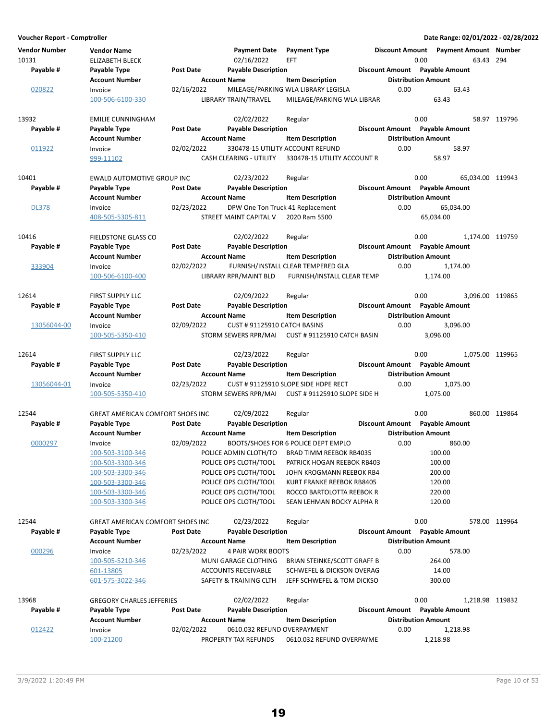| Voucher Report - Comptroller  |                                              |                  |                               |                                                                 |                                |                            | Date Range: 02/01/2022 - 02/28/2022                  |               |
|-------------------------------|----------------------------------------------|------------------|-------------------------------|-----------------------------------------------------------------|--------------------------------|----------------------------|------------------------------------------------------|---------------|
| <b>Vendor Number</b><br>10131 | <b>Vendor Name</b><br><b>ELIZABETH BLECK</b> |                  | Payment Date<br>02/16/2022    | <b>Payment Type</b><br><b>EFT</b>                               |                                | 0.00                       | Discount Amount  Payment Amount  Number<br>63.43 294 |               |
| Payable #                     | Payable Type                                 | <b>Post Date</b> | <b>Payable Description</b>    |                                                                 | Discount Amount Payable Amount |                            |                                                      |               |
|                               | <b>Account Number</b>                        |                  | <b>Account Name</b>           | <b>Item Description</b>                                         |                                | <b>Distribution Amount</b> |                                                      |               |
| 020822                        | Invoice                                      | 02/16/2022       |                               | MILEAGE/PARKING WLA LIBRARY LEGISLA                             | 0.00                           |                            | 63.43                                                |               |
|                               | 100-506-6100-330                             |                  | LIBRARY TRAIN/TRAVEL          | MILEAGE/PARKING WLA LIBRAR                                      |                                |                            | 63.43                                                |               |
| 13932                         | <b>EMILIE CUNNINGHAM</b>                     |                  | 02/02/2022                    | Regular                                                         |                                | 0.00                       |                                                      | 58.97 119796  |
| Payable #                     | Payable Type                                 | <b>Post Date</b> | <b>Payable Description</b>    |                                                                 | Discount Amount Payable Amount |                            |                                                      |               |
|                               | <b>Account Number</b>                        |                  | <b>Account Name</b>           | <b>Item Description</b>                                         |                                | <b>Distribution Amount</b> |                                                      |               |
| 011922                        | Invoice<br>999-11102                         | 02/02/2022       | CASH CLEARING - UTILITY       | 330478-15 UTILITY ACCOUNT REFUND<br>330478-15 UTILITY ACCOUNT R | 0.00                           |                            | 58.97<br>58.97                                       |               |
| 10401                         | EWALD AUTOMOTIVE GROUP INC                   |                  | 02/23/2022                    | Regular                                                         |                                | 0.00                       | 65,034.00 119943                                     |               |
| Payable #                     | Payable Type                                 | <b>Post Date</b> | <b>Payable Description</b>    |                                                                 | Discount Amount Payable Amount |                            |                                                      |               |
|                               | <b>Account Number</b>                        |                  | <b>Account Name</b>           | <b>Item Description</b>                                         |                                | <b>Distribution Amount</b> |                                                      |               |
| <b>DL378</b>                  | Invoice                                      | 02/23/2022       |                               | DPW One Ton Truck 41 Replacement                                | 0.00                           |                            | 65,034.00                                            |               |
|                               | 408-505-5305-811                             |                  | <b>STREET MAINT CAPITAL V</b> | 2020 Ram 5500                                                   |                                |                            | 65,034.00                                            |               |
| 10416                         | <b>FIELDSTONE GLASS CO</b>                   |                  | 02/02/2022                    | Regular                                                         |                                | 0.00                       | 1,174.00 119759                                      |               |
| Payable #                     | Payable Type                                 | <b>Post Date</b> | <b>Payable Description</b>    |                                                                 | Discount Amount Payable Amount |                            |                                                      |               |
|                               | <b>Account Number</b>                        |                  | <b>Account Name</b>           | <b>Item Description</b>                                         |                                | <b>Distribution Amount</b> |                                                      |               |
| 333904                        | Invoice                                      | 02/02/2022       |                               | FURNISH/INSTALL CLEAR TEMPERED GLA                              | 0.00                           |                            | 1,174.00                                             |               |
|                               | 100-506-6100-400                             |                  | LIBRARY RPR/MAINT BLD         | FURNISH/INSTALL CLEAR TEMP                                      |                                |                            | 1,174.00                                             |               |
| 12614                         | <b>FIRST SUPPLY LLC</b>                      |                  | 02/09/2022                    | Regular                                                         |                                | 0.00                       | 3,096.00 119865                                      |               |
| Payable #                     | Payable Type                                 | <b>Post Date</b> | <b>Payable Description</b>    |                                                                 | Discount Amount Payable Amount |                            |                                                      |               |
|                               | <b>Account Number</b>                        |                  | <b>Account Name</b>           | <b>Item Description</b>                                         |                                | <b>Distribution Amount</b> |                                                      |               |
| 13056044-00                   | Invoice                                      | 02/09/2022       | CUST # 91125910 CATCH BASINS  |                                                                 | 0.00                           |                            | 3,096.00                                             |               |
|                               | 100-505-5350-410                             |                  | STORM SEWERS RPR/MAI          | CUST # 91125910 CATCH BASIN                                     |                                |                            | 3,096.00                                             |               |
| 12614                         | <b>FIRST SUPPLY LLC</b>                      |                  | 02/23/2022                    | Regular                                                         |                                | 0.00                       | 1,075.00 119965                                      |               |
| Payable #                     | Payable Type                                 | <b>Post Date</b> | <b>Payable Description</b>    |                                                                 | Discount Amount Payable Amount |                            |                                                      |               |
|                               | <b>Account Number</b>                        |                  | <b>Account Name</b>           | <b>Item Description</b>                                         |                                | <b>Distribution Amount</b> |                                                      |               |
| 13056044-01                   | Invoice                                      | 02/23/2022       |                               | CUST # 91125910 SLOPE SIDE HDPE RECT                            | 0.00                           |                            | 1,075.00                                             |               |
|                               | 100-505-5350-410                             |                  | STORM SEWERS RPR/MAI          | CUST # 91125910 SLOPE SIDE H                                    |                                |                            | 1,075.00                                             |               |
| 12544                         | <b>GREAT AMERICAN COMFORT SHOES INC</b>      |                  | 02/09/2022                    | Regular                                                         |                                | 0.00                       |                                                      | 860.00 119864 |
| Payable #                     | Payable Type                                 | <b>Post Date</b> | <b>Payable Description</b>    |                                                                 | Discount Amount Payable Amount |                            |                                                      |               |
|                               | <b>Account Number</b>                        |                  | <b>Account Name</b>           | <b>Item Description</b>                                         |                                | <b>Distribution Amount</b> |                                                      |               |
| 0000297                       | Invoice                                      | 02/09/2022       |                               | BOOTS/SHOES FOR 6 POLICE DEPT EMPLO                             | 0.00                           |                            | 860.00                                               |               |
|                               | 100-503-3100-346                             |                  | POLICE ADMIN CLOTH/TO         | BRAD TIMM REEBOK RB4035                                         |                                |                            | 100.00                                               |               |
|                               | 100-503-3300-346                             |                  | POLICE OPS CLOTH/TOOL         | PATRICK HOGAN REEBOK RB403                                      |                                |                            | 100.00                                               |               |
|                               | 100-503-3300-346                             |                  | POLICE OPS CLOTH/TOOL         | JOHN KROGMANN REEBOK RB4                                        |                                |                            | 200.00                                               |               |
|                               | 100-503-3300-346                             |                  | POLICE OPS CLOTH/TOOL         | KURT FRANKE REEBOK RB8405                                       |                                |                            | 120.00                                               |               |
|                               | 100-503-3300-346                             |                  | POLICE OPS CLOTH/TOOL         | ROCCO BARTOLOTTA REEBOK R                                       |                                |                            | 220.00                                               |               |
|                               | 100-503-3300-346                             |                  | POLICE OPS CLOTH/TOOL         | SEAN LEHMAN ROCKY ALPHA R                                       |                                |                            | 120.00                                               |               |
| 12544                         | <b>GREAT AMERICAN COMFORT SHOES INC</b>      |                  | 02/23/2022                    | Regular                                                         |                                | 0.00                       |                                                      | 578.00 119964 |
| Payable #                     | Payable Type                                 | <b>Post Date</b> | <b>Payable Description</b>    |                                                                 | Discount Amount Payable Amount |                            |                                                      |               |
|                               | <b>Account Number</b>                        |                  | <b>Account Name</b>           | <b>Item Description</b>                                         |                                | <b>Distribution Amount</b> |                                                      |               |
| 000296                        | Invoice                                      | 02/23/2022       | 4 PAIR WORK BOOTS             |                                                                 | 0.00                           |                            | 578.00                                               |               |
|                               | 100-505-5210-346                             |                  | MUNI GARAGE CLOTHING          | BRIAN STEINKE/SCOTT GRAFF B                                     |                                |                            | 264.00                                               |               |
|                               | 601-13805                                    |                  | <b>ACCOUNTS RECEIVABLE</b>    | SCHWEFEL & DICKSON OVERAG                                       |                                |                            | 14.00                                                |               |
|                               | 601-575-3022-346                             |                  | SAFETY & TRAINING CLTH        | JEFF SCHWEFEL & TOM DICKSO                                      |                                |                            | 300.00                                               |               |
| 13968                         | <b>GREGORY CHARLES JEFFERIES</b>             |                  | 02/02/2022                    | Regular                                                         |                                | 0.00                       | 1,218.98 119832                                      |               |
| Payable #                     | Payable Type                                 | <b>Post Date</b> | <b>Payable Description</b>    |                                                                 | Discount Amount Payable Amount |                            |                                                      |               |
|                               | <b>Account Number</b>                        |                  | <b>Account Name</b>           | <b>Item Description</b>                                         |                                | <b>Distribution Amount</b> |                                                      |               |
| 012422                        | Invoice                                      | 02/02/2022       | 0610.032 REFUND OVERPAYMENT   |                                                                 | 0.00                           |                            | 1,218.98                                             |               |
|                               | 100-21200                                    |                  | PROPERTY TAX REFUNDS          | 0610.032 REFUND OVERPAYME                                       |                                |                            | 1,218.98                                             |               |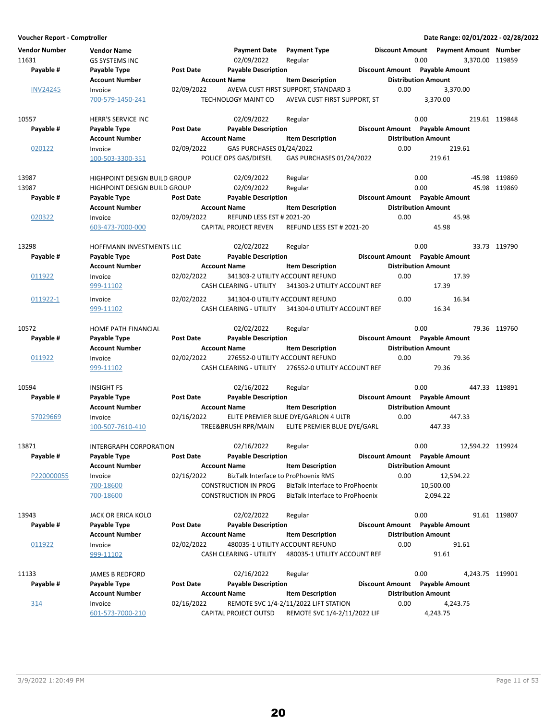**Voucher Report - Comptroller Date Range: 02/01/2022 - 02/28/2022 Vendor Number Vendor Name Payment Date Discount Amount Payment Type Payment Amount Number** 11631 GS SYSTEMS INC 02/09/2022 119859 Regular 0.00 3,370.00 **Account Number 19 Account Name 19 Account Distribution Amount** Payable # Payable Type **Post Date Payable Description Payable Amount** Payable Amount INV24245 Invoice 02/09/2022 AVEVA CUST FIRST SUPPORT, STANDARD 3 0.00 3,370.00<br>700-579-1450-241 TECHNOLOGY MAINT CO AVEVA CUST FIRST SUPPORT. ST 3.370.00 AVEVA CUST FIRST SUPPORT, ST 10557 **HERR'S SERVICE INC** 02/09/2022 Regular 0.00 0.00 219.61 119848 **Account Number 19 Account Name 12 Account Distribution Amount** Payable # Payable Type **Post Date Payable Description Payable Biscount Amount** Payable Amount 020122 Invoice 02/09/2022 GAS PURCHASES 01/24/2022 0.00 219.61 100-503-3300-351 POLICE OPS GAS/DIESEL 219.61 GAS PURCHASES 01/24/2022 13987 HIGHPOINT DESIGN BUILD GROUP 02/09/2022 Regular 0.00 0.00 -45.98 119869 13987 HIGHPOINT DESIGN BUILD GROUP 02/09/2022 Regular 0.00 0.00 0.00 15.98 119869<br>Pavable # Pavable True Post Date Pavable Description 0.00 Discount Amount Payable Amount **Account Number Account Name Item Description Construction Amount Amount Amount Amount Payable # Post Date Payable Description Payable Amount Payable Type Discount Amount** 020322 Invoice 02/09/2022 REFUND LESS EST # 2021-20 0.00 45.98 603-473-7000-000 CAPITAL PROJECT REVEN 45.98 REFUND LESS EST # 2021-20 13298 HOFFMANN INVESTMENTS LLC 02/02/2022 Regular 0.00 0.00 33.73 119790 **Account Number 19 Account Name 12 Account Distribution Amount** Payable # Payable Type Post Date Payable Description **Payable Description** Discount Amount Payable Amount 011922 Invoice 02/02/2022 341303-2 UTILITY ACCOUNT REFUND 0.00 17.39 999-11102 CASH CLEARING - UTILITY 341303-2 UTILITY ACCOUNT REF 17.39 011922-1 Invoice 02/02/2022 341304-0 UTILITY ACCOUNT REFUND 0.00 16.34 999-11102 CASH CLEARING - UTILITY 16.34 341304-0 UTILITY ACCOUNT REF 10572 HOME PATH FINANCIAL 02/02/2022 Regular 0.00 0.00 79.36 119760 **Account Number 6 Account Name 19 Account Name** Item Description 19 Distribution Amount Payable # Payable Type **Post Date Payable Description Payable Discount Amount** Payable Amount 011922 Invoice 02/02/2022 276552-0 UTILITY ACCOUNT REFUND 0.00 79.36 999-11102 CASH CLEARING - UTILITY 276552-0 UTILITY ACCOUNT REF 79.36 10594 INSIGHT FS 02/16/2022 119891 Regular 0.00 447.33 **Account Number 6 Account Name 12 Account Number Account Name 12 Account Number 6 Account Name** Payable # Payable Type **Post Date Payable Description Payable Best Bayable Amount** Payable Amount 57029669 Invoice 02/16/2022 ELITE PREMIER BLUE DYE/GARLON 4 ULTR 0.00 447.33 100-507-7610-410 TREE&BRUSH RPR/MAIN 447.33 ELITE PREMIER BLUE DYE/GARL 13871 INTERGRAPH CORPORATION 02/16/2022 Regular 0.00 0.00 12,594.22 119924 **Account Number 1.1 Account Name 1.2 Account Distribution Amount** Amount Payable # Payable Type **Post Date Payable Description Payable Bestion** Discount Amount Payable Amount P220000055 Invoice 02/16/2022 BizTalk Interface to ProPhoenix RMS 0.00 12,594.22 700-18600 CONSTRUCTION IN PROG 10,500.00 BizTalk Interface to ProPhoenix 700-18600 CONSTRUCTION IN PROG BizTalk Interface to ProPhoenix 2,094.22 13943 JACK OR ERICA KOLO 02/02/2022 Regular 0.00 0.00 91.61 119807 **Account Number 19 Account Name 12 Account Distribution Amount** Payable # Payable Type Post Date Payable Description **Payable Discount Amount** Payable Amount 011922 Invoice 02/02/2022 480035-1 UTILITY ACCOUNT REFUND 0.00 91.61 999-11102 CASH CLEARING - UTILITY 91.61 480035-1 UTILITY ACCOUNT REF 11133 JAMES B REDFORD 19901 02/16/2022 Regular 11133 0.00 4,243.75 119901 **Account Number 19 Account Name 19 Account Name Item Description 19 Account Name Item Distribution Amount** Payable # Payable Type **Post Date Payable Description Payable Amount** Payable Amount 314 Invoice 02/16/2022 REMOTE SVC 1/4-2/11/2022 LIFT STATION 4,243.75 0.00 601-573-7000-210 CAPITAL PROJECT OUTSD 4,243.75 REMOTE SVC 1/4-2/11/2022 LIF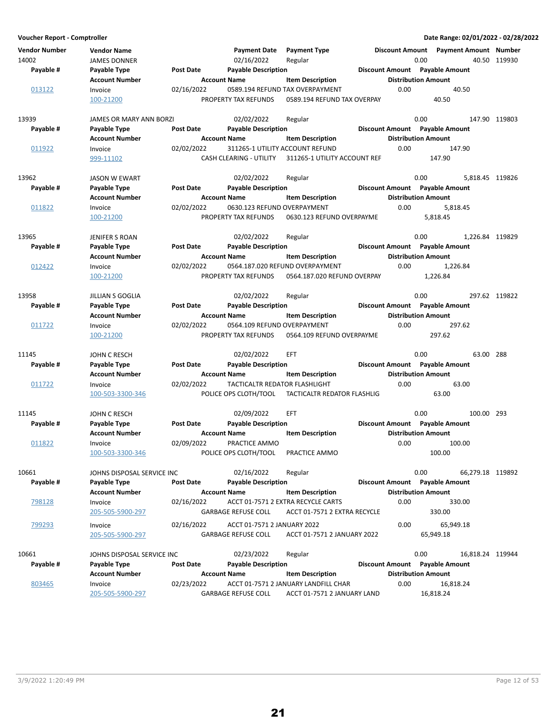| <b>Vendor Number</b><br>14002 | <b>Vendor Name</b><br><b>JAMES DONNER</b> |                  | <b>Payment Date</b><br>02/16/2022                         | <b>Payment Type</b><br>Regular                                      |                        | Discount Amount Payment Amount Number<br>0.00 | 40.50 119930     |
|-------------------------------|-------------------------------------------|------------------|-----------------------------------------------------------|---------------------------------------------------------------------|------------------------|-----------------------------------------------|------------------|
| Payable #                     | Payable Type                              | <b>Post Date</b> | <b>Payable Description</b>                                |                                                                     |                        | Discount Amount Payable Amount                |                  |
|                               | <b>Account Number</b>                     |                  | <b>Account Name</b>                                       | <b>Item Description</b>                                             |                        | <b>Distribution Amount</b>                    |                  |
| 013122                        | Invoice                                   | 02/16/2022       |                                                           | 0589.194 REFUND TAX OVERPAYMENT                                     | 0.00                   | 40.50                                         |                  |
|                               | 100-21200                                 |                  | PROPERTY TAX REFUNDS                                      | 0589.194 REFUND TAX OVERPAY                                         |                        | 40.50                                         |                  |
| 13939                         | JAMES OR MARY ANN BORZI                   |                  | 02/02/2022                                                | Regular                                                             |                        | 0.00                                          | 147.90 119803    |
| Payable #                     | Payable Type                              | <b>Post Date</b> | <b>Payable Description</b>                                |                                                                     |                        | Discount Amount Payable Amount                |                  |
|                               | <b>Account Number</b>                     |                  | <b>Account Name</b>                                       | <b>Item Description</b>                                             |                        | <b>Distribution Amount</b>                    |                  |
| 011922                        | Invoice                                   | 02/02/2022       |                                                           | 311265-1 UTILITY ACCOUNT REFUND                                     | 0.00                   | 147.90                                        |                  |
|                               | 999-11102                                 |                  | CASH CLEARING - UTILITY                                   | 311265-1 UTILITY ACCOUNT REF                                        |                        | 147.90                                        |                  |
| 13962                         | <b>JASON W EWART</b>                      |                  | 02/02/2022                                                | Regular                                                             |                        | 0.00                                          | 5,818.45 119826  |
| Payable #                     | Payable Type                              | Post Date        | <b>Payable Description</b>                                |                                                                     |                        | Discount Amount Payable Amount                |                  |
|                               | <b>Account Number</b>                     |                  | <b>Account Name</b>                                       | <b>Item Description</b>                                             |                        | <b>Distribution Amount</b>                    |                  |
| 011822                        | Invoice                                   | 02/02/2022       | 0630.123 REFUND OVERPAYMENT                               |                                                                     | 0.00                   | 5,818.45                                      |                  |
|                               | 100-21200                                 |                  | PROPERTY TAX REFUNDS                                      | 0630.123 REFUND OVERPAYME                                           |                        | 5,818.45                                      |                  |
| 13965                         | JENIFER S ROAN                            |                  | 02/02/2022                                                | Regular                                                             |                        | 0.00                                          | 1,226.84 119829  |
| Payable #                     | Payable Type                              | <b>Post Date</b> | <b>Payable Description</b>                                |                                                                     |                        | Discount Amount Payable Amount                |                  |
|                               | <b>Account Number</b>                     |                  | <b>Account Name</b>                                       | <b>Item Description</b>                                             |                        | <b>Distribution Amount</b>                    |                  |
| 012422                        | Invoice                                   | 02/02/2022       |                                                           | 0564.187.020 REFUND OVERPAYMENT                                     | 0.00                   | 1,226.84                                      |                  |
|                               | 100-21200                                 |                  | PROPERTY TAX REFUNDS                                      | 0564.187.020 REFUND OVERPAY                                         |                        | 1,226.84                                      |                  |
| 13958                         | <b>JILLIAN S GOGLIA</b>                   |                  | 02/02/2022                                                | Regular                                                             |                        | 0.00                                          | 297.62 119822    |
| Payable #                     | Payable Type                              | <b>Post Date</b> | <b>Payable Description</b>                                |                                                                     |                        | Discount Amount Payable Amount                |                  |
|                               | <b>Account Number</b>                     |                  | <b>Account Name</b>                                       | <b>Item Description</b>                                             |                        | <b>Distribution Amount</b>                    |                  |
| 011722                        | Invoice                                   | 02/02/2022       | 0564.109 REFUND OVERPAYMENT                               |                                                                     | 0.00                   | 297.62                                        |                  |
|                               | 100-21200                                 |                  | PROPERTY TAX REFUNDS                                      | 0564.109 REFUND OVERPAYME                                           |                        | 297.62                                        |                  |
| 11145                         | JOHN C RESCH                              |                  | 02/02/2022                                                | <b>EFT</b>                                                          |                        | 0.00                                          | 63.00 288        |
| Payable #                     | Payable Type                              | <b>Post Date</b> | <b>Payable Description</b>                                |                                                                     |                        | Discount Amount Payable Amount                |                  |
|                               | <b>Account Number</b>                     |                  | <b>Account Name</b>                                       | <b>Item Description</b>                                             |                        | <b>Distribution Amount</b>                    |                  |
| 011722                        | Invoice                                   | 02/02/2022       | TACTICALTR REDATOR FLASHLIGHT                             |                                                                     | 0.00                   | 63.00                                         |                  |
|                               | 100-503-3300-346                          |                  | POLICE OPS CLOTH/TOOL                                     | TACTICALTR REDATOR FLASHLIG                                         |                        | 63.00                                         |                  |
| 11145                         | JOHN C RESCH                              |                  | 02/09/2022                                                | EFT                                                                 |                        | 0.00<br>100.00 293                            |                  |
| Payable #                     | Payable Type                              | Post Date        | <b>Payable Description</b>                                |                                                                     |                        | Discount Amount Payable Amount                |                  |
|                               | <b>Account Number</b>                     |                  | <b>Account Name</b>                                       | <b>Item Description</b>                                             |                        | <b>Distribution Amount</b>                    |                  |
| 011822                        | Invoice                                   | 02/09/2022       | PRACTICE AMMO                                             |                                                                     | 0.00                   | 100.00                                        |                  |
|                               | 100-503-3300-346                          |                  | POLICE OPS CLOTH/TOOL                                     | PRACTICE AMMO                                                       |                        | 100.00                                        |                  |
| 10661                         | JOHNS DISPOSAL SERVICE INC                |                  | 02/16/2022                                                | Regular                                                             |                        | 0.00                                          | 66,279.18 119892 |
| Payable #                     | Payable Type                              | <b>Post Date</b> | <b>Payable Description</b>                                |                                                                     |                        | Discount Amount Payable Amount                |                  |
|                               | <b>Account Number</b>                     |                  | <b>Account Name</b>                                       | <b>Item Description</b>                                             |                        | <b>Distribution Amount</b>                    |                  |
| 798128                        | Invoice                                   | 02/16/2022       |                                                           | ACCT 01-7571 2 EXTRA RECYCLE CARTS                                  | 0.00                   | 330.00                                        |                  |
|                               | 205-505-5900-297                          |                  | <b>GARBAGE REFUSE COLL</b>                                | ACCT 01-7571 2 EXTRA RECYCLE                                        |                        | 330.00                                        |                  |
| 799293                        |                                           |                  |                                                           |                                                                     | 0.00                   |                                               |                  |
|                               | Invoice<br>205-505-5900-297               | 02/16/2022       | ACCT 01-7571 2 JANUARY 2022<br><b>GARBAGE REFUSE COLL</b> | ACCT 01-7571 2 JANUARY 2022                                         |                        | 65,949.18<br>65,949.18                        |                  |
|                               |                                           |                  |                                                           |                                                                     |                        |                                               |                  |
| 10661                         | JOHNS DISPOSAL SERVICE INC                |                  | 02/23/2022                                                | Regular                                                             |                        | 0.00<br>16,818.24 119944                      |                  |
| Payable #                     | Payable Type                              | Post Date        | <b>Payable Description</b>                                |                                                                     | <b>Discount Amount</b> | <b>Payable Amount</b>                         |                  |
|                               | <b>Account Number</b>                     |                  | <b>Account Name</b>                                       | <b>Item Description</b>                                             |                        | <b>Distribution Amount</b>                    |                  |
| 803465                        | Invoice<br>205-505-5900-297               | 02/23/2022       | <b>GARBAGE REFUSE COLL</b>                                | ACCT 01-7571 2 JANUARY LANDFILL CHAR<br>ACCT 01-7571 2 JANUARY LAND | 0.00                   | 16,818.24<br>16,818.24                        |                  |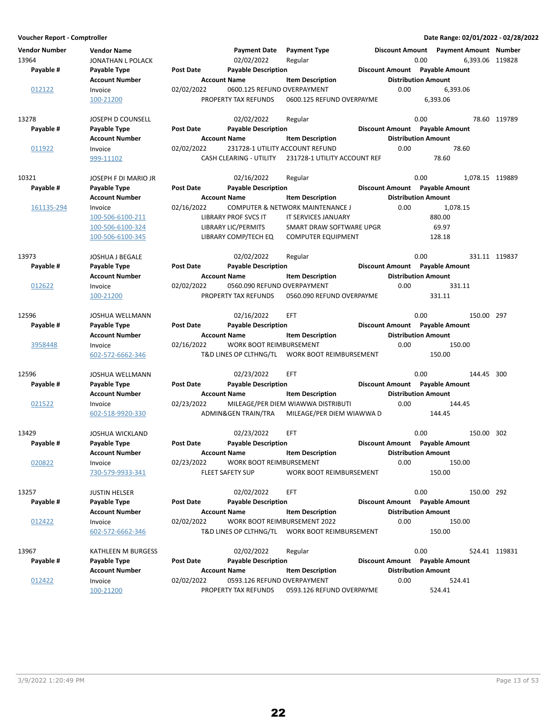**Voucher Report - Comptroller Date Range: 02/01/2022 - 02/28/2022 Vendor Number Vendor Name Payment Date Discount Amount Payment Type Payment Amount Number** 13964 JONATHAN L POLACK 02/02/2022 Regular 0.00 0.00 6,393.06 119828 **Account Number 19 Account Name 19 Account Distribution Amount** Payable # Payable Type **Post Date Payable Description Payable Amount** Payable Amount  $\underline{012122}$  Invoice 02/02/2022 0600.125 REFUND OVERPAYMENT 0.00 6,393.06<br>100-21200 100-21200 PROPERTY TAX REFUNDS 0600.125 REFUND OVERPAYME 6.393.06 0600.125 REFUND OVERPAYME 13278 13278 JOSEPH D COUNSELL 13278 02/02/2022 Regular 13278 13278 0.00 78.60 119789 **Account Number 1.1 Account Name 1.2 Account Distribution Amount** Amount Payable # Payable Type **Post Date Payable Description Payable Bestion** Discount Amount Payable Amount 011922 Invoice 02/02/2022 231728-1 UTILITY ACCOUNT REFUND 0.00 78.60 999-11102 CASH CLEARING - UTILITY 231728-1 UTILITY ACCOUNT REF 78.60 10321 103EPH F DI MARIO JR 119889 102/16/2022 Regular 10321 0.00 1,078.15 119889 **Account Number Account Name Item Description Distribution Amount Payable # Post Date Payable Description Payable Amount Payable Type Discount Amount** 161135-294 Invoice 02/16/2022 COMPUTER & NETWORK MAINTENANCE J 0.00 1,078.15 100-506-6100-211 LIBRARY PROF SVCS IT 880.00 IT SERVICES JANUARY 100-506-6100-324 LIBRARY LIC/PERMITS SMART DRAW SOFTWARE UPGR 69.97 100-506-6100-345 LIBRARY COMP/TECH EQ COMPUTER EQUIPMENT 128.18 13973 JOSHUA J BEGALE 02/02/2022 119837 Regular 0.00 331.11 **Account Number 6 Account Name 12 Account Name** Item Description 15 Distribution Amount Payable # Payable Type **Post Date Payable Description Payable Biscount Amount** Payable Amount  $\underline{012622}$  Invoice 02/02/2022 0560.090 REFUND OVERPAYMENT 0.00 331.11<br>100-21200 DROPERTY TAX REFUNDS 0560.090 REFUND OVERPAYME 331.11 100-21200 PROPERTY TAX REFUNDS 331.11 0560.090 REFUND OVERPAYME 12596 JOSHUA WELLMANN 02/16/2022 EFT 0.00 150.00 297 Account Number **Account Name** Item Description **Distribution Amount** Payable # Payable Type **Past Date Payable Description Payable Best Best Amount** Payable Amount 3958448 Invoice 02/16/2022 WORK BOOT REIMBURSEMENT 0.00 150.00 602-572-6662-346 T&D LINES OP CLTHNG/TL 150.00 WORK BOOT REIMBURSEMENT 12596 JOSHUA WELLMANN 02/23/2022 300 EFT 0.00 144.45 **Account Number Account Name Item Description Distribution Amount** Payable # Payable Type **Post Date Payable Description Payable Amount** Payable Amount 021522 Invoice 02/23/2022 MILEAGE/PER DIEM WIAWWA DISTRIBUTI 0.00 144.45 602-518-9920-330 ADMIN&GEN TRAIN/TRA 144.45 MILEAGE/PER DIEM WIAWWA D 13429 JOSHUA WICKLAND 02/23/2022 302 EFT 0.00 150.00 **Account Number 19 Account Name 12 Account Distribution Amount** Payable # Payable Type **Post Date** Payable Description **Payable Discount Amount** Payable Amount 020822 Invoice 02/23/2022 WORK BOOT REIMBURSEMENT 0.00 150.00 150.00 730-579-9933-341 FLEET SAFETY SUP 150.00 WORK BOOT REIMBURSEMENT 13257 JUSTIN HELSER 1990 192 O2/02/2022 EFT 1990 1926 1920 150.00 150.00 150.00 **Account Number 1.0 Account Name 1.0 Account Distribution Amount** Amount Payable # Payable Type **Post Date Payable Description Payable Biscount Amount** Payable Amount  $\frac{0.012422}{0.00}$  Invoice  $\frac{0.02}{0.00}$  150.00  $\frac{0.00}{0.00}$  150.00  $\frac{0.00}{0.00}$  150.00  $\frac{0.00}{0.00}$  150.00  $\frac{0.00}{0.00}$ T&D LINES OP CLTHNG/TL WORK BOOT REIMBURSEMENT 150.00 13967 KATHLEEN M BURGESS 02/02/2022 Regular 0.00 0.00 524.41 119831 **Account Number 6 Account Name 12 Account Distribution Amount** Payable # Payable Type **Post Date Payable Description Payable Bescription** Discount Amount Payable Amount 012422 Invoice 02/02/2022 0593.126 REFUND OVERPAYMENT 0.00 524.41 100-21200 PROPERTY TAX REFUNDS 524.41 0593.126 REFUND OVERPAYME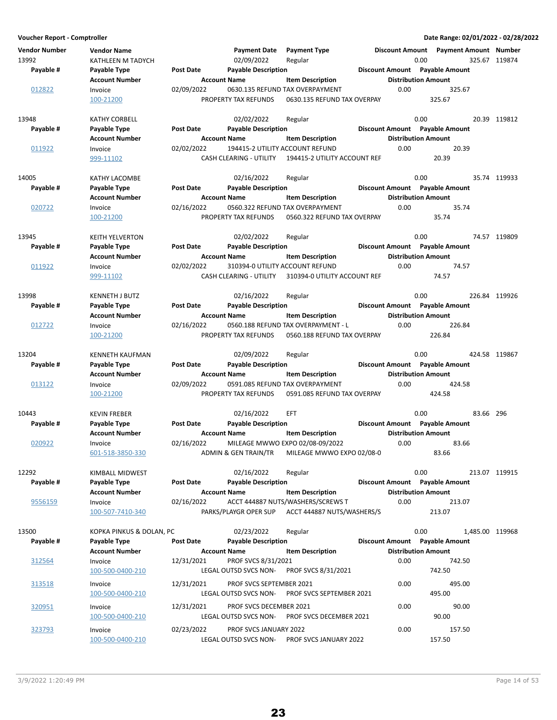| <b>Vendor Number</b><br>13992 | <b>Vendor Name</b><br>KATHLEEN M TADYCH |                  | <b>Payment Date</b><br>02/09/2022                      | <b>Payment Type</b><br>Regular                                 | <b>Discount Amount</b> | 0.00                                                         | <b>Payment Amount Number</b> | 325.67 119874 |
|-------------------------------|-----------------------------------------|------------------|--------------------------------------------------------|----------------------------------------------------------------|------------------------|--------------------------------------------------------------|------------------------------|---------------|
| Payable #                     | Payable Type<br><b>Account Number</b>   | Post Date        | <b>Payable Description</b><br><b>Account Name</b>      | <b>Item Description</b>                                        |                        | Discount Amount Payable Amount<br><b>Distribution Amount</b> |                              |               |
| 012822                        | Invoice<br>100-21200                    | 02/09/2022       | PROPERTY TAX REFUNDS                                   | 0630.135 REFUND TAX OVERPAYMENT<br>0630.135 REFUND TAX OVERPAY | 0.00                   | 325.67<br>325.67                                             |                              |               |
| 13948                         | <b>KATHY CORBELL</b>                    |                  | 02/02/2022                                             | Regular                                                        |                        | 0.00                                                         |                              | 20.39 119812  |
| Payable #                     | Payable Type<br><b>Account Number</b>   | Post Date        | <b>Payable Description</b>                             |                                                                | <b>Discount Amount</b> | <b>Payable Amount</b>                                        |                              |               |
| 011922                        | Invoice                                 | 02/02/2022       | <b>Account Name</b><br>194415-2 UTILITY ACCOUNT REFUND | <b>Item Description</b>                                        | 0.00                   | <b>Distribution Amount</b>                                   | 20.39                        |               |
|                               | 999-11102                               |                  | CASH CLEARING - UTILITY                                | 194415-2 UTILITY ACCOUNT REF                                   |                        | 20.39                                                        |                              |               |
| 14005                         | <b>KATHY LACOMBE</b>                    |                  | 02/16/2022                                             | Regular                                                        |                        | 0.00                                                         |                              | 35.74 119933  |
| Payable #                     | Payable Type                            | <b>Post Date</b> | <b>Payable Description</b>                             |                                                                |                        | Discount Amount Payable Amount                               |                              |               |
|                               | <b>Account Number</b>                   |                  | <b>Account Name</b>                                    | <b>Item Description</b>                                        |                        | <b>Distribution Amount</b>                                   |                              |               |
| 020722                        | Invoice                                 | 02/16/2022       |                                                        | 0560.322 REFUND TAX OVERPAYMENT                                | 0.00                   |                                                              | 35.74                        |               |
|                               | 100-21200                               |                  | PROPERTY TAX REFUNDS                                   | 0560.322 REFUND TAX OVERPAY                                    |                        | 35.74                                                        |                              |               |
| 13945                         | <b>KEITH YELVERTON</b>                  |                  | 02/02/2022                                             | Regular                                                        |                        | 0.00                                                         |                              | 74.57 119809  |
| Payable #                     | Payable Type                            | <b>Post Date</b> | <b>Payable Description</b>                             |                                                                | <b>Discount Amount</b> | <b>Payable Amount</b>                                        |                              |               |
|                               | <b>Account Number</b>                   |                  | <b>Account Name</b>                                    | <b>Item Description</b>                                        |                        | <b>Distribution Amount</b>                                   |                              |               |
| 011922                        | Invoice                                 | 02/02/2022       | 310394-0 UTILITY ACCOUNT REFUND                        |                                                                | 0.00                   |                                                              | 74.57                        |               |
|                               | 999-11102                               |                  | CASH CLEARING - UTILITY                                | 310394-0 UTILITY ACCOUNT REF                                   |                        | 74.57                                                        |                              |               |
| 13998                         | <b>KENNETH J BUTZ</b>                   |                  | 02/16/2022                                             | Regular                                                        |                        | 0.00                                                         |                              | 226.84 119926 |
| Payable #                     | Payable Type                            | Post Date        | <b>Payable Description</b>                             |                                                                |                        | Discount Amount Payable Amount                               |                              |               |
|                               | <b>Account Number</b>                   |                  | <b>Account Name</b>                                    | <b>Item Description</b>                                        |                        | <b>Distribution Amount</b>                                   |                              |               |
| 012722                        | Invoice                                 | 02/16/2022       |                                                        | 0560.188 REFUND TAX OVERPAYMENT - L                            | 0.00                   | 226.84                                                       |                              |               |
|                               | 100-21200                               |                  | PROPERTY TAX REFUNDS                                   | 0560.188 REFUND TAX OVERPAY                                    |                        | 226.84                                                       |                              |               |
| 13204                         | <b>KENNETH KAUFMAN</b>                  |                  | 02/09/2022                                             | Regular                                                        |                        | 0.00                                                         |                              | 424.58 119867 |
| Payable #                     | Payable Type                            | Post Date        | <b>Payable Description</b>                             |                                                                |                        | Discount Amount Payable Amount                               |                              |               |
|                               | <b>Account Number</b>                   |                  | <b>Account Name</b>                                    | <b>Item Description</b>                                        |                        | <b>Distribution Amount</b>                                   |                              |               |
| 013122                        | Invoice<br>100-21200                    | 02/09/2022       | PROPERTY TAX REFUNDS                                   | 0591.085 REFUND TAX OVERPAYMENT<br>0591.085 REFUND TAX OVERPAY | 0.00                   | 424.58<br>424.58                                             |                              |               |
| 10443                         | <b>KEVIN FREBER</b>                     |                  | 02/16/2022                                             | <b>EFT</b>                                                     |                        | 0.00                                                         | 83.66                        | - 296         |
| Payable #                     | Payable Type                            | <b>Post Date</b> | <b>Payable Description</b>                             |                                                                | <b>Discount Amount</b> | <b>Payable Amount</b>                                        |                              |               |
|                               | <b>Account Number</b>                   |                  | <b>Account Name</b>                                    | <b>Item Description</b>                                        |                        | <b>Distribution Amount</b>                                   |                              |               |
| 020922                        | Invoice<br><u>601-518-3850-330</u>      | 02/16/2022       | ADMIN & GEN TRAIN/TR                                   | MILEAGE MWWO EXPO 02/08-09/2022<br>MILEAGE MWWO EXPO 02/08-0   | 0.00                   | 83.66                                                        | 83.66                        |               |
| 12292                         | KIMBALL MIDWEST                         |                  | 02/16/2022                                             | Regular                                                        |                        | 0.00                                                         |                              | 213.07 119915 |
| Payable #                     | Payable Type                            | Post Date        | <b>Payable Description</b>                             |                                                                |                        | Discount Amount Payable Amount                               |                              |               |
|                               | <b>Account Number</b>                   |                  | <b>Account Name</b>                                    | <b>Item Description</b>                                        |                        | <b>Distribution Amount</b>                                   |                              |               |
| 9556159                       | Invoice                                 | 02/16/2022       |                                                        | ACCT 444887 NUTS/WASHERS/SCREWS T                              | 0.00                   | 213.07                                                       |                              |               |
|                               | 100-507-7410-340                        |                  | PARKS/PLAYGR OPER SUP                                  | ACCT 444887 NUTS/WASHERS/S                                     |                        | 213.07                                                       |                              |               |
| 13500                         | KOPKA PINKUS & DOLAN, PC                |                  | 02/23/2022                                             | Regular                                                        |                        | 0.00                                                         | 1,485.00 119968              |               |
| Payable #                     | Payable Type                            | Post Date        | <b>Payable Description</b>                             |                                                                |                        | Discount Amount Payable Amount                               |                              |               |
|                               | <b>Account Number</b>                   |                  | <b>Account Name</b>                                    | <b>Item Description</b>                                        |                        | <b>Distribution Amount</b>                                   |                              |               |
| 312564                        | Invoice<br>100-500-0400-210             | 12/31/2021       | PROF SVCS 8/31/2021<br>LEGAL OUTSD SVCS NON-           | PROF SVCS 8/31/2021                                            | 0.00                   | 742.50<br>742.50                                             |                              |               |
| 313518                        | Invoice<br>100-500-0400-210             | 12/31/2021       | PROF SVCS SEPTEMBER 2021<br>LEGAL OUTSD SVCS NON-      | PROF SVCS SEPTEMBER 2021                                       | 0.00                   | 495.00                                                       | 495.00                       |               |
| 320951                        | Invoice                                 | 12/31/2021       | PROF SVCS DECEMBER 2021                                |                                                                | 0.00                   |                                                              | 90.00                        |               |
|                               | 100-500-0400-210                        |                  | LEGAL OUTSD SVCS NON-                                  | PROF SVCS DECEMBER 2021                                        |                        | 90.00                                                        |                              |               |
| 323793                        | Invoice<br>100-500-0400-210             | 02/23/2022       | <b>PROF SVCS JANUARY 2022</b><br>LEGAL OUTSD SVCS NON- | PROF SVCS JANUARY 2022                                         | 0.00                   | 157.50<br>157.50                                             |                              |               |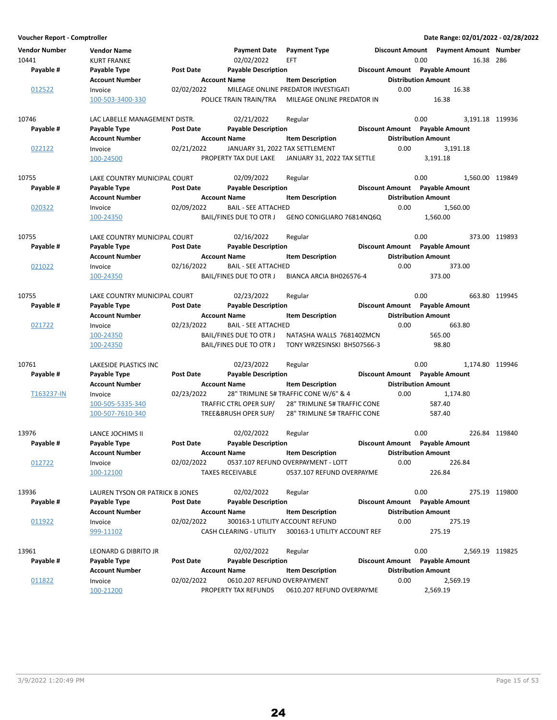| Voucher Report - Comptroller |                                 |                  |                                 |                                       |                                |                            | Date Range: 02/01/2022 - 02/28/2022     |               |
|------------------------------|---------------------------------|------------------|---------------------------------|---------------------------------------|--------------------------------|----------------------------|-----------------------------------------|---------------|
| <b>Vendor Number</b>         | <b>Vendor Name</b>              |                  | <b>Payment Date</b>             | <b>Payment Type</b>                   |                                |                            | Discount Amount  Payment Amount  Number |               |
| 10441                        | <b>KURT FRANKE</b>              |                  | 02/02/2022                      | <b>EFT</b>                            |                                | 0.00                       | 16.38 286                               |               |
| Payable #                    | Payable Type                    | <b>Post Date</b> | <b>Payable Description</b>      |                                       | Discount Amount Payable Amount |                            |                                         |               |
|                              | <b>Account Number</b>           |                  | <b>Account Name</b>             | <b>Item Description</b>               |                                | <b>Distribution Amount</b> |                                         |               |
| 012522                       | Invoice                         | 02/02/2022       |                                 | MILEAGE ONLINE PREDATOR INVESTIGATI   |                                | 0.00                       | 16.38                                   |               |
|                              | 100-503-3400-330                |                  | POLICE TRAIN TRAIN/TRA          | MILEAGE ONLINE PREDATOR IN            |                                |                            | 16.38                                   |               |
| 10746                        | LAC LABELLE MANAGEMENT DISTR.   |                  | 02/21/2022                      | Regular                               |                                | 0.00                       | 3,191.18 119936                         |               |
| Payable #                    | Payable Type                    | Post Date        | <b>Payable Description</b>      |                                       | Discount Amount Payable Amount |                            |                                         |               |
|                              | <b>Account Number</b>           |                  | <b>Account Name</b>             | <b>Item Description</b>               |                                | <b>Distribution Amount</b> |                                         |               |
| 022122                       | Invoice                         | 02/21/2022       | JANUARY 31, 2022 TAX SETTLEMENT |                                       |                                | 0.00                       | 3,191.18                                |               |
|                              | 100-24500                       |                  | PROPERTY TAX DUE LAKE           | JANUARY 31, 2022 TAX SETTLE           |                                |                            | 3,191.18                                |               |
| 10755                        | LAKE COUNTRY MUNICIPAL COURT    |                  | 02/09/2022                      | Regular                               |                                | 0.00                       | 1,560.00 119849                         |               |
| Payable #                    | Payable Type                    | Post Date        | <b>Payable Description</b>      |                                       | Discount Amount Payable Amount |                            |                                         |               |
|                              | <b>Account Number</b>           |                  | <b>Account Name</b>             | <b>Item Description</b>               |                                | <b>Distribution Amount</b> |                                         |               |
| 020322                       | Invoice                         | 02/09/2022       | <b>BAIL - SEE ATTACHED</b>      |                                       |                                | 0.00                       | 1,560.00                                |               |
|                              | 100-24350                       |                  | BAIL/FINES DUE TO OTR J         | GENO CONIGLIARO 76814NQ6Q             |                                |                            | 1.560.00                                |               |
| 10755                        | LAKE COUNTRY MUNICIPAL COURT    |                  | 02/16/2022                      | Regular                               |                                | 0.00                       |                                         | 373.00 119893 |
| Payable #                    | Payable Type                    | Post Date        | <b>Payable Description</b>      |                                       | Discount Amount Payable Amount |                            |                                         |               |
|                              | <b>Account Number</b>           |                  | <b>Account Name</b>             | <b>Item Description</b>               |                                | <b>Distribution Amount</b> |                                         |               |
| 021022                       | Invoice                         | 02/16/2022       | <b>BAIL - SEE ATTACHED</b>      |                                       |                                | 0.00                       | 373.00                                  |               |
|                              | 100-24350                       |                  | BAIL/FINES DUE TO OTR J         | BIANCA ARCIA BH026576-4               |                                |                            | 373.00                                  |               |
| 10755                        | LAKE COUNTRY MUNICIPAL COURT    |                  | 02/23/2022                      | Regular                               |                                | 0.00                       |                                         | 663.80 119945 |
| Payable #                    | Payable Type                    | Post Date        | <b>Payable Description</b>      |                                       | Discount Amount Payable Amount |                            |                                         |               |
|                              | <b>Account Number</b>           |                  | <b>Account Name</b>             | <b>Item Description</b>               |                                | <b>Distribution Amount</b> |                                         |               |
| 021722                       | Invoice                         | 02/23/2022       | <b>BAIL - SEE ATTACHED</b>      |                                       |                                | 0.00                       | 663.80                                  |               |
|                              | 100-24350                       |                  | BAIL/FINES DUE TO OTR J         | NATASHA WALLS 768140ZMCN              |                                |                            | 565.00                                  |               |
|                              | 100-24350                       |                  | BAIL/FINES DUE TO OTR J         | TONY WRZESINSKI BH507566-3            |                                |                            | 98.80                                   |               |
| 10761                        | LAKESIDE PLASTICS INC           |                  | 02/23/2022                      | Regular                               |                                | 0.00                       | 1,174.80 119946                         |               |
| Payable #                    | Payable Type                    | <b>Post Date</b> | <b>Payable Description</b>      |                                       | Discount Amount Payable Amount |                            |                                         |               |
|                              | <b>Account Number</b>           |                  | <b>Account Name</b>             | <b>Item Description</b>               |                                | <b>Distribution Amount</b> |                                         |               |
| T163237-IN                   | Invoice                         | 02/23/2022       |                                 | 28" TRIMLINE 5# TRAFFIC CONE W/6" & 4 |                                | 0.00                       | 1,174.80                                |               |
|                              | 100-505-5335-340                |                  | TRAFFIC CTRL OPER SUP/          | 28" TRIMLINE 5# TRAFFIC CONE          |                                |                            | 587.40                                  |               |
|                              | 100-507-7610-340                |                  | TREE&BRUSH OPER SUP/            | 28" TRIMLINE 5# TRAFFIC CONE          |                                |                            | 587.40                                  |               |
| 13976                        | LANCE JOCHIMS II                |                  | 02/02/2022                      | Regular                               |                                | 0.00                       |                                         | 226.84 119840 |
| Payable #                    | Payable Type                    | <b>Post Date</b> | <b>Payable Description</b>      |                                       | Discount Amount Payable Amount |                            |                                         |               |
|                              | <b>Account Number</b>           |                  | <b>Account Name</b>             | <b>Item Description</b>               |                                | <b>Distribution Amount</b> |                                         |               |
| 012722                       | Invoice                         | 02/02/2022       |                                 | 0537.107 REFUND OVERPAYMENT - LOTT    |                                | 0.00                       | 226.84                                  |               |
|                              | 100-12100                       |                  | <b>TAXES RECEIVABLE</b>         | 0537.107 REFUND OVERPAYME             |                                |                            | 226.84                                  |               |
| 13936                        | LAUREN TYSON OR PATRICK B JONES |                  | 02/02/2022                      | Regular                               |                                | 0.00                       |                                         | 275.19 119800 |
| Payable #                    | Payable Type                    | Post Date        | <b>Payable Description</b>      |                                       | Discount Amount Payable Amount |                            |                                         |               |
|                              | <b>Account Number</b>           |                  | <b>Account Name</b>             | <b>Item Description</b>               |                                | <b>Distribution Amount</b> |                                         |               |
| 011922                       | Invoice                         | 02/02/2022       |                                 | 300163-1 UTILITY ACCOUNT REFUND       |                                | 0.00                       | 275.19                                  |               |
|                              | 999-11102                       |                  | CASH CLEARING - UTILITY         | 300163-1 UTILITY ACCOUNT REF          |                                |                            | 275.19                                  |               |
| 13961                        | LEONARD G DIBRITO JR            |                  | 02/02/2022                      | Regular                               |                                | 0.00                       | 2,569.19 119825                         |               |
| Payable #                    | Payable Type                    | Post Date        | <b>Payable Description</b>      |                                       | Discount Amount Payable Amount |                            |                                         |               |
|                              | <b>Account Number</b>           |                  | <b>Account Name</b>             | <b>Item Description</b>               |                                | <b>Distribution Amount</b> |                                         |               |
| 011822                       | Invoice                         | 02/02/2022       | 0610.207 REFUND OVERPAYMENT     |                                       |                                | 0.00                       | 2,569.19                                |               |
|                              | 100-21200                       |                  | PROPERTY TAX REFUNDS            | 0610.207 REFUND OVERPAYME             |                                |                            | 2,569.19                                |               |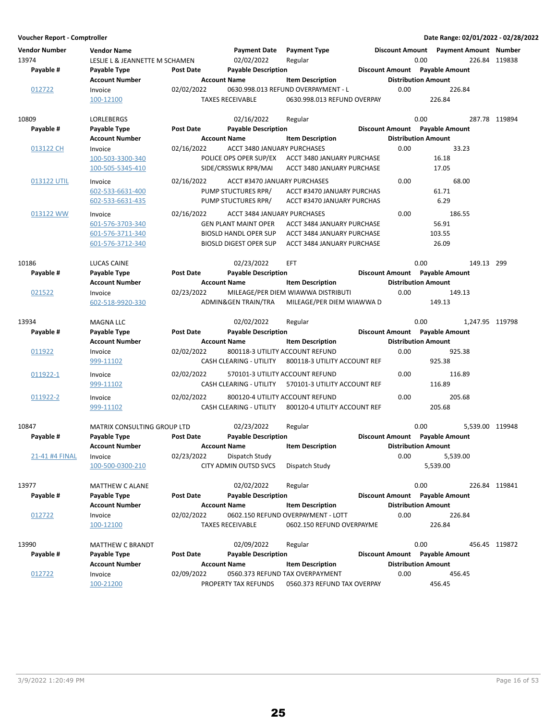| <b>Vendor Number</b> | <b>Vendor Name</b>             |                  | <b>Payment Date</b>            | <b>Payment Type</b>                 |                                |                            | Discount Amount Payment Amount Number |               |
|----------------------|--------------------------------|------------------|--------------------------------|-------------------------------------|--------------------------------|----------------------------|---------------------------------------|---------------|
| 13974                | LESLIE L & JEANNETTE M SCHAMEN |                  | 02/02/2022                     | Regular                             |                                | 0.00                       |                                       | 226.84 119838 |
| Payable #            | Payable Type                   | Post Date        | <b>Payable Description</b>     |                                     | Discount Amount Payable Amount |                            |                                       |               |
|                      | <b>Account Number</b>          |                  | <b>Account Name</b>            | <b>Item Description</b>             |                                | <b>Distribution Amount</b> |                                       |               |
| 012722               | Invoice                        | 02/02/2022       |                                | 0630.998.013 REFUND OVERPAYMENT - L | 0.00                           |                            | 226.84                                |               |
|                      | 100-12100                      |                  | <b>TAXES RECEIVABLE</b>        | 0630.998.013 REFUND OVERPAY         |                                | 226.84                     |                                       |               |
| 10809                | LORLEBERGS                     |                  | 02/16/2022                     | Regular                             |                                | 0.00                       |                                       | 287.78 119894 |
| Payable #            | Payable Type                   | <b>Post Date</b> | <b>Payable Description</b>     |                                     | Discount Amount Payable Amount |                            |                                       |               |
|                      | <b>Account Number</b>          |                  | <b>Account Name</b>            | <b>Item Description</b>             |                                | <b>Distribution Amount</b> |                                       |               |
| 013122 CH            | Invoice                        | 02/16/2022       | ACCT 3480 JANUARY PURCHASES    |                                     | 0.00                           |                            | 33.23                                 |               |
|                      | 100-503-3300-340               |                  | POLICE OPS OPER SUP/EX         | ACCT 3480 JANUARY PURCHASE          |                                | 16.18                      |                                       |               |
|                      | 100-505-5345-410               |                  | SIDE/CRSSWLK RPR/MAI           | ACCT 3480 JANUARY PURCHASE          |                                | 17.05                      |                                       |               |
|                      |                                |                  |                                |                                     |                                |                            |                                       |               |
| 013122 UTIL          | Invoice                        | 02/16/2022       | ACCT #3470 JANUARY PURCHASES   |                                     | 0.00                           |                            | 68.00                                 |               |
|                      | 602-533-6631-400               |                  | PUMP STUCTURES RPR/            | ACCT #3470 JANUARY PURCHAS          |                                | 61.71                      |                                       |               |
|                      | 602-533-6631-435               |                  | PUMP STUCTURES RPR/            | ACCT #3470 JANUARY PURCHAS          |                                |                            | 6.29                                  |               |
| 013122 WW            | Invoice                        | 02/16/2022       | ACCT 3484 JANUARY PURCHASES    |                                     | 0.00                           |                            | 186.55                                |               |
|                      | 601-576-3703-340               |                  | <b>GEN PLANT MAINT OPER</b>    | ACCT 3484 JANUARY PURCHASE          |                                | 56.91                      |                                       |               |
|                      | 601-576-3711-340               |                  | <b>BIOSLD HANDL OPER SUP</b>   | ACCT 3484 JANUARY PURCHASE          |                                | 103.55                     |                                       |               |
|                      | 601-576-3712-340               |                  | <b>BIOSLD DIGEST OPER SUP</b>  | ACCT 3484 JANUARY PURCHASE          |                                | 26.09                      |                                       |               |
|                      |                                |                  |                                |                                     |                                |                            |                                       |               |
| 10186                | LUCAS CAINE                    |                  | 02/23/2022                     | <b>EFT</b>                          |                                | 0.00                       | 149.13 299                            |               |
| Payable #            | Payable Type                   | <b>Post Date</b> | <b>Payable Description</b>     |                                     | Discount Amount Payable Amount |                            |                                       |               |
|                      | <b>Account Number</b>          |                  | <b>Account Name</b>            | <b>Item Description</b>             |                                | <b>Distribution Amount</b> |                                       |               |
| 021522               | Invoice                        | 02/23/2022       |                                | MILEAGE/PER DIEM WIAWWA DISTRIBUTI  | 0.00                           |                            | 149.13                                |               |
|                      | 602-518-9920-330               |                  | ADMIN&GEN TRAIN/TRA            | MILEAGE/PER DIEM WIAWWA D           |                                | 149.13                     |                                       |               |
|                      |                                |                  |                                |                                     |                                |                            |                                       |               |
| 13934                | <b>MAGNA LLC</b>               |                  | 02/02/2022                     | Regular                             |                                | 0.00                       | 1,247.95 119798                       |               |
| Payable #            | Payable Type                   | <b>Post Date</b> | <b>Payable Description</b>     |                                     | Discount Amount Payable Amount |                            |                                       |               |
|                      | <b>Account Number</b>          |                  | <b>Account Name</b>            | <b>Item Description</b>             |                                | <b>Distribution Amount</b> |                                       |               |
| 011922               | Invoice                        | 02/02/2022       |                                | 800118-3 UTILITY ACCOUNT REFUND     | 0.00                           |                            | 925.38                                |               |
|                      | 999-11102                      |                  | CASH CLEARING - UTILITY        | 800118-3 UTILITY ACCOUNT REF        |                                | 925.38                     |                                       |               |
| 011922-1             | Invoice                        | 02/02/2022       |                                | 570101-3 UTILITY ACCOUNT REFUND     | 0.00                           |                            | 116.89                                |               |
|                      | 999-11102                      |                  | CASH CLEARING - UTILITY        | 570101-3 UTILITY ACCOUNT REF        |                                | 116.89                     |                                       |               |
|                      |                                |                  |                                |                                     |                                |                            |                                       |               |
| 011922-2             | Invoice                        | 02/02/2022       |                                | 800120-4 UTILITY ACCOUNT REFUND     | 0.00                           |                            | 205.68                                |               |
|                      | 999-11102                      |                  | <b>CASH CLEARING - UTILITY</b> | 800120-4 UTILITY ACCOUNT REF        |                                | 205.68                     |                                       |               |
| 10847                | MATRIX CONSULTING GROUP LTD    |                  | 02/23/2022                     | Regular                             |                                | 0.00                       | 5.539.00 119948                       |               |
| Payable #            | <b>Payable Type</b>            | <b>Post Date</b> | <b>Payable Description</b>     |                                     | Discount Amount Payable Amount |                            |                                       |               |
|                      | <b>Account Number</b>          |                  | <b>Account Name</b>            | <b>Item Description</b>             |                                | <b>Distribution Amount</b> |                                       |               |
| 21-41 #4 FINAL       | Invoice                        | 02/23/2022       | Dispatch Study                 |                                     | 0.00                           |                            | 5,539.00                              |               |
|                      | 100-500-0300-210               |                  | CITY ADMIN OUTSD SVCS          | Dispatch Study                      |                                | 5,539.00                   |                                       |               |
|                      |                                |                  |                                |                                     |                                |                            |                                       |               |
| 13977                | <b>MATTHEW C ALANE</b>         |                  | 02/02/2022                     | Regular                             |                                | 0.00                       |                                       | 226.84 119841 |
| Payable #            | Payable Type                   | Post Date        | <b>Payable Description</b>     |                                     | Discount Amount Payable Amount |                            |                                       |               |
|                      | <b>Account Number</b>          |                  | <b>Account Name</b>            | <b>Item Description</b>             |                                | <b>Distribution Amount</b> |                                       |               |
| 012722               | Invoice                        | 02/02/2022       |                                | 0602.150 REFUND OVERPAYMENT - LOTT  | 0.00                           |                            | 226.84                                |               |
|                      | 100-12100                      |                  | <b>TAXES RECEIVABLE</b>        | 0602.150 REFUND OVERPAYME           |                                | 226.84                     |                                       |               |
|                      |                                |                  |                                |                                     |                                |                            |                                       |               |
| 13990                | <b>MATTHEW C BRANDT</b>        |                  | 02/09/2022                     | Regular                             |                                | 0.00                       |                                       | 456.45 119872 |
| Payable #            | Payable Type                   | Post Date        | <b>Payable Description</b>     |                                     | Discount Amount Payable Amount |                            |                                       |               |
|                      | <b>Account Number</b>          |                  | <b>Account Name</b>            | <b>Item Description</b>             |                                | <b>Distribution Amount</b> |                                       |               |
| 012722               | Invoice                        | 02/09/2022       |                                | 0560.373 REFUND TAX OVERPAYMENT     | 0.00                           |                            | 456.45                                |               |
|                      | 100-21200                      |                  | PROPERTY TAX REFUNDS           | 0560.373 REFUND TAX OVERPAY         |                                | 456.45                     |                                       |               |

25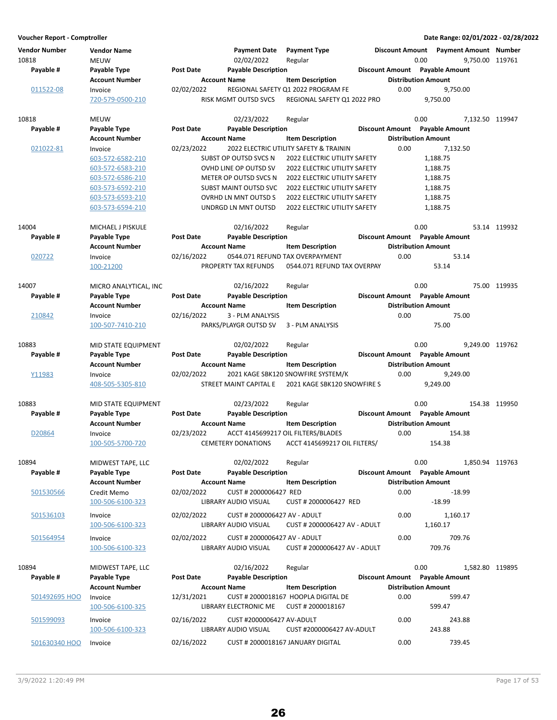**Voucher Report - Comptroller Date Range: 02/01/2022 - 02/28/2022 Vendor Number Vendor Name Payment Date Discount Amount Payment Type Payment Amount Number** 10818 MEUW 10818 MEUW 02/02/2022 Regular 10818 0.00 9,750.00 119761 **Account Number Account Name Item Description Distribution Amount** Payable # Payable Type **Post Date Payable Description Payable Amount** Payable Amount 011522-08 Invoice 02/02/2022 REGIONAL SAFETY Q1 2022 PROGRAM FE 0.00 9,750.00<br>720-579-0500-210 RISK MGMT OUTSD SVCS REGIONAL SAFETY 01 2022 PRO 9.750.00 REGIONAL SAFETY O1 2022 PRO 10818 MEUW 02/23/2022 119947 Regular 0.00 7,132.50 **Account Number 6 Account Name 12 Account Distribution Amount** Payable # Payable Type **Post Date Payable Description Payable Bestion** Discount Amount Payable Amount 021022-81 Invoice 02/23/2022 2022 ELECTRIC UTILITY SAFETY & TRAININ 0.00 7,132.50 603-572-6582-210 SUBST OP OUTSD SVCS N 1,188.75 2022 ELECTRIC UTILITY SAFETY 603-572-6583-210 OVHD LINE OP OUTSD SV 2022 ELECTRIC UTILITY SAFETY 1,188.75 603-572-6586-210 METER OP OUTSD SVCS N 2022 ELECTRIC UTILITY SAFETY 1,188.75 603-573-6592-210 SUBST MAINT OUTSD SVC 2022 ELECTRIC UTILITY SAFETY 1,188.75 603-573-6593-210 OVRHD LN MNT OUTSD S 2022 ELECTRIC UTILITY SAFETY 1,188.75 603-573-6594-210 UNDRGD LN MNT OUTSD 2022 ELECTRIC UTILITY SAFETY 1,188.75 14004 MICHAEL J PISKULE 02/16/2022 Regular 0.00 0.00 53.14 119932 **Account Number 6 Account Name 12 Account Name 12 Account Number 6 Account Name 12 Account Name** Payable # Payable Type Post Date Payable Description **Payable Description** Discount Amount Payable Amount 020722 Invoice 02/16/2022 0544.071 REFUND TAX OVERPAYMENT 0.00 53.14 100-21200 PROPERTY TAX REFUNDS 53.14 0544.071 REFUND TAX OVERPAY 14007 MICRO ANALYTICAL, INC 02/16/2022 Regular 0.00 0.00 75.00 119935 **Account Number Account Name Item Description Distribution Amount** Payable # Payable Type **Post Date** Payable Description **Payable Description Payable Amount** Payable Amount 210842 Invoice 02/16/2022 3 - PLM ANALYSIS 210842 0.00 75.00 100-507-7410-210 PARKS/PLAYGR OUTSD SV 75.00 3 - PLM ANALYSIS 10883 MID STATE EQUIPMENT 02/02/2022 Regular 0.00 0.00 9,249.00 119762 **Account Number 6 Account Name 12 Account Distribution Amount** Payable # Payable Type **Post Date Payable Description Payable Amount** Payable Amount Y11983 Invoice 02/02/2022 2021 KAGE SBK120 SNOWFIRE SYSTEM/K 0.00 9,249.00 408-505-5305-810 STREET MAINT CAPITAL E 9,249.00 2021 KAGE SBK120 SNOWFIRE S 10883 MID STATE EQUIPMENT 02/23/2022 Regular 0.00 0.00 154.38 119950 **Account Number 6 Account Name 12 Account Distribution Amount** Payable # Payable Type **Past Date Payable Description Payable Best Best Amount** Payable Amount D20864 Invoice 02/23/2022 ACCT 4145699217 OIL FILTERS/BLADES 0.00 154.38 100-505-5700-720 CEMETERY DONATIONS 154.38 ACCT 4145699217 OIL FILTERS/ 10894 MIDWEST TAPE, LLC 02/02/2022 Regular 02/02/2022 0.00 1,850.94 119763 **Account Number 6 Account Name 12 Account Distribution Amount** Payable # Payable Type Post Date Payable Description **Payable Discount Amount** Payable Amount 501530566 Credit Memo 02/02/2022 CUST # 2000006427 RED -18.99 0.00 100-506-6100-323 LIBRARY AUDIO VISUAL -18.99 CUST # 2000006427 RED 501536103 Invoice 02/02/2022 CUST # 2000006427 AV - ADULT 0.00 1,160.17 100-506-6100-323 LIBRARY AUDIO VISUAL 1,160.17 CUST # 2000006427 AV - ADULT 501564954 Invoice 02/02/2022 CUST # 2000006427 AV - ADULT 0.00 709.76 100-506-6100-323 LIBRARY AUDIO VISUAL 709.76 CUST # 2000006427 AV - ADULT 10894 MIDWEST TAPE, LLC 19895 MIDWEST TAPE, LLC 19895 02/16/2022 Regular 1989-19895 0.00 1,582.80 119895 Account Number **Account Name** Item Description **Distribution Amount** Payable # Payable Type **Post Date** Payable Description **Payable Discount Amount** Payable Amount 501492695 HOO Invoice **12/31/2021 CUST # 2000018167 HOOPLA DIGITAL DE** 6.00 599.47 100-506-6100-325 LIBRARY ELECTRONIC ME 599.47 CUST # 2000018167 501599093 Invoice 02/16/2022 CUST #2000006427 AV-ADULT 243.88 0.00 100-506-6100-323 LIBRARY AUDIO VISUAL 243.88 CUST #2000006427 AV-ADULT 501630340 HOO Invoice 02/16/2022 CUST # 2000018167 JANUARY DIGITAL 0.00 739.45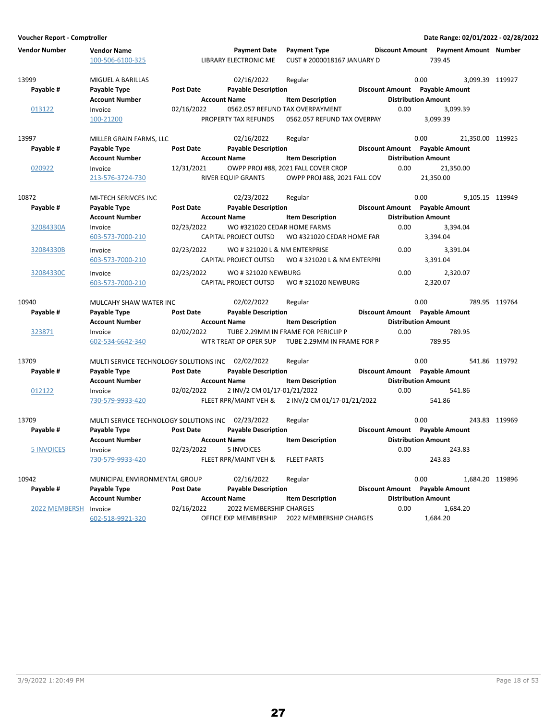| <b>Vendor Number</b> | <b>Vendor Name</b>                                |                  | <b>Payment Date</b>          | <b>Payment Type</b>                 |                                |           | Discount Amount  Payment Amount  Number |               |
|----------------------|---------------------------------------------------|------------------|------------------------------|-------------------------------------|--------------------------------|-----------|-----------------------------------------|---------------|
|                      | 100-506-6100-325                                  |                  | <b>LIBRARY ELECTRONIC ME</b> | CUST # 2000018167 JANUARY D         |                                | 739.45    |                                         |               |
| 13999                | MIGUEL A BARILLAS                                 |                  | 02/16/2022                   | Regular                             |                                | 0.00      | 3,099.39 119927                         |               |
| Payable #            | Payable Type                                      | Post Date        | <b>Payable Description</b>   |                                     | Discount Amount Payable Amount |           |                                         |               |
|                      | <b>Account Number</b>                             |                  | <b>Account Name</b>          | <b>Item Description</b>             | <b>Distribution Amount</b>     |           |                                         |               |
| 013122               | Invoice                                           | 02/16/2022       |                              | 0562.057 REFUND TAX OVERPAYMENT     | 0.00                           |           | 3,099.39                                |               |
|                      | 100-21200                                         |                  | PROPERTY TAX REFUNDS         | 0562.057 REFUND TAX OVERPAY         |                                | 3,099.39  |                                         |               |
| 13997                | MILLER GRAIN FARMS, LLC                           |                  | 02/16/2022                   | Regular                             |                                | 0.00      | 21,350.00 119925                        |               |
| Payable #            | Payable Type                                      | Post Date        | <b>Payable Description</b>   |                                     | Discount Amount Payable Amount |           |                                         |               |
|                      | <b>Account Number</b>                             |                  | <b>Account Name</b>          | <b>Item Description</b>             | <b>Distribution Amount</b>     |           |                                         |               |
| 020922               | Invoice                                           | 12/31/2021       |                              | OWPP PROJ #88, 2021 FALL COVER CROP | 0.00                           |           | 21,350.00                               |               |
|                      | 213-576-3724-730                                  |                  | <b>RIVER EQUIP GRANTS</b>    | OWPP PROJ #88, 2021 FALL COV        |                                | 21,350.00 |                                         |               |
| 10872                | MI-TECH SERIVCES INC                              |                  | 02/23/2022                   | Regular                             |                                | 0.00      | 9,105.15 119949                         |               |
| Payable #            | Payable Type                                      | <b>Post Date</b> | <b>Payable Description</b>   |                                     | Discount Amount Payable Amount |           |                                         |               |
|                      | <b>Account Number</b>                             |                  | <b>Account Name</b>          | <b>Item Description</b>             | <b>Distribution Amount</b>     |           |                                         |               |
| 32084330A            | Invoice                                           | 02/23/2022       | WO #321020 CEDAR HOME FARMS  |                                     | 0.00                           |           | 3,394.04                                |               |
|                      | 603-573-7000-210                                  |                  | CAPITAL PROJECT OUTSD        | WO #321020 CEDAR HOME FAR           |                                | 3,394.04  |                                         |               |
| 32084330B            | Invoice                                           | 02/23/2022       | WO #321020 L & NM ENTERPRISE |                                     | 0.00                           |           | 3,391.04                                |               |
|                      | 603-573-7000-210                                  |                  | CAPITAL PROJECT OUTSD        | WO #321020 L & NM ENTERPRI          |                                | 3,391.04  |                                         |               |
| 32084330C            | Invoice                                           | 02/23/2022       | WO #321020 NEWBURG           |                                     | 0.00                           |           | 2,320.07                                |               |
|                      | 603-573-7000-210                                  |                  | CAPITAL PROJECT OUTSD        | WO #321020 NEWBURG                  |                                | 2,320.07  |                                         |               |
| 10940                | MULCAHY SHAW WATER INC                            |                  | 02/02/2022                   | Regular                             |                                | 0.00      |                                         | 789.95 119764 |
| Payable #            | Payable Type                                      | Post Date        | <b>Payable Description</b>   |                                     | Discount Amount Payable Amount |           |                                         |               |
|                      | <b>Account Number</b>                             |                  | <b>Account Name</b>          | <b>Item Description</b>             | <b>Distribution Amount</b>     |           |                                         |               |
| 323871               | Invoice                                           | 02/02/2022       |                              | TUBE 2.29MM IN FRAME FOR PERICLIP P | 0.00                           |           | 789.95                                  |               |
|                      | 602-534-6642-340                                  |                  | WTR TREAT OP OPER SUP        | TUBE 2.29MM IN FRAME FOR P          |                                | 789.95    |                                         |               |
| 13709                | MULTI SERVICE TECHNOLOGY SOLUTIONS INC 02/02/2022 |                  |                              | Regular                             |                                | 0.00      |                                         | 541.86 119792 |
| Payable #            | Payable Type                                      | <b>Post Date</b> | <b>Payable Description</b>   |                                     | Discount Amount Payable Amount |           |                                         |               |
|                      | <b>Account Number</b>                             |                  | <b>Account Name</b>          | <b>Item Description</b>             | <b>Distribution Amount</b>     |           |                                         |               |
| 012122               | Invoice                                           | 02/02/2022       | 2 INV/2 CM 01/17-01/21/2022  |                                     | 0.00                           |           | 541.86                                  |               |
|                      | 730-579-9933-420                                  |                  | FLEET RPR/MAINT VEH &        | 2 INV/2 CM 01/17-01/21/2022         |                                | 541.86    |                                         |               |
| 13709                | MULTI SERVICE TECHNOLOGY SOLUTIONS INC 02/23/2022 |                  |                              | Regular                             |                                | 0.00      |                                         | 243.83 119969 |
| Payable #            | Payable Type                                      | <b>Post Date</b> | <b>Payable Description</b>   |                                     | Discount Amount Payable Amount |           |                                         |               |
|                      | <b>Account Number</b>                             |                  | <b>Account Name</b>          | <b>Item Description</b>             | <b>Distribution Amount</b>     |           |                                         |               |
| <b>5 INVOICES</b>    | Invoice                                           | 02/23/2022       | 5 INVOICES                   |                                     | 0.00                           |           | 243.83                                  |               |
|                      | 730-579-9933-420                                  |                  | FLEET RPR/MAINT VEH &        | <b>FLEET PARTS</b>                  |                                | 243.83    |                                         |               |
| 10942                | MUNICIPAL ENVIRONMENTAL GROUP                     |                  | 02/16/2022                   | Regular                             |                                | 0.00      | 1,684.20 119896                         |               |
| Payable #            | Payable Type                                      | <b>Post Date</b> | <b>Payable Description</b>   |                                     | Discount Amount Payable Amount |           |                                         |               |
|                      | <b>Account Number</b>                             |                  | <b>Account Name</b>          | <b>Item Description</b>             | <b>Distribution Amount</b>     |           |                                         |               |
| 2022 MEMBERSH        | Invoice                                           | 02/16/2022       | 2022 MEMBERSHIP CHARGES      |                                     | 0.00                           |           | 1,684.20                                |               |
|                      | 602-518-9921-320                                  |                  | OFFICE EXP MEMBERSHIP        | 2022 MEMBERSHIP CHARGES             |                                | 1,684.20  |                                         |               |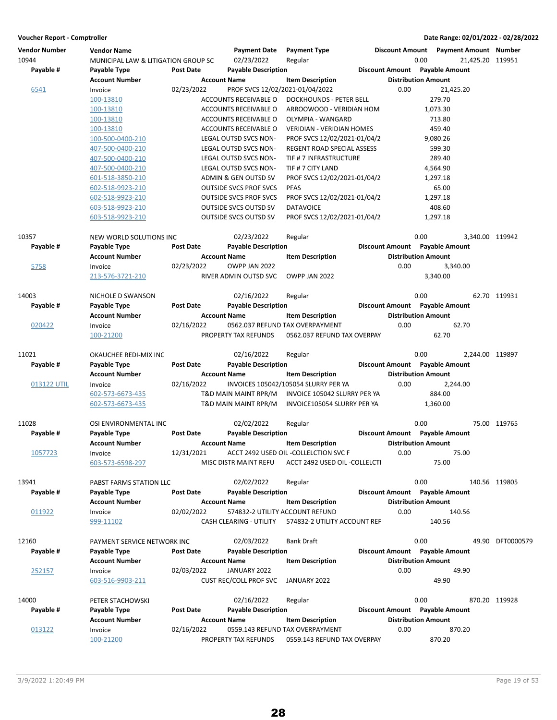| <b>Vendor Number</b> | <b>Vendor Name</b>                  |                  | <b>Payment Date</b>             | <b>Payment Type</b>                   |      |                                | Discount Amount Payment Amount Number |                  |
|----------------------|-------------------------------------|------------------|---------------------------------|---------------------------------------|------|--------------------------------|---------------------------------------|------------------|
| 10944                | MUNICIPAL LAW & LITIGATION GROUP SC |                  | 02/23/2022                      | Regular                               |      | 0.00                           | 21,425.20 119951                      |                  |
| Payable #            | Payable Type                        | <b>Post Date</b> | <b>Payable Description</b>      |                                       |      | Discount Amount Payable Amount |                                       |                  |
|                      | <b>Account Number</b>               |                  | <b>Account Name</b>             | <b>Item Description</b>               |      | <b>Distribution Amount</b>     |                                       |                  |
| 6541                 | Invoice                             | 02/23/2022       | PROF SVCS 12/02/2021-01/04/2022 |                                       | 0.00 |                                | 21,425.20                             |                  |
|                      | 100-13810                           |                  | ACCOUNTS RECEIVABLE O           | <b>DOCKHOUNDS - PETER BELL</b>        |      | 279.70                         |                                       |                  |
|                      | 100-13810                           |                  | ACCOUNTS RECEIVABLE O           | ARROOWOOD - VERIDIAN HOM              |      | 1,073.30                       |                                       |                  |
|                      | 100-13810                           |                  | ACCOUNTS RECEIVABLE O           | OLYMPIA - WANGARD                     |      | 713.80                         |                                       |                  |
|                      | 100-13810                           |                  | ACCOUNTS RECEIVABLE O           | <b>VERIDIAN - VERIDIAN HOMES</b>      |      | 459.40                         |                                       |                  |
|                      | 100-500-0400-210                    |                  | LEGAL OUTSD SVCS NON-           | PROF SVCS 12/02/2021-01/04/2          |      | 9,080.26                       |                                       |                  |
|                      | 407-500-0400-210                    |                  | LEGAL OUTSD SVCS NON-           | REGENT ROAD SPECIAL ASSESS            |      | 599.30                         |                                       |                  |
|                      | 407-500-0400-210                    |                  | <b>LEGAL OUTSD SVCS NON-</b>    | TIF # 7 INFRASTRUCTURE                |      | 289.40                         |                                       |                  |
|                      | 407-500-0400-210                    |                  | LEGAL OUTSD SVCS NON-           | TIF # 7 CITY LAND                     |      | 4,564.90                       |                                       |                  |
|                      | 601-518-3850-210                    |                  | ADMIN & GEN OUTSD SV            | PROF SVCS 12/02/2021-01/04/2          |      | 1,297.18                       |                                       |                  |
|                      | 602-518-9923-210                    |                  | <b>OUTSIDE SVCS PROF SVCS</b>   | PFAS                                  |      | 65.00                          |                                       |                  |
|                      | 602-518-9923-210                    |                  | <b>OUTSIDE SVCS PROF SVCS</b>   | PROF SVCS 12/02/2021-01/04/2          |      | 1,297.18                       |                                       |                  |
|                      | 603-518-9923-210                    |                  | <b>OUTSIDE SVCS OUTSD SV</b>    | <b>DATAVOICE</b>                      |      | 408.60                         |                                       |                  |
|                      | 603-518-9923-210                    |                  | <b>OUTSIDE SVCS OUTSD SV</b>    | PROF SVCS 12/02/2021-01/04/2          |      | 1,297.18                       |                                       |                  |
| 10357                | NEW WORLD SOLUTIONS INC             |                  | 02/23/2022                      | Regular                               |      | 0.00                           | 3,340.00 119942                       |                  |
| Payable #            | Payable Type                        | Post Date        | <b>Payable Description</b>      |                                       |      | Discount Amount Payable Amount |                                       |                  |
|                      | <b>Account Number</b>               |                  | <b>Account Name</b>             | <b>Item Description</b>               |      | <b>Distribution Amount</b>     |                                       |                  |
| 5758                 | Invoice                             | 02/23/2022       | OWPP JAN 2022                   |                                       | 0.00 |                                | 3,340.00                              |                  |
|                      | 213-576-3721-210                    |                  | RIVER ADMIN OUTSD SVC           | OWPP JAN 2022                         |      | 3,340.00                       |                                       |                  |
| 14003                | NICHOLE D SWANSON                   |                  | 02/16/2022                      | Regular                               |      | 0.00                           |                                       | 62.70 119931     |
| Payable #            | Payable Type                        | Post Date        | <b>Payable Description</b>      |                                       |      | Discount Amount Payable Amount |                                       |                  |
|                      | <b>Account Number</b>               |                  | <b>Account Name</b>             | <b>Item Description</b>               |      | <b>Distribution Amount</b>     |                                       |                  |
| 020422               | Invoice                             | 02/16/2022       |                                 | 0562.037 REFUND TAX OVERPAYMENT       | 0.00 |                                | 62.70                                 |                  |
|                      | 100-21200                           |                  | PROPERTY TAX REFUNDS            | 0562.037 REFUND TAX OVERPAY           |      | 62.70                          |                                       |                  |
| 11021                | OKAUCHEE REDI-MIX INC               |                  | 02/16/2022                      | Regular                               |      | 0.00                           | 2,244.00 119897                       |                  |
| Payable #            | Payable Type                        | Post Date        | <b>Payable Description</b>      |                                       |      | Discount Amount Payable Amount |                                       |                  |
|                      | <b>Account Number</b>               |                  | <b>Account Name</b>             | <b>Item Description</b>               |      | <b>Distribution Amount</b>     |                                       |                  |
| 013122 UTIL          | Invoice                             | 02/16/2022       |                                 | INVOICES 105042/105054 SLURRY PER YA  | 0.00 |                                | 2,244.00                              |                  |
|                      | 602-573-6673-435                    |                  | T&D MAIN MAINT RPR/M            | INVOICE 105042 SLURRY PER YA          |      | 884.00                         |                                       |                  |
|                      | 602-573-6673-435                    |                  | T&D MAIN MAINT RPR/M            | INVOICE105054 SLURRY PER YA           |      | 1,360.00                       |                                       |                  |
| 11028                | OSI ENVIRONMENTAL INC               |                  | 02/02/2022                      | Regular                               |      | 0.00                           |                                       | 75.00 119765     |
| Payable #            | Payable Type                        | Post Date        | <b>Payable Description</b>      |                                       |      | Discount Amount Payable Amount |                                       |                  |
|                      | <b>Account Number</b>               |                  | <b>Account Name</b>             | <b>Item Description</b>               |      | <b>Distribution Amount</b>     |                                       |                  |
| 1057723              | Invoice                             | 12/31/2021       |                                 | ACCT 2492 USED OIL -COLLELCTION SVC F | 0.00 |                                | 75.00                                 |                  |
|                      | 603-573-6598-297                    |                  | MISC DISTR MAINT REFU           | ACCT 2492 USED OIL -COLLELCTI         |      | 75.00                          |                                       |                  |
| 13941                | PABST FARMS STATION LLC             |                  | 02/02/2022                      | Regular                               |      | 0.00                           |                                       | 140.56 119805    |
| Payable #            | Payable Type                        | Post Date        | <b>Payable Description</b>      |                                       |      | Discount Amount Payable Amount |                                       |                  |
|                      | <b>Account Number</b>               |                  | <b>Account Name</b>             | <b>Item Description</b>               |      | <b>Distribution Amount</b>     |                                       |                  |
| 011922               | Invoice                             | 02/02/2022       | 574832-2 UTILITY ACCOUNT REFUND |                                       | 0.00 |                                | 140.56                                |                  |
|                      | 999-11102                           |                  | <b>CASH CLEARING - UTILITY</b>  | 574832-2 UTILITY ACCOUNT REF          |      | 140.56                         |                                       |                  |
| 12160                | PAYMENT SERVICE NETWORK INC         |                  | 02/03/2022                      | <b>Bank Draft</b>                     |      | 0.00                           |                                       | 49.90 DFT0000579 |
| Payable #            | Payable Type                        | Post Date        | <b>Payable Description</b>      |                                       |      | Discount Amount Payable Amount |                                       |                  |
|                      | <b>Account Number</b>               |                  | <b>Account Name</b>             | <b>Item Description</b>               |      | <b>Distribution Amount</b>     |                                       |                  |
| 252157               | Invoice                             | 02/03/2022       | JANUARY 2022                    |                                       | 0.00 |                                | 49.90                                 |                  |
|                      | 603-516-9903-211                    |                  | <b>CUST REC/COLL PROF SVC</b>   | JANUARY 2022                          |      | 49.90                          |                                       |                  |
| 14000                | PETER STACHOWSKI                    |                  | 02/16/2022                      | Regular                               |      | 0.00                           |                                       | 870.20 119928    |
| Payable #            | Payable Type                        | Post Date        | <b>Payable Description</b>      |                                       |      | Discount Amount Payable Amount |                                       |                  |
|                      | <b>Account Number</b>               |                  | <b>Account Name</b>             | <b>Item Description</b>               |      | <b>Distribution Amount</b>     |                                       |                  |
| 013122               | Invoice                             | 02/16/2022       |                                 | 0559.143 REFUND TAX OVERPAYMENT       | 0.00 |                                | 870.20                                |                  |
|                      | 100-21200                           |                  | PROPERTY TAX REFUNDS            | 0559.143 REFUND TAX OVERPAY           |      | 870.20                         |                                       |                  |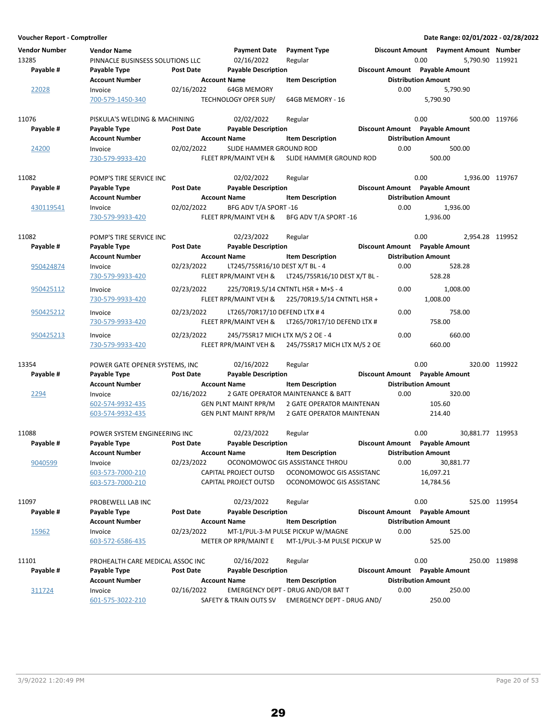| Voucher Report - Comptroller |                                  |                  |                                  |                                     |                                |                            | Date Range: 02/01/2022 - 02/28/2022   |               |
|------------------------------|----------------------------------|------------------|----------------------------------|-------------------------------------|--------------------------------|----------------------------|---------------------------------------|---------------|
| <b>Vendor Number</b>         | <b>Vendor Name</b>               |                  | <b>Payment Date</b>              | <b>Payment Type</b>                 |                                |                            | Discount Amount Payment Amount Number |               |
| 13285                        | PINNACLE BUSINSESS SOLUTIONS LLC |                  | 02/16/2022                       | Regular                             |                                | 0.00                       | 5,790.90 119921                       |               |
| Payable #                    | Payable Type                     | Post Date        | <b>Payable Description</b>       |                                     | Discount Amount Payable Amount |                            |                                       |               |
|                              | <b>Account Number</b>            |                  | <b>Account Name</b>              | <b>Item Description</b>             |                                | <b>Distribution Amount</b> |                                       |               |
| 22028                        | Invoice                          | 02/16/2022       | <b>64GB MEMORY</b>               |                                     | 0.00                           |                            | 5,790.90                              |               |
|                              | 700-579-1450-340                 |                  | TECHNOLOGY OPER SUP/             | 64GB MEMORY - 16                    |                                | 5,790.90                   |                                       |               |
|                              |                                  |                  |                                  |                                     |                                |                            |                                       |               |
| 11076                        | PISKULA'S WELDING & MACHINING    |                  | 02/02/2022                       | Regular                             |                                | 0.00                       |                                       | 500.00 119766 |
| Payable #                    | Payable Type                     | <b>Post Date</b> | <b>Payable Description</b>       |                                     | Discount Amount Payable Amount |                            |                                       |               |
|                              | <b>Account Number</b>            |                  | <b>Account Name</b>              | <b>Item Description</b>             |                                | <b>Distribution Amount</b> |                                       |               |
| 24200                        | Invoice                          | 02/02/2022       | SLIDE HAMMER GROUND ROD          |                                     | 0.00                           |                            | 500.00                                |               |
|                              | 730-579-9933-420                 |                  | FLEET RPR/MAINT VEH &            | SLIDE HAMMER GROUND ROD             |                                | 500.00                     |                                       |               |
|                              |                                  |                  |                                  |                                     |                                |                            |                                       |               |
| 11082                        | POMP'S TIRE SERVICE INC          |                  | 02/02/2022                       | Regular                             |                                | 0.00                       | 1,936.00 119767                       |               |
| Payable #                    | Payable Type                     | Post Date        | <b>Payable Description</b>       |                                     | Discount Amount Payable Amount |                            |                                       |               |
|                              | <b>Account Number</b>            |                  | <b>Account Name</b>              | <b>Item Description</b>             |                                | <b>Distribution Amount</b> |                                       |               |
| 430119541                    | Invoice                          | 02/02/2022       | BFG ADV T/A SPORT -16            |                                     | 0.00                           |                            | 1,936.00                              |               |
|                              | 730-579-9933-420                 |                  | FLEET RPR/MAINT VEH &            | BFG ADV T/A SPORT -16               |                                | 1,936.00                   |                                       |               |
|                              |                                  |                  |                                  |                                     |                                |                            |                                       |               |
| 11082                        | POMP'S TIRE SERVICE INC          |                  | 02/23/2022                       | Regular                             |                                | 0.00                       | 2.954.28 119952                       |               |
| Payable #                    | Payable Type                     | Post Date        | <b>Payable Description</b>       |                                     | Discount Amount Payable Amount |                            |                                       |               |
|                              | <b>Account Number</b>            |                  | <b>Account Name</b>              | <b>Item Description</b>             |                                | <b>Distribution Amount</b> |                                       |               |
| 950424874                    | Invoice                          | 02/23/2022       | LT245/75SR16/10 DEST X/T BL - 4  |                                     | 0.00                           |                            | 528.28                                |               |
|                              | 730-579-9933-420                 |                  | FLEET RPR/MAINT VEH &            | LT245/75SR16/10 DEST X/T BL -       |                                | 528.28                     |                                       |               |
|                              |                                  |                  |                                  |                                     |                                |                            |                                       |               |
| 950425112                    | Invoice                          | 02/23/2022       |                                  | 225/70R19.5/14 CNTNTL HSR + M+S - 4 | 0.00                           |                            | 1,008.00                              |               |
|                              | 730-579-9933-420                 |                  | FLEET RPR/MAINT VEH &            | 225/70R19.5/14 CNTNTL HSR +         |                                | 1,008.00                   |                                       |               |
| 950425212                    | Invoice                          | 02/23/2022       | LT265/70R17/10 DEFEND LTX #4     |                                     | 0.00                           |                            | 758.00                                |               |
|                              | 730-579-9933-420                 |                  | FLEET RPR/MAINT VEH &            | LT265/70R17/10 DEFEND LTX #         |                                | 758.00                     |                                       |               |
| 950425213                    | Invoice                          | 02/23/2022       | 245/75SR17 MICH LTX M/S 2 OE - 4 |                                     | 0.00                           |                            | 660.00                                |               |
|                              | 730-579-9933-420                 |                  | FLEET RPR/MAINT VEH &            | 245/75SR17 MICH LTX M/S 2 OE        |                                | 660.00                     |                                       |               |
|                              |                                  |                  |                                  |                                     |                                |                            |                                       |               |
| 13354                        | POWER GATE OPENER SYSTEMS, INC   |                  | 02/16/2022                       | Regular                             |                                | 0.00                       |                                       | 320.00 119922 |
| Payable #                    | Payable Type                     | <b>Post Date</b> | <b>Payable Description</b>       |                                     | Discount Amount Payable Amount |                            |                                       |               |
|                              | <b>Account Number</b>            |                  | <b>Account Name</b>              | <b>Item Description</b>             |                                | <b>Distribution Amount</b> |                                       |               |
| 2294                         | Invoice                          | 02/16/2022       |                                  | 2 GATE OPERATOR MAINTENANCE & BATT  | 0.00                           |                            | 320.00                                |               |
|                              | 602-574-9932-435                 |                  | <b>GEN PLNT MAINT RPR/M</b>      | 2 GATE OPERATOR MAINTENAN           |                                | 105.60                     |                                       |               |
|                              | 603-574-9932-435                 |                  | <b>GEN PLNT MAINT RPR/M</b>      | 2 GATE OPERATOR MAINTENAN           |                                | 214.40                     |                                       |               |
|                              |                                  |                  |                                  |                                     |                                |                            |                                       |               |
| 11088                        | POWER SYSTEM ENGINEERING INC     |                  | 02/23/2022                       | Regular                             |                                | 0.00                       | 30,881.77 119953                      |               |
| Payable #                    | Payable Type                     | Post Date        | <b>Payable Description</b>       |                                     | Discount Amount Payable Amount |                            |                                       |               |
|                              | <b>Account Number</b>            |                  | <b>Account Name</b>              | <b>Item Description</b>             |                                | <b>Distribution Amount</b> |                                       |               |
| 9040599                      | Invoice                          | 02/23/2022       |                                  | OCONOMOWOC GIS ASSISTANCE THROU     | 0.00                           |                            | 30,881.77                             |               |
|                              | 603-573-7000-210                 |                  | CAPITAL PROJECT OUTSD            | OCONOMOWOC GIS ASSISTANC            |                                | 16,097.21                  |                                       |               |
|                              | 603-573-7000-210                 |                  | CAPITAL PROJECT OUTSD            | OCONOMOWOC GIS ASSISTANC            |                                | 14,784.56                  |                                       |               |
|                              |                                  |                  |                                  |                                     |                                |                            |                                       |               |
| 11097                        | PROBEWELL LAB INC                |                  | 02/23/2022                       | Regular                             |                                | 0.00                       |                                       | 525.00 119954 |
| Payable #                    | Payable Type                     | Post Date        | <b>Payable Description</b>       |                                     | Discount Amount Payable Amount |                            |                                       |               |
|                              | <b>Account Number</b>            |                  | <b>Account Name</b>              | <b>Item Description</b>             |                                | <b>Distribution Amount</b> |                                       |               |
|                              |                                  |                  |                                  | MT-1/PUL-3-M PULSE PICKUP W/MAGNE   | 0.00                           |                            | 525.00                                |               |
| 15962                        | Invoice                          | 02/23/2022       |                                  | MT-1/PUL-3-M PULSE PICKUP W         |                                |                            |                                       |               |
|                              | 603-572-6586-435                 |                  | METER OP RPR/MAINT E             |                                     |                                | 525.00                     |                                       |               |
|                              |                                  |                  |                                  |                                     |                                | 0.00                       |                                       |               |
| 11101                        | PROHEALTH CARE MEDICAL ASSOC INC |                  | 02/16/2022                       | Regular                             |                                |                            |                                       | 250.00 119898 |
| Payable #                    | Payable Type                     | Post Date        | <b>Payable Description</b>       |                                     | Discount Amount Payable Amount |                            |                                       |               |
|                              | <b>Account Number</b>            |                  | <b>Account Name</b>              | <b>Item Description</b>             |                                | <b>Distribution Amount</b> |                                       |               |
| 311724                       | Invoice                          | 02/16/2022       |                                  | EMERGENCY DEPT - DRUG AND/OR BAT T  | 0.00                           |                            | 250.00                                |               |
|                              | 601-575-3022-210                 |                  | SAFETY & TRAIN OUTS SV           | EMERGENCY DEPT - DRUG AND/          |                                | 250.00                     |                                       |               |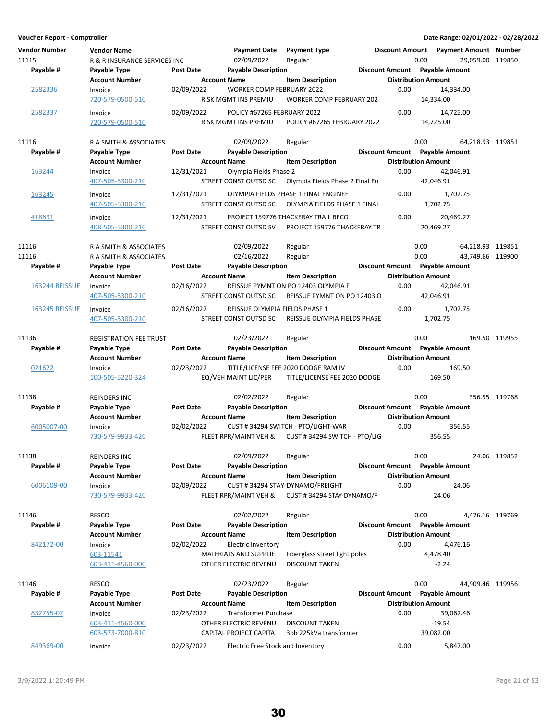**Voucher Report - Comptroller Date Range: 02/01/2022 - 02/28/2022 Vendor Number Vendor Name Payment Date Discount Amount Payment Type Payment Amount Number** 11115 R& R INSURANCE SERVICES INC 02/09/2022 Regular 0.00 0.00 29,059.00 119850 **Account Number 1.1 Account Name** Item Description 1.1 Distribution Amount Payable # Payable Type **Post Date Payable Description Payable Amount** Payable Amount 2582336 Invoice 02/09/2022 WORKER COMP FEBRUARY 2022 0.00 14,334.00<br>720-579-0500-510 RISK MGMT INS PREMIU WORKER COMP FEBRUARY 202 14.334.00 WORKER COMP FEBRUARY 202 2582337 Invoice 02/09/2022 POLICY #67265 FEBRUARY 2022 0.00 14,725.00 720-579-0500-510 RISK MGMT INS PREMIU 14,725.00 POLICY #67265 FEBRUARY 2022 11116 **RA SMITH & ASSOCIATES** 02/09/2022 Regular 0.00 64.218.93 119851 **Account Number 6 Account Name 12 Account Name 12 Account Distribution Amount** Payable # Payable Type **Post Date Payable Description Payable Amount** Payable Amount 163244 Invoice 12/31/2021 Olympia Fields Phase 2 6.00 42,046.91<br>407-505-5300-210 STREET CONST OUTSD SC Olympia Fields Phase 2 Final En 42.046.91 Olympia Fields Phase 2 Final En 42,046.91 163245 Invoice 12/31/2021 OLYMPIA FIELDS PHASE 1 FINAL ENGINEE 0.00 1,702.75 407-505-5300-210 STREET CONST OUTSD SC 1,702.75 OLYMPIA FIELDS PHASE 1 FINAL 418691 Invoice 12/31/2021 PROJECT 159776 THACKERAY TRAIL RECO 20,469.27 0.00 408-505-5300-210 STREET CONST OUTSD SV 20,469.27 PROJECT 159776 THACKERAY TR 11116 **RA SMITH & ASSOCIATES** 02/09/2022 Regular 0.00 -64,218.93 119851 11116 RA SMITH & ASSOCIATES 02/16/2022 Regular 0.00 43,749.66 119900 **Account Number 6 Account Name 12 Account Name Item Description 6 Distribution Amount** Payable # Payable Type **Post Date Payable Description Payable Biscount Amount** Payable Amount  $\frac{163244 \text{ REISSUE}}{407-505-5300-210}$  and  $\frac{02}{16/2022}$  REISSUE PYMNT ON PO 12403 OLYMPIA F  $\frac{42,046.91}{42,046.91}$ 407-505-5300-210 STREET CONST OUTSD SC 42,046.91 REISSUE PYMNT ON PO 12403 O 163245 REISSUE Invoice 02/16/2022 REISSUE OLYMPIA FIELDS PHASE 1 1,702.75 0.00 407-505-5300-210 STREET CONST OUTSD SC 1,702.75 REISSUE OLYMPIA FIELDS PHASE 11136 **REGISTRATION FEE TRUST 102/23/2022** Regular 11136 0.00 169.50 119955 **Account Number 6 Account Name 19 Account Name 1 Account Distribution Amount** Payable # Payable Type **Post Date Payable Description Payable Discount Amount** Payable Amount 021622 Invoice 02/23/2022 TITLE/LICENSE FEE 2020 DODGE RAM IV 0.00 169.50 100-505-5220-324 EQ/VEH MAINT LIC/PER 169.50 TITLE/LICENSE FEE 2020 DODGE 11138 **REINDERS INC Regular 11138** Regular 11138 Regular 11138 Regular 119768 **Account Number 6 Account Name 12 Account Number Account Name 12 Account Number 6 Account Name** Payable # Payable Type **Post Date Payable Description** Payable Discount Amount Payable Amount 6005007-00 Invoice 02/02/2022 CUST # 34294 SWITCH - PTO/LIGHT-WAR 356.55 0.00 730-579-9933-420 FLEET RPR/MAINT VEH & 356.55 CUST # 34294 SWITCH - PTO/LIG 11138 REINDERS INC 02/09/2022 119852 Regular 0.00 24.06 **Account Number 19 Account Name** Item Description 1995 Distribution Amount Payable # Payable Type **Post Date Payable Description Payable Discount Amount** Payable Amount 6006109-00 Invoice 02/09/2022 CUST # 34294 STAY-DYNAMO/FREIGHT 24.06 0.00 730-579-9933-420 FLEET RPR/MAINT VEH & 24.06 CUST # 34294 STAY-DYNAMO/F 11146 RESCO 02/02/2022 119769 Regular 0.00 4,476.16 **Account Number Account Name 19 Account Name** Item Description 19 Distribution Amount Payable # Payable Type **Post Date Payable Description Payable Bescription** Discount Amount Payable Amount  $842172-00$  Invoice 02/02/2022 Electric Inventory 0.00 4,476.16 603-11541 MATERIALS AND SUPPLIE Fiberglass street light poles 4,478.40 603-411-4560-000 **OTHER ELECTRIC REVENU DISCOUNT TAKEN** -2.24 11146 RESCO 02/23/2022 119956 Regular 0.00 44,909.46 **Account Number 6 Account Name 12 Account Name 12 Account Distribution Amount** Payable # Payable Type **Post Date Payable Description Payable Amount** Payable Amount 832755-02 Invoice 02/23/2022 Transformer Purchase 39,002.46 0.00 39,062.46 603-411-4560-000 **OTHER ELECTRIC REVENU - DISCOUNT TAKEN** -19.54 603-573-7000-810 CAPITAL PROJECT CAPITA 3ph 225kVa transformer 39,082.00 849369-00 Invoice 02/23/2022 Electric Free Stock and Inventory 0.00 5,847.00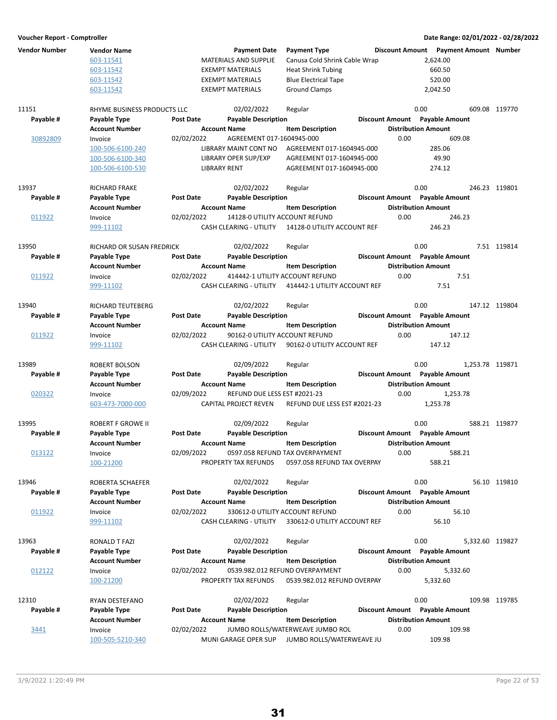| <b>Vendor Number</b> | <b>Vendor Name</b>          |                  | <b>Payment Date</b>            | <b>Payment Type</b>              |                                | Discount Amount  Payment Amount  Number |               |
|----------------------|-----------------------------|------------------|--------------------------------|----------------------------------|--------------------------------|-----------------------------------------|---------------|
|                      | 603-11541                   |                  | MATERIALS AND SUPPLIE          | Canusa Cold Shrink Cable Wrap    |                                | 2,624.00                                |               |
|                      | 603-11542                   |                  | <b>EXEMPT MATERIALS</b>        | <b>Heat Shrink Tubing</b>        |                                | 660.50                                  |               |
|                      | 603-11542                   |                  | <b>EXEMPT MATERIALS</b>        | <b>Blue Electrical Tape</b>      |                                | 520.00                                  |               |
|                      | 603-11542                   |                  | <b>EXEMPT MATERIALS</b>        | <b>Ground Clamps</b>             |                                | 2,042.50                                |               |
|                      |                             |                  |                                |                                  |                                |                                         |               |
| 11151                | RHYME BUSINESS PRODUCTS LLC |                  | 02/02/2022                     | Regular                          | 0.00                           |                                         | 609.08 119770 |
| Payable #            | Payable Type                | <b>Post Date</b> | <b>Payable Description</b>     |                                  | Discount Amount Payable Amount |                                         |               |
|                      | Account Number              |                  | <b>Account Name</b>            | <b>Item Description</b>          | <b>Distribution Amount</b>     |                                         |               |
| 30892809             | Invoice                     | 02/02/2022       | AGREEMENT 017-1604945-000      |                                  | 0.00                           | 609.08                                  |               |
|                      |                             |                  |                                |                                  |                                |                                         |               |
|                      | 100-506-6100-240            |                  | LIBRARY MAINT CONT NO          | AGREEMENT 017-1604945-000        |                                | 285.06                                  |               |
|                      | 100-506-6100-340            |                  | LIBRARY OPER SUP/EXP           | AGREEMENT 017-1604945-000        |                                | 49.90                                   |               |
|                      | 100-506-6100-530            |                  | <b>LIBRARY RENT</b>            | AGREEMENT 017-1604945-000        |                                | 274.12                                  |               |
| 13937                | RICHARD FRAKE               |                  | 02/02/2022                     | Regular                          | 0.00                           |                                         | 246.23 119801 |
| Payable #            | Payable Type                | <b>Post Date</b> | <b>Payable Description</b>     |                                  | Discount Amount Payable Amount |                                         |               |
|                      |                             |                  |                                |                                  | <b>Distribution Amount</b>     |                                         |               |
|                      | <b>Account Number</b>       |                  | <b>Account Name</b>            | <b>Item Description</b>          |                                |                                         |               |
| 011922               | Invoice                     | 02/02/2022       | 14128-0 UTILITY ACCOUNT REFUND |                                  | 0.00                           | 246.23                                  |               |
|                      | 999-11102                   |                  | CASH CLEARING - UTILITY        | 14128-0 UTILITY ACCOUNT REF      |                                | 246.23                                  |               |
| 13950                | RICHARD OR SUSAN FREDRICK   |                  | 02/02/2022                     | Regular                          | 0.00                           |                                         | 7.51 119814   |
| Payable #            | Payable Type                | <b>Post Date</b> | <b>Payable Description</b>     |                                  | Discount Amount Payable Amount |                                         |               |
|                      | <b>Account Number</b>       |                  | <b>Account Name</b>            | <b>Item Description</b>          | <b>Distribution Amount</b>     |                                         |               |
| 011922               | Invoice                     | 02/02/2022       |                                | 414442-1 UTILITY ACCOUNT REFUND  | 0.00                           | 7.51                                    |               |
|                      |                             |                  |                                |                                  |                                |                                         |               |
|                      | 999-11102                   |                  | CASH CLEARING - UTILITY        | 414442-1 UTILITY ACCOUNT REF     |                                | 7.51                                    |               |
| 13940                | RICHARD TEUTEBERG           |                  | 02/02/2022                     | Regular                          | 0.00                           |                                         | 147.12 119804 |
| Payable #            | Payable Type                | <b>Post Date</b> | <b>Payable Description</b>     |                                  | Discount Amount Payable Amount |                                         |               |
|                      | Account Number              |                  | <b>Account Name</b>            | <b>Item Description</b>          | <b>Distribution Amount</b>     |                                         |               |
|                      |                             |                  |                                |                                  |                                |                                         |               |
| 011922               | Invoice                     | 02/02/2022       | 90162-0 UTILITY ACCOUNT REFUND |                                  | 0.00                           | 147.12                                  |               |
|                      | 999-11102                   |                  | CASH CLEARING - UTILITY        | 90162-0 UTILITY ACCOUNT REF      |                                | 147.12                                  |               |
| 13989                | ROBERT BOLSON               |                  | 02/09/2022                     | Regular                          | 0.00                           | 1,253.78 119871                         |               |
| Payable #            | Payable Type                | <b>Post Date</b> | <b>Payable Description</b>     |                                  | Discount Amount Payable Amount |                                         |               |
|                      | Account Number              |                  | <b>Account Name</b>            | <b>Item Description</b>          | <b>Distribution Amount</b>     |                                         |               |
| 020322               |                             |                  | REFUND DUE LESS EST #2021-23   |                                  | 0.00                           | 1,253.78                                |               |
|                      | Invoice                     | 02/09/2022       |                                |                                  |                                |                                         |               |
|                      | 603-473-7000-000            |                  | CAPITAL PROJECT REVEN          | REFUND DUE LESS EST #2021-23     |                                | 1,253.78                                |               |
| 13995                | ROBERT F GROWE II           |                  | 02/09/2022                     | Regular                          | 0.00                           |                                         | 588.21 119877 |
| Payable #            | Payable Type                | <b>Post Date</b> | <b>Payable Description</b>     |                                  | Discount Amount Payable Amount |                                         |               |
|                      | Account Number              |                  | <b>Account Name</b>            | <b>Item Description</b>          | <b>Distribution Amount</b>     |                                         |               |
| 013122               | Invoice                     | 02/09/2022       |                                | 0597.058 REFUND TAX OVERPAYMENT  | 0.00                           | 588.21                                  |               |
|                      | 100-21200                   |                  | PROPERTY TAX REFUNDS           | 0597.058 REFUND TAX OVERPAY      |                                | 588.21                                  |               |
|                      |                             |                  |                                |                                  |                                |                                         |               |
| 13946                | ROBERTA SCHAEFER            |                  | 02/02/2022                     | Regular                          | 0.00                           |                                         | 56.10 119810  |
| Payable #            | Payable Type                | <b>Post Date</b> | <b>Payable Description</b>     |                                  | Discount Amount Payable Amount |                                         |               |
|                      | <b>Account Number</b>       |                  | <b>Account Name</b>            | <b>Item Description</b>          | <b>Distribution Amount</b>     |                                         |               |
| 011922               | Invoice                     | 02/02/2022       |                                | 330612-0 UTILITY ACCOUNT REFUND  | 0.00                           | 56.10                                   |               |
|                      |                             |                  | CASH CLEARING - UTILITY        | 330612-0 UTILITY ACCOUNT REF     |                                | 56.10                                   |               |
|                      | 999-11102                   |                  |                                |                                  |                                |                                         |               |
| 13963                | RONALD T FAZI               |                  | 02/02/2022                     | Regular                          | 0.00                           | 5,332.60 119827                         |               |
| Payable #            | Payable Type                | <b>Post Date</b> | <b>Payable Description</b>     |                                  | Discount Amount Payable Amount |                                         |               |
|                      | <b>Account Number</b>       |                  | <b>Account Name</b>            | <b>Item Description</b>          | <b>Distribution Amount</b>     |                                         |               |
|                      |                             | 02/02/2022       |                                | 0539.982.012 REFUND OVERPAYMENT  | 0.00                           |                                         |               |
| 012122               | Invoice                     |                  |                                |                                  |                                | 5,332.60                                |               |
|                      | 100-21200                   |                  | PROPERTY TAX REFUNDS           | 0539.982.012 REFUND OVERPAY      |                                | 5,332.60                                |               |
| 12310                | RYAN DESTEFANO              |                  | 02/02/2022                     | Regular                          | 0.00                           |                                         | 109.98 119785 |
| Payable #            | Payable Type                | <b>Post Date</b> | <b>Payable Description</b>     |                                  | Discount Amount Payable Amount |                                         |               |
|                      | <b>Account Number</b>       |                  | <b>Account Name</b>            | <b>Item Description</b>          | <b>Distribution Amount</b>     |                                         |               |
|                      |                             |                  |                                | JUMBO ROLLS/WATERWEAVE JUMBO ROL | 0.00                           | 109.98                                  |               |
| 3441                 | Invoice                     | 02/02/2022       |                                |                                  |                                |                                         |               |
|                      | 100-505-5210-340            |                  | MUNI GARAGE OPER SUP           | JUMBO ROLLS/WATERWEAVE JU        |                                | 109.98                                  |               |
|                      |                             |                  |                                |                                  |                                |                                         |               |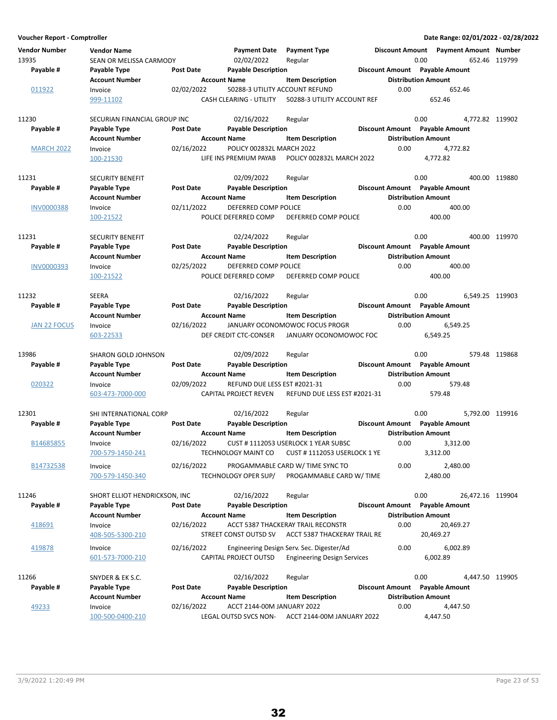**Voucher Report - Comptroller Date Range: 02/01/2022 - 02/28/2022 Vendor Number Vendor Name Payment Date Discount Amount Payment Type Payment Amount Number** 13935 SEAN OR MELISSA CARMODY 02/02/2022 Regular 0.00 0.00 652.46 119799 **Account Number 19 Account Name 19 Account Distribution Amount** Payable # Payable Type **Post Date Payable Description Payable Amount** Payable Amount  $\frac{011922}{99999911102}$  Invoice  $\frac{02}{02}$  02/02/2022 50288-3 UTILITY ACCOUNT REFUND 652.46 652.46 CASH CLEARING - UTILITY 50288-3 UTILITY ACCOUNT REF 11230 SECURIAN FINANCIAL GROUP INC 02/16/2022 Regular 0.00 0.00 4,772.82 119902 **Account Number 1.0 Account Name 1.0 Account Distribution Amount** Amount Payable # Payable Type **Post Date Payable Description Payable Biscount Amount** Payable Amount MARCH 2022 Invoice 02/16/2022 POLICY 002832L MARCH 2022 0.00 4,772.82 100-21530 LIFE INS PREMIUM PAYAB POLICY 002832L MARCH 2022 4,772.82 11231 SECURITY BENEFIT 19880 82/09/2022 Regular 119880 8.00 400.00 119880 **Account Number Account Name Item Description Distribution Amount Payable # Post Date Payable Description Payable Amount Payable Type Discount Amount** INV0000388 Invoice 02/11/2022 DEFERRED COMP POLICE 0.00 400.00 100-21522 POLICE DEFERRED COMP 400.00 DEFERRED COMP POLICE 11231 SECURITY BENEFIT 62/24/2022 Regular 60.00 0.00 400.00 119970 Regular 5 **Account Number 1.0 Account Name 1.0 Account Distribution Amount** Amount Payable # Payable Type Post Date Payable Description **Payable Description** Discount Amount Payable Amount INV0000393 Invoice 02/25/2022 DEFERRED COMP POLICE 0.00 400.00 100-21522 POLICE DEFERRED COMP 400.00 DEFERRED COMP POLICE 11232 SEERA 02/16/2022 119903 Regular 0.00 6,549.25 **Account Number 6 Account Name 19 Account Distribution Amount** Payable # Payable Type **Post Date Payable Description Payable Amount** Payable Amount JAN 22 FOCUS Invoice 02/16/2022 JANUARY OCONOMOWOC FOCUS PROGR 0.00 6,549.25 603-22533 DEF CREDIT CTC-CONSER 6,549.25 JANUARY OCONOMOWOC FOC 13986 SHARON GOLD JOHNSON 02/09/2022 Regular 0.00 0.00 579.48 119868 **Account Number 6 Account Name 12 Account Name** Item Description 1995 Distribution Amount Payable # Payable Type **Post Date Payable Description Payable Amount** Payable Amount 020322 Invoice 02/09/2022 REFUND DUE LESS EST #2021-31 0.00 579.48 603-473-7000-000 CAPITAL PROJECT REVEN 579.48 REFUND DUE LESS EST #2021-31 12301 SHI INTERNATIONAL CORP 02/16/2022 Regular 0.00 0.00 5,792.00 119916 **Account Number 6 Account Name 19 Account Name** Item Description 19 Distribution Amount Payable # Payable Type **Post Date Payable Description Payable Besount Amount** Payable Amount B14685855 Invoice 02/16/2022 CUST # 1112053 USERLOCK 1 YEAR SUBSC 0.00 3.312.00 700-579-1450-241 TECHNOLOGY MAINT CO 3,312.00 CUST # 1112053 USERLOCK 1 YE B14732538 Invoice 02/16/2022 PROGAMMABLE CARD W/ TIME SYNC TO 0.00 2,480.00 700-579-1450-340 TECHNOLOGY OPER SUP/ 2,480.00 PROGAMMABLE CARD W/ TIME 11246 SHORT ELLIOT HENDRICKSON, INC 02/16/2022 Regular 0.00 0.00 26,472.16 119904 Account Number **Account Name** Item Description **Distribution Amount** Payable # Payable Type **Post Date** Payable Description **Payable Discount Amount** Payable Amount 418691 Invoice 02/16/2022 ACCT 5387 THACKERAY TRAIL RECONSTR 20,469.27 0.00 408-505-5300-210 STREET CONST OUTSD SV 20,469.27 ACCT 5387 THACKERAY TRAIL RE 419878 Invoice 02/16/2022 Engineering Design Serv. Sec. Digester/Ad 6,002.89 0.00 601-573-7000-210 CAPITAL PROJECT OUTSD 6,002.89 Engineering Design Services 11266 SNYDER & EK S.C. 6 8 02/16/2022 Regular 1266 8 0.00 4,447.50 119905 **Account Number Account Name Item Description Amount Distribution Amount** Payable # Payable Type Post Date Payable Description **Payable Discount Amount** Payable Amount 49233 Invoice 02/16/2022 ACCT 2144-00M JANUARY 2022 4,447.50 0.00

100-500-0400-210 LEGAL OUTSD SVCS NON- 4,447.50 ACCT 2144-00M JANUARY 2022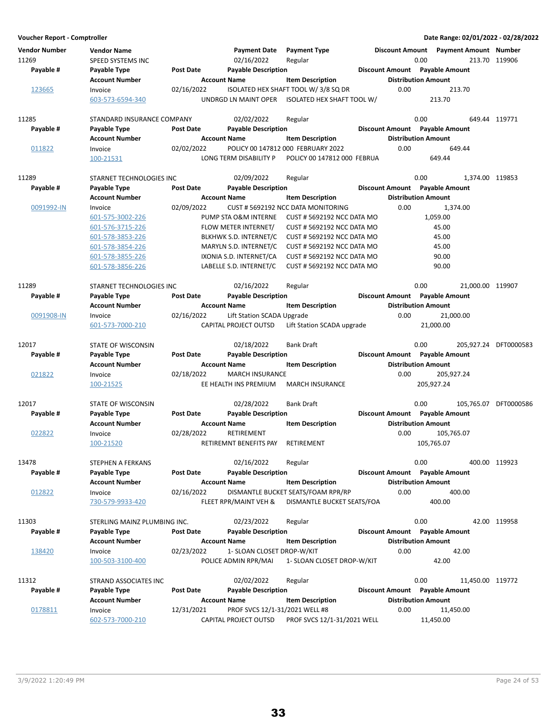| Voucher Report - Comptroller  |                                         |                  |                                   |                                     |                                |                            | Date Range: 02/01/2022 - 02/28/2022     |                       |
|-------------------------------|-----------------------------------------|------------------|-----------------------------------|-------------------------------------|--------------------------------|----------------------------|-----------------------------------------|-----------------------|
| <b>Vendor Number</b><br>11269 | <b>Vendor Name</b><br>SPEED SYSTEMS INC |                  | <b>Payment Date</b><br>02/16/2022 | <b>Payment Type</b><br>Regular      |                                | 0.00                       | Discount Amount  Payment Amount  Number | 213.70 119906         |
| Payable #                     | Payable Type                            | <b>Post Date</b> | <b>Payable Description</b>        |                                     | Discount Amount Payable Amount |                            |                                         |                       |
|                               | <b>Account Number</b>                   |                  | <b>Account Name</b>               | <b>Item Description</b>             |                                | <b>Distribution Amount</b> |                                         |                       |
| 123665                        | Invoice                                 | 02/16/2022       |                                   | ISOLATED HEX SHAFT TOOL W/3/8 SQ DR |                                | 0.00                       | 213.70                                  |                       |
|                               | 603-573-6594-340                        |                  | UNDRGD LN MAINT OPER              | ISOLATED HEX SHAFT TOOL W/          |                                |                            | 213.70                                  |                       |
| 11285                         | STANDARD INSURANCE COMPANY              |                  | 02/02/2022                        | Regular                             |                                | 0.00                       |                                         | 649.44 119771         |
| Payable #                     | Payable Type                            | Post Date        | <b>Payable Description</b>        |                                     | Discount Amount Payable Amount |                            |                                         |                       |
|                               | <b>Account Number</b>                   |                  | <b>Account Name</b>               | <b>Item Description</b>             |                                | <b>Distribution Amount</b> |                                         |                       |
| 011822                        | Invoice                                 | 02/02/2022       |                                   | POLICY 00 147812 000 FEBRUARY 2022  |                                | 0.00                       | 649.44                                  |                       |
|                               | 100-21531                               |                  | LONG TERM DISABILITY P            | POLICY 00 147812 000 FEBRUA         |                                |                            | 649.44                                  |                       |
| 11289                         | STARNET TECHNOLOGIES INC                |                  | 02/09/2022                        | Regular                             |                                | 0.00                       | 1,374.00 119853                         |                       |
| Payable #                     | Payable Type                            | <b>Post Date</b> | <b>Payable Description</b>        |                                     | Discount Amount Payable Amount |                            |                                         |                       |
|                               | <b>Account Number</b>                   |                  | <b>Account Name</b>               | <b>Item Description</b>             |                                | <b>Distribution Amount</b> |                                         |                       |
| 0091992-IN                    | Invoice                                 | 02/09/2022       |                                   | CUST # 5692192 NCC DATA MONITORING  |                                | 0.00                       | 1,374.00                                |                       |
|                               | 601-575-3002-226                        |                  | <b>PUMP STA O&amp;M INTERNE</b>   | CUST # 5692192 NCC DATA MO          |                                |                            | 1,059.00                                |                       |
|                               | 601-576-3715-226                        |                  | FLOW METER INTERNET/              | <b>CUST # 5692192 NCC DATA MO</b>   |                                |                            | 45.00                                   |                       |
|                               | 601-578-3853-226                        |                  | BLKHWK S.D. INTERNET/C            | <b>CUST # 5692192 NCC DATA MO</b>   |                                |                            | 45.00                                   |                       |
|                               | 601-578-3854-226                        |                  | MARYLN S.D. INTERNET/C            | <b>CUST # 5692192 NCC DATA MO</b>   |                                |                            | 45.00                                   |                       |
|                               | 601-578-3855-226                        |                  | IXONIA S.D. INTERNET/CA           | <b>CUST # 5692192 NCC DATA MO</b>   |                                |                            | 90.00                                   |                       |
|                               | 601-578-3856-226                        |                  | LABELLE S.D. INTERNET/C           | <b>CUST # 5692192 NCC DATA MO</b>   |                                |                            | 90.00                                   |                       |
| 11289                         | STARNET TECHNOLOGIES INC                |                  | 02/16/2022                        | Regular                             |                                | 0.00                       | 21.000.00 119907                        |                       |
| Payable #                     | Payable Type                            | Post Date        | <b>Payable Description</b>        |                                     | Discount Amount Payable Amount |                            |                                         |                       |
|                               | <b>Account Number</b>                   |                  | <b>Account Name</b>               | <b>Item Description</b>             |                                | <b>Distribution Amount</b> |                                         |                       |
| 0091908-IN                    | Invoice                                 | 02/16/2022       | Lift Station SCADA Upgrade        |                                     |                                | 0.00                       | 21,000.00                               |                       |
|                               | 601-573-7000-210                        |                  | CAPITAL PROJECT OUTSD             | Lift Station SCADA upgrade          |                                |                            | 21,000.00                               |                       |
| 12017                         | STATE OF WISCONSIN                      |                  | 02/18/2022                        | <b>Bank Draft</b>                   |                                | 0.00                       |                                         | 205,927.24 DFT0000583 |
| Payable #                     | Payable Type                            | Post Date        | <b>Payable Description</b>        |                                     | Discount Amount Payable Amount |                            |                                         |                       |
|                               | <b>Account Number</b>                   |                  | <b>Account Name</b>               | <b>Item Description</b>             |                                | <b>Distribution Amount</b> |                                         |                       |
| 021822                        | Invoice                                 | 02/18/2022       | <b>MARCH INSURANCE</b>            |                                     |                                | 0.00                       | 205,927.24                              |                       |
|                               | 100-21525                               |                  | EE HEALTH INS PREMIUM             | <b>MARCH INSURANCE</b>              |                                |                            | 205,927.24                              |                       |
| 12017                         | STATE OF WISCONSIN                      |                  | 02/28/2022                        | <b>Bank Draft</b>                   |                                | 0.00                       |                                         | 105.765.07 DFT0000586 |
| Payable #                     | Payable Type                            | <b>Post Date</b> | <b>Payable Description</b>        |                                     | Discount Amount Payable Amount |                            |                                         |                       |
|                               | <b>Account Number</b>                   |                  | <b>Account Name</b>               | <b>Item Description</b>             |                                | <b>Distribution Amount</b> |                                         |                       |
| 022822                        | Invoice                                 | 02/28/2022       | RETIREMENT                        |                                     |                                | 0.00                       | 105,765.07                              |                       |
|                               | 100-21520                               |                  | RETIREMNT BENEFITS PAY            | RETIREMENT                          |                                |                            | 105,765.07                              |                       |
| 13478                         | STEPHEN A FERKANS                       |                  | 02/16/2022                        | Regular                             |                                | 0.00                       |                                         | 400.00 119923         |
| Payable #                     | Payable Type                            | <b>Post Date</b> | <b>Payable Description</b>        |                                     | Discount Amount Payable Amount |                            |                                         |                       |
|                               | <b>Account Number</b>                   |                  | <b>Account Name</b>               | <b>Item Description</b>             |                                | <b>Distribution Amount</b> |                                         |                       |
| 012822                        | Invoice                                 | 02/16/2022       |                                   | DISMANTLE BUCKET SEATS/FOAM RPR/RP  |                                | 0.00                       | 400.00                                  |                       |
|                               | 730-579-9933-420                        |                  | FLEET RPR/MAINT VEH &             | DISMANTLE BUCKET SEATS/FOA          |                                |                            | 400.00                                  |                       |
| 11303                         | STERLING MAINZ PLUMBING INC.            |                  | 02/23/2022                        | Regular                             |                                | 0.00                       |                                         | 42.00 119958          |
| Payable #                     | Payable Type                            | <b>Post Date</b> | <b>Payable Description</b>        |                                     | Discount Amount Payable Amount |                            |                                         |                       |
|                               | <b>Account Number</b>                   |                  | <b>Account Name</b>               | <b>Item Description</b>             |                                | <b>Distribution Amount</b> |                                         |                       |
| 138420                        | Invoice                                 | 02/23/2022       | 1- SLOAN CLOSET DROP-W/KIT        |                                     |                                | 0.00                       | 42.00                                   |                       |
|                               | 100-503-3100-400                        |                  | POLICE ADMIN RPR/MAI              | 1- SLOAN CLOSET DROP-W/KIT          |                                |                            | 42.00                                   |                       |
| 11312                         | STRAND ASSOCIATES INC                   |                  | 02/02/2022                        | Regular                             |                                | 0.00                       | 11,450.00 119772                        |                       |
| Payable #                     | Payable Type                            | Post Date        | <b>Payable Description</b>        |                                     | Discount Amount Payable Amount |                            |                                         |                       |
|                               | <b>Account Number</b>                   |                  | <b>Account Name</b>               | <b>Item Description</b>             |                                | <b>Distribution Amount</b> |                                         |                       |
| 0178811                       | Invoice                                 | 12/31/2021       | PROF SVCS 12/1-31/2021 WELL #8    |                                     |                                | 0.00                       | 11,450.00                               |                       |
|                               | 602-573-7000-210                        |                  | CAPITAL PROJECT OUTSD             | PROF SVCS 12/1-31/2021 WELL         |                                |                            | 11,450.00                               |                       |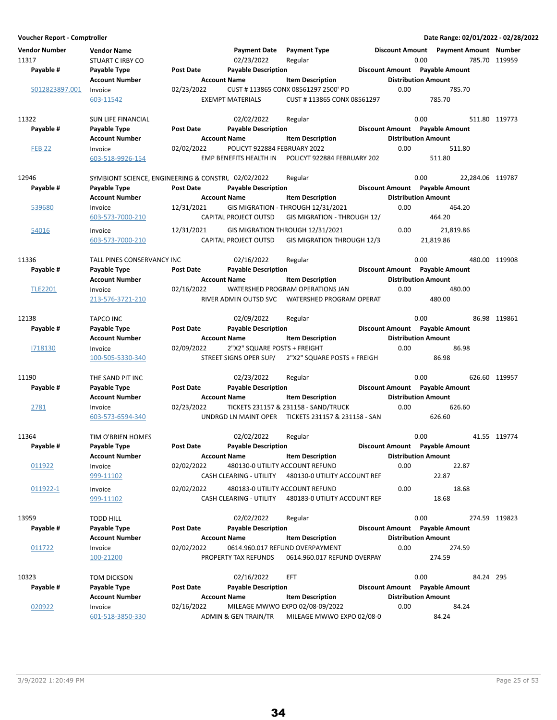| Voucher Report - Comptroller  |                                                    |                  |                              |                                                                 |                                | Date Range: 02/01/2022 - 02/28/2022     |               |
|-------------------------------|----------------------------------------------------|------------------|------------------------------|-----------------------------------------------------------------|--------------------------------|-----------------------------------------|---------------|
| <b>Vendor Number</b><br>11317 | <b>Vendor Name</b><br><b>STUART C IRBY CO</b>      |                  | 02/23/2022                   | Payment Date Payment Type<br>Regular                            | 0.00                           | Discount Amount  Payment Amount  Number | 785.70 119959 |
| Payable #                     | Payable Type                                       | Post Date        | <b>Payable Description</b>   |                                                                 | Discount Amount Payable Amount |                                         |               |
|                               | <b>Account Number</b>                              |                  | <b>Account Name</b>          | <b>Item Description</b>                                         | <b>Distribution Amount</b>     |                                         |               |
| S012823897.001                | Invoice                                            | 02/23/2022       |                              | CUST #113865 CONX 08561297 2500' PO                             | 0.00                           | 785.70                                  |               |
|                               | 603-11542                                          |                  | <b>EXEMPT MATERIALS</b>      | CUST #113865 CONX 08561297                                      |                                | 785.70                                  |               |
| 11322                         | SUN LIFE FINANCIAL                                 |                  | 02/02/2022                   | Regular                                                         | 0.00                           |                                         | 511.80 119773 |
| Payable #                     | Payable Type                                       | <b>Post Date</b> | <b>Payable Description</b>   |                                                                 | Discount Amount Payable Amount |                                         |               |
|                               | <b>Account Number</b>                              |                  | <b>Account Name</b>          | <b>Item Description</b>                                         | <b>Distribution Amount</b>     |                                         |               |
| <b>FEB 22</b>                 | Invoice                                            | 02/02/2022       | POLICYT 922884 FEBRUARY 2022 |                                                                 | 0.00                           | 511.80                                  |               |
|                               | 603-518-9926-154                                   |                  | EMP BENEFITS HEALTH IN       | POLICYT 922884 FEBRUARY 202                                     |                                | 511.80                                  |               |
| 12946                         | SYMBIONT SCIENCE, ENGINEERING & CONSTRU 02/02/2022 |                  |                              | Regular                                                         | 0.00                           | 22,284.06 119787                        |               |
| Payable #                     | Payable Type                                       | <b>Post Date</b> | <b>Payable Description</b>   |                                                                 | Discount Amount Payable Amount |                                         |               |
|                               | <b>Account Number</b>                              |                  | <b>Account Name</b>          | <b>Item Description</b>                                         | <b>Distribution Amount</b>     |                                         |               |
| 539680                        | Invoice                                            | 12/31/2021       |                              | GIS MIGRATION - THROUGH 12/31/2021                              | 0.00                           | 464.20                                  |               |
|                               | 603-573-7000-210                                   |                  | CAPITAL PROJECT OUTSD        | GIS MIGRATION - THROUGH 12/                                     |                                | 464.20                                  |               |
| 54016                         | Invoice                                            | 12/31/2021       |                              | GIS MIGRATION THROUGH 12/31/2021                                | 0.00                           | 21,819.86                               |               |
|                               | 603-573-7000-210                                   |                  | <b>CAPITAL PROJECT OUTSD</b> | GIS MIGRATION THROUGH 12/3                                      |                                | 21,819.86                               |               |
| 11336                         | TALL PINES CONSERVANCY INC                         |                  | 02/16/2022                   | Regular                                                         | 0.00                           |                                         | 480.00 119908 |
| Payable #                     | Payable Type                                       | <b>Post Date</b> | <b>Payable Description</b>   |                                                                 | Discount Amount Payable Amount |                                         |               |
|                               | <b>Account Number</b>                              |                  | <b>Account Name</b>          | <b>Item Description</b>                                         | <b>Distribution Amount</b>     |                                         |               |
| <b>TLE2201</b>                | Invoice                                            | 02/16/2022       |                              | WATERSHED PROGRAM OPERATIONS JAN                                | 0.00                           | 480.00                                  |               |
|                               | 213-576-3721-210                                   |                  | RIVER ADMIN OUTSD SVC        | WATERSHED PROGRAM OPERAT                                        |                                | 480.00                                  |               |
| 12138                         | <b>TAPCO INC</b>                                   |                  | 02/09/2022                   | Regular                                                         | 0.00                           |                                         | 86.98 119861  |
| Payable #                     | Payable Type                                       | Post Date        | <b>Payable Description</b>   |                                                                 | Discount Amount Payable Amount |                                         |               |
|                               | <b>Account Number</b>                              |                  | <b>Account Name</b>          | <b>Item Description</b>                                         | <b>Distribution Amount</b>     |                                         |               |
| 1718130                       | Invoice                                            | 02/09/2022       | 2"X2" SQUARE POSTS + FREIGHT |                                                                 | 0.00                           | 86.98                                   |               |
|                               | 100-505-5330-340                                   |                  | STREET SIGNS OPER SUP/       | 2"X2" SQUARE POSTS + FREIGH                                     |                                | 86.98                                   |               |
| 11190                         | THE SAND PIT INC                                   |                  | 02/23/2022                   | Regular                                                         | 0.00                           |                                         | 626.60 119957 |
| Payable #                     | Payable Type                                       | Post Date        | <b>Payable Description</b>   |                                                                 | Discount Amount Payable Amount |                                         |               |
|                               | <b>Account Number</b>                              |                  | <b>Account Name</b>          | <b>Item Description</b>                                         | <b>Distribution Amount</b>     |                                         |               |
| 2781                          | Invoice                                            | 02/23/2022       |                              | TICKETS 231157 & 231158 - SAND/TRUCK                            | 0.00                           | 626.60                                  |               |
|                               | 603-573-6594-340                                   |                  |                              | UNDRGD LN MAINT OPER TICKETS 231157 & 231158 - SAN              |                                | 626.60                                  |               |
| 11364                         | TIM O'BRIEN HOMES                                  |                  | 02/02/2022                   | Regular                                                         | 0.00                           |                                         | 41.55 119774  |
| Payable #                     | Payable Type                                       | <b>Post Date</b> | <b>Payable Description</b>   |                                                                 | Discount Amount Payable Amount |                                         |               |
|                               | <b>Account Number</b>                              |                  | <b>Account Name</b>          | <b>Item Description</b>                                         | <b>Distribution Amount</b>     |                                         |               |
| 011922                        | Invoice<br>999-11102                               | 02/02/2022       | CASH CLEARING - UTILITY      | 480130-0 UTILITY ACCOUNT REFUND<br>480130-0 UTILITY ACCOUNT REF | 0.00                           | 22.87<br>22.87                          |               |
|                               |                                                    |                  |                              |                                                                 |                                |                                         |               |
| 011922-1                      | Invoice<br>999-11102                               | 02/02/2022       | CASH CLEARING - UTILITY      | 480183-0 UTILITY ACCOUNT REFUND<br>480183-0 UTILITY ACCOUNT REF | 0.00                           | 18.68<br>18.68                          |               |
|                               |                                                    |                  |                              |                                                                 |                                |                                         |               |
| 13959                         | <b>TODD HILL</b>                                   |                  | 02/02/2022                   | Regular                                                         | 0.00                           |                                         | 274.59 119823 |
| Payable #                     | Payable Type                                       | <b>Post Date</b> | <b>Payable Description</b>   |                                                                 | Discount Amount Payable Amount |                                         |               |
|                               | <b>Account Number</b>                              |                  | <b>Account Name</b>          | <b>Item Description</b>                                         | <b>Distribution Amount</b>     |                                         |               |
| 011722                        | Invoice                                            | 02/02/2022       |                              | 0614.960.017 REFUND OVERPAYMENT                                 | 0.00                           | 274.59                                  |               |
|                               | 100-21200                                          |                  | PROPERTY TAX REFUNDS         | 0614.960.017 REFUND OVERPAY                                     |                                | 274.59                                  |               |
| 10323                         | TOM DICKSON                                        |                  | 02/16/2022                   | EFT                                                             | 0.00                           | 84.24 295                               |               |
| Payable #                     | Payable Type                                       | <b>Post Date</b> | <b>Payable Description</b>   |                                                                 | Discount Amount Payable Amount |                                         |               |
|                               | <b>Account Number</b>                              |                  | <b>Account Name</b>          | <b>Item Description</b>                                         | <b>Distribution Amount</b>     |                                         |               |
| 020922                        | Invoice                                            | 02/16/2022       |                              | MILEAGE MWWO EXPO 02/08-09/2022                                 | 0.00                           | 84.24                                   |               |
|                               | 601-518-3850-330                                   |                  | ADMIN & GEN TRAIN/TR         | MILEAGE MWWO EXPO 02/08-0                                       |                                | 84.24                                   |               |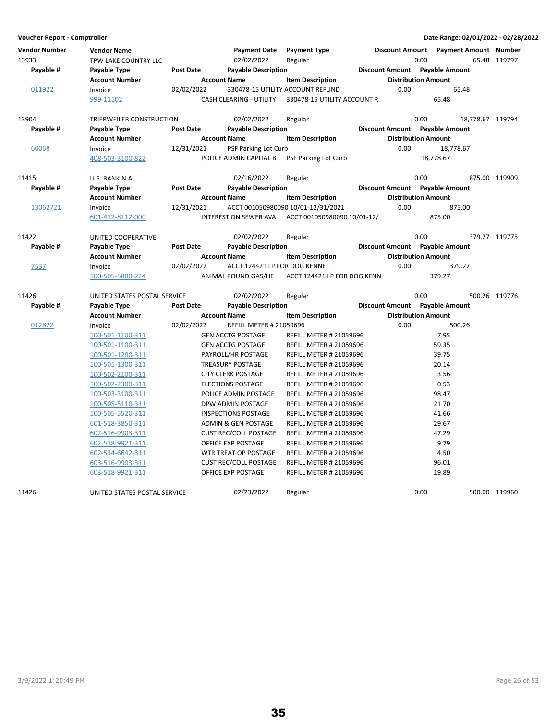| Vendor Number<br>13933 | <b>Vendor Name</b><br>TPW LAKE COUNTRY LLC |                  | <b>Payment Date</b><br>02/02/2022 | <b>Payment Type</b><br>Regular     |                                | 0.00                       | Discount Amount Payment Amount Number | 65.48 119797     |
|------------------------|--------------------------------------------|------------------|-----------------------------------|------------------------------------|--------------------------------|----------------------------|---------------------------------------|------------------|
| Payable #              | Payable Type                               | Post Date        | <b>Payable Description</b>        |                                    | Discount Amount Payable Amount |                            |                                       |                  |
|                        | <b>Account Number</b>                      |                  | <b>Account Name</b>               | <b>Item Description</b>            |                                |                            | <b>Distribution Amount</b>            |                  |
| 011922                 | Invoice                                    | 02/02/2022       |                                   | 330478-15 UTILITY ACCOUNT REFUND   |                                | 0.00                       | 65.48                                 |                  |
|                        | 999-11102                                  |                  | CASH CLEARING - UTILITY           | 330478-15 UTILITY ACCOUNT R        |                                |                            | 65.48                                 |                  |
| 13904                  | TRIERWEILER CONSTRUCTION                   |                  | 02/02/2022                        | Regular                            |                                | 0.00                       |                                       | 18,778.67 119794 |
| Payable #              | Payable Type                               | <b>Post Date</b> | <b>Payable Description</b>        |                                    | Discount Amount Payable Amount |                            |                                       |                  |
|                        | <b>Account Number</b>                      |                  | <b>Account Name</b>               | <b>Item Description</b>            |                                | <b>Distribution Amount</b> |                                       |                  |
| 60068                  | Invoice                                    | 12/31/2021       | <b>PSF Parking Lot Curb</b>       |                                    |                                | 0.00                       | 18,778.67                             |                  |
|                        | 408-503-3100-822                           |                  | POLICE ADMIN CAPITAL B            | <b>PSF Parking Lot Curb</b>        |                                |                            | 18,778.67                             |                  |
| 11415                  | U.S. BANK N.A.                             |                  | 02/16/2022                        | Regular                            |                                | 0.00                       |                                       | 875.00 119909    |
| Payable #              | Payable Type                               | <b>Post Date</b> | <b>Payable Description</b>        |                                    | Discount Amount Payable Amount |                            |                                       |                  |
|                        | <b>Account Number</b>                      |                  | <b>Account Name</b>               | <b>Item Description</b>            |                                | <b>Distribution Amount</b> |                                       |                  |
| 13062721               | Invoice                                    | 12/31/2021       |                                   | ACCT 001050980090 10/01-12/31/2021 |                                | 0.00                       | 875.00                                |                  |
|                        | 601-412-8112-000                           |                  | INTEREST ON SEWER AVA             | ACCT 001050980090 10/01-12/        |                                |                            | 875.00                                |                  |
| 11422                  | UNITED COOPERATIVE                         |                  | 02/02/2022                        | Regular                            |                                | 0.00                       |                                       | 379.27 119775    |
| Payable #              | Payable Type                               | Post Date        | <b>Payable Description</b>        |                                    | Discount Amount Payable Amount |                            |                                       |                  |
|                        | Account Number                             |                  | <b>Account Name</b>               | <b>Item Description</b>            |                                | <b>Distribution Amount</b> |                                       |                  |
| 7537                   | Invoice                                    | 02/02/2022       | ACCT 124421 LP FOR DOG KENNEL     |                                    |                                | 0.00                       | 379.27                                |                  |
|                        | 100-505-5800-224                           |                  | ANIMAL POUND GAS/HE               | ACCT 124421 LP FOR DOG KENN        |                                |                            | 379.27                                |                  |
| 11426                  | UNITED STATES POSTAL SERVICE               |                  | 02/02/2022                        | Regular                            |                                | 0.00                       |                                       | 500.26 119776    |
| Payable #              | Payable Type                               | <b>Post Date</b> | <b>Payable Description</b>        |                                    | Discount Amount Payable Amount |                            |                                       |                  |
|                        | <b>Account Number</b>                      |                  | <b>Account Name</b>               | <b>Item Description</b>            |                                | <b>Distribution Amount</b> |                                       |                  |
| 012822                 | Invoice                                    | 02/02/2022       | <b>REFILL METER # 21059696</b>    |                                    |                                | 0.00                       | 500.26                                |                  |
|                        | 100-501-1100-311                           |                  | <b>GEN ACCTG POSTAGE</b>          | <b>REFILL METER # 21059696</b>     |                                |                            | 7.95                                  |                  |
|                        | 100-501-1100-311                           |                  | <b>GEN ACCTG POSTAGE</b>          | <b>REFILL METER # 21059696</b>     |                                |                            | 59.35                                 |                  |
|                        | 100-501-1200-311                           |                  | PAYROLL/HR POSTAGE                | <b>REFILL METER # 21059696</b>     |                                |                            | 39.75                                 |                  |
|                        | 100-501-1300-311                           |                  | <b>TREASURY POSTAGE</b>           | <b>REFILL METER # 21059696</b>     |                                |                            | 20.14                                 |                  |
|                        | 100-502-2100-311                           |                  | <b>CITY CLERK POSTAGE</b>         | <b>REFILL METER # 21059696</b>     |                                |                            | 3.56                                  |                  |
|                        | 100-502-2300-311                           |                  | <b>ELECTIONS POSTAGE</b>          | <b>REFILL METER # 21059696</b>     |                                |                            | 0.53                                  |                  |
|                        | 100-503-3100-311                           |                  | POLICE ADMIN POSTAGE              | <b>REFILL METER # 21059696</b>     |                                |                            | 98.47                                 |                  |
|                        | 100-505-5110-311                           |                  | DPW ADMIN POSTAGE                 | <b>REFILL METER # 21059696</b>     |                                |                            | 21.70                                 |                  |
|                        | 100-505-5520-311                           |                  | <b>INSPECTIONS POSTAGE</b>        | <b>REFILL METER # 21059696</b>     |                                |                            | 41.66                                 |                  |
|                        | 601-518-3850-311                           |                  | <b>ADMIN &amp; GEN POSTAGE</b>    | <b>REFILL METER # 21059696</b>     |                                |                            | 29.67                                 |                  |
|                        | 602-516-9903-311                           |                  | <b>CUST REC/COLL POSTAGE</b>      | <b>REFILL METER # 21059696</b>     |                                |                            | 47.29                                 |                  |
|                        | 602-518-9921-311                           |                  | OFFICE EXP POSTAGE                | <b>REFILL METER # 21059696</b>     |                                |                            | 9.79                                  |                  |
|                        | 602-534-6642-311                           |                  | WTR TREAT OP POSTAGE              | <b>REFILL METER # 21059696</b>     |                                |                            | 4.50                                  |                  |
|                        | 603-516-9903-311                           |                  | <b>CUST REC/COLL POSTAGE</b>      | <b>REFILL METER # 21059696</b>     |                                |                            | 96.01                                 |                  |
|                        | 603-518-9921-311                           |                  | OFFICE EXP POSTAGE                | <b>REFILL METER # 21059696</b>     |                                |                            | 19.89                                 |                  |
| 11426                  | UNITED STATES POSTAL SERVICE               |                  | 02/23/2022                        | Regular                            |                                | 0.00                       |                                       | 500.00 119960    |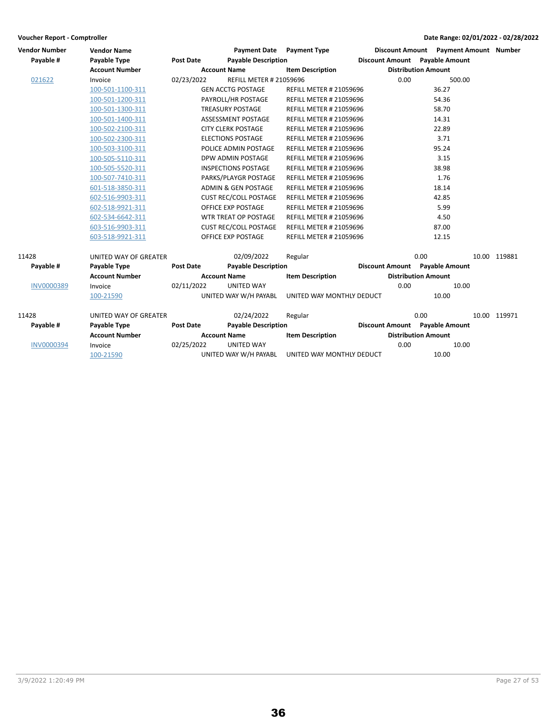| <b>Vendor Number</b><br><b>Vendor Name</b> |                       |                     |                     | Payment Date Payment Type      |                                |  |                            |      | Discount Amount Payment Amount Number |  |              |
|--------------------------------------------|-----------------------|---------------------|---------------------|--------------------------------|--------------------------------|--|----------------------------|------|---------------------------------------|--|--------------|
| Payable #                                  | <b>Payable Type</b>   | <b>Post Date</b>    |                     | <b>Payable Description</b>     |                                |  |                            |      | <b>Discount Amount</b> Payable Amount |  |              |
|                                            | <b>Account Number</b> |                     | <b>Account Name</b> |                                | <b>Item Description</b>        |  | <b>Distribution Amount</b> |      |                                       |  |              |
| 021622                                     | Invoice               | 02/23/2022          |                     | <b>REFILL METER # 21059696</b> |                                |  | 0.00                       |      | 500.00                                |  |              |
|                                            | 100-501-1100-311      |                     |                     | <b>GEN ACCTG POSTAGE</b>       | <b>REFILL METER # 21059696</b> |  |                            |      | 36.27                                 |  |              |
|                                            | 100-501-1200-311      |                     |                     | PAYROLL/HR POSTAGE             | <b>REFILL METER # 21059696</b> |  |                            |      | 54.36                                 |  |              |
|                                            | 100-501-1300-311      |                     |                     | <b>TREASURY POSTAGE</b>        | <b>REFILL METER # 21059696</b> |  |                            |      | 58.70                                 |  |              |
|                                            | 100-501-1400-311      |                     |                     | ASSESSMENT POSTAGE             | <b>REFILL METER # 21059696</b> |  |                            |      | 14.31                                 |  |              |
|                                            | 100-502-2100-311      |                     |                     | <b>CITY CLERK POSTAGE</b>      | <b>REFILL METER # 21059696</b> |  |                            |      | 22.89                                 |  |              |
|                                            | 100-502-2300-311      |                     |                     | <b>ELECTIONS POSTAGE</b>       | <b>REFILL METER # 21059696</b> |  |                            |      | 3.71                                  |  |              |
|                                            | 100-503-3100-311      |                     |                     | POLICE ADMIN POSTAGE           | <b>REFILL METER # 21059696</b> |  |                            |      | 95.24                                 |  |              |
|                                            | 100-505-5110-311      |                     |                     | DPW ADMIN POSTAGE              | <b>REFILL METER # 21059696</b> |  |                            |      | 3.15                                  |  |              |
|                                            | 100-505-5520-311      |                     |                     | <b>INSPECTIONS POSTAGE</b>     | <b>REFILL METER # 21059696</b> |  |                            |      | 38.98                                 |  |              |
|                                            | 100-507-7410-311      |                     |                     | PARKS/PLAYGR POSTAGE           | <b>REFILL METER # 21059696</b> |  |                            |      | 1.76                                  |  |              |
|                                            | 601-518-3850-311      |                     |                     | ADMIN & GEN POSTAGE            | <b>REFILL METER # 21059696</b> |  |                            |      | 18.14                                 |  |              |
|                                            | 602-516-9903-311      |                     |                     | <b>CUST REC/COLL POSTAGE</b>   | <b>REFILL METER # 21059696</b> |  |                            |      | 42.85                                 |  |              |
|                                            | 602-518-9921-311      |                     |                     | OFFICE EXP POSTAGE             | <b>REFILL METER # 21059696</b> |  |                            |      | 5.99                                  |  |              |
|                                            | 602-534-6642-311      |                     |                     | WTR TREAT OP POSTAGE           | <b>REFILL METER # 21059696</b> |  |                            |      | 4.50                                  |  |              |
|                                            | 603-516-9903-311      |                     |                     | <b>CUST REC/COLL POSTAGE</b>   | <b>REFILL METER # 21059696</b> |  |                            |      | 87.00                                 |  |              |
|                                            | 603-518-9921-311      |                     |                     | OFFICE EXP POSTAGE             | <b>REFILL METER # 21059696</b> |  |                            |      | 12.15                                 |  |              |
| 11428                                      | UNITED WAY OF GREATER |                     |                     | 02/09/2022                     | Regular                        |  |                            | 0.00 |                                       |  | 10.00 119881 |
| Payable #                                  | <b>Payable Type</b>   | <b>Post Date</b>    |                     | <b>Payable Description</b>     |                                |  |                            |      | <b>Discount Amount</b> Payable Amount |  |              |
|                                            | <b>Account Number</b> | <b>Account Name</b> |                     | <b>Item Description</b>        |                                |  | <b>Distribution Amount</b> |      |                                       |  |              |
| <b>INV0000389</b>                          | Invoice               | 02/11/2022          |                     | <b>UNITED WAY</b>              |                                |  | 0.00                       |      | 10.00                                 |  |              |
|                                            | 100-21590             |                     |                     | UNITED WAY W/H PAYABL          | UNITED WAY MONTHLY DEDUCT      |  |                            |      | 10.00                                 |  |              |
| 11428                                      | UNITED WAY OF GREATER |                     |                     | 02/24/2022                     | Regular                        |  |                            | 0.00 |                                       |  | 10.00 119971 |
| Payable #                                  | Payable Type          | Post Date           |                     | <b>Payable Description</b>     |                                |  |                            |      | <b>Discount Amount</b> Payable Amount |  |              |
|                                            | <b>Account Number</b> |                     | <b>Account Name</b> |                                | <b>Item Description</b>        |  |                            |      | <b>Distribution Amount</b>            |  |              |
| <b>INV0000394</b>                          | Invoice               | 02/25/2022          |                     | <b>UNITED WAY</b>              |                                |  | 0.00                       |      | 10.00                                 |  |              |
|                                            | 100-21590             |                     |                     | UNITED WAY W/H PAYABL          | UNITED WAY MONTHLY DEDUCT      |  |                            |      | 10.00                                 |  |              |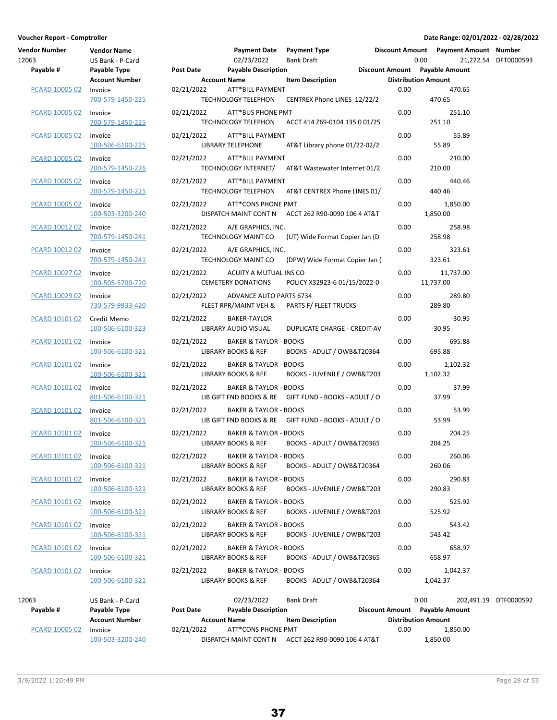| voucher Report - Comptroner<br>Vendor Number | <b>Vendor Name</b>                                        |     |
|----------------------------------------------|-----------------------------------------------------------|-----|
| 12063                                        | US Bank - P-Card                                          |     |
| Payable #                                    | <b>Payable Type</b><br><b>Account Number</b>              | Pos |
| PCARD 10005 02                               | Invoice<br>700-579-1450-225                               | 02/ |
| PCARD 10005 02                               | Invoice<br>700-579-1450-225                               | 02/ |
| PCARD 10005 02                               | Invoice<br>100-506-6100-225                               | 02/ |
| <b>PCARD 10005 02</b>                        | Invoice<br>700-579-1450-226                               | 02/ |
| <b>PCARD 10005 02</b>                        | Invoice<br>700-579-1450-225                               | 02/ |
| PCARD 10005 02 Invoice                       | 100-503-3200-240                                          | 02/ |
| PCARD 10012 02                               | Invoice<br>700-579-1450-241                               | 02/ |
| PCARD 10012 02                               | Invoice<br>700-579-1450-241                               | 02/ |
| PCARD 10027 02                               | Invoice<br>100-505-5700-720                               | 02/ |
| PCARD 10029 02                               | Invoice<br>730-579-9933-420                               | 02/ |
| PCARD 10101 02                               | Credit Memo<br>100-506-6100-323                           | 02/ |
| PCARD 10101 02                               | Invoice<br>100-506-6100-321                               | 02/ |
| PCARD 10101 02                               | Invoice<br>100-506-6100-321                               | 02/ |
| PCARD 10101 02                               | Invoice<br>801-506-6100-321                               | 02/ |
| PCARD 10101 02                               | Invoice<br>801-506-6100-321                               | 02/ |
| PCARD 10101 02                               | Invoice<br>100-506-6100-321                               | 02/ |
| PCARD 10101 02                               | Invoice<br>100-506-6100-321                               | 02/ |
| PCARD 10101 02                               | Invoice<br>100-506-6100-321                               | 02/ |
| PCARD 10101 02                               | Invoice<br>100-506-6100-321                               | 02/ |
| PCARD 10101 02                               | Invoice<br>100-506-6100-321                               | 02/ |
| PCARD 10101 02                               | Invoice<br>100-506-6100-321                               | 02/ |
| PCARD 10101 02                               | Invoice<br>100-506-6100-321                               | 02/ |
|                                              |                                                           |     |
| 12063<br>Payable #                           | US Bank - P-Card<br>Payable Type<br><b>Account Number</b> | Pos |
| PCARD 10005 02                               | Invoice                                                   | 02/ |

| Vendor Number<br>12063 | <b>Vendor Name</b><br>US Bank - P-Card                    |                                  | Payment Date Payment Type<br>02/23/2022                             | Bank Draft                                            | 0.00                        | Discount Amount Payment Amount Number | 21,272.54 DFT0000593  |
|------------------------|-----------------------------------------------------------|----------------------------------|---------------------------------------------------------------------|-------------------------------------------------------|-----------------------------|---------------------------------------|-----------------------|
| Payable #              | Payable Type<br><b>Account Number</b>                     | Post Date<br><b>Account Name</b> | <b>Payable Description</b>                                          | <b>Item Description</b>                               | <b>Distribution Amount</b>  | Discount Amount Payable Amount        |                       |
| PCARD 10005 02         | Invoice<br>700-579-1450-225                               | 02/21/2022                       | ATT*BILL PAYMENT<br><b>TECHNOLOGY TELEPHON</b>                      | CENTREX Phone LINES 12/22/2                           | 0.00                        | 470.65<br>470.65                      |                       |
| PCARD 10005 02         | Invoice<br>700-579-1450-225                               | 02/21/2022                       | ATT*BUS PHONE PMT<br><b>TECHNOLOGY TELEPHON</b>                     | ACCT 414 Z69-0104 135 0 01/25                         | 0.00                        | 251.10<br>251.10                      |                       |
| PCARD 10005 02         | Invoice<br>100-506-6100-225                               | 02/21/2022                       | ATT*BILL PAYMENT<br>LIBRARY TELEPHONE                               | AT&T Library phone 01/22-02/2                         | 0.00                        | 55.89<br>55.89                        |                       |
| <b>PCARD 10005 02</b>  | Invoice<br>700-579-1450-226                               | 02/21/2022                       | ATT*BILL PAYMENT                                                    | TECHNOLOGY INTERNET/ AT&T Wastewater Internet 01/2    | 0.00                        | 210.00<br>210.00                      |                       |
| PCARD 10005 02         | Invoice<br>700-579-1450-225                               | 02/21/2022                       | ATT*BILL PAYMENT                                                    | TECHNOLOGY TELEPHON AT&T CENTREX Phone LINES 01/      | 0.00                        | 440.46<br>440.46                      |                       |
| PCARD 10005 02         | Invoice<br>100-503-3200-240                               | 02/21/2022                       | ATT*CONS PHONE PMT                                                  | DISPATCH MAINT CONT N ACCT 262 R90-0090 106 4 AT&T    | 0.00                        | 1,850.00<br>1,850.00                  |                       |
| PCARD 10012 02         | Invoice<br>700-579-1450-241                               | 02/21/2022                       | A/E GRAPHICS, INC.                                                  | TECHNOLOGY MAINT CO (UT) Wide Format Copier Jan (D)   | 0.00                        | 258.98<br>258.98                      |                       |
| PCARD 10012 02         | Invoice<br>700-579-1450-241                               | 02/21/2022                       | A/E GRAPHICS, INC.<br>TECHNOLOGY MAINT CO                           | (DPW) Wide Format Copier Jan (                        | 0.00                        | 323.61<br>323.61                      |                       |
| <b>PCARD 10027 02</b>  | Invoice<br>100-505-5700-720                               | 02/21/2022                       | ACUITY A MUTUAL INS CO<br><b>CEMETERY DONATIONS</b>                 | POLICY X32923-6 01/15/2022-0                          | 0.00                        | 11,737.00<br>11,737.00                |                       |
| PCARD 10029 02         | Invoice<br>730-579-9933-420                               | 02/21/2022                       | ADVANCE AUTO PARTS 6734<br>FLEET RPR/MAINT VEH &                    | PARTS F/ FLEET TRUCKS                                 | 0.00                        | 289.80<br>289.80                      |                       |
| PCARD 10101 02         | Credit Memo<br>100-506-6100-323                           | 02/21/2022                       | BAKER-TAYLOR<br>LIBRARY AUDIO VISUAL                                | DUPLICATE CHARGE - CREDIT-AV                          | 0.00                        | $-30.95$<br>$-30.95$                  |                       |
| PCARD 10101 02         | Invoice<br>100-506-6100-321                               | 02/21/2022                       | <b>BAKER &amp; TAYLOR - BOOKS</b><br>LIBRARY BOOKS & REF            | BOOKS - ADULT / OWB&T20364                            | 0.00                        | 695.88<br>695.88                      |                       |
| PCARD 10101 02         | Invoice<br>100-506-6100-321                               | 02/21/2022                       | <b>BAKER &amp; TAYLOR - BOOKS</b><br>LIBRARY BOOKS & REF            | BOOKS - JUVENILE / OWB&T203                           | 0.00                        | 1,102.32<br>1,102.32                  |                       |
| <b>PCARD 10101 02</b>  | Invoice<br>801-506-6100-321                               | 02/21/2022                       | <b>BAKER &amp; TAYLOR - BOOKS</b>                                   | LIB GIFT FND BOOKS & RE GIFT FUND - BOOKS - ADULT / O | 0.00                        | 37.99<br>37.99                        |                       |
| PCARD 10101 02         | Invoice<br>801-506-6100-321                               | 02/21/2022                       | <b>BAKER &amp; TAYLOR - BOOKS</b>                                   | LIB GIFT FND BOOKS & RE GIFT FUND - BOOKS - ADULT / O | 0.00                        | 53.99<br>53.99                        |                       |
| PCARD 10101 02         | Invoice<br>100-506-6100-321                               | 02/21/2022                       | <b>BAKER &amp; TAYLOR - BOOKS</b><br>LIBRARY BOOKS & REF            | BOOKS - ADULT / OWB&T20365                            | 0.00                        | 204.25<br>204.25                      |                       |
| PCARD 10101 02         | Invoice<br>100-506-6100-321                               | 02/21/2022                       | <b>BAKER &amp; TAYLOR - BOOKS</b><br><b>LIBRARY BOOKS &amp; REF</b> | BOOKS - ADULT / OWB&T20364                            | 0.00                        | 260.06<br>260.06                      |                       |
| PCARD 10101 02         | Invoice<br>100-506-6100-321                               | 02/21/2022                       | <b>BAKER &amp; TAYLOR - BOOKS</b><br>LIBRARY BOOKS & REF            | BOOKS - JUVENILE / OWB&T203                           | 0.00                        | 290.83<br>290.83                      |                       |
| PCARD 10101 02         | Invoice<br>100-506-6100-321                               | 02/21/2022                       | <b>BAKER &amp; TAYLOR - BOOKS</b><br>LIBRARY BOOKS & REF            | BOOKS - JUVENILE / OWB&T203                           | 0.00                        | 525.92<br>525.92                      |                       |
| PCARD 10101 02         | Invoice<br>100-506-6100-321                               | 02/21/2022                       | <b>BAKER &amp; TAYLOR - BOOKS</b><br>LIBRARY BOOKS & REF            | BOOKS - JUVENILE / OWB&T203                           | 0.00                        | 543.42<br>543.42                      |                       |
| PCARD 10101 02         | Invoice<br>100-506-6100-321                               | 02/21/2022                       | <b>BAKER &amp; TAYLOR - BOOKS</b><br>LIBRARY BOOKS & REF            | BOOKS - ADULT / OWB&T20365                            | 0.00                        | 658.97<br>658.97                      |                       |
| PCARD 10101 02         | Invoice<br>100-506-6100-321                               | 02/21/2022                       | <b>BAKER &amp; TAYLOR - BOOKS</b><br>LIBRARY BOOKS & REF            | BOOKS - ADULT / OWB&T20364                            | 0.00                        | 1,042.37<br>1,042.37                  |                       |
| 12063<br>Payable #     | US Bank - P-Card<br>Payable Type<br><b>Account Number</b> | Post Date                        | 02/23/2022<br><b>Payable Description</b><br>Account Name            | Bank Draft<br>Item Descrintion                        | 0.00<br>Distribution Amount | Discount Amount Payable Amount        | 202,491.19 DTF0000592 |

**Account Number Account Name Item Description Distribution Amount** PCARD 10005 02 Invoice **02/21/2022** ATT\*CONS PHONE PMT **1,850.00** 0.00 1,850.00 100-503-3200-240 DISPATCH MAINT CONT N 1,850.00 ACCT 262 R90-0090 106 4 AT&T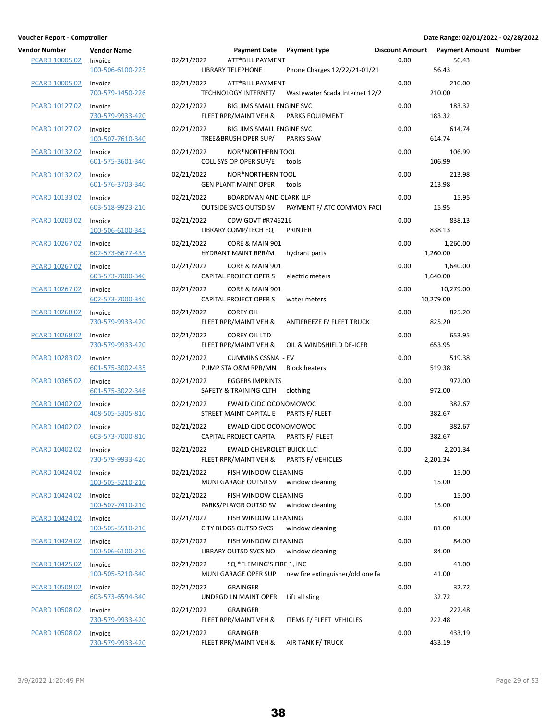| <b>Vendor Number</b><br>PCARD 10005 02 | <b>Vendor Name</b><br>Invoice<br>100-506-6100-225 | 02/21/2022 | <b>ATT*BILL PAYMENT</b><br>LIBRARY TELEPHONE                                    | Payment Date Payment Type <b>Discount Amount Payment Amount Number</b><br>Phone Charges 12/22/21-01/21 | 0.00 | 56.43<br>56.43         |  |
|----------------------------------------|---------------------------------------------------|------------|---------------------------------------------------------------------------------|--------------------------------------------------------------------------------------------------------|------|------------------------|--|
| PCARD 10005 02                         | Invoice<br>700-579-1450-226                       | 02/21/2022 | ATT*BILL PAYMENT                                                                | TECHNOLOGY INTERNET/ Wastewater Scada Internet 12/2                                                    | 0.00 | 210.00<br>210.00       |  |
| PCARD 10127 02                         | Invoice<br>730-579-9933-420                       | 02/21/2022 | BIG JIMS SMALL ENGINE SVC<br>FLEET RPR/MAINT VEH & PARKS EQUIPMENT              |                                                                                                        | 0.00 | 183.32<br>183.32       |  |
| PCARD 10127 02                         | Invoice<br>100-507-7610-340                       | 02/21/2022 | BIG JIMS SMALL ENGINE SVC<br>TREE&BRUSH OPER SUP/ PARKS SAW                     |                                                                                                        | 0.00 | 614.74<br>614.74       |  |
| PCARD 10132 02                         | Invoice<br>601-575-3601-340                       | 02/21/2022 | NOR*NORTHERN TOOL<br>COLL SYS OP OPER SUP/E tools                               |                                                                                                        | 0.00 | 106.99<br>106.99       |  |
| PCARD 10132 02                         | Invoice<br>601-576-3703-340                       | 02/21/2022 | NOR*NORTHERN TOOL<br><b>GEN PLANT MAINT OPER tools</b>                          |                                                                                                        | 0.00 | 213.98<br>213.98       |  |
| PCARD 10133 02                         | Invoice<br>603-518-9923-210                       | 02/21/2022 | <b>BOARDMAN AND CLARK LLP</b>                                                   | OUTSIDE SVCS OUTSD SV PAYMENT F/ ATC COMMON FACI                                                       | 0.00 | 15.95<br>15.95         |  |
| PCARD 10203 02                         | Invoice<br>100-506-6100-345                       | 02/21/2022 | CDW GOVT #R746216<br>LIBRARY COMP/TECH EQ                                       | PRINTER                                                                                                | 0.00 | 838.13<br>838.13       |  |
| <b>PCARD 10267 02</b>                  | Invoice<br>602-573-6677-435                       |            | 02/21/2022 CORE & MAIN 901<br>HYDRANT MAINT RPR/M                               | hydrant parts                                                                                          | 0.00 | 1,260.00<br>1,260.00   |  |
| PCARD 10267 02                         | Invoice<br>603-573-7000-340                       | 02/21/2022 | CORE & MAIN 901<br>CAPITAL PROJECT OPER S                                       | electric meters                                                                                        | 0.00 | 1,640.00<br>1,640.00   |  |
| PCARD 10267 02                         | Invoice<br>602-573-7000-340                       | 02/21/2022 | CORE & MAIN 901<br>CAPITAL PROJECT OPER S                                       | water meters                                                                                           | 0.00 | 10,279.00<br>10,279.00 |  |
| PCARD 10268 02                         | Invoice<br>730-579-9933-420                       | 02/21/2022 | <b>COREY OIL</b>                                                                | FLEET RPR/MAINT VEH & ANTIFREEZE F/ FLEET TRUCK                                                        | 0.00 | 825.20<br>825.20       |  |
| PCARD 10268 02                         | Invoice<br>730-579-9933-420                       | 02/21/2022 | COREY OIL LTD<br>FLEET RPR/MAINT VEH &                                          | OIL & WINDSHIELD DE-ICER                                                                               | 0.00 | 653.95<br>653.95       |  |
| PCARD 10283 02                         | Invoice<br>601-575-3002-435                       | 02/21/2022 | <b>CUMMINS CSSNA - EV</b><br>PUMP STA O&M RPR/MN Block heaters                  |                                                                                                        | 0.00 | 519.38<br>519.38       |  |
| PCARD 10365 02                         | Invoice<br>601-575-3022-346                       | 02/21/2022 | <b>EGGERS IMPRINTS</b><br>SAFETY & TRAINING CLTH clothing                       |                                                                                                        | 0.00 | 972.00<br>972.00       |  |
| PCARD 10402 02                         | Invoice<br>408-505-5305-810                       | 02/21/2022 | EWALD CJDC OCONOMOWOC<br>STREET MAINT CAPITAL E PARTS F/ FLEET                  |                                                                                                        | 0.00 | 382.67<br>382.67       |  |
| PCARD 10402 02                         | Invoice<br>603-573-7000-810                       | 02/21/2022 | EWALD CJDC OCONOMOWOC<br>CAPITAL PROJECT CAPITA PARTS F/ FLEET                  |                                                                                                        | 0.00 | 382.67<br>382.67       |  |
| PCARD 10402 02 Invoice                 | 730-579-9933-420                                  |            | 02/21/2022 EWALD CHEVROLET BUICK LLC<br>FLEET RPR/MAINT VEH & PARTS F/ VEHICLES |                                                                                                        | 0.00 | 2,201.34<br>2,201.34   |  |
| PCARD 10424 02                         | Invoice<br>100-505-5210-210                       | 02/21/2022 | FISH WINDOW CLEANING<br>MUNI GARAGE OUTSD SV window cleaning                    |                                                                                                        | 0.00 | 15.00<br>15.00         |  |
| PCARD 10424 02                         | Invoice<br>100-507-7410-210                       | 02/21/2022 | FISH WINDOW CLEANING<br>PARKS/PLAYGR OUTSD SV window cleaning                   |                                                                                                        | 0.00 | 15.00<br>15.00         |  |
| PCARD 10424 02                         | Invoice<br>100-505-5510-210                       | 02/21/2022 | FISH WINDOW CLEANING<br>CITY BLDGS OUTSD SVCS                                   | window cleaning                                                                                        | 0.00 | 81.00<br>81.00         |  |
| PCARD 10424 02                         | Invoice<br>100-506-6100-210                       | 02/21/2022 | FISH WINDOW CLEANING<br>LIBRARY OUTSD SVCS NO window cleaning                   |                                                                                                        | 0.00 | 84.00<br>84.00         |  |
| PCARD 10425 02                         | Invoice<br>100-505-5210-340                       | 02/21/2022 | SQ *FLEMING'S FIRE 1, INC                                                       | MUNI GARAGE OPER SUP new fire extinguisher/old one fa                                                  | 0.00 | 41.00<br>41.00         |  |
| PCARD 10508 02                         | Invoice<br>603-573-6594-340                       | 02/21/2022 | GRAINGER<br>UNDRGD LN MAINT OPER Lift all sling                                 |                                                                                                        | 0.00 | 32.72<br>32.72         |  |
| PCARD 10508 02                         | Invoice<br>730-579-9933-420                       | 02/21/2022 | GRAINGER                                                                        | FLEET RPR/MAINT VEH & ITEMS F/ FLEET VEHICLES                                                          | 0.00 | 222.48<br>222.48       |  |
| <b>PCARD 10508 02</b>                  | Invoice<br>730-579-9933-420                       | 02/21/2022 | GRAINGER                                                                        | FLEET RPR/MAINT VEH & AIR TANK F/ TRUCK                                                                | 0.00 | 433.19<br>433.19       |  |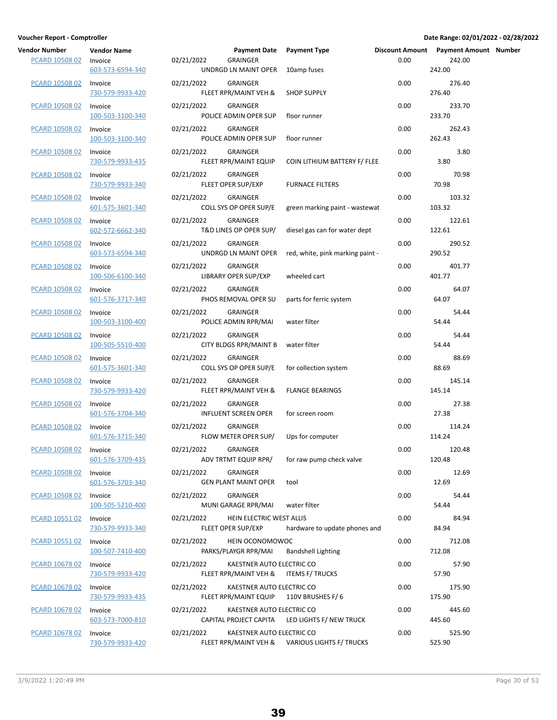| Vendor Number         | <b>Vendor Name</b>          |                                                                | Payment Date Payment Type                                                   |      | Discount Amount Payment Amount Number |  |
|-----------------------|-----------------------------|----------------------------------------------------------------|-----------------------------------------------------------------------------|------|---------------------------------------|--|
| PCARD 10508 02        | Invoice<br>603-573-6594-340 | 02/21/2022<br><b>GRAINGER</b><br>UNDRGD LN MAINT OPER          | 10amp fuses                                                                 | 0.00 | 242.00<br>242.00                      |  |
| <b>PCARD 10508 02</b> | Invoice<br>730-579-9933-420 | 02/21/2022<br><b>GRAINGER</b><br>FLEET RPR/MAINT VEH &         | <b>SHOP SUPPLY</b>                                                          | 0.00 | 276.40<br>276.40                      |  |
| PCARD 10508 02        | Invoice<br>100-503-3100-340 | 02/21/2022<br><b>GRAINGER</b><br>POLICE ADMIN OPER SUP         | floor runner                                                                | 0.00 | 233.70<br>233.70                      |  |
| PCARD 10508 02        | Invoice<br>100-503-3100-340 | 02/21/2022<br><b>GRAINGER</b><br>POLICE ADMIN OPER SUP         | floor runner                                                                | 0.00 | 262.43<br>262.43                      |  |
| PCARD 10508 02        | Invoice<br>730-579-9933-435 | 02/21/2022<br><b>GRAINGER</b><br>FLEET RPR/MAINT EQUIP         | COIN LITHIUM BATTERY F/ FLEE                                                | 0.00 | 3.80<br>3.80                          |  |
| <b>PCARD 10508 02</b> | Invoice<br>730-579-9933-340 | 02/21/2022<br><b>GRAINGER</b><br>FLEET OPER SUP/EXP            | <b>FURNACE FILTERS</b>                                                      | 0.00 | 70.98<br>70.98                        |  |
| <b>PCARD 10508 02</b> | Invoice<br>601-575-3601-340 | 02/21/2022<br><b>GRAINGER</b><br>COLL SYS OP OPER SUP/E        | green marking paint - wastewat                                              | 0.00 | 103.32<br>103.32                      |  |
| PCARD 10508 02        | Invoice<br>602-572-6662-340 | 02/21/2022<br><b>GRAINGER</b><br>T&D LINES OP OPER SUP/        | diesel gas can for water dept                                               | 0.00 | 122.61<br>122.61                      |  |
| PCARD 10508 02        | Invoice<br>603-573-6594-340 | 02/21/2022<br><b>GRAINGER</b><br>UNDRGD LN MAINT OPER          | red, white, pink marking paint -                                            | 0.00 | 290.52<br>290.52                      |  |
| PCARD 10508 02        | Invoice<br>100-506-6100-340 | 02/21/2022<br><b>GRAINGER</b><br>LIBRARY OPER SUP/EXP          | wheeled cart                                                                | 0.00 | 401.77<br>401.77                      |  |
| <b>PCARD 10508 02</b> | Invoice<br>601-576-3717-340 | 02/21/2022<br><b>GRAINGER</b><br>PHOS REMOVAL OPER SU          | parts for ferric system                                                     | 0.00 | 64.07<br>64.07                        |  |
| <b>PCARD 10508 02</b> | Invoice<br>100-503-3100-400 | <b>GRAINGER</b><br>02/21/2022<br>POLICE ADMIN RPR/MAI          | water filter                                                                | 0.00 | 54.44<br>54.44                        |  |
| PCARD 10508 02        | Invoice<br>100-505-5510-400 | <b>GRAINGER</b><br>02/21/2022<br><b>CITY BLDGS RPR/MAINT B</b> | water filter                                                                | 0.00 | 54.44<br>54.44                        |  |
| PCARD 10508 02        | Invoice<br>601-575-3601-340 | 02/21/2022<br><b>GRAINGER</b><br>COLL SYS OP OPER SUP/E        | for collection system                                                       | 0.00 | 88.69<br>88.69                        |  |
| PCARD 10508 02        | Invoice<br>730-579-9933-420 | 02/21/2022<br><b>GRAINGER</b><br>FLEET RPR/MAINT VEH &         | <b>FLANGE BEARINGS</b>                                                      | 0.00 | 145.14<br>145.14                      |  |
| <b>PCARD 10508 02</b> | Invoice<br>601-576-3704-340 | 02/21/2022<br><b>GRAINGER</b><br><b>INFLUENT SCREEN OPER</b>   | for screen room                                                             | 0.00 | 27.38<br>27.38                        |  |
| <b>PCARD 10508 02</b> | Invoice<br>601-576-3715-340 | 02/21/2022<br><b>GRAINGER</b><br>FLOW METER OPER SUP/          | Ups for computer                                                            | 0.00 | 114.24<br>114.24                      |  |
| PCARD 10508 02        | Invoice<br>601-576-3709-435 | 02/21/2022<br><b>GRAINGER</b><br>ADV TRTMT EQUIP RPR/          | for raw pump check valve                                                    | 0.00 | 120.48<br>120.48                      |  |
| PCARD 10508 02        | Invoice<br>601-576-3703-340 | 02/21/2022<br><b>GRAINGER</b><br><b>GEN PLANT MAINT OPER</b>   | tool                                                                        | 0.00 | 12.69<br>12.69                        |  |
| PCARD 10508 02        | Invoice<br>100-505-5210-400 | 02/21/2022<br><b>GRAINGER</b><br>MUNI GARAGE RPR/MAI           | water filter                                                                | 0.00 | 54.44<br>54.44                        |  |
| <b>PCARD 10551 02</b> | Invoice<br>730-579-9933-340 | HEIN ELECTRIC WEST ALLIS<br>02/21/2022<br>FLEET OPER SUP/EXP   | hardware to update phones and                                               | 0.00 | 84.94<br>84.94                        |  |
| PCARD 10551 02        | Invoice<br>100-507-7410-400 | 02/21/2022<br>HEIN OCONOMOWOC<br>PARKS/PLAYGR RPR/MAI          | <b>Bandshell Lighting</b>                                                   | 0.00 | 712.08<br>712.08                      |  |
| PCARD 10678 02        | Invoice<br>730-579-9933-420 | 02/21/2022<br>FLEET RPR/MAINT VEH &                            | KAESTNER AUTO ELECTRIC CO<br>ITEMS F/ TRUCKS                                | 0.00 | 57.90<br>57.90                        |  |
| PCARD 10678 02        | Invoice<br>730-579-9933-435 | 02/21/2022<br>FLEET RPR/MAINT EQUIP                            | KAESTNER AUTO ELECTRIC CO<br>110V BRUSHES F/6                               | 0.00 | 175.90<br>175.90                      |  |
| PCARD 10678 02        | Invoice<br>603-573-7000-810 | 02/21/2022<br>CAPITAL PROJECT CAPITA                           | KAESTNER AUTO ELECTRIC CO<br>LED LIGHTS F/ NEW TRUCK                        | 0.00 | 445.60<br>445.60                      |  |
| PCARD 10678 02        | Invoice<br>730-579-9933-420 | 02/21/2022                                                     | KAESTNER AUTO ELECTRIC CO<br>FLEET RPR/MAINT VEH & VARIOUS LIGHTS F/ TRUCKS | 0.00 | 525.90<br>525.90                      |  |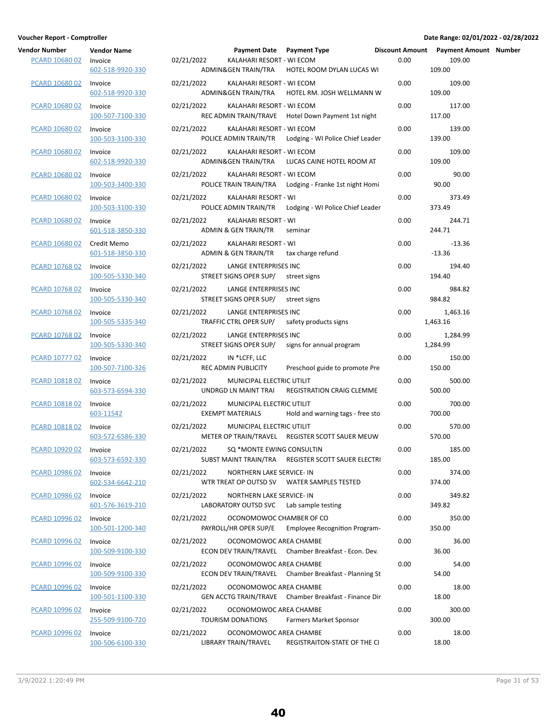| endor Number<br>PCARD 10680 02 | <b>Vendor Name</b><br>Invoice<br>602-518-9920-330 | 02/ |
|--------------------------------|---------------------------------------------------|-----|
| PCARD 10680 02                 | Invoice<br>602-518-9920-330                       | 02/ |
| PCARD 10680 02                 | Invoice<br>100-507-7100-330                       | 02/ |
| PCARD 10680 02                 | Invoice<br>100-503-3100-330                       | 02/ |
| PCARD 10680 02                 | Invoice<br>602-518-9920-330                       | 02/ |
| PCARD 10680 02                 | Invoice<br>100-503-3400-330                       | 02/ |
| PCARD 10680 02 Invoice         | 100-503-3100-330                                  | 02/ |
| PCARD 10680 02                 | Invoice<br>601-518-3850-330                       | 02/ |
| PCARD 10680 02                 | Credit Memo<br>601-518-3850-330                   | 02/ |
| PCARD 10768 02                 | Invoice<br>100-505-5330-340                       | 02/ |
| PCARD 10768 02                 | Invoice<br>100-505-5330-340                       | 02/ |
| PCARD 10768 02                 | Invoice<br>100-505-5335-340                       | 02/ |
| PCARD 10768 02                 | Invoice<br>100-505-5330-340                       | 02/ |
| PCARD 10777 02                 | Invoice<br>100-507-7100-326                       | 02/ |
| PCARD 10818 02                 | Invoice<br>603-573-6594-330                       | 02/ |
| <b>PCARD 10818 02</b>          | Invoice<br>603-11542                              | 02/ |
| <b>PCARD 10818 02</b>          | Invoice<br>603-572-6586-330                       | 02/ |
| PCARD 10920 02                 | Invoice<br>603-573-6592-330                       | 02/ |
| PCARD 10986 02                 | Invoice<br>602-534-6642-210                       | 02/ |
| PCARD 10986 02                 | Invoice<br>601-576-3619-210                       | 02/ |
| <b>PCARD 10996 02</b>          | Invoice<br>100-501-1200-340                       | 02/ |
| PCARD 10996 02 Invoice         | 100-509-9100-330                                  | 02/ |
| PCARD 10996 02                 | Invoice<br>100-509-9100-330                       | 02/ |
| PCARD 10996 02                 | Invoice<br>100-501-1100-330                       | 02/ |
| <b>PCARD 10996 02</b>          | Invoice<br>255-509-9100-720                       | 02/ |
| <u>PCARD 10996 02</u>          | Invoice<br>100-506-6100-330                       | 02/ |

| Vendor Number<br>PCARD 10680 02 | <b>Vendor Name</b><br>Invoice<br>602-518-9920-330 | 02/21/2022 | Payment Date Payment Type<br>KALAHARI RESORT - WI ECOM               | ADMIN& GEN TRAIN/TRA HOTEL ROOM DYLAN LUCAS WI         | 0.00 | Discount Amount Payment Amount Number<br>109.00<br>109.00 |  |
|---------------------------------|---------------------------------------------------|------------|----------------------------------------------------------------------|--------------------------------------------------------|------|-----------------------------------------------------------|--|
| PCARD 10680 02                  | Invoice<br>602-518-9920-330                       | 02/21/2022 | KALAHARI RESORT - WI ECOM<br>ADMIN&GEN TRAIN/TRA                     | HOTEL RM. JOSH WELLMANN W                              | 0.00 | 109.00<br>109.00                                          |  |
| PCARD 10680 02                  | Invoice<br>100-507-7100-330                       | 02/21/2022 | KALAHARI RESORT - WI ECOM                                            | REC ADMIN TRAIN/TRAVE Hotel Down Payment 1st night     | 0.00 | 117.00<br>117.00                                          |  |
| PCARD 10680 02                  | Invoice<br>100-503-3100-330                       | 02/21/2022 | KALAHARI RESORT - WI ECOM                                            | POLICE ADMIN TRAIN/TR Lodging - WI Police Chief Leader | 0.00 | 139.00<br>139.00                                          |  |
| PCARD 10680 02                  | Invoice<br>602-518-9920-330                       | 02/21/2022 | KALAHARI RESORT - WI ECOM<br>ADMIN&GEN TRAIN/TRA                     | LUCAS CAINE HOTEL ROOM AT                              | 0.00 | 109.00<br>109.00                                          |  |
| PCARD 10680 02                  | Invoice<br>100-503-3400-330                       | 02/21/2022 | KALAHARI RESORT - WI ECOM                                            | POLICE TRAIN TRAIN/TRA Lodging - Franke 1st night Homi | 0.00 | 90.00<br>90.00                                            |  |
| PCARD 10680 02                  | Invoice<br>100-503-3100-330                       | 02/21/2022 | KALAHARI RESORT - WI                                                 | POLICE ADMIN TRAIN/TR Lodging - WI Police Chief Leader | 0.00 | 373.49<br>373.49                                          |  |
| PCARD 10680 02                  | Invoice<br>601-518-3850-330                       | 02/21/2022 | KALAHARI RESORT - WI<br>ADMIN & GEN TRAIN/TR                         | seminar                                                | 0.00 | 244.71<br>244.71                                          |  |
| PCARD 10680 02                  | Credit Memo<br>601-518-3850-330                   | 02/21/2022 | KALAHARI RESORT - WI<br>ADMIN & GEN TRAIN/TR tax charge refund       |                                                        | 0.00 | $-13.36$<br>$-13.36$                                      |  |
| PCARD 10768 02                  | Invoice<br>100-505-5330-340                       | 02/21/2022 | LANGE ENTERPRISES INC<br>STREET SIGNS OPER SUP/                      | street signs                                           | 0.00 | 194.40<br>194.40                                          |  |
| PCARD 10768 02                  | Invoice<br>100-505-5330-340                       | 02/21/2022 | LANGE ENTERPRISES INC<br>STREET SIGNS OPER SUP/                      | street signs                                           | 0.00 | 984.82<br>984.82                                          |  |
| PCARD 10768 02                  | Invoice<br>100-505-5335-340                       | 02/21/2022 | LANGE ENTERPRISES INC<br>TRAFFIC CTRL OPER SUP/                      | safety products signs                                  | 0.00 | 1,463.16<br>1,463.16                                      |  |
| PCARD 10768 02                  | Invoice<br>100-505-5330-340                       | 02/21/2022 | LANGE ENTERPRISES INC<br>STREET SIGNS OPER SUP/                      | signs for annual program                               | 0.00 | 1,284.99<br>1,284.99                                      |  |
| PCARD 10777 02                  | Invoice<br>100-507-7100-326                       | 02/21/2022 | IN *LCFF, LLC<br>REC ADMIN PUBLICITY                                 | Preschool guide to promote Pre                         | 0.00 | 150.00<br>150.00                                          |  |
| PCARD 10818 02                  | Invoice<br>603-573-6594-330                       | 02/21/2022 | MUNICIPAL ELECTRIC UTILIT<br>UNDRGD LN MAINT TRAI                    | REGISTRATION CRAIG CLEMME                              | 0.00 | 500.00<br>500.00                                          |  |
| <b>PCARD 10818 02</b>           | Invoice<br>603-11542                              | 02/21/2022 | MUNICIPAL ELECTRIC UTILIT<br>EXEMPT MATERIALS                        | Hold and warning tags - free sto                       | 0.00 | 700.00<br>700.00                                          |  |
| PCARD 10818 02                  | Invoice<br>603-572-6586-330                       | 02/21/2022 | MUNICIPAL ELECTRIC UTILIT                                            | METER OP TRAIN/TRAVEL REGISTER SCOTT SAUER MEUW        | 0.00 | 570.00<br>570.00                                          |  |
| PCARD 10920 02 Invoice          | 603-573-6592-330                                  | 02/21/2022 | SQ *MONTE EWING CONSULTIN                                            | SUBST MAINT TRAIN/TRA REGISTER SCOTT SAUER ELECTRI     | 0.00 | 185.00<br>185.00                                          |  |
| PCARD 10986 02                  | Invoice<br>602-534-6642-210                       | 02/21/2022 | NORTHERN LAKE SERVICE- IN                                            | WTR TREAT OP OUTSD SV WATER SAMPLES TESTED             | 0.00 | 374.00<br>374.00                                          |  |
| PCARD 10986 02                  | Invoice<br>601-576-3619-210                       | 02/21/2022 | NORTHERN LAKE SERVICE- IN<br>LABORATORY OUTSD SVC Lab sample testing |                                                        | 0.00 | 349.82<br>349.82                                          |  |
| PCARD 10996 02                  | Invoice<br>100-501-1200-340                       | 02/21/2022 | OCONOMOWOC CHAMBER OF CO<br>PAYROLL/HR OPER SUP/E                    | <b>Employee Recognition Program-</b>                   | 0.00 | 350.00<br>350.00                                          |  |
| PCARD 10996 02                  | Invoice<br>100-509-9100-330                       | 02/21/2022 | OCONOMOWOC AREA CHAMBE                                               | ECON DEV TRAIN/TRAVEL Chamber Breakfast - Econ. Dev.   | 0.00 | 36.00<br>36.00                                            |  |
| PCARD 10996 02                  | Invoice<br>100-509-9100-330                       | 02/21/2022 | OCONOMOWOC AREA CHAMBE                                               | ECON DEV TRAIN/TRAVEL Chamber Breakfast - Planning St  | 0.00 | 54.00<br>54.00                                            |  |
| PCARD 10996 02                  | Invoice<br>100-501-1100-330                       | 02/21/2022 | OCONOMOWOC AREA CHAMBE                                               | GEN ACCTG TRAIN/TRAVE Chamber Breakfast - Finance Dir  | 0.00 | 18.00<br>18.00                                            |  |
| PCARD 10996 02                  | Invoice<br>255-509-9100-720                       | 02/21/2022 | OCONOMOWOC AREA CHAMBE<br>TOURISM DONATIONS                          | Farmers Market Sponsor                                 | 0.00 | 300.00<br>300.00                                          |  |
| PCARD 10996 02                  | Invoice<br>100-506-6100-330                       | 02/21/2022 | OCONOMOWOC AREA CHAMBE<br>LIBRARY TRAIN/TRAVEL                       | REGISTRAITON-STATE OF THE CI                           | 0.00 | 18.00<br>18.00                                            |  |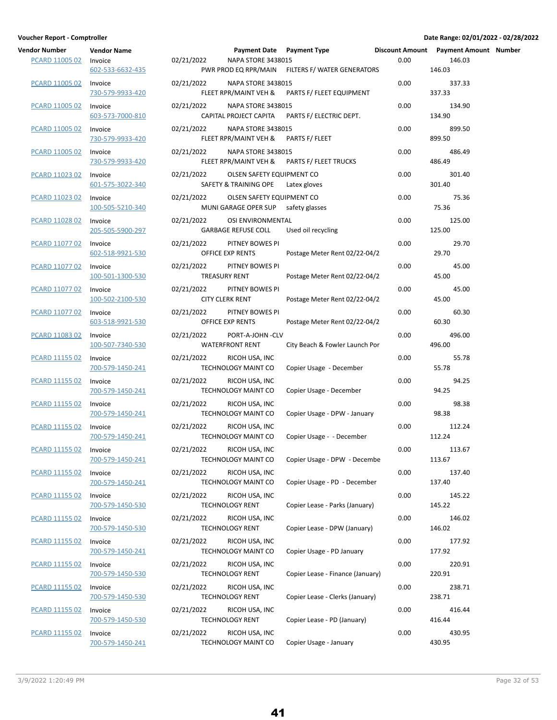| endor Number<br><b>PCARD 11005 02</b> | <b>Vendor Name</b><br>Invoice<br>602-533-6632-435 |
|---------------------------------------|---------------------------------------------------|
| <b>PCARD 11005 02</b>                 | Invoice<br>730-579-9933-420                       |
| PCARD 11005 02                        | Invoice<br>603-573-7000-810                       |
| PCARD 11005 02                        | Invoice<br>730-579-9933-420                       |
| PCARD 11005 02                        | Invoice<br>730-579-9933-420                       |
| PCARD 11023 02                        | Invoice<br>601-575-3022-340                       |
| PCARD 11023 02 Invoice                | 100-505-5210-340                                  |
| PCARD 11028 02                        | Invoice<br>205-505-5900-297                       |
| PCARD 11077 02                        | Invoice<br>602-518-9921-530                       |
| PCARD 11077 02                        | Invoice<br>100-501-1300-530                       |
| PCARD 11077 02                        | Invoice<br>100-502-2100-530                       |
| PCARD 11077 02                        | Invoice<br>603-518-9921-530                       |
| PCARD 11083 02                        | Invoice<br>100-507-7340-530                       |
| PCARD 11155 02                        | Invoice<br>700-579-1450-241                       |
| PCARD 11155 02                        | Invoice<br>700-579-1450-241                       |
| <b>PCARD 11155 02</b>                 | Invoice<br>700-579-1450-241                       |
| PCARD 11155 02                        | Invoice<br>700-579-1450-241                       |
| PCARD 11155 02                        | Invoice<br>700-579-1450-241                       |
| PCARD 11155 02                        | Invoice<br>700-579-1450-241                       |
| PCARD 11155 02                        | Invoice<br>700-579-1450-530                       |
| <b>PCARD 11155 02</b>                 | Invoice<br>700-579-1450-530                       |
| <b>PCARD 11155 02</b>                 | Invoice<br>700-579-1450-241                       |
| PCARD 11155 02                        | Invoice<br>700-579-1450-530                       |
| PCARD 11155 02                        | Invoice<br>700-579-1450-530                       |
| PCARD 11155 02                        | Invoice<br>700-579-1450-530                       |
| PCARD 11155 02                        | Invoice<br>700-579-1450-241                       |

| Vendor Number<br><b>PCARD 11005 02</b> | <b>Vendor Name</b><br>Invoice | 02/21/2022 | Payment Date Payment Type<br><b>NAPA STORE 3438015</b>           |                                                  | 0.00 | Discount Amount Payment Amount Number<br>146.03 |  |
|----------------------------------------|-------------------------------|------------|------------------------------------------------------------------|--------------------------------------------------|------|-------------------------------------------------|--|
|                                        | 602-533-6632-435              |            |                                                                  | PWR PROD EQ RPR/MAIN FILTERS F/ WATER GENERATORS |      | 146.03                                          |  |
| PCARD 11005 02                         | Invoice<br>730-579-9933-420   | 02/21/2022 | <b>NAPA STORE 3438015</b><br>FLEET RPR/MAINT VEH &               | PARTS F/ FLEET EQUIPMENT                         | 0.00 | 337.33<br>337.33                                |  |
| PCARD 11005 02                         | Invoice<br>603-573-7000-810   | 02/21/2022 | <b>NAPA STORE 3438015</b><br>CAPITAL PROJECT CAPITA              | PARTS F/ ELECTRIC DEPT.                          | 0.00 | 134.90<br>134.90                                |  |
| PCARD 11005 02                         | Invoice<br>730-579-9933-420   | 02/21/2022 | <b>NAPA STORE 3438015</b><br>FLEET RPR/MAINT VEH &               | PARTS F/ FLEET                                   | 0.00 | 899.50<br>899.50                                |  |
| PCARD 11005 02                         | Invoice<br>730-579-9933-420   | 02/21/2022 | <b>NAPA STORE 3438015</b><br>FLEET RPR/MAINT VEH &               | <b>PARTS F/ FLEET TRUCKS</b>                     | 0.00 | 486.49<br>486.49                                |  |
| <b>PCARD 11023 02</b>                  | Invoice<br>601-575-3022-340   | 02/21/2022 | OLSEN SAFETY EQUIPMENT CO<br>SAFETY & TRAINING OPE               | Latex gloves                                     | 0.00 | 301.40<br>301.40                                |  |
| PCARD 11023 02                         | Invoice<br>100-505-5210-340   | 02/21/2022 | OLSEN SAFETY EQUIPMENT CO<br>MUNI GARAGE OPER SUP safety glasses |                                                  | 0.00 | 75.36<br>75.36                                  |  |
| PCARD 11028 02                         | Invoice<br>205-505-5900-297   | 02/21/2022 | OSI ENVIRONMENTAL<br><b>GARBAGE REFUSE COLL</b>                  | Used oil recycling                               | 0.00 | 125.00<br>125.00                                |  |
| PCARD 11077 02                         | Invoice<br>602-518-9921-530   | 02/21/2022 | PITNEY BOWES PI<br>OFFICE EXP RENTS                              | Postage Meter Rent 02/22-04/2                    | 0.00 | 29.70<br>29.70                                  |  |
| PCARD 11077 02                         | Invoice<br>100-501-1300-530   | 02/21/2022 | PITNEY BOWES PI<br>TREASURY RENT                                 | Postage Meter Rent 02/22-04/2                    | 0.00 | 45.00<br>45.00                                  |  |
| PCARD 11077 02                         | Invoice<br>100-502-2100-530   | 02/21/2022 | PITNEY BOWES PI<br><b>CITY CLERK RENT</b>                        | Postage Meter Rent 02/22-04/2                    | 0.00 | 45.00<br>45.00                                  |  |
| PCARD 11077 02                         | Invoice<br>603-518-9921-530   | 02/21/2022 | PITNEY BOWES PI<br>OFFICE EXP RENTS                              | Postage Meter Rent 02/22-04/2                    | 0.00 | 60.30<br>60.30                                  |  |
| PCARD 11083 02                         | Invoice<br>100-507-7340-530   | 02/21/2022 | PORT-A-JOHN -CLV<br><b>WATERFRONT RENT</b>                       | City Beach & Fowler Launch Por                   | 0.00 | 496.00<br>496.00                                |  |
| PCARD 11155 02                         | Invoice<br>700-579-1450-241   | 02/21/2022 | RICOH USA, INC<br>TECHNOLOGY MAINT CO                            | Copier Usage - December                          | 0.00 | 55.78<br>55.78                                  |  |
| PCARD 11155 02                         | Invoice<br>700-579-1450-241   | 02/21/2022 | RICOH USA, INC<br>TECHNOLOGY MAINT CO                            | Copier Usage - December                          | 0.00 | 94.25<br>94.25                                  |  |
| <b>PCARD 11155 02</b>                  | Invoice<br>700-579-1450-241   | 02/21/2022 | RICOH USA, INC<br>TECHNOLOGY MAINT CO                            | Copier Usage - DPW - January                     | 0.00 | 98.38<br>98.38                                  |  |
| PCARD 11155 02                         | Invoice<br>700-579-1450-241   | 02/21/2022 | RICOH USA, INC<br>TECHNOLOGY MAINT CO                            | Copier Usage - - December                        | 0.00 | 112.24<br>112.24                                |  |
| PCARD 11155 02                         | Invoice<br>700-579-1450-241   | 02/21/2022 | RICOH USA, INC<br>TECHNOLOGY MAINT CO                            | Copier Usage - DPW - Decembe                     | 0.00 | 113.67<br>113.67                                |  |
| <b>PCARD 11155 02</b>                  | Invoice<br>700-579-1450-241   | 02/21/2022 | RICOH USA, INC<br>TECHNOLOGY MAINT CO                            | Copier Usage - PD - December                     | 0.00 | 137.40<br>137.40                                |  |
| <b>PCARD 11155 02</b>                  | Invoice<br>700-579-1450-530   | 02/21/2022 | RICOH USA, INC<br><b>TECHNOLOGY RENT</b>                         | Copier Lease - Parks (January)                   | 0.00 | 145.22<br>145.22                                |  |
| <b>PCARD 11155 02</b>                  | Invoice<br>700-579-1450-530   | 02/21/2022 | RICOH USA, INC<br><b>TECHNOLOGY RENT</b>                         | Copier Lease - DPW (January)                     | 0.00 | 146.02<br>146.02                                |  |
| PCARD 11155 02                         | Invoice<br>700-579-1450-241   | 02/21/2022 | RICOH USA, INC<br>TECHNOLOGY MAINT CO                            | Copier Usage - PD January                        | 0.00 | 177.92<br>177.92                                |  |
| PCARD 11155 02                         | Invoice<br>700-579-1450-530   | 02/21/2022 | RICOH USA, INC<br><b>TECHNOLOGY RENT</b>                         | Copier Lease - Finance (January)                 | 0.00 | 220.91<br>220.91                                |  |
| PCARD 11155 02                         | Invoice<br>700-579-1450-530   | 02/21/2022 | RICOH USA, INC<br><b>TECHNOLOGY RENT</b>                         | Copier Lease - Clerks (January)                  | 0.00 | 238.71<br>238.71                                |  |
| <b>PCARD 11155 02</b>                  | Invoice<br>700-579-1450-530   | 02/21/2022 | RICOH USA, INC<br><b>TECHNOLOGY RENT</b>                         | Copier Lease - PD (January)                      | 0.00 | 416.44<br>416.44                                |  |
| <b>PCARD 11155 02</b>                  | Invoice<br>700-579-1450-241   | 02/21/2022 | RICOH USA, INC<br>TECHNOLOGY MAINT CO                            | Copier Usage - January                           | 0.00 | 430.95<br>430.95                                |  |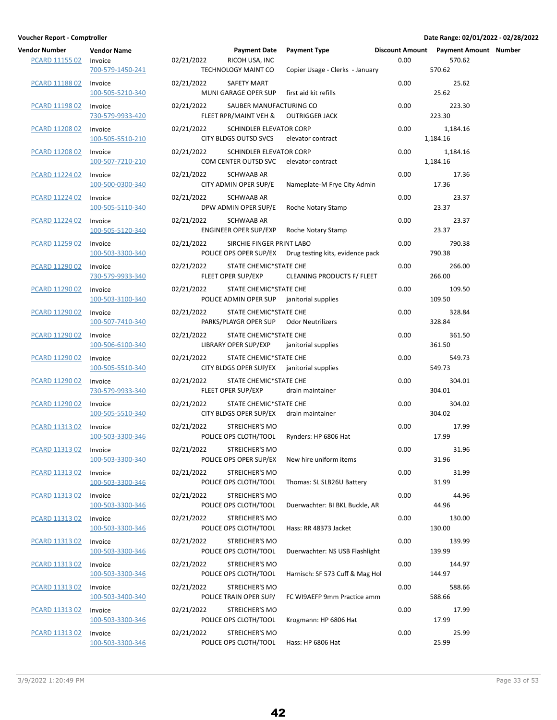| endor Number<br>PCARD 11155 02 | <b>Vendor Name</b><br>Invoice | 02 |
|--------------------------------|-------------------------------|----|
|                                | 700-579-1450-241              |    |
| PCARD 11188 02                 | Invoice<br>100-505-5210-340   | 02 |
| PCARD 11198 02                 | Invoice<br>730-579-9933-420   | 02 |
| PCARD 11208 02                 | Invoice<br>100-505-5510-210   | 02 |
| PCARD 11208 02                 | Invoice<br>100-507-7210-210   | 02 |
| PCARD 11224 02                 | Invoice<br>100-500-0300-340   | 02 |
| PCARD 11224 02                 | Invoice<br>100-505-5110-340   | 02 |
| <b>PCARD 11224 02</b>          | Invoice<br>100-505-5120-340   | 02 |
| PCARD 11259 02                 | Invoice<br>100-503-3300-340   | 02 |
| PCARD 11290 02                 | Invoice<br>730-579-9933-340   | 02 |
| PCARD 11290 02                 | Invoice<br>100-503-3100-340   | 02 |
| PCARD 11290 02                 | Invoice<br>100-507-7410-340   | 02 |
| PCARD 11290 02                 | Invoice<br>100-506-6100-340   | 02 |
| PCARD 11290 02                 | Invoice<br>100-505-5510-340   | 02 |
| PCARD 11290 02                 | Invoice<br>730-579-9933-340   | 02 |
| PCARD 11290 02                 | Invoice<br>100-505-5510-340   | 02 |
| PCARD 11313 02                 | Invoice<br>100-503-3300-346   | 02 |
| PCARD 11313 02 Invoice         | 100-503-3300-340              | 02 |
| PCARD 11313 02                 | Invoice<br>100-503-3300-346   | 02 |
| PCARD 11313 02                 | Invoice<br>100-503-3300-346   | 02 |
| <b>PCARD 11313 02</b>          | Invoice<br>100-503-3300-346   | 02 |
| PCARD 11313 02                 | Invoice<br>100-503-3300-346   | 02 |
| PCARD 11313 02                 | Invoice<br>100-503-3300-346   | 02 |
| PCARD 11313 02                 | Invoice<br>100-503-3400-340   | 02 |
| PCARD 11313 02                 | Invoice<br>100-503-3300-346   | 02 |
| PCARD 11313 02                 | Invoice<br>100-503-3300-346   | 02 |

| Vendor Number<br><b>PCARD 11155 02</b> | <b>Vendor Name</b><br>Invoice<br>700-579-1450-241 | 02/21/2022 | <b>Payment Date</b><br>RICOH USA, INC<br>TECHNOLOGY MAINT CO      | Payment Type<br>Copier Usage - Clerks - January         | 0.00 | Discount Amount Payment Amount Number<br>570.62<br>570.62 |  |
|----------------------------------------|---------------------------------------------------|------------|-------------------------------------------------------------------|---------------------------------------------------------|------|-----------------------------------------------------------|--|
| <b>PCARD 11188 02</b>                  | Invoice<br>100-505-5210-340                       | 02/21/2022 | SAFETY MART<br>MUNI GARAGE OPER SUP                               | first aid kit refills                                   | 0.00 | 25.62<br>25.62                                            |  |
| PCARD 11198 02                         | Invoice<br>730-579-9933-420                       | 02/21/2022 | SAUBER MANUFACTURING CO<br>FLEET RPR/MAINT VEH &                  | <b>OUTRIGGER JACK</b>                                   | 0.00 | 223.30<br>223.30                                          |  |
| PCARD 11208 02                         | Invoice<br>100-505-5510-210                       | 02/21/2022 | SCHINDLER ELEVATOR CORP<br>CITY BLDGS OUTSD SVCS                  | elevator contract                                       | 0.00 | 1,184.16<br>1,184.16                                      |  |
| PCARD 11208 02                         | Invoice<br>100-507-7210-210                       | 02/21/2022 | SCHINDLER ELEVATOR CORP<br>COM CENTER OUTSD SVC elevator contract |                                                         | 0.00 | 1,184.16<br>1,184.16                                      |  |
| PCARD 11224 02                         | Invoice<br>100-500-0300-340                       | 02/21/2022 | SCHWAAB AR<br>CITY ADMIN OPER SUP/E                               | Nameplate-M Frye City Admin                             | 0.00 | 17.36<br>17.36                                            |  |
| PCARD 11224 02                         | Invoice<br>100-505-5110-340                       | 02/21/2022 | SCHWAAB AR<br>DPW ADMIN OPER SUP/E                                | Roche Notary Stamp                                      | 0.00 | 23.37<br>23.37                                            |  |
| PCARD 11224 02                         | Invoice<br>100-505-5120-340                       | 02/21/2022 | SCHWAAB AR                                                        | ENGINEER OPER SUP/EXP Roche Notary Stamp                | 0.00 | 23.37<br>23.37                                            |  |
| PCARD 11259 02                         | Invoice<br>100-503-3300-340                       | 02/21/2022 | SIRCHIE FINGER PRINT LABO                                         | POLICE OPS OPER SUP/EX Drug testing kits, evidence pack | 0.00 | 790.38<br>790.38                                          |  |
| PCARD 11290 02                         | Invoice<br>730-579-9933-340                       | 02/21/2022 | STATE CHEMIC*STATE CHE<br>FLEET OPER SUP/EXP                      | CLEANING PRODUCTS F/ FLEET                              | 0.00 | 266.00<br>266.00                                          |  |
| PCARD 11290 02                         | Invoice<br>100-503-3100-340                       | 02/21/2022 | STATE CHEMIC*STATE CHE                                            | POLICE ADMIN OPER SUP janitorial supplies               | 0.00 | 109.50<br>109.50                                          |  |
| PCARD 11290 02                         | Invoice<br>100-507-7410-340                       | 02/21/2022 | STATE CHEMIC*STATE CHE<br>PARKS/PLAYGR OPER SUP Odor Neutrilizers |                                                         | 0.00 | 328.84<br>328.84                                          |  |
| PCARD 11290 02                         | Invoice<br>100-506-6100-340                       | 02/21/2022 | STATE CHEMIC*STATE CHE<br>LIBRARY OPER SUP/EXP                    | janitorial supplies                                     | 0.00 | 361.50<br>361.50                                          |  |
| PCARD 11290 02                         | Invoice<br>100-505-5510-340                       | 02/21/2022 | STATE CHEMIC*STATE CHE                                            | CITY BLDGS OPER SUP/EX janitorial supplies              | 0.00 | 549.73<br>549.73                                          |  |
| PCARD 11290 02                         | Invoice<br>730-579-9933-340                       | 02/21/2022 | STATE CHEMIC*STATE CHE<br>FLEET OPER SUP/EXP                      | drain maintainer                                        | 0.00 | 304.01<br>304.01                                          |  |
| PCARD 11290 02                         | Invoice<br>100-505-5510-340                       | 02/21/2022 | STATE CHEMIC*STATE CHE<br>CITY BLDGS OPER SUP/EX drain maintainer |                                                         | 0.00 | 304.02<br>304.02                                          |  |
| PCARD 11313 02                         | Invoice<br>100-503-3300-346                       | 02/21/2022 | STREICHER'S MO<br>POLICE OPS CLOTH/TOOL                           | Rynders: HP 6806 Hat                                    | 0.00 | 17.99<br>17.99                                            |  |
| PCARD 11313 02 Invoice                 | 100-503-3300-340                                  | 02/21/2022 | STREICHER'S MO<br>POLICE OPS OPER SUP/EX                          | New hire uniform items                                  | 0.00 | 31.96<br>31.96                                            |  |
| PCARD 11313 02                         | Invoice<br>100-503-3300-346                       | 02/21/2022 | <b>STREICHER'S MO</b><br>POLICE OPS CLOTH/TOOL                    | Thomas: SL SLB26U Battery                               | 0.00 | 31.99<br>31.99                                            |  |
| PCARD 11313 02                         | Invoice<br>100-503-3300-346                       | 02/21/2022 | STREICHER'S MO<br>POLICE OPS CLOTH/TOOL                           | Duerwachter: BI BKL Buckle, AR                          | 0.00 | 44.96<br>44.96                                            |  |
| <b>PCARD 11313 02</b>                  | Invoice<br>100-503-3300-346                       | 02/21/2022 | <b>STREICHER'S MO</b><br>POLICE OPS CLOTH/TOOL                    | Hass: RR 48373 Jacket                                   | 0.00 | 130.00<br>130.00                                          |  |
| PCARD 11313 02                         | Invoice<br>100-503-3300-346                       | 02/21/2022 | STREICHER'S MO<br>POLICE OPS CLOTH/TOOL                           | Duerwachter: NS USB Flashlight                          | 0.00 | 139.99<br>139.99                                          |  |
| PCARD 11313 02                         | Invoice<br>100-503-3300-346                       | 02/21/2022 | STREICHER'S MO<br>POLICE OPS CLOTH/TOOL                           | Harnisch: SF 573 Cuff & Mag Hol                         | 0.00 | 144.97<br>144.97                                          |  |
| PCARD 11313 02                         | Invoice<br>100-503-3400-340                       | 02/21/2022 | <b>STREICHER'S MO</b><br>POLICE TRAIN OPER SUP/                   | FC WI9AEFP 9mm Practice amm                             | 0.00 | 588.66<br>588.66                                          |  |
| PCARD 11313 02                         | Invoice<br>100-503-3300-346                       | 02/21/2022 | <b>STREICHER'S MO</b><br>POLICE OPS CLOTH/TOOL                    | Krogmann: HP 6806 Hat                                   | 0.00 | 17.99<br>17.99                                            |  |
| <b>PCARD 11313 02</b>                  | Invoice                                           | 02/21/2022 | STREICHER'S MO                                                    |                                                         | 0.00 | 25.99                                                     |  |

POLICE OPS CLOTH/TOOL Hass: HP 6806 Hat 25.99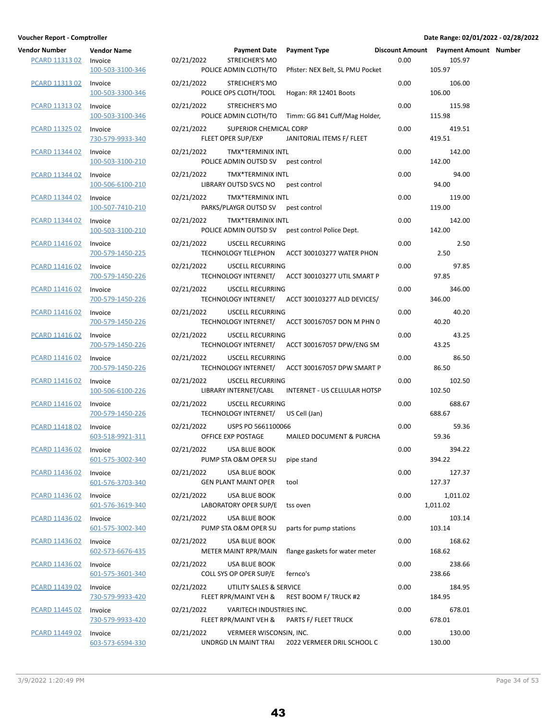| endor Number<br>PCARD 11313 02 | <b>Vendor Name</b><br>Invoice<br>100-503-3100-346 | 02/21 |
|--------------------------------|---------------------------------------------------|-------|
| PCARD 11313 02                 | Invoice<br>100-503-3300-346                       | 02/21 |
| PCARD 11313 02                 | Invoice<br>100-503-3100-346                       | 02/21 |
| PCARD 11325 02                 | Invoice<br>730-579-9933-340                       | 02/21 |
| PCARD 11344 02                 | Invoice<br>100-503-3100-210                       | 02/21 |
| PCARD 11344 02                 | Invoice<br>100-506-6100-210                       | 02/21 |
| PCARD 11344 02                 | Invoice<br>100-507-7410-210                       | 02/21 |
| PCARD 11344 02                 | Invoice<br>100-503-3100-210                       | 02/21 |
| PCARD 11416 02                 | Invoice<br>700-579-1450-225                       | 02/21 |
| PCARD 11416 02                 | Invoice<br>700-579-1450-226                       | 02/21 |
| PCARD 11416 02                 | Invoice<br>700-579-1450-226                       | 02/21 |
| PCARD 11416 02                 | Invoice<br>700-579-1450-226                       | 02/21 |
| PCARD 11416 02                 | Invoice<br>700-579-1450-226                       | 02/21 |
| PCARD 11416 02                 | Invoice<br>700-579-1450-226                       | 02/21 |
| PCARD 11416 02                 | Invoice<br>100-506-6100-226                       | 02/21 |
| PCARD 11416 02                 | Invoice<br>700-579-1450-226                       | 02/21 |
| <b>PCARD 11418 02</b>          | Invoice<br>603-518-9921-311                       | 02/21 |
| PCARD 11436 02 Invoice         |                                                   | 02/21 |
| PCARD 11436 02                 | 601-575-3002-340<br>Invoice<br>601-576-3703-340   | 02/21 |
| PCARD 11436 02                 | Invoice<br>601-576-3619-340                       | 02/21 |
| PCARD 11436 02                 | Invoice<br>601-575-3002-340                       | 02/21 |
| PCARD 11436 02                 | Invoice                                           | 02/21 |
| PCARD 11436 02                 | 602-573-6676-435<br>Invoice                       | 02/21 |
| PCARD 11439 02                 | 601-575-3601-340<br>Invoice                       | 02/21 |
| PCARD 11445 02                 | 730-579-9933-420<br>Invoice                       | 02/21 |
| <u>PCARD 11449 02</u>          | 730-579-9933-420<br>Invoice<br>603-573-6594-330   | 02/21 |
|                                |                                                   |       |

| Vendor Number<br><b>PCARD 11313 02</b> | <b>Vendor Name</b><br>Invoice<br>100-503-3100-346 | 02/21/2022 | <b>Payment Date</b><br><b>STREICHER'S MO</b><br>POLICE ADMIN CLOTH/TO | <b>Payment Type</b><br>Pfister: NEX Belt, SL PMU Pocket | 0.00 | Discount Amount Payment Amount Number<br>105.97<br>105.97 |  |
|----------------------------------------|---------------------------------------------------|------------|-----------------------------------------------------------------------|---------------------------------------------------------|------|-----------------------------------------------------------|--|
| PCARD 11313 02                         | Invoice<br>100-503-3300-346                       | 02/21/2022 | <b>STREICHER'S MO</b><br>POLICE OPS CLOTH/TOOL                        | Hogan: RR 12401 Boots                                   | 0.00 | 106.00<br>106.00                                          |  |
| PCARD 11313 02                         | Invoice<br>100-503-3100-346                       | 02/21/2022 | <b>STREICHER'S MO</b>                                                 | POLICE ADMIN CLOTH/TO Timm: GG 841 Cuff/Mag Holder,     | 0.00 | 115.98<br>115.98                                          |  |
| PCARD 11325 02                         | Invoice<br>730-579-9933-340                       | 02/21/2022 | SUPERIOR CHEMICAL CORP<br>FLEET OPER SUP/EXP                          | JANITORIAL ITEMS F/ FLEET                               | 0.00 | 419.51<br>419.51                                          |  |
| PCARD 11344 02                         | Invoice<br>100-503-3100-210                       | 02/21/2022 | TMX*TERMINIX INTL<br>POLICE ADMIN OUTSD SV pest control               |                                                         | 0.00 | 142.00<br>142.00                                          |  |
| PCARD 11344 02                         | Invoice<br>100-506-6100-210                       | 02/21/2022 | TMX*TERMINIX INTL<br>LIBRARY OUTSD SVCS NO pest control               |                                                         | 0.00 | 94.00<br>94.00                                            |  |
| PCARD 11344 02                         | Invoice<br>100-507-7410-210                       | 02/21/2022 | TMX*TERMINIX INTL<br>PARKS/PLAYGR OUTSD SV pest control               |                                                         | 0.00 | 119.00<br>119.00                                          |  |
| PCARD 11344 02                         | Invoice<br>100-503-3100-210                       | 02/21/2022 | TMX*TERMINIX INTL                                                     | POLICE ADMIN OUTSD SV pest control Police Dept.         | 0.00 | 142.00<br>142.00                                          |  |
| PCARD 11416 02                         | Invoice<br>700-579-1450-225                       | 02/21/2022 | <b>USCELL RECURRING</b>                                               | TECHNOLOGY TELEPHON ACCT 300103277 WATER PHON           | 0.00 | 2.50<br>2.50                                              |  |
| PCARD 11416 02                         | Invoice<br>700-579-1450-226                       | 02/21/2022 | USCELL RECURRING                                                      | TECHNOLOGY INTERNET/ ACCT 300103277 UTIL SMART P        | 0.00 | 97.85<br>97.85                                            |  |
| <b>PCARD 11416 02</b>                  | Invoice<br>700-579-1450-226                       | 02/21/2022 | <b>USCELL RECURRING</b>                                               | TECHNOLOGY INTERNET/ ACCT 300103277 ALD DEVICES/        | 0.00 | 346.00<br>346.00                                          |  |
| PCARD 11416 02                         | Invoice<br>700-579-1450-226                       | 02/21/2022 | <b>USCELL RECURRING</b>                                               | TECHNOLOGY INTERNET/ ACCT 300167057 DON M PHN 0         | 0.00 | 40.20<br>40.20                                            |  |
| PCARD 11416 02                         | Invoice<br>700-579-1450-226                       | 02/21/2022 | USCELL RECURRING                                                      | TECHNOLOGY INTERNET/ ACCT 300167057 DPW/ENG SM          | 0.00 | 43.25<br>43.25                                            |  |
| PCARD 11416 02                         | Invoice<br>700-579-1450-226                       | 02/21/2022 | USCELL RECURRING                                                      | TECHNOLOGY INTERNET/ ACCT 300167057 DPW SMART P         | 0.00 | 86.50<br>86.50                                            |  |
| PCARD 11416 02                         | Invoice<br>100-506-6100-226                       | 02/21/2022 | USCELL RECURRING                                                      | LIBRARY INTERNET/CABL INTERNET - US CELLULAR HOTSP      | 0.00 | 102.50<br>102.50                                          |  |
| <b>PCARD 11416 02</b>                  | Invoice<br>700-579-1450-226                       | 02/21/2022 | <b>USCELL RECURRING</b><br>TECHNOLOGY INTERNET/ US Cell (Jan)         |                                                         | 0.00 | 688.67<br>688.67                                          |  |
| <b>PCARD 11418 02</b>                  | Invoice<br>603-518-9921-311                       | 02/21/2022 | USPS PO 5661100066<br>OFFICE EXP POSTAGE                              | MAILED DOCUMENT & PURCHA                                | 0.00 | 59.36<br>59.36                                            |  |
| PCARD 11436 02 Invoice                 | 601-575-3002-340                                  |            | 02/21/2022 USA BLUE BOOK<br>PUMP STA O&M OPER SU                      | pipe stand                                              | 0.00 | 394.22<br>394.22                                          |  |
| <b>PCARD 11436 02</b>                  | Invoice<br>601-576-3703-340                       | 02/21/2022 | <b>USA BLUE BOOK</b><br><b>GEN PLANT MAINT OPER</b>                   | tool                                                    | 0.00 | 127.37<br>127.37                                          |  |
| PCARD 11436 02                         | Invoice<br>601-576-3619-340                       | 02/21/2022 | <b>USA BLUE BOOK</b><br>LABORATORY OPER SUP/E                         | tss oven                                                | 0.00 | 1,011.02<br>1,011.02                                      |  |
| <b>PCARD 11436 02</b>                  | Invoice<br>601-575-3002-340                       | 02/21/2022 | USA BLUE BOOK<br>PUMP STA O&M OPER SU                                 | parts for pump stations                                 | 0.00 | 103.14<br>103.14                                          |  |
| PCARD 11436 02                         | Invoice<br>602-573-6676-435                       | 02/21/2022 | USA BLUE BOOK<br>METER MAINT RPR/MAIN                                 | flange gaskets for water meter                          | 0.00 | 168.62<br>168.62                                          |  |
| PCARD 11436 02                         | Invoice<br>601-575-3601-340                       | 02/21/2022 | USA BLUE BOOK<br>COLL SYS OP OPER SUP/E                               | fernco's                                                | 0.00 | 238.66<br>238.66                                          |  |
| PCARD 11439 02                         | Invoice<br>730-579-9933-420                       | 02/21/2022 | UTILITY SALES & SERVICE<br>FLEET RPR/MAINT VEH &                      | REST BOOM F/ TRUCK #2                                   | 0.00 | 184.95<br>184.95                                          |  |
| PCARD 11445 02                         | Invoice<br>730-579-9933-420                       | 02/21/2022 | VARITECH INDUSTRIES INC.                                              | FLEET RPR/MAINT VEH & PARTS F/ FLEET TRUCK              | 0.00 | 678.01<br>678.01                                          |  |
| <b>PCARD 11449 02</b>                  | Invoice<br>603-573-6594-330                       | 02/21/2022 | VERMEER WISCONSIN, INC.                                               | UNDRGD LN MAINT TRAI 2022 VERMEER DRIL SCHOOL C         | 0.00 | 130.00<br>130.00                                          |  |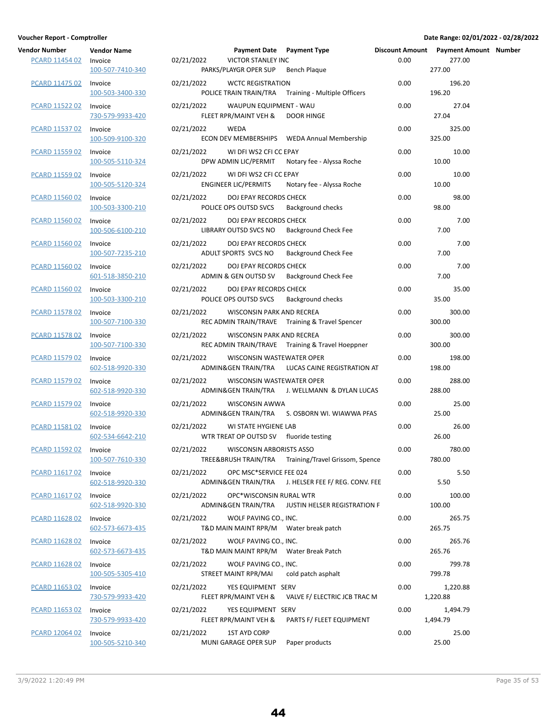| <b>Vendor Number</b><br>PCARD 11454 02 | <b>Vendor Name</b><br>Invoice | 02/21/2022 | Payment Date Payment Type<br><b>VICTOR STANLEY INC</b>          |                                                      | 0.00 | Discount Amount Payment Amount Number<br>277.00 |  |
|----------------------------------------|-------------------------------|------------|-----------------------------------------------------------------|------------------------------------------------------|------|-------------------------------------------------|--|
|                                        | 100-507-7410-340              |            | PARKS/PLAYGR OPER SUP                                           | <b>Bench Plaque</b>                                  |      | 277.00                                          |  |
| PCARD 11475 02                         | Invoice<br>100-503-3400-330   | 02/21/2022 | <b>WCTC REGISTRATION</b>                                        | POLICE TRAIN TRAIN/TRA Training - Multiple Officers  | 0.00 | 196.20<br>196.20                                |  |
| PCARD 11522 02                         | Invoice<br>730-579-9933-420   | 02/21/2022 | WAUPUN EQUIPMENT - WAU<br>FLEET RPR/MAINT VEH & DOOR HINGE      |                                                      | 0.00 | 27.04<br>27.04                                  |  |
| PCARD 11537 02                         | Invoice<br>100-509-9100-320   | 02/21/2022 | WEDA                                                            | ECON DEV MEMBERSHIPS    WEDA Annual Membership       | 0.00 | 325.00<br>325.00                                |  |
| PCARD 11559 02                         | Invoice<br>100-505-5110-324   | 02/21/2022 | WI DFI WS2 CFI CC EPAY                                          | DPW ADMIN LIC/PERMIT Notary fee - Alyssa Roche       | 0.00 | 10.00<br>10.00                                  |  |
| <b>PCARD 11559 02</b>                  | Invoice<br>100-505-5120-324   | 02/21/2022 | WI DFI WS2 CFI CC EPAY<br><b>ENGINEER LIC/PERMITS</b>           | Notary fee - Alyssa Roche                            | 0.00 | 10.00<br>10.00                                  |  |
| PCARD 11560 02                         | Invoice<br>100-503-3300-210   | 02/21/2022 | DOJ EPAY RECORDS CHECK<br>POLICE OPS OUTSD SVCS                 | Background checks                                    | 0.00 | 98.00<br>98.00                                  |  |
| PCARD 11560 02                         | Invoice<br>100-506-6100-210   | 02/21/2022 | DOJ EPAY RECORDS CHECK<br>LIBRARY OUTSD SVCS NO                 | <b>Background Check Fee</b>                          | 0.00 | 7.00<br>7.00                                    |  |
| PCARD 11560 02                         | Invoice<br>100-507-7235-210   | 02/21/2022 | DOJ EPAY RECORDS CHECK<br>ADULT SPORTS SVCS NO                  | <b>Background Check Fee</b>                          | 0.00 | 7.00<br>7.00                                    |  |
| PCARD 11560 02                         | Invoice<br>601-518-3850-210   | 02/21/2022 | DOJ EPAY RECORDS CHECK<br>ADMIN & GEN OUTSD SV                  | <b>Background Check Fee</b>                          | 0.00 | 7.00<br>7.00                                    |  |
| <b>PCARD 11560 02</b>                  | Invoice<br>100-503-3300-210   | 02/21/2022 | DOJ EPAY RECORDS CHECK<br>POLICE OPS OUTSD SVCS                 | <b>Background checks</b>                             | 0.00 | 35.00<br>35.00                                  |  |
| PCARD 11578 02                         | Invoice<br>100-507-7100-330   | 02/21/2022 | WISCONSIN PARK AND RECREA                                       | REC ADMIN TRAIN/TRAVE Training & Travel Spencer      | 0.00 | 300.00<br>300.00                                |  |
| PCARD 11578 02                         | Invoice<br>100-507-7100-330   | 02/21/2022 | WISCONSIN PARK AND RECREA                                       | REC ADMIN TRAIN/TRAVE Training & Travel Hoeppner     | 0.00 | 300.00<br>300.00                                |  |
| PCARD 11579 02                         | Invoice<br>602-518-9920-330   | 02/21/2022 | WISCONSIN WASTEWATER OPER                                       | ADMIN& GEN TRAIN/TRA LUCAS CAINE REGISTRATION AT     | 0.00 | 198.00<br>198.00                                |  |
| PCARD 11579 02                         | Invoice<br>602-518-9920-330   | 02/21/2022 | WISCONSIN WASTEWATER OPER                                       | ADMIN& GEN TRAIN/TRA J. WELLMANN & DYLAN LUCAS       | 0.00 | 288.00<br>288.00                                |  |
| <b>PCARD 11579 02</b>                  | Invoice<br>602-518-9920-330   | 02/21/2022 | WISCONSIN AWWA                                                  | ADMIN&GEN TRAIN/TRA S. OSBORN WI. WIAWWA PFAS        | 0.00 | 25.00<br>25.00                                  |  |
| PCARD 11581 02                         | Invoice<br>602-534-6642-210   | 02/21/2022 | WI STATE HYGIENE LAB<br>WTR TREAT OP OUTSD SV fluoride testing  |                                                      | 0.00 | 26.00<br>26.00                                  |  |
| PCARD 11592 02                         | Invoice<br>100-507-7610-330   | 02/21/2022 | <b>WISCONSIN ARBORISTS ASSO</b>                                 | TREE&BRUSH TRAIN/TRA Training/Travel Grissom, Spence | 0.00 | 780.00<br>780.00                                |  |
| PCARD 11617 02                         | Invoice<br>602-518-9920-330   | 02/21/2022 | OPC MSC*SERVICE FEE 024                                         | ADMIN& GEN TRAIN/TRA J. HELSER FEE F/ REG. CONV. FEE | 0.00 | 5.50<br>5.50                                    |  |
| PCARD 11617 02                         | Invoice<br>602-518-9920-330   | 02/21/2022 | OPC*WISCONSIN RURAL WTR<br>ADMIN&GEN TRAIN/TRA                  | JUSTIN HELSER REGISTRATION F                         | 0.00 | 100.00<br>100.00                                |  |
| <b>PCARD 11628 02</b>                  | Invoice<br>602-573-6673-435   | 02/21/2022 | WOLF PAVING CO., INC.<br>T&D MAIN MAINT RPR/M Water break patch |                                                      | 0.00 | 265.75<br>265.75                                |  |
| PCARD 11628 02                         | Invoice<br>602-573-6673-435   | 02/21/2022 | WOLF PAVING CO., INC.<br>T&D MAIN MAINT RPR/M Water Break Patch |                                                      | 0.00 | 265.76<br>265.76                                |  |
| PCARD 11628 02                         | Invoice<br>100-505-5305-410   | 02/21/2022 | WOLF PAVING CO., INC.<br>STREET MAINT RPR/MAI                   | cold patch asphalt                                   | 0.00 | 799.78<br>799.78                                |  |
| PCARD 11653 02                         | Invoice<br>730-579-9933-420   | 02/21/2022 | YES EQUIPMENT SERV<br>FLEET RPR/MAINT VEH &                     | VALVE F/ ELECTRIC JCB TRAC M                         | 0.00 | 1,220.88<br>1,220.88                            |  |
| PCARD 11653 02                         | Invoice<br>730-579-9933-420   | 02/21/2022 | YES EQUIPMENT SERV<br>FLEET RPR/MAINT VEH &                     | PARTS F/ FLEET EQUIPMENT                             | 0.00 | 1,494.79<br>1,494.79                            |  |
| <b>PCARD 12064 02</b>                  | Invoice<br>100-505-5210-340   | 02/21/2022 | 1ST AYD CORP<br>MUNI GARAGE OPER SUP                            | Paper products                                       | 0.00 | 25.00<br>25.00                                  |  |

| dor Number<br>PCARD 11454 02 | <b>Vendor Name</b>          | Payment Date Payment Type<br>02/21/2022                                                               | Discount Amount Payment Amo<br>0.00 | 277.00               |
|------------------------------|-----------------------------|-------------------------------------------------------------------------------------------------------|-------------------------------------|----------------------|
|                              | Invoice<br>100-507-7410-340 | VICTOR STANLEY INC<br>PARKS/PLAYGR OPER SUP<br>Bench Plaque                                           |                                     | 277.00               |
| PCARD 11475 02               | Invoice<br>100-503-3400-330 | 02/21/2022<br><b>WCTC REGISTRATION</b><br>POLICE TRAIN TRAIN/TRA Training - Multiple Officers         | 0.00                                | 196.20<br>196.20     |
| PCARD 11522 02               | Invoice<br>730-579-9933-420 | 02/21/2022<br>WAUPUN EQUIPMENT - WAU<br>FLEET RPR/MAINT VEH &<br><b>DOOR HINGE</b>                    | 0.00                                | 27.04<br>27.04       |
| PCARD 11537 02               | Invoice<br>100-509-9100-320 | 02/21/2022<br>WEDA                                                                                    | 0.00                                | 325.00<br>325.00     |
| PCARD 11559 02               | Invoice<br>100-505-5110-324 | 02/21/2022<br>WI DFI WS2 CFI CC EPAY<br>Notary fee - Alyssa Roche<br>DPW ADMIN LIC/PERMIT             | 0.00                                | 10.00<br>10.00       |
| <b>PCARD 11559 02</b>        | Invoice<br>100-505-5120-324 | 02/21/2022<br>WI DFI WS2 CFI CC EPAY<br>ENGINEER LIC/PERMITS<br>Notary fee - Alyssa Roche             | 0.00                                | 10.00<br>10.00       |
| <b>PCARD 11560 02</b>        | Invoice<br>100-503-3300-210 | 02/21/2022<br>DOJ EPAY RECORDS CHECK<br>POLICE OPS OUTSD SVCS<br><b>Background checks</b>             | 0.00                                | 98.00<br>98.00       |
| PCARD 11560 02               | Invoice<br>100-506-6100-210 | DOJ EPAY RECORDS CHECK<br>02/21/2022<br>LIBRARY OUTSD SVCS NO<br><b>Background Check Fee</b>          | 0.00                                | 7.00<br>7.00         |
| PCARD 11560 02               | Invoice<br>100-507-7235-210 | 02/21/2022<br>DOJ EPAY RECORDS CHECK<br>ADULT SPORTS SVCS NO<br><b>Background Check Fee</b>           | 0.00                                | 7.00<br>7.00         |
| PCARD 11560 02               | Invoice<br>601-518-3850-210 | 02/21/2022<br>DOJ EPAY RECORDS CHECK<br>ADMIN & GEN OUTSD SV<br><b>Background Check Fee</b>           | 0.00                                | 7.00<br>7.00         |
| PCARD 11560 02               | Invoice<br>100-503-3300-210 | 02/21/2022<br>DOJ EPAY RECORDS CHECK<br>POLICE OPS OUTSD SVCS<br><b>Background checks</b>             | 0.00                                | 35.00<br>35.00       |
| PCARD 11578 02               | Invoice<br>100-507-7100-330 | 02/21/2022<br>WISCONSIN PARK AND RECREA<br>REC ADMIN TRAIN/TRAVE Training & Travel Spencer            | 0.00                                | 300.00<br>300.00     |
| PCARD 11578 02               | Invoice<br>100-507-7100-330 | 02/21/2022<br>WISCONSIN PARK AND RECREA<br>REC ADMIN TRAIN/TRAVE Training & Travel Hoeppner           | 0.00                                | 300.00<br>300.00     |
| PCARD 11579 02               | Invoice<br>602-518-9920-330 | 02/21/2022<br>WISCONSIN WASTEWATER OPER<br>ADMIN& GEN TRAIN/TRA LUCAS CAINE REGISTRATION AT           | 0.00                                | 198.00<br>198.00     |
| PCARD 11579 02               | Invoice<br>602-518-9920-330 | 02/21/2022<br>WISCONSIN WASTEWATER OPER<br>ADMIN&GEN TRAIN/TRA<br>J. WELLMANN & DYLAN LUCAS           | 0.00                                | 288.00<br>288.00     |
| PCARD 11579 02               | Invoice<br>602-518-9920-330 | 02/21/2022<br><b>WISCONSIN AWWA</b><br>ADMIN&GEN TRAIN/TRA<br>S. OSBORN WI. WIAWWA PFAS               | 0.00                                | 25.00<br>25.00       |
| <b>PCARD 11581 02</b>        | Invoice<br>602-534-6642-210 | 02/21/2022<br>WI STATE HYGIENE LAB<br>WTR TREAT OP OUTSD SV fluoride testing                          | 0.00                                | 26.00<br>26.00       |
| PCARD 11592 02               | Invoice<br>100-507-7610-330 | 02/21/2022<br><b>WISCONSIN ARBORISTS ASSO</b><br>TREE&BRUSH TRAIN/TRA Training/Travel Grissom, Spence | 0.00                                | 780.00<br>780.00     |
| PCARD 11617 02               | Invoice<br>602-518-9920-330 | 02/21/2022<br>OPC MSC*SERVICE FEE 024<br>ADMIN&GEN TRAIN/TRA J. HELSER FEE F/ REG. CONV. FEE          | 0.00                                | 5.50<br>5.50         |
| PCARD 11617 02               | Invoice<br>602-518-9920-330 | 02/21/2022<br>OPC*WISCONSIN RURAL WTR<br>ADMIN&GEN TRAIN/TRA<br>JUSTIN HELSER REGISTRATION F          | 0.00                                | 100.00<br>100.00     |
| PCARD 11628 02               | Invoice<br>602-573-6673-435 | 02/21/2022<br>WOLF PAVING CO., INC.<br>T&D MAIN MAINT RPR/M<br>Water break patch                      | 0.00                                | 265.75<br>265.75     |
| <b>PCARD 11628 02</b>        | Invoice<br>602-573-6673-435 | 02/21/2022<br>WOLF PAVING CO., INC.<br>T&D MAIN MAINT RPR/M Water Break Patch                         | 0.00                                | 265.76<br>265.76     |
| PCARD 11628 02               | Invoice<br>100-505-5305-410 | 02/21/2022<br>WOLF PAVING CO., INC.<br>STREET MAINT RPR/MAI<br>cold patch asphalt                     | 0.00                                | 799.78<br>799.78     |
| PCARD 11653 02               | Invoice<br>730-579-9933-420 | 02/21/2022<br>YES EQUIPMENT SERV<br>FLEET RPR/MAINT VEH &<br>VALVE F/ ELECTRIC JCB TRAC M             | 0.00                                | 1,220.88<br>1,220.88 |
| PCARD 11653 02               | Invoice<br>730-579-9933-420 | 02/21/2022<br>YES EQUIPMENT SERV<br>FLEET RPR/MAINT VEH &<br>PARTS F/ FLEET EQUIPMENT                 | 0.00                                | 1,494.79<br>1,494.79 |
| PCARD 12064 02               | Invoice<br>100-505-5210-340 | 02/21/2022<br>1ST AYD CORP<br>MUNI GARAGE OPER SUP<br>Paper products                                  | 0.00                                | 25.00<br>25.00       |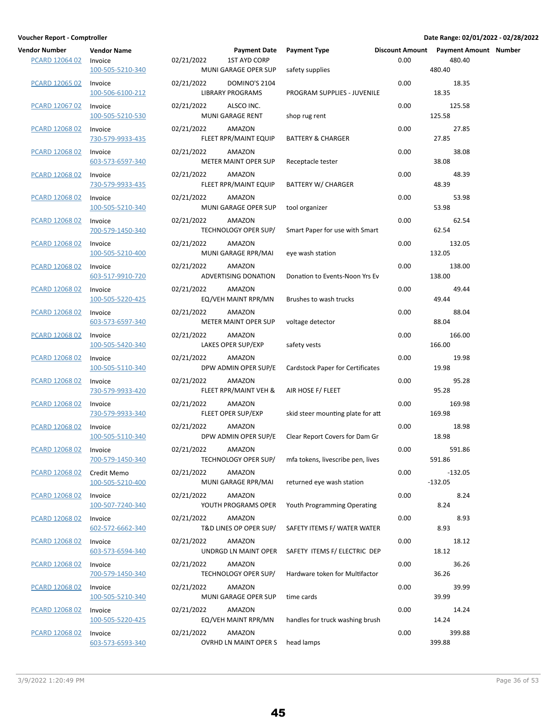| Vendor Number         | <b>Vendor Name</b>              | <b>Payment Date</b>                                       | <b>Payment Type</b>                     |      | Discount Amount Payment Amount Number |  |
|-----------------------|---------------------------------|-----------------------------------------------------------|-----------------------------------------|------|---------------------------------------|--|
| <b>PCARD 12064 02</b> | Invoice<br>100-505-5210-340     | <b>1ST AYD CORP</b><br>02/21/2022<br>MUNI GARAGE OPER SUP | safety supplies                         | 0.00 | 480.40<br>480.40                      |  |
| <b>PCARD 12065 02</b> | Invoice                         | 02/21/2022<br>DOMINO'S 2104                               |                                         | 0.00 | 18.35                                 |  |
|                       | 100-506-6100-212                | <b>LIBRARY PROGRAMS</b>                                   | PROGRAM SUPPLIES - JUVENILE             |      | 18.35                                 |  |
| PCARD 12067 02        | Invoice<br>100-505-5210-530     | 02/21/2022<br>ALSCO INC.<br>MUNI GARAGE RENT              | shop rug rent                           | 0.00 | 125.58<br>125.58                      |  |
| PCARD 12068 02        | Invoice<br>730-579-9933-435     | 02/21/2022<br>AMAZON<br>FLEET RPR/MAINT EQUIP             | <b>BATTERY &amp; CHARGER</b>            | 0.00 | 27.85<br>27.85                        |  |
| PCARD 12068 02        | Invoice<br>603-573-6597-340     | 02/21/2022<br>AMAZON<br>METER MAINT OPER SUP              | Receptacle tester                       | 0.00 | 38.08<br>38.08                        |  |
| <b>PCARD 12068 02</b> | Invoice<br>730-579-9933-435     | 02/21/2022<br>AMAZON<br>FLEET RPR/MAINT EQUIP             | <b>BATTERY W/ CHARGER</b>               | 0.00 | 48.39<br>48.39                        |  |
| <b>PCARD 12068 02</b> | Invoice<br>100-505-5210-340     | 02/21/2022<br>AMAZON<br>MUNI GARAGE OPER SUP              | tool organizer                          | 0.00 | 53.98<br>53.98                        |  |
| <b>PCARD 12068 02</b> | Invoice<br>700-579-1450-340     | 02/21/2022<br>AMAZON<br>TECHNOLOGY OPER SUP/              | Smart Paper for use with Smart          | 0.00 | 62.54<br>62.54                        |  |
| PCARD 12068 02        | Invoice<br>100-505-5210-400     | 02/21/2022<br>AMAZON<br>MUNI GARAGE RPR/MAI               | eye wash station                        | 0.00 | 132.05<br>132.05                      |  |
| PCARD 12068 02        | Invoice<br>603-517-9910-720     | 02/21/2022<br>AMAZON<br>ADVERTISING DONATION              | Donation to Events-Noon Yrs Ev          | 0.00 | 138.00<br>138.00                      |  |
| <b>PCARD 12068 02</b> | Invoice<br>100-505-5220-425     | 02/21/2022<br>AMAZON<br>EQ/VEH MAINT RPR/MN               | Brushes to wash trucks                  | 0.00 | 49.44<br>49.44                        |  |
| <b>PCARD 12068 02</b> | Invoice<br>603-573-6597-340     | 02/21/2022<br>AMAZON<br>METER MAINT OPER SUP              | voltage detector                        | 0.00 | 88.04<br>88.04                        |  |
| PCARD 12068 02        | Invoice<br>100-505-5420-340     | 02/21/2022<br>AMAZON<br>LAKES OPER SUP/EXP                | safety vests                            | 0.00 | 166.00<br>166.00                      |  |
| PCARD 12068 02        | Invoice<br>100-505-5110-340     | 02/21/2022<br>AMAZON<br>DPW ADMIN OPER SUP/E              | <b>Cardstock Paper for Certificates</b> | 0.00 | 19.98<br>19.98                        |  |
| PCARD 12068 02        | Invoice<br>730-579-9933-420     | 02/21/2022<br>AMAZON<br>FLEET RPR/MAINT VEH &             | AIR HOSE F/ FLEET                       | 0.00 | 95.28<br>95.28                        |  |
| PCARD 12068 02        | Invoice<br>730-579-9933-340     | 02/21/2022<br>AMAZON<br>FLEET OPER SUP/EXP                | skid steer mounting plate for att       | 0.00 | 169.98<br>169.98                      |  |
| PCARD 12068 02        | Invoice<br>100-505-5110-340     | 02/21/2022<br>AMAZON<br>DPW ADMIN OPER SUP/E              | Clear Report Covers for Dam Gr          | 0.00 | 18.98<br>18.98                        |  |
| PCARD 12068 02        | Invoice<br>700-579-1450-340     | 02/21/2022<br>AMAZON<br>TECHNOLOGY OPER SUP/              | mfa tokens, livescribe pen, lives       | 0.00 | 591.86<br>591.86                      |  |
| PCARD 12068 02        | Credit Memo<br>100-505-5210-400 | 02/21/2022<br>AMAZON<br>MUNI GARAGE RPR/MAI               | returned eye wash station               | 0.00 | $-132.05$<br>$-132.05$                |  |
| <b>PCARD 12068 02</b> | Invoice<br>100-507-7240-340     | 02/21/2022<br>AMAZON<br>YOUTH PROGRAMS OPER               | Youth Programming Operating             | 0.00 | 8.24<br>8.24                          |  |
| <b>PCARD 12068 02</b> | Invoice<br>602-572-6662-340     | 02/21/2022<br>AMAZON<br>T&D LINES OP OPER SUP/            | SAFETY ITEMS F/ WATER WATER             | 0.00 | 8.93<br>8.93                          |  |
| <b>PCARD 12068 02</b> | Invoice<br>603-573-6594-340     | 02/21/2022<br>AMAZON<br>UNDRGD LN MAINT OPER              | SAFETY ITEMS F/ ELECTRIC DEP            | 0.00 | 18.12<br>18.12                        |  |
| <b>PCARD 12068 02</b> | Invoice<br>700-579-1450-340     | 02/21/2022<br>AMAZON<br>TECHNOLOGY OPER SUP/              | Hardware token for Multifactor          | 0.00 | 36.26<br>36.26                        |  |
| PCARD 12068 02        | Invoice<br>100-505-5210-340     | 02/21/2022<br>AMAZON<br>MUNI GARAGE OPER SUP              | time cards                              | 0.00 | 39.99<br>39.99                        |  |
| PCARD 12068 02        | Invoice<br>100-505-5220-425     | 02/21/2022<br>AMAZON<br>EQ/VEH MAINT RPR/MN               | handles for truck washing brush         | 0.00 | 14.24<br>14.24                        |  |
| <b>PCARD 12068 02</b> | Invoice<br>603-573-6593-340     | 02/21/2022<br>AMAZON<br>OVRHD LN MAINT OPER S             | head lamps                              | 0.00 | 399.88<br>399.88                      |  |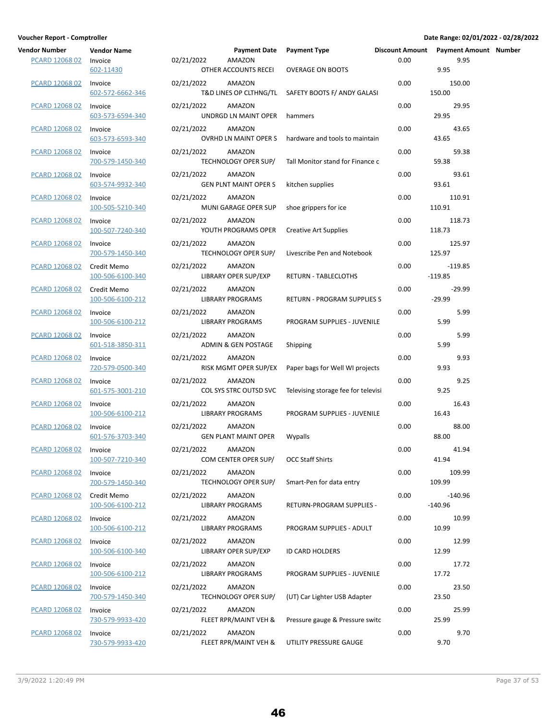| Vendor Number         | <b>Vendor Name</b>              | <b>Payment Date</b>                                  | <b>Payment Type</b>                                | <b>Discount Amount</b> | <b>Payment Amount Number</b> |  |
|-----------------------|---------------------------------|------------------------------------------------------|----------------------------------------------------|------------------------|------------------------------|--|
| PCARD 12068 02        | Invoice<br>602-11430            | 02/21/2022<br>AMAZON<br>OTHER ACCOUNTS RECEI         | <b>OVERAGE ON BOOTS</b>                            | 0.00                   | 9.95<br>9.95                 |  |
| <b>PCARD 12068 02</b> | Invoice<br>602-572-6662-346     | 02/21/2022<br>AMAZON                                 | T&D LINES OP CLTHNG/TL SAFETY BOOTS F/ ANDY GALASI | 0.00                   | 150.00<br>150.00             |  |
| PCARD 12068 02        | Invoice<br>603-573-6594-340     | 02/21/2022<br>AMAZON<br>UNDRGD LN MAINT OPER         | hammers                                            | 0.00                   | 29.95<br>29.95               |  |
| PCARD 12068 02        | Invoice<br>603-573-6593-340     | 02/21/2022<br>AMAZON<br>OVRHD LN MAINT OPER S        | hardware and tools to maintain                     | 0.00                   | 43.65<br>43.65               |  |
| PCARD 12068 02        | Invoice<br>700-579-1450-340     | 02/21/2022<br>AMAZON<br>TECHNOLOGY OPER SUP/         | Tall Monitor stand for Finance c                   | 0.00                   | 59.38<br>59.38               |  |
| <b>PCARD 12068 02</b> | Invoice<br>603-574-9932-340     | 02/21/2022<br>AMAZON<br><b>GEN PLNT MAINT OPER S</b> | kitchen supplies                                   | 0.00                   | 93.61<br>93.61               |  |
| <b>PCARD 12068 02</b> | Invoice<br>100-505-5210-340     | 02/21/2022<br>AMAZON<br>MUNI GARAGE OPER SUP         | shoe grippers for ice                              | 0.00                   | 110.91<br>110.91             |  |
| PCARD 12068 02        | Invoice<br>100-507-7240-340     | 02/21/2022<br>AMAZON<br>YOUTH PROGRAMS OPER          | Creative Art Supplies                              | 0.00                   | 118.73<br>118.73             |  |
| PCARD 12068 02        | Invoice<br>700-579-1450-340     | 02/21/2022<br>AMAZON<br>TECHNOLOGY OPER SUP/         | Livescribe Pen and Notebook                        | 0.00                   | 125.97<br>125.97             |  |
| PCARD 12068 02        | Credit Memo<br>100-506-6100-340 | 02/21/2022<br>AMAZON<br>LIBRARY OPER SUP/EXP         | RETURN - TABLECLOTHS                               | 0.00                   | $-119.85$<br>$-119.85$       |  |
| PCARD 12068 02        | Credit Memo<br>100-506-6100-212 | 02/21/2022<br>AMAZON<br><b>LIBRARY PROGRAMS</b>      | RETURN - PROGRAM SUPPLIES S                        | 0.00                   | $-29.99$<br>$-29.99$         |  |
| <b>PCARD 12068 02</b> | Invoice<br>100-506-6100-212     | AMAZON<br>02/21/2022<br><b>LIBRARY PROGRAMS</b>      | PROGRAM SUPPLIES - JUVENILE                        | 0.00                   | 5.99<br>5.99                 |  |
| PCARD 12068 02        | Invoice<br>601-518-3850-311     | 02/21/2022<br>AMAZON<br>ADMIN & GEN POSTAGE          | Shipping                                           | 0.00                   | 5.99<br>5.99                 |  |
| PCARD 12068 02        | Invoice<br>720-579-0500-340     | 02/21/2022<br>AMAZON<br>RISK MGMT OPER SUP/EX        | Paper bags for Well WI projects                    | 0.00                   | 9.93<br>9.93                 |  |
| PCARD 12068 02        | Invoice<br>601-575-3001-210     | 02/21/2022<br>AMAZON<br>COL SYS STRC OUTSD SVC       | Televising storage fee for televisi                | 0.00                   | 9.25<br>9.25                 |  |
| <b>PCARD 12068 02</b> | Invoice<br>100-506-6100-212     | 02/21/2022<br>AMAZON<br><b>LIBRARY PROGRAMS</b>      | PROGRAM SUPPLIES - JUVENILE                        | 0.00                   | 16.43<br>16.43               |  |
| <b>PCARD 12068 02</b> | Invoice<br>601-576-3703-340     | 02/21/2022<br>AMAZON<br><b>GEN PLANT MAINT OPER</b>  | Wypalls                                            | 0.00                   | 88.00<br>88.00               |  |
| PCARD 12068 02        | Invoice<br>100-507-7210-340     | 02/21/2022<br>AMAZON<br>COM CENTER OPER SUP/         | <b>OCC Staff Shirts</b>                            | 0.00                   | 41.94<br>41.94               |  |
| PCARD 12068 02        | Invoice<br>700-579-1450-340     | 02/21/2022<br>AMAZON<br>TECHNOLOGY OPER SUP/         | Smart-Pen for data entry                           | 0.00                   | 109.99<br>109.99             |  |
| PCARD 12068 02        | Credit Memo<br>100-506-6100-212 | 02/21/2022<br>AMAZON<br><b>LIBRARY PROGRAMS</b>      | RETURN-PROGRAM SUPPLIES -                          | 0.00                   | $-140.96$<br>$-140.96$       |  |
| <b>PCARD 12068 02</b> | Invoice<br>100-506-6100-212     | AMAZON<br>02/21/2022<br><b>LIBRARY PROGRAMS</b>      | PROGRAM SUPPLIES - ADULT                           | 0.00                   | 10.99<br>10.99               |  |
| PCARD 12068 02        | Invoice<br>100-506-6100-340     | 02/21/2022<br>AMAZON<br>LIBRARY OPER SUP/EXP         | ID CARD HOLDERS                                    | 0.00                   | 12.99<br>12.99               |  |
| PCARD 12068 02        | Invoice<br>100-506-6100-212     | 02/21/2022<br>AMAZON<br><b>LIBRARY PROGRAMS</b>      | PROGRAM SUPPLIES - JUVENILE                        | 0.00                   | 17.72<br>17.72               |  |
| PCARD 12068 02        | Invoice<br>700-579-1450-340     | 02/21/2022<br>AMAZON<br>TECHNOLOGY OPER SUP/         | (UT) Car Lighter USB Adapter                       | 0.00                   | 23.50<br>23.50               |  |
| PCARD 12068 02        | Invoice<br>730-579-9933-420     | 02/21/2022<br>AMAZON<br>FLEET RPR/MAINT VEH &        | Pressure gauge & Pressure switc                    | 0.00                   | 25.99<br>25.99               |  |
| <b>PCARD 12068 02</b> | Invoice<br>730-579-9933-420     | 02/21/2022<br>AMAZON<br>FLEET RPR/MAINT VEH &        | UTILITY PRESSURE GAUGE                             | 0.00                   | 9.70<br>9.70                 |  |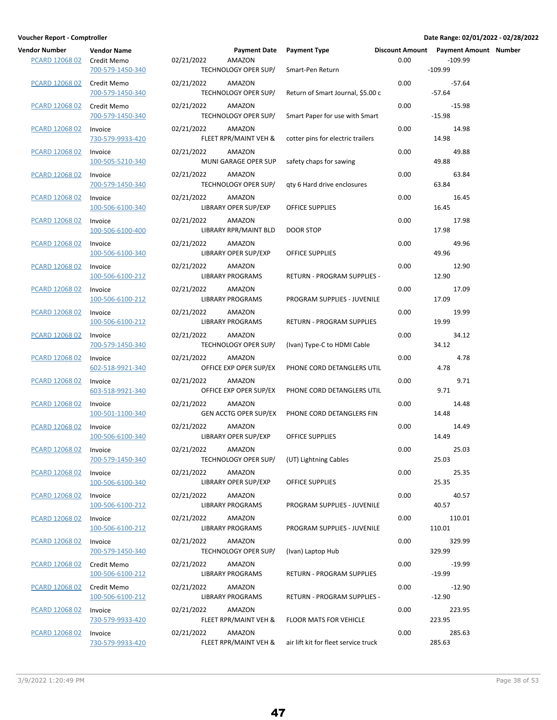| Vendor Number         | <b>Vendor Name</b>                              | <b>Payment Date</b>                                                      | <b>Payment Type</b>                                       |      | Discount Amount Payment Amount Number |  |
|-----------------------|-------------------------------------------------|--------------------------------------------------------------------------|-----------------------------------------------------------|------|---------------------------------------|--|
| PCARD 12068 02        | Credit Memo<br>700-579-1450-340                 | 02/21/2022<br><b>AMAZON</b><br>TECHNOLOGY OPER SUP/                      | Smart-Pen Return                                          | 0.00 | $-109.99$<br>$-109.99$                |  |
| PCARD 12068 02        | Credit Memo<br>700-579-1450-340                 | 02/21/2022<br>AMAZON<br>TECHNOLOGY OPER SUP/                             | Return of Smart Journal, \$5.00 c                         | 0.00 | $-57.64$<br>$-57.64$                  |  |
| PCARD 12068 02        | Credit Memo<br>700-579-1450-340                 | 02/21/2022<br>AMAZON<br>TECHNOLOGY OPER SUP/                             | Smart Paper for use with Smart                            | 0.00 | $-15.98$<br>$-15.98$                  |  |
| PCARD 12068 02        | Invoice<br>730-579-9933-420                     | 02/21/2022<br>AMAZON<br>FLEET RPR/MAINT VEH &                            | cotter pins for electric trailers                         | 0.00 | 14.98<br>14.98                        |  |
| PCARD 12068 02        | Invoice<br>100-505-5210-340                     | AMAZON<br>02/21/2022<br>MUNI GARAGE OPER SUP                             | safety chaps for sawing                                   | 0.00 | 49.88<br>49.88                        |  |
| <b>PCARD 12068 02</b> | Invoice<br>700-579-1450-340                     | 02/21/2022<br>AMAZON<br>TECHNOLOGY OPER SUP/                             | qty 6 Hard drive enclosures                               | 0.00 | 63.84<br>63.84                        |  |
| <b>PCARD 12068 02</b> | Invoice<br>100-506-6100-340                     | 02/21/2022<br>AMAZON<br>LIBRARY OPER SUP/EXP                             | OFFICE SUPPLIES                                           | 0.00 | 16.45<br>16.45                        |  |
| PCARD 12068 02        | Invoice<br>100-506-6100-400                     | 02/21/2022<br>AMAZON<br>LIBRARY RPR/MAINT BLD                            | <b>DOOR STOP</b>                                          | 0.00 | 17.98<br>17.98                        |  |
| PCARD 12068 02        | Invoice<br>100-506-6100-340                     | 02/21/2022<br>AMAZON<br><b>LIBRARY OPER SUP/EXP</b>                      | OFFICE SUPPLIES                                           | 0.00 | 49.96<br>49.96                        |  |
| PCARD 12068 02        | Invoice<br>100-506-6100-212                     | 02/21/2022<br>AMAZON<br><b>LIBRARY PROGRAMS</b>                          | RETURN - PROGRAM SUPPLIES -                               | 0.00 | 12.90<br>12.90                        |  |
| <b>PCARD 12068 02</b> | Invoice<br>100-506-6100-212                     | 02/21/2022<br>AMAZON<br><b>LIBRARY PROGRAMS</b>                          | PROGRAM SUPPLIES - JUVENILE                               | 0.00 | 17.09<br>17.09                        |  |
| <b>PCARD 12068 02</b> | Invoice                                         | 02/21/2022<br>AMAZON                                                     |                                                           | 0.00 | 19.99<br>19.99                        |  |
| PCARD 12068 02        | 100-506-6100-212<br>Invoice                     | <b>LIBRARY PROGRAMS</b><br>02/21/2022<br>AMAZON                          | RETURN - PROGRAM SUPPLIES                                 | 0.00 | 34.12<br>34.12                        |  |
| PCARD 12068 02        | 700-579-1450-340<br>Invoice<br>602-518-9921-340 | TECHNOLOGY OPER SUP/<br>02/21/2022<br>AMAZON                             | (Ivan) Type-C to HDMI Cable<br>PHONE CORD DETANGLERS UTIL | 0.00 | 4.78<br>4.78                          |  |
| PCARD 12068 02        | Invoice<br>603-518-9921-340                     | OFFICE EXP OPER SUP/EX<br>02/21/2022<br>AMAZON<br>OFFICE EXP OPER SUP/EX | PHONE CORD DETANGLERS UTIL                                | 0.00 | 9.71<br>9.71                          |  |
| <b>PCARD 12068 02</b> | Invoice<br>100-501-1100-340                     | 02/21/2022<br>AMAZON<br>GEN ACCTG OPER SUP/EX                            | PHONE CORD DETANGLERS FIN                                 | 0.00 | 14.48<br>14.48                        |  |
| <b>PCARD 12068 02</b> | Invoice                                         | 02/21/2022<br>AMAZON                                                     |                                                           | 0.00 | 14.49                                 |  |
| PCARD 12068 02        | 100-506-6100-340<br>Invoice                     | LIBRARY OPER SUP/EXP<br>02/21/2022<br>AMAZON                             | OFFICE SUPPLIES                                           | 0.00 | 14.49<br>25.03                        |  |
| PCARD 12068 02        | 700-579-1450-340<br>Invoice                     | TECHNOLOGY OPER SUP/<br>02/21/2022<br>AMAZON                             | (UT) Lightning Cables                                     | 0.00 | 25.03<br>25.35                        |  |
| PCARD 12068 02        | 100-506-6100-340<br>Invoice                     | LIBRARY OPER SUP/EXP<br>AMAZON<br>02/21/2022                             | OFFICE SUPPLIES                                           | 0.00 | 25.35<br>40.57                        |  |
| <b>PCARD 12068 02</b> | 100-506-6100-212<br>Invoice                     | <b>LIBRARY PROGRAMS</b><br>AMAZON<br>02/21/2022                          | PROGRAM SUPPLIES - JUVENILE                               | 0.00 | 40.57<br>110.01                       |  |
| PCARD 12068 02        | 100-506-6100-212<br>Invoice                     | <b>LIBRARY PROGRAMS</b><br>02/21/2022<br>AMAZON                          | PROGRAM SUPPLIES - JUVENILE                               | 0.00 | 110.01<br>329.99                      |  |
| PCARD 12068 02        | 700-579-1450-340<br>Credit Memo                 | TECHNOLOGY OPER SUP/<br>02/21/2022<br>AMAZON                             | (Ivan) Laptop Hub                                         | 0.00 | 329.99<br>$-19.99$                    |  |
| PCARD 12068 02        | 100-506-6100-212<br>Credit Memo                 | <b>LIBRARY PROGRAMS</b><br>02/21/2022<br>AMAZON                          | RETURN - PROGRAM SUPPLIES                                 | 0.00 | $-19.99$<br>$-12.90$                  |  |
| PCARD 12068 02        | 100-506-6100-212<br>Invoice                     | <b>LIBRARY PROGRAMS</b><br>02/21/2022<br>AMAZON                          | <b>RETURN - PROGRAM SUPPLIES -</b>                        | 0.00 | $-12.90$<br>223.95                    |  |
|                       | 730-579-9933-420                                | FLEET RPR/MAINT VEH &                                                    | <b>FLOOR MATS FOR VEHICLE</b>                             |      | 223.95                                |  |
| <b>PCARD 12068 02</b> | Invoice<br>730-579-9933-420                     | 02/21/2022<br>AMAZON<br>FLEET RPR/MAINT VEH &                            | air lift kit for fleet service truck                      | 0.00 | 285.63<br>285.63                      |  |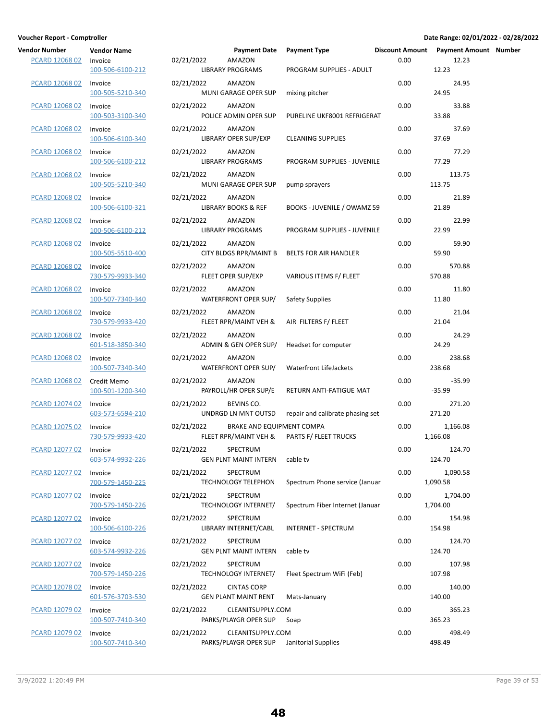| Vendor Number         | <b>Vendor Name</b>              |            | <b>Payment Date</b>                                | <b>Payment Type</b>              |      | Discount Amount Payment Amount Number |  |
|-----------------------|---------------------------------|------------|----------------------------------------------------|----------------------------------|------|---------------------------------------|--|
| PCARD 12068 02        | Invoice<br>100-506-6100-212     | 02/21/2022 | AMAZON<br><b>LIBRARY PROGRAMS</b>                  | PROGRAM SUPPLIES - ADULT         | 0.00 | 12.23<br>12.23                        |  |
| <b>PCARD 12068 02</b> | Invoice<br>100-505-5210-340     | 02/21/2022 | AMAZON<br>MUNI GARAGE OPER SUP                     | mixing pitcher                   | 0.00 | 24.95<br>24.95                        |  |
| PCARD 12068 02        | Invoice<br>100-503-3100-340     | 02/21/2022 | AMAZON<br>POLICE ADMIN OPER SUP                    | PURELINE UKF8001 REFRIGERAT      | 0.00 | 33.88<br>33.88                        |  |
| PCARD 12068 02        | Invoice<br>100-506-6100-340     | 02/21/2022 | AMAZON<br><b>LIBRARY OPER SUP/EXP</b>              | <b>CLEANING SUPPLIES</b>         | 0.00 | 37.69<br>37.69                        |  |
| PCARD 12068 02        | Invoice<br>100-506-6100-212     | 02/21/2022 | AMAZON<br><b>LIBRARY PROGRAMS</b>                  | PROGRAM SUPPLIES - JUVENILE      | 0.00 | 77.29<br>77.29                        |  |
| PCARD 12068 02        | Invoice<br>100-505-5210-340     | 02/21/2022 | AMAZON<br>MUNI GARAGE OPER SUP                     | pump sprayers                    | 0.00 | 113.75<br>113.75                      |  |
| <b>PCARD 12068 02</b> | Invoice<br>100-506-6100-321     | 02/21/2022 | AMAZON<br><b>LIBRARY BOOKS &amp; REF</b>           | BOOKS - JUVENILE / OWAMZ 59      | 0.00 | 21.89<br>21.89                        |  |
| PCARD 12068 02        | Invoice<br>100-506-6100-212     | 02/21/2022 | AMAZON<br><b>LIBRARY PROGRAMS</b>                  | PROGRAM SUPPLIES - JUVENILE      | 0.00 | 22.99<br>22.99                        |  |
| PCARD 12068 02        | Invoice<br>100-505-5510-400     | 02/21/2022 | AMAZON<br><b>CITY BLDGS RPR/MAINT B</b>            | BELTS FOR AIR HANDLER            | 0.00 | 59.90<br>59.90                        |  |
| PCARD 12068 02        | Invoice<br>730-579-9933-340     | 02/21/2022 | AMAZON<br>FLEET OPER SUP/EXP                       | VARIOUS ITEMS F/ FLEET           | 0.00 | 570.88<br>570.88                      |  |
| <b>PCARD 12068 02</b> | Invoice<br>100-507-7340-340     | 02/21/2022 | AMAZON<br>WATERFRONT OPER SUP/                     | Safety Supplies                  | 0.00 | 11.80<br>11.80                        |  |
| <b>PCARD 12068 02</b> | Invoice<br>730-579-9933-420     | 02/21/2022 | AMAZON<br>FLEET RPR/MAINT VEH &                    | AIR FILTERS F/ FLEET             | 0.00 | 21.04<br>21.04                        |  |
| PCARD 12068 02        | Invoice<br>601-518-3850-340     | 02/21/2022 | AMAZON<br>ADMIN & GEN OPER SUP/                    | Headset for computer             | 0.00 | 24.29<br>24.29                        |  |
| PCARD 12068 02        | Invoice<br>100-507-7340-340     | 02/21/2022 | AMAZON<br>WATERFRONT OPER SUP/                     | Waterfront LifeJackets           | 0.00 | 238.68<br>238.68                      |  |
| PCARD 12068 02        | Credit Memo<br>100-501-1200-340 | 02/21/2022 | AMAZON<br>PAYROLL/HR OPER SUP/E                    | RETURN ANTI-FATIGUE MAT          | 0.00 | $-35.99$<br>$-35.99$                  |  |
| PCARD 12074 02        | Invoice<br>603-573-6594-210     | 02/21/2022 | BEVINS CO.<br>UNDRGD LN MNT OUTSD                  | repair and calibrate phasing set | 0.00 | 271.20<br>271.20                      |  |
| <b>PCARD 12075 02</b> | Invoice<br>730-579-9933-420     | 02/21/2022 | BRAKE AND EQUIPMENT COMPA<br>FLEET RPR/MAINT VEH & | PARTS F/ FLEET TRUCKS            | 0.00 | 1,166.08<br>1,166.08                  |  |
| PCARD 12077 02        | Invoice<br>603-574-9932-226     | 02/21/2022 | SPECTRUM<br><b>GEN PLNT MAINT INTERN</b>           | cable tv                         | 0.00 | 124.70<br>124.70                      |  |
| PCARD 12077 02        | Invoice<br>700-579-1450-225     | 02/21/2022 | SPECTRUM<br><b>TECHNOLOGY TELEPHON</b>             | Spectrum Phone service (Januar   | 0.00 | 1,090.58<br>1,090.58                  |  |
| PCARD 12077 02        | Invoice<br>700-579-1450-226     | 02/21/2022 | SPECTRUM<br><b>TECHNOLOGY INTERNET/</b>            | Spectrum Fiber Internet (Januar  | 0.00 | 1,704.00<br>1,704.00                  |  |
| <b>PCARD 12077 02</b> | Invoice<br>100-506-6100-226     | 02/21/2022 | SPECTRUM<br>LIBRARY INTERNET/CABL                  | <b>INTERNET - SPECTRUM</b>       | 0.00 | 154.98<br>154.98                      |  |
| PCARD 12077 02        | Invoice<br>603-574-9932-226     | 02/21/2022 | SPECTRUM<br><b>GEN PLNT MAINT INTERN</b>           | cable tv                         | 0.00 | 124.70<br>124.70                      |  |
| PCARD 12077 02        | Invoice<br>700-579-1450-226     | 02/21/2022 | SPECTRUM<br><b>TECHNOLOGY INTERNET/</b>            | Fleet Spectrum WiFi (Feb)        | 0.00 | 107.98<br>107.98                      |  |
| PCARD 12078 02        | Invoice<br>601-576-3703-530     | 02/21/2022 | <b>CINTAS CORP</b><br><b>GEN PLANT MAINT RENT</b>  | Mats-January                     | 0.00 | 140.00<br>140.00                      |  |
| PCARD 12079 02        | Invoice<br>100-507-7410-340     | 02/21/2022 | CLEANITSUPPLY.COM<br>PARKS/PLAYGR OPER SUP         | Soap                             | 0.00 | 365.23<br>365.23                      |  |
| PCARD 12079 02        | Invoice<br>100-507-7410-340     | 02/21/2022 | CLEANITSUPPLY.COM<br>PARKS/PLAYGR OPER SUP         | Janitorial Supplies              | 0.00 | 498.49<br>498.49                      |  |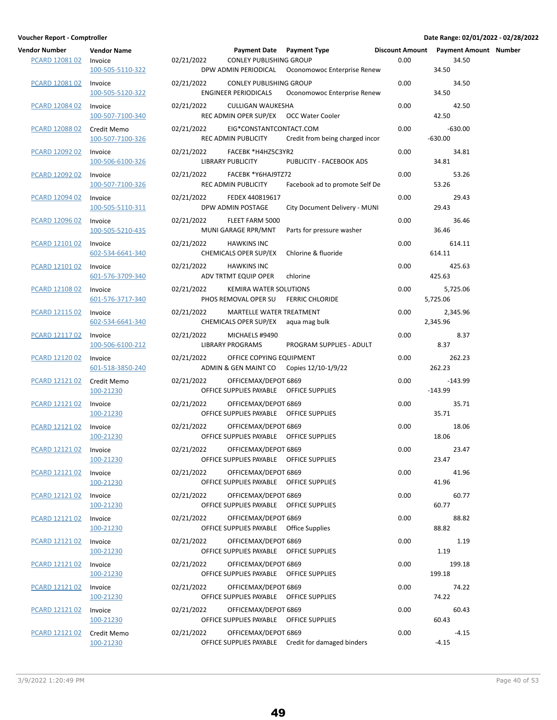| <b>Vendor Number</b><br><b>PCARD 12081 02</b> | <b>Vendor Name</b><br>Invoice<br>100-505-5110-322 | 02/21/2022 | Payment Date Payment Type<br>CONLEY PUBLISHING GROUP                        | DPW ADMIN PERIODICAL Oconomowoc Enterprise Renew    | 0.00 | Discount Amount Payment Amount Number<br>34.50<br>34.50 |  |
|-----------------------------------------------|---------------------------------------------------|------------|-----------------------------------------------------------------------------|-----------------------------------------------------|------|---------------------------------------------------------|--|
| PCARD 12081 02                                | Invoice<br>100-505-5120-322                       | 02/21/2022 | CONLEY PUBLISHING GROUP<br>ENGINEER PERIODICALS                             | Oconomowoc Enterprise Renew                         | 0.00 | 34.50<br>34.50                                          |  |
| PCARD 12084 02                                | Invoice<br>100-507-7100-340                       | 02/21/2022 | CULLIGAN WAUKESHA<br>REC ADMIN OPER SUP/EX OCC Water Cooler                 |                                                     | 0.00 | 42.50<br>42.50                                          |  |
| PCARD 12088 02                                | Credit Memo<br>100-507-7100-326                   | 02/21/2022 | EIG*CONSTANTCONTACT.COM<br>REC ADMIN PUBLICITY                              | Credit from being charged incor                     | 0.00 | $-630.00$<br>$-630.00$                                  |  |
| PCARD 12092 02                                | Invoice<br>100-506-6100-326                       | 02/21/2022 | FACEBK *H4HZ5C3YR2<br>LIBRARY PUBLICITY                                     | PUBLICITY - FACEBOOK ADS                            | 0.00 | 34.81<br>34.81                                          |  |
| <b>PCARD 12092 02</b>                         | Invoice<br>100-507-7100-326                       | 02/21/2022 | FACEBK *Y6HAJ9TZ72<br>REC ADMIN PUBLICITY                                   | Facebook ad to promote Self De                      | 0.00 | 53.26<br>53.26                                          |  |
| PCARD 12094 02                                | Invoice<br>100-505-5110-311                       | 02/21/2022 | FEDEX 440819617<br>DPW ADMIN POSTAGE                                        | City Document Delivery - MUNI                       | 0.00 | 29.43<br>29.43                                          |  |
| PCARD 12096 02                                | Invoice<br>100-505-5210-435                       |            | 02/21/2022 FLEET FARM 5000<br>MUNI GARAGE RPR/MNT                           | Parts for pressure washer                           | 0.00 | 36.46<br>36.46                                          |  |
| PCARD 12101 02                                | Invoice<br>602-534-6641-340                       | 02/21/2022 | HAWKINS INC<br>CHEMICALS OPER SUP/EX                                        | Chlorine & fluoride                                 | 0.00 | 614.11<br>614.11                                        |  |
| PCARD 12101 02                                | Invoice<br>601-576-3709-340                       | 02/21/2022 | <b>HAWKINS INC</b><br>ADV TRTMT EQUIP OPER                                  | chlorine                                            | 0.00 | 425.63<br>425.63                                        |  |
| PCARD 12108 02                                | Invoice<br>601-576-3717-340                       | 02/21/2022 | KEMIRA WATER SOLUTIONS<br>PHOS REMOVAL OPER SU                              | <b>FERRIC CHLORIDE</b>                              | 0.00 | 5,725.06<br>5,725.06                                    |  |
| PCARD 12115 02                                | Invoice<br>602-534-6641-340                       | 02/21/2022 | MARTELLE WATER TREATMENT<br>CHEMICALS OPER SUP/EX aqua mag bulk             |                                                     | 0.00 | 2,345.96<br>2,345.96                                    |  |
| PCARD 12117 02                                | Invoice<br>100-506-6100-212                       | 02/21/2022 | MICHAELS #9490<br>LIBRARY PROGRAMS                                          | PROGRAM SUPPLIES - ADULT                            | 0.00 | 8.37<br>8.37                                            |  |
| PCARD 12120 02                                | Invoice<br>601-518-3850-240                       | 02/21/2022 | OFFICE COPYING EQUIPMENT                                                    | ADMIN & GEN MAINT CO Copies 12/10-1/9/22            | 0.00 | 262.23<br>262.23                                        |  |
| PCARD 12121 02                                | Credit Memo<br>100-21230                          | 02/21/2022 | OFFICEMAX/DEPOT 6869<br>OFFICE SUPPLIES PAYABLE   OFFICE SUPPLIES           |                                                     | 0.00 | $-143.99$<br>$-143.99$                                  |  |
| PCARD 12121 02                                | Invoice<br>100-21230                              | 02/21/2022 | OFFICEMAX/DEPOT 6869<br>OFFICE SUPPLIES PAYABLE  OFFICE SUPPLIES            |                                                     | 0.00 | 35.71<br>35.71                                          |  |
| PCARD 12121 02                                | Invoice<br>100-21230                              | 02/21/2022 | OFFICEMAX/DEPOT 6869<br>OFFICE SUPPLIES PAYABLE  OFFICE SUPPLIES            |                                                     | 0.00 | 18.06<br>18.06                                          |  |
| PCARD 12121 02 Invoice                        | 100-21230                                         |            | 02/21/2022 OFFICEMAX/DEPOT 6869<br>OFFICE SUPPLIES PAYABLE  OFFICE SUPPLIES |                                                     | 0.00 | 23.47<br>23.47                                          |  |
| <b>PCARD 12121 02</b>                         | Invoice<br>100-21230                              | 02/21/2022 | OFFICEMAX/DEPOT 6869<br>OFFICE SUPPLIES PAYABLE   OFFICE SUPPLIES           |                                                     | 0.00 | 41.96<br>41.96                                          |  |
| PCARD 12121 02                                | Invoice<br>100-21230                              | 02/21/2022 | OFFICEMAX/DEPOT 6869<br>OFFICE SUPPLIES PAYABLE  OFFICE SUPPLIES            |                                                     | 0.00 | 60.77<br>60.77                                          |  |
| PCARD 12121 02                                | Invoice<br>100-21230                              | 02/21/2022 | OFFICEMAX/DEPOT 6869<br>OFFICE SUPPLIES PAYABLE   Office Supplies           |                                                     | 0.00 | 88.82<br>88.82                                          |  |
| PCARD 12121 02                                | Invoice<br>100-21230                              | 02/21/2022 | OFFICEMAX/DEPOT 6869<br>OFFICE SUPPLIES PAYABLE   OFFICE SUPPLIES           |                                                     | 0.00 | 1.19<br>1.19                                            |  |
| PCARD 12121 02                                | Invoice<br>100-21230                              | 02/21/2022 | OFFICEMAX/DEPOT 6869<br>OFFICE SUPPLIES PAYABLE   OFFICE SUPPLIES           |                                                     | 0.00 | 199.18<br>199.18                                        |  |
| PCARD 12121 02                                | Invoice<br>100-21230                              | 02/21/2022 | OFFICEMAX/DEPOT 6869<br>OFFICE SUPPLIES PAYABLE   OFFICE SUPPLIES           |                                                     | 0.00 | 74.22<br>74.22                                          |  |
| <b>PCARD 12121 02</b>                         | Invoice<br>100-21230                              | 02/21/2022 | OFFICEMAX/DEPOT 6869<br>OFFICE SUPPLIES PAYABLE   OFFICE SUPPLIES           |                                                     | 0.00 | 60.43<br>60.43                                          |  |
| <b>PCARD 12121 02</b>                         | Credit Memo<br>100-21230                          | 02/21/2022 | OFFICEMAX/DEPOT 6869                                                        | OFFICE SUPPLIES PAYABLE  Credit for damaged binders | 0.00 | $-4.15$<br>$-4.15$                                      |  |

| PCARD 12081 02 Invoice | 100-505-5110-322                | 02/21/2022 | <b>CONLEY PUBLISHING GROUP</b>                                    | DPW ADMIN PERIODICAL  Oconomowoc Enterprise Renew | 0.00 | 34.50<br>34.50         |  |
|------------------------|---------------------------------|------------|-------------------------------------------------------------------|---------------------------------------------------|------|------------------------|--|
| PCARD 12081 02         | Invoice<br>100-505-5120-322     | 02/21/2022 | <b>CONLEY PUBLISHING GROUP</b><br><b>ENGINEER PERIODICALS</b>     | Oconomowoc Enterprise Renew                       | 0.00 | 34.50<br>34.50         |  |
| PCARD 12084 02         | Invoice<br>100-507-7100-340     | 02/21/2022 | CULLIGAN WAUKESHA<br>REC ADMIN OPER SUP/EX OCC Water Cooler       |                                                   | 0.00 | 42.50<br>42.50         |  |
| PCARD 12088 02         | Credit Memo<br>100-507-7100-326 | 02/21/2022 | EIG*CONSTANTCONTACT.COM<br>REC ADMIN PUBLICITY                    | Credit from being charged incor                   | 0.00 | $-630.00$<br>$-630.00$ |  |
| PCARD 12092 02         | Invoice<br>100-506-6100-326     | 02/21/2022 | FACEBK *H4HZ5C3YR2<br>LIBRARY PUBLICITY                           | PUBLICITY - FACEBOOK ADS                          | 0.00 | 34.81<br>34.81         |  |
| PCARD 12092 02         | Invoice<br>100-507-7100-326     | 02/21/2022 | FACEBK *Y6HAJ9TZ72<br>REC ADMIN PUBLICITY                         | Facebook ad to promote Self De                    | 0.00 | 53.26<br>53.26         |  |
| PCARD 12094 02         | Invoice<br>100-505-5110-311     | 02/21/2022 | FEDEX 440819617<br>DPW ADMIN POSTAGE                              | City Document Delivery - MUNI                     | 0.00 | 29.43<br>29.43         |  |
| PCARD 12096 02         | Invoice<br>100-505-5210-435     |            | 02/21/2022 FLEET FARM 5000<br>MUNI GARAGE RPR/MNT                 | Parts for pressure washer                         | 0.00 | 36.46<br>36.46         |  |
| PCARD 12101 02         | Invoice<br>602-534-6641-340     | 02/21/2022 | <b>HAWKINS INC</b><br>CHEMICALS OPER SUP/EX                       | Chlorine & fluoride                               | 0.00 | 614.11<br>614.11       |  |
| PCARD 12101 02         | Invoice<br>601-576-3709-340     | 02/21/2022 | <b>HAWKINS INC</b><br>ADV TRTMT EQUIP OPER                        | chlorine                                          | 0.00 | 425.63<br>425.63       |  |
| PCARD 12108 02         | Invoice<br>601-576-3717-340     | 02/21/2022 | KEMIRA WATER SOLUTIONS<br>PHOS REMOVAL OPER SU                    | <b>FERRIC CHLORIDE</b>                            | 0.00 | 5,725.06<br>5,725.06   |  |
| PCARD 12115 02         | Invoice<br>602-534-6641-340     | 02/21/2022 | MARTELLE WATER TREATMENT<br>CHEMICALS OPER SUP/EX                 | aqua mag bulk                                     | 0.00 | 2,345.96<br>2,345.96   |  |
| PCARD 12117 02         | Invoice<br>100-506-6100-212     | 02/21/2022 | MICHAELS #9490<br><b>LIBRARY PROGRAMS</b>                         | PROGRAM SUPPLIES - ADULT                          | 0.00 | 8.37<br>8.37           |  |
| PCARD 12120 02         | Invoice<br>601-518-3850-240     | 02/21/2022 | OFFICE COPYING EQUIPMENT                                          | ADMIN & GEN MAINT CO Copies 12/10-1/9/22          | 0.00 | 262.23<br>262.23       |  |
| PCARD 12121 02         | Credit Memo<br>100-21230        | 02/21/2022 | OFFICEMAX/DEPOT 6869<br>OFFICE SUPPLIES PAYABLE   OFFICE SUPPLIES |                                                   | 0.00 | $-143.99$<br>-143.99   |  |
| PCARD 12121 02         | Invoice<br>100-21230            | 02/21/2022 | OFFICEMAX/DEPOT 6869<br>OFFICE SUPPLIES PAYABLE   OFFICE SUPPLIES |                                                   | 0.00 | 35.71<br>35.71         |  |
| PCARD 12121 02         | Invoice<br>100-21230            | 02/21/2022 | OFFICEMAX/DEPOT 6869<br>OFFICE SUPPLIES PAYABLE  OFFICE SUPPLIES  |                                                   | 0.00 | 18.06<br>18.06         |  |
| PCARD 12121 02         | Invoice<br>100-21230            | 02/21/2022 | OFFICEMAX/DEPOT 6869<br>OFFICE SUPPLIES PAYABLE   OFFICE SUPPLIES |                                                   | 0.00 | 23.47<br>23.47         |  |
| PCARD 12121 02         | Invoice<br>100-21230            | 02/21/2022 | OFFICEMAX/DEPOT 6869<br>OFFICE SUPPLIES PAYABLE   OFFICE SUPPLIES |                                                   | 0.00 | 41.96<br>41.96         |  |
| PCARD 12121 02         | Invoice<br>100-21230            | 02/21/2022 | OFFICEMAX/DEPOT 6869<br>OFFICE SUPPLIES PAYABLE   OFFICE SUPPLIES |                                                   | 0.00 | 60.77<br>60.77         |  |
| PCARD 12121 02         | Invoice<br>100-21230            | 02/21/2022 | OFFICEMAX/DEPOT 6869<br>OFFICE SUPPLIES PAYABLE   Office Supplies |                                                   | 0.00 | 88.82<br>88.82         |  |
| PCARD 12121 02         | Invoice<br>100-21230            | 02/21/2022 | OFFICEMAX/DEPOT 6869<br>OFFICE SUPPLIES PAYABLE   OFFICE SUPPLIES |                                                   | 0.00 | 1.19<br>1.19           |  |
| PCARD 12121 02         | Invoice<br>100-21230            | 02/21/2022 | OFFICEMAX/DEPOT 6869<br>OFFICE SUPPLIES PAYABLE   OFFICE SUPPLIES |                                                   | 0.00 | 199.18<br>199.18       |  |
| PCARD 12121 02         | Invoice<br>100-21230            | 02/21/2022 | OFFICEMAX/DEPOT 6869<br>OFFICE SUPPLIES PAYABLE   OFFICE SUPPLIES |                                                   | 0.00 | 74.22<br>74.22         |  |
| PCARD 12121 02         | Invoice<br>100-21230            | 02/21/2022 | OFFICEMAX/DEPOT 6869<br>OFFICE SUPPLIES PAYABLE   OFFICE SUPPLIES |                                                   | 0.00 | 60.43<br>60.43         |  |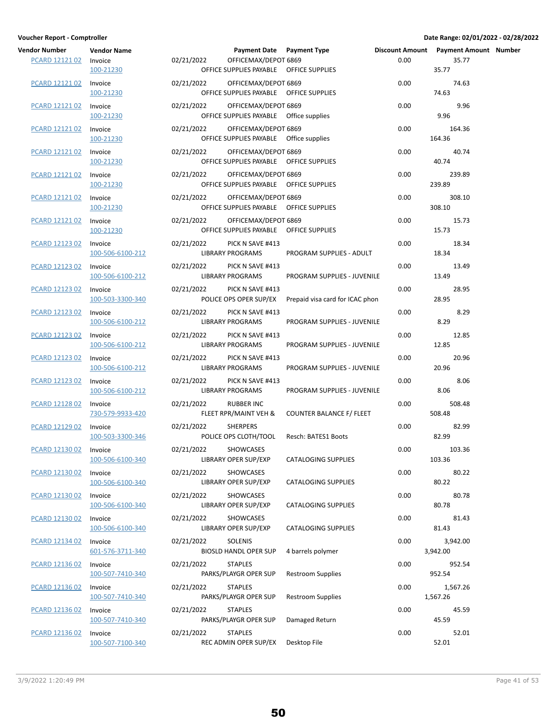| Vendor Number Vendor Name<br>PCARD 12121 02 Invoice | 100-21230                   | 02/21/2022 0<br>OFFICE SU                 |
|-----------------------------------------------------|-----------------------------|-------------------------------------------|
| PCARD 12121 02 Invoice                              | 100-21230                   | 02/21/2022 0<br>OFFICE SU                 |
| PCARD 12121 02 Invoice                              | 100-21230                   | 02/21/2022 0<br>OFFICE SU                 |
| PCARD 12121 02 Invoice                              | 100-21230                   | 02/21/2022 0<br><b>OFFICE SUI</b>         |
| <b>PCARD 12121 02</b>                               | Invoice<br>100-21230        | 02/21/2022 0<br>OFFICE SU                 |
| <b>PCARD 12121 02</b>                               | Invoice<br>100-21230        | 02/21/2022 0<br>OFFICE SUI                |
| <b>PCARD 12121 02</b>                               | Invoice<br>100-21230        | 02/21/2022 0<br>OFFICE SUI                |
| PCARD 12121 02 Invoice                              | 100-21230                   | 02/21/2022 0<br>OFFICE SU                 |
| PCARD 12123 02 Invoice                              | 100-506-6100-212            | 02/21/2022 PI<br><b>LIBRARY PI</b>        |
| PCARD 12123 02 Invoice                              | 100-506-6100-212            | 02/21/2022 PI<br><b>LIBRARY PI</b>        |
| PCARD 12123 02 Invoice                              | 100-503-3300-340            | 02/21/2022 PI<br>POLICE OP                |
| <b>PCARD 12123 02</b>                               | Invoice<br>100-506-6100-212 | 02/21/2022 PI<br><b>LIBRARY PI</b>        |
| PCARD 12123 02 Invoice                              | 100-506-6100-212            | 02/21/2022 PI<br><b>LIBRARY PI</b>        |
| PCARD 12123 02 Invoice                              | 100-506-6100-212            | 02/21/2022 PI<br><b>LIBRARY PI</b>        |
| PCARD 12123 02                                      | Invoice<br>100-506-6100-212 | 02/21/2022 PI<br><b>LIBRARY PI</b>        |
| <b>PCARD 12128 02</b>                               | Invoice<br>730-579-9933-420 | 02/21/2022 RI<br>FLEET RPR                |
| <b>PCARD 12129 02</b>                               | Invoice<br>100-503-3300-346 | 02/21/2022 SH<br>POLICE OP                |
| PCARD 12130 02 Invoice                              | 100-506-6100-340            | 02/21/2022 SH<br><b>LIBRARY O</b>         |
| PCARD 12130 02 Invoice                              | 100-506-6100-340            | 02/21/2022<br>SI<br><b>LIBRARY O</b>      |
| PCARD 12130 02                                      | Invoice<br>100-506-6100-340 | SI<br>02/21/2022<br><b>LIBRARY O</b>      |
| <b>PCARD 12130 02</b>                               | Invoice<br>100-506-6100-340 | 02/21/2022<br>SI<br><b>LIBRARY O</b>      |
| PCARD 12134 02                                      | Invoice<br>601-576-3711-340 | S<br>02/21/2022<br><b>BIOSLD HA</b>       |
| PCARD 12136 02 Invoice                              | 100-507-7410-340            | 02/21/2022<br>S.<br>PARKS/PLA             |
| PCARD 12136 02 Invoice                              | 100-507-7410-340            | S<br>02/21/2022<br>PARKS/PLA              |
| PCARD 12136 02 Invoice                              | 100-507-7410-340            | 02/21/2022<br>S <sup>1</sup><br>PARKS/PLA |
| PCARD 12136 02 Invoice                              | 100-507-7100-340            | 02/21/2022<br>S.<br><b>REC ADMII</b>      |

| Vendor Number<br><b>PCARD 12121 02</b> | <b>Vendor Name</b><br>Invoice | 02/21/2022 | Payment Date Payment Type<br>OFFICEMAX/DEPOT 6869                 |                                 | 0.00 | Discount Amount  Payment Amount  Number<br>35.77 |  |
|----------------------------------------|-------------------------------|------------|-------------------------------------------------------------------|---------------------------------|------|--------------------------------------------------|--|
| PCARD 12121 02                         | 100-21230                     | 02/21/2022 | OFFICE SUPPLIES PAYABLE   OFFICE SUPPLIES<br>OFFICEMAX/DEPOT 6869 |                                 | 0.00 | 35.77<br>74.63                                   |  |
|                                        | Invoice<br>100-21230          |            | OFFICE SUPPLIES PAYABLE  OFFICE SUPPLIES                          |                                 |      | 74.63                                            |  |
| PCARD 12121 02                         | Invoice<br>100-21230          | 02/21/2022 | OFFICEMAX/DEPOT 6869<br>OFFICE SUPPLIES PAYABLE   Office supplies |                                 | 0.00 | 9.96<br>9.96                                     |  |
| PCARD 12121 02                         | Invoice<br>100-21230          | 02/21/2022 | OFFICEMAX/DEPOT 6869<br>OFFICE SUPPLIES PAYABLE   Office supplies |                                 | 0.00 | 164.36<br>164.36                                 |  |
| PCARD 12121 02                         | Invoice<br>100-21230          | 02/21/2022 | OFFICEMAX/DEPOT 6869<br>OFFICE SUPPLIES PAYABLE  OFFICE SUPPLIES  |                                 | 0.00 | 40.74<br>40.74                                   |  |
| PCARD 12121 02                         | Invoice<br>100-21230          | 02/21/2022 | OFFICEMAX/DEPOT 6869<br>OFFICE SUPPLIES PAYABLE   OFFICE SUPPLIES |                                 | 0.00 | 239.89<br>239.89                                 |  |
| PCARD 12121 02                         | Invoice<br>100-21230          | 02/21/2022 | OFFICEMAX/DEPOT 6869<br>OFFICE SUPPLIES PAYABLE   OFFICE SUPPLIES |                                 | 0.00 | 308.10<br>308.10                                 |  |
| PCARD 12121 02                         | Invoice<br>100-21230          | 02/21/2022 | OFFICEMAX/DEPOT 6869<br>OFFICE SUPPLIES PAYABLE   OFFICE SUPPLIES |                                 | 0.00 | 15.73<br>15.73                                   |  |
| PCARD 12123 02                         | Invoice<br>100-506-6100-212   | 02/21/2022 | PICK N SAVE #413<br><b>LIBRARY PROGRAMS</b>                       | PROGRAM SUPPLIES - ADULT        | 0.00 | 18.34<br>18.34                                   |  |
| PCARD 12123 02                         | Invoice<br>100-506-6100-212   | 02/21/2022 | PICK N SAVE #413<br><b>LIBRARY PROGRAMS</b>                       | PROGRAM SUPPLIES - JUVENILE     | 0.00 | 13.49<br>13.49                                   |  |
| <b>PCARD 12123 02</b>                  | Invoice<br>100-503-3300-340   | 02/21/2022 | PICK N SAVE #413<br>POLICE OPS OPER SUP/EX                        | Prepaid visa card for ICAC phon | 0.00 | 28.95<br>28.95                                   |  |
| PCARD 12123 02                         | Invoice<br>100-506-6100-212   | 02/21/2022 | PICK N SAVE #413<br><b>LIBRARY PROGRAMS</b>                       | PROGRAM SUPPLIES - JUVENILE     | 0.00 | 8.29<br>8.29                                     |  |
| PCARD 12123 02                         | Invoice<br>100-506-6100-212   | 02/21/2022 | PICK N SAVE #413<br><b>LIBRARY PROGRAMS</b>                       | PROGRAM SUPPLIES - JUVENILE     | 0.00 | 12.85<br>12.85                                   |  |
| PCARD 12123 02                         | Invoice<br>100-506-6100-212   | 02/21/2022 | PICK N SAVE #413<br><b>LIBRARY PROGRAMS</b>                       | PROGRAM SUPPLIES - JUVENILE     | 0.00 | 20.96<br>20.96                                   |  |
| PCARD 12123 02                         | Invoice<br>100-506-6100-212   | 02/21/2022 | PICK N SAVE #413<br><b>LIBRARY PROGRAMS</b>                       | PROGRAM SUPPLIES - JUVENILE     | 0.00 | 8.06<br>8.06                                     |  |
| PCARD 12128 02                         | Invoice<br>730-579-9933-420   | 02/21/2022 | <b>RUBBER INC</b><br>FLEET RPR/MAINT VEH &                        | <b>COUNTER BALANCE F/ FLEET</b> | 0.00 | 508.48<br>508.48                                 |  |
| PCARD 12129 02                         | Invoice<br>100-503-3300-346   | 02/21/2022 | <b>SHERPERS</b><br>POLICE OPS CLOTH/TOOL                          | Resch: BATES1 Boots             | 0.00 | 82.99<br>82.99                                   |  |
| PCARD 12130 02 Invoice                 | 100-506-6100-340              | 02/21/2022 | SHOWCASES<br>LIBRARY OPER SUP/EXP                                 | <b>CATALOGING SUPPLIES</b>      | 0.00 | 103.36<br>103.36                                 |  |
| PCARD 12130 02                         | Invoice<br>100-506-6100-340   | 02/21/2022 | SHOWCASES<br>LIBRARY OPER SUP/EXP                                 | <b>CATALOGING SUPPLIES</b>      | 0.00 | 80.22<br>80.22                                   |  |
| PCARD 12130 02                         | Invoice<br>100-506-6100-340   | 02/21/2022 | SHOWCASES<br>LIBRARY OPER SUP/EXP                                 | <b>CATALOGING SUPPLIES</b>      | 0.00 | 80.78<br>80.78                                   |  |
| PCARD 12130 02                         | Invoice<br>100-506-6100-340   | 02/21/2022 | SHOWCASES<br>LIBRARY OPER SUP/EXP                                 | CATALOGING SUPPLIES             | 0.00 | 81.43<br>81.43                                   |  |
| PCARD 12134 02                         | Invoice<br>601-576-3711-340   | 02/21/2022 | SOLENIS<br><b>BIOSLD HANDL OPER SUP</b>                           | 4 barrels polymer               | 0.00 | 3,942.00<br>3,942.00                             |  |
| PCARD 12136 02                         | Invoice<br>100-507-7410-340   | 02/21/2022 | <b>STAPLES</b><br>PARKS/PLAYGR OPER SUP                           | <b>Restroom Supplies</b>        | 0.00 | 952.54<br>952.54                                 |  |
| PCARD 12136 02                         | Invoice<br>100-507-7410-340   | 02/21/2022 | <b>STAPLES</b><br>PARKS/PLAYGR OPER SUP                           | <b>Restroom Supplies</b>        | 0.00 | 1,567.26<br>1,567.26                             |  |
| PCARD 12136 02                         | Invoice<br>100-507-7410-340   | 02/21/2022 | <b>STAPLES</b><br>PARKS/PLAYGR OPER SUP                           | Damaged Return                  | 0.00 | 45.59<br>45.59                                   |  |
| PCARD 12136 02                         | Invoice<br>100-507-7100-340   | 02/21/2022 | <b>STAPLES</b><br>REC ADMIN OPER SUP/EX                           | Desktop File                    | 0.00 | 52.01<br>52.01                                   |  |

3/9/2022 1:20:49 PM Page 41 of 53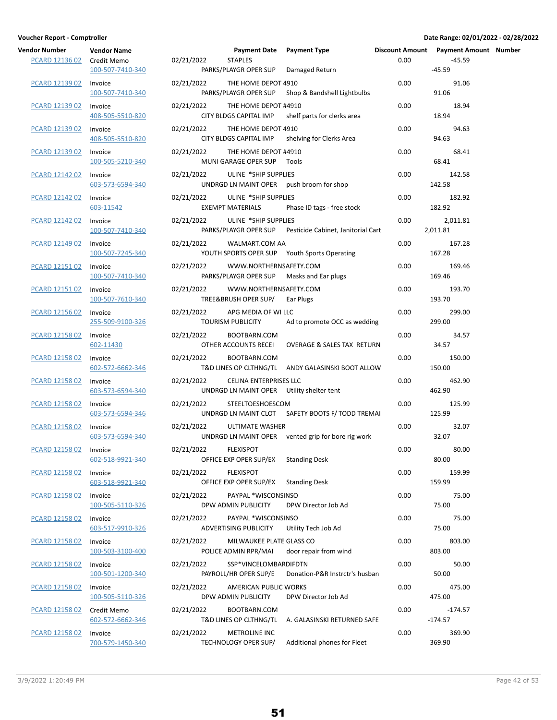| <b>Vendor Number</b><br>PCARD 12136 02 | <b>Vendor Name</b><br>Credit Memo<br>100-507-7410-340 | 02/21/2022           | Payment Date Payment Type<br><b>STAPLES</b><br>PARKS/PLAYGR OPER SUP | Damaged Return                                     | 0.00 | Discount Amount  Payment Amount  Number<br>$-45.59$<br>$-45.59$ |  |
|----------------------------------------|-------------------------------------------------------|----------------------|----------------------------------------------------------------------|----------------------------------------------------|------|-----------------------------------------------------------------|--|
| PCARD 12139 02                         | Invoice<br>100-507-7410-340                           | 02/21/2022           | THE HOME DEPOT 4910<br>PARKS/PLAYGR OPER SUP                         | Shop & Bandshell Lightbulbs                        | 0.00 | 91.06<br>91.06                                                  |  |
| PCARD 12139 02                         | Invoice<br>408-505-5510-820                           | 02/21/2022           | THE HOME DEPOT #4910<br>CITY BLDGS CAPITAL IMP                       | shelf parts for clerks area                        | 0.00 | 18.94<br>18.94                                                  |  |
| PCARD 12139 02                         | Invoice<br>408-505-5510-820                           | 02/21/2022           | THE HOME DEPOT 4910<br>CITY BLDGS CAPITAL IMP                        | shelving for Clerks Area                           | 0.00 | 94.63<br>94.63                                                  |  |
| PCARD 12139 02                         | Invoice<br>100-505-5210-340                           | 02/21/2022           | THE HOME DEPOT #4910<br>MUNI GARAGE OPER SUP Tools                   |                                                    | 0.00 | 68.41<br>68.41                                                  |  |
| PCARD 12142 02                         | Invoice<br>603-573-6594-340                           | 02/21/2022           | ULINE *SHIP SUPPLIES                                                 | UNDRGD LN MAINT OPER push broom for shop           | 0.00 | 142.58<br>142.58                                                |  |
| PCARD 12142 02                         | Invoice<br>603-11542                                  | 02/21/2022           | ULINE *SHIP SUPPLIES<br><b>EXEMPT MATERIALS</b>                      | Phase ID tags - free stock                         | 0.00 | 182.92<br>182.92                                                |  |
| PCARD 12142 02                         | Invoice<br>100-507-7410-340                           | 02/21/2022           | ULINE *SHIP SUPPLIES<br>PARKS/PLAYGR OPER SUP                        | Pesticide Cabinet, Janitorial Cart                 | 0.00 | 2,011.81<br>2,011.81                                            |  |
| PCARD 12149 02                         | Invoice<br>100-507-7245-340                           | 02/21/2022           | WALMART.COM AA                                                       | YOUTH SPORTS OPER SUP Youth Sports Operating       | 0.00 | 167.28<br>167.28                                                |  |
| PCARD 12151 02                         | Invoice<br>100-507-7410-340                           | 02/21/2022           | WWW.NORTHERNSAFETY.COM                                               | PARKS/PLAYGR OPER SUP Masks and Ear plugs          | 0.00 | 169.46<br>169.46                                                |  |
| <b>PCARD 12151 02</b>                  | Invoice<br>100-507-7610-340                           | 02/21/2022           | WWW.NORTHERNSAFETY.COM<br>TREE&BRUSH OPER SUP/                       | Ear Plugs                                          | 0.00 | 193.70<br>193.70                                                |  |
| <b>PCARD 12156 02</b>                  | Invoice<br>255-509-9100-326                           | 02/21/2022           | APG MEDIA OF WI LLC<br>TOURISM PUBLICITY                             | Ad to promote OCC as wedding                       | 0.00 | 299.00<br>299.00                                                |  |
| PCARD 12158 02                         | Invoice<br>602-11430                                  | 02/21/2022           | BOOTBARN.COM<br>OTHER ACCOUNTS RECEI                                 | <b>OVERAGE &amp; SALES TAX RETURN</b>              | 0.00 | 34.57<br>34.57                                                  |  |
| PCARD 12158 02                         | Invoice<br>602-572-6662-346                           | 02/21/2022           | BOOTBARN.COM                                                         | T&D LINES OP CLTHNG/TL ANDY GALASINSKI BOOT ALLOW  | 0.00 | 150.00<br>150.00                                                |  |
| PCARD 12158 02                         | Invoice<br>603-573-6594-340                           | 02/21/2022           | CELINA ENTERPRISES LLC<br>UNDRGD LN MAINT OPER Utility shelter tent  |                                                    | 0.00 | 462.90<br>462.90                                                |  |
| <b>PCARD 12158 02</b>                  | Invoice<br>603-573-6594-346                           | 02/21/2022           | STEELTOESHOESCOM                                                     | UNDRGD LN MAINT CLOT SAFETY BOOTS F/ TODD TREMAI   | 0.00 | 125.99<br>125.99                                                |  |
| PCARD 12158 02                         | Invoice<br>603-573-6594-340                           | 02/21/2022           | <b>ULTIMATE WASHER</b>                                               | UNDRGD LN MAINT OPER vented grip for bore rig work | 0.00 | 32.07<br>32.07                                                  |  |
| PCARD 12158 02 Invoice                 | 602-518-9921-340                                      | 02/21/2022 FLEXISPOT | OFFICE EXP OPER SUP/EX                                               | <b>Standing Desk</b>                               | 0.00 | 80.00<br>80.00                                                  |  |
| PCARD 12158 02                         | Invoice<br>603-518-9921-340                           | 02/21/2022           | <b>FLEXISPOT</b><br>OFFICE EXP OPER SUP/EX                           | <b>Standing Desk</b>                               | 0.00 | 159.99<br>159.99                                                |  |
| PCARD 12158 02                         | Invoice<br>100-505-5110-326                           | 02/21/2022           | PAYPAL *WISCONSINSO<br>DPW ADMIN PUBLICITY                           | DPW Director Job Ad                                | 0.00 | 75.00<br>75.00                                                  |  |
| <b>PCARD 12158 02</b>                  | Invoice<br>603-517-9910-326                           | 02/21/2022           | PAYPAL *WISCONSINSO<br>ADVERTISING PUBLICITY                         | Utility Tech Job Ad                                | 0.00 | 75.00<br>75.00                                                  |  |
| PCARD 12158 02                         | Invoice<br>100-503-3100-400                           | 02/21/2022           | MILWAUKEE PLATE GLASS CO<br>POLICE ADMIN RPR/MAI                     | door repair from wind                              | 0.00 | 803.00<br>803.00                                                |  |
| PCARD 12158 02                         | Invoice<br>100-501-1200-340                           | 02/21/2022           | SSP*VINCELOMBARDIFDTN<br>PAYROLL/HR OPER SUP/E                       | Donation-P&R Instrctr's husban                     | 0.00 | 50.00<br>50.00                                                  |  |
| PCARD 12158 02                         | Invoice<br>100-505-5110-326                           | 02/21/2022           | AMERICAN PUBLIC WORKS<br>DPW ADMIN PUBLICITY                         | DPW Director Job Ad                                | 0.00 | 475.00<br>475.00                                                |  |
| PCARD 12158 02                         | Credit Memo<br>602-572-6662-346                       | 02/21/2022           | BOOTBARN.COM<br>T&D LINES OP CLTHNG/TL                               | A. GALASINSKI RETURNED SAFE                        | 0.00 | $-174.57$<br>$-174.57$                                          |  |
| <b>PCARD 12158 02</b>                  | Invoice<br>700-579-1450-340                           | 02/21/2022           | METROLINE INC<br>TECHNOLOGY OPER SUP/                                | Additional phones for Fleet                        | 0.00 | 369.90<br>369.90                                                |  |

|                     | 100, 300, 3110, 310             |            |                                              |                                                    |      | .                      |               |
|---------------------|---------------------------------|------------|----------------------------------------------|----------------------------------------------------|------|------------------------|---------------|
| PCARD 12158 02      | Credit Memo<br>602-572-6662-346 | 02/21/2022 | BOOTBARN.COM                                 | T&D LINES OP CLTHNG/TL A. GALASINSKI RETURNED SAFE | 0.00 | $-174.57$<br>$-174.57$ |               |
| PCARD 12158 02      | Invoice<br>700-579-1450-340     | 02/21/2022 | <b>METROLINE INC</b><br>TECHNOLOGY OPER SUP/ | Additional phones for Fleet                        | 0.00 | 369.90<br>369.90       |               |
| 3/9/2022 1:20:49 PM |                                 |            |                                              |                                                    |      |                        | Page 42 of 53 |

| 02/21/2022 | BOOTB/                     |  |
|------------|----------------------------|--|
|            | <b>T&amp;D LINES OP CL</b> |  |
| 02/21/2022 | <b>METRO</b>               |  |
|            | <b>TECHNOLOGY OF</b>       |  |
|            |                            |  |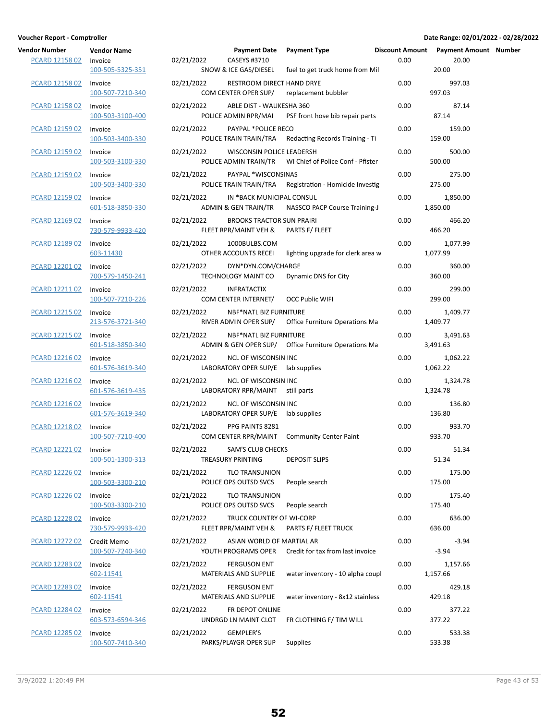| endor Number<br><b>PCARD 12158 02</b> | <b>Vendor Name</b><br>Invoice<br>100-505-5325-351 | 02/21/2022 | CASEYS #3710<br>SNOW & ICE GAS/DIESEL                             | Payment Date Payment Type<br>fuel to get truck home from Mil | Discount Amount Payment A<br>0.00 | 20.00<br>20.00       |
|---------------------------------------|---------------------------------------------------|------------|-------------------------------------------------------------------|--------------------------------------------------------------|-----------------------------------|----------------------|
| <b>PCARD 12158 02</b>                 | Invoice<br>100-507-7210-340                       | 02/21/2022 | RESTROOM DIRECT HAND DRYE<br>COM CENTER OPER SUP/                 | replacement bubbler                                          | 0.00                              | 997.03<br>997.03     |
| PCARD 12158 02                        | Invoice<br>100-503-3100-400                       | 02/21/2022 | ABLE DIST - WAUKESHA 360<br>POLICE ADMIN RPR/MAI                  | PSF front hose bib repair parts                              | 0.00                              | 87.14<br>87.14       |
| PCARD 12159 02                        | Invoice<br>100-503-3400-330                       | 02/21/2022 | PAYPAL *POLICE RECO                                               | POLICE TRAIN TRAIN/TRA Redacting Records Training - Ti       | 0.00                              | 159.00<br>159.00     |
| PCARD 12159 02                        | Invoice<br>100-503-3100-330                       | 02/21/2022 | WISCONSIN POLICE LEADERSH                                         | POLICE ADMIN TRAIN/TR WI Chief of Police Conf - Pfister      | 0.00                              | 500.00<br>500.00     |
| <b>PCARD 12159 02</b>                 | Invoice<br>100-503-3400-330                       | 02/21/2022 | PAYPAL *WISCONSINAS                                               | POLICE TRAIN TRAIN/TRA Registration - Homicide Investig      | 0.00                              | 275.00<br>275.00     |
| PCARD 12159 02                        | Invoice<br>601-518-3850-330                       | 02/21/2022 | IN *BACK MUNICIPAL CONSUL<br>ADMIN & GEN TRAIN/TR                 | NASSCO PACP Course Training-J                                | 0.00                              | 1,850.00<br>1,850.00 |
| PCARD 12169 02                        | Invoice<br>730-579-9933-420                       | 02/21/2022 | <b>BROOKS TRACTOR SUN PRAIRI</b><br>FLEET RPR/MAINT VEH &         | PARTS F/ FLEET                                               | 0.00                              | 466.20<br>466.20     |
| PCARD 12189 02                        | Invoice<br>603-11430                              | 02/21/2022 | 1000BULBS.COM<br>OTHER ACCOUNTS RECEI                             | lighting upgrade for clerk area w                            | 0.00                              | 1,077.99<br>1,077.99 |
| PCARD 12201 02                        | Invoice<br>700-579-1450-241                       | 02/21/2022 | DYN*DYN.COM/CHARGE<br>TECHNOLOGY MAINT CO                         | Dynamic DNS for City                                         | 0.00                              | 360.00<br>360.00     |
| PCARD 12211 02                        | Invoice<br>100-507-7210-226                       | 02/21/2022 | <b>INFRATACTIX</b><br>COM CENTER INTERNET/                        | <b>OCC Public WIFI</b>                                       | 0.00                              | 299.00<br>299.00     |
| PCARD 12215 02                        | Invoice<br>213-576-3721-340                       | 02/21/2022 | <b>NBF*NATL BIZ FURNITURE</b>                                     | RIVER ADMIN OPER SUP/ Office Furniture Operations Ma         | 0.00                              | 1,409.77<br>1,409.77 |
| PCARD 12215 02                        | Invoice<br>601-518-3850-340                       | 02/21/2022 | NBF*NATL BIZ FURNITURE                                            | ADMIN & GEN OPER SUP/ Office Furniture Operations Ma         | 0.00                              | 3,491.63<br>3,491.63 |
| PCARD 12216 02                        | Invoice<br>601-576-3619-340                       | 02/21/2022 | <b>NCL OF WISCONSIN INC</b><br>LABORATORY OPER SUP/E lab supplies |                                                              | 0.00                              | 1,062.22<br>1,062.22 |
| PCARD 12216 02                        | Invoice<br>601-576-3619-435                       | 02/21/2022 | <b>NCL OF WISCONSIN INC</b><br>LABORATORY RPR/MAINT still parts   |                                                              | 0.00                              | 1,324.78<br>1,324.78 |
| <b>PCARD 12216 02</b>                 | Invoice<br>601-576-3619-340                       | 02/21/2022 | <b>NCL OF WISCONSIN INC</b><br>LABORATORY OPER SUP/E lab supplies |                                                              | 0.00                              | 136.80<br>136.80     |
| PCARD 12218 02                        | Invoice<br>100-507-7210-400                       | 02/21/2022 | PPG PAINTS 8281                                                   | COM CENTER RPR/MAINT Community Center Paint                  | 0.00                              | 933.70<br>933.70     |
| PCARD 12221 02 Invoice                | 100-501-1300-313                                  | 02/21/2022 | <b>SAM'S CLUB CHECKS</b><br>TREASURY PRINTING                     | <b>DEPOSIT SLIPS</b>                                         | 0.00                              | 51.34<br>51.34       |
| PCARD 12226 02                        | Invoice<br>100-503-3300-210                       | 02/21/2022 | <b>TLO TRANSUNION</b><br>POLICE OPS OUTSD SVCS                    | People search                                                | 0.00                              | 175.00<br>175.00     |
| PCARD 12226 02                        | Invoice<br>100-503-3300-210                       | 02/21/2022 | <b>TLO TRANSUNION</b><br>POLICE OPS OUTSD SVCS                    | People search                                                | 0.00                              | 175.40<br>175.40     |
| <b>PCARD 12228 02</b>                 | Invoice<br>730-579-9933-420                       | 02/21/2022 | TRUCK COUNTRY OF WI-CORP<br>FLEET RPR/MAINT VEH &                 | PARTS F/ FLEET TRUCK                                         | 0.00                              | 636.00<br>636.00     |
| <b>PCARD 12272 02</b>                 | Credit Memo<br>100-507-7240-340                   | 02/21/2022 | ASIAN WORLD OF MARTIAL AR<br>YOUTH PROGRAMS OPER                  | Credit for tax from last invoice                             | 0.00                              | $-3.94$<br>$-3.94$   |
| PCARD 12283 02                        | Invoice<br>602-11541                              | 02/21/2022 | <b>FERGUSON ENT</b><br>MATERIALS AND SUPPLIE                      | water inventory - 10 alpha coupl                             | 0.00                              | 1,157.66<br>1,157.66 |
| PCARD 12283 02                        | Invoice<br><u>602-11541</u>                       | 02/21/2022 | <b>FERGUSON ENT</b><br>MATERIALS AND SUPPLIE                      | water inventory - 8x12 stainless                             | 0.00                              | 429.18<br>429.18     |
| PCARD 12284 02                        | Invoice<br>603-573-6594-346                       | 02/21/2022 | FR DEPOT ONLINE<br>UNDRGD LN MAINT CLOT                           | FR CLOTHING F/ TIM WILL                                      | 0.00                              | 377.22<br>377.22     |
| <b>PCARD 12285 02</b>                 | Invoice<br>100-507-7410-340                       | 02/21/2022 | <b>GEMPLER'S</b><br>PARKS/PLAYGR OPER SUP                         | Supplies                                                     | 0.00                              | 533.38<br>533.38     |

| Voucher Report - Comptroller                                               |                                                 |                           |                                                                            |                                                         |      | Date Range: 02/01/2022 - 02/28/2022            |  |
|----------------------------------------------------------------------------|-------------------------------------------------|---------------------------|----------------------------------------------------------------------------|---------------------------------------------------------|------|------------------------------------------------|--|
| <b>Vendor Number</b><br><b>PCARD 12158 02</b>                              | <b>Vendor Name</b><br>Invoice                   | 02/21/2022                | Payment Date Payment Type<br>CASEYS #3710                                  |                                                         | 0.00 | Discount Amount Payment Amount Number<br>20.00 |  |
| <b>PCARD 12158 02</b>                                                      | 100-505-5325-351<br>Invoice<br>100-507-7210-340 | 02/21/2022                | SNOW & ICE GAS/DIESEL<br>RESTROOM DIRECT HAND DRYE<br>COM CENTER OPER SUP/ | fuel to get truck home from Mil<br>replacement bubbler  | 0.00 | 20.00<br>997.03<br>997.03                      |  |
| PCARD 12158 02                                                             | Invoice<br>100-503-3100-400                     | 02/21/2022                | ABLE DIST - WAUKESHA 360<br>POLICE ADMIN RPR/MAI                           | PSF front hose bib repair parts                         | 0.00 | 87.14<br>87.14                                 |  |
| PCARD 12159 02                                                             | Invoice<br>100-503-3400-330                     | 02/21/2022                | PAYPAL *POLICE RECO                                                        | POLICE TRAIN TRAIN/TRA Redacting Records Training - Ti  | 0.00 | 159.00<br>159.00                               |  |
| PCARD 12159 02                                                             | Invoice<br>100-503-3100-330                     | 02/21/2022                | WISCONSIN POLICE LEADERSH                                                  | POLICE ADMIN TRAIN/TR WI Chief of Police Conf - Pfister | 0.00 | 500.00<br>500.00                               |  |
| <b>PCARD 12159 02</b>                                                      | Invoice<br>100-503-3400-330                     | 02/21/2022                | PAYPAL *WISCONSINAS                                                        | POLICE TRAIN TRAIN/TRA Registration - Homicide Investig | 0.00 | 275.00<br>275.00                               |  |
| <b>PCARD 12159 02</b>                                                      | Invoice<br>601-518-3850-330                     | 02/21/2022                | IN *BACK MUNICIPAL CONSUL                                                  | ADMIN & GEN TRAIN/TR NASSCO PACP Course Training-J      | 0.00 | 1,850.00<br>1,850.00                           |  |
| PCARD 12169 02                                                             | Invoice<br>730-579-9933-420                     | 02/21/2022                | <b>BROOKS TRACTOR SUN PRAIRI</b><br>FLEET RPR/MAINT VEH & PARTS F/ FLEET   |                                                         | 0.00 | 466.20<br>466.20                               |  |
| PCARD 12189 02                                                             | Invoice<br>603-11430                            | 02/21/2022                | 1000BULBS.COM<br>OTHER ACCOUNTS RECEI                                      | lighting upgrade for clerk area w                       | 0.00 | 1,077.99<br>1,077.99                           |  |
| PCARD 12201 02                                                             | Invoice<br>700-579-1450-241                     | 02/21/2022                | DYN*DYN.COM/CHARGE<br>TECHNOLOGY MAINT CO                                  | Dynamic DNS for City                                    | 0.00 | 360.00<br>360.00                               |  |
| PCARD 12211 02                                                             | Invoice<br>100-507-7210-226                     | 02/21/2022                | INFRATACTIX<br>COM CENTER INTERNET/                                        | <b>OCC Public WIFI</b>                                  | 0.00 | 299.00<br>299.00                               |  |
| PCARD 12215 02                                                             | Invoice<br>213-576-3721-340                     | 02/21/2022                | NBF*NATL BIZ FURNITURE                                                     | RIVER ADMIN OPER SUP/ Office Furniture Operations Ma    | 0.00 | 1,409.77<br>1,409.77                           |  |
| PCARD 12215 02                                                             | Invoice<br>601-518-3850-340                     | 02/21/2022                | NBF*NATL BIZ FURNITURE                                                     | ADMIN & GEN OPER SUP/ Office Furniture Operations Ma    | 0.00 | 3,491.63<br>3,491.63                           |  |
| PCARD 12216 02                                                             | Invoice<br>601-576-3619-340                     | 02/21/2022                | NCL OF WISCONSIN INC<br>LABORATORY OPER SUP/E lab supplies                 |                                                         | 0.00 | 1,062.22<br>1,062.22                           |  |
| PCARD 12216 02                                                             | Invoice<br>601-576-3619-435                     | 02/21/2022                | NCL OF WISCONSIN INC<br>LABORATORY RPR/MAINT still parts                   |                                                         | 0.00 | 1,324.78<br>1,324.78                           |  |
| <b>PCARD 12216 02</b>                                                      | Invoice<br>601-576-3619-340                     | 02/21/2022                | NCL OF WISCONSIN INC<br>LABORATORY OPER SUP/E lab supplies                 |                                                         | 0.00 | 136.80<br>136.80                               |  |
| PCARD 12218 02                                                             | Invoice<br>100-507-7210-400                     | 02/21/2022                | PPG PAINTS 8281                                                            | COM CENTER RPR/MAINT Community Center Paint             | 0.00 | 933.70<br>933.70                               |  |
| PCARD 12221 02                                                             | Invoice<br>100-501-1300-313                     | 02/21/2022                | SAM'S CLUB CHECKS<br>TREASURY PRINTING                                     | <b>DEPOSIT SLIPS</b>                                    | 0.00 | 51.34<br>51.34                                 |  |
| PCARD 12226 02                                                             | Invoice<br>100-503-3300-210                     | 02/21/2022                | <b>TLO TRANSUNION</b><br>POLICE OPS OUTSD SVCS                             | People search                                           | 0.00 | 175.00<br>175.00                               |  |
| PCARD 12226 02                                                             | Invoice<br>100-503-3300-210                     | 02/21/2022                | TLO TRANSUNION<br>POLICE OPS OUTSD SVCS                                    | People search                                           | 0.00 | 175.40<br>175.40                               |  |
| <b>PCARD 12228 02</b>                                                      | Invoice<br>730-579-9933-420                     | 02/21/2022                | TRUCK COUNTRY OF WI-CORP                                                   | FLEET RPR/MAINT VEH & PARTS F/ FLEET TRUCK              | 0.00 | 636.00<br>636.00                               |  |
| <b>PCARD 12272 02</b>                                                      | Credit Memo<br>100-507-7240-340                 | 02/21/2022                | ASIAN WORLD OF MARTIAL AR                                                  | YOUTH PROGRAMS OPER Credit for tax from last invoice    | 0.00 | $-3.94$<br>$-3.94$                             |  |
| PCARD 12283 02                                                             | Invoice<br>602-11541                            | 02/21/2022                | <b>FERGUSON ENT</b><br>MATERIALS AND SUPPLIE                               | water inventory - 10 alpha coupl                        | 0.00 | 1,157.66<br>1,157.66                           |  |
| PCARD 12283 02                                                             | Invoice<br>602-11541                            | 02/21/2022                | <b>FERGUSON ENT</b><br>MATERIALS AND SUPPLIE                               | water inventory - 8x12 stainless                        | 0.00 | 429.18<br>429.18                               |  |
| PCARD 12284 02                                                             | Invoice<br>603-573-6594-346                     | 02/21/2022                | FR DEPOT ONLINE                                                            | UNDRGD LN MAINT CLOT FR CLOTHING F/ TIM WILL            | 0.00 | 377.22<br>377.22                               |  |
| $D$ $\cap$ $D$ $D$ $D$ $D$ $D$ $D$ $D$ $E$ $D$ $D$ $D$ $D$ $D$ $D$ $D$ $D$ |                                                 | $0.21/21/20.22$ CEMBLED'S |                                                                            |                                                         | 0.00 | 522.20                                         |  |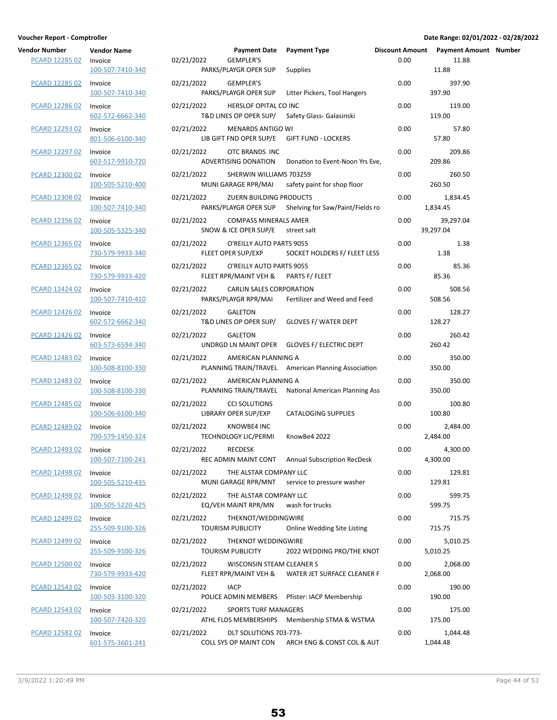| ndor Number!<br><b>PCARD 12285 02</b> | Vendor Name<br>Invoice<br>100-507-7410-340 | 02 |
|---------------------------------------|--------------------------------------------|----|
| PCARD 12285 02                        | Invoice<br>100-507-7410-340                | 02 |
| PCARD 12286 02                        | Invoice<br>602-572-6662-340                | 02 |
| PCARD 12293 02                        | Invoice<br>801-506-6100-340                | 02 |
| PCARD 12297 02                        | Invoice<br>603-517-9910-720                | 02 |
| <b>PCARD 12300 02</b>                 | Invoice<br>100-505-5210-400                | 02 |
| <b>PCARD 12308 02</b>                 | Invoice<br>100-507-7410-340                | 02 |
| PCARD 12356 02                        | Invoice<br>100-505-5325-340                | 02 |
| PCARD 12365 02                        | Invoice<br>730-579-9933-340                | 02 |
| PCARD 12365 02                        | Invoice<br>730-579-9933-420                | 02 |
| PCARD 12424 02                        | Invoice<br>100-507-7410-410                | 02 |
| PCARD 12426 02                        | Invoice<br>602-572-6662-340                | 02 |
| PCARD 12426 02                        | Invoice<br>603-573-6594-340                | 02 |
| PCARD 12483 02                        | Invoice<br>100-508-8100-330                | 02 |
| PCARD 12483 02                        | Invoice<br>100-508-8100-330                | 02 |
| <b>PCARD 12485 02</b>                 | Invoice<br>100-506-6100-340                | 02 |
| PCARD 12489 02                        | Invoice<br>700-579-1450-324                | 02 |
| PCARD 12493 02                        | Invoice<br>100-507-7100-241                | 02 |
| PCARD 12498 02                        | Invoice<br>100-505-5210-435                | 02 |
| PCARD 12498 02                        | Invoice<br>100-505-5220-425                | 02 |
| <b>PCARD 12499 02</b>                 | Invoice<br>255-509-9100-326                | 02 |
| PCARD 12499 02                        | Invoice<br>255-509-9100-326                | 02 |
| PCARD 12500 02                        | Invoice<br>730-579-9933-420                | 02 |
| PCARD 12543 02                        | Invoice<br>100-503-3100-320                | 02 |
| PCARD 12543 02                        | Invoice<br>100-507-7420-320                | 02 |
| PCARD 12582 02                        | Invoice<br>601-575-3601-241                | 02 |

| Vendor Number         | <b>Vendor Name</b>          |            | <b>Payment Date</b>                                              | <b>Payment Type</b>                                  |      | Discount Amount Payment Amount Number |  |
|-----------------------|-----------------------------|------------|------------------------------------------------------------------|------------------------------------------------------|------|---------------------------------------|--|
| <b>PCARD 12285 02</b> | Invoice<br>100-507-7410-340 | 02/21/2022 | <b>GEMPLER'S</b><br>PARKS/PLAYGR OPER SUP                        | <b>Supplies</b>                                      | 0.00 | 11.88<br>11.88                        |  |
| <b>PCARD 12285 02</b> | Invoice<br>100-507-7410-340 | 02/21/2022 | GEMPLER'S<br>PARKS/PLAYGR OPER SUP                               | Litter Pickers, Tool Hangers                         | 0.00 | 397.90<br>397.90                      |  |
| PCARD 12286 02        | Invoice<br>602-572-6662-340 | 02/21/2022 | HERSLOF OPITAL CO INC<br>T&D LINES OP OPER SUP/                  | Safety Glass- Galasinski                             | 0.00 | 119.00<br>119.00                      |  |
| PCARD 12293 02        | Invoice<br>801-506-6100-340 | 02/21/2022 | <b>MENARDS ANTIGO WI</b><br>LIB GIFT FND OPER SUP/E              | <b>GIFT FUND - LOCKERS</b>                           | 0.00 | 57.80<br>57.80                        |  |
| PCARD 12297 02        | Invoice<br>603-517-9910-720 | 02/21/2022 | OTC BRANDS INC<br>ADVERTISING DONATION                           | Donation to Event-Noon Yrs Eve,                      | 0.00 | 209.86<br>209.86                      |  |
| PCARD 12300 02        | Invoice<br>100-505-5210-400 | 02/21/2022 | SHERWIN WILLIAMS 703259<br>MUNI GARAGE RPR/MAI                   | safety paint for shop floor                          | 0.00 | 260.50<br>260.50                      |  |
| <b>PCARD 12308 02</b> | Invoice<br>100-507-7410-340 | 02/21/2022 | ZUERN BUILDING PRODUCTS<br>PARKS/PLAYGR OPER SUP                 | Shelving for Saw/Paint/Fields ro                     | 0.00 | 1,834.45<br>1,834.45                  |  |
| PCARD 12356 02        | Invoice<br>100-505-5325-340 | 02/21/2022 | <b>COMPASS MINERALS AMER</b><br>SNOW & ICE OPER SUP/E            | street salt                                          | 0.00 | 39,297.04<br>39,297.04                |  |
| PCARD 12365 02        | Invoice<br>730-579-9933-340 | 02/21/2022 | O'REILLY AUTO PARTS 9055<br>FLEET OPER SUP/EXP                   | SOCKET HOLDERS F/ FLEET LESS                         | 0.00 | 1.38<br>1.38                          |  |
| PCARD 12365 02        | Invoice<br>730-579-9933-420 | 02/21/2022 | O'REILLY AUTO PARTS 9055<br>FLEET RPR/MAINT VEH & PARTS F/ FLEET |                                                      | 0.00 | 85.36<br>85.36                        |  |
| <b>PCARD 12424 02</b> | Invoice<br>100-507-7410-410 | 02/21/2022 | CARLIN SALES CORPORATION<br>PARKS/PLAYGR RPR/MAI                 | Fertilizer and Weed and Feed                         | 0.00 | 508.56<br>508.56                      |  |
| <b>PCARD 12426 02</b> | Invoice<br>602-572-6662-340 | 02/21/2022 | <b>GALETON</b><br>T&D LINES OP OPER SUP/                         | <b>GLOVES F/ WATER DEPT</b>                          | 0.00 | 128.27<br>128.27                      |  |
| PCARD 12426 02        | Invoice<br>603-573-6594-340 | 02/21/2022 | <b>GALETON</b>                                                   | UNDRGD LN MAINT OPER GLOVES F/ ELECTRIC DEPT         | 0.00 | 260.42<br>260.42                      |  |
| PCARD 12483 02        | Invoice<br>100-508-8100-330 | 02/21/2022 | AMERICAN PLANNING A                                              | PLANNING TRAIN/TRAVEL American Planning Association  | 0.00 | 350.00<br>350.00                      |  |
| PCARD 12483 02        | Invoice<br>100-508-8100-330 | 02/21/2022 | AMERICAN PLANNING A                                              | PLANNING TRAIN/TRAVEL National American Planning Ass | 0.00 | 350.00<br>350.00                      |  |
| <b>PCARD 12485 02</b> | Invoice<br>100-506-6100-340 | 02/21/2022 | <b>CCI SOLUTIONS</b><br>LIBRARY OPER SUP/EXP                     | <b>CATALOGING SUPPLIES</b>                           | 0.00 | 100.80<br>100.80                      |  |
| PCARD 12489 02        | Invoice<br>700-579-1450-324 | 02/21/2022 | KNOWBE4 INC<br><b>TECHNOLOGY LIC/PERMI</b>                       | KnowBe4 2022                                         | 0.00 | 2,484.00<br>2,484.00                  |  |
| PCARD 12493 02        | Invoice<br>100-507-7100-241 | 02/21/2022 | <b>RECDESK</b>                                                   | REC ADMIN MAINT CONT Annual Subscription RecDesk     | 0.00 | 4,300.00<br>4,300.00                  |  |
| PCARD 12498 02        | Invoice<br>100-505-5210-435 | 02/21/2022 | THE ALSTAR COMPANY LLC                                           | MUNI GARAGE RPR/MNT service to pressure washer       | 0.00 | 129.81<br>129.81                      |  |
| PCARD 12498 02        | Invoice<br>100-505-5220-425 | 02/21/2022 | THE ALSTAR COMPANY LLC<br>EQ/VEH MAINT RPR/MN                    | wash for trucks                                      | 0.00 | 599.75<br>599.75                      |  |
| <b>PCARD 12499 02</b> | Invoice<br>255-509-9100-326 | 02/21/2022 | THEKNOT/WEDDINGWIRE<br><b>TOURISM PUBLICITY</b>                  | <b>Online Wedding Site Listing</b>                   | 0.00 | 715.75<br>715.75                      |  |
| PCARD 12499 02        | Invoice<br>255-509-9100-326 | 02/21/2022 | THEKNOT WEDDINGWIRE<br><b>TOURISM PUBLICITY</b>                  | 2022 WEDDING PRO/THE KNOT                            | 0.00 | 5,010.25<br>5,010.25                  |  |
| PCARD 12500 02        | Invoice<br>730-579-9933-420 | 02/21/2022 | WISCONSIN STEAM CLEANER S<br>FLEET RPR/MAINT VEH &               | WATER JET SURFACE CLEANER F                          | 0.00 | 2,068.00<br>2,068.00                  |  |
| PCARD 12543 02        | Invoice<br>100-503-3100-320 | 02/21/2022 | <b>IACP</b>                                                      | POLICE ADMIN MEMBERS Pfister: IACP Membership        | 0.00 | 190.00<br>190.00                      |  |
| PCARD 12543 02        | Invoice<br>100-507-7420-320 | 02/21/2022 | <b>SPORTS TURF MANAGERS</b>                                      | ATHL FLDS MEMBERSHIPS Membership STMA & WSTMA        | 0.00 | 175.00<br>175.00                      |  |
| <b>PCARD 12582 02</b> | Invoice<br>601-575-3601-241 | 02/21/2022 | DLT SOLUTIONS 703-773-                                           | COLL SYS OP MAINT CON ARCH ENG & CONST COL & AUT     | 0.00 | 1,044.48<br>1,044.48                  |  |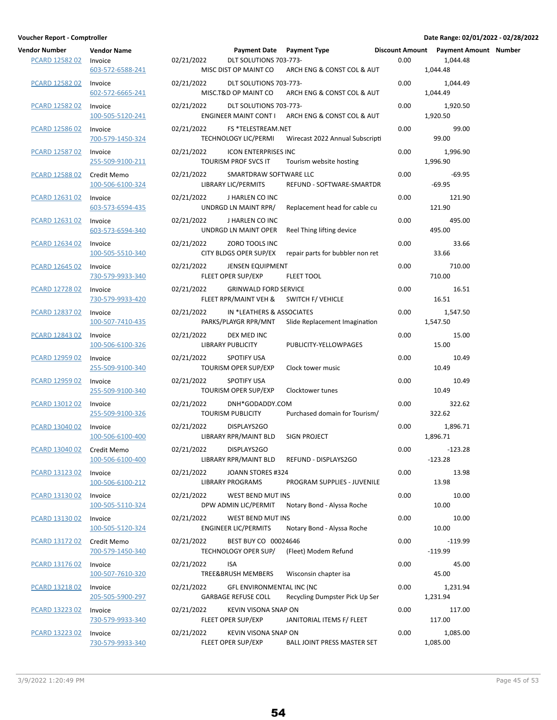| endor Number               | <b>Vendor Name</b>              |     |
|----------------------------|---------------------------------|-----|
| <b>PCARD 12582 02</b>      | Invoice<br>603-572-6588-241     | 02  |
| PCARD 12582 02             | Invoice<br>602-572-6665-241     | 02, |
| PCARD 12582 02             | Invoice<br>100-505-5120-241     | 02  |
| PCARD 12586 02             | Invoice<br>700-579-1450-324     | 02  |
| PCARD 12587 02             | Invoice<br>255-509-9100-211     | 02  |
| PCARD 12588 02 Credit Memo | 100-506-6100-324                | 02, |
| PCARD 12631 02             | Invoice<br>603-573-6594-435     | 02  |
| PCARD 12631 02             | Invoice<br>603-573-6594-340     | 02  |
| PCARD 12634 02             | Invoice<br>100-505-5510-340     | 02, |
| PCARD 12645 02             | Invoice<br>730-579-9933-340     | 02  |
| PCARD 12728 02             | Invoice<br>730-579-9933-420     | 02  |
| PCARD 12837 02             | Invoice<br>100-507-7410-435     | 02  |
| PCARD 12843 02             | Invoice<br>100-506-6100-326     | 02  |
| PCARD 12959 02             | Invoice<br>255-509-9100-340     | 02  |
| PCARD 12959 02             | Invoice<br>255-509-9100-340     | 02, |
| PCARD 13012 02 Invoice     | 255-509-9100-326                | 02, |
| PCARD 13040 02             | Invoice<br>100-506-6100-400     | 02, |
| PCARD 13040 02             | Credit Memo<br>100-506-6100-400 | 02  |
| PCARD 13123 02             | Invoice<br>100-506-6100-212     | 02, |
| PCARD 13130 02             | Invoice<br>100-505-5110-324     | 02, |
| PCARD 13130 02             | Invoice<br>100-505-5120-324     | 02  |
| PCARD 13172 02             | Credit Memo<br>700-579-1450-340 | 02  |
| PCARD 13176 02             | Invoice<br>100-507-7610-320     | 02, |
| PCARD 13218 02             | Invoice<br>205-505-5900-297     | 02, |
| PCARD 13223 02             | Invoice<br>730-579-9933-340     | 02  |
| PCARD 13223 02 Invoice     | 730-579-9933-340                | 02, |

| Vendor Number         | <b>Vendor Name</b>              |            |                                                         | Payment Date Payment Type                        |      | Discount Amount Payment Amount Number |  |
|-----------------------|---------------------------------|------------|---------------------------------------------------------|--------------------------------------------------|------|---------------------------------------|--|
| PCARD 12582 02        | Invoice<br>603-572-6588-241     | 02/21/2022 | DLT SOLUTIONS 703-773-<br>MISC DIST OP MAINT CO         | ARCH ENG & CONST COL & AUT                       | 0.00 | 1,044.48<br>1,044.48                  |  |
| <b>PCARD 12582 02</b> | Invoice<br>602-572-6665-241     | 02/21/2022 | DLT SOLUTIONS 703-773-<br>MISC.T&D OP MAINT CO          | ARCH ENG & CONST COL & AUT                       | 0.00 | 1,044.49<br>1,044.49                  |  |
| PCARD 12582 02        | Invoice<br>100-505-5120-241     | 02/21/2022 | DLT SOLUTIONS 703-773-                                  | ENGINEER MAINT CONT I ARCH ENG & CONST COL & AUT | 0.00 | 1,920.50<br>1,920.50                  |  |
| PCARD 12586 02        | Invoice<br>700-579-1450-324     | 02/21/2022 | FS *TELESTREAM.NET<br><b>TECHNOLOGY LIC/PERMI</b>       | Wirecast 2022 Annual Subscripti                  | 0.00 | 99.00<br>99.00                        |  |
| PCARD 12587 02        | Invoice<br>255-509-9100-211     | 02/21/2022 | <b>ICON ENTERPRISES INC</b><br>TOURISM PROF SVCS IT     | Tourism website hosting                          | 0.00 | 1,996.90<br>1,996.90                  |  |
| <b>PCARD 12588 02</b> | Credit Memo<br>100-506-6100-324 | 02/21/2022 | SMARTDRAW SOFTWARE LLC<br>LIBRARY LIC/PERMITS           | REFUND - SOFTWARE-SMARTDR                        | 0.00 | $-69.95$<br>$-69.95$                  |  |
| PCARD 12631 02        | Invoice<br>603-573-6594-435     | 02/21/2022 | J HARLEN CO INC<br>UNDRGD LN MAINT RPR/                 | Replacement head for cable cu                    | 0.00 | 121.90<br>121.90                      |  |
| PCARD 12631 02        | Invoice<br>603-573-6594-340     | 02/21/2022 | J HARLEN CO INC<br>UNDRGD LN MAINT OPER                 | Reel Thing lifting device                        | 0.00 | 495.00<br>495.00                      |  |
| PCARD 12634 02        | Invoice<br>100-505-5510-340     | 02/21/2022 | ZORO TOOLS INC<br>CITY BLDGS OPER SUP/EX                | repair parts for bubbler non ret                 | 0.00 | 33.66<br>33.66                        |  |
| PCARD 12645 02        | Invoice<br>730-579-9933-340     | 02/21/2022 | <b>JENSEN EQUIPMENT</b><br>FLEET OPER SUP/EXP           | <b>FLEET TOOL</b>                                | 0.00 | 710.00<br>710.00                      |  |
| <b>PCARD 12728 02</b> | Invoice<br>730-579-9933-420     | 02/21/2022 | <b>GRINWALD FORD SERVICE</b>                            | FLEET RPR/MAINT VEH & SWITCH F/ VEHICLE          | 0.00 | 16.51<br>16.51                        |  |
| PCARD 12837 02        | Invoice<br>100-507-7410-435     | 02/21/2022 | IN *LEATHERS & ASSOCIATES<br>PARKS/PLAYGR RPR/MNT       | Slide Replacement Imagination                    | 0.00 | 1,547.50<br>1,547.50                  |  |
| PCARD 12843 02        | Invoice<br>100-506-6100-326     | 02/21/2022 | DEX MED INC<br>LIBRARY PUBLICITY                        | PUBLICITY-YELLOWPAGES                            | 0.00 | 15.00<br>15.00                        |  |
| PCARD 12959 02        | Invoice<br>255-509-9100-340     | 02/21/2022 | <b>SPOTIFY USA</b><br><b>TOURISM OPER SUP/EXP</b>       | Clock tower music                                | 0.00 | 10.49<br>10.49                        |  |
| PCARD 12959 02        | Invoice<br>255-509-9100-340     | 02/21/2022 | <b>SPOTIFY USA</b><br><b>TOURISM OPER SUP/EXP</b>       | Clocktower tunes                                 | 0.00 | 10.49<br>10.49                        |  |
| <b>PCARD 13012 02</b> | Invoice<br>255-509-9100-326     | 02/21/2022 | DNH*GODADDY.COM<br><b>TOURISM PUBLICITY</b>             | Purchased domain for Tourism/                    | 0.00 | 322.62<br>322.62                      |  |
| PCARD 13040 02        | Invoice<br>100-506-6100-400     | 02/21/2022 | DISPLAYS2GO<br>LIBRARY RPR/MAINT BLD                    | SIGN PROJECT                                     | 0.00 | 1,896.71<br>1,896.71                  |  |
| PCARD 13040 02        | Credit Memo<br>100-506-6100-400 | 02/21/2022 | DISPLAYS2GO<br>LIBRARY RPR/MAINT BLD                    | REFUND - DISPLAYS2GO                             | 0.00 | $-123.28$<br>$-123.28$                |  |
| PCARD 13123 02        | Invoice<br>100-506-6100-212     | 02/21/2022 | JOANN STORES #324<br><b>LIBRARY PROGRAMS</b>            | PROGRAM SUPPLIES - JUVENILE                      | 0.00 | 13.98<br>13.98                        |  |
| PCARD 13130 02        | Invoice<br>100-505-5110-324     | 02/21/2022 | WEST BEND MUT INS<br>DPW ADMIN LIC/PERMIT               | Notary Bond - Alyssa Roche                       | 0.00 | 10.00<br>10.00                        |  |
| PCARD 13130 02        | Invoice<br>100-505-5120-324     | 02/21/2022 | WEST BEND MUT INS<br><b>ENGINEER LIC/PERMITS</b>        | Notary Bond - Alyssa Roche                       | 0.00 | 10.00<br>10.00                        |  |
| PCARD 13172 02        | Credit Memo<br>700-579-1450-340 | 02/21/2022 | BEST BUY CO 00024646<br>TECHNOLOGY OPER SUP/            | (Fleet) Modem Refund                             | 0.00 | $-119.99$<br>$-119.99$                |  |
| PCARD 13176 02        | Invoice<br>100-507-7610-320     | 02/21/2022 | <b>ISA</b><br>TREE&BRUSH MEMBERS                        | Wisconsin chapter isa                            | 0.00 | 45.00<br>45.00                        |  |
| PCARD 13218 02        | Invoice<br>205-505-5900-297     | 02/21/2022 | GFL ENVIRONMENTAL INC (NC<br><b>GARBAGE REFUSE COLL</b> | Recycling Dumpster Pick Up Ser                   | 0.00 | 1,231.94<br>1,231.94                  |  |
| PCARD 13223 02        | Invoice<br>730-579-9933-340     | 02/21/2022 | KEVIN VISONA SNAP ON<br>FLEET OPER SUP/EXP              | JANITORIAL ITEMS F/ FLEET                        | 0.00 | 117.00<br>117.00                      |  |
| PCARD 13223 02        | Invoice<br>730-579-9933-340     | 02/21/2022 | KEVIN VISONA SNAP ON<br>FLEET OPER SUP/EXP              | BALL JOINT PRESS MASTER SET                      | 0.00 | 1,085.00<br>1,085.00                  |  |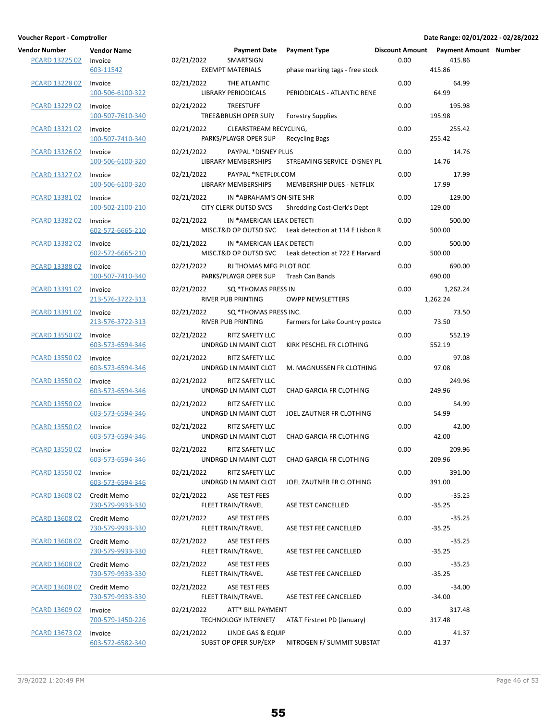| Vendor Number Vendor Name<br>PCARD 13225 02 Invoice | 603-11542                       | 02/21/2022 SMARTSIGN       | <b>Payment Date</b><br><b>EXEMPT MATERIALS</b>              |
|-----------------------------------------------------|---------------------------------|----------------------------|-------------------------------------------------------------|
| <b>PCARD 13228 02</b>                               | Invoice<br>100-506-6100-322     | 02/21/2022 THE ATLANTIC    | <b>LIBRARY PERIODICALS</b>                                  |
| PCARD 13229 02                                      | Invoice<br>100-507-7610-340     | 02/21/2022 TREESTUFF       | TREE&BRUSH OPER SUP/                                        |
| PCARD 13321 02                                      | Invoice<br>100-507-7410-340     |                            | 02/21/2022 CLEARSTREAM RECY<br>PARKS/PLAYGR OPER SUP        |
| PCARD 13326 02                                      | Invoice<br>100-506-6100-320     |                            | 02/21/2022 PAYPAL *DISNEY PL<br>LIBRARY MEMBERSHIPS         |
| <b>PCARD 13327 02</b>                               | Invoice<br>100-506-6100-320     |                            | 02/21/2022 PAYPAL *NETFLIX.C<br>LIBRARY MEMBERSHIPS         |
| PCARD 13381 02                                      | Invoice<br>100-502-2100-210     |                            | 02/21/2022 IN *ABRAHAM'S ON<br><b>CITY CLERK OUTSD SVCS</b> |
| PCARD 13382 02                                      | Invoice<br>602-572-6665-210     |                            | 02/21/2022 IN *AMERICAN LEA<br>MISC.T&D OP OUTSD SVC        |
| PCARD 13382 02                                      | Invoice<br>602-572-6665-210     |                            | 02/21/2022 IN *AMERICAN LEA<br>MISC.T&D OP OUTSD SVC        |
| PCARD 13388 02                                      | Invoice<br>100-507-7410-340     |                            | 02/21/2022 RJ THOMAS MFG PI<br>PARKS/PLAYGR OPER SUP        |
| <b>PCARD 13391 02</b>                               | Invoice<br>213-576-3722-313     |                            | 02/21/2022 SQ *THOMAS PRESS<br><b>RIVER PUB PRINTING</b>    |
| PCARD 13391 02                                      | Invoice<br>213-576-3722-313     |                            | 02/21/2022 SQ *THOMAS PRESS<br><b>RIVER PUB PRINTING</b>    |
| PCARD 13550 02                                      | Invoice<br>603-573-6594-346     | 02/21/2022 RITZ SAFETY LLC | UNDRGD LN MAINT CLOT                                        |
| PCARD 13550 02                                      | Invoice<br>603-573-6594-346     | 02/21/2022 RITZ SAFETY LLC | UNDRGD LN MAINT CLOT                                        |
| PCARD 13550 02                                      | Invoice<br>603-573-6594-346     | 02/21/2022 RITZ SAFETY LLC | UNDRGD LN MAINT CLOT                                        |
| <b>PCARD 13550 02</b>                               | Invoice<br>603-573-6594-346     | 02/21/2022 RITZ SAFETY LLC | UNDRGD LN MAINT CLOT                                        |
| PCARD 13550 02                                      | Invoice<br>603-573-6594-346     | 02/21/2022 RITZ SAFETY LLC | UNDRGD LN MAINT CLOT                                        |
| PCARD 13550 02 Invoice                              | 603-573-6594-346                | 02/21/2022 RITZ SAFETY LLC | UNDRGD LN MAINT CLOT                                        |
| PCARD 13550 02                                      | Invoice<br>603-573-6594-346     | 02/21/2022                 | RITZ SAFETY LLC<br>UNDRGD LN MAINT CLOT                     |
| PCARD 13608 02                                      | Credit Memo<br>730-579-9933-330 | 02/21/2022                 | ASE TEST FEES<br><b>FLEET TRAIN/TRAVEL</b>                  |
| <b>PCARD 13608 02</b>                               | Credit Memo<br>730-579-9933-330 | 02/21/2022                 | <b>ASE TEST FEES</b><br>FLEET TRAIN/TRAVEL                  |
| PCARD 13608 02                                      | Credit Memo<br>730-579-9933-330 | 02/21/2022                 | <b>ASE TEST FEES</b><br>FLEET TRAIN/TRAVEL                  |
| PCARD 13608 02                                      | Credit Memo<br>730-579-9933-330 | 02/21/2022                 | ASE TEST FEES<br>FLEET TRAIN/TRAVEL                         |
| PCARD 13608 02                                      | Credit Memo<br>730-579-9933-330 | 02/21/2022                 | ASE TEST FEES<br>FLEET TRAIN/TRAVEL                         |
| PCARD 13609 02                                      | Invoice<br>700-579-1450-226     | 02/21/2022                 | ATT* BILL PAYMEN<br>TECHNOLOGY INTERNET/                    |
| <b>PCARD 13673 02</b>                               | Invoice                         | 02/21/2022                 | LINDE GAS & EQUIP                                           |

| Voucher Report - Comptroller                  |                                            |            |                                                                  |                                                        |      | Date Range: 02/01/2022 - 02/28/2022                         |  |
|-----------------------------------------------|--------------------------------------------|------------|------------------------------------------------------------------|--------------------------------------------------------|------|-------------------------------------------------------------|--|
| <b>Vendor Number</b><br><b>PCARD 13225 02</b> | <b>Vendor Name</b><br>Invoice<br>603-11542 | 02/21/2022 | <b>Payment Date</b><br>SMARTSIGN<br><b>EXEMPT MATERIALS</b>      | Payment Type<br>phase marking tags - free stock        | 0.00 | Discount Amount  Payment Amount  Number<br>415.86<br>415.86 |  |
| PCARD 13228 02                                | Invoice<br>100-506-6100-322                | 02/21/2022 | THE ATLANTIC<br><b>LIBRARY PERIODICALS</b>                       | PERIODICALS - ATLANTIC RENE                            | 0.00 | 64.99<br>64.99                                              |  |
| PCARD 13229 02                                | Invoice<br>100-507-7610-340                | 02/21/2022 | <b>TREESTUFF</b><br>TREE&BRUSH OPER SUP/                         | <b>Forestry Supplies</b>                               | 0.00 | 195.98<br>195.98                                            |  |
| PCARD 13321 02                                | Invoice<br>100-507-7410-340                | 02/21/2022 | CLEARSTREAM RECYCLING,<br>PARKS/PLAYGR OPER SUP                  | <b>Recycling Bags</b>                                  | 0.00 | 255.42<br>255.42                                            |  |
| PCARD 13326 02                                | Invoice<br>100-506-6100-320                | 02/21/2022 | PAYPAL *DISNEY PLUS<br>LIBRARY MEMBERSHIPS                       | STREAMING SERVICE - DISNEY PL                          | 0.00 | 14.76<br>14.76                                              |  |
| PCARD 13327 02                                | Invoice<br>100-506-6100-320                | 02/21/2022 | PAYPAL *NETFLIX.COM<br>LIBRARY MEMBERSHIPS                       | MEMBERSHIP DUES - NETFLIX                              | 0.00 | 17.99<br>17.99                                              |  |
| PCARD 13381 02                                | Invoice<br>100-502-2100-210                | 02/21/2022 | IN *ABRAHAM'S ON-SITE SHR                                        | CITY CLERK OUTSD SVCS Shredding Cost-Clerk's Dept      | 0.00 | 129.00<br>129.00                                            |  |
| PCARD 13382 02                                | Invoice<br>602-572-6665-210                | 02/21/2022 | IN *AMERICAN LEAK DETECTI                                        | MISC.T&D OP OUTSD SVC Leak detection at 114 E Lisbon R | 0.00 | 500.00<br>500.00                                            |  |
| PCARD 13382 02                                | Invoice<br>602-572-6665-210                | 02/21/2022 | IN *AMERICAN LEAK DETECTI                                        | MISC.T&D OP OUTSD SVC Leak detection at 722 E Harvard  | 0.00 | 500.00<br>500.00                                            |  |
| PCARD 13388 02                                | Invoice<br>100-507-7410-340                | 02/21/2022 | RJ THOMAS MFG PILOT ROC<br>PARKS/PLAYGR OPER SUP Trash Can Bands |                                                        | 0.00 | 690.00<br>690.00                                            |  |
| PCARD 13391 02                                | Invoice<br>213-576-3722-313                | 02/21/2022 | SQ *THOMAS PRESS IN<br>RIVER PUB PRINTING                        | <b>OWPP NEWSLETTERS</b>                                | 0.00 | 1,262.24<br>1,262.24                                        |  |
| PCARD 13391 02                                | Invoice<br>213-576-3722-313                | 02/21/2022 | SQ *THOMAS PRESS INC.<br>RIVER PUB PRINTING                      | Farmers for Lake Country postca                        | 0.00 | 73.50<br>73.50                                              |  |
| PCARD 13550 02                                | Invoice<br>603-573-6594-346                | 02/21/2022 | RITZ SAFETY LLC<br>UNDRGD LN MAINT CLOT                          | KIRK PESCHEL FR CLOTHING                               | 0.00 | 552.19<br>552.19                                            |  |
| PCARD 13550 02                                | Invoice<br>603-573-6594-346                | 02/21/2022 | RITZ SAFETY LLC<br>UNDRGD LN MAINT CLOT                          | M. MAGNUSSEN FR CLOTHING                               | 0.00 | 97.08<br>97.08                                              |  |
| PCARD 13550 02                                | Invoice<br>603-573-6594-346                | 02/21/2022 | RITZ SAFETY LLC                                                  | UNDRGD LN MAINT CLOT CHAD GARCIA FR CLOTHING           | 0.00 | 249.96<br>249.96                                            |  |
| PCARD 13550 02                                | Invoice<br>603-573-6594-346                | 02/21/2022 | RITZ SAFETY LLC<br>UNDRGD LN MAINT CLOT                          | JOEL ZAUTNER FR CLOTHING                               | 0.00 | 54.99<br>54.99                                              |  |
| PCARD 13550 02                                | Invoice<br>603-573-6594-346                | 02/21/2022 | RITZ SAFETY LLC<br>UNDRGD LN MAINT CLOT                          | CHAD GARCIA FR CLOTHING                                | 0.00 | 42.00<br>42.00                                              |  |
| PCARD 13550 02                                | Invoice<br>603-573-6594-346                | 02/21/2022 | RITZ SAFETY LLC<br>UNDRGD LN MAINT CLOT                          | CHAD GARCIA FR CLOTHING                                | 0.00 | 209.96<br>209.96                                            |  |
| PCARD 13550 02                                | Invoice<br>603-573-6594-346                | 02/21/2022 | RITZ SAFETY LLC<br>UNDRGD LN MAINT CLOT                          | JOEL ZAUTNER FR CLOTHING                               | 0.00 | 391.00<br>391.00                                            |  |
| PCARD 13608 02                                | Credit Memo<br>730-579-9933-330            | 02/21/2022 | ASE TEST FEES<br>FLEET TRAIN/TRAVEL                              | ASE TEST CANCELLED                                     | 0.00 | $-35.25$<br>$-35.25$                                        |  |
| <b>PCARD 13608 02</b>                         | Credit Memo<br>730-579-9933-330            | 02/21/2022 | ASE TEST FEES<br>FLEET TRAIN/TRAVEL                              | ASE TEST FEE CANCELLED                                 | 0.00 | $-35.25$<br>$-35.25$                                        |  |
| <b>PCARD 13608 02</b>                         | Credit Memo<br>730-579-9933-330            | 02/21/2022 | ASE TEST FEES<br>FLEET TRAIN/TRAVEL                              | ASE TEST FEE CANCELLED                                 | 0.00 | $-35.25$<br>$-35.25$                                        |  |
| PCARD 13608 02                                | Credit Memo<br>730-579-9933-330            | 02/21/2022 | ASE TEST FEES<br>FLEET TRAIN/TRAVEL                              | ASE TEST FEE CANCELLED                                 | 0.00 | $-35.25$<br>$-35.25$                                        |  |
| PCARD 13608 02 Credit Memo                    | 730-579-9933-330                           | 02/21/2022 | ASE TEST FEES<br>FLEET TRAIN/TRAVEL                              | ASE TEST FEE CANCELLED                                 | 0.00 | $-34.00$<br>$-34.00$                                        |  |
| PCARD 13609 02                                | Invoice<br>700-579-1450-226                | 02/21/2022 | ATT* BILL PAYMENT<br>TECHNOLOGY INTERNET/                        | AT&T Firstnet PD (January)                             | 0.00 | 317.48<br>317.48                                            |  |
| PCARD 13673 02                                | Invoice<br>603-572-6582-340                | 02/21/2022 | LINDE GAS & EQUIP                                                | SUBST OP OPER SUP/EXP NITROGEN F/ SUMMIT SUBSTAT       | 0.00 | 41.37<br>41.37                                              |  |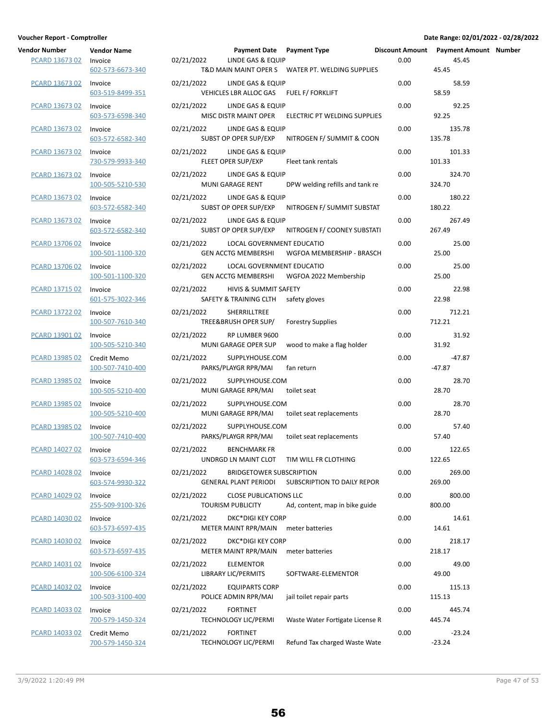| ndor Number Vendor Name    |                                 | Payn                                                         |
|----------------------------|---------------------------------|--------------------------------------------------------------|
| PCARD 13673 02 Invoice     | 602-573-6673-340                | 02/21/2022<br>LINDE <sup>(</sup><br><b>T&amp;D MAIN MAII</b> |
| <b>PCARD 13673 02</b>      | Invoice<br>603-519-8499-351     | 02/21/2022 LINDE<br><b>VEHICLES LBR A</b>                    |
| PCARD 13673 02             | Invoice<br>603-573-6598-340     | 02/21/2022 LINDE<br>MISC DISTR MA                            |
| PCARD 13673 02             | Invoice<br>603-572-6582-340     | 02/21/2022 LINDE<br><b>SUBST OP OPER</b>                     |
| PCARD 13673 02             | Invoice<br>730-579-9933-340     | 02/21/2022 LINDE<br><b>FLEET OPER SUF</b>                    |
| PCARD 13673 02 Invoice     | 100-505-5210-530                | 02/21/2022 LINDE<br>MUNI GARAGE                              |
| PCARD 13673 02             | Invoice<br>603-572-6582-340     | 02/21/2022 LINDE<br><b>SUBST OP OPER</b>                     |
| <u>PCARD 13673 02</u>      | Invoice<br>603-572-6582-340     | 02/21/2022 LINDE<br><b>SUBST OP OPER</b>                     |
| PCARD 13706 02             | Invoice<br>100-501-1100-320     | 02/21/2022 LOCAL<br><b>GEN ACCTG ME</b>                      |
| PCARD 13706 02             | Invoice                         | 02/21/2022<br>LOCAL                                          |
| <b>PCARD 13715 02</b>      | 100-501-1100-320<br>Invoice     | <b>GEN ACCTG ME</b><br>02/21/2022 HIVIS &                    |
|                            | 601-575-3022-346                | SAFETY & TRAIN                                               |
| PCARD 13722 02             | Invoice<br>100-507-7610-340     | 02/21/2022 SHERRI<br>TREE&BRUSH O                            |
| PCARD 13901 02             | Invoice<br>100-505-5210-340     | 02/21/2022 RP LUN<br><b>MUNI GARAGE</b>                      |
| PCARD 13985 02             | Credit Memo<br>100-507-7410-400 | 02/21/2022 SUPPLY<br>PARKS/PLAYGR I                          |
| PCARD 13985 02             | Invoice<br>100-505-5210-400     | 02/21/2022 SUPPLY<br>MUNI GARAGE                             |
| PCARD 13985 02 Invoice     | 100-505-5210-400                | 02/21/2022 SUPPLY<br><b>MUNI GARAGE</b>                      |
| PCARD 13985 02 Invoice     | 100-507-7410-400                | 02/21/2022 SUPPLY<br>PARKS/PLAYGR I                          |
| PCARD 14027 02 Invoice     | 603-573-6594-346                | 02/21/2022 BENCH<br>UNDRGD LN MA                             |
| PCARD 14028 02             | Invoice<br>603-574-9930-322     | 02/21/2022<br><b>BRIDGI</b><br><b>GENERAL PLANT</b>          |
| PCARD 14029 02 Invoice     | 255-509-9100-326                | 02/21/2022 CLOSE<br><b>TOURISM PUBLI</b>                     |
| PCARD 14030 02 Invoice     | 603-573-6597-435                | 02/21/2022 DKC*D<br><b>METER MAINT F</b>                     |
| PCARD 14030 02 Invoice     |                                 | 02/21/2022 DKC*D                                             |
|                            | 603-573-6597-435                | <b>METER MAINT F</b>                                         |
| PCARD 14031 02 Invoice     | 100-506-6100-324                | 02/21/2022 ELEME<br>LIBRARY LIC/PEI                          |
| PCARD 14032 02 Invoice     | 100-503-3100-400                | 02/21/2022 EQUIP/<br>POLICE ADMIN                            |
| PCARD 14033 02 Invoice     | 700-579-1450-324                | <b>FORTIN</b><br>02/21/2022<br><b>TECHNOLOGY LI</b>          |
| PCARD 14033 02 Credit Memo | 700-579-1450-324                | 02/21/2022<br><b>FORTIN</b><br>TECHNOLOGY LI                 |

| Vendor Number<br>PCARD 13673 02 | <b>Vendor Name</b><br>Invoice<br>602-573-6673-340 | 02/21/2022 | Payment Date Payment Type<br>LINDE GAS & EQUIP               | T&D MAIN MAINT OPER S WATER PT. WELDING SUPPLIES  | 0.00 | Discount Amount  Payment Amount  Number<br>45.45<br>45.45 |  |
|---------------------------------|---------------------------------------------------|------------|--------------------------------------------------------------|---------------------------------------------------|------|-----------------------------------------------------------|--|
| PCARD 13673 02                  | Invoice<br>603-519-8499-351                       | 02/21/2022 | LINDE GAS & EQUIP<br>VEHICLES LBR ALLOC GAS FUEL F/ FORKLIFT |                                                   | 0.00 | 58.59<br>58.59                                            |  |
| PCARD 13673 02                  | Invoice<br>603-573-6598-340                       | 02/21/2022 | LINDE GAS & EQUIP<br>MISC DISTR MAINT OPER                   | ELECTRIC PT WELDING SUPPLIES                      | 0.00 | 92.25<br>92.25                                            |  |
| PCARD 13673 02                  | Invoice<br>603-572-6582-340                       | 02/21/2022 | LINDE GAS & EQUIP<br>SUBST OP OPER SUP/EXP                   | NITROGEN F/ SUMMIT & COON                         | 0.00 | 135.78<br>135.78                                          |  |
| PCARD 13673 02                  | Invoice<br>730-579-9933-340                       | 02/21/2022 | LINDE GAS & EQUIP<br>FLEET OPER SUP/EXP                      | Fleet tank rentals                                | 0.00 | 101.33<br>101.33                                          |  |
| <b>PCARD 13673 02</b>           | Invoice<br>100-505-5210-530                       | 02/21/2022 | LINDE GAS & EQUIP<br>MUNI GARAGE RENT                        | DPW welding refills and tank re                   | 0.00 | 324.70<br>324.70                                          |  |
| PCARD 13673 02                  | Invoice<br>603-572-6582-340                       | 02/21/2022 | LINDE GAS & EQUIP                                            | SUBST OP OPER SUP/EXP NITROGEN F/ SUMMIT SUBSTAT  | 0.00 | 180.22<br>180.22                                          |  |
| PCARD 13673 02                  | Invoice<br>603-572-6582-340                       | 02/21/2022 | LINDE GAS & EQUIP                                            | SUBST OP OPER SUP/EXP NITROGEN F/ COONEY SUBSTATI | 0.00 | 267.49<br>267.49                                          |  |
| PCARD 13706 02                  | Invoice<br>100-501-1100-320                       | 02/21/2022 | LOCAL GOVERNMENT EDUCATIO<br><b>GEN ACCTG MEMBERSHI</b>      | WGFOA MEMBERSHIP - BRASCH                         | 0.00 | 25.00<br>25.00                                            |  |
| PCARD 13706 02                  | Invoice<br>100-501-1100-320                       | 02/21/2022 | LOCAL GOVERNMENT EDUCATIO                                    | GEN ACCTG MEMBERSHI WGFOA 2022 Membership         | 0.00 | 25.00<br>25.00                                            |  |
| PCARD 13715 02                  | Invoice<br>601-575-3022-346                       | 02/21/2022 | HIVIS & SUMMIT SAFETY<br>SAFETY & TRAINING CLTH              | safety gloves                                     | 0.00 | 22.98<br>22.98                                            |  |
| <b>PCARD 13722 02</b>           | Invoice<br>100-507-7610-340                       | 02/21/2022 | SHERRILLTREE<br>TREE&BRUSH OPER SUP/                         | <b>Forestry Supplies</b>                          | 0.00 | 712.21<br>712.21                                          |  |
| PCARD 13901 02                  | Invoice<br>100-505-5210-340                       | 02/21/2022 | RP LUMBER 9600<br>MUNI GARAGE OPER SUP                       | wood to make a flag holder                        | 0.00 | 31.92<br>31.92                                            |  |
| PCARD 13985 02                  | Credit Memo<br>100-507-7410-400                   | 02/21/2022 | SUPPLYHOUSE.COM<br>PARKS/PLAYGR RPR/MAI                      | fan return                                        | 0.00 | $-47.87$<br>$-47.87$                                      |  |
| PCARD 13985 02                  | Invoice<br>100-505-5210-400                       | 02/21/2022 | SUPPLYHOUSE.COM<br>MUNI GARAGE RPR/MAI                       | toilet seat                                       | 0.00 | 28.70<br>28.70                                            |  |
| <b>PCARD 13985 02</b>           | Invoice<br>100-505-5210-400                       | 02/21/2022 | SUPPLYHOUSE.COM                                              | MUNI GARAGE RPR/MAI toilet seat replacements      | 0.00 | 28.70<br>28.70                                            |  |
| PCARD 13985 02                  | Invoice<br>100-507-7410-400                       | 02/21/2022 | SUPPLYHOUSE.COM<br>PARKS/PLAYGR RPR/MAI                      | toilet seat replacements                          | 0.00 | 57.40<br>57.40                                            |  |
| PCARD 14027 02 Invoice          | 603-573-6594-346                                  |            | 02/21/2022 BENCHMARK FR                                      | UNDRGD LN MAINT CLOT TIM WILL FR CLOTHING         | 0.00 | 122.65<br>122.65                                          |  |
| PCARD 14028 02                  | Invoice<br>603-574-9930-322                       | 02/21/2022 | <b>BRIDGETOWER SUBSCRIPTION</b><br>GENERAL PLANT PERIODI     | SUBSCRIPTION TO DAILY REPOR                       | 0.00 | 269.00<br>269.00                                          |  |
| PCARD 14029 02                  | Invoice<br>255-509-9100-326                       | 02/21/2022 | <b>CLOSE PUBLICATIONS LLC</b><br><b>TOURISM PUBLICITY</b>    | Ad, content, map in bike guide                    | 0.00 | 800.00<br>800.00                                          |  |
| PCARD 14030 02                  | Invoice<br>603-573-6597-435                       | 02/21/2022 | DKC*DIGI KEY CORP<br>METER MAINT RPR/MAIN meter batteries    |                                                   | 0.00 | 14.61<br>14.61                                            |  |
| PCARD 14030 02                  | Invoice<br>603-573-6597-435                       | 02/21/2022 | <b>DKC*DIGI KEY CORP</b><br>METER MAINT RPR/MAIN             | meter batteries                                   | 0.00 | 218.17<br>218.17                                          |  |
| PCARD 14031 02                  | Invoice<br>100-506-6100-324                       | 02/21/2022 | <b>ELEMENTOR</b><br>LIBRARY LIC/PERMITS                      | SOFTWARE-ELEMENTOR                                | 0.00 | 49.00<br>49.00                                            |  |
| PCARD 14032 02                  | Invoice<br>100-503-3100-400                       | 02/21/2022 | <b>EQUIPARTS CORP</b><br>POLICE ADMIN RPR/MAI                | jail toilet repair parts                          | 0.00 | 115.13<br>115.13                                          |  |
| PCARD 14033 02                  | Invoice<br>700-579-1450-324                       | 02/21/2022 | <b>FORTINET</b><br><b>TECHNOLOGY LIC/PERMI</b>               | Waste Water Fortigate License R                   | 0.00 | 445.74<br>445.74                                          |  |
| PCARD 14033 02                  | Credit Memo<br>700-579-1450-324                   | 02/21/2022 | <b>FORTINET</b><br>TECHNOLOGY LIC/PERMI                      | Refund Tax charged Waste Wate                     | 0.00 | $-23.24$<br>$-23.24$                                      |  |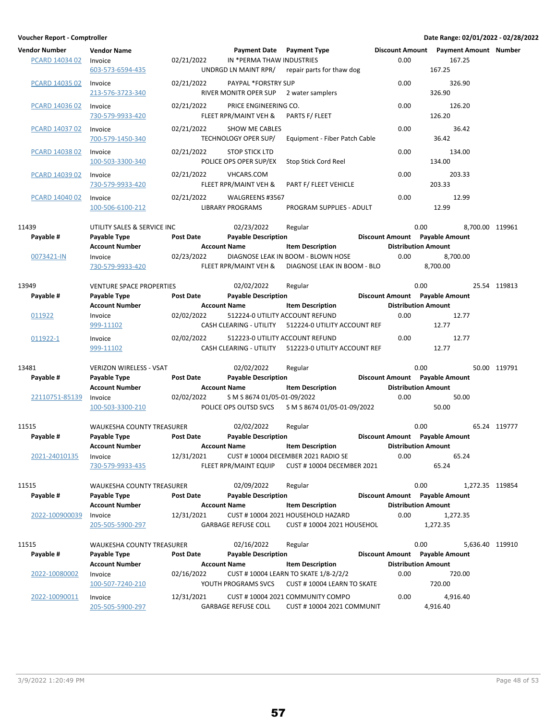| Vendor Number  | <b>Vendor Name</b>               |                  | Payment Date Payment Type                                  |                                                                      |      | Discount Amount  Payment Amount  Number |                 |
|----------------|----------------------------------|------------------|------------------------------------------------------------|----------------------------------------------------------------------|------|-----------------------------------------|-----------------|
| PCARD 14034 02 | Invoice<br>603-573-6594-435      | 02/21/2022       | IN *PERMA THAW INDUSTRIES<br>UNDRGD LN MAINT RPR/          | repair parts for thaw dog                                            | 0.00 | 167.25<br>167.25                        |                 |
|                |                                  |                  |                                                            |                                                                      |      |                                         |                 |
| PCARD 14035 02 | Invoice<br>213-576-3723-340      | 02/21/2022       | <b>PAYPAL *FORSTRY SUP</b><br>RIVER MONITR OPER SUP        | 2 water samplers                                                     | 0.00 | 326.90<br>326.90                        |                 |
| PCARD 14036 02 | Invoice<br>730-579-9933-420      | 02/21/2022       | PRICE ENGINEERING CO.<br>FLEET RPR/MAINT VEH &             | PARTS F/ FLEET                                                       | 0.00 | 126.20<br>126.20                        |                 |
| PCARD 14037 02 | Invoice                          | 02/21/2022       | <b>SHOW ME CABLES</b>                                      |                                                                      | 0.00 | 36.42                                   |                 |
|                | 700-579-1450-340                 |                  | TECHNOLOGY OPER SUP/                                       | Equipment - Fiber Patch Cable                                        |      | 36.42                                   |                 |
| PCARD 14038 02 | Invoice<br>100-503-3300-340      | 02/21/2022       | <b>STOP STICK LTD</b><br>POLICE OPS OPER SUP/EX            | Stop Stick Cord Reel                                                 | 0.00 | 134.00<br>134.00                        |                 |
| PCARD 14039 02 | Invoice<br>730-579-9933-420      | 02/21/2022       | <b>VHCARS.COM</b><br>FLEET RPR/MAINT VEH &                 | PART F/ FLEET VEHICLE                                                | 0.00 | 203.33<br>203.33                        |                 |
| PCARD 14040 02 | Invoice<br>100-506-6100-212      | 02/21/2022       | WALGREENS #3567<br><b>LIBRARY PROGRAMS</b>                 | PROGRAM SUPPLIES - ADULT                                             | 0.00 | 12.99<br>12.99                          |                 |
| 11439          | UTILITY SALES & SERVICE INC      |                  | 02/23/2022                                                 | Regular                                                              |      | 0.00                                    | 8.700.00 119961 |
| Payable #      | Payable Type                     | <b>Post Date</b> | <b>Payable Description</b>                                 |                                                                      |      | Discount Amount Payable Amount          |                 |
| 0073421-IN     | <b>Account Number</b><br>Invoice | 02/23/2022       | <b>Account Name</b>                                        | <b>Item Description</b><br>DIAGNOSE LEAK IN BOOM - BLOWN HOSE        | 0.00 | <b>Distribution Amount</b><br>8,700.00  |                 |
|                | 730-579-9933-420                 |                  | FLEET RPR/MAINT VEH &                                      | DIAGNOSE LEAK IN BOOM - BLO                                          |      | 8.700.00                                |                 |
| 13949          | <b>VENTURE SPACE PROPERTIES</b>  |                  | 02/02/2022                                                 | Regular                                                              |      | 0.00                                    | 25.54 119813    |
| Payable #      | Payable Type                     | <b>Post Date</b> | <b>Payable Description</b>                                 |                                                                      |      | Discount Amount Payable Amount          |                 |
|                | <b>Account Number</b>            |                  | <b>Account Name</b>                                        | <b>Item Description</b>                                              |      | <b>Distribution Amount</b>              |                 |
| 011922         | Invoice                          | 02/02/2022       | 512224-0 UTILITY ACCOUNT REFUND                            |                                                                      | 0.00 | 12.77                                   |                 |
|                | 999-11102                        |                  | CASH CLEARING - UTILITY                                    | 512224-0 UTILITY ACCOUNT REF                                         |      | 12.77                                   |                 |
| 011922-1       | Invoice<br>999-11102             | 02/02/2022       | 512223-0 UTILITY ACCOUNT REFUND<br>CASH CLEARING - UTILITY | 512223-0 UTILITY ACCOUNT REF                                         | 0.00 | 12.77<br>12.77                          |                 |
| 13481          | <b>VERIZON WIRELESS - VSAT</b>   |                  | 02/02/2022                                                 | Regular                                                              |      | 0.00                                    | 50.00 119791    |
| Payable #      | Payable Type                     | <b>Post Date</b> | <b>Payable Description</b>                                 |                                                                      |      | Discount Amount Payable Amount          |                 |
|                | <b>Account Number</b>            |                  | <b>Account Name</b>                                        | <b>Item Description</b>                                              |      | <b>Distribution Amount</b>              |                 |
| 22110751-85139 | Invoice                          | 02/02/2022       | S M S 8674 01/05-01-09/2022                                |                                                                      | 0.00 | 50.00                                   |                 |
|                | 100-503-3300-210                 |                  | POLICE OPS OUTSD SVCS                                      | S M S 8674 01/05-01-09/2022                                          |      | 50.00                                   |                 |
| 11515          | <b>WAUKESHA COUNTY TREASURER</b> |                  | 02/02/2022                                                 | Regular                                                              |      | 0.00                                    | 65.24 119777    |
| Payable #      | Payable Type                     | <b>Post Date</b> | <b>Payable Description</b>                                 |                                                                      |      | Discount Amount Payable Amount          |                 |
|                | <b>Account Number</b>            |                  | <b>Account Name</b>                                        | <b>Item Description</b>                                              |      | <b>Distribution Amount</b>              |                 |
| 2021-24010135  | Invoice                          | 12/31/2021       |                                                            | CUST # 10004 DECEMBER 2021 RADIO SE                                  | 0.00 | 65.24                                   |                 |
|                | 730-579-9933-435                 |                  | FLEET RPR/MAINT EQUIP                                      | CUST #10004 DECEMBER 2021                                            |      | 65.24                                   |                 |
| 11515          | <b>WAUKESHA COUNTY TREASURER</b> |                  | 02/09/2022                                                 | Regular                                                              |      | 0.00                                    | 1,272.35 119854 |
| Payable #      | Payable Type                     | <b>Post Date</b> | <b>Payable Description</b>                                 |                                                                      |      | Discount Amount Payable Amount          |                 |
|                | <b>Account Number</b>            |                  | <b>Account Name</b>                                        | <b>Item Description</b>                                              |      | <b>Distribution Amount</b>              |                 |
| 2022-100900039 | Invoice                          | 12/31/2021       |                                                            | CUST #10004 2021 HOUSEHOLD HAZARD                                    | 0.00 | 1,272.35                                |                 |
|                | 205-505-5900-297                 |                  | <b>GARBAGE REFUSE COLL</b>                                 | <b>CUST #10004 2021 HOUSEHOL</b>                                     |      | 1,272.35                                |                 |
| 11515          | WAUKESHA COUNTY TREASURER        |                  | 02/16/2022                                                 | Regular                                                              |      | 0.00                                    | 5,636.40 119910 |
| Payable #      | Payable Type                     | Post Date        | <b>Payable Description</b>                                 |                                                                      |      | Discount Amount Payable Amount          |                 |
|                | <b>Account Number</b>            |                  | <b>Account Name</b>                                        | <b>Item Description</b>                                              |      | <b>Distribution Amount</b>              |                 |
| 2022-10080002  | Invoice                          | 02/16/2022       |                                                            | CUST # 10004 LEARN TO SKATE 1/8-2/2/2                                | 0.00 | 720.00                                  |                 |
|                | 100-507-7240-210                 |                  | YOUTH PROGRAMS SVCS                                        | CUST #10004 LEARN TO SKATE                                           |      | 720.00                                  |                 |
| 2022-10090011  | Invoice<br>205-505-5900-297      | 12/31/2021       | <b>GARBAGE REFUSE COLL</b>                                 | CUST #10004 2021 COMMUNITY COMPO<br><b>CUST #10004 2021 COMMUNIT</b> | 0.00 | 4,916.40<br>4,916.40                    |                 |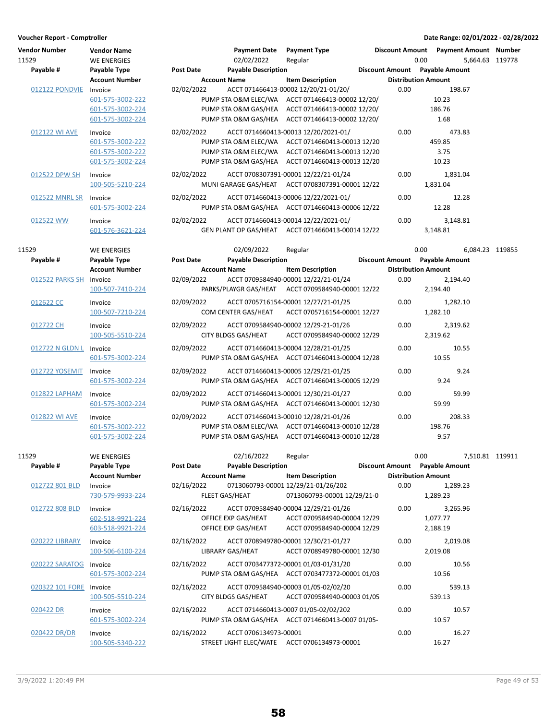| Vendor Number<br>11529<br>Payable # |                         | <b>Vendor Name</b><br><b>WE ENERGIES</b><br>Payable Type | <b>Post Date</b> | <b>Payment Date</b><br>02/02/2022<br><b>Payable Description</b> | <b>Payment Type</b><br>Regular                    |      | Discount Amount Payment Amount Number<br>0.00<br>Discount Amount Payable Amount | 5.664.63 119778 |
|-------------------------------------|-------------------------|----------------------------------------------------------|------------------|-----------------------------------------------------------------|---------------------------------------------------|------|---------------------------------------------------------------------------------|-----------------|
|                                     |                         | <b>Account Number</b>                                    |                  | <b>Account Name</b>                                             | <b>Item Description</b>                           |      | <b>Distribution Amount</b>                                                      |                 |
|                                     | 012122 PONDVIE          | Invoice                                                  | 02/02/2022       |                                                                 | ACCT 071466413-00002 12/20/21-01/20/              | 0.00 | 198.67                                                                          |                 |
|                                     |                         | 601-575-3002-222                                         |                  |                                                                 | PUMP STA O&M ELEC/WA ACCT 071466413-00002 12/20/  |      | 10.23                                                                           |                 |
|                                     |                         | 601-575-3002-224                                         |                  | PUMP STA O&M GAS/HEA                                            | ACCT 071466413-00002 12/20/                       |      | 186.76                                                                          |                 |
|                                     |                         | 601-575-3002-224                                         |                  | PUMP STA O&M GAS/HEA                                            | ACCT 071466413-00002 12/20/                       |      | 1.68                                                                            |                 |
|                                     |                         |                                                          |                  |                                                                 |                                                   |      |                                                                                 |                 |
|                                     | 012122 WI AVE           | Invoice                                                  | 02/02/2022       |                                                                 | ACCT 0714660413-00013 12/20/2021-01/              | 0.00 | 473.83                                                                          |                 |
|                                     |                         | 601-575-3002-222                                         |                  |                                                                 | PUMP STA O&M ELEC/WA ACCT 0714660413-00013 12/20  |      | 459.85                                                                          |                 |
|                                     |                         | 601-575-3002-222                                         |                  |                                                                 | PUMP STA O&M ELEC/WA ACCT 0714660413-00013 12/20  |      | 3.75                                                                            |                 |
|                                     |                         | 601-575-3002-224                                         |                  |                                                                 | PUMP STA O&M GAS/HEA ACCT 0714660413-00013 12/20  |      | 10.23                                                                           |                 |
|                                     | 012522 DPW SH           | Invoice                                                  | 02/02/2022       |                                                                 | ACCT 0708307391-00001 12/22/21-01/24              | 0.00 | 1,831.04                                                                        |                 |
|                                     |                         | 100-505-5210-224                                         |                  |                                                                 | MUNI GARAGE GAS/HEAT ACCT 0708307391-00001 12/22  |      | 1,831.04                                                                        |                 |
|                                     | 012522 MNRL SR          | Invoice                                                  | 02/02/2022       |                                                                 | ACCT 0714660413-00006 12/22/2021-01/              | 0.00 | 12.28                                                                           |                 |
|                                     |                         | 601-575-3002-224                                         |                  |                                                                 | PUMP STA O&M GAS/HEA ACCT 0714660413-00006 12/22  |      | 12.28                                                                           |                 |
|                                     |                         |                                                          |                  |                                                                 |                                                   |      |                                                                                 |                 |
|                                     | 012522 WW               | Invoice                                                  | 02/02/2022       |                                                                 | ACCT 0714660413-00014 12/22/2021-01/              | 0.00 | 3,148.81                                                                        |                 |
|                                     |                         | 601-576-3621-224                                         |                  |                                                                 | GEN PLANT OP GAS/HEAT ACCT 0714660413-00014 12/22 |      | 3,148.81                                                                        |                 |
|                                     |                         |                                                          |                  |                                                                 |                                                   |      |                                                                                 |                 |
| 11529                               |                         | WE ENERGIES                                              |                  | 02/09/2022                                                      | Regular                                           |      | 0.00                                                                            | 6,084.23 119855 |
| Payable #                           |                         | Payable Type                                             | <b>Post Date</b> | <b>Payable Description</b>                                      |                                                   |      | Discount Amount Payable Amount                                                  |                 |
|                                     |                         | <b>Account Number</b>                                    |                  | <b>Account Name</b>                                             | <b>Item Description</b>                           |      | <b>Distribution Amount</b>                                                      |                 |
|                                     | 012522 PARKS SH         | Invoice                                                  | 02/09/2022       |                                                                 | ACCT 0709584940-00001 12/22/21-01/24              | 0.00 | 2,194.40                                                                        |                 |
|                                     |                         | 100-507-7410-224                                         |                  | PARKS/PLAYGR GAS/HEAT                                           | ACCT 0709584940-00001 12/22                       |      | 2,194.40                                                                        |                 |
|                                     | 012622 CC               | Invoice                                                  | 02/09/2022       |                                                                 | ACCT 0705716154-00001 12/27/21-01/25              | 0.00 | 1,282.10                                                                        |                 |
|                                     |                         | 100-507-7210-224                                         |                  | COM CENTER GAS/HEAT                                             | ACCT 0705716154-00001 12/27                       |      | 1,282.10                                                                        |                 |
|                                     |                         |                                                          |                  |                                                                 |                                                   |      |                                                                                 |                 |
|                                     | 012722 CH               | Invoice                                                  | 02/09/2022       |                                                                 | ACCT 0709584940-00002 12/29-21-01/26              | 0.00 | 2,319.62                                                                        |                 |
|                                     |                         | 100-505-5510-224                                         |                  | CITY BLDGS GAS/HEAT                                             | ACCT 0709584940-00002 12/29                       |      | 2,319.62                                                                        |                 |
|                                     | 012722 N GLDN L Invoice |                                                          | 02/09/2022       |                                                                 | ACCT 0714660413-00004 12/28/21-01/25              | 0.00 | 10.55                                                                           |                 |
|                                     |                         | 601-575-3002-224                                         |                  |                                                                 | PUMP STA O&M GAS/HEA ACCT 0714660413-00004 12/28  |      | 10.55                                                                           |                 |
|                                     |                         |                                                          |                  |                                                                 |                                                   |      |                                                                                 |                 |
|                                     | 012722 YOSEMIT          | Invoice                                                  | 02/09/2022       |                                                                 | ACCT 0714660413-00005 12/29/21-01/25              | 0.00 | 9.24                                                                            |                 |
|                                     |                         | 601-575-3002-224                                         |                  |                                                                 | PUMP STA O&M GAS/HEA ACCT 0714660413-00005 12/29  |      | 9.24                                                                            |                 |
|                                     | 012822 LAPHAM           | Invoice                                                  | 02/09/2022       |                                                                 | ACCT 0714660413-00001 12/30/21-01/27              | 0.00 | 59.99                                                                           |                 |
|                                     |                         | 601-575-3002-224                                         |                  |                                                                 | PUMP STA O&M GAS/HEA ACCT 0714660413-00001 12/30  |      | 59.99                                                                           |                 |
|                                     | 012822 WI AVE           | Invoice                                                  | 02/09/2022       |                                                                 | ACCT 0714660413-00010 12/28/21-01/26              | 0.00 | 208.33                                                                          |                 |
|                                     |                         | 601-575-3002-222                                         |                  |                                                                 | PUMP STA O&M ELEC/WA ACCT 0714660413-00010 12/28  |      | 198.76                                                                          |                 |
|                                     |                         | 601-575-3002-224                                         |                  |                                                                 | PUMP STA O&M GAS/HEA ACCT 0714660413-00010 12/28  |      | 9.57                                                                            |                 |
|                                     |                         |                                                          |                  |                                                                 |                                                   |      |                                                                                 |                 |
| 11529                               |                         | <b>WE ENERGIES</b>                                       |                  | 02/16/2022                                                      | Regular                                           |      | 0.00                                                                            | 7,510.81 119911 |
|                                     | Payable #               | Payable Type                                             | <b>Post Date</b> | <b>Payable Description</b>                                      |                                                   |      | Discount Amount Payable Amount                                                  |                 |
|                                     |                         | <b>Account Number</b>                                    |                  | <b>Account Name</b>                                             | <b>Item Description</b>                           |      | <b>Distribution Amount</b>                                                      |                 |
|                                     | 012722 801 BLD          | Invoice                                                  | 02/16/2022       |                                                                 | 0713060793-00001 12/29/21-01/26/202               | 0.00 | 1,289.23                                                                        |                 |
|                                     |                         |                                                          |                  |                                                                 | 0713060793-00001 12/29/21-0                       |      | 1,289.23                                                                        |                 |
|                                     |                         | 730-579-9933-224                                         |                  | FLEET GAS/HEAT                                                  |                                                   |      |                                                                                 |                 |
|                                     | 012722 808 BLD          | Invoice                                                  | 02/16/2022       |                                                                 | ACCT 0709584940-00004 12/29/21-01/26              | 0.00 | 3,265.96                                                                        |                 |
|                                     |                         | 602-518-9921-224                                         |                  | OFFICE EXP GAS/HEAT                                             | ACCT 0709584940-00004 12/29                       |      | 1,077.77                                                                        |                 |
|                                     |                         | 603-518-9921-224                                         |                  | OFFICE EXP GAS/HEAT                                             | ACCT 0709584940-00004 12/29                       |      | 2,188.19                                                                        |                 |
|                                     | <b>020222 LIBRARY</b>   | Invoice                                                  | 02/16/2022       |                                                                 | ACCT 0708949780-00001 12/30/21-01/27              | 0.00 | 2,019.08                                                                        |                 |
|                                     |                         | 100-506-6100-224                                         |                  | LIBRARY GAS/HEAT                                                | ACCT 0708949780-00001 12/30                       |      | 2,019.08                                                                        |                 |
|                                     |                         |                                                          |                  |                                                                 |                                                   |      |                                                                                 |                 |
|                                     | 020222 SARATOG          | Invoice                                                  | 02/16/2022       |                                                                 | ACCT 0703477372-00001 01/03-01/31/20              | 0.00 | 10.56                                                                           |                 |
|                                     |                         | 601-575-3002-224                                         |                  |                                                                 | PUMP STA O&M GAS/HEA ACCT 0703477372-00001 01/03  |      | 10.56                                                                           |                 |
|                                     | 020322 101 FORE         | Invoice                                                  | 02/16/2022       |                                                                 | ACCT 0709584940-00003 01/05-02/02/20              | 0.00 | 539.13                                                                          |                 |
|                                     |                         | 100-505-5510-224                                         |                  | CITY BLDGS GAS/HEAT                                             | ACCT 0709584940-00003 01/05                       |      | 539.13                                                                          |                 |
|                                     |                         |                                                          |                  |                                                                 |                                                   |      |                                                                                 |                 |
|                                     | 020422 DR               | Invoice                                                  | 02/16/2022       |                                                                 | ACCT 0714660413-0007 01/05-02/02/202              | 0.00 | 10.57                                                                           |                 |
|                                     |                         | 601-575-3002-224                                         |                  |                                                                 | PUMP STA O&M GAS/HEA ACCT 0714660413-0007 01/05-  |      | 10.57                                                                           |                 |
|                                     | 020422 DR/DR            | Invoice                                                  | 02/16/2022       | ACCT 0706134973-00001                                           |                                                   | 0.00 | 16.27                                                                           |                 |
|                                     |                         | 100-505-5340-222                                         |                  |                                                                 | STREET LIGHT ELEC/WATE ACCT 0706134973-00001      |      | 16.27                                                                           |                 |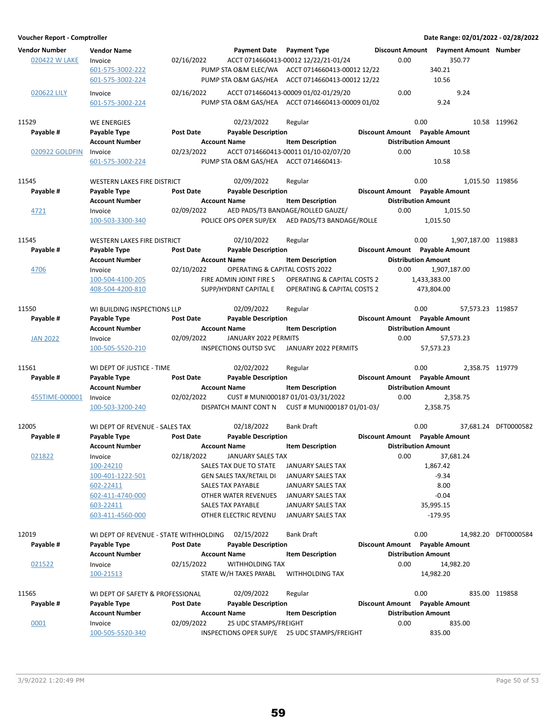| <b>Vendor Number</b> | <b>Vendor Name</b>                     |                  |                                           | <b>Payment Date</b> Payment Type                 |      | Discount Amount  Payment Amount  Number |                      |
|----------------------|----------------------------------------|------------------|-------------------------------------------|--------------------------------------------------|------|-----------------------------------------|----------------------|
| 020422 W LAKE        | Invoice                                | 02/16/2022       |                                           | ACCT 0714660413-00012 12/22/21-01/24             | 0.00 | 350.77                                  |                      |
|                      | 601-575-3002-222                       |                  |                                           | PUMP STA O&M ELEC/WA ACCT 0714660413-00012 12/22 |      | 340.21                                  |                      |
|                      | 601-575-3002-224                       |                  |                                           | PUMP STA O&M GAS/HEA ACCT 0714660413-00012 12/22 |      | 10.56                                   |                      |
| 020622 LILY          | Invoice                                | 02/16/2022       |                                           | ACCT 0714660413-00009 01/02-01/29/20             | 0.00 | 9.24                                    |                      |
|                      | 601-575-3002-224                       |                  |                                           | PUMP STA O&M GAS/HEA ACCT 0714660413-00009 01/02 |      | 9.24                                    |                      |
|                      |                                        |                  |                                           |                                                  |      |                                         |                      |
| 11529                | <b>WE ENERGIES</b>                     |                  | 02/23/2022                                | Regular                                          |      | 0.00                                    | 10.58 119962         |
| Payable #            | Payable Type                           | <b>Post Date</b> | <b>Payable Description</b>                |                                                  |      | Discount Amount Payable Amount          |                      |
|                      | <b>Account Number</b>                  |                  | <b>Account Name</b>                       | <b>Item Description</b>                          |      | <b>Distribution Amount</b>              |                      |
| 020922 GOLDFIN       | Invoice                                | 02/23/2022       |                                           | ACCT 0714660413-00011 01/10-02/07/20             | 0.00 | 10.58                                   |                      |
|                      | 601-575-3002-224                       |                  |                                           | PUMP STA O&M GAS/HEA ACCT 0714660413-            |      | 10.58                                   |                      |
|                      |                                        |                  |                                           |                                                  |      |                                         |                      |
| 11545                | <b>WESTERN LAKES FIRE DISTRICT</b>     |                  | 02/09/2022                                | Regular                                          |      | 0.00                                    | 1,015.50 119856      |
| Payable #            | Payable Type                           | <b>Post Date</b> | <b>Payable Description</b>                |                                                  |      | Discount Amount Payable Amount          |                      |
|                      | <b>Account Number</b>                  |                  | <b>Account Name</b>                       | <b>Item Description</b>                          |      | <b>Distribution Amount</b>              |                      |
| 4721                 | Invoice                                | 02/09/2022       |                                           | AED PADS/T3 BANDAGE/ROLLED GAUZE/                | 0.00 | 1,015.50                                |                      |
|                      | 100-503-3300-340                       |                  |                                           | POLICE OPS OPER SUP/EX AED PADS/T3 BANDAGE/ROLLE |      | 1,015.50                                |                      |
|                      |                                        |                  |                                           |                                                  |      |                                         |                      |
| 11545                | <b>WESTERN LAKES FIRE DISTRICT</b>     |                  | 02/10/2022                                | Regular                                          |      | 0.00<br>1,907,187.00 119883             |                      |
| Payable #            | Payable Type                           | <b>Post Date</b> | <b>Payable Description</b>                |                                                  |      | Discount Amount Payable Amount          |                      |
|                      | <b>Account Number</b>                  |                  | <b>Account Name</b>                       | <b>Item Description</b>                          |      | <b>Distribution Amount</b>              |                      |
| 4706                 | Invoice                                | 02/10/2022       | <b>OPERATING &amp; CAPITAL COSTS 2022</b> |                                                  | 0.00 | 1,907,187.00                            |                      |
|                      | 100-504-4100-205                       |                  | FIRE ADMIN JOINT FIRE S                   | <b>OPERATING &amp; CAPITAL COSTS 2</b>           |      | 1,433,383.00                            |                      |
|                      | 408-504-4200-810                       |                  | SUPP/HYDRNT CAPITAL E                     | <b>OPERATING &amp; CAPITAL COSTS 2</b>           |      | 473,804.00                              |                      |
|                      |                                        |                  |                                           |                                                  |      |                                         |                      |
| 11550                | WI BUILDING INSPECTIONS LLP            |                  | 02/09/2022                                | Regular                                          |      | 0.00<br>57.573.23 119857                |                      |
| Payable #            | Payable Type                           | <b>Post Date</b> | <b>Payable Description</b>                |                                                  |      | Discount Amount Payable Amount          |                      |
|                      | <b>Account Number</b>                  |                  | <b>Account Name</b>                       | <b>Item Description</b>                          |      | <b>Distribution Amount</b>              |                      |
| <b>JAN 2022</b>      | Invoice                                | 02/09/2022       | JANUARY 2022 PERMITS                      |                                                  | 0.00 | 57,573.23                               |                      |
|                      | 100-505-5520-210                       |                  | <b>INSPECTIONS OUTSD SVC</b>              | JANUARY 2022 PERMITS                             |      | 57,573.23                               |                      |
|                      |                                        |                  |                                           |                                                  |      |                                         |                      |
| 11561                | WI DEPT OF JUSTICE - TIME              |                  | 02/02/2022                                | Regular                                          |      | 0.00                                    | 2,358.75 119779      |
| Payable #            | Payable Type                           | Post Date        | <b>Payable Description</b>                |                                                  |      | Discount Amount Payable Amount          |                      |
|                      | <b>Account Number</b>                  |                  | <b>Account Name</b>                       | <b>Item Description</b>                          |      | <b>Distribution Amount</b>              |                      |
| 455TIME-000001       | Invoice                                | 02/02/2022       |                                           | CUST # MUNI000187 01/01-03/31/2022               | 0.00 | 2,358.75                                |                      |
|                      | 100-503-3200-240                       |                  | DISPATCH MAINT CONT N                     | CUST # MUNI000187 01/01-03/                      |      | 2,358.75                                |                      |
|                      |                                        |                  |                                           |                                                  |      |                                         |                      |
| 12005                | WI DEPT OF REVENUE - SALES TAX         |                  | 02/18/2022                                | <b>Bank Draft</b>                                |      | 0.00                                    | 37,681.24 DFT0000582 |
| Payable #            | Payable Type                           | <b>Post Date</b> | <b>Payable Description</b>                |                                                  |      | Discount Amount Payable Amount          |                      |
|                      | <b>Account Number</b>                  |                  | <b>Account Name</b>                       | <b>Item Description</b>                          |      | <b>Distribution Amount</b>              |                      |
| 021822               | Invoice                                | 02/18/2022       | JANUARY SALES TAX                         |                                                  | 0.00 | 37,681.24                               |                      |
|                      | 100-24210                              |                  | SALES TAX DUE TO STATE                    | JANUARY SALES TAX                                |      | 1,867.42                                |                      |
|                      | 100-401-1222-501                       |                  | <b>GEN SALES TAX/RETAIL DI</b>            | JANUARY SALES TAX                                |      | $-9.34$                                 |                      |
|                      | 602-22411                              |                  | SALES TAX PAYABLE                         | JANUARY SALES TAX                                |      | 8.00                                    |                      |
|                      | 602-411-4740-000                       |                  | OTHER WATER REVENUES                      | JANUARY SALES TAX                                |      | $-0.04$                                 |                      |
|                      | 603-22411                              |                  | <b>SALES TAX PAYABLE</b>                  | JANUARY SALES TAX                                |      | 35,995.15                               |                      |
|                      | 603-411-4560-000                       |                  | OTHER ELECTRIC REVENU                     | JANUARY SALES TAX                                |      | $-179.95$                               |                      |
|                      |                                        |                  |                                           |                                                  |      |                                         |                      |
| 12019                | WI DEPT OF REVENUE - STATE WITHHOLDING |                  | 02/15/2022                                | <b>Bank Draft</b>                                |      | 0.00                                    | 14,982.20 DFT0000584 |
| Payable #            | Payable Type                           | <b>Post Date</b> | <b>Payable Description</b>                |                                                  |      | Discount Amount Payable Amount          |                      |
|                      | <b>Account Number</b>                  |                  | <b>Account Name</b>                       | <b>Item Description</b>                          |      | <b>Distribution Amount</b>              |                      |
| 021522               | Invoice                                | 02/15/2022       | <b>WITHHOLDING TAX</b>                    |                                                  | 0.00 | 14,982.20                               |                      |
|                      | 100-21513                              |                  | STATE W/H TAXES PAYABL                    | <b>WITHHOLDING TAX</b>                           |      | 14,982.20                               |                      |
|                      |                                        |                  |                                           |                                                  |      |                                         |                      |
| 11565                | WI DEPT OF SAFETY & PROFESSIONAL       |                  | 02/09/2022                                | Regular                                          |      | 0.00                                    | 835.00 119858        |
| Payable #            | Payable Type                           | <b>Post Date</b> | <b>Payable Description</b>                |                                                  |      | Discount Amount Payable Amount          |                      |
|                      | <b>Account Number</b>                  |                  | <b>Account Name</b>                       | <b>Item Description</b>                          |      | <b>Distribution Amount</b>              |                      |
| 0001                 | Invoice                                | 02/09/2022       | 25 UDC STAMPS/FREIGHT                     |                                                  | 0.00 | 835.00                                  |                      |
|                      | 100-505-5520-340                       |                  |                                           | INSPECTIONS OPER SUP/E 25 UDC STAMPS/FREIGHT     |      | 835.00                                  |                      |
|                      |                                        |                  |                                           |                                                  |      |                                         |                      |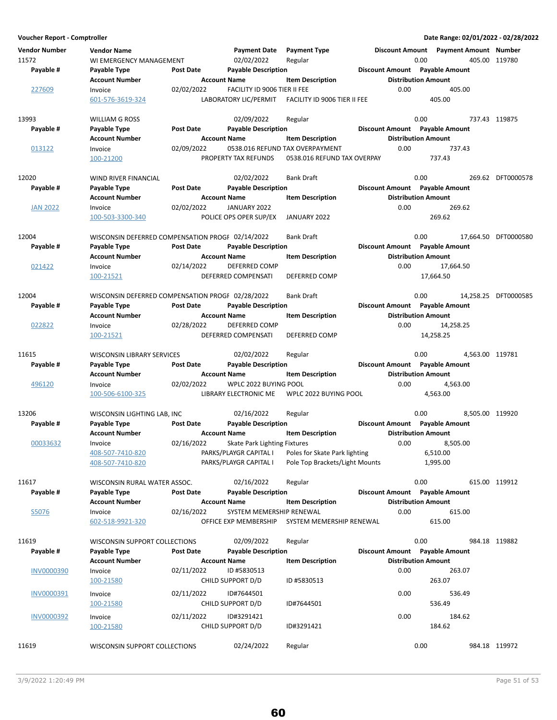| <b>Vendor Number</b><br>11572<br>Payable # | <b>Vendor Name</b><br>WI EMERGENCY MANAGEMENT<br>Payable Type<br><b>Account Number</b>    | <b>Post Date</b><br><b>Account Name</b> | <b>Payment Date</b><br>02/02/2022<br><b>Payable Description</b>                  | <b>Payment Type</b><br>Regular<br><b>Item Description</b>                                  | <b>Discount Amount</b> | <b>Payment Amount Number</b><br>0.00<br>Discount Amount Payable Amount<br><b>Distribution Amount</b> | 405.00 119780        |
|--------------------------------------------|-------------------------------------------------------------------------------------------|-----------------------------------------|----------------------------------------------------------------------------------|--------------------------------------------------------------------------------------------|------------------------|------------------------------------------------------------------------------------------------------|----------------------|
| 227609                                     | Invoice<br>601-576-3619-324                                                               | 02/02/2022                              | FACILITY ID 9006 TIER II FEE<br>LABORATORY LIC/PERMIT                            | FACILITY ID 9006 TIER II FEE                                                               | 0.00                   | 405.00<br>405.00                                                                                     |                      |
| 13993<br>Payable #                         | WILLIAM G ROSS<br>Payable Type                                                            | <b>Post Date</b>                        | 02/09/2022<br><b>Payable Description</b>                                         | Regular                                                                                    |                        | 0.00<br>Discount Amount Payable Amount                                                               | 737.43 119875        |
| 013122                                     | <b>Account Number</b><br>Invoice<br>100-21200                                             | <b>Account Name</b><br>02/09/2022       | PROPERTY TAX REFUNDS                                                             | <b>Item Description</b><br>0538.016 REFUND TAX OVERPAYMENT<br>0538.016 REFUND TAX OVERPAY  | 0.00                   | <b>Distribution Amount</b><br>737.43<br>737.43                                                       |                      |
| 12020<br>Payable #                         | WIND RIVER FINANCIAL<br>Payable Type                                                      | <b>Post Date</b>                        | 02/02/2022<br><b>Payable Description</b>                                         | <b>Bank Draft</b>                                                                          |                        | 0.00<br>Discount Amount Payable Amount                                                               | 269.62 DFT0000578    |
| <b>JAN 2022</b>                            | Account Number<br>Invoice                                                                 | <b>Account Name</b><br>02/02/2022       | JANUARY 2022                                                                     | <b>Item Description</b>                                                                    | 0.00                   | <b>Distribution Amount</b><br>269.62                                                                 |                      |
|                                            | 100-503-3300-340                                                                          |                                         | POLICE OPS OPER SUP/EX                                                           | JANUARY 2022                                                                               |                        | 269.62                                                                                               |                      |
| 12004<br>Payable #                         | WISCONSIN DEFERRED COMPENSATION PROGF 02/14/2022<br>Payable Type<br><b>Account Number</b> | <b>Post Date</b><br><b>Account Name</b> | <b>Payable Description</b>                                                       | <b>Bank Draft</b><br><b>Item Description</b>                                               |                        | 0.00<br>Discount Amount Payable Amount<br><b>Distribution Amount</b>                                 | 17,664.50 DFT0000580 |
| 021422                                     | Invoice<br>100-21521                                                                      | 02/14/2022                              | <b>DEFERRED COMP</b><br>DEFERRED COMPENSATI                                      | <b>DEFERRED COMP</b>                                                                       | 0.00                   | 17,664.50<br>17,664.50                                                                               |                      |
| 12004                                      | WISCONSIN DEFERRED COMPENSATION PROGF 02/28/2022                                          |                                         |                                                                                  | <b>Bank Draft</b>                                                                          |                        | 0.00                                                                                                 | 14,258.25 DFT0000585 |
| Payable #                                  | Payable Type<br><b>Account Number</b>                                                     | <b>Post Date</b><br><b>Account Name</b> | <b>Payable Description</b>                                                       | <b>Item Description</b>                                                                    |                        | <b>Discount Amount</b> Payable Amount<br><b>Distribution Amount</b>                                  |                      |
| 022822                                     | Invoice<br>100-21521                                                                      | 02/28/2022                              | DEFERRED COMP<br>DEFERRED COMPENSATI                                             | DEFERRED COMP                                                                              | 0.00                   | 14,258.25<br>14,258.25                                                                               |                      |
| 11615<br>Payable #                         | WISCONSIN LIBRARY SERVICES<br>Payable Type                                                | <b>Post Date</b>                        | 02/02/2022<br><b>Payable Description</b>                                         | Regular                                                                                    |                        | 0.00<br>Discount Amount Payable Amount                                                               | 4,563.00 119781      |
| 496120                                     | <b>Account Number</b><br>Invoice<br>100-506-6100-325                                      | <b>Account Name</b><br>02/02/2022       | WPLC 2022 BUYING POOL<br>LIBRARY ELECTRONIC ME                                   | <b>Item Description</b><br>WPLC 2022 BUYING POOL                                           | 0.00                   | <b>Distribution Amount</b><br>4,563.00<br>4,563.00                                                   |                      |
| 13206<br>Payable #                         | WISCONSIN LIGHTING LAB, INC<br>Payable Type                                               | <b>Post Date</b>                        | 02/16/2022<br><b>Payable Description</b>                                         | Regular                                                                                    |                        | 0.00<br>Discount Amount Payable Amount                                                               | 8,505.00 119920      |
| 00033632                                   | <b>Account Number</b><br>Invoice<br>408-507-7410-820<br>408-507-7410-820                  | <b>Account Name</b><br>02/16/2022       | Skate Park Lighting Fixtures<br>PARKS/PLAYGR CAPITAL I<br>PARKS/PLAYGR CAPITAL I | <b>Item Description</b><br>Poles for Skate Park lighting<br>Pole Top Brackets/Light Mounts | 0.00                   | <b>Distribution Amount</b><br>8,505.00<br>6,510.00<br>1,995.00                                       |                      |
| 11617<br>Payable #                         | WISCONSIN RURAL WATER ASSOC.<br>Payable Type                                              | <b>Post Date</b>                        | 02/16/2022<br><b>Payable Description</b>                                         | Regular                                                                                    |                        | 0.00<br><b>Discount Amount</b> Payable Amount                                                        | 615.00 119912        |
| S5076                                      | <b>Account Number</b><br>Invoice<br>602-518-9921-320                                      | <b>Account Name</b><br>02/16/2022       | SYSTEM MEMERSHIP RENEWAL<br>OFFICE EXP MEMBERSHIP                                | <b>Item Description</b><br>SYSTEM MEMERSHIP RENEWAL                                        | 0.00                   | <b>Distribution Amount</b><br>615.00<br>615.00                                                       |                      |
| 11619<br>Payable #                         | <b>WISCONSIN SUPPORT COLLECTIONS</b><br>Payable Type                                      | <b>Post Date</b>                        | 02/09/2022<br><b>Payable Description</b>                                         | Regular                                                                                    |                        | 0.00<br>Discount Amount Payable Amount                                                               | 984.18 119882        |
| <b>INV0000390</b>                          | <b>Account Number</b><br>Invoice<br>100-21580                                             | <b>Account Name</b><br>02/11/2022       | ID #5830513<br>CHILD SUPPORT D/D                                                 | <b>Item Description</b><br>ID #5830513                                                     | 0.00                   | <b>Distribution Amount</b><br>263.07<br>263.07                                                       |                      |
| INV0000391                                 | Invoice<br>100-21580                                                                      | 02/11/2022                              | ID#7644501<br>CHILD SUPPORT D/D                                                  | ID#7644501                                                                                 | 0.00                   | 536.49<br>536.49                                                                                     |                      |
| <b>INV0000392</b>                          | Invoice<br>100-21580                                                                      | 02/11/2022                              | ID#3291421<br>CHILD SUPPORT D/D                                                  | ID#3291421                                                                                 | 0.00                   | 184.62<br>184.62                                                                                     |                      |
| 11619                                      | WISCONSIN SUPPORT COLLECTIONS                                                             |                                         | 02/24/2022                                                                       | Regular                                                                                    |                        | 0.00                                                                                                 | 984.18 119972        |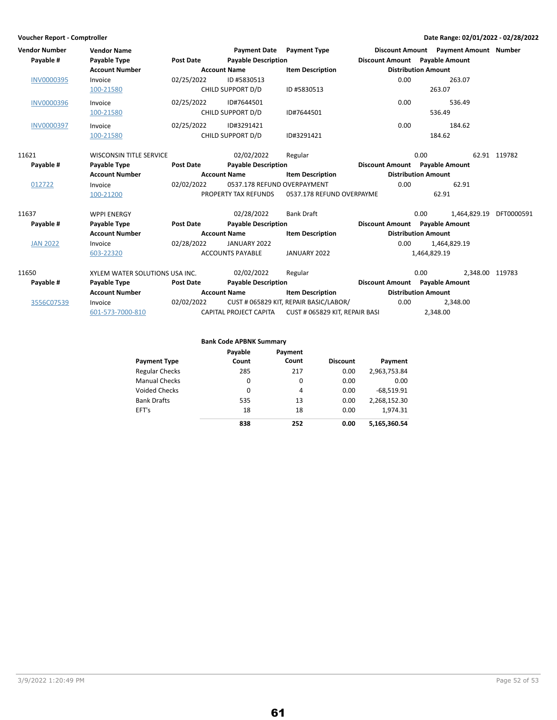| <b>Vendor Number</b><br>Payable # | <b>Vendor Name</b><br>Payable Type | <b>Post Date</b> | <b>Payment Date</b><br><b>Payable Description</b> | <b>Payment Type</b>                    | Discount Amount Payable Amount |                            | Discount Amount Payment Amount Number |              |
|-----------------------------------|------------------------------------|------------------|---------------------------------------------------|----------------------------------------|--------------------------------|----------------------------|---------------------------------------|--------------|
|                                   | <b>Account Number</b>              |                  | <b>Account Name</b>                               | <b>Item Description</b>                |                                | <b>Distribution Amount</b> |                                       |              |
| <b>INV0000395</b>                 | Invoice                            | 02/25/2022       | ID #5830513                                       |                                        | 0.00                           |                            | 263.07                                |              |
|                                   | 100-21580                          |                  | CHILD SUPPORT D/D                                 | ID #5830513                            |                                | 263.07                     |                                       |              |
| <b>INV0000396</b>                 | Invoice                            | 02/25/2022       | ID#7644501                                        |                                        | 0.00                           |                            | 536.49                                |              |
|                                   | 100-21580                          |                  | CHILD SUPPORT D/D                                 | ID#7644501                             |                                | 536.49                     |                                       |              |
| <b>INV0000397</b>                 | Invoice                            | 02/25/2022       | ID#3291421                                        |                                        | 0.00                           |                            | 184.62                                |              |
|                                   | 100-21580                          |                  | CHILD SUPPORT D/D                                 | ID#3291421                             |                                | 184.62                     |                                       |              |
| 11621                             | <b>WISCONSIN TITLE SERVICE</b>     |                  | 02/02/2022                                        | Regular                                |                                | 0.00                       |                                       | 62.91 119782 |
| Payable #                         | Payable Type                       | <b>Post Date</b> | <b>Payable Description</b>                        |                                        | Discount Amount Payable Amount |                            |                                       |              |
|                                   | <b>Account Number</b>              |                  | <b>Account Name</b>                               | <b>Item Description</b>                |                                | <b>Distribution Amount</b> |                                       |              |
| 012722                            | Invoice                            | 02/02/2022       | 0537.178 REFUND OVERPAYMENT                       |                                        | 0.00                           |                            | 62.91                                 |              |
|                                   | 100-21200                          |                  | PROPERTY TAX REFUNDS                              | 0537.178 REFUND OVERPAYME              |                                | 62.91                      |                                       |              |
| 11637                             | <b>WPPI ENERGY</b>                 |                  | 02/28/2022                                        | <b>Bank Draft</b>                      |                                | 0.00                       | 1,464,829.19                          | DFT0000591   |
| Payable #                         | Payable Type                       | <b>Post Date</b> | <b>Payable Description</b>                        |                                        | Discount Amount Payable Amount |                            |                                       |              |
|                                   | <b>Account Number</b>              |                  | <b>Account Name</b>                               | <b>Item Description</b>                |                                | <b>Distribution Amount</b> |                                       |              |
| <b>JAN 2022</b>                   | Invoice                            | 02/28/2022       | JANUARY 2022                                      |                                        | 0.00                           |                            | 1,464,829.19                          |              |
|                                   | 603-22320                          |                  | <b>ACCOUNTS PAYABLE</b>                           | JANUARY 2022                           |                                | 1,464,829.19               |                                       |              |
| 11650                             | XYLEM WATER SOLUTIONS USA INC.     |                  | 02/02/2022                                        | Regular                                |                                | 0.00                       | 2,348.00 119783                       |              |
| Payable #                         | Payable Type                       | <b>Post Date</b> | <b>Payable Description</b>                        |                                        | Discount Amount Payable Amount |                            |                                       |              |
|                                   | <b>Account Number</b>              |                  | <b>Account Name</b>                               | <b>Item Description</b>                |                                | <b>Distribution Amount</b> |                                       |              |
| 3556C07539                        | Invoice                            | 02/02/2022       |                                                   | CUST # 065829 KIT, REPAIR BASIC/LABOR/ | 0.00                           |                            | 2,348.00                              |              |
|                                   | 601-573-7000-810                   |                  | CAPITAL PROJECT CAPITA                            | CUST # 065829 KIT, REPAIR BASI         |                                | 2,348.00                   |                                       |              |

### **Bank Code APBNK Summary**

|                       | Payable | Payment |                 |              |
|-----------------------|---------|---------|-----------------|--------------|
| <b>Payment Type</b>   | Count   | Count   | <b>Discount</b> | Payment      |
| <b>Regular Checks</b> | 285     | 217     | 0.00            | 2,963,753.84 |
| <b>Manual Checks</b>  | 0       | 0       | 0.00            | 0.00         |
| <b>Voided Checks</b>  | 0       | 4       | 0.00            | $-68,519.91$ |
| <b>Bank Drafts</b>    | 535     | 13      | 0.00            | 2,268,152.30 |
| EFT's                 | 18      | 18      | 0.00            | 1.974.31     |
|                       | 838     | 252     | 0.00            | 5,165,360.54 |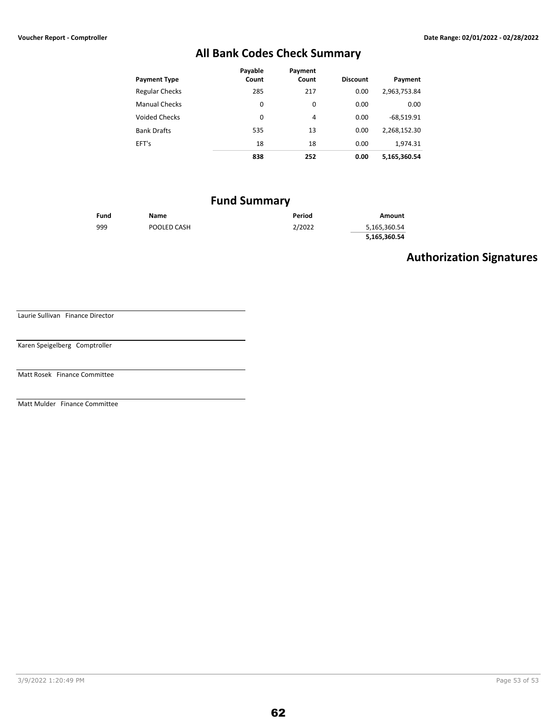# **All Bank Codes Check Summary**

|                       | Payable | Payment |                 |              |
|-----------------------|---------|---------|-----------------|--------------|
| <b>Payment Type</b>   | Count   | Count   | <b>Discount</b> | Payment      |
| <b>Regular Checks</b> | 285     | 217     | 0.00            | 2,963,753.84 |
| <b>Manual Checks</b>  | 0       | 0       | 0.00            | 0.00         |
| <b>Voided Checks</b>  | 0       | 4       | 0.00            | $-68,519.91$ |
| <b>Bank Drafts</b>    | 535     | 13      | 0.00            | 2,268,152.30 |
| EFT's                 | 18      | 18      | 0.00            | 1.974.31     |
|                       | 838     | 252     | 0.00            | 5,165,360.54 |

# **Fund Summary**

| Fund | Name        | Period | Amount       |
|------|-------------|--------|--------------|
| 999  | POOLED CASH | 2/2022 | 5,165,360.54 |
|      |             |        | 5,165,360.54 |

# **Authorization Signatures**

Laurie Sullivan Finance Director

Karen Speigelberg Comptroller

Matt Rosek Finance Committee

Matt Mulder Finance Committee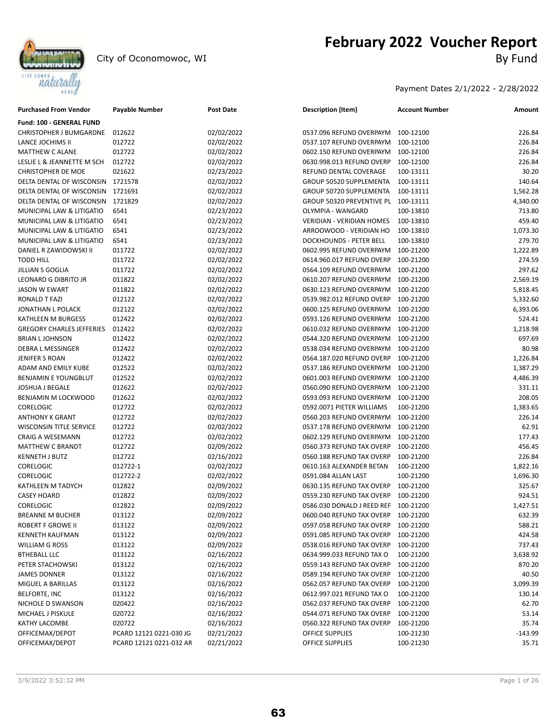

# **February 2022 Voucher Report**<br>By Fund

Payment Dates 2/1/2022 - 2/28/2022

| <b>Purchased From Vendor</b>     | <b>Payable Number</b>   | <b>Post Date</b> | <b>Description (Item)</b>           | <b>Account Number</b> | Amount    |
|----------------------------------|-------------------------|------------------|-------------------------------------|-----------------------|-----------|
| <b>Fund: 100 - GENERAL FUND</b>  |                         |                  |                                     |                       |           |
| CHRISTOPHER J BUMGARDNE          | 012622                  | 02/02/2022       | 0537.096 REFUND OVERPAYM            | 100-12100             | 226.84    |
| LANCE JOCHIMS II                 | 012722                  | 02/02/2022       | 0537.107 REFUND OVERPAYM            | 100-12100             | 226.84    |
| MATTHEW C ALANE                  | 012722                  | 02/02/2022       | 0602.150 REFUND OVERPAYM            | 100-12100             | 226.84    |
| LESLIE L & JEANNETTE M SCH       | 012722                  | 02/02/2022       | 0630.998.013 REFUND OVERP           | 100-12100             | 226.84    |
| <b>CHRISTOPHER DE MOE</b>        | 021622                  | 02/23/2022       | REFUND DENTAL COVERAGE              | 100-13111             | 30.20     |
| DELTA DENTAL OF WISCONSIN        | 1721578                 | 02/02/2022       | GROUP 50520 SUPPLEMENTA             | 100-13111             | 140.64    |
| DELTA DENTAL OF WISCONSIN        | 1721691                 | 02/02/2022       | GROUP 50720 SUPPLEMENTA             | 100-13111             | 1,562.28  |
| DELTA DENTAL OF WISCONSIN        | 1721829                 | 02/02/2022       | GROUP 50320 PREVENTIVE PL 100-13111 |                       | 4,340.00  |
| MUNICIPAL LAW & LITIGATIO        | 6541                    | 02/23/2022       | OLYMPIA - WANGARD                   | 100-13810             | 713.80    |
| MUNICIPAL LAW & LITIGATIO        | 6541                    | 02/23/2022       | <b>VERIDIAN - VERIDIAN HOMES</b>    | 100-13810             | 459.40    |
| MUNICIPAL LAW & LITIGATIO        | 6541                    | 02/23/2022       | ARROOWOOD - VERIDIAN HO             | 100-13810             | 1,073.30  |
| MUNICIPAL LAW & LITIGATIO        | 6541                    | 02/23/2022       | <b>DOCKHOUNDS - PETER BELL</b>      | 100-13810             | 279.70    |
| DANIEL R ZAWIDOWSKI II           | 011722                  | 02/02/2022       | 0602.995 REFUND OVERPAYM            | 100-21200             | 1,222.89  |
| <b>TODD HILL</b>                 | 011722                  | 02/02/2022       | 0614.960.017 REFUND OVERP           | 100-21200             | 274.59    |
| <b>JILLIAN S GOGLIA</b>          | 011722                  | 02/02/2022       | 0564.109 REFUND OVERPAYM            | 100-21200             | 297.62    |
| LEONARD G DIBRITO JR             | 011822                  | 02/02/2022       | 0610.207 REFUND OVERPAYM            | 100-21200             | 2,569.19  |
| <b>JASON W EWART</b>             | 011822                  | 02/02/2022       | 0630.123 REFUND OVERPAYM            | 100-21200             | 5,818.45  |
| RONALD T FAZI                    | 012122                  | 02/02/2022       | 0539.982.012 REFUND OVERP           | 100-21200             | 5,332.60  |
| JONATHAN L POLACK                | 012122                  | 02/02/2022       | 0600.125 REFUND OVERPAYM            | 100-21200             | 6,393.06  |
| <b>KATHLEEN M BURGESS</b>        | 012422                  | 02/02/2022       | 0593.126 REFUND OVERPAYM            | 100-21200             | 524.41    |
| <b>GREGORY CHARLES JEFFERIES</b> | 012422                  | 02/02/2022       | 0610.032 REFUND OVERPAYM            | 100-21200             | 1,218.98  |
| <b>BRIAN LJOHNSON</b>            | 012422                  | 02/02/2022       | 0544.320 REFUND OVERPAYM            | 100-21200             | 697.69    |
| DEBRA L MESSINGER                | 012422                  | 02/02/2022       | 0538.034 REFUND OVERPAYM            | 100-21200             | 80.98     |
| JENIFER S ROAN                   | 012422                  | 02/02/2022       | 0564.187.020 REFUND OVERP           | 100-21200             | 1,226.84  |
| ADAM AND EMILY KUBE              | 012522                  | 02/02/2022       | 0537.186 REFUND OVERPAYM            | 100-21200             | 1,387.29  |
| <b>BENJAMIN E YOUNGBLUT</b>      | 012522                  | 02/02/2022       | 0601.003 REFUND OVERPAYM            | 100-21200             | 4,486.39  |
| JOSHUA J BEGALE                  | 012622                  | 02/02/2022       | 0560.090 REFUND OVERPAYM            | 100-21200             | 331.11    |
| BENJAMIN M LOCKWOOD              | 012622                  | 02/02/2022       | 0593.093 REFUND OVERPAYM            | 100-21200             | 208.05    |
| <b>CORELOGIC</b>                 | 012722                  | 02/02/2022       | 0592.0071 PIETER WILLIAMS           | 100-21200             | 1,383.65  |
| <b>ANTHONY K GRANT</b>           | 012722                  | 02/02/2022       | 0560.203 REFUND OVERPAYM            | 100-21200             | 226.14    |
| <b>WISCONSIN TITLE SERVICE</b>   | 012722                  | 02/02/2022       | 0537.178 REFUND OVERPAYM            | 100-21200             | 62.91     |
| CRAIG A WESEMANN                 | 012722                  | 02/02/2022       | 0602.129 REFUND OVERPAYM            | 100-21200             | 177.43    |
| <b>MATTHEW C BRANDT</b>          | 012722                  | 02/09/2022       | 0560.373 REFUND TAX OVERP           | 100-21200             | 456.45    |
| <b>KENNETH J BUTZ</b>            | 012722                  | 02/16/2022       | 0560.188 REFUND TAX OVERP           | 100-21200             | 226.84    |
| <b>CORELOGIC</b>                 | 012722-1                | 02/02/2022       | 0610.163 ALEXANDER BETAN            | 100-21200             | 1,822.16  |
| <b>CORELOGIC</b>                 | 012722-2                | 02/02/2022       | 0591.084 ALLAN LAST                 | 100-21200             | 1,696.30  |
| KATHLEEN M TADYCH                | 012822                  | 02/09/2022       | 0630.135 REFUND TAX OVERP           | 100-21200             | 325.67    |
| <b>CASEY HOARD</b>               | 012822                  | 02/09/2022       | 0559.230 REFUND TAX OVERP           | 100-21200             | 924.51    |
| <b>CORELOGIC</b>                 | 012822                  | 02/09/2022       | 0586.030 DONALD J REED REF          | 100-21200             | 1,427.51  |
| <b>BREANNE M BUCHER</b>          | 013122                  | 02/09/2022       | 0600.040 REFUND TAX OVERP           | 100-21200             | 632.39    |
| ROBERT F GROWE II                | 013122                  | 02/09/2022       | 0597.058 REFUND TAX OVERP           | 100-21200             | 588.21    |
| <b>KENNETH KAUFMAN</b>           | 013122                  | 02/09/2022       | 0591.085 REFUND TAX OVERP           | 100-21200             | 424.58    |
| WILLIAM G ROSS                   | 013122                  | 02/09/2022       | 0538.016 REFUND TAX OVERP           | 100-21200             | 737.43    |
| <b>BTHEBALL LLC</b>              | 013122                  | 02/16/2022       | 0634.999.033 REFUND TAX O           | 100-21200             | 3,638.92  |
| PETER STACHOWSKI                 | 013122                  | 02/16/2022       | 0559.143 REFUND TAX OVERP           | 100-21200             | 870.20    |
| <b>JAMES DONNER</b>              | 013122                  | 02/16/2022       | 0589.194 REFUND TAX OVERP           | 100-21200             | 40.50     |
| MIGUEL A BARILLAS                | 013122                  | 02/16/2022       | 0562.057 REFUND TAX OVERP           | 100-21200             | 3,099.39  |
| <b>BELFORTE, INC</b>             | 013122                  | 02/16/2022       | 0612.997.021 REFUND TAX O           | 100-21200             | 130.14    |
| NICHOLE D SWANSON                | 020422                  | 02/16/2022       | 0562.037 REFUND TAX OVERP           | 100-21200             | 62.70     |
| MICHAEL J PISKULE                | 020722                  | 02/16/2022       | 0544.071 REFUND TAX OVERP           | 100-21200             | 53.14     |
| KATHY LACOMBE                    | 020722                  | 02/16/2022       | 0560.322 REFUND TAX OVERP           | 100-21200             | 35.74     |
| OFFICEMAX/DEPOT                  | PCARD 12121 0221-030 JG | 02/21/2022       | OFFICE SUPPLIES                     | 100-21230             | $-143.99$ |
| OFFICEMAX/DEPOT                  | PCARD 12121 0221-032 AR | 02/21/2022       | OFFICE SUPPLIES                     | 100-21230             | 35.71     |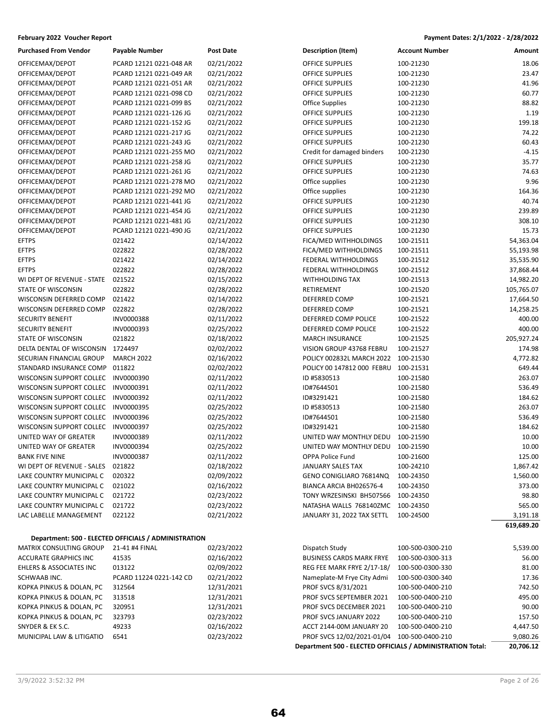| February 2022 Voucher Report                         |                                                      |                  |                                                            | Payment Dates: 2/1/2022 - 2/28/2022 |                        |
|------------------------------------------------------|------------------------------------------------------|------------------|------------------------------------------------------------|-------------------------------------|------------------------|
| <b>Purchased From Vendor</b>                         | Payable Number                                       | <b>Post Date</b> | Description (Item)                                         | <b>Account Number</b>               | Amount                 |
| OFFICEMAX/DEPOT                                      | PCARD 12121 0221-048 AR                              | 02/21/2022       | OFFICE SUPPLIES                                            | 100-21230                           | 18.06                  |
| OFFICEMAX/DEPOT                                      | PCARD 12121 0221-049 AR                              | 02/21/2022       | OFFICE SUPPLIES                                            | 100-21230                           | 23.47                  |
| OFFICEMAX/DEPOT                                      | PCARD 12121 0221-051 AR                              | 02/21/2022       | OFFICE SUPPLIES                                            | 100-21230                           | 41.96                  |
| OFFICEMAX/DEPOT                                      | PCARD 12121 0221-098 CD                              | 02/21/2022       | OFFICE SUPPLIES                                            | 100-21230                           | 60.77                  |
| OFFICEMAX/DEPOT                                      | PCARD 12121 0221-099 BS                              | 02/21/2022       | <b>Office Supplies</b>                                     | 100-21230                           | 88.82                  |
| OFFICEMAX/DEPOT                                      | PCARD 12121 0221-126 JG                              | 02/21/2022       | OFFICE SUPPLIES                                            | 100-21230                           | 1.19                   |
| OFFICEMAX/DEPOT                                      | PCARD 12121 0221-152 JG                              | 02/21/2022       | OFFICE SUPPLIES                                            | 100-21230                           | 199.18                 |
| OFFICEMAX/DEPOT                                      | PCARD 12121 0221-217 JG                              | 02/21/2022       | OFFICE SUPPLIES                                            | 100-21230                           | 74.22                  |
| OFFICEMAX/DEPOT                                      | PCARD 12121 0221-243 JG                              | 02/21/2022       | OFFICE SUPPLIES                                            | 100-21230                           | 60.43                  |
| OFFICEMAX/DEPOT                                      | PCARD 12121 0221-255 MO                              | 02/21/2022       | Credit for damaged binders                                 | 100-21230                           | $-4.15$                |
| OFFICEMAX/DEPOT                                      | PCARD 12121 0221-258 JG                              | 02/21/2022       | OFFICE SUPPLIES                                            | 100-21230                           | 35.77                  |
| OFFICEMAX/DEPOT                                      | PCARD 12121 0221-261 JG                              | 02/21/2022       | OFFICE SUPPLIES                                            | 100-21230                           | 74.63                  |
| OFFICEMAX/DEPOT                                      | PCARD 12121 0221-278 MO                              | 02/21/2022       | Office supplies                                            | 100-21230                           | 9.96                   |
| OFFICEMAX/DEPOT                                      | PCARD 12121 0221-292 MO                              | 02/21/2022       | Office supplies                                            | 100-21230                           | 164.36                 |
| OFFICEMAX/DEPOT                                      | PCARD 12121 0221-441 JG                              | 02/21/2022       | OFFICE SUPPLIES                                            | 100-21230                           | 40.74                  |
| OFFICEMAX/DEPOT                                      | PCARD 12121 0221-454 JG                              | 02/21/2022       | OFFICE SUPPLIES                                            | 100-21230                           | 239.89                 |
| OFFICEMAX/DEPOT                                      | PCARD 12121 0221-481 JG                              | 02/21/2022       | OFFICE SUPPLIES                                            | 100-21230                           | 308.10                 |
| OFFICEMAX/DEPOT                                      | PCARD 12121 0221-490 JG                              | 02/21/2022       | <b>OFFICE SUPPLIES</b>                                     | 100-21230                           | 15.73                  |
| <b>EFTPS</b>                                         | 021422                                               | 02/14/2022       | FICA/MED WITHHOLDINGS                                      | 100-21511                           | 54,363.04              |
| <b>EFTPS</b>                                         | 022822                                               | 02/28/2022       | FICA/MED WITHHOLDINGS                                      | 100-21511                           | 55,193.98              |
| <b>EFTPS</b>                                         | 021422                                               | 02/14/2022       | FEDERAL WITHHOLDINGS                                       | 100-21512                           | 35,535.90              |
| <b>EFTPS</b>                                         | 022822                                               | 02/28/2022       | FEDERAL WITHHOLDINGS                                       | 100-21512                           | 37,868.44              |
| WI DEPT OF REVENUE - STATE                           | 021522                                               | 02/15/2022       | <b>WITHHOLDING TAX</b>                                     | 100-21513                           | 14,982.20              |
| STATE OF WISCONSIN                                   | 022822                                               | 02/28/2022       | RETIREMENT                                                 | 100-21520                           | 105,765.07             |
| WISCONSIN DEFERRED COMP                              | 021422                                               | 02/14/2022       | DEFERRED COMP                                              | 100-21521                           | 17,664.50              |
| WISCONSIN DEFERRED COMP                              | 022822                                               | 02/28/2022       | DEFERRED COMP                                              | 100-21521                           | 14,258.25              |
| <b>SECURITY BENEFIT</b>                              | INV0000388                                           | 02/11/2022       | DEFERRED COMP POLICE                                       | 100-21522                           | 400.00                 |
| <b>SECURITY BENEFIT</b>                              | INV0000393                                           | 02/25/2022       | DEFERRED COMP POLICE                                       | 100-21522                           | 400.00                 |
| STATE OF WISCONSIN                                   | 021822                                               | 02/18/2022       | <b>MARCH INSURANCE</b>                                     | 100-21525                           | 205,927.24             |
| DELTA DENTAL OF WISCONSIN                            | 1724497                                              | 02/02/2022       | VISION GROUP 43768 FEBRU                                   | 100-21527                           | 174.98                 |
| SECURIAN FINANCIAL GROUP                             | <b>MARCH 2022</b>                                    | 02/16/2022       | POLICY 002832L MARCH 2022                                  | 100-21530                           | 4,772.82               |
| STANDARD INSURANCE COMP                              | 011822                                               | 02/02/2022       | POLICY 00 147812 000 FEBRU                                 | 100-21531                           | 649.44                 |
| WISCONSIN SUPPORT COLLEC                             | INV0000390                                           | 02/11/2022       | ID #5830513                                                | 100-21580                           | 263.07                 |
| WISCONSIN SUPPORT COLLEC                             | INV0000391                                           | 02/11/2022       | ID#7644501                                                 | 100-21580                           | 536.49                 |
| WISCONSIN SUPPORT COLLEC                             | INV0000392                                           | 02/11/2022       | ID#3291421                                                 | 100-21580                           | 184.62                 |
| WISCONSIN SUPPORT COLLEC                             | INV0000395                                           | 02/25/2022       | ID #5830513                                                | 100-21580                           | 263.07                 |
| WISCONSIN SUPPORT COLLEC                             | INV0000396                                           | 02/25/2022       | ID#7644501                                                 | 100-21580                           | 536.49                 |
| WISCONSIN SUPPORT COLLEC                             | INV0000397                                           | 02/25/2022       | ID#3291421                                                 | 100-21580                           | 184.62                 |
| UNITED WAY OF GREATER                                | INV0000389                                           | 02/11/2022       | UNITED WAY MONTHLY DEDU                                    | 100-21590                           | 10.00                  |
| UNITED WAY OF GREATER                                | INV0000394                                           | 02/25/2022       | UNITED WAY MONTHLY DEDU                                    | 100-21590                           | 10.00                  |
| <b>BANK FIVE NINE</b>                                | INV0000387                                           | 02/11/2022       | OPPA Police Fund                                           | 100-21600                           | 125.00                 |
| WI DEPT OF REVENUE - SALES                           | 021822                                               | 02/18/2022       | JANUARY SALES TAX                                          | 100-24210                           | 1,867.42               |
| LAKE COUNTRY MUNICIPAL C                             | 020322                                               | 02/09/2022       | GENO CONIGLIARO 76814NQ                                    | 100-24350                           | 1,560.00               |
| LAKE COUNTRY MUNICIPAL C<br>LAKE COUNTRY MUNICIPAL C | 021022                                               | 02/16/2022       | BIANCA ARCIA BH026576-4                                    | 100-24350                           | 373.00                 |
|                                                      | 021722                                               | 02/23/2022       | TONY WRZESINSKI BH507566<br>NATASHA WALLS 768140ZMC        | 100-24350                           | 98.80                  |
| LAKE COUNTRY MUNICIPAL C                             | 021722                                               | 02/23/2022       | JANUARY 31, 2022 TAX SETTL                                 | 100-24350<br>100-24500              | 565.00                 |
| LAC LABELLE MANAGEMENT                               | 022122                                               | 02/21/2022       |                                                            |                                     | 3,191.18<br>619,689.20 |
|                                                      | Department: 500 - ELECTED OFFICIALS / ADMINISTRATION |                  |                                                            |                                     |                        |
| MATRIX CONSULTING GROUP                              | 21-41 #4 FINAL                                       | 02/23/2022       | Dispatch Study                                             | 100-500-0300-210                    | 5,539.00               |
| <b>ACCURATE GRAPHICS INC</b>                         | 41535                                                | 02/16/2022       | <b>BUSINESS CARDS MARK FRYE</b>                            | 100-500-0300-313                    | 56.00                  |
| EHLERS & ASSOCIATES INC                              | 013122                                               | 02/09/2022       | REG FEE MARK FRYE 2/17-18/                                 | 100-500-0300-330                    | 81.00                  |
| SCHWAAB INC.                                         | PCARD 11224 0221-142 CD                              | 02/21/2022       | Nameplate-M Frye City Admi                                 | 100-500-0300-340                    | 17.36                  |
| KOPKA PINKUS & DOLAN, PC                             | 312564                                               | 12/31/2021       | PROF SVCS 8/31/2021                                        | 100-500-0400-210                    | 742.50                 |
| KOPKA PINKUS & DOLAN, PC                             | 313518                                               | 12/31/2021       | PROF SVCS SEPTEMBER 2021                                   | 100-500-0400-210                    | 495.00                 |
| KOPKA PINKUS & DOLAN, PC                             | 320951                                               | 12/31/2021       | PROF SVCS DECEMBER 2021                                    | 100-500-0400-210                    | 90.00                  |
| KOPKA PINKUS & DOLAN, PC                             | 323793                                               | 02/23/2022       | PROF SVCS JANUARY 2022                                     | 100-500-0400-210                    | 157.50                 |
| SNYDER & EK S.C.                                     | 49233                                                | 02/16/2022       | ACCT 2144-00M JANUARY 20                                   | 100-500-0400-210                    | 4,447.50               |
| MUNICIPAL LAW & LITIGATIO                            | 6541                                                 | 02/23/2022       | PROF SVCS 12/02/2021-01/04                                 | 100-500-0400-210                    | 9,080.26               |
|                                                      |                                                      |                  | Department 500 - ELECTED OFFICIALS / ADMINISTRATION Total: |                                     | 20,706.12              |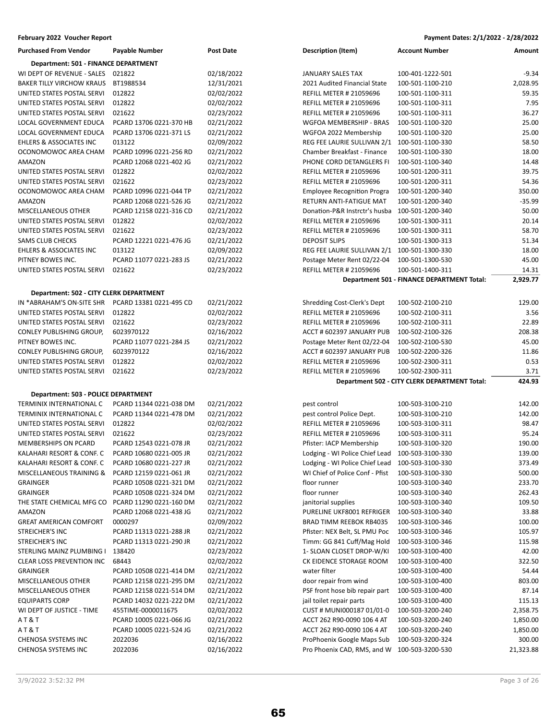| Purchased From Vendor                   | Payable Number          | Post Date  |
|-----------------------------------------|-------------------------|------------|
| Department: 501 - FINANCE DEPARTMENT    |                         |            |
| WI DEPT OF REVENUE - SALES              | 021822                  | 02/18/2022 |
| <b>BAKER TILLY VIRCHOW KRAUS</b>        | BT1988534               | 12/31/2021 |
| UNITED STATES POSTAL SERVI              | 012822                  | 02/02/2022 |
| UNITED STATES POSTAL SERVI              | 012822                  | 02/02/2022 |
| UNITED STATES POSTAL SERVI              | 021622                  | 02/23/2022 |
| <b>LOCAL GOVERNMENT EDUCA</b>           | PCARD 13706 0221-370 HB | 02/21/2022 |
| <b>LOCAL GOVERNMENT EDUCA</b>           | PCARD 13706 0221-371 LS | 02/21/2022 |
| <b>EHLERS &amp; ASSOCIATES INC</b>      | 013122                  | 02/09/2022 |
| OCONOMOWOC AREA CHAM                    | PCARD 10996 0221-256 RD | 02/21/2022 |
| AMAZON                                  | PCARD 12068 0221-402 JG | 02/21/2022 |
| UNITED STATES POSTAL SERVI              | 012822                  | 02/02/2022 |
| UNITED STATES POSTAL SERVI              | 021622                  | 02/23/2022 |
| OCONOMOWOC AREA CHAM                    | PCARD 10996 0221-044 TP | 02/21/2022 |
| <b>AMAZON</b>                           | PCARD 12068 0221-526 JG | 02/21/2022 |
| <b>MISCELLANEOUS OTHER</b>              | PCARD 12158 0221-316 CD | 02/21/2022 |
| UNITED STATES POSTAL SERVI              | 012822                  | 02/02/2022 |
| UNITED STATES POSTAL SERVI              | 021622                  | 02/23/2022 |
| <b>SAMS CLUB CHECKS</b>                 | PCARD 12221 0221-476 JG | 02/21/2022 |
| <b>EHLERS &amp; ASSOCIATES INC</b>      | 013122                  | 02/09/2022 |
| PITNEY BOWES INC.                       | PCARD 11077 0221-283 JS | 02/21/2022 |
| UNITED STATES POSTAL SERVI              | 021622                  | 02/23/2022 |
|                                         |                         |            |
| Department: 502 - CITY CLERK DEPARTMENT |                         |            |
| IN *ABRAHAM'S ON-SITE SHR               | PCARD 13381 0221-495 CD | 02/21/2022 |
| UNITED STATES POSTAL SERVI              | 012822                  | 02/02/2022 |
| UNITED STATES POSTAL SERVI              | 021622                  | 02/23/2022 |
| CONLEY PUBLISHING GROUP,                | 6023970122              | 02/16/2022 |
| PITNEY BOWES INC.                       | PCARD 11077 0221-284 JS | 02/21/2022 |
| CONLEY PUBLISHING GROUP,                | 6023970122              | 02/16/2022 |
| UNITED STATES POSTAL SERVI              | 012822                  | 02/02/2022 |
| UNITED STATES POSTAL SERVI              | 021622                  | 02/23/2022 |

### **Department: 503 - POLICE DEPARTMENT**

| TERMINIX INTERNATIONAL C         | PCARD 11344 0221-038 DM | 02/21/2022 |
|----------------------------------|-------------------------|------------|
| TERMINIX INTERNATIONAL C         | PCARD 11344 0221-478 DM | 02/21/2022 |
| UNITED STATES POSTAL SERVI       | 012822                  | 02/02/2022 |
| UNITED STATES POSTAL SERVI       | 021622                  | 02/23/2022 |
| <b>MEMBERSHIPS ON PCARD</b>      | PCARD 12543 0221-078 JR | 02/21/2022 |
| KALAHARI RESORT & CONF. C        | PCARD 10680 0221-005 JR | 02/21/2022 |
| KALAHARI RESORT & CONF. C        | PCARD 10680 0221-227 JR | 02/21/2022 |
| MISCELLANEOUS TRAINING &         | PCARD 12159 0221-061 JR | 02/21/2022 |
| <b>GRAINGER</b>                  | PCARD 10508 0221-321 DM | 02/21/2022 |
| <b>GRAINGER</b>                  | PCARD 10508 0221-324 DM | 02/21/2022 |
| THE STATE CHEMICAL MFG CO        | PCARD 11290 0221-160 DM | 02/21/2022 |
| <b>AMAZON</b>                    | PCARD 12068 0221-438 JG | 02/21/2022 |
| <b>GREAT AMERICAN COMFORT</b>    | 0000297                 | 02/09/2022 |
| <b>STREICHER'S INC</b>           | PCARD 11313 0221-288 JR | 02/21/2022 |
| <b>STREICHER'S INC</b>           | PCARD 11313 0221-290 JR | 02/21/2022 |
| STERLING MAINZ PLUMBING I        | 138420                  | 02/23/2022 |
| <b>CLEAR LOSS PREVENTION INC</b> | 68443                   | 02/02/2022 |
| <b>GRAINGER</b>                  | PCARD 10508 0221-414 DM | 02/21/2022 |
| <b>MISCELLANEOUS OTHER</b>       | PCARD 12158 0221-295 DM | 02/21/2022 |
| <b>MISCELLANEOUS OTHER</b>       | PCARD 12158 0221-514 DM | 02/21/2022 |
| <b>EQUIPARTS CORP</b>            | PCARD 14032 0221-222 DM | 02/21/2022 |
| WI DEPT OF JUSTICE - TIME        | 455TIME-0000011675      | 02/02/2022 |
| AT&T                             | PCARD 10005 0221-066 JG | 02/21/2022 |
| AT&T                             | PCARD 10005 0221-524 JG | 02/21/2022 |
| <b>CHENOSA SYSTEMS INC</b>       | 2022036                 | 02/16/2022 |
| <b>CHENOSA SYSTEMS INC</b>       | 2022036                 | 02/16/2022 |
|                                  |                         |            |



| <b>Purchased From Vendor</b>            | <b>Payable Number</b>   | <b>Post Date</b> | <b>Description (Item)</b>                       | <b>Account Number</b>                         | Amount    |
|-----------------------------------------|-------------------------|------------------|-------------------------------------------------|-----------------------------------------------|-----------|
| Department: 501 - FINANCE DEPARTMENT    |                         |                  |                                                 |                                               |           |
| WI DEPT OF REVENUE - SALES              | 021822                  | 02/18/2022       | <b>JANUARY SALES TAX</b>                        | 100-401-1222-501                              | $-9.34$   |
| <b>BAKER TILLY VIRCHOW KRAUS</b>        | BT1988534               | 12/31/2021       | 2021 Audited Financial State                    | 100-501-1100-210                              | 2,028.95  |
| UNITED STATES POSTAL SERVI              | 012822                  | 02/02/2022       | REFILL METER # 21059696                         | 100-501-1100-311                              | 59.35     |
| UNITED STATES POSTAL SERVI              | 012822                  | 02/02/2022       | <b>REFILL METER # 21059696</b>                  | 100-501-1100-311                              | 7.95      |
| UNITED STATES POSTAL SERVI              | 021622                  | 02/23/2022       | <b>REFILL METER # 21059696</b>                  | 100-501-1100-311                              | 36.27     |
| LOCAL GOVERNMENT EDUCA                  | PCARD 13706 0221-370 HB | 02/21/2022       | WGFOA MEMBERSHIP - BRAS                         | 100-501-1100-320                              | 25.00     |
| LOCAL GOVERNMENT EDUCA                  | PCARD 13706 0221-371 LS | 02/21/2022       | WGFOA 2022 Membership                           | 100-501-1100-320                              | 25.00     |
| EHLERS & ASSOCIATES INC                 | 013122                  | 02/09/2022       | REG FEE LAURIE SULLIVAN 2/1 100-501-1100-330    |                                               | 58.50     |
| OCONOMOWOC AREA CHAM                    | PCARD 10996 0221-256 RD | 02/21/2022       | Chamber Breakfast - Finance                     | 100-501-1100-330                              | 18.00     |
| AMAZON                                  | PCARD 12068 0221-402 JG | 02/21/2022       | PHONE CORD DETANGLERS FI                        | 100-501-1100-340                              | 14.48     |
| UNITED STATES POSTAL SERVI              | 012822                  | 02/02/2022       | <b>REFILL METER # 21059696</b>                  | 100-501-1200-311                              | 39.75     |
| UNITED STATES POSTAL SERVI              | 021622                  | 02/23/2022       | <b>REFILL METER # 21059696</b>                  | 100-501-1200-311                              | 54.36     |
| OCONOMOWOC AREA CHAM                    | PCARD 10996 0221-044 TP | 02/21/2022       | <b>Employee Recognition Progra</b>              | 100-501-1200-340                              | 350.00    |
| AMAZON                                  | PCARD 12068 0221-526 JG | 02/21/2022       | RETURN ANTI-FATIGUE MAT                         | 100-501-1200-340                              | $-35.99$  |
| MISCELLANEOUS OTHER                     | PCARD 12158 0221-316 CD | 02/21/2022       | Donation-P&R Instrctr's husba                   | 100-501-1200-340                              | 50.00     |
| UNITED STATES POSTAL SERVI              | 012822                  | 02/02/2022       | <b>REFILL METER # 21059696</b>                  | 100-501-1300-311                              | 20.14     |
| UNITED STATES POSTAL SERVI              | 021622                  | 02/23/2022       | <b>REFILL METER # 21059696</b>                  | 100-501-1300-311                              | 58.70     |
| SAMS CLUB CHECKS                        | PCARD 12221 0221-476 JG | 02/21/2022       | <b>DEPOSIT SLIPS</b>                            | 100-501-1300-313                              | 51.34     |
| EHLERS & ASSOCIATES INC                 | 013122                  | 02/09/2022       | REG FEE LAURIE SULLIVAN 2/1 100-501-1300-330    |                                               | 18.00     |
| PITNEY BOWES INC.                       | PCARD 11077 0221-283 JS | 02/21/2022       | Postage Meter Rent 02/22-04                     | 100-501-1300-530                              | 45.00     |
| UNITED STATES POSTAL SERVI              | 021622                  | 02/23/2022       | <b>REFILL METER # 21059696</b>                  | 100-501-1400-311                              | 14.31     |
|                                         |                         |                  |                                                 | Department 501 - FINANCE DEPARTMENT Total:    | 2,929.77  |
| Department: 502 - CITY CLERK DEPARTMENT |                         |                  |                                                 |                                               |           |
| IN *ABRAHAM'S ON-SITE SHR               | PCARD 13381 0221-495 CD | 02/21/2022       | Shredding Cost-Clerk's Dept                     | 100-502-2100-210                              | 129.00    |
| UNITED STATES POSTAL SERVI              | 012822                  | 02/02/2022       | <b>REFILL METER # 21059696</b>                  | 100-502-2100-311                              | 3.56      |
| UNITED STATES POSTAL SERVI              | 021622                  | 02/23/2022       | <b>REFILL METER # 21059696</b>                  | 100-502-2100-311                              | 22.89     |
| CONLEY PUBLISHING GROUP,                | 6023970122              | 02/16/2022       | ACCT # 602397 JANUARY PUB                       | 100-502-2100-326                              | 208.38    |
| PITNEY BOWES INC.                       | PCARD 11077 0221-284 JS | 02/21/2022       | Postage Meter Rent 02/22-04                     | 100-502-2100-530                              | 45.00     |
| CONLEY PUBLISHING GROUP,                | 6023970122              | 02/16/2022       | ACCT # 602397 JANUARY PUB                       | 100-502-2200-326                              | 11.86     |
| UNITED STATES POSTAL SERVI              | 012822                  | 02/02/2022       | <b>REFILL METER # 21059696</b>                  | 100-502-2300-311                              | 0.53      |
| UNITED STATES POSTAL SERVI              | 021622                  | 02/23/2022       | REFILL METER # 21059696                         | 100-502-2300-311                              | 3.71      |
|                                         |                         |                  |                                                 | Department 502 - CITY CLERK DEPARTMENT Total: | 424.93    |
| Department: 503 - POLICE DEPARTMENT     |                         |                  |                                                 |                                               |           |
| TERMINIX INTERNATIONAL C                | PCARD 11344 0221-038 DM | 02/21/2022       | pest control                                    | 100-503-3100-210                              | 142.00    |
| TERMINIX INTERNATIONAL C                | PCARD 11344 0221-478 DM | 02/21/2022       | pest control Police Dept.                       | 100-503-3100-210                              | 142.00    |
| UNITED STATES POSTAL SERVI              | 012822                  | 02/02/2022       | <b>REFILL METER # 21059696</b>                  | 100-503-3100-311                              | 98.47     |
| UNITED STATES POSTAL SERVI              | 021622                  | 02/23/2022       | <b>REFILL METER # 21059696</b>                  | 100-503-3100-311                              | 95.24     |
| MEMBERSHIPS ON PCARD                    | PCARD 12543 0221-078 JR | 02/21/2022       | Pfister: IACP Membership                        | 100-503-3100-320                              | 190.00    |
| KALAHARI RESORT & CONF. C               | PCARD 10680 0221-005 JR | 02/21/2022       | Lodging - WI Police Chief Lead 100-503-3100-330 |                                               | 139.00    |
| KALAHARI RESORT & CONF. C               | PCARD 10680 0221-227 JR | 02/21/2022       | Lodging - WI Police Chief Lead 100-503-3100-330 |                                               | 373.49    |
| MISCELLANEOUS TRAINING &                | PCARD 12159 0221-061 JR | 02/21/2022       | WI Chief of Police Conf - Pfist                 | 100-503-3100-330                              | 500.00    |
| GRAINGER                                | PCARD 10508 0221-321 DM | 02/21/2022       | floor runner                                    | 100-503-3100-340                              | 233.70    |
| <b>GRAINGER</b>                         | PCARD 10508 0221-324 DM | 02/21/2022       | floor runner                                    | 100-503-3100-340                              | 262.43    |
| THE STATE CHEMICAL MFG CO               | PCARD 11290 0221-160 DM | 02/21/2022       | janitorial supplies                             | 100-503-3100-340                              | 109.50    |
| AMAZON                                  | PCARD 12068 0221-438 JG | 02/21/2022       | PURELINE UKF8001 REFRIGER                       | 100-503-3100-340                              | 33.88     |
| GREAT AMERICAN COMFORT                  | 0000297                 | 02/09/2022       | BRAD TIMM REEBOK RB4035                         | 100-503-3100-346                              | 100.00    |
| STREICHER'S INC                         | PCARD 11313 0221-288 JR | 02/21/2022       | Pfister: NEX Belt, SL PMU Poc                   | 100-503-3100-346                              | 105.97    |
| STREICHER'S INC                         | PCARD 11313 0221-290 JR | 02/21/2022       | Timm: GG 841 Cuff/Mag Hold                      | 100-503-3100-346                              | 115.98    |
| STERLING MAINZ PLUMBING I               | 138420                  | 02/23/2022       | 1- SLOAN CLOSET DROP-W/KI                       | 100-503-3100-400                              | 42.00     |
| CLEAR LOSS PREVENTION INC               | 68443                   | 02/02/2022       | CK EIDENCE STORAGE ROOM                         | 100-503-3100-400                              | 322.50    |
| GRAINGER                                | PCARD 10508 0221-414 DM | 02/21/2022       | water filter                                    | 100-503-3100-400                              | 54.44     |
| MISCELLANEOUS OTHER                     | PCARD 12158 0221-295 DM | 02/21/2022       | door repair from wind                           | 100-503-3100-400                              | 803.00    |
| MISCELLANEOUS OTHER                     | PCARD 12158 0221-514 DM | 02/21/2022       | PSF front hose bib repair part                  | 100-503-3100-400                              | 87.14     |
| <b>EQUIPARTS CORP</b>                   | PCARD 14032 0221-222 DM | 02/21/2022       | jail toilet repair parts                        | 100-503-3100-400                              | 115.13    |
| WI DEPT OF JUSTICE - TIME               | 455TIME-0000011675      | 02/02/2022       | CUST # MUNI000187 01/01-0                       | 100-503-3200-240                              | 2,358.75  |
| A T & T                                 | PCARD 10005 0221-066 JG | 02/21/2022       | ACCT 262 R90-0090 106 4 AT                      | 100-503-3200-240                              | 1,850.00  |
| A T & T                                 | PCARD 10005 0221-524 JG | 02/21/2022       | ACCT 262 R90-0090 106 4 AT                      | 100-503-3200-240                              | 1,850.00  |
| CHENOSA SYSTEMS INC                     | 2022036                 | 02/16/2022       | ProPhoenix Google Maps Sub                      | 100-503-3200-324                              | 300.00    |
| CHENOSA SYSTEMS INC                     | 2022036                 | 02/16/2022       | Pro Phoenix CAD, RMS, and W 100-503-3200-530    |                                               | 21,323.88 |
|                                         |                         |                  |                                                 |                                               |           |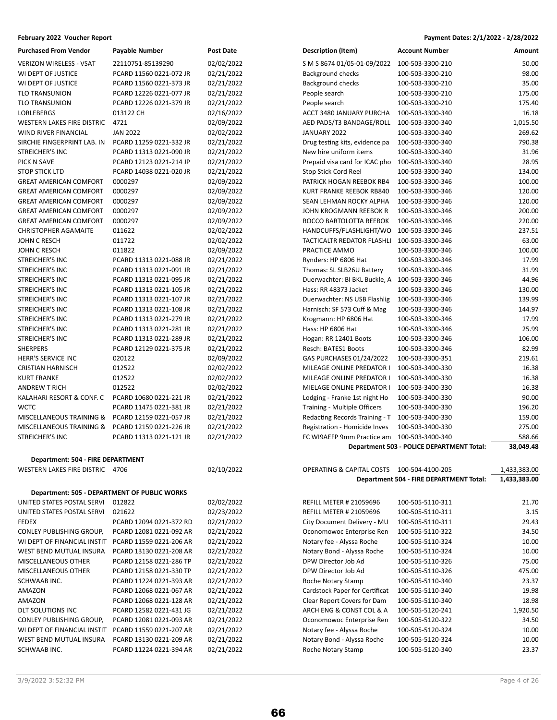| <b>Purchased From Vendor</b>      | <b>Payable Number</b>                        | <b>Post Date</b> | Description (Item)             | <b>Account Number</b>                     | Amount       |
|-----------------------------------|----------------------------------------------|------------------|--------------------------------|-------------------------------------------|--------------|
| <b>VERIZON WIRELESS - VSAT</b>    | 22110751-85139290                            | 02/02/2022       | S M S 8674 01/05-01-09/2022    | 100-503-3300-210                          | 50.00        |
| WI DEPT OF JUSTICE                | PCARD 11560 0221-072 JR                      | 02/21/2022       | <b>Background checks</b>       | 100-503-3300-210                          | 98.00        |
| WI DEPT OF JUSTICE                | PCARD 11560 0221-373 JR                      | 02/21/2022       | <b>Background checks</b>       | 100-503-3300-210                          | 35.00        |
| <b>TLO TRANSUNION</b>             | PCARD 12226 0221-077 JR                      | 02/21/2022       | People search                  | 100-503-3300-210                          | 175.00       |
| TLO TRANSUNION                    | PCARD 12226 0221-379 JR                      | 02/21/2022       | People search                  | 100-503-3300-210                          | 175.40       |
| <b>LORLEBERGS</b>                 | 013122 CH                                    | 02/16/2022       | ACCT 3480 JANUARY PURCHA       | 100-503-3300-340                          | 16.18        |
| WESTERN LAKES FIRE DISTRIC        | 4721                                         | 02/09/2022       | AED PADS/T3 BANDAGE/ROLL       | 100-503-3300-340                          | 1,015.50     |
| WIND RIVER FINANCIAL              | <b>JAN 2022</b>                              | 02/02/2022       | JANUARY 2022                   | 100-503-3300-340                          | 269.62       |
| SIRCHIE FINGERPRINT LAB. IN       | PCARD 11259 0221-332 JR                      | 02/21/2022       | Drug testing kits, evidence pa | 100-503-3300-340                          | 790.38       |
| STREICHER'S INC                   | PCARD 11313 0221-090 JR                      | 02/21/2022       | New hire uniform items         | 100-503-3300-340                          | 31.96        |
| PICK N SAVE                       | PCARD 12123 0221-214 JP                      | 02/21/2022       | Prepaid visa card for ICAC pho | 100-503-3300-340                          | 28.95        |
| <b>STOP STICK LTD</b>             | PCARD 14038 0221-020 JR                      | 02/21/2022       | <b>Stop Stick Cord Reel</b>    | 100-503-3300-340                          | 134.00       |
| <b>GREAT AMERICAN COMFORT</b>     | 0000297                                      | 02/09/2022       | PATRICK HOGAN REEBOK RB4       | 100-503-3300-346                          | 100.00       |
| <b>GREAT AMERICAN COMFORT</b>     | 0000297                                      | 02/09/2022       | KURT FRANKE REEBOK RB840       | 100-503-3300-346                          | 120.00       |
| <b>GREAT AMERICAN COMFORT</b>     | 0000297                                      | 02/09/2022       | SEAN LEHMAN ROCKY ALPHA        | 100-503-3300-346                          | 120.00       |
| <b>GREAT AMERICAN COMFORT</b>     | 0000297                                      | 02/09/2022       | JOHN KROGMANN REEBOK R         | 100-503-3300-346                          | 200.00       |
| <b>GREAT AMERICAN COMFORT</b>     | 0000297                                      | 02/09/2022       | ROCCO BARTOLOTTA REEBOK        | 100-503-3300-346                          | 220.00       |
| <b>CHRISTOPHER AGAMAITE</b>       | 011622                                       | 02/02/2022       | HANDCUFFS/FLASHLIGHT/WO        | 100-503-3300-346                          | 237.51       |
| JOHN C RESCH                      | 011722                                       | 02/02/2022       | TACTICALTR REDATOR FLASHLI     | 100-503-3300-346                          | 63.00        |
| JOHN C RESCH                      | 011822                                       | 02/09/2022       | PRACTICE AMMO                  | 100-503-3300-346                          | 100.00       |
| STREICHER'S INC                   | PCARD 11313 0221-088 JR                      | 02/21/2022       | Rynders: HP 6806 Hat           | 100-503-3300-346                          | 17.99        |
| STREICHER'S INC                   | PCARD 11313 0221-091 JR                      | 02/21/2022       | Thomas: SL SLB26U Battery      | 100-503-3300-346                          | 31.99        |
| STREICHER'S INC                   | PCARD 11313 0221-095 JR                      | 02/21/2022       | Duerwachter: BI BKL Buckle, A  | 100-503-3300-346                          | 44.96        |
| STREICHER'S INC                   | PCARD 11313 0221-105 JR                      | 02/21/2022       | Hass: RR 48373 Jacket          | 100-503-3300-346                          | 130.00       |
| STREICHER'S INC                   | PCARD 11313 0221-107 JR                      | 02/21/2022       | Duerwachter: NS USB Flashlig   | 100-503-3300-346                          | 139.99       |
| STREICHER'S INC                   | PCARD 11313 0221-108 JR                      | 02/21/2022       | Harnisch: SF 573 Cuff & Mag    | 100-503-3300-346                          | 144.97       |
| STREICHER'S INC                   | PCARD 11313 0221-279 JR                      | 02/21/2022       | Krogmann: HP 6806 Hat          | 100-503-3300-346                          | 17.99        |
| STREICHER'S INC                   | PCARD 11313 0221-281 JR                      | 02/21/2022       | Hass: HP 6806 Hat              | 100-503-3300-346                          | 25.99        |
| STREICHER'S INC                   | PCARD 11313 0221-289 JR                      | 02/21/2022       | Hogan: RR 12401 Boots          | 100-503-3300-346                          | 106.00       |
| <b>SHERPERS</b>                   | PCARD 12129 0221-375 JR                      | 02/21/2022       | Resch: BATES1 Boots            | 100-503-3300-346                          | 82.99        |
| HERR'S SERVICE INC                | 020122                                       | 02/09/2022       | GAS PURCHASES 01/24/2022       | 100-503-3300-351                          | 219.61       |
| <b>CRISTIAN HARNISCH</b>          | 012522                                       | 02/02/2022       | MILEAGE ONLINE PREDATOR I      | 100-503-3400-330                          | 16.38        |
| <b>KURT FRANKE</b>                | 012522                                       | 02/02/2022       | MILEAGE ONLINE PREDATOR I      | 100-503-3400-330                          | 16.38        |
| <b>ANDREW T RICH</b>              | 012522                                       | 02/02/2022       | MIELAGE ONLINE PREDATOR I      | 100-503-3400-330                          | 16.38        |
| KALAHARI RESORT & CONF. C         | PCARD 10680 0221-221 JR                      | 02/21/2022       | Lodging - Franke 1st night Ho  | 100-503-3400-330                          | 90.00        |
| <b>WCTC</b>                       | PCARD 11475 0221-381 JR                      | 02/21/2022       | Training - Multiple Officers   | 100-503-3400-330                          | 196.20       |
| MISCELLANEOUS TRAINING &          | PCARD 12159 0221-057 JR                      | 02/21/2022       | Redacting Records Training - T | 100-503-3400-330                          | 159.00       |
| MISCELLANEOUS TRAINING &          | PCARD 12159 0221-226 JR                      | 02/21/2022       | Registration - Homicide Inves  | 100-503-3400-330                          | 275.00       |
| STREICHER'S INC                   | PCARD 11313 0221-121 JR                      | 02/21/2022       | FC WI9AEFP 9mm Practice am     | 100-503-3400-340                          | 588.66       |
|                                   |                                              |                  |                                | Department 503 - POLICE DEPARTMENT Total: | 38,049.48    |
| Department: 504 - FIRE DEPARTMENT |                                              |                  |                                |                                           |              |
| WESTERN LAKES FIRE DISTRIC 4706   |                                              | 02/10/2022       | OPERATING & CAPITAL COSTS      | 100-504-4100-205                          | 1,433,383.00 |
|                                   |                                              |                  |                                | Department 504 - FIRE DEPARTMENT Total:   | 1,433,383.00 |
|                                   |                                              |                  |                                |                                           |              |
|                                   | Department: 505 - DEPARTMENT OF PUBLIC WORKS |                  |                                |                                           |              |
| UNITED STATES POSTAL SERVI        | 012822                                       | 02/02/2022       | <b>REFILL METER # 21059696</b> | 100-505-5110-311                          | 21.70        |
| UNITED STATES POSTAL SERVI        | 021622                                       | 02/23/2022       | <b>REFILL METER # 21059696</b> | 100-505-5110-311                          | 3.15         |
|                                   |                                              |                  |                                |                                           |              |

| UNITED STATES POSTAL SERVI      | 021622                  | 02/23/2022 | <b>REFILL METER # 21059696</b> | 100-505-5110-311 | 3.15     |
|---------------------------------|-------------------------|------------|--------------------------------|------------------|----------|
| <b>FEDEX</b>                    | PCARD 12094 0221-372 RD | 02/21/2022 | City Document Delivery - MU    | 100-505-5110-311 | 29.43    |
| CONLEY PUBLISHING GROUP,        | PCARD 12081 0221-092 AR | 02/21/2022 | Oconomowoc Enterprise Ren      | 100-505-5110-322 | 34.50    |
| WI DEPT OF FINANCIAL INSTIT     | PCARD 11559 0221-206 AR | 02/21/2022 | Notary fee - Alyssa Roche      | 100-505-5110-324 | 10.00    |
| WEST BEND MUTUAL INSURA         | PCARD 13130 0221-208 AR | 02/21/2022 | Notary Bond - Alyssa Roche     | 100-505-5110-324 | 10.00    |
| MISCELLANEOUS OTHER             | PCARD 12158 0221-286 TP | 02/21/2022 | DPW Director Job Ad            | 100-505-5110-326 | 75.00    |
| MISCELLANEOUS OTHER             | PCARD 12158 0221-330 TP | 02/21/2022 | DPW Director Job Ad            | 100-505-5110-326 | 475.00   |
| SCHWAAB INC.                    | PCARD 11224 0221-393 AR | 02/21/2022 | Roche Notary Stamp             | 100-505-5110-340 | 23.37    |
| AMAZON                          | PCARD 12068 0221-067 AR | 02/21/2022 | Cardstock Paper for Certificat | 100-505-5110-340 | 19.98    |
| AMAZON                          | PCARD 12068 0221-128 AR | 02/21/2022 | Clear Report Covers for Dam    | 100-505-5110-340 | 18.98    |
| DLT SOLUTIONS INC               | PCARD 12582 0221-431 JG | 02/21/2022 | ARCH ENG & CONST COL & A       | 100-505-5120-241 | 1,920.50 |
| <b>CONLEY PUBLISHING GROUP.</b> | PCARD 12081 0221-093 AR | 02/21/2022 | Oconomowoc Enterprise Ren      | 100-505-5120-322 | 34.50    |
| WI DEPT OF FINANCIAL INSTIT     | PCARD 11559 0221-207 AR | 02/21/2022 | Notary fee - Alyssa Roche      | 100-505-5120-324 | 10.00    |
| WEST BEND MUTUAL INSURA         | PCARD 13130 0221-209 AR | 02/21/2022 | Notary Bond - Alyssa Roche     | 100-505-5120-324 | 10.00    |
| SCHWAAB INC.                    | PCARD 11224 0221-394 AR | 02/21/2022 | Roche Notary Stamp             | 100-505-5120-340 | 23.37    |

| Purchased From Vendor                                                           | Payable Number          | Post Date  | Description (Item)                              | Account Number                            | Amount      |
|---------------------------------------------------------------------------------|-------------------------|------------|-------------------------------------------------|-------------------------------------------|-------------|
| VERIZON WIRELESS - VSAT                                                         | 22110751-85139290       | 02/02/2022 | S M S 8674 01/05-01-09/2022                     | 100-503-3300-210                          | 50.00       |
| WI DEPT OF JUSTICE                                                              | PCARD 11560 0221-072 JR | 02/21/2022 | <b>Background checks</b>                        | 100-503-3300-210                          | 98.00       |
| WI DEPT OF JUSTICE                                                              | PCARD 11560 0221-373 JR | 02/21/2022 | Background checks                               | 100-503-3300-210                          | 35.00       |
| TLO TRANSUNION                                                                  | PCARD 12226 0221-077 JR | 02/21/2022 | People search                                   | 100-503-3300-210                          | 175.00      |
| TLO TRANSUNION                                                                  | PCARD 12226 0221-379 JR | 02/21/2022 | People search                                   | 100-503-3300-210                          | 175.40      |
| LORLEBERGS                                                                      | 013122 CH               | 02/16/2022 | ACCT 3480 JANUARY PURCHA                        | 100-503-3300-340                          | 16.18       |
| WESTERN LAKES FIRE DISTRIC                                                      | 4721                    | 02/09/2022 | AED PADS/T3 BANDAGE/ROLL 100-503-3300-340       |                                           | 1,015.50    |
| WIND RIVER FINANCIAL                                                            | <b>JAN 2022</b>         | 02/02/2022 | JANUARY 2022                                    | 100-503-3300-340                          | 269.62      |
| SIRCHIE FINGERPRINT LAB. IN                                                     | PCARD 11259 0221-332 JR | 02/21/2022 | Drug testing kits, evidence pa                  | 100-503-3300-340                          | 790.38      |
| STREICHER'S INC                                                                 | PCARD 11313 0221-090 JR | 02/21/2022 | New hire uniform items                          | 100-503-3300-340                          | 31.96       |
| PICK N SAVE                                                                     | PCARD 12123 0221-214 JP | 02/21/2022 | Prepaid visa card for ICAC pho 100-503-3300-340 |                                           | 28.95       |
| <b>STOP STICK LTD</b>                                                           | PCARD 14038 0221-020 JR | 02/21/2022 | <b>Stop Stick Cord Reel</b>                     | 100-503-3300-340                          | 134.00      |
| <b>GREAT AMERICAN COMFORT</b>                                                   | 0000297                 | 02/09/2022 | PATRICK HOGAN REEBOK RB4                        | 100-503-3300-346                          | 100.00      |
| <b>GREAT AMERICAN COMFORT</b>                                                   | 0000297                 | 02/09/2022 | KURT FRANKE REEBOK RB840                        | 100-503-3300-346                          | 120.00      |
| <b>GREAT AMERICAN COMFORT</b>                                                   | 0000297                 | 02/09/2022 | SEAN LEHMAN ROCKY ALPHA                         | 100-503-3300-346                          | 120.00      |
| <b>GREAT AMERICAN COMFORT</b>                                                   | 0000297                 | 02/09/2022 | JOHN KROGMANN REEBOK R                          | 100-503-3300-346                          | 200.00      |
| <b>GREAT AMERICAN COMFORT</b>                                                   | 0000297                 | 02/09/2022 | ROCCO BARTOLOTTA REEBOK                         | 100-503-3300-346                          | 220.00      |
| CHRISTOPHER AGAMAITE                                                            | 011622                  | 02/02/2022 | HANDCUFFS/FLASHLIGHT/WO                         | 100-503-3300-346                          | 237.51      |
| JOHN C RESCH                                                                    | 011722                  | 02/02/2022 | TACTICALTR REDATOR FLASHLI                      | 100-503-3300-346                          | 63.00       |
| JOHN C RESCH                                                                    | 011822                  | 02/09/2022 | PRACTICE AMMO                                   | 100-503-3300-346                          | 100.00      |
| STREICHER'S INC                                                                 | PCARD 11313 0221-088 JR | 02/21/2022 | Rynders: HP 6806 Hat                            | 100-503-3300-346                          | 17.99       |
| STREICHER'S INC                                                                 | PCARD 11313 0221-091 JR | 02/21/2022 | Thomas: SL SLB26U Battery                       | 100-503-3300-346                          | 31.99       |
| STREICHER'S INC                                                                 | PCARD 11313 0221-095 JR | 02/21/2022 | Duerwachter: BI BKL Buckle, A 100-503-3300-346  |                                           | 44.96       |
| STREICHER'S INC                                                                 | PCARD 11313 0221-105 JR | 02/21/2022 | Hass: RR 48373 Jacket                           | 100-503-3300-346                          | 130.00      |
| STREICHER'S INC                                                                 | PCARD 11313 0221-107 JR | 02/21/2022 | Duerwachter: NS USB Flashlig                    | 100-503-3300-346                          | 139.99      |
| STREICHER'S INC                                                                 | PCARD 11313 0221-108 JR | 02/21/2022 | Harnisch: SF 573 Cuff & Mag                     | 100-503-3300-346                          | 144.97      |
| STREICHER'S INC                                                                 | PCARD 11313 0221-279 JR | 02/21/2022 | Krogmann: HP 6806 Hat                           | 100-503-3300-346                          | 17.99       |
| STREICHER'S INC                                                                 | PCARD 11313 0221-281 JR | 02/21/2022 | Hass: HP 6806 Hat                               | 100-503-3300-346                          | 25.99       |
| STREICHER'S INC                                                                 | PCARD 11313 0221-289 JR | 02/21/2022 | Hogan: RR 12401 Boots                           | 100-503-3300-346                          | 106.00      |
| <b>SHERPERS</b>                                                                 | PCARD 12129 0221-375 JR | 02/21/2022 | Resch: BATES1 Boots                             | 100-503-3300-346                          | 82.99       |
| <b>HERR'S SERVICE INC</b>                                                       | 020122                  | 02/09/2022 | GAS PURCHASES 01/24/2022                        | 100-503-3300-351                          | 219.61      |
| <b>CRISTIAN HARNISCH</b>                                                        | 012522                  | 02/02/2022 | MILEAGE ONLINE PREDATOR I                       | 100-503-3400-330                          | 16.38       |
| <b>KURT FRANKE</b>                                                              | 012522                  | 02/02/2022 | MILEAGE ONLINE PREDATOR I                       | 100-503-3400-330                          | 16.38       |
| <b>ANDREW T RICH</b>                                                            | 012522                  | 02/02/2022 | MIELAGE ONLINE PREDATOR I                       | 100-503-3400-330                          | 16.38       |
| KALAHARI RESORT & CONF. C                                                       | PCARD 10680 0221-221 JR | 02/21/2022 | Lodging - Franke 1st night Ho                   | 100-503-3400-330                          | 90.00       |
| <b>WCTC</b>                                                                     | PCARD 11475 0221-381 JR | 02/21/2022 | Training - Multiple Officers                    | 100-503-3400-330                          | 196.20      |
| MISCELLANEOUS TRAINING &                                                        | PCARD 12159 0221-057 JR | 02/21/2022 | Redacting Records Training - T 100-503-3400-330 |                                           | 159.00      |
| MISCELLANEOUS TRAINING &                                                        | PCARD 12159 0221-226 JR | 02/21/2022 | Registration - Homicide Inves                   | 100-503-3400-330                          | 275.00      |
| STREICHER'S INC                                                                 | PCARD 11313 0221-121 JR | 02/21/2022 | FC WI9AEFP 9mm Practice am                      | 100-503-3400-340                          | 588.66      |
|                                                                                 |                         |            |                                                 | Department 503 - POLICE DEPARTMENT Total: | 38,049.48   |
| Department: 504 - FIRE DEPARTMENT                                               |                         |            |                                                 |                                           |             |
| $M$ $C$ $T$ $C$ $D$ $N$ $I$ $A$ $V$ $C$ $C$ $D$ $C$ $D$ $C$ $D$ $C$ $T$ $D$ $C$ |                         | 02/10/2022 | ODERATING & CARITAL COSTS 100 FOA 4100 JOF      |                                           | 1.122.22000 |

| WESTERN LAKES FIRE DISTRIC  | 470b                                         | 02/10/2022   | OPERATING & CAPITAL COSTS<br>100-504-4100-205      | 1,433,383.00 |
|-----------------------------|----------------------------------------------|--------------|----------------------------------------------------|--------------|
|                             |                                              |              | Department 504 - FIRE DEPARTMENT Total:            | 1,433,383.00 |
|                             | Department: 505 - DEPARTMENT OF PUBLIC WORKS |              |                                                    |              |
| UNITED STATES POSTAL SERVI  | 012822                                       | 02/02/2022   | 100-505-5110-311<br><b>REFILL METER # 21059696</b> | 21.70        |
| UNITED STATES POSTAL SERVI  | 021622                                       | 02/23/2022   | <b>REFILL METER # 21059696</b><br>100-505-5110-311 | 3.15         |
| FEDEX                       | PCARD 12094 0221-372 RD                      | 02/21/2022   | City Document Delivery - MU<br>100-505-5110-311    | 29.43        |
| CONLEY PUBLISHING GROUP,    | PCARD 12081 0221-092 AR                      | 02/21/2022   | Oconomowoc Enterprise Ren<br>100-505-5110-322      | 34.50        |
| WI DEPT OF FINANCIAL INSTIT | PCARD 11559 0221-206 AR                      | 02/21/2022   | Notary fee - Alyssa Roche<br>100-505-5110-324      | 10.00        |
| WEST BEND MUTUAL INSURA     | PCARD 13130 0221-208 AR                      | 02/21/2022   | Notary Bond - Alyssa Roche<br>100-505-5110-324     | 10.00        |
| MISCELLANEOUS OTHER         | PCARD 12158 0221-286 TP                      | 02/21/2022   | 100-505-5110-326<br>DPW Director Job Ad            | 75.00        |
| MISCELLANEOUS OTHER         | PCARD 12158 0221-330 TP                      | 02/21/2022   | DPW Director Job Ad<br>100-505-5110-326            | 475.00       |
| SCHWAAB INC.                | PCARD 11224 0221-393 AR                      | 02/21/2022   | Roche Notary Stamp<br>100-505-5110-340             | 23.37        |
| AMAZON                      | PCARD 12068 0221-067 AR                      | 02/21/2022   | Cardstock Paper for Certificat<br>100-505-5110-340 | 19.98        |
| AMAZON                      | PCARD 12068 0221-128 AR                      | 02/21/2022   | Clear Report Covers for Dam<br>100-505-5110-340    | 18.98        |
| DLT SOLUTIONS INC           | PCARD 12582 0221-431 JG                      | 02/21/2022   | ARCH ENG & CONST COL & A<br>100-505-5120-241       | 1,920.50     |
| CONLEY PUBLISHING GROUP,    | PCARD 12081 0221-093 AR                      | 02/21/2022   | Oconomowoc Enterprise Ren<br>100-505-5120-322      | 34.50        |
| WI DEPT OF FINANCIAL INSTIT | PCARD 11559 0221-207 AR                      | 02/21/2022   | Notary fee - Alyssa Roche<br>100-505-5120-324      | 10.00        |
| WEST BEND MUTUAL INSURA     | PCARD 13130 0221-209 AR                      | 02/21/2022   | Notary Bond - Alyssa Roche<br>100-505-5120-324     | 10.00        |
|                             | 00100 11331 0331 301 10                      | aa las laaaa | $100 F$ $F$ $F$ $130 310$<br>Deebe Neten Champ     | 22.27        |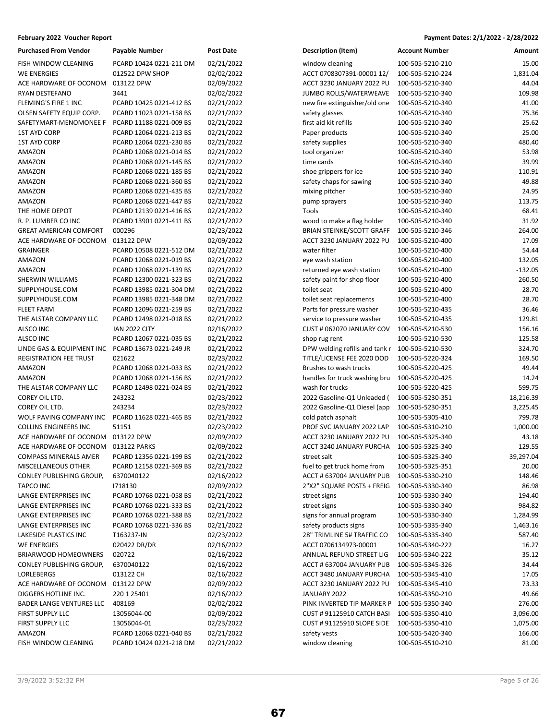| <b>Purchased From Vendor</b>  | Payable Number          | Post Date  |
|-------------------------------|-------------------------|------------|
| FISH WINDOW CLEANING          | PCARD 10424 0221-211 DM | 02/21/2022 |
| <b>WE ENERGIES</b>            | 012522 DPW SHOP         | 02/02/2022 |
| ACE HARDWARE OF OCONOM        | 013122 DPW              | 02/09/2022 |
| RYAN DESTEFANO                | 3441                    | 02/02/2022 |
| <b>FLEMING'S FIRE 1 INC</b>   | PCARD 10425 0221-412 BS | 02/21/2022 |
| OLSEN SAFETY EQUIP CORP.      | PCARD 11023 0221-158 BS | 02/21/2022 |
| SAFETYMART-MENOMONEE F        | PCARD 11188 0221-009 BS | 02/21/2022 |
| 1ST AYD CORP                  | PCARD 12064 0221-213 BS | 02/21/2022 |
| 1ST AYD CORP                  | PCARD 12064 0221-230 BS | 02/21/2022 |
| AMAZON                        | PCARD 12068 0221-014 BS | 02/21/2022 |
| AMAZON                        | PCARD 12068 0221-145 BS | 02/21/2022 |
| AMAZON                        | PCARD 12068 0221-185 BS | 02/21/2022 |
| AMAZON                        | PCARD 12068 0221-360 BS | 02/21/2022 |
| AMAZON                        | PCARD 12068 0221-435 BS | 02/21/2022 |
| AMAZON                        | PCARD 12068 0221-447 BS | 02/21/2022 |
| THE HOME DEPOT                | PCARD 12139 0221-416 BS | 02/21/2022 |
| R. P. LUMBER CO INC           | PCARD 13901 0221-411 BS | 02/21/2022 |
| <b>GREAT AMERICAN COMFORT</b> | 000296                  | 02/23/2022 |
| ACE HARDWARE OF OCONOM        | 013122 DPW              | 02/09/2022 |
| <b>GRAINGER</b>               | PCARD 10508 0221-512 DM | 02/21/2022 |
| AMAZON                        | PCARD 12068 0221-019 BS | 02/21/2022 |
| <b>AMAZON</b>                 | PCARD 12068 0221-139 BS | 02/21/2022 |
| SHERWIN WILLIAMS              | PCARD 12300 0221-323 BS | 02/21/2022 |
| SUPPLYHOUSE.COM               | PCARD 13985 0221-304 DM | 02/21/2022 |
| SUPPLYHOUSE.COM               | PCARD 13985 0221-348 DM | 02/21/2022 |
| FLEET FARM                    | PCARD 12096 0221-259 BS | 02/21/2022 |
| THE ALSTAR COMPANY LLC        | PCARD 12498 0221-018 BS | 02/21/2022 |
| ALSCO INC                     | JAN 2022 CITY           | 02/16/2022 |
| ALSCO INC                     | PCARD 12067 0221-035 BS | 02/21/2022 |
| LINDE GAS & EQUIPMENT INC     | PCARD 13673 0221-249 JR | 02/21/2022 |
| <b>REGISTRATION FEE TRUST</b> | 021622                  | 02/23/2022 |
| AMAZON                        | PCARD 12068 0221-033 BS | 02/21/2022 |
| AMAZON                        | PCARD 12068 0221-156 BS | 02/21/2022 |
| THE ALSTAR COMPANY LLC        | PCARD 12498 0221-024 BS | 02/21/2022 |
| COREY OIL LTD.                | 243232                  | 02/23/2022 |
| COREY OIL LTD.                | 243234                  | 02/23/2022 |
| WOLF PAVING COMPANY INC       | PCARD 11628 0221-465 BS | 02/21/2022 |
| <b>COLLINS ENGINEERS INC</b>  | 51151                   | 02/23/2022 |
| ACE HARDWARE OF OCONOM        | 013122 DPW              | 02/09/2022 |
| ACE HARDWARE OF OCONOM        | 013122 PARKS            | 02/09/2022 |
| COMPASS MINERALS AMER         | PCARD 12356 0221-199 BS | 02/21/2022 |
| MISCELLANEOUS OTHER           | PCARD 12158 0221-369 BS | 02/21/2022 |
| CONLEY PUBLISHING GROUP,      | 6370040122              | 02/16/2022 |
| TAPCO INC                     | 1718130                 | 02/09/2022 |
| LANGE ENTERPRISES INC         | PCARD 10768 0221-058 BS | 02/21/2022 |
| LANGE ENTERPRISES INC         | PCARD 10768 0221-333 BS | 02/21/2022 |
| <b>LANGE ENTERPRISES INC</b>  | PCARD 10768 0221-388 BS | 02/21/2022 |
| LANGE ENTERPRISES INC         | PCARD 10768 0221-336 BS | 02/21/2022 |
| LAKESIDE PLASTICS INC         | T163237-IN              | 02/23/2022 |
| WE ENERGIES                   | 020422 DR/DR            | 02/16/2022 |
| BRIARWOOD HOMEOWNERS          | 020722                  | 02/16/2022 |
| CONLEY PUBLISHING GROUP,      | 6370040122              | 02/16/2022 |
| LORLEBERGS                    | 013122 CH               | 02/16/2022 |
| ACE HARDWARE OF OCONOM        | 013122 DPW              | 02/09/2022 |
| DIGGERS HOTLINE INC.          | 220 1 25401             | 02/16/2022 |
| BADER LANGE VENTURES LLC      | 408169                  | 02/02/2022 |
| FIRST SUPPLY LLC              | 13056044-00             | 02/09/2022 |
| FIRST SUPPLY LLC              | 13056044-01             | 02/23/2022 |
| AMAZON                        | PCARD 12068 0221-040 BS | 02/21/2022 |
| FISH WINDOW CLEANING          | PCARD 10424 0221-218 DM | 02/21/2022 |
|                               |                         |            |

| <b>Purchased From Vendor</b>    | <b>Payable Number</b>   | Post Date  | <b>Description (Item)</b>         | <b>Account Number</b> | Amount    |
|---------------------------------|-------------------------|------------|-----------------------------------|-----------------------|-----------|
| FISH WINDOW CLEANING            | PCARD 10424 0221-211 DM | 02/21/2022 | window cleaning                   | 100-505-5210-210      | 15.00     |
| WE ENERGIES                     | 012522 DPW SHOP         | 02/02/2022 | ACCT 0708307391-00001 12/         | 100-505-5210-224      | 1,831.04  |
| ACE HARDWARE OF OCONOM          | 013122 DPW              | 02/09/2022 | ACCT 3230 JANUARY 2022 PU         | 100-505-5210-340      | 44.04     |
| RYAN DESTEFANO                  | 3441                    | 02/02/2022 | JUMBO ROLLS/WATERWEAVE            | 100-505-5210-340      | 109.98    |
| FLEMING'S FIRE 1 INC            | PCARD 10425 0221-412 BS | 02/21/2022 | new fire extinguisher/old one     | 100-505-5210-340      | 41.00     |
| OLSEN SAFETY EQUIP CORP.        | PCARD 11023 0221-158 BS | 02/21/2022 | safety glasses                    | 100-505-5210-340      | 75.36     |
| SAFETYMART-MENOMONEE F          | PCARD 11188 0221-009 BS | 02/21/2022 | first aid kit refills             | 100-505-5210-340      | 25.62     |
| <b>1ST AYD CORP</b>             | PCARD 12064 0221-213 BS | 02/21/2022 | Paper products                    | 100-505-5210-340      | 25.00     |
| <b>1ST AYD CORP</b>             | PCARD 12064 0221-230 BS | 02/21/2022 | safety supplies                   | 100-505-5210-340      | 480.40    |
| AMAZON                          | PCARD 12068 0221-014 BS | 02/21/2022 | tool organizer                    | 100-505-5210-340      | 53.98     |
| AMAZON                          | PCARD 12068 0221-145 BS | 02/21/2022 | time cards                        | 100-505-5210-340      | 39.99     |
| AMAZON                          | PCARD 12068 0221-185 BS | 02/21/2022 | shoe grippers for ice             | 100-505-5210-340      | 110.91    |
| AMAZON                          | PCARD 12068 0221-360 BS | 02/21/2022 | safety chaps for sawing           | 100-505-5210-340      | 49.88     |
| AMAZON                          | PCARD 12068 0221-435 BS | 02/21/2022 | mixing pitcher                    | 100-505-5210-340      | 24.95     |
| AMAZON                          | PCARD 12068 0221-447 BS | 02/21/2022 | pump sprayers                     | 100-505-5210-340      | 113.75    |
| THE HOME DEPOT                  | PCARD 12139 0221-416 BS | 02/21/2022 | Tools                             | 100-505-5210-340      | 68.41     |
| R. P. LUMBER CO INC             | PCARD 13901 0221-411 BS | 02/21/2022 | wood to make a flag holder        | 100-505-5210-340      | 31.92     |
| <b>GREAT AMERICAN COMFORT</b>   | 000296                  | 02/23/2022 | <b>BRIAN STEINKE/SCOTT GRAFF</b>  | 100-505-5210-346      | 264.00    |
| ACE HARDWARE OF OCONOM          | 013122 DPW              | 02/09/2022 | ACCT 3230 JANUARY 2022 PU         | 100-505-5210-400      | 17.09     |
| GRAINGER                        | PCARD 10508 0221-512 DM | 02/21/2022 | water filter                      | 100-505-5210-400      | 54.44     |
| AMAZON                          | PCARD 12068 0221-019 BS | 02/21/2022 | eye wash station                  | 100-505-5210-400      | 132.05    |
| <b>AMAZON</b>                   | PCARD 12068 0221-139 BS | 02/21/2022 | returned eye wash station         | 100-505-5210-400      | $-132.05$ |
| SHERWIN WILLIAMS                | PCARD 12300 0221-323 BS | 02/21/2022 | safety paint for shop floor       | 100-505-5210-400      | 260.50    |
| SUPPLYHOUSE.COM                 | PCARD 13985 0221-304 DM | 02/21/2022 | toilet seat                       | 100-505-5210-400      | 28.70     |
| SUPPLYHOUSE.COM                 | PCARD 13985 0221-348 DM | 02/21/2022 | toilet seat replacements          | 100-505-5210-400      | 28.70     |
| <b>FLEET FARM</b>               | PCARD 12096 0221-259 BS | 02/21/2022 | Parts for pressure washer         | 100-505-5210-435      | 36.46     |
| THE ALSTAR COMPANY LLC          | PCARD 12498 0221-018 BS | 02/21/2022 | service to pressure washer        | 100-505-5210-435      | 129.81    |
| ALSCO INC                       | <b>JAN 2022 CITY</b>    | 02/16/2022 | CUST # 062070 JANUARY COV         | 100-505-5210-530      | 156.16    |
| ALSCO INC                       | PCARD 12067 0221-035 BS | 02/21/2022 | shop rug rent                     | 100-505-5210-530      | 125.58    |
| LINDE GAS & EQUIPMENT INC       | PCARD 13673 0221-249 JR | 02/21/2022 | DPW welding refills and tank r    | 100-505-5210-530      | 324.70    |
| REGISTRATION FEE TRUST          | 021622                  | 02/23/2022 | TITLE/LICENSE FEE 2020 DOD        | 100-505-5220-324      | 169.50    |
| AMAZON                          | PCARD 12068 0221-033 BS | 02/21/2022 | Brushes to wash trucks            | 100-505-5220-425      | 49.44     |
| AMAZON                          | PCARD 12068 0221-156 BS | 02/21/2022 | handles for truck washing bru     | 100-505-5220-425      | 14.24     |
| THE ALSTAR COMPANY LLC          | PCARD 12498 0221-024 BS | 02/21/2022 | wash for trucks                   | 100-505-5220-425      | 599.75    |
| COREY OIL LTD.                  | 243232                  | 02/23/2022 | 2022 Gasoline-Q1 Unleaded (       | 100-505-5230-351      | 18,216.39 |
| COREY OIL LTD.                  | 243234                  | 02/23/2022 | 2022 Gasoline-Q1 Diesel (app      | 100-505-5230-351      | 3,225.45  |
| WOLF PAVING COMPANY INC         | PCARD 11628 0221-465 BS | 02/21/2022 | cold patch asphalt                | 100-505-5305-410      | 799.78    |
| COLLINS ENGINEERS INC           | 51151                   | 02/23/2022 | PROF SVC JANUARY 2022 LAP         | 100-505-5310-210      | 1,000.00  |
| ACE HARDWARE OF OCONOM          | 013122 DPW              | 02/09/2022 | ACCT 3230 JANUARY 2022 PU         | 100-505-5325-340      | 43.18     |
| ACE HARDWARE OF OCONOM          | 013122 PARKS            | 02/09/2022 | ACCT 3240 JANUARY PURCHA          | 100-505-5325-340      | 129.55    |
| COMPASS MINERALS AMER           | PCARD 12356 0221-199 BS | 02/21/2022 | street salt                       | 100-505-5325-340      | 39,297.04 |
| MISCELLANEOUS OTHER             | PCARD 12158 0221-369 BS | 02/21/2022 | fuel to get truck home from       | 100-505-5325-351      | 20.00     |
| CONLEY PUBLISHING GROUP,        | 6370040122              | 02/16/2022 | ACCT # 637004 JANUARY PUB         | 100-505-5330-210      | 148.46    |
| TAPCO INC                       | 1718130                 | 02/09/2022 | 2"X2" SQUARE POSTS + FREIG        | 100-505-5330-340      | 86.98     |
| LANGE ENTERPRISES INC           | PCARD 10768 0221-058 BS | 02/21/2022 | street signs                      | 100-505-5330-340      | 194.40    |
| LANGE ENTERPRISES INC           | PCARD 10768 0221-333 BS | 02/21/2022 | street signs                      | 100-505-5330-340      | 984.82    |
| LANGE ENTERPRISES INC           | PCARD 10768 0221-388 BS | 02/21/2022 | signs for annual program          | 100-505-5330-340      | 1,284.99  |
| LANGE ENTERPRISES INC           | PCARD 10768 0221-336 BS | 02/21/2022 | safety products signs             | 100-505-5335-340      | 1,463.16  |
| LAKESIDE PLASTICS INC           | T163237-IN              | 02/23/2022 | 28" TRIMLINE 5# TRAFFIC CO        | 100-505-5335-340      | 587.40    |
| WE ENERGIES                     | 020422 DR/DR            | 02/16/2022 | ACCT 0706134973-00001             | 100-505-5340-222      | 16.27     |
| <b>BRIARWOOD HOMEOWNERS</b>     | 020722                  | 02/16/2022 | ANNUAL REFUND STREET LIG          | 100-505-5340-222      | 35.12     |
| CONLEY PUBLISHING GROUP,        | 6370040122              | 02/16/2022 | ACCT # 637004 JANUARY PUB         | 100-505-5345-326      | 34.44     |
| LORLEBERGS                      | 013122 CH               | 02/16/2022 | ACCT 3480 JANUARY PURCHA          | 100-505-5345-410      | 17.05     |
| ACE HARDWARE OF OCONOM          | 013122 DPW              | 02/09/2022 | ACCT 3230 JANUARY 2022 PU         | 100-505-5345-410      | 73.33     |
| DIGGERS HOTLINE INC.            | 220 1 25401             | 02/16/2022 | JANUARY 2022                      | 100-505-5350-210      | 49.66     |
| <b>BADER LANGE VENTURES LLC</b> | 408169                  | 02/02/2022 | PINK INVERTED TIP MARKER P        | 100-505-5350-340      | 276.00    |
| FIRST SUPPLY LLC                | 13056044-00             | 02/09/2022 | CUST # 91125910 CATCH BASI        | 100-505-5350-410      | 3,096.00  |
| FIRST SUPPLY LLC                | 13056044-01             | 02/23/2022 | <b>CUST # 91125910 SLOPE SIDE</b> | 100-505-5350-410      | 1,075.00  |
| AMAZON                          | PCARD 12068 0221-040 BS | 02/21/2022 | safety vests                      | 100-505-5420-340      | 166.00    |
| FISH WINDOW CLEANING            | PCARD 10424 0221-218 DM | 02/21/2022 | window cleaning                   | 100-505-5510-210      | 81.00     |
|                                 |                         |            |                                   |                       |           |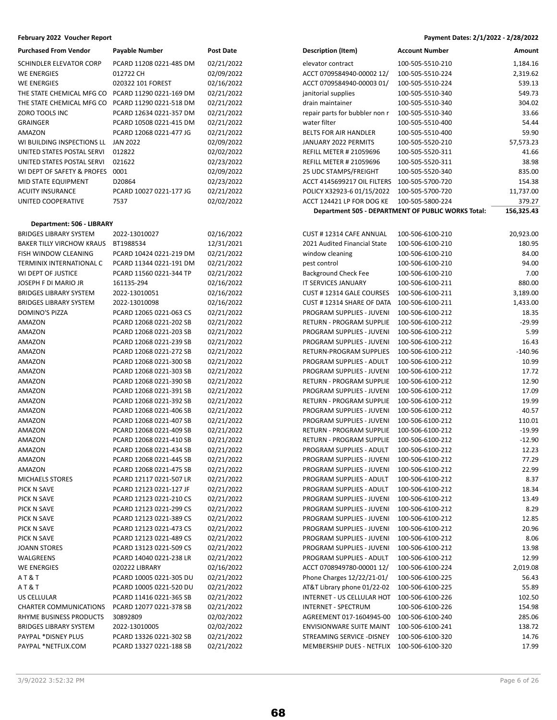| <b>Purchased From Vendor</b>                                      | Payable Number                                     | <b>Post Date</b>         |
|-------------------------------------------------------------------|----------------------------------------------------|--------------------------|
| SCHINDLER ELEVATOR CORP                                           | PCARD 11208 0221-485 DM                            | 02/21/2022               |
| <b>WE ENERGIES</b>                                                | 012722 CH                                          | 02/09/2022               |
| <b>WE ENERGIES</b>                                                | 020322 101 FOREST                                  | 02/16/2022               |
| THE STATE CHEMICAL MFG CO                                         | PCARD 11290 0221-169 DM                            | 02/21/2022               |
| THE STATE CHEMICAL MFG CO                                         | PCARD 11290 0221-518 DM                            | 02/21/2022               |
| ZORO TOOLS INC                                                    | PCARD 12634 0221-357 DM                            | 02/21/2022               |
| <b>GRAINGER</b>                                                   | PCARD 10508 0221-415 DM                            | 02/21/2022               |
| AMAZON                                                            | PCARD 12068 0221-477 JG                            | 02/21/2022               |
| WI BUILDING INSPECTIONS LL                                        | <b>JAN 2022</b>                                    | 02/09/2022               |
| UNITED STATES POSTAL SERVI                                        | 012822                                             | 02/02/2022               |
| UNITED STATES POSTAL SERVI                                        | 021622                                             | 02/23/2022               |
| WI DEPT OF SAFETY & PROFES                                        | 0001                                               | 02/09/2022               |
| MID STATE EQUIPMENT                                               | D20864                                             | 02/23/2022               |
| <b>ACUITY INSURANCE</b>                                           | PCARD 10027 0221-177 JG                            | 02/21/2022               |
| UNITED COOPERATIVE                                                | 7537                                               | 02/02/2022               |
|                                                                   |                                                    |                          |
| Department: 506 - LIBRARY                                         |                                                    |                          |
| <b>BRIDGES LIBRARY SYSTEM</b><br><b>BAKER TILLY VIRCHOW KRAUS</b> | 2022-13010027                                      | 02/16/2022               |
| <b>FISH WINDOW CLEANING</b>                                       | BT1988534                                          | 12/31/2021               |
|                                                                   | PCARD 10424 0221-219 DM                            | 02/21/2022               |
| TERMINIX INTERNATIONAL C<br>WI DEPT OF JUSTICE                    | PCARD 11344 0221-191 DM<br>PCARD 11560 0221-344 TP | 02/21/2022<br>02/21/2022 |
| JOSEPH F DI MARIO JR                                              | 161135-294                                         | 02/16/2022               |
| <b>BRIDGES LIBRARY SYSTEM</b>                                     | 2022-13010051                                      | 02/16/2022               |
| <b>BRIDGES LIBRARY SYSTEM</b>                                     | 2022-13010098                                      | 02/16/2022               |
| <b>DOMINO'S PIZZA</b>                                             | PCARD 12065 0221-063 CS                            | 02/21/2022               |
| AMAZON                                                            | PCARD 12068 0221-202 SB                            | 02/21/2022               |
| AMAZON                                                            | PCARD 12068 0221-203 SB                            | 02/21/2022               |
| <b>AMAZON</b>                                                     | PCARD 12068 0221-239 SB                            | 02/21/2022               |
| <b>AMAZON</b>                                                     | PCARD 12068 0221-272 SB                            | 02/21/2022               |
| <b>AMAZON</b>                                                     | PCARD 12068 0221-300 SB                            | 02/21/2022               |
| AMAZON                                                            | PCARD 12068 0221-303 SB                            | 02/21/2022               |
| AMAZON                                                            | PCARD 12068 0221-390 SB                            | 02/21/2022               |
| AMAZON                                                            | PCARD 12068 0221-391 SB                            | 02/21/2022               |
| AMAZON                                                            | PCARD 12068 0221-392 SB                            | 02/21/2022               |
| AMAZON                                                            | PCARD 12068 0221-406 SB                            | 02/21/2022               |
| AMAZON                                                            | PCARD 12068 0221-407 SB                            | 02/21/2022               |
| AMAZON                                                            | PCARD 12068 0221-409 SB                            | 02/21/2022               |
| <b>AMAZON</b>                                                     | PCARD 12068 0221-410 SB                            | 02/21/2022               |
| <b>AMAZON</b>                                                     | PCARD 12068 0221-434 SB                            | 02/21/2022               |
| AMAZON                                                            | PCARD 12068 0221-445 SB                            | 02/21/2022               |
| AMAZON                                                            | PCARD 12068 0221-475 SB                            | 02/21/2022               |
| <b>MICHAELS STORES</b>                                            | PCARD 12117 0221-507 LR                            | 02/21/2022               |
| PICK N SAVE                                                       | PCARD 12123 0221-127 JF                            | 02/21/2022               |
| PICK N SAVE                                                       | PCARD 12123 0221-210 CS                            | 02/21/2022               |
| PICK N SAVE                                                       | PCARD 12123 0221-299 CS                            | 02/21/2022               |
| PICK N SAVE                                                       | PCARD 12123 0221-389 CS                            | 02/21/2022               |
| PICK N SAVE                                                       | PCARD 12123 0221-473 CS                            | 02/21/2022               |
| PICK N SAVE                                                       | PCARD 12123 0221-489 CS                            | 02/21/2022               |
| <b>JOANN STORES</b>                                               | PCARD 13123 0221-509 CS                            | 02/21/2022               |
| WALGREENS                                                         | PCARD 14040 0221-238 LR                            | 02/21/2022               |
| <b>WE ENERGIES</b>                                                | 020222 LIBRARY                                     | 02/16/2022               |
| AT&T                                                              | PCARD 10005 0221-305 DU                            | 02/21/2022               |
| AT&T                                                              | PCARD 10005 0221-520 DU                            | 02/21/2022               |
| US CELLULAR                                                       | PCARD 11416 0221-365 SB                            | 02/21/2022               |
| <b>CHARTER COMMUNICATIONS</b>                                     | PCARD 12077 0221-378 SB                            | 02/21/2022               |
| RHYME BUSINESS PRODUCTS                                           | 30892809                                           | 02/02/2022               |
| <b>BRIDGES LIBRARY SYSTEM</b>                                     | 2022-13010005                                      | 02/02/2022               |
| PAYPAL *DISNEY PLUS                                               | PCARD 13326 0221-302 SB                            | 02/21/2022               |
| PAYPAL *NETFLIX.COM                                               | PCARD 13327 0221-188 SB                            | 02/21/2022               |

| Purchased From Vendor      | <b>Payable Number</b>   | Post Date  | <b>Description (Item)</b>      | <b>Account Number</b>                              | Amount     |
|----------------------------|-------------------------|------------|--------------------------------|----------------------------------------------------|------------|
| SCHINDLER ELEVATOR CORP    | PCARD 11208 0221-485 DM | 02/21/2022 | elevator contract              | 100-505-5510-210                                   | 1,184.16   |
| WE ENERGIES                | 012722 CH               | 02/09/2022 | ACCT 0709584940-00002 12/      | 100-505-5510-224                                   | 2,319.62   |
| <b>WE ENERGIES</b>         | 020322 101 FOREST       | 02/16/2022 | ACCT 0709584940-00003 01/      | 100-505-5510-224                                   | 539.13     |
| THE STATE CHEMICAL MFG CO  | PCARD 11290 0221-169 DM | 02/21/2022 | janitorial supplies            | 100-505-5510-340                                   | 549.73     |
| THE STATE CHEMICAL MFG CO  | PCARD 11290 0221-518 DM | 02/21/2022 | drain maintainer               | 100-505-5510-340                                   | 304.02     |
| ZORO TOOLS INC             | PCARD 12634 0221-357 DM | 02/21/2022 | repair parts for bubbler non r | 100-505-5510-340                                   | 33.66      |
| GRAINGER                   | PCARD 10508 0221-415 DM | 02/21/2022 | water filter                   | 100-505-5510-400                                   | 54.44      |
| AMAZON                     | PCARD 12068 0221-477 JG | 02/21/2022 | <b>BELTS FOR AIR HANDLER</b>   | 100-505-5510-400                                   | 59.90      |
| WI BUILDING INSPECTIONS LL | <b>JAN 2022</b>         | 02/09/2022 | JANUARY 2022 PERMITS           | 100-505-5520-210                                   | 57,573.23  |
| UNITED STATES POSTAL SERVI | 012822                  | 02/02/2022 | <b>REFILL METER # 21059696</b> | 100-505-5520-311                                   | 41.66      |
| UNITED STATES POSTAL SERVI | 021622                  | 02/23/2022 | <b>REFILL METER # 21059696</b> | 100-505-5520-311                                   | 38.98      |
| WI DEPT OF SAFETY & PROFES | 0001                    | 02/09/2022 | 25 UDC STAMPS/FREIGHT          | 100-505-5520-340                                   | 835.00     |
| MID STATE EQUIPMENT        | D20864                  | 02/23/2022 | ACCT 4145699217 OIL FILTERS    | 100-505-5700-720                                   | 154.38     |
| ACUITY INSURANCE           | PCARD 10027 0221-177 JG | 02/21/2022 | POLICY X32923-6 01/15/2022     | 100-505-5700-720                                   | 11,737.00  |
| UNITED COOPERATIVE         | 7537                    | 02/02/2022 | ACCT 124421 LP FOR DOG KE      | 100-505-5800-224                                   | 379.27     |
|                            |                         |            |                                | Department 505 - DEPARTMENT OF PUBLIC WORKS Total: | 156,325.43 |

| <b>BRIDGES LIBRARY SYSTEM</b>    | 2022-13010027           | 02/16/2022 | CUST #12314 CAFE ANNUAL         | 100-506-6100-210 | 20,923.00 |
|----------------------------------|-------------------------|------------|---------------------------------|------------------|-----------|
| <b>BAKER TILLY VIRCHOW KRAUS</b> | BT1988534               | 12/31/2021 | 2021 Audited Financial State    | 100-506-6100-210 | 180.95    |
| FISH WINDOW CLEANING             | PCARD 10424 0221-219 DM | 02/21/2022 | window cleaning                 | 100-506-6100-210 | 84.00     |
| TERMINIX INTERNATIONAL C         | PCARD 11344 0221-191 DM | 02/21/2022 | pest control                    | 100-506-6100-210 | 94.00     |
| WI DEPT OF JUSTICE               | PCARD 11560 0221-344 TP | 02/21/2022 | <b>Background Check Fee</b>     | 100-506-6100-210 | 7.00      |
| JOSEPH F DI MARIO JR             | 161135-294              | 02/16/2022 | IT SERVICES JANUARY             | 100-506-6100-211 | 880.00    |
| <b>BRIDGES LIBRARY SYSTEM</b>    | 2022-13010051           | 02/16/2022 | CUST #12314 GALE COURSES        | 100-506-6100-211 | 3,189.00  |
| <b>BRIDGES LIBRARY SYSTEM</b>    | 2022-13010098           | 02/16/2022 | CUST #12314 SHARE OF DATA       | 100-506-6100-211 | 1,433.00  |
| DOMINO'S PIZZA                   | PCARD 12065 0221-063 CS | 02/21/2022 | PROGRAM SUPPLIES - JUVENI       | 100-506-6100-212 | 18.35     |
| AMAZON                           | PCARD 12068 0221-202 SB | 02/21/2022 | RETURN - PROGRAM SUPPLIE        | 100-506-6100-212 | -29.99    |
| AMAZON                           | PCARD 12068 0221-203 SB | 02/21/2022 | PROGRAM SUPPLIES - JUVENI       | 100-506-6100-212 | 5.99      |
| AMAZON                           | PCARD 12068 0221-239 SB | 02/21/2022 | PROGRAM SUPPLIES - JUVENI       | 100-506-6100-212 | 16.43     |
| AMAZON                           | PCARD 12068 0221-272 SB | 02/21/2022 | RETURN-PROGRAM SUPPLIES         | 100-506-6100-212 | $-140.96$ |
| AMAZON                           | PCARD 12068 0221-300 SB | 02/21/2022 | PROGRAM SUPPLIES - ADULT        | 100-506-6100-212 | 10.99     |
| AMAZON                           | PCARD 12068 0221-303 SB | 02/21/2022 | PROGRAM SUPPLIES - JUVENI       | 100-506-6100-212 | 17.72     |
| AMAZON                           | PCARD 12068 0221-390 SB | 02/21/2022 | RETURN - PROGRAM SUPPLIE        | 100-506-6100-212 | 12.90     |
| AMAZON                           | PCARD 12068 0221-391 SB | 02/21/2022 | PROGRAM SUPPLIES - JUVENI       | 100-506-6100-212 | 17.09     |
| AMAZON                           | PCARD 12068 0221-392 SB | 02/21/2022 | RETURN - PROGRAM SUPPLIE        | 100-506-6100-212 | 19.99     |
| AMAZON                           | PCARD 12068 0221-406 SB | 02/21/2022 | PROGRAM SUPPLIES - JUVENI       | 100-506-6100-212 | 40.57     |
| AMAZON                           | PCARD 12068 0221-407 SB | 02/21/2022 | PROGRAM SUPPLIES - JUVENI       | 100-506-6100-212 | 110.01    |
| AMAZON                           | PCARD 12068 0221-409 SB | 02/21/2022 | RETURN - PROGRAM SUPPLIE        | 100-506-6100-212 | $-19.99$  |
| AMAZON                           | PCARD 12068 0221-410 SB | 02/21/2022 | RETURN - PROGRAM SUPPLIE        | 100-506-6100-212 | $-12.90$  |
| AMAZON                           | PCARD 12068 0221-434 SB | 02/21/2022 | PROGRAM SUPPLIES - ADULT        | 100-506-6100-212 | 12.23     |
| AMAZON                           | PCARD 12068 0221-445 SB | 02/21/2022 | PROGRAM SUPPLIES - JUVENI       | 100-506-6100-212 | 77.29     |
| AMAZON                           | PCARD 12068 0221-475 SB | 02/21/2022 | PROGRAM SUPPLIES - JUVENI       | 100-506-6100-212 | 22.99     |
| <b>MICHAELS STORES</b>           | PCARD 12117 0221-507 LR | 02/21/2022 | PROGRAM SUPPLIES - ADULT        | 100-506-6100-212 | 8.37      |
| PICK N SAVE                      | PCARD 12123 0221-127 JF | 02/21/2022 | PROGRAM SUPPLIES - ADULT        | 100-506-6100-212 | 18.34     |
| PICK N SAVE                      | PCARD 12123 0221-210 CS | 02/21/2022 | PROGRAM SUPPLIES - JUVENI       | 100-506-6100-212 | 13.49     |
| PICK N SAVE                      | PCARD 12123 0221-299 CS | 02/21/2022 | PROGRAM SUPPLIES - JUVENI       | 100-506-6100-212 | 8.29      |
| PICK N SAVE                      | PCARD 12123 0221-389 CS | 02/21/2022 | PROGRAM SUPPLIES - JUVENI       | 100-506-6100-212 | 12.85     |
| PICK N SAVE                      | PCARD 12123 0221-473 CS | 02/21/2022 | PROGRAM SUPPLIES - JUVENI       | 100-506-6100-212 | 20.96     |
| PICK N SAVE                      | PCARD 12123 0221-489 CS | 02/21/2022 | PROGRAM SUPPLIES - JUVENI       | 100-506-6100-212 | 8.06      |
| <b>JOANN STORES</b>              | PCARD 13123 0221-509 CS | 02/21/2022 | PROGRAM SUPPLIES - JUVENI       | 100-506-6100-212 | 13.98     |
| WALGREENS                        | PCARD 14040 0221-238 LR | 02/21/2022 | PROGRAM SUPPLIES - ADULT        | 100-506-6100-212 | 12.99     |
| <b>WE ENERGIES</b>               | 020222 LIBRARY          | 02/16/2022 | ACCT 0708949780-00001 12/       | 100-506-6100-224 | 2,019.08  |
| A T & T                          | PCARD 10005 0221-305 DU | 02/21/2022 | Phone Charges 12/22/21-01/      | 100-506-6100-225 | 56.43     |
| A T & T                          | PCARD 10005 0221-520 DU | 02/21/2022 | AT&T Library phone 01/22-02     | 100-506-6100-225 | 55.89     |
| US CELLULAR                      | PCARD 11416 0221-365 SB | 02/21/2022 | INTERNET - US CELLULAR HOT      | 100-506-6100-226 | 102.50    |
| CHARTER COMMUNICATIONS           | PCARD 12077 0221-378 SB | 02/21/2022 | <b>INTERNET - SPECTRUM</b>      | 100-506-6100-226 | 154.98    |
| RHYME BUSINESS PRODUCTS          | 30892809                | 02/02/2022 | AGREEMENT 017-1604945-00        | 100-506-6100-240 | 285.06    |
| <b>BRIDGES LIBRARY SYSTEM</b>    | 2022-13010005           | 02/02/2022 | <b>ENVISIONWARE SUITE MAINT</b> | 100-506-6100-241 | 138.72    |
| PAYPAL *DISNEY PLUS              | PCARD 13326 0221-302 SB | 02/21/2022 | STREAMING SERVICE - DISNEY      | 100-506-6100-320 | 14.76     |
| PAYPAL *NETFLIX.COM              | PCARD 13327 0221-188 SB | 02/21/2022 | MEMBERSHIP DUES - NETFLIX       | 100-506-6100-320 | 17.99     |
|                                  |                         |            |                                 |                  |           |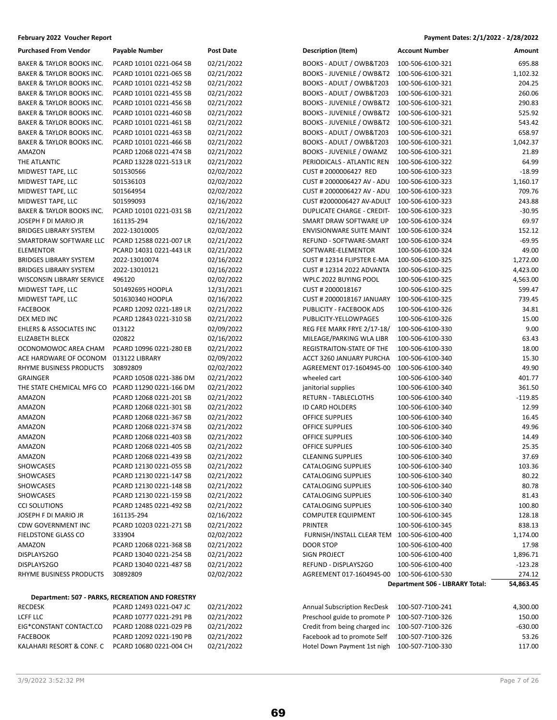| <b>Purchased From Vendor</b>         | Payable Number                                   | Post Date  |
|--------------------------------------|--------------------------------------------------|------------|
| <b>BAKER &amp; TAYLOR BOOKS INC.</b> | PCARD 10101 0221-064 SB                          | 02/21/2022 |
| <b>BAKER &amp; TAYLOR BOOKS INC.</b> | PCARD 10101 0221-065 SB                          | 02/21/2022 |
| <b>BAKER &amp; TAYLOR BOOKS INC.</b> | PCARD 10101 0221-452 SB                          | 02/21/2022 |
| <b>BAKER &amp; TAYLOR BOOKS INC.</b> | PCARD 10101 0221-455 SB                          | 02/21/2022 |
| <b>BAKER &amp; TAYLOR BOOKS INC.</b> | PCARD 10101 0221-456 SB                          | 02/21/2022 |
| <b>BAKER &amp; TAYLOR BOOKS INC.</b> | PCARD 10101 0221-460 SB                          | 02/21/2022 |
| <b>BAKER &amp; TAYLOR BOOKS INC.</b> | PCARD 10101 0221-461 SB                          | 02/21/2022 |
| <b>BAKER &amp; TAYLOR BOOKS INC.</b> | PCARD 10101 0221-463 SB                          | 02/21/2022 |
| <b>BAKER &amp; TAYLOR BOOKS INC.</b> | PCARD 10101 0221-466 SB                          | 02/21/2022 |
| AMAZON                               | PCARD 12068 0221-474 SB                          | 02/21/2022 |
| THE ATLANTIC                         | PCARD 13228 0221-513 LR                          | 02/21/2022 |
| MIDWEST TAPE, LLC                    | 501530566                                        | 02/02/2022 |
| MIDWEST TAPE, LLC                    | 501536103                                        | 02/02/2022 |
| MIDWEST TAPE, LLC                    | 501564954                                        | 02/02/2022 |
| MIDWEST TAPE, LLC                    | 501599093                                        | 02/16/2022 |
| <b>BAKER &amp; TAYLOR BOOKS INC.</b> | PCARD 10101 0221-031 SB                          | 02/21/2022 |
| JOSEPH F DI MARIO JR                 | 161135-294                                       | 02/16/2022 |
| <b>BRIDGES LIBRARY SYSTEM</b>        | 2022-13010005                                    | 02/02/2022 |
| SMARTDRAW SOFTWARE LLC               | PCARD 12588 0221-007 LR                          | 02/21/2022 |
| <b>ELEMENTOR</b>                     | PCARD 14031 0221-443 LR                          | 02/21/2022 |
| <b>BRIDGES LIBRARY SYSTEM</b>        | 2022-13010074                                    | 02/16/2022 |
| <b>BRIDGES LIBRARY SYSTEM</b>        | 2022-13010121                                    | 02/16/2022 |
| <b>WISCONSIN LIBRARY SERVICE</b>     | 496120                                           | 02/02/2022 |
| MIDWEST TAPE, LLC                    | 501492695 HOOPLA                                 | 12/31/2021 |
| MIDWEST TAPE, LLC                    | 501630340 HOOPLA                                 | 02/16/2022 |
| <b>FACEBOOK</b>                      | PCARD 12092 0221-189 LR                          | 02/21/2022 |
| DEX MED INC                          | PCARD 12843 0221-310 SB                          | 02/21/2022 |
| <b>EHLERS &amp; ASSOCIATES INC</b>   | 013122                                           | 02/09/2022 |
| <b>ELIZABETH BLECK</b>               | 020822                                           | 02/16/2022 |
| OCONOMOWOC AREA CHAM                 | PCARD 10996 0221-280 EB                          | 02/21/2022 |
| ACE HARDWARE OF OCONOM               | 013122 LIBRARY                                   | 02/09/2022 |
| RHYME BUSINESS PRODUCTS              | 30892809                                         | 02/02/2022 |
| <b>GRAINGER</b>                      | PCARD 10508 0221-386 DM                          | 02/21/2022 |
| THE STATE CHEMICAL MFG CO            | PCARD 11290 0221-166 DM                          | 02/21/2022 |
| AMAZON                               | PCARD 12068 0221-201 SB                          | 02/21/2022 |
| AMAZON                               | PCARD 12068 0221-301 SB                          | 02/21/2022 |
| AMAZON                               | PCARD 12068 0221-367 SB                          | 02/21/2022 |
| <b>AMAZON</b>                        | PCARD 12068 0221-374 SB                          | 02/21/2022 |
| AMAZON                               | PCARD 12068 0221-403 SB                          | 02/21/2022 |
| AMAZON                               | PCARD 12068 0221-405 SB                          | 02/21/2022 |
| AMAZON                               | PCARD 12068 0221-439 SB                          | 02/21/2022 |
| <b>SHOWCASES</b>                     | PCARD 12130 0221-055 SB                          | 02/21/2022 |
| <b>SHOWCASES</b>                     | PCARD 12130 0221-147 SB                          | 02/21/2022 |
| SHOWCASES                            | PCARD 12130 0221-148 SB                          | 02/21/2022 |
| SHOWCASES                            | PCARD 12130 0221-159 SB                          | 02/21/2022 |
| <b>CCI SOLUTIONS</b>                 | PCARD 12485 0221-492 SB                          | 02/21/2022 |
| JOSEPH F DI MARIO JR                 | 161135-294                                       | 02/16/2022 |
| <b>CDW GOVERNMENT INC</b>            | PCARD 10203 0221-271 SB                          | 02/21/2022 |
| <b>FIELDSTONE GLASS CO</b>           | 333904                                           | 02/02/2022 |
| AMAZON                               | PCARD 12068 0221-368 SB                          | 02/21/2022 |
| DISPLAYS2GO                          | PCARD 13040 0221-254 SB                          | 02/21/2022 |
| DISPLAYS2GO                          | PCARD 13040 0221-487 SB                          | 02/21/2022 |
| RHYME BUSINESS PRODUCTS              | 30892809                                         | 02/02/2022 |
|                                      | Department: 507 - PARKS, RECREATION AND FORESTRY |            |
| <b>RECDESK</b>                       | PCARD 12493 0221-047 JC                          | 02/21/2022 |

### **February 2022 Voucher Report Payment Dates: 2/1/2022 - 2/28/2022**

| <b>Purchased From Vendor</b>         | <b>Payable Number</b>                                                       | <b>Post Date</b> | <b>Description (Item)</b>            | <b>Account Number</b>                               | Amount              |
|--------------------------------------|-----------------------------------------------------------------------------|------------------|--------------------------------------|-----------------------------------------------------|---------------------|
| <b>BAKER &amp; TAYLOR BOOKS INC.</b> | PCARD 10101 0221-064 SB                                                     | 02/21/2022       | BOOKS - ADULT / OWB&T203             | 100-506-6100-321                                    | 695.88              |
| BAKER & TAYLOR BOOKS INC.            | PCARD 10101 0221-065 SB                                                     | 02/21/2022       | <b>BOOKS - JUVENILE / OWB&amp;T2</b> | 100-506-6100-321                                    | 1,102.32            |
| <b>BAKER &amp; TAYLOR BOOKS INC.</b> | PCARD 10101 0221-452 SB                                                     | 02/21/2022       | BOOKS - ADULT / OWB&T203             | 100-506-6100-321                                    | 204.25              |
| BAKER & TAYLOR BOOKS INC.            | PCARD 10101 0221-455 SB                                                     | 02/21/2022       | BOOKS - ADULT / OWB&T203             | 100-506-6100-321                                    | 260.06              |
| BAKER & TAYLOR BOOKS INC.            | PCARD 10101 0221-456 SB                                                     | 02/21/2022       | <b>BOOKS - JUVENILE / OWB&amp;T2</b> | 100-506-6100-321                                    | 290.83              |
| BAKER & TAYLOR BOOKS INC.            | PCARD 10101 0221-460 SB                                                     | 02/21/2022       | <b>BOOKS - JUVENILE / OWB&amp;T2</b> | 100-506-6100-321                                    | 525.92              |
| <b>BAKER &amp; TAYLOR BOOKS INC.</b> | PCARD 10101 0221-461 SB                                                     | 02/21/2022       | <b>BOOKS - JUVENILE / OWB&amp;T2</b> | 100-506-6100-321                                    | 543.42              |
| <b>BAKER &amp; TAYLOR BOOKS INC.</b> | PCARD 10101 0221-463 SB                                                     | 02/21/2022       | BOOKS - ADULT / OWB&T203             | 100-506-6100-321                                    | 658.97              |
| <b>BAKER &amp; TAYLOR BOOKS INC.</b> | PCARD 10101 0221-466 SB                                                     | 02/21/2022       | BOOKS - ADULT / OWB&T203             | 100-506-6100-321                                    | 1,042.37            |
| AMAZON                               | PCARD 12068 0221-474 SB                                                     | 02/21/2022       | <b>BOOKS - JUVENILE / OWAMZ</b>      | 100-506-6100-321                                    | 21.89               |
| THE ATLANTIC                         | PCARD 13228 0221-513 LR                                                     | 02/21/2022       | PERIODICALS - ATLANTIC REN           | 100-506-6100-322                                    | 64.99               |
| MIDWEST TAPE, LLC                    | 501530566                                                                   | 02/02/2022       | CUST # 2000006427 RED                | 100-506-6100-323                                    | $-18.99$            |
| MIDWEST TAPE, LLC                    | 501536103                                                                   | 02/02/2022       | CUST # 2000006427 AV - ADU           | 100-506-6100-323                                    | 1,160.17            |
| MIDWEST TAPE, LLC                    |                                                                             | 02/02/2022       | CUST # 2000006427 AV - ADU           | 100-506-6100-323                                    | 709.76              |
|                                      | 501564954                                                                   |                  |                                      |                                                     |                     |
| MIDWEST TAPE, LLC                    | 501599093                                                                   | 02/16/2022       | CUST #2000006427 AV-ADULT            | 100-506-6100-323                                    | 243.88              |
| BAKER & TAYLOR BOOKS INC.            | PCARD 10101 0221-031 SB                                                     | 02/21/2022       | <b>DUPLICATE CHARGE - CREDIT-</b>    | 100-506-6100-323                                    | $-30.95$            |
| JOSEPH F DI MARIO JR                 | 161135-294                                                                  | 02/16/2022       | SMART DRAW SOFTWARE UP               | 100-506-6100-324                                    | 69.97               |
| <b>BRIDGES LIBRARY SYSTEM</b>        | 2022-13010005                                                               | 02/02/2022       | <b>ENVISIONWARE SUITE MAINT</b>      | 100-506-6100-324                                    | 152.12              |
| SMARTDRAW SOFTWARE LLC               | PCARD 12588 0221-007 LR                                                     | 02/21/2022       | REFUND - SOFTWARE-SMART              | 100-506-6100-324                                    | $-69.95$            |
| <b>ELEMENTOR</b>                     | PCARD 14031 0221-443 LR                                                     | 02/21/2022       | SOFTWARE-ELEMENTOR                   | 100-506-6100-324                                    | 49.00               |
| <b>BRIDGES LIBRARY SYSTEM</b>        | 2022-13010074                                                               | 02/16/2022       | CUST #12314 FLIPSTER E-MA            | 100-506-6100-325                                    | 1,272.00            |
| <b>BRIDGES LIBRARY SYSTEM</b>        | 2022-13010121                                                               | 02/16/2022       | <b>CUST #12314 2022 ADVANTA</b>      | 100-506-6100-325                                    | 4,423.00            |
| WISCONSIN LIBRARY SERVICE            | 496120                                                                      | 02/02/2022       | WPLC 2022 BUYING POOL                | 100-506-6100-325                                    | 4,563.00            |
| MIDWEST TAPE, LLC                    | 501492695 HOOPLA                                                            | 12/31/2021       | CUST # 2000018167                    | 100-506-6100-325                                    | 599.47              |
| MIDWEST TAPE, LLC                    | 501630340 HOOPLA                                                            | 02/16/2022       | CUST # 2000018167 JANUARY            | 100-506-6100-325                                    | 739.45              |
| <b>FACEBOOK</b>                      | PCARD 12092 0221-189 LR                                                     | 02/21/2022       | PUBLICITY - FACEBOOK ADS             | 100-506-6100-326                                    | 34.81               |
| DEX MED INC                          | PCARD 12843 0221-310 SB                                                     | 02/21/2022       | PUBLICITY-YELLOWPAGES                | 100-506-6100-326                                    | 15.00               |
| <b>EHLERS &amp; ASSOCIATES INC</b>   | 013122                                                                      | 02/09/2022       | REG FEE MARK FRYE 2/17-18/           | 100-506-6100-330                                    | 9.00                |
| <b>ELIZABETH BLECK</b>               | 020822                                                                      | 02/16/2022       | MILEAGE/PARKING WLA LIBR             | 100-506-6100-330                                    | 63.43               |
| OCONOMOWOC AREA CHAM                 | PCARD 10996 0221-280 EB                                                     | 02/21/2022       | REGISTRAITON-STATE OF THE            | 100-506-6100-330                                    | 18.00               |
| ACE HARDWARE OF OCONOM               | 013122 LIBRARY                                                              | 02/09/2022       | ACCT 3260 JANUARY PURCHA             | 100-506-6100-340                                    | 15.30               |
| RHYME BUSINESS PRODUCTS              | 30892809                                                                    | 02/02/2022       | AGREEMENT 017-1604945-00             | 100-506-6100-340                                    | 49.90               |
| <b>GRAINGER</b>                      | PCARD 10508 0221-386 DM                                                     | 02/21/2022       | wheeled cart                         | 100-506-6100-340                                    | 401.77              |
| THE STATE CHEMICAL MFG CO            | PCARD 11290 0221-166 DM                                                     | 02/21/2022       | janitorial supplies                  | 100-506-6100-340                                    | 361.50              |
| AMAZON                               | PCARD 12068 0221-201 SB                                                     | 02/21/2022       | RETURN - TABLECLOTHS                 | 100-506-6100-340                                    | $-119.85$           |
| AMAZON                               | PCARD 12068 0221-301 SB                                                     | 02/21/2022       | <b>ID CARD HOLDERS</b>               | 100-506-6100-340                                    | 12.99               |
| AMAZON                               | PCARD 12068 0221-367 SB                                                     | 02/21/2022       | OFFICE SUPPLIES                      | 100-506-6100-340                                    | 16.45               |
| AMAZON                               | PCARD 12068 0221-374 SB                                                     | 02/21/2022       | OFFICE SUPPLIES                      | 100-506-6100-340                                    | 49.96               |
| AMAZON                               | PCARD 12068 0221-403 SB                                                     | 02/21/2022       | OFFICE SUPPLIES                      | 100-506-6100-340                                    | 14.49               |
| AMAZON                               | PCARD 12068 0221-405 SB                                                     | 02/21/2022       | OFFICE SUPPLIES                      | 100-506-6100-340                                    | 25.35               |
| AMAZON                               | PCARD 12068 0221-439 SB                                                     | 02/21/2022       | <b>CLEANING SUPPLIES</b>             | 100-506-6100-340                                    | 37.69               |
| SHOWCASES                            | PCARD 12130 0221-055 SB                                                     | 02/21/2022       | <b>CATALOGING SUPPLIES</b>           | 100-506-6100-340                                    | 103.36              |
| SHOWCASES                            | PCARD 12130 0221-147 SB                                                     | 02/21/2022       | CATALOGING SUPPLIES                  | 100-506-6100-340                                    | 80.22               |
| SHOWCASES                            | PCARD 12130 0221-148 SB                                                     | 02/21/2022       | CATALOGING SUPPLIES                  | 100-506-6100-340                                    | 80.78               |
| SHOWCASES                            | PCARD 12130 0221-159 SB                                                     | 02/21/2022       | <b>CATALOGING SUPPLIES</b>           | 100-506-6100-340                                    | 81.43               |
| <b>CCI SOLUTIONS</b>                 | PCARD 12485 0221-492 SB                                                     | 02/21/2022       | CATALOGING SUPPLIES                  | 100-506-6100-340                                    | 100.80              |
| JOSEPH F DI MARIO JR                 | 161135-294                                                                  | 02/16/2022       | <b>COMPUTER EQUIPMENT</b>            | 100-506-6100-345                                    | 128.18              |
| CDW GOVERNMENT INC                   | PCARD 10203 0221-271 SB                                                     | 02/21/2022       | <b>PRINTER</b>                       | 100-506-6100-345                                    | 838.13              |
| <b>FIELDSTONE GLASS CO</b>           | 333904                                                                      | 02/02/2022       | FURNISH/INSTALL CLEAR TEM            | 100-506-6100-400                                    | 1,174.00            |
| AMAZON                               | PCARD 12068 0221-368 SB                                                     | 02/21/2022       | DOOR STOP                            | 100-506-6100-400                                    | 17.98               |
| DISPLAYS2GO                          | PCARD 13040 0221-254 SB                                                     | 02/21/2022       | SIGN PROJECT                         | 100-506-6100-400                                    | 1,896.71            |
| DISPLAYS2GO                          | PCARD 13040 0221-487 SB                                                     | 02/21/2022       | REFUND - DISPLAYS2GO                 | 100-506-6100-400                                    | $-123.28$           |
|                                      |                                                                             |                  |                                      |                                                     |                     |
| RHYME BUSINESS PRODUCTS              | 30892809                                                                    | 02/02/2022       | AGREEMENT 017-1604945-00             | 100-506-6100-530<br>Department 506 - LIBRARY Total: | 274.12<br>54,863.45 |
|                                      |                                                                             |                  |                                      |                                                     |                     |
| <b>RECDESK</b>                       | Department: 507 - PARKS, RECREATION AND FORESTRY<br>PCARD 12493 0221-047 JC | 02/21/2022       | Annual Subscription RecDesk          |                                                     |                     |
| <b>LCFF LLC</b>                      | PCARD 10777 0221-291 PB                                                     | 02/21/2022       | Preschool guide to promote P         | 100-507-7100-241<br>100-507-7100-326                | 4,300.00<br>150.00  |
|                                      |                                                                             |                  |                                      |                                                     | $-630.00$           |
| EIG*CONSTANT CONTACT.CO              | PCARD 12088 0221-029 PB                                                     | 02/21/2022       | Credit from being charged inc        | 100-507-7100-326                                    |                     |
| <b>FACEBOOK</b>                      | PCARD 12092 0221-190 PB                                                     | 02/21/2022       | Facebook ad to promote Self          | 100-507-7100-326                                    | 53.26               |

| 3/9/2022 3:52:32 PM | Page 7 of 26 |  |  |
|---------------------|--------------|--|--|
|                     |              |  |  |

69

KALAHARI RESORT & CONF. C PCARD 10680 0221-004 CH 02/21/2022 Hotel Down Payment 1st nigh 100-507-7100-330 117.00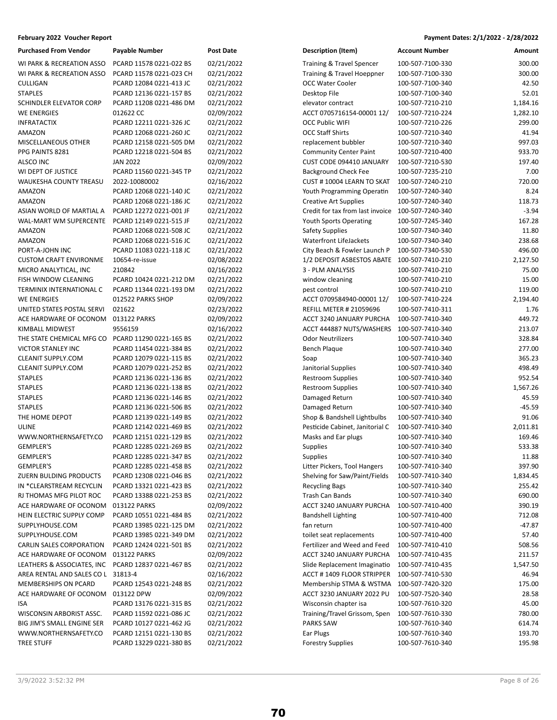| <b>Purchased From Vendor</b>     | Payable Number                                     | <b>Post Date</b>         |
|----------------------------------|----------------------------------------------------|--------------------------|
| WI PARK & RECREATION ASSO        | PCARD 11578 0221-022 BS                            | 02/21/2022               |
| WI PARK & RECREATION ASSO        | PCARD 11578 0221-023 CH                            | 02/21/2022               |
| CULLIGAN                         | PCARD 12084 0221-413 JC                            | 02/21/2022               |
| <b>STAPLES</b>                   | PCARD 12136 0221-157 BS                            | 02/21/2022               |
| SCHINDLER ELEVATOR CORP          | PCARD 11208 0221-486 DM                            | 02/21/2022               |
| WE ENERGIES                      | 012622 CC                                          | 02/09/2022               |
| INFRATACTIX                      | PCARD 12211 0221-326 JC                            | 02/21/2022               |
| AMAZON                           | PCARD 12068 0221-260 JC                            | 02/21/2022               |
| MISCELLANEOUS OTHER              | PCARD 12158 0221-505 DM                            | 02/21/2022               |
| PPG PAINTS 8281                  | PCARD 12218 0221-504 BS                            | 02/21/2022               |
| <b>ALSCO INC</b>                 | <b>JAN 2022</b>                                    | 02/09/2022               |
| WI DEPT OF JUSTICE               | PCARD 11560 0221-345 TP                            | 02/21/2022               |
| WAUKESHA COUNTY TREASU           | 2022-10080002                                      | 02/16/2022               |
| AMAZON                           | PCARD 12068 0221-140 JC                            | 02/21/2022               |
| AMAZON                           | PCARD 12068 0221-186 JC                            | 02/21/2022               |
| ASIAN WORLD OF MARTIAL A         | PCARD 12272 0221-001 JF                            | 02/21/2022               |
| WAL-MART WM SUPERCENTE           | PCARD 12149 0221-515 JF                            | 02/21/2022               |
| AMAZON                           | PCARD 12068 0221-508 JC                            | 02/21/2022               |
| AMAZON                           | PCARD 12068 0221-516 JC                            | 02/21/2022               |
| PORT-A-JOHN INC                  | PCARD 11083 0221-118 JC                            | 02/21/2022               |
| <b>CUSTOM CRAFT ENVIRONME</b>    | 10654-re-issue                                     | 02/08/2022               |
| MICRO ANALYTICAL, INC            | 210842                                             | 02/16/2022               |
| FISH WINDOW CLEANING             | PCARD 10424 0221-212 DM                            | 02/21/2022               |
| TERMINIX INTERNATIONAL C         | PCARD 11344 0221-193 DM                            | 02/21/2022               |
| <b>WE ENERGIES</b>               | 012522 PARKS SHOP                                  | 02/09/2022               |
| UNITED STATES POSTAL SERVI       | 021622                                             | 02/23/2022               |
| ACE HARDWARE OF OCONOM           | 013122 PARKS                                       | 02/09/2022               |
| KIMBALL MIDWEST                  | 9556159                                            | 02/16/2022               |
| THE STATE CHEMICAL MFG CO        | PCARD 11290 0221-165 BS                            | 02/21/2022               |
| VICTOR STANLEY INC               | PCARD 11454 0221-384 BS                            | 02/21/2022               |
| <b>CLEANIT SUPPLY.COM</b>        | PCARD 12079 0221-115 BS                            | 02/21/2022               |
| <b>CLEANIT SUPPLY.COM</b>        | PCARD 12079 0221-252 BS                            | 02/21/2022               |
| <b>STAPLES</b>                   | PCARD 12136 0221-136 BS                            | 02/21/2022               |
| STAPLES                          | PCARD 12136 0221-138 BS                            | 02/21/2022               |
| <b>STAPLES</b>                   | PCARD 12136 0221-146 BS                            | 02/21/2022               |
| <b>STAPLES</b><br>THE HOME DEPOT | PCARD 12136 0221-506 BS<br>PCARD 12139 0221-149 BS | 02/21/2022<br>02/21/2022 |
| ULINE                            | PCARD 12142 0221-469 BS                            | 02/21/2022               |
| WWW.NORTHERNSAFETY.CO            | PCARD 12151 0221-129 BS                            | 02/21/2022               |
| <b>GEMPLER'S</b>                 | PCARD 12285 0221-269 BS                            | 02/21/2022               |
| GEMPLER'S                        | PCARD 12285 0221-347 BS                            | 02/21/2022               |
| <b>GEMPLER'S</b>                 | PCARD 12285 0221-458 BS                            | 02/21/2022               |
| ZUERN BULDING PRODUCTS           | PCARD 12308 0221-046 BS                            | 02/21/2022               |
| IN *CLEARSTREAM RECYCLIN         | PCARD 13321 0221-423 BS                            | 02/21/2022               |
| RJ THOMAS MFG PILOT ROC          | PCARD 13388 0221-253 BS                            | 02/21/2022               |
| ACE HARDWARE OF OCONOM           | 013122 PARKS                                       | 02/09/2022               |
| HEIN ELECTRIC SUPPLY COMP        | PCARD 10551 0221-484 BS                            | 02/21/2022               |
| SUPPLYHOUSE.COM                  | PCARD 13985 0221-125 DM                            | 02/21/2022               |
| SUPPLYHOUSE.COM                  | PCARD 13985 0221-349 DM                            | 02/21/2022               |
| CARLIN SALES CORPORATION         | PCARD 12424 0221-501 BS                            | 02/21/2022               |
| ACE HARDWARE OF OCONOM           | 013122 PARKS                                       | 02/09/2022               |
| LEATHERS & ASSOCIATES, INC       | PCARD 12837 0221-467 BS                            | 02/21/2022               |
| AREA RENTAL AND SALES CO L       | 31813-4                                            | 02/16/2022               |
| <b>MEMBERSHIPS ON PCARD</b>      | PCARD 12543 0221-248 BS                            | 02/21/2022               |
| ACE HARDWARE OF OCONOM           | 013122 DPW                                         | 02/09/2022               |
| ISA                              | PCARD 13176 0221-315 BS                            | 02/21/2022               |
| WISCONSIN ARBORIST ASSC.         | PCARD 11592 0221-086 JC                            | 02/21/2022               |
| BIG JIM'S SMALL ENGINE SER       | PCARD 10127 0221-462 JG                            | 02/21/2022               |
| WWW.NORTHERNSAFETY.CO            | PCARD 12151 0221-130 BS                            | 02/21/2022               |
| <b>TREE STUFF</b>                | PCARD 13229 0221-380 BS                            | 02/21/2022               |
|                                  |                                                    |                          |

| <b>Purchased From Vendor</b>                      | Payable Number          | <b>Post Date</b> | <b>Description (Item)</b>                   | <b>Account Number</b> | Amount   |
|---------------------------------------------------|-------------------------|------------------|---------------------------------------------|-----------------------|----------|
| WI PARK & RECREATION ASSO                         | PCARD 11578 0221-022 BS | 02/21/2022       | Training & Travel Spencer                   | 100-507-7100-330      | 300.00   |
| WI PARK & RECREATION ASSO                         | PCARD 11578 0221-023 CH | 02/21/2022       | Training & Travel Hoeppner                  | 100-507-7100-330      | 300.00   |
| CULLIGAN                                          | PCARD 12084 0221-413 JC | 02/21/2022       | <b>OCC Water Cooler</b>                     | 100-507-7100-340      | 42.50    |
| <b>STAPLES</b>                                    | PCARD 12136 0221-157 BS | 02/21/2022       | Desktop File                                | 100-507-7100-340      | 52.01    |
| SCHINDLER ELEVATOR CORP                           | PCARD 11208 0221-486 DM | 02/21/2022       | elevator contract                           | 100-507-7210-210      | 1,184.16 |
| WE ENERGIES                                       | 012622 CC               | 02/09/2022       | ACCT 0705716154-00001 12/                   | 100-507-7210-224      | 1,282.10 |
| INFRATACTIX                                       | PCARD 12211 0221-326 JC | 02/21/2022       | <b>OCC Public WIFI</b>                      | 100-507-7210-226      | 299.00   |
| AMAZON                                            | PCARD 12068 0221-260 JC | 02/21/2022       | <b>OCC Staff Shirts</b>                     | 100-507-7210-340      | 41.94    |
| MISCELLANEOUS OTHER                               | PCARD 12158 0221-505 DM | 02/21/2022       | replacement bubbler                         | 100-507-7210-340      | 997.03   |
| PPG PAINTS 8281                                   | PCARD 12218 0221-504 BS | 02/21/2022       | <b>Community Center Paint</b>               | 100-507-7210-400      | 933.70   |
| ALSCO INC                                         | <b>JAN 2022</b>         | 02/09/2022       | CUST CODE 094410 JANUARY                    | 100-507-7210-530      | 197.40   |
| WI DEPT OF JUSTICE                                | PCARD 11560 0221-345 TP | 02/21/2022       | <b>Background Check Fee</b>                 | 100-507-7235-210      | 7.00     |
| WAUKESHA COUNTY TREASU                            | 2022-10080002           | 02/16/2022       | CUST #10004 LEARN TO SKAT                   | 100-507-7240-210      | 720.00   |
| AMAZON                                            | PCARD 12068 0221-140 JC | 02/21/2022       | Youth Programming Operatin                  | 100-507-7240-340      | 8.24     |
| AMAZON                                            | PCARD 12068 0221-186 JC | 02/21/2022       | <b>Creative Art Supplies</b>                | 100-507-7240-340      | 118.73   |
| ASIAN WORLD OF MARTIAL A                          | PCARD 12272 0221-001 JF | 02/21/2022       | Credit for tax from last invoice            | 100-507-7240-340      | $-3.94$  |
| WAL-MART WM SUPERCENTE PCARD 12149 0221-515 JF    |                         | 02/21/2022       | <b>Youth Sports Operating</b>               | 100-507-7245-340      | 167.28   |
| AMAZON                                            | PCARD 12068 0221-508 JC | 02/21/2022       | Safety Supplies                             | 100-507-7340-340      | 11.80    |
| AMAZON                                            | PCARD 12068 0221-516 JC | 02/21/2022       | <b>Waterfront LifeJackets</b>               | 100-507-7340-340      | 238.68   |
| PORT-A-JOHN INC                                   | PCARD 11083 0221-118 JC | 02/21/2022       | City Beach & Fowler Launch P                | 100-507-7340-530      | 496.00   |
| <b>CUSTOM CRAFT ENVIRONME</b>                     | 10654-re-issue          | 02/08/2022       | 1/2 DEPOSIT ASBESTOS ABATE 100-507-7410-210 |                       | 2,127.50 |
| MICRO ANALYTICAL, INC                             | 210842                  | 02/16/2022       | 3 - PLM ANALYSIS                            | 100-507-7410-210      | 75.00    |
| FISH WINDOW CLEANING                              | PCARD 10424 0221-212 DM | 02/21/2022       | window cleaning                             | 100-507-7410-210      | 15.00    |
| TERMINIX INTERNATIONAL C                          | PCARD 11344 0221-193 DM | 02/21/2022       | pest control                                | 100-507-7410-210      | 119.00   |
| <b>WE ENERGIES</b>                                | 012522 PARKS SHOP       | 02/09/2022       | ACCT 0709584940-00001 12/                   | 100-507-7410-224      | 2,194.40 |
| UNITED STATES POSTAL SERVI                        | 021622                  | 02/23/2022       | <b>REFILL METER # 21059696</b>              | 100-507-7410-311      | 1.76     |
| ACE HARDWARE OF OCONOM                            | 013122 PARKS            | 02/09/2022       | ACCT 3240 JANUARY PURCHA                    | 100-507-7410-340      | 449.72   |
| KIMBALL MIDWEST                                   | 9556159                 | 02/16/2022       | ACCT 444887 NUTS/WASHERS                    | 100-507-7410-340      | 213.07   |
| THE STATE CHEMICAL MFG CO PCARD 11290 0221-165 BS |                         | 02/21/2022       | <b>Odor Neutrilizers</b>                    | 100-507-7410-340      | 328.84   |
| VICTOR STANLEY INC                                | PCARD 11454 0221-384 BS | 02/21/2022       | Bench Plaque                                |                       | 277.00   |
| CLEANIT SUPPLY.COM                                |                         |                  |                                             | 100-507-7410-340      | 365.23   |
|                                                   | PCARD 12079 0221-115 BS | 02/21/2022       | Soap                                        | 100-507-7410-340      |          |
| CLEANIT SUPPLY.COM                                | PCARD 12079 0221-252 BS | 02/21/2022       | Janitorial Supplies                         | 100-507-7410-340      | 498.49   |
| STAPLES<br><b>STAPLES</b>                         | PCARD 12136 0221-136 BS | 02/21/2022       | <b>Restroom Supplies</b>                    | 100-507-7410-340      | 952.54   |
|                                                   | PCARD 12136 0221-138 BS | 02/21/2022       | <b>Restroom Supplies</b>                    | 100-507-7410-340      | 1,567.26 |
| STAPLES                                           | PCARD 12136 0221-146 BS | 02/21/2022       | Damaged Return                              | 100-507-7410-340      | 45.59    |
| STAPLES                                           | PCARD 12136 0221-506 BS | 02/21/2022       | Damaged Return                              | 100-507-7410-340      | -45.59   |
| THE HOME DEPOT                                    | PCARD 12139 0221-149 BS | 02/21/2022       | Shop & Bandshell Lightbulbs                 | 100-507-7410-340      | 91.06    |
| ULINE                                             | PCARD 12142 0221-469 BS | 02/21/2022       | Pesticide Cabinet, Janitorial C             | 100-507-7410-340      | 2,011.81 |
| WWW.NORTHERNSAFETY.CO                             | PCARD 12151 0221-129 BS | 02/21/2022       | Masks and Ear plugs                         | 100-507-7410-340      | 169.46   |
| <b>GEMPLER'S</b>                                  | PCARD 12285 0221-269 BS | 02/21/2022       | <b>Supplies</b>                             | 100-507-7410-340      | 533.38   |
| GEMPLER'S                                         | PCARD 12285 0221-347 BS | 02/21/2022       | Supplies                                    | 100-507-7410-340      | 11.88    |
| <b>GEMPLER'S</b>                                  | PCARD 12285 0221-458 BS | 02/21/2022       | Litter Pickers, Tool Hangers                | 100-507-7410-340      | 397.90   |
| ZUERN BULDING PRODUCTS                            | PCARD 12308 0221-046 BS | 02/21/2022       | Shelving for Saw/Paint/Fields               | 100-507-7410-340      | 1,834.45 |
| IN *CLEARSTREAM RECYCLIN                          | PCARD 13321 0221-423 BS | 02/21/2022       | <b>Recycling Bags</b>                       | 100-507-7410-340      | 255.42   |
| RJ THOMAS MFG PILOT ROC                           | PCARD 13388 0221-253 BS | 02/21/2022       | Trash Can Bands                             | 100-507-7410-340      | 690.00   |
| ACE HARDWARE OF OCONOM                            | 013122 PARKS            | 02/09/2022       | ACCT 3240 JANUARY PURCHA                    | 100-507-7410-400      | 390.19   |
| HEIN ELECTRIC SUPPLY COMP                         | PCARD 10551 0221-484 BS | 02/21/2022       | <b>Bandshell Lighting</b>                   | 100-507-7410-400      | 712.08   |
| SUPPLYHOUSE.COM                                   | PCARD 13985 0221-125 DM | 02/21/2022       | fan return                                  | 100-507-7410-400      | -47.87   |
| SUPPLYHOUSE.COM                                   | PCARD 13985 0221-349 DM | 02/21/2022       | toilet seat replacements                    | 100-507-7410-400      | 57.40    |
| CARLIN SALES CORPORATION                          | PCARD 12424 0221-501 BS | 02/21/2022       | Fertilizer and Weed and Feed                | 100-507-7410-410      | 508.56   |
| ACE HARDWARE OF OCONOM                            | 013122 PARKS            | 02/09/2022       | ACCT 3240 JANUARY PURCHA                    | 100-507-7410-435      | 211.57   |
| LEATHERS & ASSOCIATES, INC                        | PCARD 12837 0221-467 BS | 02/21/2022       | Slide Replacement Imaginatio                | 100-507-7410-435      | 1,547.50 |
| AREA RENTAL AND SALES CO L                        | 31813-4                 | 02/16/2022       | ACCT #1409 FLOOR STRIPPER                   | 100-507-7410-530      | 46.94    |
| MEMBERSHIPS ON PCARD                              | PCARD 12543 0221-248 BS | 02/21/2022       | Membership STMA & WSTMA                     | 100-507-7420-320      | 175.00   |
| ACE HARDWARE OF OCONOM                            | 013122 DPW              | 02/09/2022       | ACCT 3230 JANUARY 2022 PU                   | 100-507-7520-340      | 28.58    |
| ISA                                               | PCARD 13176 0221-315 BS | 02/21/2022       | Wisconsin chapter isa                       | 100-507-7610-320      | 45.00    |
| WISCONSIN ARBORIST ASSC.                          | PCARD 11592 0221-086 JC | 02/21/2022       | Training/Travel Grissom, Spen               | 100-507-7610-330      | 780.00   |
| BIG JIM'S SMALL ENGINE SER                        | PCARD 10127 0221-462 JG | 02/21/2022       | PARKS SAW                                   | 100-507-7610-340      | 614.74   |
| WWW.NORTHERNSAFETY.CO                             | PCARD 12151 0221-130 BS | 02/21/2022       | Ear Plugs                                   | 100-507-7610-340      | 193.70   |
| <b>TREE STUFF</b>                                 | PCARD 13229 0221-380 BS | 02/21/2022       | <b>Forestry Supplies</b>                    | 100-507-7610-340      | 195.98   |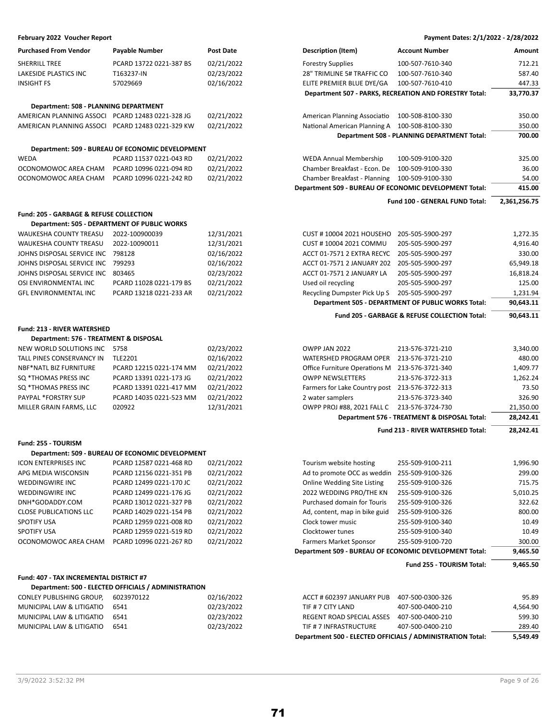| <b>Purchased From Vendor</b> | <b>Payable Number</b>   | Post Date |
|------------------------------|-------------------------|-----------|
| <b>SHERRILL TREE</b>         | PCARD 13722 0221-387 BS | 02/21/202 |
| LAKESIDE PLASTICS INC        | T163237-IN              | 02/23/202 |
| <b>INSIGHT FS</b>            | 57029669                | 02/16/202 |
|                              |                         |           |
|                              |                         |           |

### **Department: 508 - PLANNING DEPARTMENT**

| AMERICAN PLANNING ASSOCI PCARD 12483 0221-328 JG | 02/21/202 |
|--------------------------------------------------|-----------|
| AMERICAN PLANNING ASSOCI PCARD 12483 0221-329 KW | 02/21/202 |

### **Department: 509 - BUREAU OF ECONOMIC DEVELOPMENT**

| <b>WFDA</b>          | PCARD 11537 0221-043 RD | 02/21/2022 |
|----------------------|-------------------------|------------|
| OCONOMOWOC AREA CHAM | PCARD 10996 0221-094 RD | 02/21/2022 |
| OCONOMOWOC AREA CHAM | PCARD 10996 0221-242 RD | 02/21/2022 |

### **Fund: 205 - GARBAGE & REFUSE COLLECTION**

| Department: 505 - DEPARTMENT OF PUBLIC WORKS |                         |            |
|----------------------------------------------|-------------------------|------------|
| WAUKESHA COUNTY TREASU 2022-100900039        |                         | 12/31/2021 |
| WAUKESHA COUNTY TREASU 2022-10090011         |                         | 12/31/2021 |
| JOHNS DISPOSAL SERVICE INC 798128            |                         | 02/16/2022 |
| JOHNS DISPOSAL SERVICE INC 799293            |                         | 02/16/2022 |
| JOHNS DISPOSAL SERVICE INC 803465            |                         | 02/23/2022 |
| OSI ENVIRONMENTAL INC                        | PCARD 11028 0221-179 BS | 02/21/2022 |
| <b>GFL ENVIRONMENTAL INC</b>                 | PCARD 13218 0221-233 AR | 02/21/2022 |

### **Fund: 213 - RIVER WATERSHED**

### **Department: 576 - TREATMENT & DISPOSAL**

| NEW WORLD SOLUTIONS INC 5758  |                         | 02/23/2022 |
|-------------------------------|-------------------------|------------|
| TALL PINES CONSERVANCY IN     | <b>TLE2201</b>          | 02/16/2022 |
| <b>NBF*NATL BIZ FURNITURE</b> | PCARD 12215 0221-174 MM | 02/21/2022 |
| SO *THOMAS PRESS INC          | PCARD 13391 0221-173 JG | 02/21/2022 |
| SO *THOMAS PRESS INC          | PCARD 13391 0221-417 MM | 02/21/2022 |
| <b>PAYPAL *FORSTRY SUP</b>    | PCARD 14035 0221-523 MM | 02/21/2022 |
| MILLER GRAIN FARMS. LLC       | 020922                  | 12/31/2021 |

### **Fund: 255 - TOURISM**

| Department: 509 - BUREAU OF ECONOMIC DEVELOPMENT |                         |            |  |  |  |  |
|--------------------------------------------------|-------------------------|------------|--|--|--|--|
| <b>ICON ENTERPRISES INC</b>                      | PCARD 12587 0221-468 RD | 02/21/2022 |  |  |  |  |
| APG MEDIA WISCONSIN                              | PCARD 12156 0221-351 PB | 02/21/2022 |  |  |  |  |
| <b>WEDDINGWIRE INC</b>                           | PCARD 12499 0221-170 JC | 02/21/2022 |  |  |  |  |
| <b>WEDDINGWIRE INC</b>                           | PCARD 12499 0221-176 JG | 02/21/2022 |  |  |  |  |
| DNH*GODADDY.COM                                  | PCARD 13012 0221-327 PB | 02/21/2022 |  |  |  |  |
| <b>CLOSE PUBLICATIONS LLC</b>                    | PCARD 14029 0221-154 PB | 02/21/2022 |  |  |  |  |
| <b>SPOTIFY USA</b>                               | PCARD 12959 0221-008 RD | 02/21/2022 |  |  |  |  |
| <b>SPOTIFY USA</b>                               | PCARD 12959 0221-519 RD | 02/21/2022 |  |  |  |  |

# **Fund: 407 - TAX INCREMENTAL DISTRICT #7**

|                           | Department: 500 - ELECTED OFFICIALS / ADMINISTRATION |            |
|---------------------------|------------------------------------------------------|------------|
| CONLEY PUBLISHING GROUP.  | 6023970122                                           | 02/16/2022 |
| MUNICIPAL LAW & LITIGATIO | 6541                                                 | 02/23/2022 |
| MUNICIPAL LAW & LITIGATIO | 6541                                                 | 02/23/2022 |
| MUNICIPAL LAW & LITIGATIO | 6541                                                 | 02/23/2022 |

### **February 2022 Voucher Report Payment Dates: 2/1/2022 - 2/28/2022**

| <b>Purchased From Vendor</b>                     | <b>Payable Number</b>                               | <b>Post Date</b> | <b>Description (Item)</b>                              | <b>Account Number</b>                                    | Amount       |
|--------------------------------------------------|-----------------------------------------------------|------------------|--------------------------------------------------------|----------------------------------------------------------|--------------|
| <b>SHERRILL TREE</b>                             | PCARD 13722 0221-387 BS                             | 02/21/2022       | <b>Forestry Supplies</b>                               | 100-507-7610-340                                         | 712.21       |
| <b>LAKESIDE PLASTICS INC</b>                     | T163237-IN                                          | 02/23/2022       | 28" TRIMLINE 5# TRAFFIC CO                             | 100-507-7610-340                                         | 587.40       |
| <b>INSIGHT FS</b>                                | 57029669                                            | 02/16/2022       | ELITE PREMIER BLUE DYE/GA                              | 100-507-7610-410                                         | 447.33       |
|                                                  |                                                     |                  |                                                        | Department 507 - PARKS, RECREATION AND FORESTRY Total:   | 33,770.37    |
| Department: 508 - PLANNING DEPARTMENT            |                                                     |                  |                                                        |                                                          |              |
| AMERICAN PLANNING ASSOCI PCARD 12483 0221-328 JG |                                                     | 02/21/2022       | American Planning Associatio                           | 100-508-8100-330                                         | 350.00       |
| AMERICAN PLANNING ASSOCI PCARD 12483 0221-329 KW |                                                     | 02/21/2022       | National American Planning A                           | 100-508-8100-330                                         | 350.00       |
|                                                  |                                                     |                  |                                                        | Department 508 - PLANNING DEPARTMENT Total:              | 700.00       |
|                                                  | Department: 509 - BUREAU OF ECONOMIC DEVELOPMENT    |                  |                                                        |                                                          |              |
| WEDA                                             | PCARD 11537 0221-043 RD                             | 02/21/2022       | <b>WEDA Annual Membership</b>                          | 100-509-9100-320                                         | 325.00       |
| OCONOMOWOC AREA CHAM                             | PCARD 10996 0221-094 RD                             | 02/21/2022       | Chamber Breakfast - Econ. De                           | 100-509-9100-330                                         | 36.00        |
| OCONOMOWOC AREA CHAM                             | PCARD 10996 0221-242 RD                             | 02/21/2022       | Chamber Breakfast - Planning                           | 100-509-9100-330                                         | 54.00        |
|                                                  |                                                     |                  | Department 509 - BUREAU OF ECONOMIC DEVELOPMENT Total: |                                                          | 415.00       |
|                                                  |                                                     |                  |                                                        | Fund 100 - GENERAL FUND Total:                           | 2,361,256.75 |
| Fund: 205 - GARBAGE & REFUSE COLLECTION          |                                                     |                  |                                                        |                                                          |              |
|                                                  | <b>Department: 505 - DEPARTMENT OF PUBLIC WORKS</b> |                  |                                                        |                                                          |              |
| WAUKESHA COUNTY TREASU                           | 2022-100900039                                      | 12/31/2021       | <b>CUST #10004 2021 HOUSEHO</b>                        | 205-505-5900-297                                         | 1,272.35     |
| WAUKESHA COUNTY TREASU                           | 2022-10090011                                       | 12/31/2021       | CUST #10004 2021 COMMU                                 | 205-505-5900-297                                         | 4,916.40     |
| JOHNS DISPOSAL SERVICE INC                       | 798128                                              | 02/16/2022       | ACCT 01-7571 2 EXTRA RECYC                             | 205-505-5900-297                                         | 330.00       |
| JOHNS DISPOSAL SERVICE INC                       | 799293                                              | 02/16/2022       | ACCT 01-7571 2 JANUARY 202                             | 205-505-5900-297                                         | 65,949.18    |
| JOHNS DISPOSAL SERVICE INC                       | 803465                                              | 02/23/2022       | ACCT 01-7571 2 JANUARY LA                              | 205-505-5900-297                                         | 16,818.24    |
| OSI ENVIRONMENTAL INC                            | PCARD 11028 0221-179 BS                             | 02/21/2022       | Used oil recycling                                     | 205-505-5900-297                                         | 125.00       |
| <b>GFL ENVIRONMENTAL INC</b>                     | PCARD 13218 0221-233 AR                             | 02/21/2022       | Recycling Dumpster Pick Up S                           | 205-505-5900-297                                         | 1,231.94     |
|                                                  |                                                     |                  |                                                        | Department 505 - DEPARTMENT OF PUBLIC WORKS Total:       | 90,643.11    |
|                                                  |                                                     |                  |                                                        | <b>Fund 205 - GARBAGE &amp; REFUSE COLLECTION Total:</b> | 90,643.11    |
| <b>Fund: 213 - RIVER WATERSHED</b>               |                                                     |                  |                                                        |                                                          |              |

|                            |                         |            |                                                | <b>Fund 213 - RIVER WATERSHED Total:</b>     | 28.242.41 |
|----------------------------|-------------------------|------------|------------------------------------------------|----------------------------------------------|-----------|
|                            |                         |            |                                                | Department 576 - TREATMENT & DISPOSAL Total: | 28,242.41 |
| MILLER GRAIN FARMS, LLC    | 020922                  | 12/31/2021 | OWPP PROJ #88. 2021 FALL C                     | 213-576-3724-730                             | 21,350.00 |
| <b>PAYPAL *FORSTRY SUP</b> | PCARD 14035 0221-523 MM | 02/21/2022 | 2 water samplers                               | 213-576-3723-340                             | 326.90    |
| SQ *THOMAS PRESS INC       | PCARD 13391 0221-417 MM | 02/21/2022 | Farmers for Lake Country post 213-576-3722-313 |                                              | 73.50     |
| SQ *THOMAS PRESS INC       | PCARD 13391 0221-173 JG | 02/21/2022 | <b>OWPP NEWSLETTERS</b>                        | 213-576-3722-313                             | 1,262.24  |
| NBF*NATL BIZ FURNITURE     | PCARD 12215 0221-174 MM | 02/21/2022 | Office Furniture Operations M 213-576-3721-340 |                                              | 1,409.77  |
| TALL PINES CONSERVANCY IN  | <b>TLE2201</b>          | 02/16/2022 | WATERSHED PROGRAM OPER                         | 213-576-3721-210                             | 480.00    |
| NEW WORLD SOLUTIONS INC    | 5758                    | 02/23/2022 | OWPP JAN 2022                                  | 213-576-3721-210                             | 3,340.00  |
|                            |                         |            |                                                |                                              |           |

|                               |                         |            |                               | Fund 255 TOURISM Total:                                | 9,465.50 |
|-------------------------------|-------------------------|------------|-------------------------------|--------------------------------------------------------|----------|
|                               |                         |            |                               | Department 509 - BUREAU OF ECONOMIC DEVELOPMENT Total: |          |
| OCONOMOWOC AREA CHAM          | PCARD 10996 0221-267 RD | 02/21/2022 | Farmers Market Sponsor        | 255-509-9100-720                                       | 300.00   |
| SPOTIFY USA                   | PCARD 12959 0221-519 RD | 02/21/2022 | Clocktower tunes              | 255-509-9100-340                                       | 10.49    |
| SPOTIFY USA                   | PCARD 12959 0221-008 RD | 02/21/2022 | Clock tower music             | 255-509-9100-340                                       | 10.49    |
| <b>CLOSE PUBLICATIONS LLC</b> | PCARD 14029 0221-154 PB | 02/21/2022 | Ad, content, map in bike guid | 255-509-9100-326                                       | 800.00   |
| DNH*GODADDY.COM               | PCARD 13012 0221-327 PB | 02/21/2022 | Purchased domain for Touris   | 255-509-9100-326                                       | 322.62   |
| WEDDINGWIRE INC               | PCARD 12499 0221-176 JG | 02/21/2022 | 2022 WEDDING PRO/THE KN       | 255-509-9100-326                                       | 5,010.25 |
| WEDDINGWIRE INC               | PCARD 12499 0221-170 JC | 02/21/2022 | Online Wedding Site Listing   | 255-509-9100-326                                       | 715.75   |
| APG MEDIA WISCONSIN           | PCARD 12156 0221-351 PB | 02/21/2022 | Ad to promote OCC as weddin   | 255-509-9100-326                                       | 299.00   |
| ICON ENTERPRISES INC          | PCARD 12587 0221-468 RD | 02/21/2022 | Tourism website hosting       | 255-509-9100-211                                       | 1,996.90 |
|                               |                         |            |                               |                                                        |          |

|                           |            |            | Department 500 - ELECTED OFFICIALS / ADMINISTRATION Total: |                  | 5.549.49 |
|---------------------------|------------|------------|------------------------------------------------------------|------------------|----------|
| MUNICIPAL LAW & LITIGATIO | 6541       | 02/23/2022 | TIF # 7 INFRASTRUCTURE                                     | 407-500-0400-210 | 289.40   |
| MUNICIPAL LAW & LITIGATIO | 6541       | 02/23/2022 | REGENT ROAD SPECIAL ASSES                                  | 407-500-0400-210 | 599.30   |
| MUNICIPAL LAW & LITIGATIO | 6541       | 02/23/2022 | TIF # 7 CITY LAND                                          | 407-500-0400-210 | 4.564.90 |
| CONLEY PUBLISHING GROUP.  | 6023970122 | 02/16/2022 | ACCT # 602397 JANUARY PUB                                  | 407-500-0300-326 | 95.89    |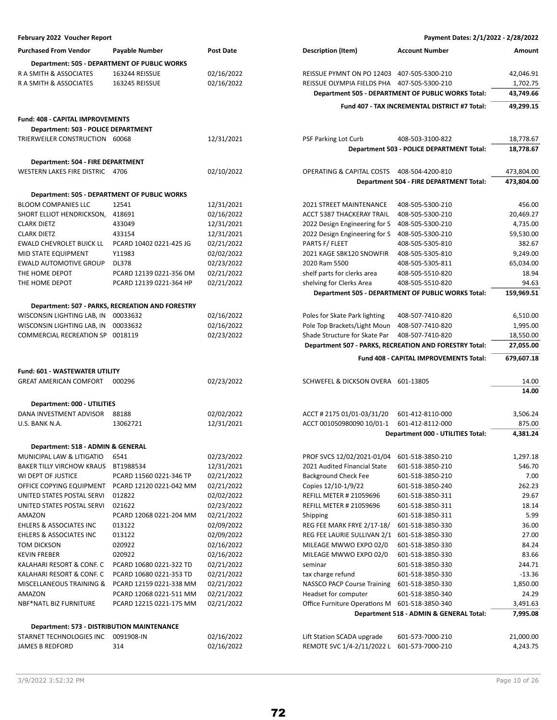| February 2022 Voucher Report               |                                                  |                  | Payment Dates: 2/1/2022 - 2/28/2022         |                                                        |            |  |  |
|--------------------------------------------|--------------------------------------------------|------------------|---------------------------------------------|--------------------------------------------------------|------------|--|--|
| <b>Purchased From Vendor</b>               | <b>Payable Number</b>                            | <b>Post Date</b> | <b>Description (Item)</b>                   | <b>Account Number</b>                                  | Amount     |  |  |
|                                            | Department: 505 - DEPARTMENT OF PUBLIC WORKS     |                  |                                             |                                                        |            |  |  |
| R A SMITH & ASSOCIATES                     | 163244 REISSUE                                   | 02/16/2022       | REISSUE PYMNT ON PO 12403 407-505-5300-210  |                                                        | 42,046.91  |  |  |
| R A SMITH & ASSOCIATES                     | 163245 REISSUE                                   | 02/16/2022       | REISSUE OLYMPIA FIELDS PHA 407-505-5300-210 |                                                        | 1,702.75   |  |  |
|                                            |                                                  |                  |                                             | Department 505 - DEPARTMENT OF PUBLIC WORKS Total:     | 43,749.66  |  |  |
|                                            |                                                  |                  |                                             | Fund 407 - TAX INCREMENTAL DISTRICT #7 Total:          | 49,299.15  |  |  |
| <b>Fund: 408 - CAPITAL IMPROVEMENTS</b>    |                                                  |                  |                                             |                                                        |            |  |  |
| Department: 503 - POLICE DEPARTMENT        |                                                  |                  |                                             |                                                        |            |  |  |
| TRIERWEILER CONSTRUCTION 60068             |                                                  | 12/31/2021       | <b>PSF Parking Lot Curb</b>                 | 408-503-3100-822                                       | 18,778.67  |  |  |
|                                            |                                                  |                  |                                             | Department 503 - POLICE DEPARTMENT Total:              | 18,778.67  |  |  |
| Department: 504 - FIRE DEPARTMENT          |                                                  |                  |                                             |                                                        |            |  |  |
| WESTERN LAKES FIRE DISTRIC 4706            |                                                  | 02/10/2022       | OPERATING & CAPITAL COSTS                   | 408-504-4200-810                                       | 473,804.00 |  |  |
|                                            |                                                  |                  |                                             | Department 504 - FIRE DEPARTMENT Total:                | 473,804.00 |  |  |
|                                            | Department: 505 - DEPARTMENT OF PUBLIC WORKS     |                  |                                             |                                                        |            |  |  |
| <b>BLOOM COMPANIES LLC</b>                 | 12541                                            | 12/31/2021       | 2021 STREET MAINTENANCE                     | 408-505-5300-210                                       | 456.00     |  |  |
| SHORT ELLIOT HENDRICKSON,                  | 418691                                           | 02/16/2022       | ACCT 5387 THACKERAY TRAIL                   | 408-505-5300-210                                       | 20,469.27  |  |  |
| <b>CLARK DIETZ</b>                         | 433049                                           | 12/31/2021       | 2022 Design Engineering for S               | 408-505-5300-210                                       | 4,735.00   |  |  |
| <b>CLARK DIETZ</b>                         | 433154                                           | 12/31/2021       | 2022 Design Engineering for S               | 408-505-5300-210                                       | 59,530.00  |  |  |
| EWALD CHEVROLET BUICK LL                   | PCARD 10402 0221-425 JG                          | 02/21/2022       | PARTS F/ FLEET                              | 408-505-5305-810                                       | 382.67     |  |  |
| MID STATE EQUIPMENT                        | Y11983                                           | 02/02/2022       | 2021 KAGE SBK120 SNOWFIR                    | 408-505-5305-810                                       | 9,249.00   |  |  |
| <b>EWALD AUTOMOTIVE GROUP</b>              | <b>DL378</b>                                     | 02/23/2022       | 2020 Ram 5500                               | 408-505-5305-811                                       | 65,034.00  |  |  |
| THE HOME DEPOT                             | PCARD 12139 0221-356 DM                          | 02/21/2022       | shelf parts for clerks area                 | 408-505-5510-820                                       | 18.94      |  |  |
| THE HOME DEPOT                             | PCARD 12139 0221-364 HP                          | 02/21/2022       | shelving for Clerks Area                    | 408-505-5510-820                                       | 94.63      |  |  |
|                                            |                                                  |                  |                                             | Department 505 - DEPARTMENT OF PUBLIC WORKS Total:     | 159,969.51 |  |  |
|                                            | Department: 507 - PARKS, RECREATION AND FORESTRY |                  |                                             |                                                        |            |  |  |
| WISCONSIN LIGHTING LAB, IN                 | 00033632                                         | 02/16/2022       | Poles for Skate Park lighting               | 408-507-7410-820                                       | 6,510.00   |  |  |
| WISCONSIN LIGHTING LAB, IN                 | 00033632                                         | 02/16/2022       | Pole Top Brackets/Light Moun                | 408-507-7410-820                                       | 1,995.00   |  |  |
| COMMERCIAL RECREATION SP 0018119           |                                                  | 02/23/2022       | Shade Structure for Skate Par               | 408-507-7410-820                                       | 18,550.00  |  |  |
|                                            |                                                  |                  |                                             | Department 507 - PARKS, RECREATION AND FORESTRY Total: | 27,055.00  |  |  |
|                                            |                                                  |                  |                                             | Fund 408 - CAPITAL IMPROVEMENTS Total:                 | 679,607.18 |  |  |
| <b>Fund: 601 - WASTEWATER UTILITY</b>      |                                                  |                  |                                             |                                                        |            |  |  |
| <b>GREAT AMERICAN COMFORT</b>              | 000296                                           | 02/23/2022       | SCHWEFEL & DICKSON OVERA 601-13805          |                                                        | 14.00      |  |  |
|                                            |                                                  |                  |                                             |                                                        | 14.00      |  |  |
| Department: 000 - UTILITIES                |                                                  |                  |                                             |                                                        |            |  |  |
| DANA INVESTMENT ADVISOR                    | 88188                                            | 02/02/2022       | ACCT # 2175 01/01-03/31/20                  | 601-412-8110-000                                       | 3,506.24   |  |  |
| U.S. BANK N.A.                             | 13062721                                         | 12/31/2021       | ACCT 001050980090 10/01-1                   | 601-412-8112-000                                       | 875.00     |  |  |
|                                            |                                                  |                  |                                             | <b>Department 000 - UTILITIES Total:</b>               | 4,381.24   |  |  |
| Department: 518 - ADMIN & GENERAL          |                                                  |                  |                                             |                                                        |            |  |  |
| MUNICIPAL LAW & LITIGATIO                  | 6541                                             | 02/23/2022       | PROF SVCS 12/02/2021-01/04                  | 601-518-3850-210                                       | 1,297.18   |  |  |
| <b>BAKER TILLY VIRCHOW KRAUS</b>           | BT1988534                                        | 12/31/2021       | 2021 Audited Financial State                | 601-518-3850-210                                       | 546.70     |  |  |
| WI DEPT OF JUSTICE                         | PCARD 11560 0221-346 TP                          | 02/21/2022       | <b>Background Check Fee</b>                 | 601-518-3850-210                                       | 7.00       |  |  |
| OFFICE COPYING EQUIPMENT                   | PCARD 12120 0221-042 MM                          | 02/21/2022       | Copies 12/10-1/9/22                         | 601-518-3850-240                                       | 262.23     |  |  |
| UNITED STATES POSTAL SERVI                 | 012822                                           | 02/02/2022       | <b>REFILL METER # 21059696</b>              | 601-518-3850-311                                       | 29.67      |  |  |
| UNITED STATES POSTAL SERVI                 | 021622                                           | 02/23/2022       | <b>REFILL METER # 21059696</b>              | 601-518-3850-311                                       | 18.14      |  |  |
| AMAZON                                     | PCARD 12068 0221-204 MM                          | 02/21/2022       | Shipping                                    | 601-518-3850-311                                       | 5.99       |  |  |
| <b>EHLERS &amp; ASSOCIATES INC</b>         | 013122                                           | 02/09/2022       | REG FEE MARK FRYE 2/17-18/                  | 601-518-3850-330                                       | 36.00      |  |  |
| EHLERS & ASSOCIATES INC                    | 013122                                           | 02/09/2022       | REG FEE LAURIE SULLIVAN 2/1                 | 601-518-3850-330                                       | 27.00      |  |  |
| TOM DICKSON                                | 020922                                           | 02/16/2022       | MILEAGE MWWO EXPO 02/0                      | 601-518-3850-330                                       | 84.24      |  |  |
| <b>KEVIN FREBER</b>                        | 020922                                           | 02/16/2022       | MILEAGE MWWO EXPO 02/0                      | 601-518-3850-330                                       | 83.66      |  |  |
| KALAHARI RESORT & CONF. C                  | PCARD 10680 0221-322 TD                          | 02/21/2022       | seminar                                     | 601-518-3850-330                                       | 244.71     |  |  |
| KALAHARI RESORT & CONF. C                  | PCARD 10680 0221-353 TD                          | 02/21/2022       | tax charge refund                           | 601-518-3850-330                                       | $-13.36$   |  |  |
| MISCELLANEOUS TRAINING &                   | PCARD 12159 0221-338 MM                          | 02/21/2022       | NASSCO PACP Course Training                 | 601-518-3850-330                                       | 1,850.00   |  |  |
| AMAZON                                     | PCARD 12068 0221-511 MM                          | 02/21/2022       | Headset for computer                        | 601-518-3850-340                                       | 24.29      |  |  |
| <b>NBF*NATL BIZ FURNITURE</b>              | PCARD 12215 0221-175 MM                          | 02/21/2022       | Office Furniture Operations M               | 601-518-3850-340                                       | 3,491.63   |  |  |
|                                            |                                                  |                  |                                             | Department 518 - ADMIN & GENERAL Total:                | 7,995.08   |  |  |
| Department: 573 - DISTRIBUTION MAINTENANCE |                                                  |                  |                                             |                                                        |            |  |  |
| STARNET TECHNOLOGIES INC                   | 0091908-IN                                       | 02/16/2022       | Lift Station SCADA upgrade                  | 601-573-7000-210                                       | 21,000.00  |  |  |
| <b>JAMES B REDFORD</b>                     | 314                                              | 02/16/2022       | REMOTE SVC 1/4-2/11/2022 L                  | 601-573-7000-210                                       | 4,243.75   |  |  |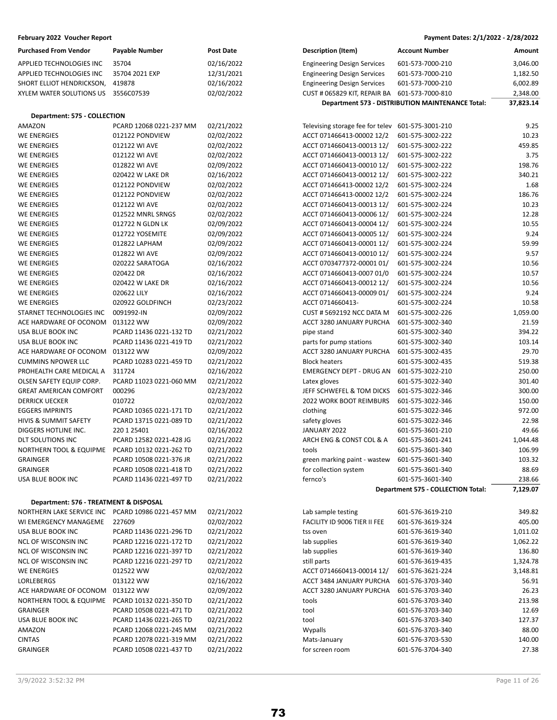| Purchased From Vendor               | <b>Payable Number</b>   | <b>Post Date</b> |
|-------------------------------------|-------------------------|------------------|
| APPLIED TECHNOLOGIES INC            | 35704                   | 02/16/202        |
| APPLIED TECHNOLOGIES INC            | 35704 2021 EXP          | 12/31/202        |
| SHORT ELLIOT HENDRICKSON,           | 419878                  | 02/16/202        |
| XYLEM WATER SOLUTIONS US 3556C07539 |                         | 02/02/202        |
|                                     |                         |                  |
| Department: 575 - COLLECTION        |                         |                  |
| AMAZON                              | PCARD 12068 0221-237 MM | 02/21/202        |

| <b>WE ENERGIES</b>                 | 012122 PONDVIEW         | 02/02/2022 |
|------------------------------------|-------------------------|------------|
| <b>WE ENERGIES</b>                 | 012122 WI AVE           | 02/02/2022 |
| <b>WE ENERGIES</b>                 | 012122 WI AVE           | 02/02/2022 |
| <b>WE ENERGIES</b>                 | 012822 WI AVE           | 02/09/2022 |
| <b>WE ENERGIES</b>                 | 020422 W LAKE DR        | 02/16/2022 |
| <b>WE ENERGIES</b>                 | 012122 PONDVIEW         | 02/02/2022 |
| <b>WE ENERGIES</b>                 | 012122 PONDVIEW         | 02/02/2022 |
| <b>WE ENERGIES</b>                 | 012122 WI AVE           | 02/02/2022 |
| <b>WE ENERGIES</b>                 | 012522 MNRL SRNGS       | 02/02/2022 |
| <b>WE ENERGIES</b>                 | 012722 N GLDN LK        | 02/09/2022 |
| <b>WE ENERGIES</b>                 | 012722 YOSEMITE         | 02/09/2022 |
| <b>WE ENERGIES</b>                 | 012822 LAPHAM           | 02/09/2022 |
| <b>WE ENERGIES</b>                 | 012822 WI AVE           | 02/09/2022 |
| <b>WE ENERGIES</b>                 | 020222 SARATOGA         | 02/16/2022 |
| <b>WE ENERGIES</b>                 | 020422 DR               | 02/16/2022 |
| <b>WE ENERGIES</b>                 | 020422 W LAKE DR        | 02/16/2022 |
| <b>WE ENERGIES</b>                 | 020622 LILY             | 02/16/2022 |
| <b>WE ENERGIES</b>                 | 020922 GOLDFINCH        | 02/23/2022 |
| STARNET TECHNOLOGIES INC           | 0091992-IN              | 02/09/2022 |
| ACE HARDWARE OF OCONOM             | 013122 WW               | 02/09/2022 |
| USA BLUE BOOK INC                  | PCARD 11436 0221-132 TD | 02/21/2022 |
| USA BLUE BOOK INC                  | PCARD 11436 0221-419 TD | 02/21/2022 |
| ACE HARDWARE OF OCONOM             | 013122 WW               | 02/09/2022 |
| <b>CUMMINS NPOWER LLC</b>          | PCARD 10283 0221-459 TD | 02/21/2022 |
| PROHEALTH CARE MEDICAL A           | 311724                  | 02/16/2022 |
| OLSEN SAFETY EQUIP CORP.           | PCARD 11023 0221-060 MM | 02/21/2022 |
| <b>GREAT AMERICAN COMFORT</b>      | 000296                  | 02/23/2022 |
| <b>DERRICK UECKER</b>              | 010722                  | 02/02/2022 |
| <b>EGGERS IMPRINTS</b>             | PCARD 10365 0221-171 TD | 02/21/2022 |
| <b>HIVIS &amp; SUMMIT SAFETY</b>   | PCARD 13715 0221-089 TD | 02/21/2022 |
| DIGGERS HOTLINE INC.               | 220 1 25401             | 02/16/2022 |
| DLT SOLUTIONS INC                  | PCARD 12582 0221-428 JG | 02/21/2022 |
| <b>NORTHERN TOOL &amp; EQUIPME</b> | PCARD 10132 0221-262 TD | 02/21/2022 |
| <b>GRAINGER</b>                    | PCARD 10508 0221-376 JR | 02/21/2022 |
| <b>GRAINGER</b>                    | PCARD 10508 0221-418 TD | 02/21/2022 |
| USA BLUE BOOK INC                  | PCARD 11436 0221-497 TD | 02/21/2022 |
|                                    |                         |            |

## **Department: 576 - TREATMENT & DISPOSAL**

| NORTHERN LAKE SERVICE INC          | PCARD 10986 0221-457 MM | 02/21/2022 |
|------------------------------------|-------------------------|------------|
| WI EMERGENCY MANAGEME              | 227609                  | 02/02/2022 |
| USA BLUE BOOK INC                  | PCARD 11436 0221-296 TD | 02/21/2022 |
| NCL OF WISCONSIN INC               | PCARD 12216 0221-172 TD | 02/21/2022 |
| <b>NCL OF WISCONSIN INC</b>        | PCARD 12216 0221-397 TD | 02/21/2022 |
| <b>NCL OF WISCONSIN INC</b>        | PCARD 12216 0221-297 TD | 02/21/2022 |
| <b>WE ENERGIES</b>                 | 012522 WW               | 02/02/2022 |
| LORLEBERGS                         | 013122 WW               | 02/16/2022 |
| ACE HARDWARE OF OCONOM             | 013122 WW               | 02/09/2022 |
| <b>NORTHERN TOOL &amp; EQUIPME</b> | PCARD 10132 0221-350 TD | 02/21/2022 |
| <b>GRAINGER</b>                    | PCARD 10508 0221-471 TD | 02/21/2022 |
| USA BLUE BOOK INC                  | PCARD 11436 0221-265 TD | 02/21/2022 |
| AMAZON                             | PCARD 12068 0221-245 MM | 02/21/2022 |
| <b>CINTAS</b>                      | PCARD 12078 0221-319 MM | 02/21/2022 |
| <b>GRAINGER</b>                    | PCARD 10508 0221-437 TD | 02/21/2022 |

# **February 2022 Voucher Report Payment Dates: 2/1/2022 - 2/28/2022**

| <b>Purchased From Vendor</b>                      | <b>Payable Number</b>                              | <b>Post Date</b> | <b>Description (Item)</b>          | <b>Account Number</b>                            | Amount    |
|---------------------------------------------------|----------------------------------------------------|------------------|------------------------------------|--------------------------------------------------|-----------|
|                                                   |                                                    |                  |                                    |                                                  |           |
| APPLIED TECHNOLOGIES INC                          | 35704                                              | 02/16/2022       | <b>Engineering Design Services</b> | 601-573-7000-210                                 | 3,046.00  |
| APPLIED TECHNOLOGIES INC                          | 35704 2021 EXP                                     | 12/31/2021       | <b>Engineering Design Services</b> | 601-573-7000-210                                 | 1,182.50  |
| SHORT ELLIOT HENDRICKSON,                         | 419878                                             | 02/16/2022       | <b>Engineering Design Services</b> | 601-573-7000-210                                 | 6,002.89  |
| XYLEM WATER SOLUTIONS US                          | 3556C07539                                         | 02/02/2022       | CUST # 065829 KIT, REPAIR BA       | 601-573-7000-810                                 | 2,348.00  |
|                                                   |                                                    |                  |                                    | Department 573 - DISTRIBUTION MAINTENANCE Total: | 37,823.14 |
| Department: 575 - COLLECTION                      |                                                    |                  |                                    |                                                  |           |
| AMAZON                                            | PCARD 12068 0221-237 MM                            | 02/21/2022       | Televising storage fee for telev   | 601-575-3001-210                                 | 9.25      |
| <b>WE ENERGIES</b>                                | 012122 PONDVIEW                                    | 02/02/2022       | ACCT 071466413-00002 12/2          | 601-575-3002-222                                 | 10.23     |
| WE ENERGIES                                       | 012122 WI AVE                                      | 02/02/2022       | ACCT 0714660413-00013 12/          | 601-575-3002-222                                 | 459.85    |
| WE ENERGIES                                       | 012122 WI AVE                                      | 02/02/2022       | ACCT 0714660413-00013 12/          | 601-575-3002-222                                 | 3.75      |
| WE ENERGIES                                       | 012822 WI AVE                                      | 02/09/2022       | ACCT 0714660413-00010 12/          | 601-575-3002-222                                 | 198.76    |
| WE ENERGIES                                       | 020422 W LAKE DR                                   | 02/16/2022       | ACCT 0714660413-00012 12/          | 601-575-3002-222                                 | 340.21    |
| WE ENERGIES                                       | 012122 PONDVIEW                                    | 02/02/2022       | ACCT 071466413-00002 12/2          | 601-575-3002-224                                 | 1.68      |
| WE ENERGIES                                       | 012122 PONDVIEW                                    | 02/02/2022       | ACCT 071466413-00002 12/2          | 601-575-3002-224                                 | 186.76    |
| WE ENERGIES                                       | 012122 WI AVE                                      | 02/02/2022       | ACCT 0714660413-00013 12/          | 601-575-3002-224                                 | 10.23     |
| WE ENERGIES                                       | 012522 MNRL SRNGS                                  | 02/02/2022       | ACCT 0714660413-00006 12/          | 601-575-3002-224                                 | 12.28     |
| WE ENERGIES                                       | 012722 N GLDN LK                                   | 02/09/2022       | ACCT 0714660413-00004 12/          | 601-575-3002-224                                 | 10.55     |
| WE ENERGIES                                       | 012722 YOSEMITE                                    | 02/09/2022       | ACCT 0714660413-00005 12/          | 601-575-3002-224                                 | 9.24      |
| WE ENERGIES                                       | 012822 LAPHAM                                      | 02/09/2022       | ACCT 0714660413-00001 12/          | 601-575-3002-224                                 | 59.99     |
| WE ENERGIES                                       | 012822 WI AVE                                      | 02/09/2022       | ACCT 0714660413-00010 12/          | 601-575-3002-224                                 | 9.57      |
| WE ENERGIES                                       | 020222 SARATOGA                                    | 02/16/2022       | ACCT 0703477372-00001 01/          | 601-575-3002-224                                 | 10.56     |
| WE ENERGIES                                       | 020422 DR                                          | 02/16/2022       | ACCT 0714660413-0007 01/0          | 601-575-3002-224                                 | 10.57     |
| WE ENERGIES                                       | 020422 W LAKE DR                                   | 02/16/2022       | ACCT 0714660413-00012 12/          | 601-575-3002-224                                 | 10.56     |
| WE ENERGIES                                       | 020622 LILY                                        | 02/16/2022       | ACCT 0714660413-00009 01/          | 601-575-3002-224                                 | 9.24      |
| WE ENERGIES                                       | 020922 GOLDFINCH                                   | 02/23/2022       | ACCT 0714660413-                   | 601-575-3002-224                                 | 10.58     |
| STARNET TECHNOLOGIES INC                          | 0091992-IN                                         | 02/09/2022       | <b>CUST # 5692192 NCC DATA M</b>   | 601-575-3002-226                                 | 1,059.00  |
| ACE HARDWARE OF OCONOM                            | 013122 WW                                          | 02/09/2022       | ACCT 3280 JANUARY PURCHA           | 601-575-3002-340                                 | 21.59     |
| USA BLUE BOOK INC                                 | PCARD 11436 0221-132 TD                            | 02/21/2022       | pipe stand                         | 601-575-3002-340                                 | 394.22    |
| USA BLUE BOOK INC                                 | PCARD 11436 0221-419 TD                            | 02/21/2022       | parts for pump stations            | 601-575-3002-340                                 | 103.14    |
| ACE HARDWARE OF OCONOM                            | 013122 WW                                          | 02/09/2022       | ACCT 3280 JANUARY PURCHA           | 601-575-3002-435                                 | 29.70     |
| <b>CUMMINS NPOWER LLC</b>                         | PCARD 10283 0221-459 TD                            | 02/21/2022       | <b>Block heaters</b>               | 601-575-3002-435                                 | 519.38    |
| PROHEALTH CARE MEDICAL A                          | 311724                                             | 02/16/2022       | <b>EMERGENCY DEPT - DRUG AN</b>    | 601-575-3022-210                                 | 250.00    |
| OLSEN SAFETY EQUIP CORP.                          | PCARD 11023 0221-060 MM                            | 02/21/2022       | Latex gloves                       | 601-575-3022-340                                 | 301.40    |
| GREAT AMERICAN COMFORT                            | 000296                                             | 02/23/2022       | JEFF SCHWEFEL & TOM DICKS          | 601-575-3022-346                                 | 300.00    |
| DERRICK UECKER                                    | 010722                                             | 02/02/2022       | 2022 WORK BOOT REIMBURS            | 601-575-3022-346                                 | 150.00    |
| <b>EGGERS IMPRINTS</b>                            | PCARD 10365 0221-171 TD                            | 02/21/2022       | clothing                           | 601-575-3022-346                                 | 972.00    |
| HIVIS & SUMMIT SAFETY                             | PCARD 13715 0221-089 TD                            | 02/21/2022       | safety gloves                      | 601-575-3022-346                                 | 22.98     |
| DIGGERS HOTLINE INC.                              | 220 1 25401                                        | 02/16/2022       | JANUARY 2022                       | 601-575-3601-210                                 | 49.66     |
| DLT SOLUTIONS INC                                 | PCARD 12582 0221-428 JG                            | 02/21/2022       | ARCH ENG & CONST COL & A           | 601-575-3601-241                                 | 1,044.48  |
| NORTHERN TOOL & EQUIPME                           | PCARD 10132 0221-262 TD                            | 02/21/2022       | tools                              | 601-575-3601-340                                 | 106.99    |
| GRAINGER                                          | PCARD 10508 0221-376 JR                            | 02/21/2022       | green marking paint - wastew       | 601-575-3601-340                                 | 103.32    |
| <b>GRAINGER</b>                                   | PCARD 10508 0221-418 TD                            | 02/21/2022       | for collection system              | 601-575-3601-340                                 | 88.69     |
| USA BLUE BOOK INC                                 | PCARD 11436 0221-497 TD                            | 02/21/2022       | fernco's                           | 601-575-3601-340                                 | 238.66    |
|                                                   |                                                    |                  |                                    | Department 575 - COLLECTION Total:               | 7,129.07  |
| Department: 576 - TREATMENT & DISPOSAL            |                                                    |                  |                                    |                                                  |           |
| NORTHERN LAKE SERVICE INC PCARD 10986 0221-457 MM |                                                    |                  |                                    |                                                  | 349.82    |
|                                                   | 227609                                             | 02/21/2022       | Lab sample testing                 | 601-576-3619-210                                 |           |
| WI EMERGENCY MANAGEME<br>USA BLUE BOOK INC        |                                                    | 02/02/2022       | FACILITY ID 9006 TIER II FEE       | 601-576-3619-324                                 | 405.00    |
|                                                   | PCARD 11436 0221-296 TD                            | 02/21/2022       | tss oven                           | 601-576-3619-340                                 | 1,011.02  |
| NCL OF WISCONSIN INC                              | PCARD 12216 0221-172 TD<br>PCARD 12216 0221-397 TD | 02/21/2022       | lab supplies                       | 601-576-3619-340<br>601-576-3619-340             | 1,062.22  |
| NCL OF WISCONSIN INC                              |                                                    | 02/21/2022       | lab supplies                       |                                                  | 136.80    |
| NCL OF WISCONSIN INC                              | PCARD 12216 0221-297 TD                            | 02/21/2022       | still parts                        | 601-576-3619-435                                 | 1,324.78  |
| WE ENERGIES                                       | 012522 WW                                          | 02/02/2022       | ACCT 0714660413-00014 12/          | 601-576-3621-224                                 | 3,148.81  |
| LORLEBERGS                                        | 013122 WW                                          | 02/16/2022       | ACCT 3484 JANUARY PURCHA           | 601-576-3703-340                                 | 56.91     |
| ACE HARDWARE OF OCONOM                            | 013122 WW                                          | 02/09/2022       | ACCT 3280 JANUARY PURCHA           | 601-576-3703-340                                 | 26.23     |
| NORTHERN TOOL & EQUIPME                           | PCARD 10132 0221-350 TD                            | 02/21/2022       | tools                              | 601-576-3703-340                                 | 213.98    |
| GRAINGER                                          | PCARD 10508 0221-471 TD                            | 02/21/2022       | tool                               | 601-576-3703-340                                 | 12.69     |
| USA BLUE BOOK INC                                 | PCARD 11436 0221-265 TD                            | 02/21/2022       | tool                               | 601-576-3703-340                                 | 127.37    |
| AMAZON                                            | PCARD 12068 0221-245 MM                            | 02/21/2022       | Wypalls                            | 601-576-3703-340                                 | 88.00     |
| CINTAS                                            | PCARD 12078 0221-319 MM                            | 02/21/2022       | Mats-January                       | 601-576-3703-530                                 | 140.00    |
| GRAINGER                                          | PCARD 10508 0221-437 TD                            | 02/21/2022       | for screen room                    | 601-576-3704-340                                 | 27.38     |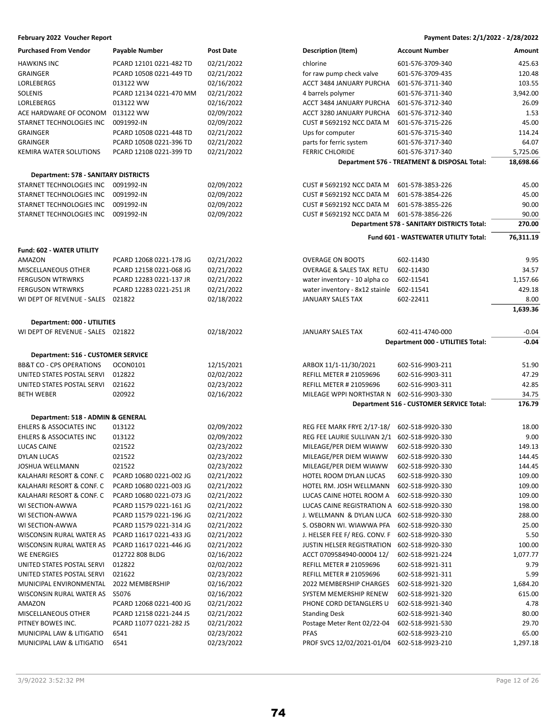| <b>Purchased From Vendor</b>         | <b>Payable Number</b>   | <b>Post Date</b> | <b>Description (Item)</b>        | <b>Account Number</b>                        | Amount    |
|--------------------------------------|-------------------------|------------------|----------------------------------|----------------------------------------------|-----------|
| <b>HAWKINS INC</b>                   | PCARD 12101 0221-482 TD | 02/21/2022       | chlorine                         | 601-576-3709-340                             | 425.63    |
| <b>GRAINGER</b>                      | PCARD 10508 0221-449 TD | 02/21/2022       | for raw pump check valve         | 601-576-3709-435                             | 120.48    |
| <b>LORLEBERGS</b>                    | 013122 WW               | 02/16/2022       | ACCT 3484 JANUARY PURCHA         | 601-576-3711-340                             | 103.55    |
| SOLENIS                              | PCARD 12134 0221-470 MM | 02/21/2022       | 4 barrels polymer                | 601-576-3711-340                             | 3,942.00  |
| <b>LORLEBERGS</b>                    | 013122 WW               | 02/16/2022       | ACCT 3484 JANUARY PURCHA         | 601-576-3712-340                             | 26.09     |
| ACE HARDWARE OF OCONOM               | 013122 WW               | 02/09/2022       | ACCT 3280 JANUARY PURCHA         | 601-576-3712-340                             | 1.53      |
| STARNET TECHNOLOGIES INC             | 0091992-IN              | 02/09/2022       | <b>CUST # 5692192 NCC DATA M</b> | 601-576-3715-226                             | 45.00     |
| <b>GRAINGER</b>                      | PCARD 10508 0221-448 TD | 02/21/2022       | Ups for computer                 | 601-576-3715-340                             | 114.24    |
| <b>GRAINGER</b>                      | PCARD 10508 0221-396 TD | 02/21/2022       | parts for ferric system          | 601-576-3717-340                             | 64.07     |
| <b>KEMIRA WATER SOLUTIONS</b>        | PCARD 12108 0221-399 TD | 02/21/2022       | <b>FERRIC CHLORIDE</b>           | 601-576-3717-340                             | 5,725.06  |
|                                      |                         |                  |                                  | Department 576 - TREATMENT & DISPOSAL Total: | 18,698.66 |
| Department: 578 - SANITARY DISTRICTS |                         |                  |                                  |                                              |           |
| STARNET TECHNOLOGIES INC             | 0091992-IN              | 02/09/2022       | <b>CUST # 5692192 NCC DATA M</b> | 601-578-3853-226                             | 45.00     |
| STARNET TECHNOLOGIES INC             | 0091992-IN              | 02/09/2022       | <b>CUST # 5692192 NCC DATA M</b> | 601-578-3854-226                             | 45.00     |
| STARNET TECHNOLOGIES INC             | 0091992-IN              | 02/09/2022       | <b>CUST # 5692192 NCC DATA M</b> | 601-578-3855-226                             | 90.00     |
| STARNET TECHNOLOGIES INC             | 0091992-IN              | 02/09/2022       | <b>CUST # 5692192 NCC DATA M</b> | 601-578-3856-226                             | 90.00     |
|                                      |                         |                  |                                  | Department 578 - SANITARY DISTRICTS Total:   | 270.00    |
|                                      |                         |                  |                                  | Fund 601 - WASTEWATER UTILITY Total:         | 76,311.19 |
|                                      |                         |                  |                                  |                                              |           |
| Fund: 602 - WATER UTILITY            |                         |                  |                                  |                                              |           |
| AMAZON                               | PCARD 12068 0221-178 JG | 02/21/2022       | <b>OVERAGE ON BOOTS</b>          | 602-11430                                    | 9.95      |
| <b>MISCELLANEOUS OTHER</b>           | PCARD 12158 0221-068 JG | 02/21/2022       | OVERAGE & SALES TAX RETU         | 602-11430                                    | 34.57     |
| <b>FERGUSON WTRWRKS</b>              | PCARD 12283 0221-137 JR | 02/21/2022       | water inventory - 10 alpha co    | 602-11541                                    | 1,157.66  |
| <b>FERGUSON WTRWRKS</b>              | PCARD 12283 0221-251 JR | 02/21/2022       | water inventory - 8x12 stainle   | 602-11541                                    | 429.18    |
| WI DEPT OF REVENUE - SALES           | 021822                  | 02/18/2022       | <b>JANUARY SALES TAX</b>         | 602-22411                                    | 8.00      |
|                                      |                         |                  |                                  |                                              | 1,639.36  |
| Department: 000 - UTILITIES          |                         |                  |                                  |                                              |           |
| WI DEPT OF REVENUE - SALES 021822    |                         | 02/18/2022       | <b>JANUARY SALES TAX</b>         | 602-411-4740-000                             | $-0.04$   |
|                                      |                         |                  |                                  | Department 000 - UTILITIES Total:            | $-0.04$   |
| Department: 516 - CUSTOMER SERVICE   |                         |                  |                                  |                                              |           |
| <b>BB&amp;T CO - CPS OPERATIONS</b>  | OCON0101                | 12/15/2021       | ARBOX 11/1-11/30/2021            | 602-516-9903-211                             | 51.90     |
| UNITED STATES POSTAL SERVI           | 012822                  | 02/02/2022       | <b>REFILL METER # 21059696</b>   | 602-516-9903-311                             | 47.29     |
| UNITED STATES POSTAL SERVI           | 021622                  | 02/23/2022       | <b>REFILL METER # 21059696</b>   | 602-516-9903-311                             | 42.85     |
| <b>BETH WEBER</b>                    | 020922                  | 02/16/2022       | MILEAGE WPPI NORTHSTAR N         | 602-516-9903-330                             | 34.75     |
|                                      |                         |                  |                                  | Department 516 - CUSTOMER SERVICE Total:     | 176.79    |
| Department: 518 - ADMIN & GENERAL    |                         |                  |                                  |                                              |           |
| <b>EHLERS &amp; ASSOCIATES INC</b>   | 013122                  | 02/09/2022       | REG FEE MARK FRYE 2/17-18/       | 602-518-9920-330                             | 18.00     |
| EHLERS & ASSOCIATES INC              | 013122                  | 02/09/2022       | REG FEE LAURIE SULLIVAN 2/1      | 602-518-9920-330                             | 9.00      |
| <b>LUCAS CAINE</b>                   | 021522                  | 02/23/2022       | MILEAGE/PER DIEM WIAWW           | 602-518-9920-330                             | 149.13    |
| DYLAN LUCAS                          | 021522                  | 02/23/2022       | MILEAGE/PER DIEM WIAWW           | 602-518-9920-330                             | 144.45    |
| JOSHUA WELLMANN                      | 021522                  | 02/23/2022       | MILEAGE/PER DIEM WIAWW           | 602-518-9920-330                             | 144.45    |
| KALAHARI RESORT & CONF. C            | PCARD 10680 0221-002 JG | 02/21/2022       | HOTEL ROOM DYLAN LUCAS           | 602-518-9920-330                             | 109.00    |
| KALAHARI RESORT & CONF. C            | PCARD 10680 0221-003 JG | 02/21/2022       | HOTEL RM. JOSH WELLMANN          | 602-518-9920-330                             | 109.00    |
| KALAHARI RESORT & CONF. C            | PCARD 10680 0221-073 JG | 02/21/2022       | LUCAS CAINE HOTEL ROOM A         | 602-518-9920-330                             | 109.00    |
| WI SECTION-AWWA                      | PCARD 11579 0221-161 JG | 02/21/2022       | LUCAS CAINE REGISTRATION A       | 602-518-9920-330                             | 198.00    |
| WI SECTION-AWWA                      | PCARD 11579 0221-196 JG | 02/21/2022       | J. WELLMANN & DYLAN LUCA         | 602-518-9920-330                             | 288.00    |
| WI SECTION-AWWA                      | PCARD 11579 0221-314 JG | 02/21/2022       | S. OSBORN WI. WIAWWA PFA         | 602-518-9920-330                             | 25.00     |
| WISCONSIN RURAL WATER AS             | PCARD 11617 0221-433 JG | 02/21/2022       | J. HELSER FEE F/ REG. CONV. F    | 602-518-9920-330                             | 5.50      |
| WISCONSIN RURAL WATER AS             | PCARD 11617 0221-446 JG | 02/21/2022       | JUSTIN HELSER REGISTRATION       | 602-518-9920-330                             | 100.00    |
| WE ENERGIES                          | 012722 808 BLDG         | 02/16/2022       | ACCT 0709584940-00004 12/        | 602-518-9921-224                             | 1,077.77  |
| UNITED STATES POSTAL SERVI           | 012822                  | 02/02/2022       | <b>REFILL METER # 21059696</b>   | 602-518-9921-311                             | 9.79      |
| UNITED STATES POSTAL SERVI           | 021622                  | 02/23/2022       | <b>REFILL METER # 21059696</b>   | 602-518-9921-311                             | 5.99      |
| MUNICIPAL ENVIRONMENTAL              | 2022 MEMBERSHIP         | 02/16/2022       | 2022 MEMBERSHIP CHARGES          | 602-518-9921-320                             | 1,684.20  |
| WISCONSIN RURAL WATER AS             | S5076                   | 02/16/2022       | SYSTEM MEMERSHIP RENEW           | 602-518-9921-320                             | 615.00    |
| AMAZON                               | PCARD 12068 0221-400 JG | 02/21/2022       | PHONE CORD DETANGLERS U          | 602-518-9921-340                             | 4.78      |
| MISCELLANEOUS OTHER                  | PCARD 12158 0221-244 JS | 02/21/2022       | <b>Standing Desk</b>             | 602-518-9921-340                             | 80.00     |
| PITNEY BOWES INC.                    | PCARD 11077 0221-282 JS | 02/21/2022       | Postage Meter Rent 02/22-04      | 602-518-9921-530                             | 29.70     |
| MUNICIPAL LAW & LITIGATIO            | 6541                    | 02/23/2022       | <b>PFAS</b>                      | 602-518-9923-210                             | 65.00     |
| MUNICIPAL LAW & LITIGATIO            | 6541                    | 02/23/2022       | PROF SVCS 12/02/2021-01/04       | 602-518-9923-210                             | 1,297.18  |
|                                      |                         |                  |                                  |                                              |           |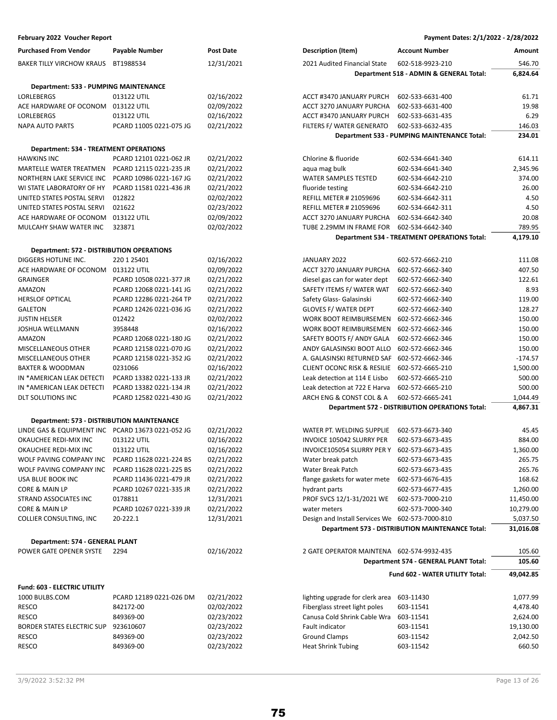| <b>Purchased From Vendor</b>                           | <b>Payable Number</b>                              | Post Date                | <b>Description (Item)</b>                       | <b>Account Number</b>                                   | Amount               |
|--------------------------------------------------------|----------------------------------------------------|--------------------------|-------------------------------------------------|---------------------------------------------------------|----------------------|
| <b>BAKER TILLY VIRCHOW KRAUS</b>                       | BT1988534                                          | 12/31/2021               | 2021 Audited Financial State                    | 602-518-9923-210                                        | 546.70               |
|                                                        |                                                    |                          |                                                 | Department 518 - ADMIN & GENERAL Total:                 | 6,824.64             |
| Department: 533 - PUMPING MAINTENANCE                  |                                                    |                          |                                                 |                                                         |                      |
| LORLEBERGS                                             | 013122 UTIL                                        | 02/16/2022               | ACCT #3470 JANUARY PURCH                        | 602-533-6631-400                                        | 61.71                |
| ACE HARDWARE OF OCONOM                                 | 013122 UTIL                                        | 02/09/2022               | ACCT 3270 JANUARY PURCHA                        | 602-533-6631-400                                        | 19.98                |
| <b>LORLEBERGS</b>                                      | 013122 UTIL                                        | 02/16/2022               | ACCT #3470 JANUARY PURCH                        | 602-533-6631-435                                        | 6.29                 |
| <b>NAPA AUTO PARTS</b>                                 | PCARD 11005 0221-075 JG                            | 02/21/2022               | FILTERS F/ WATER GENERATO                       | 602-533-6632-435                                        | 146.03               |
|                                                        |                                                    |                          |                                                 | Department 533 - PUMPING MAINTENANCE Total:             | 234.01               |
|                                                        |                                                    |                          |                                                 |                                                         |                      |
| <b>Department: 534 - TREATMENT OPERATIONS</b>          |                                                    |                          |                                                 |                                                         |                      |
| <b>HAWKINS INC</b>                                     | PCARD 12101 0221-062 JR                            | 02/21/2022               | Chlorine & fluoride                             | 602-534-6641-340                                        | 614.11               |
| MARTELLE WATER TREATMEN                                | PCARD 12115 0221-235 JR                            | 02/21/2022               | aqua mag bulk                                   | 602-534-6641-340                                        | 2,345.96             |
| NORTHERN LAKE SERVICE INC<br>WI STATE LABORATORY OF HY | PCARD 10986 0221-167 JG<br>PCARD 11581 0221-436 JR | 02/21/2022               | <b>WATER SAMPLES TESTED</b>                     | 602-534-6642-210                                        | 374.00<br>26.00      |
|                                                        |                                                    | 02/21/2022               | fluoride testing                                | 602-534-6642-210                                        |                      |
| UNITED STATES POSTAL SERVI                             | 012822                                             | 02/02/2022               | <b>REFILL METER # 21059696</b>                  | 602-534-6642-311                                        | 4.50                 |
| UNITED STATES POSTAL SERVI                             | 021622                                             | 02/23/2022               | <b>REFILL METER # 21059696</b>                  | 602-534-6642-311                                        | 4.50                 |
| ACE HARDWARE OF OCONOM                                 | 013122 UTIL<br>323871                              | 02/09/2022<br>02/02/2022 | ACCT 3270 JANUARY PURCHA                        | 602-534-6642-340<br>602-534-6642-340                    | 20.08                |
| MULCAHY SHAW WATER INC                                 |                                                    |                          | TUBE 2.29MM IN FRAME FOR                        |                                                         | 789.95               |
|                                                        |                                                    |                          |                                                 | <b>Department 534 - TREATMENT OPERATIONS Total:</b>     | 4,179.10             |
| <b>Department: 572 - DISTRIBUTION OPERATIONS</b>       |                                                    |                          |                                                 |                                                         |                      |
| DIGGERS HOTLINE INC.                                   | 220 1 25401                                        | 02/16/2022               | JANUARY 2022                                    | 602-572-6662-210                                        | 111.08               |
| ACE HARDWARE OF OCONOM                                 | 013122 UTIL                                        | 02/09/2022               | ACCT 3270 JANUARY PURCHA                        | 602-572-6662-340                                        | 407.50               |
| <b>GRAINGER</b>                                        | PCARD 10508 0221-377 JR                            | 02/21/2022               | diesel gas can for water dept                   | 602-572-6662-340                                        | 122.61               |
| <b>AMAZON</b>                                          | PCARD 12068 0221-141 JG                            | 02/21/2022               | SAFETY ITEMS F/ WATER WAT                       | 602-572-6662-340                                        | 8.93                 |
| <b>HERSLOF OPTICAL</b>                                 | PCARD 12286 0221-264 TP                            | 02/21/2022               | Safety Glass- Galasinski                        | 602-572-6662-340                                        | 119.00               |
| <b>GALETON</b>                                         | PCARD 12426 0221-036 JG                            | 02/21/2022               | <b>GLOVES F/ WATER DEPT</b>                     | 602-572-6662-340                                        | 128.27               |
| <b>JUSTIN HELSER</b>                                   | 012422                                             | 02/02/2022               | WORK BOOT REIMBURSEMEN                          | 602-572-6662-346                                        | 150.00               |
| <b>JOSHUA WELLMANN</b>                                 | 3958448                                            | 02/16/2022               | WORK BOOT REIMBURSEMEN                          | 602-572-6662-346                                        | 150.00               |
| AMAZON                                                 | PCARD 12068 0221-180 JG                            | 02/21/2022               | SAFETY BOOTS F/ ANDY GALA                       | 602-572-6662-346                                        | 150.00               |
| MISCELLANEOUS OTHER                                    | PCARD 12158 0221-070 JG                            | 02/21/2022               | ANDY GALASINSKI BOOT ALLO                       | 602-572-6662-346                                        | 150.00               |
| MISCELLANEOUS OTHER                                    | PCARD 12158 0221-352 JG                            | 02/21/2022               | A. GALASINSKI RETURNED SAF                      | 602-572-6662-346                                        | $-174.57$            |
| <b>BAXTER &amp; WOODMAN</b>                            | 0231066                                            | 02/16/2022               | <b>CLIENT OCONC RISK &amp; RESILIE</b>          | 602-572-6665-210                                        | 1,500.00             |
| IN *AMERICAN LEAK DETECTI                              | PCARD 13382 0221-133 JR                            | 02/21/2022               | Leak detection at 114 E Lisbo                   | 602-572-6665-210                                        | 500.00               |
| IN *AMERICAN LEAK DETECTI                              | PCARD 13382 0221-134 JR                            | 02/21/2022               | Leak detection at 722 E Harva                   | 602-572-6665-210                                        | 500.00               |
| DLT SOLUTIONS INC                                      | PCARD 12582 0221-430 JG                            | 02/21/2022               | ARCH ENG & CONST COL & A                        | 602-572-6665-241                                        | 1,044.49             |
|                                                        |                                                    |                          |                                                 | <b>Department 572 - DISTRIBUTION OPERATIONS Total:</b>  | 4,867.31             |
| Department: 573 - DISTRIBUTION MAINTENANCE             |                                                    |                          |                                                 |                                                         |                      |
| LINDE GAS & EQUIPMENT INC PCARD 13673 0221-052 JG      |                                                    | 02/21/2022               | WATER PT. WELDING SUPPLIE                       | 602-573-6673-340                                        | 45.45                |
| OKAUCHEE REDI-MIX INC                                  | 013122 UTIL                                        | 02/16/2022               | INVOICE 105042 SLURRY PER                       | 602-573-6673-435                                        | 884.00               |
| OKAUCHEE REDI-MIX INC                                  | 013122 UTIL                                        | 02/16/2022               | INVOICE105054 SLURRY PER Y                      | 602-573-6673-435                                        | 1,360.00             |
| WOLF PAVING COMPANY INC                                | PCARD 11628 0221-224 BS                            | 02/21/2022               | Water break patch                               | 602-573-6673-435                                        | 265.75               |
| WOLF PAVING COMPANY INC                                | PCARD 11628 0221-225 BS                            | 02/21/2022               | Water Break Patch                               | 602-573-6673-435                                        | 265.76               |
| USA BLUE BOOK INC                                      | PCARD 11436 0221-479 JR                            | 02/21/2022               | flange gaskets for water mete                   | 602-573-6676-435                                        | 168.62               |
| CORE & MAIN LP                                         | PCARD 10267 0221-335 JR                            | 02/21/2022               | hydrant parts                                   | 602-573-6677-435                                        | 1,260.00             |
| STRAND ASSOCIATES INC                                  | 0178811                                            | 12/31/2021               | PROF SVCS 12/1-31/2021 WE                       | 602-573-7000-210                                        | 11,450.00            |
| CORE & MAIN LP                                         | PCARD 10267 0221-339 JR                            | 02/21/2022               | water meters                                    | 602-573-7000-340                                        | 10,279.00            |
| COLLIER CONSULTING, INC                                | 20-222.1                                           | 12/31/2021               | Design and Install Services We 602-573-7000-810 |                                                         | 5,037.50             |
|                                                        |                                                    |                          |                                                 | <b>Department 573 - DISTRIBUTION MAINTENANCE Total:</b> | 31,016.08            |
| Department: 574 - GENERAL PLANT                        |                                                    |                          |                                                 |                                                         |                      |
| POWER GATE OPENER SYSTE                                | 2294                                               | 02/16/2022               | 2 GATE OPERATOR MAINTENA 602-574-9932-435       |                                                         | 105.60               |
|                                                        |                                                    |                          |                                                 | Department 574 - GENERAL PLANT Total:                   | 105.60               |
|                                                        |                                                    |                          |                                                 | <b>Fund 602 - WATER UTILITY Total:</b>                  |                      |
|                                                        |                                                    |                          |                                                 |                                                         | 49,042.85            |
| Fund: 603 - ELECTRIC UTILITY                           |                                                    |                          | lighting upgrade for clerk area                 |                                                         |                      |
| 1000 BULBS.COM<br><b>RESCO</b>                         | PCARD 12189 0221-026 DM<br>842172-00               | 02/21/2022<br>02/02/2022 | Fiberglass street light poles                   | 603-11430<br>603-11541                                  | 1,077.99<br>4,478.40 |
| <b>RESCO</b>                                           | 849369-00                                          | 02/23/2022               | Canusa Cold Shrink Cable Wra                    | 603-11541                                               | 2,624.00             |
| BORDER STATES ELECTRIC SUP                             | 923610607                                          | 02/23/2022               | Fault indicator                                 | 603-11541                                               | 19,130.00            |
| <b>RESCO</b>                                           | 849369-00                                          | 02/23/2022               | <b>Ground Clamps</b>                            | 603-11542                                               | 2,042.50             |
| <b>RESCO</b>                                           | 849369-00                                          | 02/23/2022               | <b>Heat Shrink Tubing</b>                       | 603-11542                                               | 660.50               |
|                                                        |                                                    |                          |                                                 |                                                         |                      |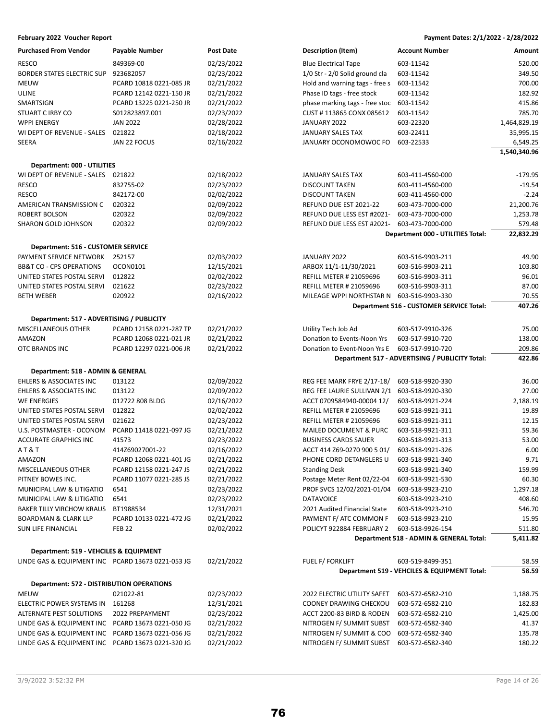| <b>Purchased From Vendor</b>                      | Payable Number                                    | <b>Post Date</b>         | <b>Description (Item)</b>                            | <b>Account Number</b>                           | Amount           |
|---------------------------------------------------|---------------------------------------------------|--------------------------|------------------------------------------------------|-------------------------------------------------|------------------|
| <b>RESCO</b>                                      | 849369-00                                         | 02/23/2022               | <b>Blue Electrical Tape</b>                          | 603-11542                                       | 520.00           |
| BORDER STATES ELECTRIC SUP                        | 923682057                                         | 02/23/2022               | 1/0 Str - 2/0 Solid ground cla                       | 603-11542                                       | 349.50           |
| <b>MEUW</b>                                       | PCARD 10818 0221-085 JR                           | 02/21/2022               | Hold and warning tags - free s                       | 603-11542                                       | 700.00           |
| ULINE                                             | PCARD 12142 0221-150 JR                           | 02/21/2022               | Phase ID tags - free stock                           | 603-11542                                       | 182.92           |
| SMARTSIGN                                         | PCARD 13225 0221-250 JR                           | 02/21/2022               | phase marking tags - free stoc                       | 603-11542                                       | 415.86           |
| STUART C IRBY CO                                  | S012823897.001                                    | 02/23/2022               | CUST #113865 CONX 085612                             | 603-11542                                       | 785.70           |
| <b>WPPI ENERGY</b>                                | <b>JAN 2022</b>                                   | 02/28/2022               | JANUARY 2022                                         | 603-22320                                       | 1,464,829.19     |
| WI DEPT OF REVENUE - SALES                        | 021822                                            | 02/18/2022               | JANUARY SALES TAX                                    | 603-22411                                       | 35,995.15        |
| SEERA                                             | JAN 22 FOCUS                                      | 02/16/2022               | JANUARY OCONOMOWOC FO                                | 603-22533                                       | 6,549.25         |
|                                                   |                                                   |                          |                                                      |                                                 | 1,540,340.96     |
|                                                   |                                                   |                          |                                                      |                                                 |                  |
| Department: 000 - UTILITIES                       |                                                   |                          |                                                      |                                                 |                  |
| WI DEPT OF REVENUE - SALES 021822                 |                                                   | 02/18/2022               | JANUARY SALES TAX                                    | 603-411-4560-000                                | $-179.95$        |
| <b>RESCO</b>                                      | 832755-02                                         | 02/23/2022               | <b>DISCOUNT TAKEN</b>                                | 603-411-4560-000                                | $-19.54$         |
| <b>RESCO</b>                                      | 842172-00                                         | 02/02/2022               | <b>DISCOUNT TAKEN</b>                                | 603-411-4560-000                                | $-2.24$          |
| AMERICAN TRANSMISSION C                           | 020322                                            | 02/09/2022               | REFUND DUE EST 2021-22                               | 603-473-7000-000                                | 21,200.76        |
| ROBERT BOLSON                                     | 020322                                            | 02/09/2022               | REFUND DUE LESS EST #2021-                           | 603-473-7000-000                                | 1,253.78         |
| SHARON GOLD JOHNSON                               | 020322                                            | 02/09/2022               | REFUND DUE LESS EST #2021-                           | 603-473-7000-000                                | 579.48           |
|                                                   |                                                   |                          |                                                      | <b>Department 000 - UTILITIES Total:</b>        | 22,832.29        |
| <b>Department: 516 - CUSTOMER SERVICE</b>         |                                                   |                          |                                                      |                                                 |                  |
| PAYMENT SERVICE NETWORK                           | 252157                                            | 02/03/2022               | JANUARY 2022                                         | 603-516-9903-211                                | 49.90            |
| <b>BB&amp;T CO - CPS OPERATIONS</b>               | OCON0101                                          | 12/15/2021               | ARBOX 11/1-11/30/2021                                | 603-516-9903-211                                | 103.80           |
| UNITED STATES POSTAL SERVI                        | 012822                                            | 02/02/2022               | <b>REFILL METER # 21059696</b>                       | 603-516-9903-311                                | 96.01            |
| UNITED STATES POSTAL SERVI                        | 021622                                            | 02/23/2022               | <b>REFILL METER # 21059696</b>                       | 603-516-9903-311                                | 87.00            |
| <b>BETH WEBER</b>                                 | 020922                                            | 02/16/2022               | MILEAGE WPPI NORTHSTAR N                             | 603-516-9903-330                                | 70.55            |
|                                                   |                                                   |                          |                                                      | Department 516 - CUSTOMER SERVICE Total:        | 407.26           |
| Department: 517 - ADVERTISING / PUBLICITY         |                                                   |                          |                                                      |                                                 |                  |
| MISCELLANEOUS OTHER                               | PCARD 12158 0221-287 TP                           | 02/21/2022               | Utility Tech Job Ad                                  | 603-517-9910-326                                | 75.00            |
| AMAZON                                            | PCARD 12068 0221-021 JR                           | 02/21/2022               | Donation to Events-Noon Yrs                          | 603-517-9910-720                                | 138.00           |
| OTC BRANDS INC                                    | PCARD 12297 0221-006 JR                           | 02/21/2022               | Donation to Event-Noon Yrs E                         | 603-517-9910-720                                | 209.86           |
|                                                   |                                                   |                          |                                                      | Department 517 - ADVERTISING / PUBLICITY Total: | 422.86           |
|                                                   |                                                   |                          |                                                      |                                                 |                  |
| Department: 518 - ADMIN & GENERAL                 |                                                   |                          |                                                      |                                                 |                  |
| <b>EHLERS &amp; ASSOCIATES INC</b>                | 013122                                            | 02/09/2022               | REG FEE MARK FRYE 2/17-18/                           | 603-518-9920-330                                | 36.00            |
| EHLERS & ASSOCIATES INC                           | 013122                                            | 02/09/2022               | REG FEE LAURIE SULLIVAN 2/1                          | 603-518-9920-330                                | 27.00            |
| <b>WE ENERGIES</b>                                | 012722 808 BLDG                                   | 02/16/2022               | ACCT 0709584940-00004 12/                            | 603-518-9921-224                                | 2,188.19         |
| UNITED STATES POSTAL SERVI                        | 012822                                            | 02/02/2022               | <b>REFILL METER # 21059696</b>                       | 603-518-9921-311                                | 19.89            |
| UNITED STATES POSTAL SERVI                        | 021622                                            | 02/23/2022               | <b>REFILL METER # 21059696</b>                       | 603-518-9921-311                                | 12.15            |
| U.S. POSTMASTER - OCONOM                          | PCARD 11418 0221-097 JG                           | 02/21/2022               | MAILED DOCUMENT & PURC                               | 603-518-9921-311                                | 59.36            |
| <b>ACCURATE GRAPHICS INC</b>                      | 41573                                             | 02/23/2022               | <b>BUSINESS CARDS SAUER</b>                          | 603-518-9921-313                                | 53.00            |
| AT&T                                              | 414Z69027001-22                                   | 02/16/2022               | ACCT 414 Z69-0270 900 5 01/                          | 603-518-9921-326                                | 6.00             |
| AMAZON                                            | PCARD 12068 0221-401 JG                           | 02/21/2022               | PHONE CORD DETANGLERS U                              | 603-518-9921-340                                | 9.71             |
| MISCELLANEOUS OTHER                               | PCARD 12158 0221-247 JS                           | 02/21/2022               | <b>Standing Desk</b>                                 | 603-518-9921-340                                | 159.99           |
| PITNEY BOWES INC.                                 | PCARD 11077 0221-285 JS                           | 02/21/2022               | Postage Meter Rent 02/22-04                          | 603-518-9921-530                                | 60.30            |
| MUNICIPAL LAW & LITIGATIO                         | 6541                                              | 02/23/2022               | PROF SVCS 12/02/2021-01/04                           | 603-518-9923-210                                | 1,297.18         |
| MUNICIPAL LAW & LITIGATIO                         | 6541                                              | 02/23/2022               | <b>DATAVOICE</b>                                     | 603-518-9923-210                                | 408.60           |
| <b>BAKER TILLY VIRCHOW KRAUS</b>                  | BT1988534                                         | 12/31/2021               | 2021 Audited Financial State                         | 603-518-9923-210                                | 546.70           |
| <b>BOARDMAN &amp; CLARK LLP</b>                   | PCARD 10133 0221-472 JG                           | 02/21/2022               | PAYMENT F/ ATC COMMON F                              | 603-518-9923-210                                | 15.95            |
| SUN LIFE FINANCIAL                                | <b>FEB 22</b>                                     | 02/02/2022               | POLICYT 922884 FEBRUARY 2                            | 603-518-9926-154                                | 511.80           |
|                                                   |                                                   |                          |                                                      | Department 518 - ADMIN & GENERAL Total:         | 5,411.82         |
| Department: 519 - VEHCILES & EQUIPMENT            |                                                   |                          |                                                      |                                                 |                  |
| LINDE GAS & EQUIPMENT INC PCARD 13673 0221-053 JG |                                                   | 02/21/2022               | FUEL F/ FORKLIFT                                     | 603-519-8499-351                                | 58.59            |
|                                                   |                                                   |                          |                                                      | Department 519 - VEHCILES & EQUIPMENT Total:    | 58.59            |
| Department: 572 - DISTRIBUTION OPERATIONS         |                                                   |                          |                                                      |                                                 |                  |
| <b>MEUW</b>                                       | 021022-81                                         | 02/23/2022               | 2022 ELECTRIC UTILITY SAFET                          | 603-572-6582-210                                | 1,188.75         |
| ELECTRIC POWER SYSTEMS IN                         | 161268                                            | 12/31/2021               | COONEY DRAWING CHECKOU                               | 603-572-6582-210                                | 182.83           |
| ALTERNATE PEST SOLUTIONS                          | 2022 PREPAYMENT                                   | 02/23/2022               | ACCT 2200-83 BIRD & RODEN                            | 603-572-6582-210                                | 1,425.00         |
| LINDE GAS & EQUIPMENT INC PCARD 13673 0221-050 JG |                                                   | 02/21/2022               | NITROGEN F/ SUMMIT SUBST                             | 603-572-6582-340                                | 41.37            |
|                                                   |                                                   |                          |                                                      |                                                 |                  |
|                                                   |                                                   |                          |                                                      |                                                 |                  |
| LINDE GAS & EQUIPMENT INC PCARD 13673 0221-320 JG | LINDE GAS & EQUIPMENT INC PCARD 13673 0221-056 JG | 02/21/2022<br>02/21/2022 | NITROGEN F/ SUMMIT & COO<br>NITROGEN F/ SUMMIT SUBST | 603-572-6582-340<br>603-572-6582-340            | 135.78<br>180.22 |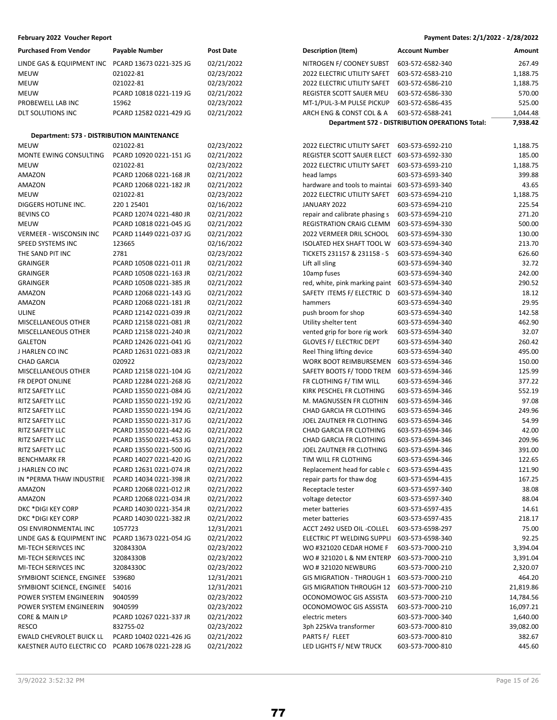| <b>Purchased From Vendor</b>               | Payable Number          | Post Date  |
|--------------------------------------------|-------------------------|------------|
| LINDE GAS & EQUIPMENT INC                  | PCARD 13673 0221-325 JG | 02/21/2022 |
| <b>MEUW</b>                                | 021022-81               | 02/23/2022 |
| <b>MEUW</b>                                | 021022-81               | 02/23/2022 |
| <b>MEUW</b>                                | PCARD 10818 0221-119 JG | 02/21/2022 |
| PROBEWELL LAB INC                          | 15962                   | 02/23/2022 |
| DLT SOLUTIONS INC                          | PCARD 12582 0221-429 JG | 02/21/2022 |
|                                            |                         |            |
| Department: 573 - DISTRIBUTION MAINTENANCE |                         |            |
| <b>MEUW</b>                                | 021022-81               | 02/23/2022 |
| MONTE EWING CONSULTING                     | PCARD 10920 0221-151 JG | 02/21/2022 |
| <b>MEUW</b>                                | 021022-81               | 02/23/2022 |
| AMAZON                                     | PCARD 12068 0221-168 JR | 02/21/2022 |
| AMAZON                                     | PCARD 12068 0221-182 JR | 02/21/2022 |
| <b>MEUW</b>                                | 021022-81               | 02/23/2022 |
| DIGGERS HOTLINE INC.                       | 220 1 25401             | 02/16/2022 |
| <b>BEVINS CO</b>                           | PCARD 12074 0221-480 JR | 02/21/2022 |
| <b>MEUW</b>                                | PCARD 10818 0221-045 JG | 02/21/2022 |
| <b>VERMEER - WISCONSIN INC</b>             | PCARD 11449 0221-037 JG | 02/21/2022 |
| <b>SPEED SYSTEMS INC</b>                   | 123665                  | 02/16/2022 |
| THE SAND PIT INC                           | 2781                    | 02/23/2022 |
| <b>GRAINGER</b>                            | PCARD 10508 0221-011 JR | 02/21/2022 |
| <b>GRAINGER</b>                            | PCARD 10508 0221-163 JR | 02/21/2022 |
| <b>GRAINGER</b>                            | PCARD 10508 0221-385 JR | 02/21/2022 |
| AMAZON                                     | PCARD 12068 0221-143 JG | 02/21/2022 |
| <b>AMAZON</b>                              | PCARD 12068 0221-181 JR | 02/21/2022 |
| <b>ULINE</b>                               | PCARD 12142 0221-039 JR | 02/21/2022 |
| MISCELLANEOUS OTHER                        | PCARD 12158 0221-081 JR | 02/21/2022 |
| MISCELLANEOUS OTHER                        | PCARD 12158 0221-240 JR | 02/21/2022 |
| <b>GALETON</b>                             | PCARD 12426 0221-041 JG | 02/21/2022 |
| J HARLEN CO INC                            | PCARD 12631 0221-083 JR | 02/21/2022 |
| <b>CHAD GARCIA</b>                         | 020922                  | 02/23/2022 |
| MISCELLANEOUS OTHER                        | PCARD 12158 0221-104 JG | 02/21/2022 |
| FR DEPOT ONLINE                            | PCARD 12284 0221-268 JG | 02/21/2022 |
| RITZ SAFETY LLC                            | PCARD 13550 0221-084 JG | 02/21/2022 |
| RITZ SAFETY LLC                            | PCARD 13550 0221-192 JG | 02/21/2022 |
| RITZ SAFETY LLC                            | PCARD 13550 0221-194 JG | 02/21/2022 |
| <b>RITZ SAFETY LLC</b>                     | PCARD 13550 0221-317 JG | 02/21/2022 |
| RITZ SAFETY LLC                            | PCARD 13550 0221-442 JG | 02/21/2022 |
| RITZ SAFETY LLC                            | PCARD 13550 0221-453 JG | 02/21/2022 |
| RITZ SAFETY LLC                            | PCARD 13550 0221-500 JG | 02/21/2022 |
| <b>BENCHMARK FR</b>                        | PCARD 14027 0221-420 JG | 02/21/2022 |
| J HARLEN CO INC                            | PCARD 12631 0221-074 JR | 02/21/2022 |
| IN *PERMA THAW INDUSTRIE                   | PCARD 14034 0221-398 JR | 02/21/2022 |
| AMAZON                                     | PCARD 12068 0221-012 JR | 02/21/2022 |
| AMAZON                                     | PCARD 12068 0221-034 JR | 02/21/2022 |
| DKC *DIGI KEY CORP                         | PCARD 14030 0221-354 JR | 02/21/2022 |
| DKC *DIGI KEY CORP                         | PCARD 14030 0221-382 JR | 02/21/2022 |
| OSI ENVIRONMENTAL INC                      | 1057723                 | 12/31/2021 |
| <b>LINDE GAS &amp; EQUIPMENT INC</b>       | PCARD 13673 0221-054 JG | 02/21/2022 |
| MI-TECH SERIVCES INC                       | 32084330A               | 02/23/2022 |
| MI-TECH SERIVCES INC                       | 32084330B               | 02/23/2022 |
| MI-TECH SERIVCES INC                       | 32084330C               | 02/23/2022 |
| SYMBIONT SCIENCE, ENGINEE                  | 539680                  | 12/31/2021 |
| SYMBIONT SCIENCE, ENGINEE                  | 54016                   | 12/31/2021 |
| POWER SYSTEM ENGINEERIN                    | 9040599                 | 02/23/2022 |
| POWER SYSTEM ENGINEERIN                    | 9040599                 | 02/23/2022 |
| CORE & MAIN LP                             | PCARD 10267 0221-337 JR | 02/21/2022 |
| <b>RESCO</b>                               | 832755-02               | 02/23/2022 |
| <b>EWALD CHEVROLET BUICK LL</b>            | PCARD 10402 0221-426 JG | 02/21/2022 |
| KAESTNER AUTO ELECTRIC CO                  | PCARD 10678 0221-228 JG | 02/21/2022 |

| <b>Purchased From Vendor</b>                      | <b>Payable Number</b>                              | <b>Post Date</b>         | Description (Item)                                 | <b>Account Number</b>                                  | Amount          |
|---------------------------------------------------|----------------------------------------------------|--------------------------|----------------------------------------------------|--------------------------------------------------------|-----------------|
| LINDE GAS & EQUIPMENT INC                         | PCARD 13673 0221-325 JG                            | 02/21/2022               | NITROGEN F/ COONEY SUBST                           | 603-572-6582-340                                       | 267.49          |
| MEUW                                              | 021022-81                                          | 02/23/2022               | 2022 ELECTRIC UTILITY SAFET                        | 603-572-6583-210                                       | 1,188.75        |
| <b>MEUW</b>                                       | 021022-81                                          | 02/23/2022               | 2022 ELECTRIC UTILITY SAFET                        | 603-572-6586-210                                       | 1,188.75        |
| MEUW                                              | PCARD 10818 0221-119 JG                            | 02/21/2022               | REGISTER SCOTT SAUER MEU                           | 603-572-6586-330                                       | 570.00          |
| PROBEWELL LAB INC                                 | 15962                                              | 02/23/2022               | MT-1/PUL-3-M PULSE PICKUP                          | 603-572-6586-435                                       | 525.00          |
| DLT SOLUTIONS INC                                 | PCARD 12582 0221-429 JG                            | 02/21/2022               | ARCH ENG & CONST COL & A                           | 603-572-6588-241                                       | 1,044.48        |
|                                                   |                                                    |                          |                                                    | <b>Department 572 - DISTRIBUTION OPERATIONS Total:</b> | 7,938.42        |
| <b>Department: 573 - DISTRIBUTION MAINTENANCE</b> |                                                    |                          |                                                    |                                                        |                 |
| <b>MEUW</b>                                       | 021022-81                                          | 02/23/2022               | 2022 ELECTRIC UTILITY SAFET                        | 603-573-6592-210                                       | 1,188.75        |
| MONTE EWING CONSULTING                            | PCARD 10920 0221-151 JG                            | 02/21/2022               | REGISTER SCOTT SAUER ELECT                         | 603-573-6592-330                                       | 185.00          |
| MEUW                                              | 021022-81                                          | 02/23/2022               | 2022 ELECTRIC UTILITY SAFET                        | 603-573-6593-210                                       | 1,188.75        |
| AMAZON                                            | PCARD 12068 0221-168 JR                            | 02/21/2022               | head lamps                                         | 603-573-6593-340                                       | 399.88          |
| AMAZON                                            | PCARD 12068 0221-182 JR                            | 02/21/2022               | hardware and tools to maintai                      | 603-573-6593-340                                       | 43.65           |
| <b>MEUW</b>                                       | 021022-81                                          | 02/23/2022               | 2022 ELECTRIC UTILITY SAFET                        | 603-573-6594-210                                       | 1,188.75        |
| DIGGERS HOTLINE INC.                              | 220 1 25401                                        | 02/16/2022               | JANUARY 2022                                       | 603-573-6594-210                                       | 225.54          |
| <b>BEVINS CO</b>                                  | PCARD 12074 0221-480 JR                            | 02/21/2022               | repair and calibrate phasing s                     | 603-573-6594-210                                       | 271.20          |
| MEUW                                              | PCARD 10818 0221-045 JG                            | 02/21/2022               | REGISTRATION CRAIG CLEMM                           | 603-573-6594-330                                       | 500.00          |
| VERMEER - WISCONSIN INC                           | PCARD 11449 0221-037 JG                            | 02/21/2022               | 2022 VERMEER DRIL SCHOOL                           | 603-573-6594-330                                       | 130.00          |
| SPEED SYSTEMS INC                                 | 123665                                             | 02/16/2022               | ISOLATED HEX SHAFT TOOL W                          | 603-573-6594-340                                       | 213.70          |
| THE SAND PIT INC                                  | 2781                                               | 02/23/2022               | TICKETS 231157 & 231158 - S                        | 603-573-6594-340                                       | 626.60          |
| <b>GRAINGER</b>                                   | PCARD 10508 0221-011 JR                            | 02/21/2022               | Lift all sling                                     | 603-573-6594-340                                       | 32.72           |
| GRAINGER                                          | PCARD 10508 0221-163 JR                            | 02/21/2022               | 10amp fuses                                        | 603-573-6594-340                                       | 242.00          |
| <b>GRAINGER</b>                                   | PCARD 10508 0221-385 JR                            | 02/21/2022               | red, white, pink marking paint                     | 603-573-6594-340                                       | 290.52          |
| AMAZON                                            | PCARD 12068 0221-143 JG                            | 02/21/2022               | SAFETY ITEMS F/ ELECTRIC D                         | 603-573-6594-340                                       | 18.12           |
| AMAZON                                            | PCARD 12068 0221-181 JR                            | 02/21/2022               | hammers                                            | 603-573-6594-340                                       | 29.95           |
| ULINE                                             | PCARD 12142 0221-039 JR                            | 02/21/2022               | push broom for shop                                | 603-573-6594-340                                       | 142.58          |
| MISCELLANEOUS OTHER                               | PCARD 12158 0221-081 JR                            | 02/21/2022               | Utility shelter tent                               | 603-573-6594-340                                       | 462.90          |
| MISCELLANEOUS OTHER                               | PCARD 12158 0221-240 JR                            | 02/21/2022               | vented grip for bore rig work                      | 603-573-6594-340                                       | 32.07           |
| GALETON                                           | PCARD 12426 0221-041 JG                            | 02/21/2022               | <b>GLOVES F/ ELECTRIC DEPT</b>                     | 603-573-6594-340                                       | 260.42          |
| J HARLEN CO INC                                   | PCARD 12631 0221-083 JR                            | 02/21/2022               | Reel Thing lifting device                          | 603-573-6594-340                                       | 495.00          |
| CHAD GARCIA                                       | 020922                                             | 02/23/2022               | WORK BOOT REIMBURSEMEN                             | 603-573-6594-346                                       | 150.00          |
| MISCELLANEOUS OTHER                               | PCARD 12158 0221-104 JG                            | 02/21/2022               | SAFETY BOOTS F/ TODD TREM                          | 603-573-6594-346                                       | 125.99          |
| FR DEPOT ONLINE                                   | PCARD 12284 0221-268 JG                            | 02/21/2022               | FR CLOTHING F/ TIM WILL                            | 603-573-6594-346                                       | 377.22          |
| RITZ SAFETY LLC                                   | PCARD 13550 0221-084 JG                            | 02/21/2022               | KIRK PESCHEL FR CLOTHING                           | 603-573-6594-346                                       | 552.19          |
| RITZ SAFETY LLC                                   | PCARD 13550 0221-192 JG                            | 02/21/2022               | M. MAGNUSSEN FR CLOTHIN<br>CHAD GARCIA FR CLOTHING | 603-573-6594-346                                       | 97.08<br>249.96 |
| RITZ SAFETY LLC<br>RITZ SAFETY LLC                | PCARD 13550 0221-194 JG<br>PCARD 13550 0221-317 JG | 02/21/2022<br>02/21/2022 | JOEL ZAUTNER FR CLOTHING                           | 603-573-6594-346<br>603-573-6594-346                   | 54.99           |
| RITZ SAFETY LLC                                   | PCARD 13550 0221-442 JG                            | 02/21/2022               | CHAD GARCIA FR CLOTHING                            | 603-573-6594-346                                       | 42.00           |
| RITZ SAFETY LLC                                   | PCARD 13550 0221-453 JG                            | 02/21/2022               | CHAD GARCIA FR CLOTHING                            | 603-573-6594-346                                       | 209.96          |
| RITZ SAFETY LLC                                   | PCARD 13550 0221-500 JG                            | 02/21/2022               | JOEL ZAUTNER FR CLOTHING                           | 603-573-6594-346                                       | 391.00          |
| BENCHMARK FR                                      | PCARD 14027 0221-420 JG                            | 02/21/2022               | TIM WILL FR CLOTHING                               | 603-573-6594-346                                       | 122.65          |
| J HARLEN CO INC                                   | PCARD 12631 0221-074 JR                            | 02/21/2022               | Replacement head for cable c                       | 603-573-6594-435                                       | 121.90          |
| IN *PERMA THAW INDUSTRIE                          | PCARD 14034 0221-398 JR                            | 02/21/2022               | repair parts for thaw dog                          | 603-573-6594-435                                       | 167.25          |
| AMAZON                                            | PCARD 12068 0221-012 JR                            | 02/21/2022               | Receptacle tester                                  | 603-573-6597-340                                       | 38.08           |
| AMAZON                                            | PCARD 12068 0221-034 JR                            | 02/21/2022               | voltage detector                                   | 603-573-6597-340                                       | 88.04           |
| DKC *DIGI KEY CORP                                | PCARD 14030 0221-354 JR                            | 02/21/2022               | meter batteries                                    | 603-573-6597-435                                       | 14.61           |
| DKC *DIGI KEY CORP                                | PCARD 14030 0221-382 JR                            | 02/21/2022               | meter batteries                                    | 603-573-6597-435                                       | 218.17          |
| OSI ENVIRONMENTAL INC                             | 1057723                                            | 12/31/2021               | ACCT 2492 USED OIL -COLLEL                         | 603-573-6598-297                                       | 75.00           |
| LINDE GAS & EQUIPMENT INC                         | PCARD 13673 0221-054 JG                            | 02/21/2022               | ELECTRIC PT WELDING SUPPLI                         | 603-573-6598-340                                       | 92.25           |
| MI-TECH SERIVCES INC                              | 32084330A                                          | 02/23/2022               | WO #321020 CEDAR HOME F                            | 603-573-7000-210                                       | 3,394.04        |
| MI-TECH SERIVCES INC                              | 32084330B                                          | 02/23/2022               | WO #321020 L & NM ENTERP                           | 603-573-7000-210                                       | 3,391.04        |
| MI-TECH SERIVCES INC                              | 32084330C                                          | 02/23/2022               | WO #321020 NEWBURG                                 | 603-573-7000-210                                       | 2,320.07        |
| SYMBIONT SCIENCE, ENGINEE                         | 539680                                             | 12/31/2021               | <b>GIS MIGRATION - THROUGH 1</b>                   | 603-573-7000-210                                       | 464.20          |
| SYMBIONT SCIENCE, ENGINEE 54016                   |                                                    | 12/31/2021               | <b>GIS MIGRATION THROUGH 12</b>                    | 603-573-7000-210                                       | 21,819.86       |
| POWER SYSTEM ENGINEERIN                           | 9040599                                            | 02/23/2022               | OCONOMOWOC GIS ASSISTA                             | 603-573-7000-210                                       | 14,784.56       |
| POWER SYSTEM ENGINEERIN                           | 9040599                                            | 02/23/2022               | OCONOMOWOC GIS ASSISTA                             | 603-573-7000-210                                       | 16,097.21       |
| CORE & MAIN LP                                    | PCARD 10267 0221-337 JR                            | 02/21/2022               | electric meters                                    | 603-573-7000-340                                       | 1,640.00        |
| RESCO                                             | 832755-02                                          | 02/23/2022               | 3ph 225kVa transformer                             | 603-573-7000-810                                       | 39,082.00       |
| EWALD CHEVROLET BUICK LL                          | PCARD 10402 0221-426 JG                            | 02/21/2022               | PARTS F/ FLEET                                     | 603-573-7000-810                                       | 382.67          |
| KAESTNER AUTO ELECTRIC CO                         | PCARD 10678 0221-228 JG                            | 02/21/2022               | LED LIGHTS F/ NEW TRUCK                            | 603-573-7000-810                                       | 445.60          |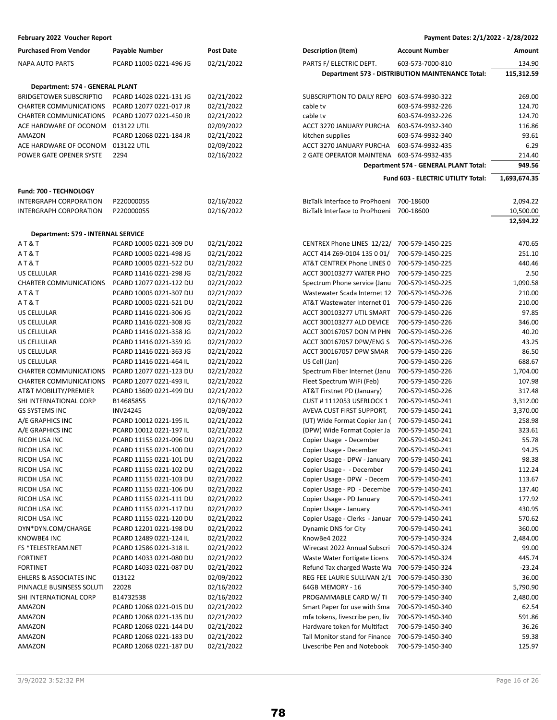| February 2022 Voucher Report                                   |                                                    |                          |                                                                                                | Payment Dates: 2/1/2022 - 2/28/2022 |
|----------------------------------------------------------------|----------------------------------------------------|--------------------------|------------------------------------------------------------------------------------------------|-------------------------------------|
| <b>Purchased From Vendor</b>                                   | <b>Payable Number</b>                              | <b>Post Date</b>         | <b>Account Number</b><br><b>Description (Item)</b>                                             | Amount                              |
| NAPA AUTO PARTS                                                | PCARD 11005 0221-496 JG                            | 02/21/2022               | PARTS F/ ELECTRIC DEPT.<br>603-573-7000-810                                                    | 134.90                              |
|                                                                |                                                    |                          | Department 573 - DISTRIBUTION MAINTENANCE Total:                                               | 115,312.59                          |
| Department: 574 - GENERAL PLANT                                |                                                    |                          |                                                                                                |                                     |
| <b>BRIDGETOWER SUBSCRIPTIO</b>                                 | PCARD 14028 0221-131 JG                            | 02/21/2022               | SUBSCRIPTION TO DAILY REPO<br>603-574-9930-322                                                 | 269.00                              |
| <b>CHARTER COMMUNICATIONS</b>                                  | PCARD 12077 0221-017 JR                            | 02/21/2022               | cable tv<br>603-574-9932-226                                                                   | 124.70                              |
| <b>CHARTER COMMUNICATIONS</b>                                  | PCARD 12077 0221-450 JR                            | 02/21/2022               | 603-574-9932-226<br>cable ty                                                                   | 124.70                              |
| ACE HARDWARE OF OCONOM                                         | 013122 UTIL                                        | 02/09/2022               | ACCT 3270 JANUARY PURCHA<br>603-574-9932-340                                                   | 116.86                              |
| AMAZON                                                         | PCARD 12068 0221-184 JR                            | 02/21/2022               | kitchen supplies<br>603-574-9932-340                                                           | 93.61                               |
| ACE HARDWARE OF OCONOM                                         | 013122 UTIL                                        | 02/09/2022               | ACCT 3270 JANUARY PURCHA<br>603-574-9932-435                                                   | 6.29                                |
| POWER GATE OPENER SYSTE                                        | 2294                                               | 02/16/2022               | 2 GATE OPERATOR MAINTENA<br>603-574-9932-435                                                   | 214.40                              |
|                                                                |                                                    |                          | Department 574 - GENERAL PLANT Total:                                                          | 949.56                              |
|                                                                |                                                    |                          | Fund 603 - ELECTRIC UTILITY Total:                                                             | 1,693,674.35                        |
|                                                                |                                                    |                          |                                                                                                |                                     |
| Fund: 700 - TECHNOLOGY                                         |                                                    |                          |                                                                                                |                                     |
| <b>INTERGRAPH CORPORATION</b>                                  | P220000055                                         | 02/16/2022               | BizTalk Interface to ProPhoeni<br>700-18600                                                    | 2,094.22                            |
| INTERGRAPH CORPORATION                                         | P220000055                                         | 02/16/2022               | BizTalk Interface to ProPhoeni 700-18600                                                       | 10,500.00                           |
|                                                                |                                                    |                          |                                                                                                | 12,594.22                           |
| Department: 579 - INTERNAL SERVICE                             |                                                    |                          |                                                                                                |                                     |
| AT&T                                                           | PCARD 10005 0221-309 DU                            | 02/21/2022               | CENTREX Phone LINES 12/22/<br>700-579-1450-225                                                 | 470.65                              |
| AT&T                                                           | PCARD 10005 0221-498 JG                            | 02/21/2022               | ACCT 414 Z69-0104 135 0 01/<br>700-579-1450-225                                                | 251.10                              |
| AT&T                                                           | PCARD 10005 0221-522 DU                            | 02/21/2022               | AT&T CENTREX Phone LINES 0<br>700-579-1450-225                                                 | 440.46                              |
| US CELLULAR                                                    | PCARD 11416 0221-298 JG                            | 02/21/2022               | ACCT 300103277 WATER PHO<br>700-579-1450-225                                                   | 2.50                                |
| <b>CHARTER COMMUNICATIONS</b>                                  | PCARD 12077 0221-122 DU                            | 02/21/2022               | Spectrum Phone service (Janu<br>700-579-1450-225                                               | 1,090.58                            |
| AT&T                                                           | PCARD 10005 0221-307 DU                            | 02/21/2022               | Wastewater Scada Internet 12<br>700-579-1450-226                                               | 210.00                              |
| AT&T                                                           | PCARD 10005 0221-521 DU                            | 02/21/2022               | AT&T Wastewater Internet 01<br>700-579-1450-226                                                | 210.00                              |
| US CELLULAR                                                    | PCARD 11416 0221-306 JG                            | 02/21/2022               | ACCT 300103277 UTIL SMART<br>700-579-1450-226                                                  | 97.85                               |
| US CELLULAR                                                    | PCARD 11416 0221-308 JG                            | 02/21/2022               | ACCT 300103277 ALD DEVICE<br>700-579-1450-226                                                  | 346.00                              |
| US CELLULAR                                                    | PCARD 11416 0221-358 JG                            | 02/21/2022               | ACCT 300167057 DON M PHN<br>700-579-1450-226                                                   | 40.20                               |
| US CELLULAR                                                    | PCARD 11416 0221-359 JG                            | 02/21/2022               | ACCT 300167057 DPW/ENG S<br>700-579-1450-226                                                   | 43.25                               |
| US CELLULAR                                                    | PCARD 11416 0221-363 JG                            | 02/21/2022               | ACCT 300167057 DPW SMAR<br>700-579-1450-226                                                    | 86.50                               |
| US CELLULAR                                                    | PCARD 11416 0221-464 IL                            | 02/21/2022               | US Cell (Jan)<br>700-579-1450-226                                                              | 688.67                              |
| <b>CHARTER COMMUNICATIONS</b><br><b>CHARTER COMMUNICATIONS</b> | PCARD 12077 0221-123 DU                            | 02/21/2022               | Spectrum Fiber Internet (Janu<br>700-579-1450-226<br>Fleet Spectrum WiFi (Feb)                 | 1,704.00                            |
|                                                                | PCARD 12077 0221-493 IL<br>PCARD 13609 0221-499 DU | 02/21/2022<br>02/21/2022 | 700-579-1450-226                                                                               | 107.98                              |
| AT&T MOBILITY/PREMIER<br>SHI INTERNATIONAL CORP                |                                                    |                          | AT&T Firstnet PD (January)<br>700-579-1450-226                                                 | 317.48<br>3,312.00                  |
| <b>GS SYSTEMS INC</b>                                          | B14685855<br><b>INV24245</b>                       | 02/16/2022<br>02/09/2022 | CUST # 1112053 USERLOCK 1<br>700-579-1450-241<br>AVEVA CUST FIRST SUPPORT,<br>700-579-1450-241 | 3,370.00                            |
| A/E GRAPHICS INC                                               | PCARD 10012 0221-195 IL                            | 02/21/2022               | (UT) Wide Format Copier Jan (<br>700-579-1450-241                                              | 258.98                              |
| A/E GRAPHICS INC                                               | PCARD 10012 0221-197 IL                            | 02/21/2022               | (DPW) Wide Format Copier Ja<br>700-579-1450-241                                                | 323.61                              |
| RICOH USA INC                                                  | PCARD 11155 0221-096 DU                            | 02/21/2022               | Copier Usage - December<br>700-579-1450-241                                                    | 55.78                               |
| RICOH USA INC                                                  | PCARD 11155 0221-100 DU                            | 02/21/2022               | Copier Usage - December<br>700-579-1450-241                                                    | 94.25                               |
| RICOH USA INC                                                  | PCARD 11155 0221-101 DU                            | 02/21/2022               | Copier Usage - DPW - January<br>700-579-1450-241                                               | 98.38                               |
| RICOH USA INC                                                  | PCARD 11155 0221-102 DU                            | 02/21/2022               | Copier Usage - - December<br>700-579-1450-241                                                  | 112.24                              |
| RICOH USA INC                                                  | PCARD 11155 0221-103 DU                            | 02/21/2022               | Copier Usage - DPW - Decem<br>700-579-1450-241                                                 | 113.67                              |
| RICOH USA INC                                                  | PCARD 11155 0221-106 DU                            | 02/21/2022               | Copier Usage - PD - Decembe<br>700-579-1450-241                                                | 137.40                              |
| RICOH USA INC                                                  | PCARD 11155 0221-111 DU                            | 02/21/2022               | Copier Usage - PD January<br>700-579-1450-241                                                  | 177.92                              |
| RICOH USA INC                                                  | PCARD 11155 0221-117 DU                            | 02/21/2022               | Copier Usage - January<br>700-579-1450-241                                                     | 430.95                              |
| RICOH USA INC                                                  | PCARD 11155 0221-120 DU                            | 02/21/2022               | Copier Usage - Clerks - Januar<br>700-579-1450-241                                             | 570.62                              |
| DYN*DYN.COM/CHARGE                                             | PCARD 12201 0221-198 DU                            | 02/21/2022               | Dynamic DNS for City<br>700-579-1450-241                                                       | 360.00                              |
| KNOWBE4 INC                                                    | PCARD 12489 0221-124 IL                            | 02/21/2022               | KnowBe4 2022<br>700-579-1450-324                                                               | 2,484.00                            |
| FS *TELESTREAM.NET                                             | PCARD 12586 0221-318 IL                            | 02/21/2022               | Wirecast 2022 Annual Subscri<br>700-579-1450-324                                               | 99.00                               |
| <b>FORTINET</b>                                                | PCARD 14033 0221-080 DU                            | 02/21/2022               | Waste Water Fortigate Licens<br>700-579-1450-324                                               | 445.74                              |
| <b>FORTINET</b>                                                | PCARD 14033 0221-087 DU                            | 02/21/2022               | Refund Tax charged Waste Wa<br>700-579-1450-324                                                | $-23.24$                            |
| EHLERS & ASSOCIATES INC                                        | 013122                                             | 02/09/2022               | REG FEE LAURIE SULLIVAN 2/1<br>700-579-1450-330                                                | 36.00                               |
| PINNACLE BUSINSESS SOLUTI                                      | 22028                                              | 02/16/2022               | 64GB MEMORY - 16<br>700-579-1450-340                                                           | 5,790.90                            |
| SHI INTERNATIONAL CORP                                         | B14732538                                          | 02/16/2022               | PROGAMMABLE CARD W/TI<br>700-579-1450-340                                                      | 2,480.00                            |
| AMAZON                                                         | PCARD 12068 0221-015 DU                            | 02/21/2022               | Smart Paper for use with Sma<br>700-579-1450-340                                               | 62.54                               |
| AMAZON                                                         | PCARD 12068 0221-135 DU                            | 02/21/2022               | mfa tokens, livescribe pen, liv<br>700-579-1450-340                                            | 591.86                              |
| AMAZON                                                         | PCARD 12068 0221-144 DU                            | 02/21/2022               | Hardware token for Multifact<br>700-579-1450-340                                               | 36.26                               |
| AMAZON                                                         | PCARD 12068 0221-183 DU                            | 02/21/2022               | Tall Monitor stand for Finance<br>700-579-1450-340                                             | 59.38                               |
| AMAZON                                                         | PCARD 12068 0221-187 DU                            | 02/21/2022               | Livescribe Pen and Notebook<br>700-579-1450-340                                                | 125.97                              |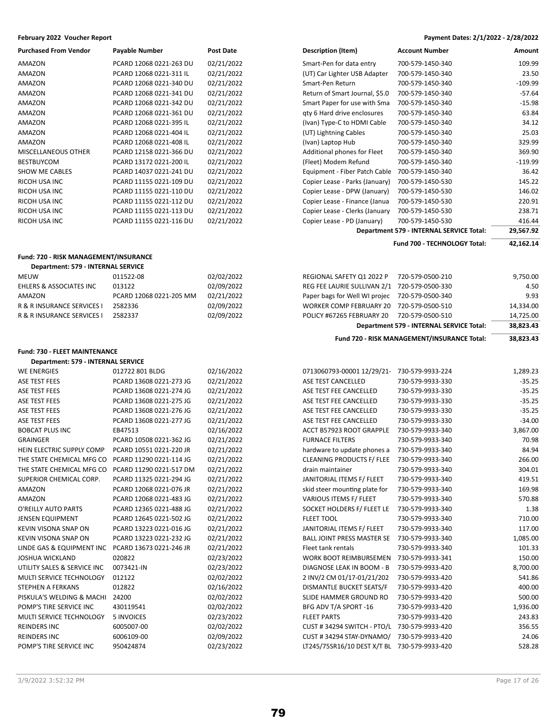| <b>Purchased From Vendor</b> | Payable Number          | <b>Post Date</b> |
|------------------------------|-------------------------|------------------|
| AMAZON                       | PCARD 12068 0221-263 DU | 02/21/2022       |
| AMAZON                       | PCARD 12068 0221-311 IL | 02/21/2022       |
| AMAZON                       | PCARD 12068 0221-340 DU | 02/21/2022       |
| AMAZON                       | PCARD 12068 0221-341 DU | 02/21/2022       |
| AMAZON                       | PCARD 12068 0221-342 DU | 02/21/2022       |
| AMAZON                       | PCARD 12068 0221-361 DU | 02/21/2022       |
| AMAZON                       | PCARD 12068 0221-395 IL | 02/21/2022       |
| AMAZON                       | PCARD 12068 0221-404 IL | 02/21/2022       |
| AMAZON                       | PCARD 12068 0221-408 IL | 02/21/2022       |
| MISCELLANEOUS OTHER          | PCARD 12158 0221-366 DU | 02/21/2022       |
| <b>BESTBUYCOM</b>            | PCARD 13172 0221-200 IL | 02/21/2022       |
| <b>SHOW ME CABLES</b>        | PCARD 14037 0221-241 DU | 02/21/2022       |
| RICOH USA INC                | PCARD 11155 0221-109 DU | 02/21/2022       |
| RICOH USA INC                | PCARD 11155 0221-110 DU | 02/21/2022       |
| RICOH USA INC                | PCARD 11155 0221-112 DU | 02/21/2022       |
| RICOH USA INC                | PCARD 11155 0221-113 DU | 02/21/2022       |
| RICOH USA INC                | PCARD 11155 0221-116 DU | 02/21/2022       |

## **Fund: 720 - RISK MANAGEMENT/INSURANCE**

| Department: 579 - INTERNAL SERVICE |            |  |  |  |
|------------------------------------|------------|--|--|--|
| 011522-08                          | 02/02/2022 |  |  |  |
| 013122                             | 02/09/2022 |  |  |  |
| PCARD 12068 0221-205 MM            | 02/21/2022 |  |  |  |
| 2582336                            | 02/09/2022 |  |  |  |
| 2582337                            | 02/09/2022 |  |  |  |
|                                    |            |  |  |  |

## **Fund: 730 - FLEET MAINTENANCE**

## **Department: 579 - INTERNAL SERVICE**

| <b>WE ENERGIES</b>          | 012722 801 BLDG         | 02/16/2022 |
|-----------------------------|-------------------------|------------|
| <b>ASE TEST FEES</b>        | PCARD 13608 0221-273 JG | 02/21/2022 |
| <b>ASE TEST FEES</b>        | PCARD 13608 0221-274 JG | 02/21/2022 |
| <b>ASE TEST FEES</b>        | PCARD 13608 0221-275 JG | 02/21/2022 |
| <b>ASE TEST FEES</b>        | PCARD 13608 0221-276 JG | 02/21/2022 |
| ASE TEST FEES               | PCARD 13608 0221-277 JG | 02/21/2022 |
| <b>BOBCAT PLUS INC</b>      | EB47513                 | 02/16/2022 |
| <b>GRAINGER</b>             | PCARD 10508 0221-362 JG | 02/21/2022 |
| HEIN ELECTRIC SUPPLY COMP   | PCARD 10551 0221-220 JR | 02/21/2022 |
| THE STATE CHEMICAL MFG CO   | PCARD 11290 0221-114 JG | 02/21/2022 |
| THE STATE CHEMICAL MFG CO   | PCARD 11290 0221-517 DM | 02/21/2022 |
| SUPERIOR CHEMICAL CORP.     | PCARD 11325 0221-294 JG | 02/21/2022 |
| <b>AMAZON</b>               | PCARD 12068 0221-076 JR | 02/21/2022 |
| <b>AMAZON</b>               | PCARD 12068 0221-483 JG | 02/21/2022 |
| O'REILLY AUTO PARTS         | PCARD 12365 0221-488 JG | 02/21/2022 |
| <b>JENSEN EQUIPMENT</b>     | PCARD 12645 0221-502 JG | 02/21/2022 |
| <b>KEVIN VISONA SNAP ON</b> | PCARD 13223 0221-016 JG | 02/21/2022 |
| KEVIN VISONA SNAP ON        | PCARD 13223 0221-232 JG | 02/21/2022 |
| LINDE GAS & EQUIPMENT INC   | PCARD 13673 0221-246 JR | 02/21/2022 |
| <b>JOSHUA WICKLAND</b>      | 020822                  | 02/23/2022 |
| UTILITY SALES & SERVICE INC | 0073421-IN              | 02/23/2022 |
| MULTI SERVICE TECHNOLOGY    | 012122                  | 02/02/2022 |
| <b>STEPHEN A FERKANS</b>    | 012822                  | 02/16/2022 |
| PISKULA'S WELDING & MACHI   | 24200                   | 02/02/2022 |
| POMP'S TIRE SERVICE INC     | 430119541               | 02/02/2022 |
| MULTI SERVICE TECHNOLOGY    | <b>5 INVOICES</b>       | 02/23/2022 |
| <b>REINDERS INC</b>         | 6005007-00              | 02/02/2022 |
| <b>REINDERS INC</b>         | 6006109-00              | 02/09/2022 |
| POMP'S TIRE SERVICE INC     | 950424874               | 02/23/2022 |

**February 2022 Voucher Report Payment Dates: 2/1/2022 - 2/28/2022**

| <b>Purchased From Vendor</b>          | Payable Number          | Post Date  | <b>Description (Item)</b>      | <b>Account Number</b>                    | Amount    |
|---------------------------------------|-------------------------|------------|--------------------------------|------------------------------------------|-----------|
| AMAZON                                | PCARD 12068 0221-263 DU | 02/21/2022 | Smart-Pen for data entry       | 700-579-1450-340                         | 109.99    |
| AMAZON                                | PCARD 12068 0221-311 IL | 02/21/2022 | (UT) Car Lighter USB Adapter   | 700-579-1450-340                         | 23.50     |
| AMAZON                                | PCARD 12068 0221-340 DU | 02/21/2022 | Smart-Pen Return               | 700-579-1450-340                         | $-109.99$ |
| AMAZON                                | PCARD 12068 0221-341 DU | 02/21/2022 | Return of Smart Journal, \$5.0 | 700-579-1450-340                         | $-57.64$  |
| AMAZON                                | PCARD 12068 0221-342 DU | 02/21/2022 | Smart Paper for use with Sma   | 700-579-1450-340                         | $-15.98$  |
| AMAZON                                | PCARD 12068 0221-361 DU | 02/21/2022 | gty 6 Hard drive enclosures    | 700-579-1450-340                         | 63.84     |
| AMAZON                                | PCARD 12068 0221-395 IL | 02/21/2022 | (Ivan) Type-C to HDMI Cable    | 700-579-1450-340                         | 34.12     |
| AMAZON                                | PCARD 12068 0221-404 IL | 02/21/2022 | (UT) Lightning Cables          | 700-579-1450-340                         | 25.03     |
| AMAZON                                | PCARD 12068 0221-408 IL | 02/21/2022 | (Ivan) Laptop Hub              | 700-579-1450-340                         | 329.99    |
| MISCELLANEOUS OTHER                   | PCARD 12158 0221-366 DU | 02/21/2022 | Additional phones for Fleet    | 700-579-1450-340                         | 369.90    |
| BESTBUYCOM                            | PCARD 13172 0221-200 IL | 02/21/2022 | (Fleet) Modem Refund           | 700-579-1450-340                         | $-119.99$ |
| <b>SHOW ME CABLES</b>                 | PCARD 14037 0221-241 DU | 02/21/2022 | Equipment - Fiber Patch Cable  | 700-579-1450-340                         | 36.42     |
| RICOH USA INC                         | PCARD 11155 0221-109 DU | 02/21/2022 | Copier Lease - Parks (January) | 700-579-1450-530                         | 145.22    |
| RICOH USA INC                         | PCARD 11155 0221-110 DU | 02/21/2022 | Copier Lease - DPW (January)   | 700-579-1450-530                         | 146.02    |
| RICOH USA INC                         | PCARD 11155 0221-112 DU | 02/21/2022 | Copier Lease - Finance (Janua  | 700-579-1450-530                         | 220.91    |
| RICOH USA INC                         | PCARD 11155 0221-113 DU | 02/21/2022 | Copier Lease - Clerks (January | 700-579-1450-530                         | 238.71    |
| RICOH USA INC                         | PCARD 11155 0221-116 DU | 02/21/2022 | Copier Lease - PD (January)    | 700-579-1450-530                         | 416.44    |
|                                       |                         |            |                                | Department 579 - INTERNAL SERVICE Total: | 29,567.92 |
|                                       |                         |            |                                | Fund 700 - TECHNOLOGY Total:             | 42,162.14 |
| Fund: 720 - RISK MANAGEMENT/INSURANCE |                         |            |                                |                                          |           |
|                                       |                         |            |                                |                                          |           |

|                                    |                         |            | Fund 720 - RISK MANAGEMENT/INSURANCE Total:    |                                          | 38,823.43 |
|------------------------------------|-------------------------|------------|------------------------------------------------|------------------------------------------|-----------|
|                                    |                         |            |                                                | Department 579 - INTERNAL SERVICE Total: | 38,823.43 |
| R & R INSURANCE SERVICES I         | 2582337                 | 02/09/2022 | POLICY #67265 FEBRUARY 20                      | 720-579-0500-510                         | 14,725.00 |
| R & R INSURANCE SERVICES I         | 2582336                 | 02/09/2022 | WORKER COMP FEBRUARY 20 720-579-0500-510       |                                          | 14,334.00 |
| AMAZON                             | PCARD 12068 0221-205 MM | 02/21/2022 | Paper bags for Well WI projec 720-579-0500-340 |                                          | 9.93      |
| <b>EHLERS &amp; ASSOCIATES INC</b> | 013122                  | 02/09/2022 | REG FEE LAURIE SULLIVAN 2/1 720-579-0500-330   |                                          | 4.50      |
| MEUW                               | 011522-08               | 02/02/2022 | REGIONAL SAFETY Q1 2022 P                      | 720-579-0500-210                         | 9,750.00  |

| WE ENERGIES                 | 012722 801 BLDG         | 02/16/2022 | 0713060793-00001 12/29/21-        | 730-579-9933-224 | 1,289.23 |
|-----------------------------|-------------------------|------------|-----------------------------------|------------------|----------|
| ASE TEST FEES               | PCARD 13608 0221-273 JG | 02/21/2022 | ASE TEST CANCELLED                | 730-579-9933-330 | $-35.25$ |
| ASE TEST FEES               | PCARD 13608 0221-274 JG | 02/21/2022 | ASE TEST FEE CANCELLED            | 730-579-9933-330 | $-35.25$ |
| ASE TEST FEES               | PCARD 13608 0221-275 JG | 02/21/2022 | ASE TEST FEE CANCELLED            | 730-579-9933-330 | $-35.25$ |
| ASE TEST FEES               | PCARD 13608 0221-276 JG | 02/21/2022 | ASE TEST FEE CANCELLED            | 730-579-9933-330 | $-35.25$ |
| ASE TEST FEES               | PCARD 13608 0221-277 JG | 02/21/2022 | ASE TEST FEE CANCELLED            | 730-579-9933-330 | $-34.00$ |
| <b>BOBCAT PLUS INC</b>      | EB47513                 | 02/16/2022 | ACCT B57923 ROOT GRAPPLE          | 730-579-9933-340 | 3,867.00 |
| <b>GRAINGER</b>             | PCARD 10508 0221-362 JG | 02/21/2022 | <b>FURNACE FILTERS</b>            | 730-579-9933-340 | 70.98    |
| HEIN ELECTRIC SUPPLY COMP   | PCARD 10551 0221-220 JR | 02/21/2022 | hardware to update phones a       | 730-579-9933-340 | 84.94    |
| THE STATE CHEMICAL MFG CO   | PCARD 11290 0221-114 JG | 02/21/2022 | <b>CLEANING PRODUCTS F/ FLEE</b>  | 730-579-9933-340 | 266.00   |
| THE STATE CHEMICAL MFG CO   | PCARD 11290 0221-517 DM | 02/21/2022 | drain maintainer                  | 730-579-9933-340 | 304.01   |
| SUPERIOR CHEMICAL CORP.     | PCARD 11325 0221-294 JG | 02/21/2022 | JANITORIAL ITEMS F/ FLEET         | 730-579-9933-340 | 419.51   |
| AMAZON                      | PCARD 12068 0221-076 JR | 02/21/2022 | skid steer mounting plate for     | 730-579-9933-340 | 169.98   |
| AMAZON                      | PCARD 12068 0221-483 JG | 02/21/2022 | VARIOUS ITEMS F/ FLEET            | 730-579-9933-340 | 570.88   |
| O'REILLY AUTO PARTS         | PCARD 12365 0221-488 JG | 02/21/2022 | SOCKET HOLDERS F/ FLEET LE        | 730-579-9933-340 | 1.38     |
| JENSEN EQUIPMENT            | PCARD 12645 0221-502 JG | 02/21/2022 | <b>FLEET TOOL</b>                 | 730-579-9933-340 | 710.00   |
| KEVIN VISONA SNAP ON        | PCARD 13223 0221-016 JG | 02/21/2022 | JANITORIAL ITEMS F/ FLEET         | 730-579-9933-340 | 117.00   |
| KEVIN VISONA SNAP ON        | PCARD 13223 0221-232 JG | 02/21/2022 | <b>BALL JOINT PRESS MASTER SE</b> | 730-579-9933-340 | 1,085.00 |
| LINDE GAS & EQUIPMENT INC   | PCARD 13673 0221-246 JR | 02/21/2022 | Fleet tank rentals                | 730-579-9933-340 | 101.33   |
| JOSHUA WICKLAND             | 020822                  | 02/23/2022 | WORK BOOT REIMBURSEMEN            | 730-579-9933-341 | 150.00   |
| UTILITY SALES & SERVICE INC | 0073421-IN              | 02/23/2022 | DIAGNOSE LEAK IN BOOM - B         | 730-579-9933-420 | 8,700.00 |
| MULTI SERVICE TECHNOLOGY    | 012122                  | 02/02/2022 | 2 INV/2 CM 01/17-01/21/202        | 730-579-9933-420 | 541.86   |
| STEPHEN A FERKANS           | 012822                  | 02/16/2022 | DISMANTLE BUCKET SEATS/F          | 730-579-9933-420 | 400.00   |
| PISKULA'S WELDING & MACHI   | 24200                   | 02/02/2022 | SLIDE HAMMER GROUND RO            | 730-579-9933-420 | 500.00   |
| POMP'S TIRE SERVICE INC     | 430119541               | 02/02/2022 | BFG ADV T/A SPORT -16             | 730-579-9933-420 | 1,936.00 |
| MULTI SERVICE TECHNOLOGY    | 5 INVOICES              | 02/23/2022 | <b>FLEET PARTS</b>                | 730-579-9933-420 | 243.83   |
| REINDERS INC                | 6005007-00              | 02/02/2022 | CUST #34294 SWITCH - PTO/L        | 730-579-9933-420 | 356.55   |
| <b>REINDERS INC</b>         | 6006109-00              | 02/09/2022 | CUST #34294 STAY-DYNAMO/          | 730-579-9933-420 | 24.06    |
| POMP'S TIRE SERVICE INC     | 950424874               | 02/23/2022 | LT245/75SR16/10 DEST X/T BL       | 730-579-9933-420 | 528.28   |
|                             |                         |            |                                   |                  |          |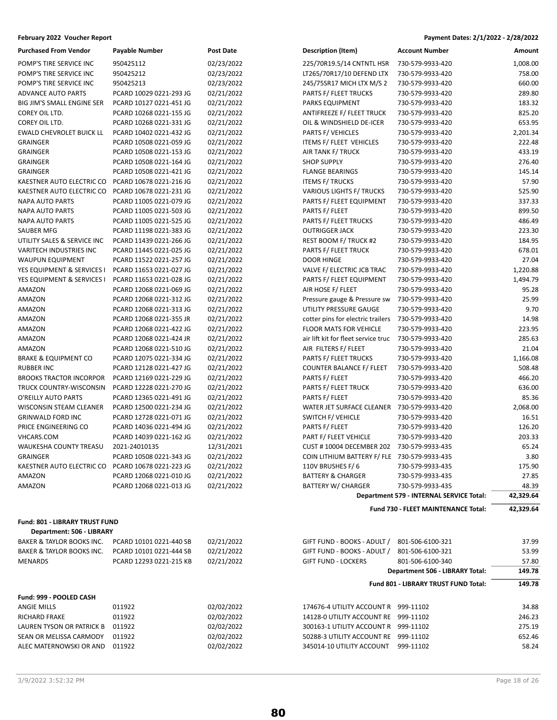| <b>Purchased From Vendor</b>    | Payable Number          | Post Date  |
|---------------------------------|-------------------------|------------|
| POMP'S TIRE SERVICE INC         | 950425112               | 02/23/2022 |
| POMP'S TIRE SERVICE INC         | 950425212               | 02/23/2022 |
| POMP'S TIRE SERVICE INC         | 950425213               | 02/23/2022 |
| <b>ADVANCE AUTO PARTS</b>       | PCARD 10029 0221-293 JG | 02/21/2022 |
| BIG JIM'S SMALL ENGINE SER      | PCARD 10127 0221-451 JG | 02/21/2022 |
| COREY OIL LTD.                  | PCARD 10268 0221-155 JG | 02/21/2022 |
| COREY OIL LTD.                  | PCARD 10268 0221-331 JG | 02/21/2022 |
| <b>EWALD CHEVROLET BUICK LL</b> | PCARD 10402 0221-432 JG | 02/21/2022 |
| <b>GRAINGER</b>                 | PCARD 10508 0221-059 JG | 02/21/2022 |
| <b>GRAINGER</b>                 | PCARD 10508 0221-153 JG | 02/21/2022 |
| <b>GRAINGER</b>                 | PCARD 10508 0221-164 JG | 02/21/2022 |
| <b>GRAINGER</b>                 | PCARD 10508 0221-421 JG | 02/21/2022 |
| KAESTNER AUTO ELECTRIC CO       | PCARD 10678 0221-216 JG | 02/21/2022 |
| KAESTNER AUTO ELECTRIC CO       | PCARD 10678 0221-231 JG | 02/21/2022 |
| <b>NAPA AUTO PARTS</b>          | PCARD 11005 0221-079 JG | 02/21/2022 |
| <b>NAPA AUTO PARTS</b>          | PCARD 11005 0221-503 JG | 02/21/2022 |
| <b>NAPA AUTO PARTS</b>          | PCARD 11005 0221-525 JG | 02/21/2022 |
| <b>SAUBER MFG</b>               | PCARD 11198 0221-383 JG | 02/21/2022 |
| UTILITY SALES & SERVICE INC     | PCARD 11439 0221-266 JG | 02/21/2022 |
| <b>VARITECH INDUSTRIES INC</b>  | PCARD 11445 0221-025 JG | 02/21/2022 |
| <b>WAUPUN EQUIPMENT</b>         | PCARD 11522 0221-257 JG | 02/21/2022 |
| YES EQUIPMENT & SERVICES I      | PCARD 11653 0221-027 JG | 02/21/2022 |
| YES EQUIPMENT & SERVICES I      | PCARD 11653 0221-028 JG | 02/21/2022 |
| <b>AMAZON</b>                   | PCARD 12068 0221-069 JG | 02/21/2022 |
| <b>AMAZON</b>                   | PCARD 12068 0221-312 JG | 02/21/2022 |
| <b>AMAZON</b>                   | PCARD 12068 0221-313 JG | 02/21/2022 |
| <b>AMAZON</b>                   | PCARD 12068 0221-355 JR | 02/21/2022 |
| AMAZON                          | PCARD 12068 0221-422 JG | 02/21/2022 |
| <b>AMAZON</b>                   | PCARD 12068 0221-424 JR | 02/21/2022 |
| <b>AMAZON</b>                   | PCARD 12068 0221-510 JG | 02/21/2022 |
| <b>BRAKE &amp; EQUIPMENT CO</b> | PCARD 12075 0221-334 JG | 02/21/2022 |
| <b>RUBBER INC</b>               | PCARD 12128 0221-427 JG | 02/21/2022 |
| <b>BROOKS TRACTOR INCORPOR</b>  | PCARD 12169 0221-229 JG | 02/21/2022 |
| TRUCK COUNTRY-WISCONSIN         | PCARD 12228 0221-270 JG | 02/21/2022 |
| O'REILLY AUTO PARTS             | PCARD 12365 0221-491 JG | 02/21/2022 |
| <b>WISCONSIN STEAM CLEANER</b>  | PCARD 12500 0221-234 JG | 02/21/2022 |
| <b>GRINWALD FORD INC</b>        | PCARD 12728 0221-071 JG | 02/21/2022 |
| PRICE ENGINEERING CO            | PCARD 14036 0221-494 JG | 02/21/2022 |
| <b>VHCARS.COM</b>               | PCARD 14039 0221-162 JG | 02/21/2022 |
| <b>WAUKESHA COUNTY TREASU</b>   | 2021-24010135           | 12/31/2021 |
| <b>GRAINGER</b>                 | PCARD 10508 0221-343 JG | 02/21/2022 |
| KAESTNER AUTO ELECTRIC CO       | PCARD 10678 0221-223 JG | 02/21/2022 |
| <b>AMAZON</b>                   | PCARD 12068 0221-010 JG | 02/21/2022 |
| <b>AMAZON</b>                   | PCARD 12068 0221-013 JG | 02/21/2022 |
|                                 |                         |            |

**Fund: 801 - LIBRARY TRUST FUND Department: 506 - LIBRARY**

| PCARD 10101 0221-440 SB | 02/21/2022 | GIFT FUND - BOOKS - ADULT /<br>801-506-6100-321 | 37.99  |
|-------------------------|------------|-------------------------------------------------|--------|
| PCARD 10101 0221-444 SB | 02/21/2022 | GIFT FUND - BOOKS - ADULT /<br>801-506-6100-321 | 53.99  |
| PCARD 12293 0221-215 KB | 02/21/2022 | <b>GIFT FUND - LOCKERS</b><br>801-506-6100-340  | 57.80  |
|                         |            | Department 506 - LIBRARY Total:                 | 149.78 |
|                         |            | <b>Fund 801 - LIBRARY TRUST FUND Total:</b>     | 149.78 |
|                         |            |                                                 |        |
| 011922                  | 02/02/2022 | 174676-4 UTILITY ACCOUNT R<br>999-11102         | 34.88  |
| 011922                  | 02/02/2022 | 14128-0 UTILITY ACCOUNT RE<br>999-11102         | 246.23 |
| 011922                  | 02/02/2022 | 300163-1 UTILITY ACCOUNT R<br>999-11102         | 275.19 |
| 011922                  | 02/02/2022 | 50288-3 UTILITY ACCOUNT RE<br>999-11102         | 652.46 |
| 011922                  | 02/02/2022 | 345014-10 UTILITY ACCOUNT<br>999-11102          | 58.24  |
|                         |            |                                                 |        |

**February 2022 Voucher Report Payment Dates: 2/1/2022 - 2/28/2022**

| <b>Purchased From Vendor</b>    | <b>Payable Number</b>   | <b>Post Date</b> | Description (Item)                           | <b>Account Number</b>                    | Amount    |
|---------------------------------|-------------------------|------------------|----------------------------------------------|------------------------------------------|-----------|
| POMP'S TIRE SERVICE INC         | 950425112               | 02/23/2022       | 225/70R19.5/14 CNTNTL HSR                    | 730-579-9933-420                         | 1,008.00  |
| POMP'S TIRE SERVICE INC         | 950425212               | 02/23/2022       | LT265/70R17/10 DEFEND LTX                    | 730-579-9933-420                         | 758.00    |
| POMP'S TIRE SERVICE INC         | 950425213               | 02/23/2022       | 245/75SR17 MICH LTX M/S 2                    | 730-579-9933-420                         | 660.00    |
| <b>ADVANCE AUTO PARTS</b>       | PCARD 10029 0221-293 JG | 02/21/2022       | PARTS F/ FLEET TRUCKS                        | 730-579-9933-420                         | 289.80    |
| BIG JIM'S SMALL ENGINE SER      | PCARD 10127 0221-451 JG | 02/21/2022       | PARKS EQUIPMENT                              | 730-579-9933-420                         | 183.32    |
| COREY OIL LTD.                  | PCARD 10268 0221-155 JG | 02/21/2022       | ANTIFREEZE F/ FLEET TRUCK                    | 730-579-9933-420                         | 825.20    |
| COREY OIL LTD.                  | PCARD 10268 0221-331 JG | 02/21/2022       | OIL & WINDSHIELD DE-ICER                     | 730-579-9933-420                         | 653.95    |
| EWALD CHEVROLET BUICK LL        | PCARD 10402 0221-432 JG | 02/21/2022       | PARTS F/ VEHICLES                            | 730-579-9933-420                         | 2,201.34  |
| GRAINGER                        | PCARD 10508 0221-059 JG | 02/21/2022       | ITEMS F/ FLEET VEHICLES                      | 730-579-9933-420                         | 222.48    |
| <b>GRAINGER</b>                 | PCARD 10508 0221-153 JG | 02/21/2022       | AIR TANK F/ TRUCK                            | 730-579-9933-420                         | 433.19    |
| <b>GRAINGER</b>                 | PCARD 10508 0221-164 JG | 02/21/2022       | <b>SHOP SUPPLY</b>                           | 730-579-9933-420                         | 276.40    |
| <b>GRAINGER</b>                 | PCARD 10508 0221-421 JG | 02/21/2022       | <b>FLANGE BEARINGS</b>                       | 730-579-9933-420                         | 145.14    |
| KAESTNER AUTO ELECTRIC CO       | PCARD 10678 0221-216 JG | 02/21/2022       | <b>ITEMS F/ TRUCKS</b>                       | 730-579-9933-420                         | 57.90     |
| KAESTNER AUTO ELECTRIC CO       | PCARD 10678 0221-231 JG | 02/21/2022       | <b>VARIOUS LIGHTS F/ TRUCKS</b>              | 730-579-9933-420                         | 525.90    |
| <b>NAPA AUTO PARTS</b>          | PCARD 11005 0221-079 JG | 02/21/2022       | PARTS F/ FLEET EQUIPMENT                     | 730-579-9933-420                         | 337.33    |
| <b>NAPA AUTO PARTS</b>          | PCARD 11005 0221-503 JG | 02/21/2022       | PARTS F/ FLEET                               | 730-579-9933-420                         | 899.50    |
| <b>NAPA AUTO PARTS</b>          | PCARD 11005 0221-525 JG | 02/21/2022       | PARTS F/ FLEET TRUCKS                        | 730-579-9933-420                         | 486.49    |
| SAUBER MFG                      | PCARD 11198 0221-383 JG | 02/21/2022       | <b>OUTRIGGER JACK</b>                        | 730-579-9933-420                         | 223.30    |
| UTILITY SALES & SERVICE INC     | PCARD 11439 0221-266 JG | 02/21/2022       | REST BOOM F/ TRUCK #2                        | 730-579-9933-420                         | 184.95    |
| VARITECH INDUSTRIES INC         | PCARD 11445 0221-025 JG | 02/21/2022       | PARTS F/ FLEET TRUCK                         | 730-579-9933-420                         | 678.01    |
| WAUPUN EQUIPMENT                | PCARD 11522 0221-257 JG | 02/21/2022       | <b>DOOR HINGE</b>                            | 730-579-9933-420                         | 27.04     |
| YES EQUIPMENT & SERVICES I      | PCARD 11653 0221-027 JG | 02/21/2022       | VALVE F/ ELECTRIC JCB TRAC                   | 730-579-9933-420                         | 1,220.88  |
| YES EQUIPMENT & SERVICES I      | PCARD 11653 0221-028 JG | 02/21/2022       | PARTS F/ FLEET EQUIPMENT                     | 730-579-9933-420                         | 1,494.79  |
| AMAZON                          | PCARD 12068 0221-069 JG | 02/21/2022       | AIR HOSE F/ FLEET                            | 730-579-9933-420                         | 95.28     |
| AMAZON                          | PCARD 12068 0221-312 JG | 02/21/2022       | Pressure gauge & Pressure sw                 | 730-579-9933-420                         | 25.99     |
| AMAZON                          | PCARD 12068 0221-313 JG | 02/21/2022       | UTILITY PRESSURE GAUGE                       | 730-579-9933-420                         | 9.70      |
| AMAZON                          | PCARD 12068 0221-355 JR | 02/21/2022       | cotter pins for electric trailers            | 730-579-9933-420                         | 14.98     |
| AMAZON                          | PCARD 12068 0221-422 JG | 02/21/2022       | FLOOR MATS FOR VEHICLE                       | 730-579-9933-420                         | 223.95    |
| AMAZON                          | PCARD 12068 0221-424 JR | 02/21/2022       | air lift kit for fleet service truc          | 730-579-9933-420                         | 285.63    |
| AMAZON                          | PCARD 12068 0221-510 JG | 02/21/2022       | AIR FILTERS F/ FLEET                         | 730-579-9933-420                         | 21.04     |
| <b>BRAKE &amp; EQUIPMENT CO</b> | PCARD 12075 0221-334 JG | 02/21/2022       | PARTS F/ FLEET TRUCKS                        | 730-579-9933-420                         | 1,166.08  |
| <b>RUBBER INC</b>               | PCARD 12128 0221-427 JG | 02/21/2022       | <b>COUNTER BALANCE F/ FLEET</b>              | 730-579-9933-420                         | 508.48    |
| <b>BROOKS TRACTOR INCORPOR</b>  | PCARD 12169 0221-229 JG | 02/21/2022       | PARTS F/ FLEET                               | 730-579-9933-420                         | 466.20    |
| TRUCK COUNTRY-WISCONSIN         | PCARD 12228 0221-270 JG | 02/21/2022       | PARTS F/ FLEET TRUCK                         | 730-579-9933-420                         | 636.00    |
| O'REILLY AUTO PARTS             | PCARD 12365 0221-491 JG | 02/21/2022       | PARTS F/ FLEET                               | 730-579-9933-420                         | 85.36     |
| WISCONSIN STEAM CLEANER         | PCARD 12500 0221-234 JG | 02/21/2022       | WATER JET SURFACE CLEANER                    | 730-579-9933-420                         | 2,068.00  |
| <b>GRINWALD FORD INC</b>        | PCARD 12728 0221-071 JG | 02/21/2022       | <b>SWITCH F/ VEHICLE</b>                     | 730-579-9933-420                         | 16.51     |
| PRICE ENGINEERING CO            | PCARD 14036 0221-494 JG | 02/21/2022       | PARTS F/ FLEET                               | 730-579-9933-420                         | 126.20    |
| <b>VHCARS.COM</b>               | PCARD 14039 0221-162 JG | 02/21/2022       | PART F/ FLEET VEHICLE                        | 730-579-9933-420                         | 203.33    |
| WAUKESHA COUNTY TREASU          | 2021-24010135           | 12/31/2021       | CUST # 10004 DECEMBER 202                    | 730-579-9933-435                         | 65.24     |
| <b>GRAINGER</b>                 | PCARD 10508 0221-343 JG | 02/21/2022       | COIN LITHIUM BATTERY F/ FLE 730-579-9933-435 |                                          | 3.80      |
| KAESTNER AUTO ELECTRIC CO       | PCARD 10678 0221-223 JG | 02/21/2022       | 110V BRUSHES F/6                             | 730-579-9933-435                         | 175.90    |
| AMAZON                          | PCARD 12068 0221-010 JG | 02/21/2022       | <b>BATTERY &amp; CHARGER</b>                 | 730-579-9933-435                         | 27.85     |
| AMAZON                          | PCARD 12068 0221-013 JG | 02/21/2022       | <b>BATTERY W/ CHARGER</b>                    | 730-579-9933-435                         | 48.39     |
|                                 |                         |                  |                                              | Department 579 - INTERNAL SERVICE Total: | 42,329.64 |
|                                 |                         |                  |                                              |                                          |           |
|                                 |                         |                  |                                              | Fund 730 - FLEET MAINTENANCE Total:      | 42,329.64 |
|                                 |                         |                  |                                              |                                          |           |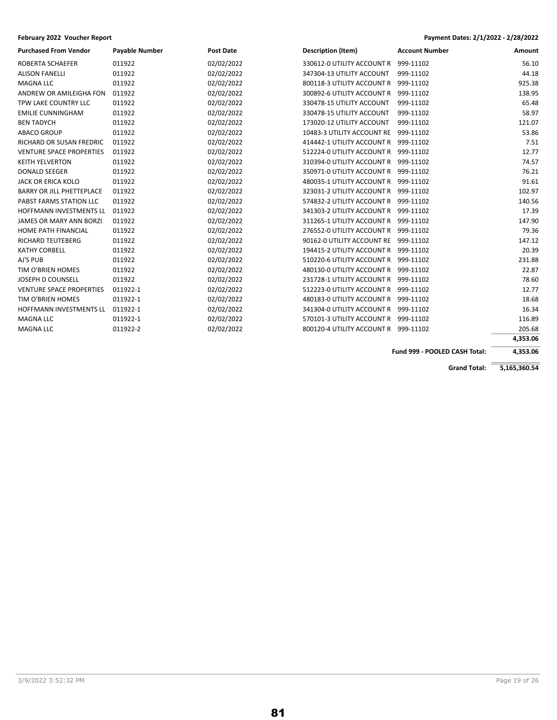| <b>Purchased From Vendor</b>     | <b>Payable Number</b> | <b>Post Date</b> | <b>Description (Item)</b>            | <b>Account Number</b> | Amount   |
|----------------------------------|-----------------------|------------------|--------------------------------------|-----------------------|----------|
| ROBERTA SCHAEFER                 | 011922                | 02/02/2022       | 330612-0 UTILITY ACCOUNT R           | 999-11102             | 56.10    |
| <b>ALISON FANELLI</b>            | 011922                | 02/02/2022       | 347304-13 UTILITY ACCOUNT            | 999-11102             | 44.18    |
| <b>MAGNA LLC</b>                 | 011922                | 02/02/2022       | 800118-3 UTILITY ACCOUNT R           | 999-11102             | 925.38   |
| ANDREW OR AMILEIGHA FON          | 011922                | 02/02/2022       | 300892-6 UTILITY ACCOUNT R           | 999-11102             | 138.95   |
| TPW LAKE COUNTRY LLC             | 011922                | 02/02/2022       | 330478-15 UTILITY ACCOUNT            | 999-11102             | 65.48    |
| <b>EMILIE CUNNINGHAM</b>         | 011922                | 02/02/2022       | 330478-15 UTILITY ACCOUNT            | 999-11102             | 58.97    |
| <b>BEN TADYCH</b>                | 011922                | 02/02/2022       | 173020-12 UTILITY ACCOUNT            | 999-11102             | 121.07   |
| <b>ABACO GROUP</b>               | 011922                | 02/02/2022       | 10483-3 UTILITY ACCOUNT RE           | 999-11102             | 53.86    |
| RICHARD OR SUSAN FREDRIC         | 011922                | 02/02/2022       | 414442-1 UTILITY ACCOUNT R           | 999-11102             | 7.51     |
| <b>VENTURE SPACE PROPERTIES</b>  | 011922                | 02/02/2022       | 512224-0 UTILITY ACCOUNT R           | 999-11102             | 12.77    |
| <b>KEITH YELVERTON</b>           | 011922                | 02/02/2022       | 310394-0 UTILITY ACCOUNT R           | 999-11102             | 74.57    |
| <b>DONALD SEEGER</b>             | 011922                | 02/02/2022       | 350971-0 UTILITY ACCOUNT R           | 999-11102             | 76.21    |
| <b>JACK OR ERICA KOLO</b>        | 011922                | 02/02/2022       | 480035-1 UTILITY ACCOUNT R           | 999-11102             | 91.61    |
| <b>BARRY OR JILL PHETTEPLACE</b> | 011922                | 02/02/2022       | 323031-2 UTILITY ACCOUNT R           | 999-11102             | 102.97   |
| PABST FARMS STATION LLC          | 011922                | 02/02/2022       | 574832-2 UTILITY ACCOUNT R           | 999-11102             | 140.56   |
| HOFFMANN INVESTMENTS LL          | 011922                | 02/02/2022       | 341303-2 UTILITY ACCOUNT R           | 999-11102             | 17.39    |
| <b>JAMES OR MARY ANN BORZI</b>   | 011922                | 02/02/2022       | 311265-1 UTILITY ACCOUNT R           | 999-11102             | 147.90   |
| <b>HOME PATH FINANCIAL</b>       | 011922                | 02/02/2022       | 276552-0 UTILITY ACCOUNT R           | 999-11102             | 79.36    |
| <b>RICHARD TEUTEBERG</b>         | 011922                | 02/02/2022       | 90162-0 UTILITY ACCOUNT RE           | 999-11102             | 147.12   |
| <b>KATHY CORBELL</b>             | 011922                | 02/02/2022       | 194415-2 UTILITY ACCOUNT R           | 999-11102             | 20.39    |
| AJ'S PUB                         | 011922                | 02/02/2022       | 510220-6 UTILITY ACCOUNT R           | 999-11102             | 231.88   |
| TIM O'BRIEN HOMES                | 011922                | 02/02/2022       | 480130-0 UTILITY ACCOUNT R           | 999-11102             | 22.87    |
| JOSEPH D COUNSELL                | 011922                | 02/02/2022       | 231728-1 UTILITY ACCOUNT R           | 999-11102             | 78.60    |
| <b>VENTURE SPACE PROPERTIES</b>  | 011922-1              | 02/02/2022       | 512223-0 UTILITY ACCOUNT R           | 999-11102             | 12.77    |
| TIM O'BRIEN HOMES                | 011922-1              | 02/02/2022       | 480183-0 UTILITY ACCOUNT R           | 999-11102             | 18.68    |
| <b>HOFFMANN INVESTMENTS LL</b>   | 011922-1              | 02/02/2022       | 341304-0 UTILITY ACCOUNT R           | 999-11102             | 16.34    |
| <b>MAGNA LLC</b>                 | 011922-1              | 02/02/2022       | 570101-3 UTILITY ACCOUNT R 999-11102 |                       | 116.89   |
| <b>MAGNA LLC</b>                 | 011922-2              | 02/02/2022       | 800120-4 UTILITY ACCOUNT R           | 999-11102             | 205.68   |
|                                  |                       |                  |                                      |                       | 4,353.06 |

**Fund 999 - POOLED CASH Total: 4,353.06**

**Grand Total: 5,165,360.54**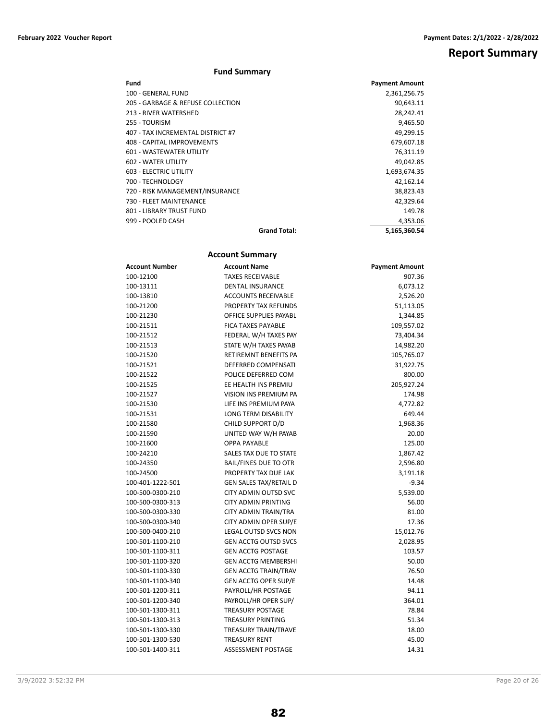# **Report Summary**

## **Fund Summary**

| Fund                              |                     | <b>Payment Amount</b> |
|-----------------------------------|---------------------|-----------------------|
| 100 - GENERAL FUND                |                     | 2,361,256.75          |
| 205 - GARBAGE & REFUSE COLLECTION |                     | 90,643.11             |
| 213 - RIVER WATERSHED             |                     | 28,242.41             |
| 255 - TOURISM                     |                     | 9,465.50              |
| 407 - TAX INCREMENTAL DISTRICT #7 |                     | 49.299.15             |
| 408 - CAPITAL IMPROVEMENTS        |                     | 679,607.18            |
| <b>601 - WASTEWATER UTILITY</b>   |                     | 76,311.19             |
| 602 - WATER UTILITY               |                     | 49,042.85             |
| <b>603 - ELECTRIC UTILITY</b>     |                     | 1,693,674.35          |
| 700 - TECHNOLOGY                  |                     | 42.162.14             |
| 720 - RISK MANAGEMENT/INSURANCE   |                     | 38,823.43             |
| 730 - FLEET MAINTENANCE           |                     | 42,329.64             |
| 801 - LIBRARY TRUST FUND          |                     | 149.78                |
| 999 - POOLED CASH                 |                     | 4,353.06              |
|                                   | <b>Grand Total:</b> | 5,165,360.54          |

# **Account Summary Account Number Account Name Payment Amount** 100-12100 TAXES RECEIVABLE 907.36 100-13111 DENTAL INSURANCE 6,073.12 100-13810 ACCOUNTS RECEIVABLE 2,526.20 100-21200 PROPERTY TAX REFUNDS 51,113.05 100-21230 OFFICE SUPPLIES PAYABL 1,344.85 100-21511 FICA TAXES PAYABLE 109,557.02 100-21512 FEDERAL W/H TAXES PAY 73,404.34 100-21513 STATE W/H TAXES PAYAB 14,982.20 100-21520 RETIREMNT BENEFITS PA 105,765.07 100-21521 DEFERRED COMPENSATI 31,922.75 100-21522 POLICE DEFERRED COM 800.00 100-21525 EE HEALTH INS PREMIU 205,927.24 100-21527 VISION INS PREMIUM PA 174.98 100-21530 LIFE INS PREMIUM PAYA 4,772.82 100-21531 LONG TERM DISABILITY 649.44 100-21580 CHILD SUPPORT D/D 1,968.36 100-21590 UNITED WAY W/H PAYAB 20.00 100-21600 OPPA PAYABLE 125.00 100-24210 SALES TAX DUE TO STATE 1,867.42 100-24350 BAIL/FINES DUE TO OTR 2,596.80 100-24500 PROPERTY TAX DUE LAK 3,191.18 100-401-1222-501 GEN SALES TAX/RETAIL D -9.34 100-500-0300-210 CITY ADMIN OUTSD SVC 5,539.00 100-500-0300-313 CITY ADMIN PRINTING 56.00 100-500-0300-330 CITY ADMIN TRAIN/TRA 81.00 100-500-0300-340 CITY ADMIN OPER SUP/E 17.36 100-500-0400-210 LEGAL OUTSD SVCS NON 15,012.76 100-501-1100-210 GEN ACCTG OUTSD SVCS 2,028.95 100-501-1100-311 GEN ACCTG POSTAGE 103.57 100-501-1100-320 GEN ACCTG MEMBERSHI 50.00 100-501-1100-330 GEN ACCTG TRAIN/TRAV 76.50 100-501-1100-340 GEN ACCTG OPER SUP/E 14.48 100-501-1200-311 PAYROLL/HR POSTAGE 94.11 100-501-1200-340 PAYROLL/HR OPER SUP/ 364.01 100-501-1300-311 TREASURY POSTAGE 78.84 100-501-1300-313 TREASURY PRINTING 51.34 100-501-1300-330 TREASURY TRAIN/TRAVE 18.00 100-501-1300-530 TREASURY RENT 45.00 100-501-1400-311 ASSESSMENT POSTAGE 14.31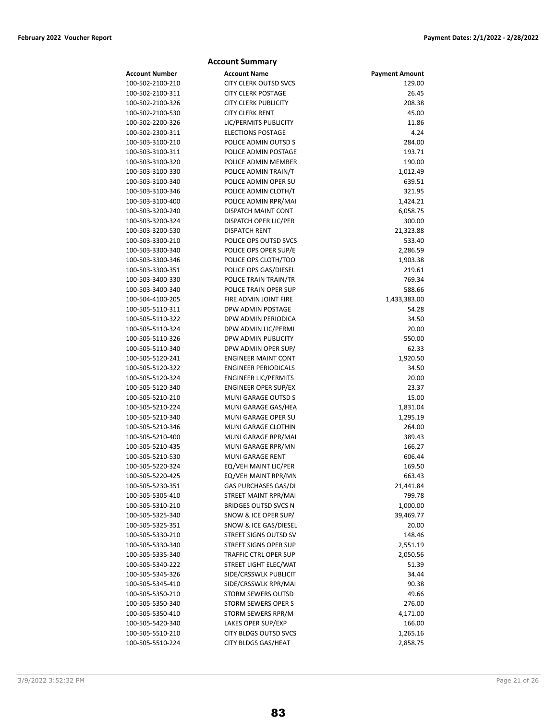|                       | <b>Account Summary</b>       |                       |
|-----------------------|------------------------------|-----------------------|
| <b>Account Number</b> | <b>Account Name</b>          | <b>Payment Amount</b> |
| 100-502-2100-210      | <b>CITY CLERK OUTSD SVCS</b> | 129.00                |
| 100-502-2100-311      | <b>CITY CLERK POSTAGE</b>    | 26.45                 |
| 100-502-2100-326      | <b>CITY CLERK PUBLICITY</b>  | 208.38                |
| 100-502-2100-530      | <b>CITY CLERK RENT</b>       | 45.00                 |
| 100-502-2200-326      | LIC/PERMITS PUBLICITY        | 11.86                 |
| 100-502-2300-311      | <b>ELECTIONS POSTAGE</b>     | 4.24                  |
| 100-503-3100-210      | POLICE ADMIN OUTSD S         | 284.00                |
| 100-503-3100-311      | POLICE ADMIN POSTAGE         | 193.71                |
| 100-503-3100-320      | POLICE ADMIN MEMBER          | 190.00                |
| 100-503-3100-330      | POLICE ADMIN TRAIN/T         | 1,012.49              |
| 100-503-3100-340      | POLICE ADMIN OPER SU         | 639.51                |
| 100-503-3100-346      | POLICE ADMIN CLOTH/T         | 321.95                |
| 100-503-3100-400      | POLICE ADMIN RPR/MAI         | 1,424.21              |
| 100-503-3200-240      | DISPATCH MAINT CONT          | 6,058.75              |
| 100-503-3200-324      | DISPATCH OPER LIC/PER        | 300.00                |
| 100-503-3200-530      | <b>DISPATCH RENT</b>         | 21,323.88             |
| 100-503-3300-210      | POLICE OPS OUTSD SVCS        | 533.40                |
| 100-503-3300-340      | POLICE OPS OPER SUP/E        | 2,286.59              |
| 100-503-3300-346      | POLICE OPS CLOTH/TOO         | 1,903.38              |
| 100-503-3300-351      | POLICE OPS GAS/DIESEL        | 219.61                |
| 100-503-3400-330      | POLICE TRAIN TRAIN/TR        | 769.34                |
| 100-503-3400-340      | POLICE TRAIN OPER SUP        | 588.66                |
| 100-504-4100-205      | FIRE ADMIN JOINT FIRE        | 1,433,383.00          |
| 100-505-5110-311      | DPW ADMIN POSTAGE            | 54.28                 |
| 100-505-5110-322      | DPW ADMIN PERIODICA          | 34.50                 |
| 100-505-5110-324      | DPW ADMIN LIC/PERMI          | 20.00                 |
| 100-505-5110-326      | DPW ADMIN PUBLICITY          | 550.00                |
| 100-505-5110-340      | DPW ADMIN OPER SUP/          | 62.33                 |
| 100-505-5120-241      | <b>ENGINEER MAINT CONT</b>   | 1,920.50              |
| 100-505-5120-322      | <b>ENGINEER PERIODICALS</b>  | 34.50                 |
| 100-505-5120-324      | <b>ENGINEER LIC/PERMITS</b>  | 20.00                 |
| 100-505-5120-340      | <b>ENGINEER OPER SUP/EX</b>  | 23.37                 |
| 100-505-5210-210      | MUNI GARAGE OUTSD S          | 15.00                 |
| 100-505-5210-224      | MUNI GARAGE GAS/HEA          | 1,831.04              |
| 100-505-5210-340      | MUNI GARAGE OPER SU          | 1,295.19              |
| 100-505-5210-346      | MUNI GARAGE CLOTHIN          | 264.00                |
| 100-505-5210-400      | MUNI GARAGE RPR/MAI          | 389.43                |
| 100-505-5210-435      | MUNI GARAGE RPR/MN           | 166.27                |
| 100-505-5210-530      | <b>MUNI GARAGE RENT</b>      | 606.44                |
| 100-505-5220-324      | EQ/VEH MAINT LIC/PER         | 169.50                |
| 100-505-5220-425      | EQ/VEH MAINT RPR/MN          | 663.43                |
| 100-505-5230-351      | <b>GAS PURCHASES GAS/DI</b>  | 21,441.84             |
| 100-505-5305-410      | STREET MAINT RPR/MAI         | 799.78                |
| 100-505-5310-210      | <b>BRIDGES OUTSD SVCS N</b>  | 1,000.00              |
| 100-505-5325-340      | SNOW & ICE OPER SUP/         | 39,469.77             |
| 100-505-5325-351      | SNOW & ICE GAS/DIESEL        | 20.00                 |
| 100-505-5330-210      | STREET SIGNS OUTSD SV        | 148.46                |
| 100-505-5330-340      | <b>STREET SIGNS OPER SUP</b> | 2,551.19              |
| 100-505-5335-340      | TRAFFIC CTRL OPER SUP        | 2,050.56              |
| 100-505-5340-222      | STREET LIGHT ELEC/WAT        | 51.39                 |
| 100-505-5345-326      | SIDE/CRSSWLK PUBLICIT        | 34.44                 |
| 100-505-5345-410      | SIDE/CRSSWLK RPR/MAI         | 90.38                 |
| 100-505-5350-210      | STORM SEWERS OUTSD           | 49.66                 |
| 100-505-5350-340      | <b>STORM SEWERS OPER S</b>   | 276.00                |
| 100-505-5350-410      | STORM SEWERS RPR/M           | 4,171.00              |
| 100-505-5420-340      | LAKES OPER SUP/EXP           | 166.00                |
| 100-505-5510-210      | <b>CITY BLDGS OUTSD SVCS</b> | 1,265.16              |
| 100-505-5510-224      | <b>CITY BLDGS GAS/HEAT</b>   | 2,858.75              |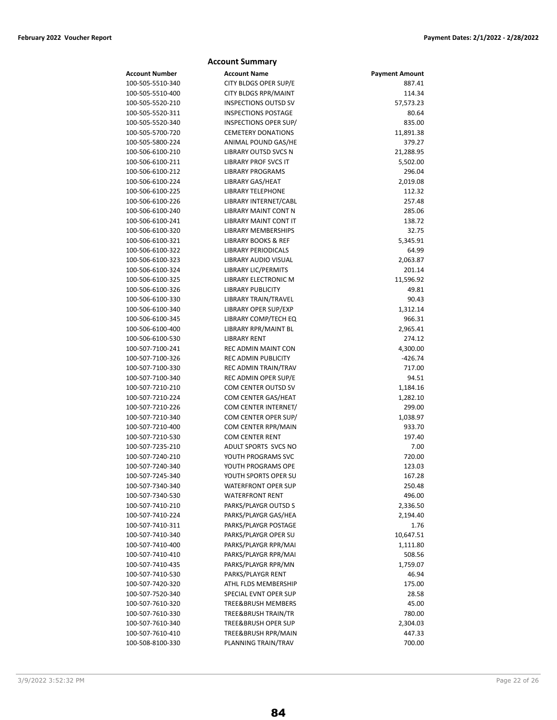# **Account Summary Account Number 6 Account Name Account Payment Amount**

| 100-505-5510-340 | CITY BLDGS OPER SUP/E          | 887.41    |
|------------------|--------------------------------|-----------|
| 100-505-5510-400 | <b>CITY BLDGS RPR/MAINT</b>    | 114.34    |
| 100-505-5520-210 | <b>INSPECTIONS OUTSD SV</b>    | 57,573.23 |
| 100-505-5520-311 | <b>INSPECTIONS POSTAGE</b>     | 80.64     |
| 100-505-5520-340 | INSPECTIONS OPER SUP/          | 835.00    |
| 100-505-5700-720 | <b>CEMETERY DONATIONS</b>      | 11,891.38 |
| 100-505-5800-224 | ANIMAL POUND GAS/HE            | 379.27    |
| 100-506-6100-210 | <b>LIBRARY OUTSD SVCS N</b>    | 21,288.95 |
| 100-506-6100-211 | <b>LIBRARY PROF SVCS IT</b>    | 5,502.00  |
| 100-506-6100-212 | <b>LIBRARY PROGRAMS</b>        | 296.04    |
| 100-506-6100-224 | LIBRARY GAS/HEAT               | 2,019.08  |
| 100-506-6100-225 | <b>LIBRARY TELEPHONE</b>       | 112.32    |
| 100-506-6100-226 | LIBRARY INTERNET/CABL          | 257.48    |
| 100-506-6100-240 | <b>LIBRARY MAINT CONT N</b>    | 285.06    |
| 100-506-6100-241 | LIBRARY MAINT CONT IT          | 138.72    |
| 100-506-6100-320 | LIBRARY MEMBERSHIPS            | 32.75     |
| 100-506-6100-321 | LIBRARY BOOKS & REF            | 5,345.91  |
| 100-506-6100-322 | LIBRARY PERIODICALS            | 64.99     |
| 100-506-6100-323 | LIBRARY AUDIO VISUAL           | 2,063.87  |
| 100-506-6100-324 | <b>LIBRARY LIC/PERMITS</b>     | 201.14    |
| 100-506-6100-325 | LIBRARY ELECTRONIC M           | 11,596.92 |
| 100-506-6100-326 | <b>LIBRARY PUBLICITY</b>       | 49.81     |
| 100-506-6100-330 | LIBRARY TRAIN/TRAVEL           | 90.43     |
| 100-506-6100-340 | LIBRARY OPER SUP/EXP           | 1,312.14  |
| 100-506-6100-345 | LIBRARY COMP/TECH EQ           | 966.31    |
| 100-506-6100-400 | LIBRARY RPR/MAINT BL           | 2,965.41  |
| 100-506-6100-530 | <b>LIBRARY RENT</b>            | 274.12    |
| 100-507-7100-241 | REC ADMIN MAINT CON            | 4,300.00  |
| 100-507-7100-326 | <b>REC ADMIN PUBLICITY</b>     | $-426.74$ |
| 100-507-7100-330 | REC ADMIN TRAIN/TRAV           | 717.00    |
| 100-507-7100-340 | REC ADMIN OPER SUP/E           | 94.51     |
| 100-507-7210-210 | COM CENTER OUTSD SV            | 1,184.16  |
| 100-507-7210-224 | COM CENTER GAS/HEAT            | 1,282.10  |
| 100-507-7210-226 | COM CENTER INTERNET/           | 299.00    |
| 100-507-7210-340 | COM CENTER OPER SUP/           | 1,038.97  |
| 100-507-7210-400 | COM CENTER RPR/MAIN            | 933.70    |
| 100-507-7210-530 | <b>COM CENTER RENT</b>         | 197.40    |
| 100-507-7235-210 | ADULT SPORTS SVCS NO           | 7.00      |
| 100-507-7240-210 | YOUTH PROGRAMS SVC             | 720.00    |
| 100-507-7240-340 | YOUTH PROGRAMS OPE             | 123.03    |
| 100-507-7245-340 | YOUTH SPORTS OPER SU           | 167.28    |
| 100-507-7340-340 | WATERFRONT OPER SUP            | 250.48    |
| 100-507-7340-530 | <b>WATERFRONT RENT</b>         | 496.00    |
|                  | PARKS/PLAYGR OUTSD S           |           |
| 100-507-7410-210 |                                | 2,336.50  |
| 100-507-7410-224 | PARKS/PLAYGR GAS/HEA           | 2,194.40  |
| 100-507-7410-311 | PARKS/PLAYGR POSTAGE           | 1.76      |
| 100-507-7410-340 | PARKS/PLAYGR OPER SU           | 10,647.51 |
| 100-507-7410-400 | PARKS/PLAYGR RPR/MAI           | 1,111.80  |
| 100-507-7410-410 | PARKS/PLAYGR RPR/MAI           | 508.56    |
| 100-507-7410-435 | PARKS/PLAYGR RPR/MN            | 1,759.07  |
| 100-507-7410-530 | PARKS/PLAYGR RENT              | 46.94     |
| 100-507-7420-320 | ATHL FLDS MEMBERSHIP           | 175.00    |
| 100-507-7520-340 | SPECIAL EVNT OPER SUP          | 28.58     |
| 100-507-7610-320 | TREE&BRUSH MEMBERS             | 45.00     |
| 100-507-7610-330 | TREE&BRUSH TRAIN/TR            | 780.00    |
| 100-507-7610-340 | <b>TREE&amp;BRUSH OPER SUP</b> | 2,304.03  |
| 100-507-7610-410 | TREE&BRUSH RPR/MAIN            | 447.33    |
| 100-508-8100-330 | PLANNING TRAIN/TRAV            | 700.00    |

### 3/9/2022 3:52:32 PM Page 22 of 26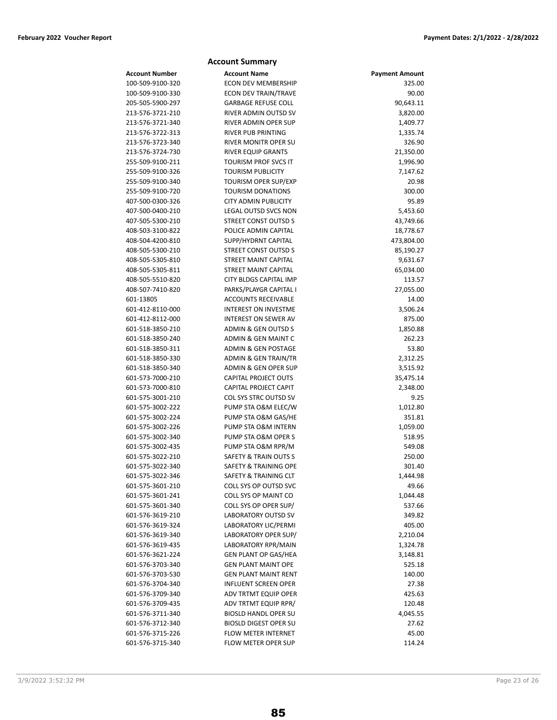# **Account Summary Account Number Account Name Payment Amount** 100-509-9100-320 ECON DEV MEMBERSHIP 325.00 100-509-9100-330 ECON DEV TRAIN/TRAVE 90.00 205-505-5900-297 GARBAGE REFUSE COLL 90,643.11 213-576-3721-210 RIVER ADMIN OUTSD SV 3,820.00 213-576-3721-340 RIVER ADMIN OPER SUP 1,409.77 213-576-3722-313 RIVER PUB PRINTING 1,335.74 213-576-3723-340 RIVER MONITR OPER SU 326.90 213-576-3724-730 RIVER EQUIP GRANTS 21,350.00 255-509-9100-211 TOURISM PROF SVCS IT 1,996.90 255-509-9100-326 TOURISM PUBLICITY 7,147.62 255-509-9100-340 TOURISM OPER SUP/EXP 20.98 255-509-9100-720 TOURISM DONATIONS 300.00 407-500-0300-326 CITY ADMIN PUBLICITY 95.89 407-500-0400-210 LEGAL OUTSD SVCS NON 5,453.60 407-505-5300-210 STREET CONST OUTSD S 43,749.66 408-503-3100-822 POLICE ADMIN CAPITAL 18,778.67 408-504-4200-810 SUPP/HYDRNT CAPITAL 473,804.00 408-505-5300-210 STREET CONST OUTSD S 85,190.27 408-505-5305-810 STREET MAINT CAPITAL 9,631.67 408-505-5305-811 STREET MAINT CAPITAL 65,034.00 408-505-5510-820 CITY BLDGS CAPITAL IMP 113.57 408-507-7410-820 PARKS/PLAYGR CAPITAL I 27,055.00 601-13805 ACCOUNTS RECEIVABLE 14.00 601-412-8110-000 INTEREST ON INVESTME 3,506.24 601-412-8112-000 INTEREST ON SEWER AV 875.00 601-518-3850-210 ADMIN & GEN OUTSD S 1,850.88 601-518-3850-240 ADMIN & GEN MAINT C 262.23 601-518-3850-311 ADMIN & GEN POSTAGE 53.80 601-518-3850-330 ADMIN & GEN TRAIN/TR 2,312.25 601-518-3850-340 ADMIN & GEN OPER SUP 3,515.92 601-573-7000-210 CAPITAL PROJECT OUTS 35,475.14 601-573-7000-810 CAPITAL PROJECT CAPIT 2,348.00 601-575-3001-210 COL SYS STRC OUTSD SV 9.25 601-575-3002-222 PUMP STA O&M ELEC/W 1,012.80 601-575-3002-224 PUMP STA O&M GAS/HE 351.81 601-575-3002-226 PUMP STA O&M INTERN 1,059.00 601-575-3002-340 PUMP STA O&M OPER S 518.95 601-575-3002-435 PUMP STA O&M RPR/M 549.08 601-575-3022-210 SAFETY & TRAIN OUTS S 250.00 601-575-3022-340 SAFETY & TRAINING OPE 301.40 601-575-3022-346 SAFETY & TRAINING CLT 1,444.98 601-575-3601-210 COLL SYS OP OUTSD SVC 49.66 601-575-3601-241 COLL SYS OP MAINT CO 1,044.48 601-575-3601-340 COLL SYS OP OPER SUP/ 537.66 601-576-3619-210 LABORATORY OUTSD SV 349.82 601-576-3619-324 LABORATORY LIC/PERMI 405.00 601-576-3619-340 LABORATORY OPER SUP/ 2,210.04 601-576-3619-435 LABORATORY RPR/MAIN 1,324.78 601-576-3621-224 GEN PLANT OP GAS/HEA 3,148.81 601-576-3703-340 GEN PLANT MAINT OPE 525.18 601-576-3703-530 GEN PLANT MAINT RENT 140.00 601-576-3704-340 INFLUENT SCREEN OPER 27.38 601-576-3709-340 ADV TRTMT EQUIP OPER 425.63 601-576-3709-435 ADV TRTMT EQUIP RPR/ 120.48 601-576-3711-340 BIOSLD HANDL OPER SU 4,045.55 601-576-3712-340 BIOSLD DIGEST OPER SU 27.62 601-576-3715-226 FLOW METER INTERNET 45.00 601-576-3715-340 FLOW METER OPER SUP 114.24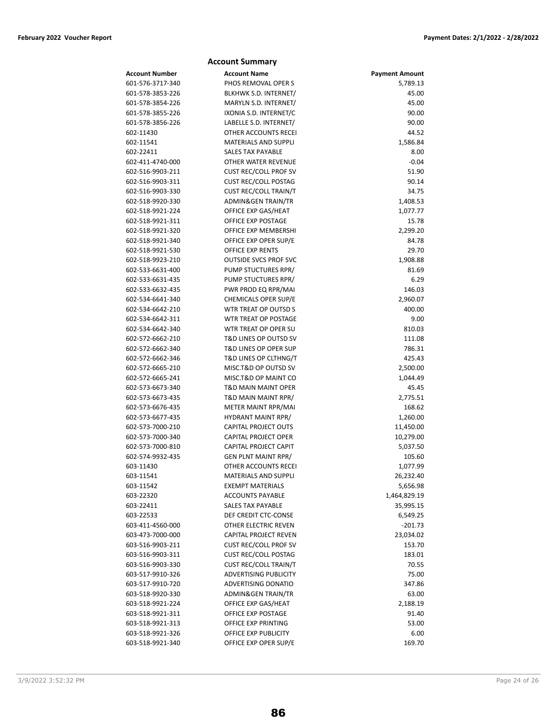|                                      | <b>Account Summary</b>                              |                       |
|--------------------------------------|-----------------------------------------------------|-----------------------|
| <b>Account Number</b>                | <b>Account Name</b>                                 | <b>Payment Amount</b> |
| 601-576-3717-340                     | PHOS REMOVAL OPER S                                 | 5,789.13              |
| 601-578-3853-226                     | BLKHWK S.D. INTERNET/                               | 45.00                 |
| 601-578-3854-226                     | MARYLN S.D. INTERNET/                               | 45.00                 |
| 601-578-3855-226                     | IXONIA S.D. INTERNET/C                              | 90.00                 |
| 601-578-3856-226                     | LABELLE S.D. INTERNET/                              | 90.00                 |
| 602-11430                            | OTHER ACCOUNTS RECEI                                | 44.52                 |
| 602-11541                            | <b>MATERIALS AND SUPPLI</b>                         | 1,586.84              |
| 602-22411                            | <b>SALES TAX PAYABLE</b>                            | 8.00                  |
| 602-411-4740-000                     | OTHER WATER REVENUE                                 | $-0.04$               |
| 602-516-9903-211                     | <b>CUST REC/COLL PROF SV</b>                        | 51.90                 |
| 602-516-9903-311                     | <b>CUST REC/COLL POSTAG</b>                         | 90.14                 |
| 602-516-9903-330                     | <b>CUST REC/COLL TRAIN/T</b>                        | 34.75                 |
| 602-518-9920-330                     | ADMIN&GEN TRAIN/TR                                  | 1,408.53              |
| 602-518-9921-224                     | OFFICE EXP GAS/HEAT                                 | 1,077.77              |
| 602-518-9921-311                     | OFFICE EXP POSTAGE                                  | 15.78                 |
| 602-518-9921-320                     | OFFICE EXP MEMBERSHI                                | 2,299.20              |
| 602-518-9921-340                     | OFFICE EXP OPER SUP/E                               | 84.78                 |
| 602-518-9921-530                     | OFFICE EXP RENTS                                    | 29.70                 |
| 602-518-9923-210                     | <b>OUTSIDE SVCS PROF SVC</b>                        | 1,908.88              |
| 602-533-6631-400                     | PUMP STUCTURES RPR/                                 | 81.69                 |
| 602-533-6631-435                     | PUMP STUCTURES RPR/                                 | 6.29                  |
| 602-533-6632-435                     | PWR PROD EQ RPR/MAI                                 | 146.03                |
| 602-534-6641-340                     | CHEMICALS OPER SUP/E                                | 2,960.07              |
| 602-534-6642-210                     | WTR TREAT OP OUTSD S                                | 400.00                |
| 602-534-6642-311                     | WTR TREAT OP POSTAGE                                | 9.00                  |
| 602-534-6642-340                     | WTR TREAT OP OPER SU                                | 810.03                |
| 602-572-6662-210                     | <b>T&amp;D LINES OP OUTSD SV</b>                    | 111.08                |
| 602-572-6662-340                     | <b>T&amp;D LINES OP OPER SUP</b>                    | 786.31                |
| 602-572-6662-346                     | T&D LINES OP CLTHNG/T                               | 425.43                |
| 602-572-6665-210                     | MISC.T&D OP OUTSD SV                                | 2,500.00              |
| 602-572-6665-241                     | MISC.T&D OP MAINT CO                                | 1,044.49              |
| 602-573-6673-340                     | <b>T&amp;D MAIN MAINT OPER</b>                      | 45.45                 |
| 602-573-6673-435                     | T&D MAIN MAINT RPR/                                 | 2,775.51              |
| 602-573-6676-435                     | METER MAINT RPR/MAI                                 | 168.62                |
| 602-573-6677-435                     | <b>HYDRANT MAINT RPR/</b>                           | 1,260.00              |
| 602-573-7000-210                     | CAPITAL PROJECT OUTS                                | 11,450.00             |
| 602-573-7000-340                     | <b>CAPITAL PROJECT OPER</b>                         | 10,279.00             |
| 602-573-7000-810                     | CAPITAL PROJECT CAPIT                               | 5,037.50              |
| 602-574-9932-435                     | <b>GEN PLNT MAINT RPR/</b>                          | 105.60                |
| 603-11430                            | OTHER ACCOUNTS RECEI                                | 1,077.99              |
| 603-11541                            | <b>MATERIALS AND SUPPLI</b>                         | 26,232.40             |
| 603-11542                            | <b>EXEMPT MATERIALS</b>                             | 5,656.98              |
| 603-22320                            | <b>ACCOUNTS PAYABLE</b><br><b>SALES TAX PAYABLE</b> | 1,464,829.19          |
| 603-22411                            | DEF CREDIT CTC-CONSE                                | 35,995.15             |
| 603-22533                            | OTHER ELECTRIC REVEN                                | 6,549.25              |
| 603-411-4560-000<br>603-473-7000-000 | CAPITAL PROJECT REVEN                               | $-201.73$             |
| 603-516-9903-211                     | <b>CUST REC/COLL PROF SV</b>                        | 23,034.02<br>153.70   |
| 603-516-9903-311                     | <b>CUST REC/COLL POSTAG</b>                         | 183.01                |
| 603-516-9903-330                     | <b>CUST REC/COLL TRAIN/T</b>                        | 70.55                 |
| 603-517-9910-326                     | <b>ADVERTISING PUBLICITY</b>                        | 75.00                 |
| 603-517-9910-720                     | ADVERTISING DONATIO                                 | 347.86                |
| 603-518-9920-330                     | ADMIN&GEN TRAIN/TR                                  | 63.00                 |
| 603-518-9921-224                     | OFFICE EXP GAS/HEAT                                 | 2,188.19              |
| 603-518-9921-311                     | OFFICE EXP POSTAGE                                  | 91.40                 |
| 603-518-9921-313                     | OFFICE EXP PRINTING                                 | 53.00                 |
| 603-518-9921-326                     | OFFICE EXP PUBLICITY                                | 6.00                  |
| 603-518-9921-340                     | OFFICE EXP OPER SUP/E                               | 169.70                |
|                                      |                                                     |                       |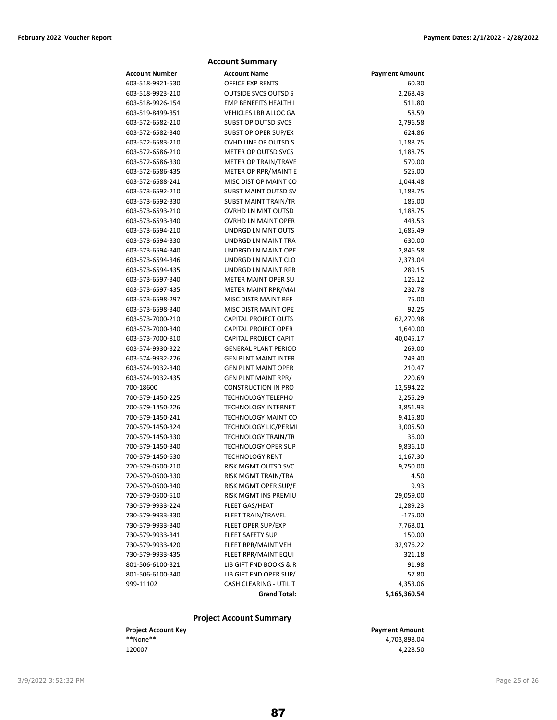|                  | <b>Account Summary</b>         |                       |
|------------------|--------------------------------|-----------------------|
| Account Number   | <b>Account Name</b>            | <b>Payment Amount</b> |
| 603-518-9921-530 | <b>OFFICE EXP RENTS</b>        | 60.30                 |
| 603-518-9923-210 | <b>OUTSIDE SVCS OUTSD S</b>    | 2,268.43              |
| 603-518-9926-154 | EMP BENEFITS HEALTH I          | 511.80                |
| 603-519-8499-351 | <b>VEHICLES LBR ALLOC GA</b>   | 58.59                 |
| 603-572-6582-210 | <b>SUBST OP OUTSD SVCS</b>     | 2,796.58              |
| 603-572-6582-340 | SUBST OP OPER SUP/EX           | 624.86                |
| 603-572-6583-210 | OVHD LINE OP OUTSD S           | 1,188.75              |
| 603-572-6586-210 | METER OP OUTSD SVCS            | 1,188.75              |
| 603-572-6586-330 | <b>METER OP TRAIN/TRAVE</b>    | 570.00                |
| 603-572-6586-435 | METER OP RPR/MAINT E           | 525.00                |
| 603-572-6588-241 | MISC DIST OP MAINT CO          | 1,044.48              |
| 603-573-6592-210 | <b>SUBST MAINT OUTSD SV</b>    | 1,188.75              |
| 603-573-6592-330 | <b>SUBST MAINT TRAIN/TR</b>    | 185.00                |
| 603-573-6593-210 | <b>OVRHD LN MNT OUTSD</b>      | 1,188.75              |
| 603-573-6593-340 | <b>OVRHD LN MAINT OPER</b>     | 443.53                |
| 603-573-6594-210 | UNDRGD LN MNT OUTS             | 1,685.49              |
| 603-573-6594-330 | UNDRGD LN MAINT TRA            | 630.00                |
| 603-573-6594-340 | UNDRGD LN MAINT OPE            | 2,846.58              |
| 603-573-6594-346 | UNDRGD LN MAINT CLO            | 2,373.04              |
| 603-573-6594-435 | UNDRGD LN MAINT RPR            | 289.15                |
| 603-573-6597-340 | <b>METER MAINT OPER SU</b>     | 126.12                |
| 603-573-6597-435 | METER MAINT RPR/MAI            | 232.78                |
| 603-573-6598-297 | MISC DISTR MAINT REF           | 75.00                 |
| 603-573-6598-340 | <b>MISC DISTR MAINT OPE</b>    | 92.25                 |
| 603-573-7000-210 | <b>CAPITAL PROJECT OUTS</b>    | 62,270.98             |
| 603-573-7000-340 | <b>CAPITAL PROJECT OPER</b>    | 1,640.00              |
| 603-573-7000-810 | CAPITAL PROJECT CAPIT          | 40,045.17             |
| 603-574-9930-322 | <b>GENERAL PLANT PERIOD</b>    | 269.00                |
| 603-574-9932-226 | <b>GEN PLNT MAINT INTER</b>    | 249.40                |
| 603-574-9932-340 | <b>GEN PLNT MAINT OPER</b>     | 210.47                |
| 603-574-9932-435 | <b>GEN PLNT MAINT RPR/</b>     | 220.69                |
| 700-18600        | <b>CONSTRUCTION IN PRO</b>     | 12,594.22             |
| 700-579-1450-225 | <b>TECHNOLOGY TELEPHO</b>      | 2,255.29              |
| 700-579-1450-226 | <b>TECHNOLOGY INTERNET</b>     | 3,851.93              |
| 700-579-1450-241 | <b>TECHNOLOGY MAINT CO</b>     | 9,415.80              |
| 700-579-1450-324 | <b>TECHNOLOGY LIC/PERMI</b>    | 3,005.50              |
| 700-579-1450-330 | <b>TECHNOLOGY TRAIN/TR</b>     | 36.00                 |
| 700-579-1450-340 | <b>TECHNOLOGY OPER SUP</b>     | 9,836.10              |
| 700-579-1450-530 | <b>TECHNOLOGY RENT</b>         | 1,167.30              |
| 720-579-0500-210 | RISK MGMT OUTSD SVC            | 9,750.00              |
| 720-579-0500-330 | RISK MGMT TRAIN/TRA            | 4.50                  |
| 720-579-0500-340 | RISK MGMT OPER SUP/E           | 9.93                  |
| 720-579-0500-510 | RISK MGMT INS PREMIU           | 29,059.00             |
| 730-579-9933-224 | FLEET GAS/HEAT                 | 1,289.23              |
| 730-579-9933-330 | <b>FLEET TRAIN/TRAVEL</b>      | $-175.00$             |
| 730-579-9933-340 | <b>FLEET OPER SUP/EXP</b>      | 7,768.01              |
| 730-579-9933-341 | <b>FLEET SAFETY SUP</b>        | 150.00                |
| 730-579-9933-420 | FLEET RPR/MAINT VEH            | 32,976.22             |
| 730-579-9933-435 | FLEET RPR/MAINT EQUI           | 321.18                |
| 801-506-6100-321 | LIB GIFT FND BOOKS & R         | 91.98                 |
| 801-506-6100-340 | LIB GIFT FND OPER SUP/         | 57.80                 |
| 999-11102        | CASH CLEARING - UTILIT         | 4,353.06              |
|                  | <b>Grand Total:</b>            | 5,165,360.54          |
|                  |                                |                       |
|                  | <b>Project Account Summary</b> |                       |
|                  |                                |                       |

| <b>Project Account Key</b> | <b>Payment Amount</b> |
|----------------------------|-----------------------|
| **None**                   | 4.703.898.04          |
| 120007                     | 4.228.50              |